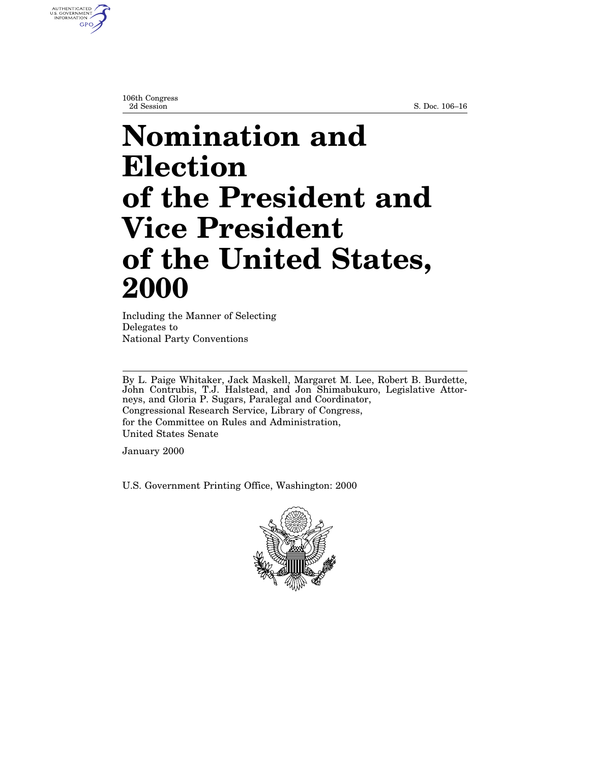AUTHENTICATED<br>U.S. GOVERNMENT<br>INFORMATION **GPO** 

# **Nomination and Election of the President and Vice President of the United States, 2000**

Including the Manner of Selecting Delegates to National Party Conventions

By L. Paige Whitaker, Jack Maskell, Margaret M. Lee, Robert B. Burdette, John Contrubis, T.J. Halstead, and Jon Shimabukuro, Legislative Attorneys, and Gloria P. Sugars, Paralegal and Coordinator, Congressional Research Service, Library of Congress, for the Committee on Rules and Administration, United States Senate

January 2000

U.S. Government Printing Office, Washington: 2000

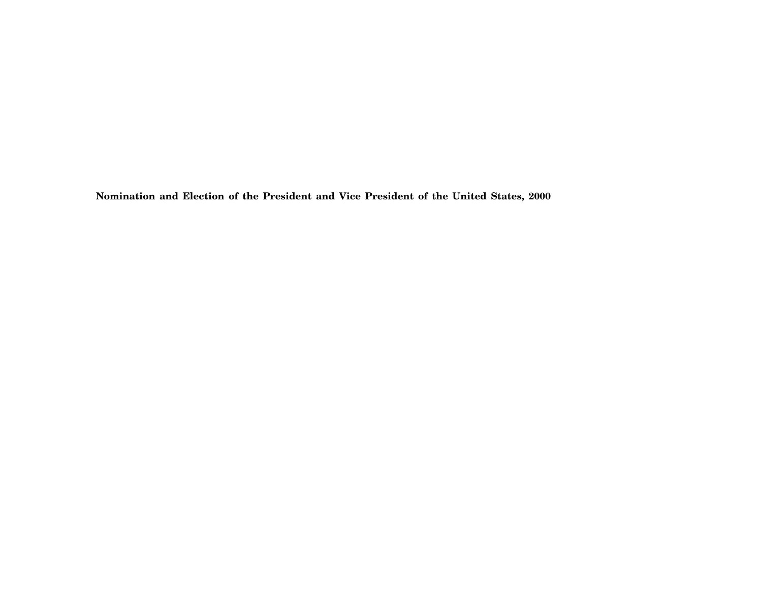**Nomination and Election of the President and Vice President of the United States, 2000**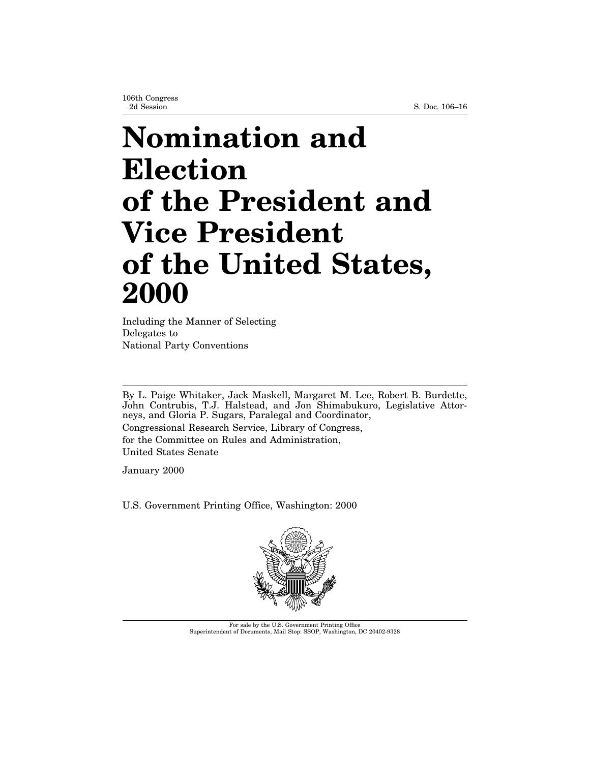# **Nomination and Election of the President and Vice President of the United States, 2000**

Including the Manner of Selecting Delegates to National Party Conventions

By L. Paige Whitaker, Jack Maskell, Margaret M. Lee, Robert B. Burdette, John Contrubis, T.J. Halstead, and Jon Shimabukuro, Legislative Attorneys, and Gloria P. Sugars, Paralegal and Coordinator, Congressional Research Service, Library of Congress, for the Committee on Rules and Administration, United States Senate

January 2000

U.S. Government Printing Office, Washington: 2000



For sale by the U.S. Government Printing Office Superintendent of Documents, Mail Stop: SSOP, Washington, DC 20402-9328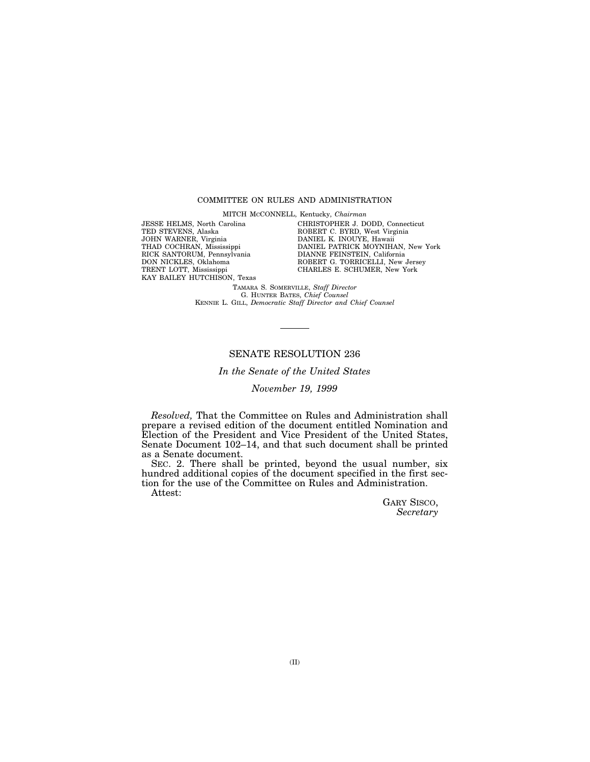## COMMITTEE ON RULES AND ADMINISTRATION

MITCH MCCONNELL, Kentucky, *Chairman*

JESSE HELMS, North Carolina TED STEVENS, Alaska JOHN WARNER, Virginia THAD COCHRAN, Mississippi RICK SANTORUM, Pennsylvania DON NICKLES, Oklahoma TRENT LOTT, Mississippi KAY BAILEY HUTCHISON, Texas CHRISTOPHER J. DODD, Connecticut ROBERT C. BYRD, West Virginia DANIEL K. INOUYE, Hawaii DANIEL PATRICK MOYNIHAN, New York DIANNE FEINSTEIN, California ROBERT G. TORRICELLI, New Jersey CHARLES E. SCHUMER, New York

TAMARA S. SOMERVILLE, *Staff Director* G. HUNTER BATES, *Chief Counsel* KENNIE L. GILL, *Democratic Staff Director and Chief Counsel*

#### SENATE RESOLUTION 236

*In the Senate of the United States*

*November 19, 1999*

*Resolved,* That the Committee on Rules and Administration shall prepare a revised edition of the document entitled Nomination and Election of the President and Vice President of the United States, Senate Document 102–14, and that such document shall be printed as a Senate document.

SEC. 2. There shall be printed, beyond the usual number, six hundred additional copies of the document specified in the first section for the use of the Committee on Rules and Administration. Attest:

GARY SISCO, *Secretary*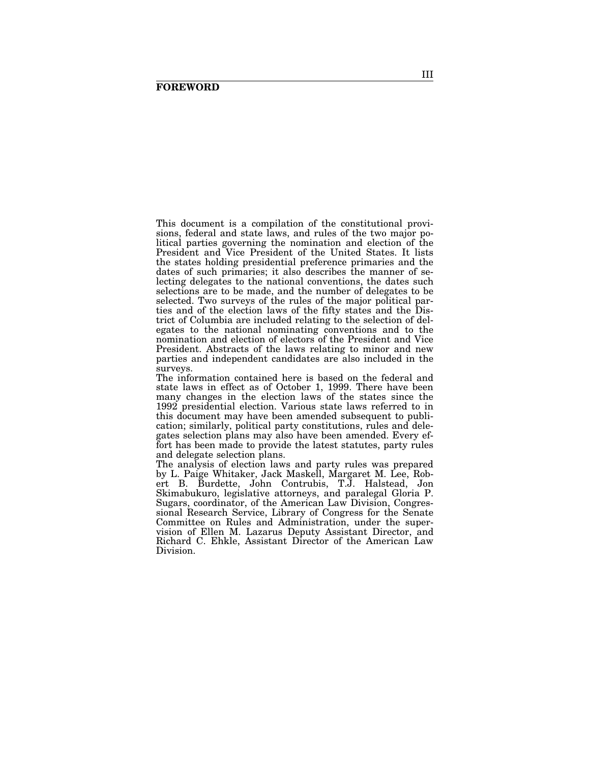This document is a compilation of the constitutional provisions, federal and state laws, and rules of the two major political parties governing the nomination and election of the President and Vice President of the United States. It lists the states holding presidential preference primaries and the dates of such primaries; it also describes the manner of selecting delegates to the national conventions, the dates such selections are to be made, and the number of delegates to be selected. Two surveys of the rules of the major political parties and of the election laws of the fifty states and the District of Columbia are included relating to the selection of delegates to the national nominating conventions and to the nomination and election of electors of the President and Vice President. Abstracts of the laws relating to minor and new parties and independent candidates are also included in the surveys.

The information contained here is based on the federal and state laws in effect as of October 1, 1999. There have been many changes in the election laws of the states since the 1992 presidential election. Various state laws referred to in this document may have been amended subsequent to publication; similarly, political party constitutions, rules and delegates selection plans may also have been amended. Every effort has been made to provide the latest statutes, party rules and delegate selection plans.

The analysis of election laws and party rules was prepared by L. Paige Whitaker, Jack Maskell, Margaret M. Lee, Robert B. Burdette, John Contrubis, T.J. Halstead, Jon Skimabukuro, legislative attorneys, and paralegal Gloria P. Sugars, coordinator, of the American Law Division, Congressional Research Service, Library of Congress for the Senate Committee on Rules and Administration, under the supervision of Ellen M. Lazarus Deputy Assistant Director, and Richard C. Ehkle, Assistant Director of the American Law Division.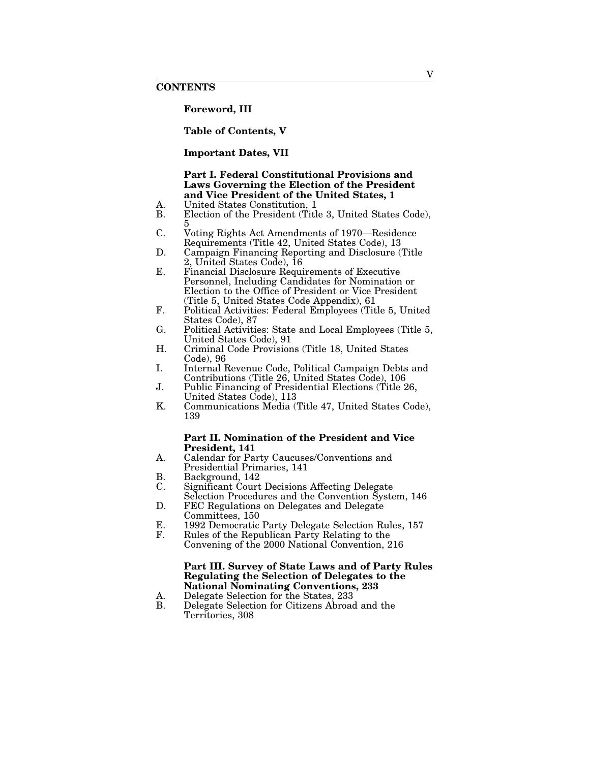**Foreword, III**

**Table of Contents, V**

# **Important Dates, VII**

## **Part I. Federal Constitutional Provisions and Laws Governing the Election of the President and Vice President of the United States, 1**

- A. United States Constitution, 1
- B. Election of the President (Title 3, United States Code), 5
- C. Voting Rights Act Amendments of 1970—Residence Requirements (Title 42, United States Code), 13
- D. Campaign Financing Reporting and Disclosure (Title 2, United States Code), 16
- E. Financial Disclosure Requirements of Executive Personnel, Including Candidates for Nomination or Election to the Office of President or Vice President (Title 5, United States Code Appendix), 61
- F. Political Activities: Federal Employees (Title 5, United States Code), 87
- G. Political Activities: State and Local Employees (Title 5, United States Code), 91
- H. Criminal Code Provisions (Title 18, United States Code), 96
- I. Internal Revenue Code, Political Campaign Debts and Contributions (Title 26, United States Code), 106
- J. Public Financing of Presidential Elections (Title 26, United States Code), 113
- K. Communications Media (Title 47, United States Code), 139

## **Part II. Nomination of the President and Vice President, 141**

- A. Calendar for Party Caucuses/Conventions and Presidential Primaries, 141
- B. Background, 142
- C. Significant Court Decisions Affecting Delegate Selection Procedures and the Convention System, 146
- D. FEC Regulations on Delegates and Delegate Committees, 150
- E. 1992 Democratic Party Delegate Selection Rules, 157<br>F. Rules of the Republican Party Relating to the
- F. Rules of the Republican Party Relating to the Convening of the 2000 National Convention, 216

## **Part III. Survey of State Laws and of Party Rules Regulating the Selection of Delegates to the National Nominating Conventions, 233**

- A. Delegate Selection for the States, 233
- B. Delegate Selection for Citizens Abroad and the Territories, 308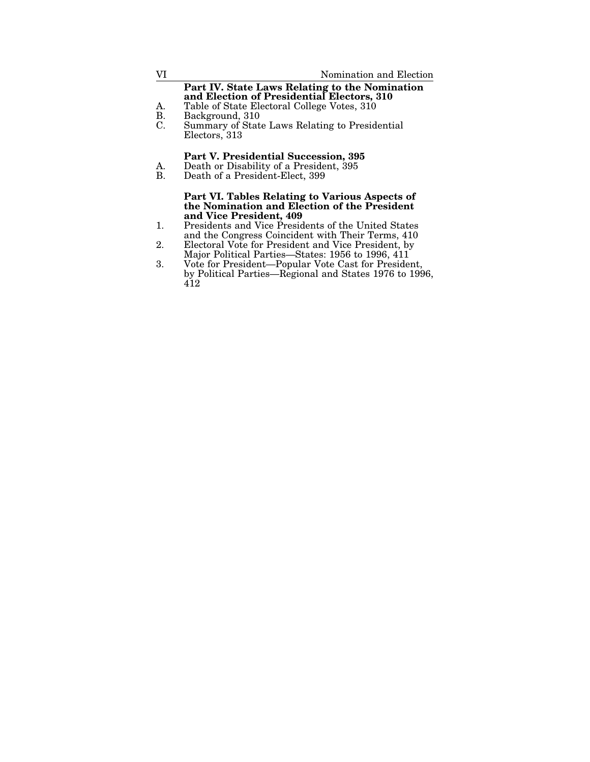# **Part IV. State Laws Relating to the Nomination and Election of Presidential Electors, 310**

- A. Table of State Electoral College Votes, 310<br>B. Background, 310
- B. Background, 310<br>C. Summary of Stat
- Summary of State Laws Relating to Presidential Electors, 313

**Part V. Presidential Succession, 395**

- A. Death or Disability of a President, 395<br>B. Death of a President-Elect, 399
- Death of a President-Elect, 399

## **Part VI. Tables Relating to Various Aspects of the Nomination and Election of the President and Vice President, 409**

- 1. Presidents and Vice Presidents of the United States and the Congress Coincident with Their Terms, 410
- 2. Electoral Vote for President and Vice President, by Major Political Parties—States: 1956 to 1996, 411
- 3. Vote for President—Popular Vote Cast for President, by Political Parties—Regional and States 1976 to 1996, 412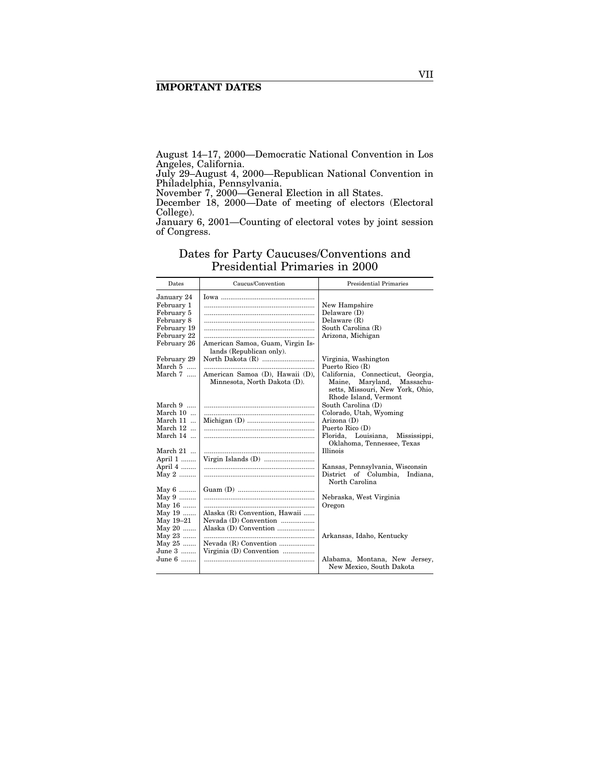August 14–17, 2000—Democratic National Convention in Los Angeles, California.

July 29–August 4, 2000—Republican National Convention in Philadelphia, Pennsylvania.

November 7, 2000—General Election in all States.

December 18, 2000—Date of meeting of electors (Electoral College).

January 6, 2001—Counting of electoral votes by joint session of Congress.

| Dates for Party Caucuses/Conventions and |  |
|------------------------------------------|--|
| Presidential Primaries in 2000           |  |

| Dates       | Caucus/Convention                | <b>Presidential Primaries</b>                      |
|-------------|----------------------------------|----------------------------------------------------|
| January 24  |                                  |                                                    |
| February 1  |                                  | New Hampshire                                      |
| February 5  |                                  | Delaware $(D)$                                     |
| February 8  |                                  | Delaware $(R)$                                     |
| February 19 |                                  | South Carolina (R)                                 |
| February 22 |                                  | Arizona, Michigan                                  |
| February 26 | American Samoa, Guam, Virgin Is- |                                                    |
|             | lands (Republican only).         |                                                    |
| February 29 |                                  | Virginia, Washington                               |
| March 5     |                                  | Puerto Rico (R)                                    |
| March 7     | American Samoa (D), Hawaii (D),  | California, Connecticut, Georgia,                  |
|             | Minnesota, North Dakota (D).     | Maryland, Massachu-<br>Maine,                      |
|             |                                  | setts, Missouri, New York, Ohio,                   |
|             |                                  | Rhode Island, Vermont                              |
| March $9$   |                                  | South Carolina (D)                                 |
| March $10$  |                                  | Colorado, Utah, Wyoming                            |
| March 11    |                                  | Arizona (D)                                        |
| March $12$  |                                  | Puerto Rico (D)                                    |
| March 14    |                                  | Florida, Louisiana,<br>Mississippi,                |
|             |                                  | Oklahoma, Tennessee, Texas                         |
| March $21$  |                                  | Illinois                                           |
| April 1     |                                  |                                                    |
| April 4     |                                  | Kansas, Pennsylvania, Wisconsin                    |
| $May\ 2$    |                                  | of Columbia, Indiana,<br>$\operatorname{District}$ |
|             |                                  | North Carolina                                     |
| $May 6$     |                                  |                                                    |
| $May\ 9$    |                                  | Nebraska, West Virginia                            |
| May 16      |                                  | Oregon                                             |
| May 19      | Alaska (R) Convention, Hawaii    |                                                    |
| May 19-21   | Nevada (D) Convention            |                                                    |
| May 20      | Alaska (D) Convention            |                                                    |
| May 23      |                                  | Arkansas, Idaho, Kentucky                          |
| May 25      | Nevada (R) Convention            |                                                    |
| June 3      | Virginia (D) Convention          |                                                    |
| June $6$    |                                  | Alabama, Montana, New Jersey,                      |
|             |                                  | New Mexico, South Dakota                           |
|             |                                  |                                                    |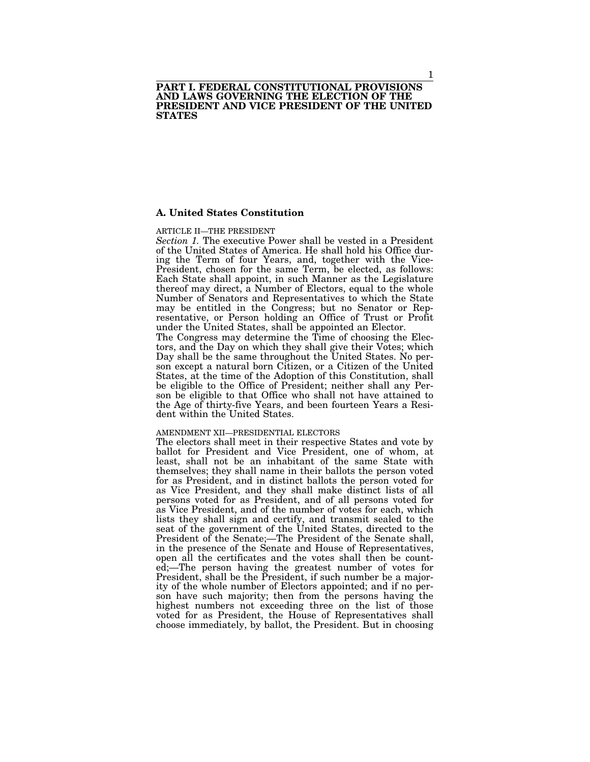**PART I. FEDERAL CONSTITUTIONAL PROVISIONS AND LAWS GOVERNING THE ELECTION OF THE PRESIDENT AND VICE PRESIDENT OF THE UNITED STATES**

#### **A. United States Constitution**

ARTICLE II—THE PRESIDENT

*Section 1.* The executive Power shall be vested in a President of the United States of America. He shall hold his Office during the Term of four Years, and, together with the Vice-President, chosen for the same Term, be elected, as follows: Each State shall appoint, in such Manner as the Legislature thereof may direct, a Number of Electors, equal to the whole Number of Senators and Representatives to which the State may be entitled in the Congress; but no Senator or Representative, or Person holding an Office of Trust or Profit under the United States, shall be appointed an Elector.

The Congress may determine the Time of choosing the Electors, and the Day on which they shall give their Votes; which Day shall be the same throughout the United States. No person except a natural born Citizen, or a Citizen of the United States, at the time of the Adoption of this Constitution, shall be eligible to the Office of President; neither shall any Person be eligible to that Office who shall not have attained to the Age of thirty-five Years, and been fourteen Years a Resident within the United States.

#### AMENDMENT XII—PRESIDENTIAL ELECTORS

The electors shall meet in their respective States and vote by ballot for President and Vice President, one of whom, at least, shall not be an inhabitant of the same State with themselves; they shall name in their ballots the person voted for as President, and in distinct ballots the person voted for as Vice President, and they shall make distinct lists of all persons voted for as President, and of all persons voted for as Vice President, and of the number of votes for each, which lists they shall sign and certify, and transmit sealed to the seat of the government of the United States, directed to the President of the Senate;—The President of the Senate shall, in the presence of the Senate and House of Representatives, open all the certificates and the votes shall then be counted;—The person having the greatest number of votes for President, shall be the President, if such number be a majority of the whole number of Electors appointed; and if no person have such majority; then from the persons having the highest numbers not exceeding three on the list of those voted for as President, the House of Representatives shall choose immediately, by ballot, the President. But in choosing

1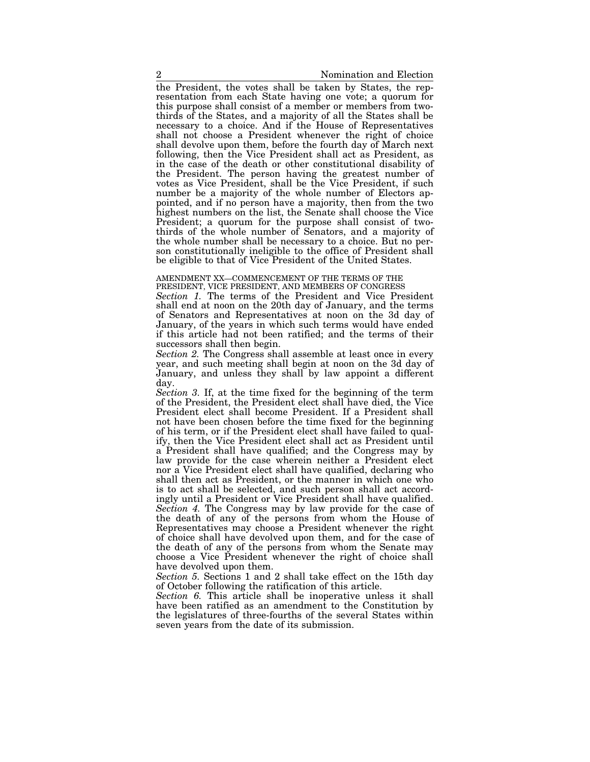2 Nomination and Election

the President, the votes shall be taken by States, the representation from each State having one vote; a quorum for this purpose shall consist of a member or members from twothirds of the States, and a majority of all the States shall be necessary to a choice. And if the House of Representatives shall not choose a President whenever the right of choice shall devolve upon them, before the fourth day of March next following, then the Vice President shall act as President, as in the case of the death or other constitutional disability of the President. The person having the greatest number of votes as Vice President, shall be the Vice President, if such number be a majority of the whole number of Electors appointed, and if no person have a majority, then from the two highest numbers on the list, the Senate shall choose the Vice President; a quorum for the purpose shall consist of twothirds of the whole number of Senators, and a majority of the whole number shall be necessary to a choice. But no person constitutionally ineligible to the office of President shall be eligible to that of Vice President of the United States.

# AMENDMENT XX—COMMENCEMENT OF THE TERMS OF THE

PRESIDENT, VICE PRESIDENT, AND MEMBERS OF CONGRESS *Section 1.* The terms of the President and Vice President shall end at noon on the 20th day of January, and the terms

of Senators and Representatives at noon on the 3d day of January, of the years in which such terms would have ended if this article had not been ratified; and the terms of their successors shall then begin.

*Section 2.* The Congress shall assemble at least once in every year, and such meeting shall begin at noon on the 3d day of January, and unless they shall by law appoint a different day.

*Section 3.* If, at the time fixed for the beginning of the term of the President, the President elect shall have died, the Vice President elect shall become President. If a President shall not have been chosen before the time fixed for the beginning of his term, or if the President elect shall have failed to qualify, then the Vice President elect shall act as President until a President shall have qualified; and the Congress may by law provide for the case wherein neither a President elect nor a Vice President elect shall have qualified, declaring who shall then act as President, or the manner in which one who is to act shall be selected, and such person shall act accordingly until a President or Vice President shall have qualified. *Section 4.* The Congress may by law provide for the case of the death of any of the persons from whom the House of Representatives may choose a President whenever the right of choice shall have devolved upon them, and for the case of the death of any of the persons from whom the Senate may choose a Vice President whenever the right of choice shall have devolved upon them.

*Section 5.* Sections 1 and 2 shall take effect on the 15th day of October following the ratification of this article.

*Section 6.* This article shall be inoperative unless it shall have been ratified as an amendment to the Constitution by the legislatures of three-fourths of the several States within seven years from the date of its submission.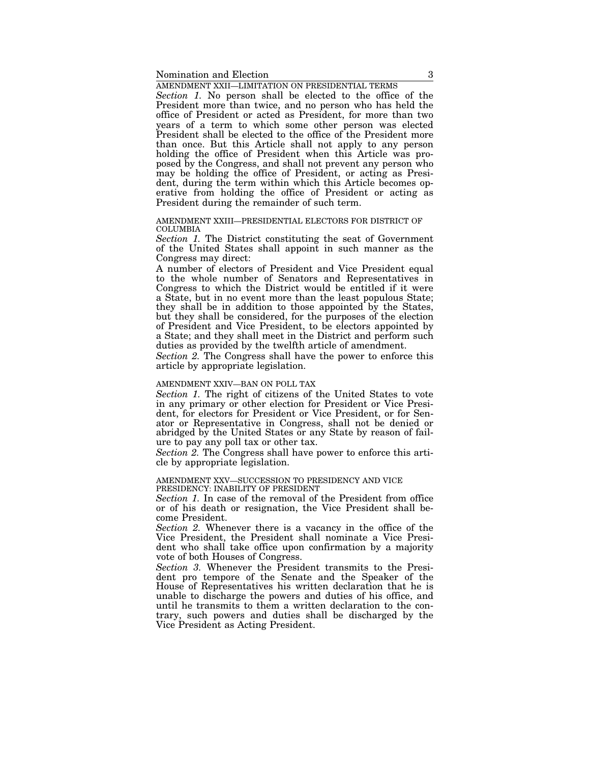Nomination and Election 3

AMENDMENT XXII—LIMITATION ON PRESIDENTIAL TERMS

*Section 1.* No person shall be elected to the office of the President more than twice, and no person who has held the office of President or acted as President, for more than two years of a term to which some other person was elected President shall be elected to the office of the President more than once. But this Article shall not apply to any person holding the office of President when this Article was proposed by the Congress, and shall not prevent any person who may be holding the office of President, or acting as President, during the term within which this Article becomes operative from holding the office of President or acting as President during the remainder of such term.

AMENDMENT XXIII—PRESIDENTIAL ELECTORS FOR DISTRICT OF COLUMBIA

*Section 1.* The District constituting the seat of Government of the United States shall appoint in such manner as the Congress may direct:

A number of electors of President and Vice President equal to the whole number of Senators and Representatives in Congress to which the District would be entitled if it were a State, but in no event more than the least populous State; they shall be in addition to those appointed by the States, but they shall be considered, for the purposes of the election of President and Vice President, to be electors appointed by a State; and they shall meet in the District and perform such duties as provided by the twelfth article of amendment.

*Section 2.* The Congress shall have the power to enforce this article by appropriate legislation.

#### AMENDMENT XXIV—BAN ON POLL TAX

*Section 1.* The right of citizens of the United States to vote in any primary or other election for President or Vice President, for electors for President or Vice President, or for Senator or Representative in Congress, shall not be denied or abridged by the United States or any State by reason of failure to pay any poll tax or other tax.

*Section 2.* The Congress shall have power to enforce this article by appropriate legislation.

AMENDMENT XXV—SUCCESSION TO PRESIDENCY AND VICE PRESIDENCY: INABILITY OF PRESIDENT

*Section 1.* In case of the removal of the President from office or of his death or resignation, the Vice President shall become President.

*Section 2.* Whenever there is a vacancy in the office of the Vice President, the President shall nominate a Vice President who shall take office upon confirmation by a majority vote of both Houses of Congress.

*Section 3.* Whenever the President transmits to the President pro tempore of the Senate and the Speaker of the House of Representatives his written declaration that he is unable to discharge the powers and duties of his office, and until he transmits to them a written declaration to the contrary, such powers and duties shall be discharged by the Vice President as Acting President.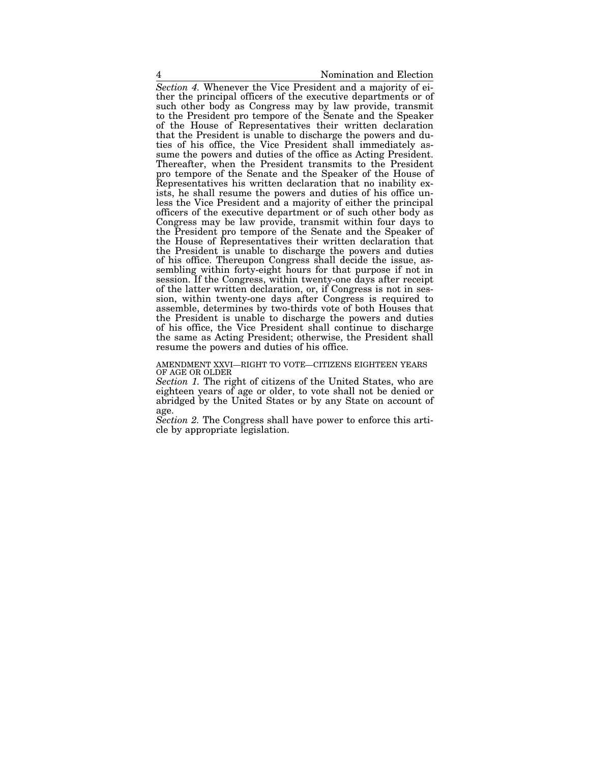4 Nomination and Election

*Section 4.* Whenever the Vice President and a majority of either the principal officers of the executive departments or of such other body as Congress may by law provide, transmit to the President pro tempore of the Senate and the Speaker of the House of Representatives their written declaration that the President is unable to discharge the powers and duties of his office, the Vice President shall immediately assume the powers and duties of the office as Acting President. Thereafter, when the President transmits to the President pro tempore of the Senate and the Speaker of the House of Representatives his written declaration that no inability exists, he shall resume the powers and duties of his office unless the Vice President and a majority of either the principal officers of the executive department or of such other body as Congress may be law provide, transmit within four days to the President pro tempore of the Senate and the Speaker of the House of Representatives their written declaration that the President is unable to discharge the powers and duties of his office. Thereupon Congress shall decide the issue, assembling within forty-eight hours for that purpose if not in session. If the Congress, within twenty-one days after receipt of the latter written declaration, or, if Congress is not in session, within twenty-one days after Congress is required to assemble, determines by two-thirds vote of both Houses that the President is unable to discharge the powers and duties of his office, the Vice President shall continue to discharge the same as Acting President; otherwise, the President shall resume the powers and duties of his office.

AMENDMENT XXVI—RIGHT TO VOTE—CITIZENS EIGHTEEN YEARS OF AGE OR OLDER

*Section 1.* The right of citizens of the United States, who are eighteen years of age or older, to vote shall not be denied or abridged by the United States or by any State on account of age.

*Section 2.* The Congress shall have power to enforce this article by appropriate legislation.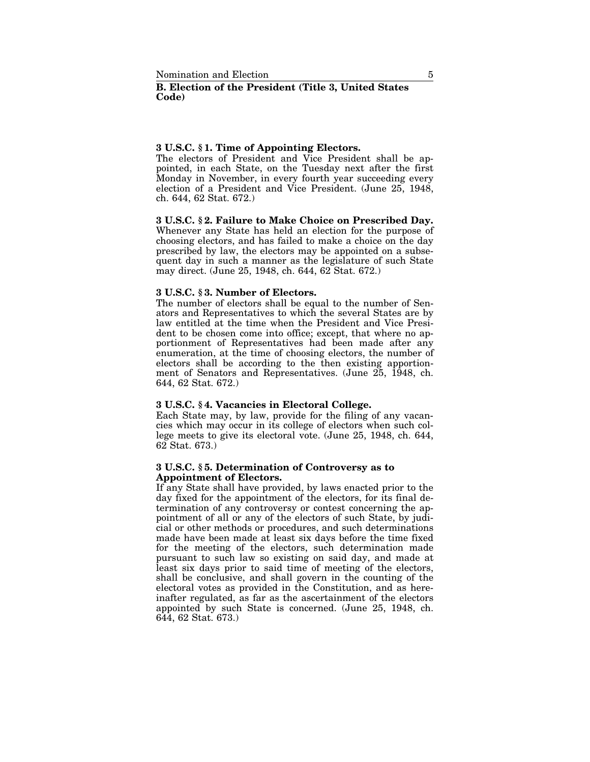## **3 U.S.C. § 1. Time of Appointing Electors.**

The electors of President and Vice President shall be appointed, in each State, on the Tuesday next after the first Monday in November, in every fourth year succeeding every election of a President and Vice President. (June 25, 1948, ch. 644, 62 Stat. 672.)

#### **3 U.S.C. § 2. Failure to Make Choice on Prescribed Day.**

Whenever any State has held an election for the purpose of choosing electors, and has failed to make a choice on the day prescribed by law, the electors may be appointed on a subsequent day in such a manner as the legislature of such State may direct. (June 25, 1948, ch. 644, 62 Stat. 672.)

#### **3 U.S.C. § 3. Number of Electors.**

The number of electors shall be equal to the number of Senators and Representatives to which the several States are by law entitled at the time when the President and Vice President to be chosen come into office; except, that where no apportionment of Representatives had been made after any enumeration, at the time of choosing electors, the number of electors shall be according to the then existing apportionment of Senators and Representatives. (June 25, 1948, ch. 644, 62 Stat. 672.)

#### **3 U.S.C. § 4. Vacancies in Electoral College.**

Each State may, by law, provide for the filing of any vacancies which may occur in its college of electors when such college meets to give its electoral vote. (June 25, 1948, ch. 644, 62 Stat. 673.)

#### **3 U.S.C. § 5. Determination of Controversy as to Appointment of Electors.**

If any State shall have provided, by laws enacted prior to the day fixed for the appointment of the electors, for its final determination of any controversy or contest concerning the appointment of all or any of the electors of such State, by judicial or other methods or procedures, and such determinations made have been made at least six days before the time fixed for the meeting of the electors, such determination made pursuant to such law so existing on said day, and made at least six days prior to said time of meeting of the electors, shall be conclusive, and shall govern in the counting of the electoral votes as provided in the Constitution, and as hereinafter regulated, as far as the ascertainment of the electors appointed by such State is concerned. (June 25, 1948, ch. 644, 62 Stat. 673.)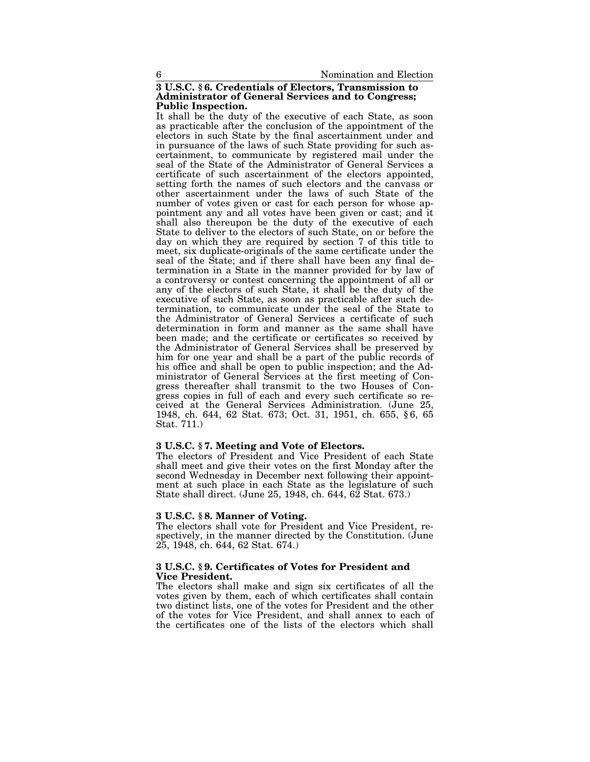**3 U.S.C. § 6. Credentials of Electors, Transmission to Administrator of General Services and to Congress; Public Inspection.**

It shall be the duty of the executive of each State, as soon as practicable after the conclusion of the appointment of the electors in such State by the final ascertainment under and in pursuance of the laws of such State providing for such ascertainment, to communicate by registered mail under the seal of the State of the Administrator of General Services a certificate of such ascertainment of the electors appointed, setting forth the names of such electors and the canvass or other ascertainment under the laws of such State of the number of votes given or cast for each person for whose appointment any and all votes have been given or cast; and it shall also thereupon be the duty of the executive of each State to deliver to the electors of such State, on or before the day on which they are required by section 7 of this title to meet, six duplicate-originals of the same certificate under the seal of the State; and if there shall have been any final determination in a State in the manner provided for by law of a controversy or contest concerning the appointment of all or any of the electors of such State, it shall be the duty of the executive of such State, as soon as practicable after such determination, to communicate under the seal of the State to the Administrator of General Services a certificate of such determination in form and manner as the same shall have been made; and the certificate or certificates so received by the Administrator of General Services shall be preserved by him for one year and shall be a part of the public records of his office and shall be open to public inspection; and the Administrator of General Services at the first meeting of Congress thereafter shall transmit to the two Houses of Congress copies in full of each and every such certificate so received at the General Services Administration. (June 25, 1948, ch. 644, 62 Stat. 673; Oct. 31, 1951, ch. 655, § 6, 65 Stat. 711.)

#### **3 U.S.C. § 7. Meeting and Vote of Electors.**

The electors of President and Vice President of each State shall meet and give their votes on the first Monday after the second Wednesday in December next following their appointment at such place in each State as the legislature of such State shall direct. (June 25, 1948, ch. 644, 62 Stat. 673.)

# **3 U.S.C. § 8. Manner of Voting.**

The electors shall vote for President and Vice President, respectively, in the manner directed by the Constitution. (June 25, 1948, ch. 644, 62 Stat. 674.)

## **3 U.S.C. § 9. Certificates of Votes for President and Vice President.**

The electors shall make and sign six certificates of all the votes given by them, each of which certificates shall contain two distinct lists, one of the votes for President and the other of the votes for Vice President, and shall annex to each of the certificates one of the lists of the electors which shall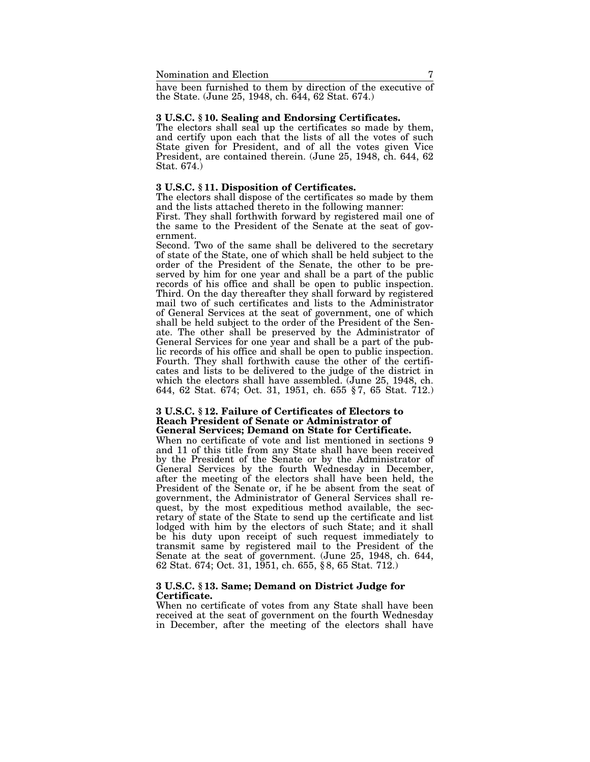have been furnished to them by direction of the executive of the State. (June 25, 1948, ch. 644, 62 Stat. 674.)

#### **3 U.S.C. § 10. Sealing and Endorsing Certificates.**

The electors shall seal up the certificates so made by them, and certify upon each that the lists of all the votes of such State given for President, and of all the votes given Vice President, are contained therein. (June 25, 1948, ch. 644, 62 Stat. 674.)

#### **3 U.S.C. § 11. Disposition of Certificates.**

The electors shall dispose of the certificates so made by them and the lists attached thereto in the following manner:

First. They shall forthwith forward by registered mail one of the same to the President of the Senate at the seat of government.

Second. Two of the same shall be delivered to the secretary of state of the State, one of which shall be held subject to the order of the President of the Senate, the other to be preserved by him for one year and shall be a part of the public records of his office and shall be open to public inspection. Third. On the day thereafter they shall forward by registered mail two of such certificates and lists to the Administrator of General Services at the seat of government, one of which shall be held subject to the order of the President of the Senate. The other shall be preserved by the Administrator of General Services for one year and shall be a part of the public records of his office and shall be open to public inspection. Fourth. They shall forthwith cause the other of the certificates and lists to be delivered to the judge of the district in which the electors shall have assembled. (June 25, 1948, ch. 644, 62 Stat. 674; Oct. 31, 1951, ch. 655 § 7, 65 Stat. 712.)

## **3 U.S.C. § 12. Failure of Certificates of Electors to Reach President of Senate or Administrator of General Services; Demand on State for Certificate.**

When no certificate of vote and list mentioned in sections 9 and 11 of this title from any State shall have been received by the President of the Senate or by the Administrator of General Services by the fourth Wednesday in December, after the meeting of the electors shall have been held, the President of the Senate or, if he be absent from the seat of government, the Administrator of General Services shall request, by the most expeditious method available, the secretary of state of the State to send up the certificate and list lodged with him by the electors of such State; and it shall be his duty upon receipt of such request immediately to transmit same by registered mail to the President of the Senate at the seat of government. (June 25, 1948, ch. 644, 62 Stat. 674; Oct. 31, 1951, ch. 655, § 8, 65 Stat. 712.)

# **3 U.S.C. § 13. Same; Demand on District Judge for Certificate.**

When no certificate of votes from any State shall have been received at the seat of government on the fourth Wednesday in December, after the meeting of the electors shall have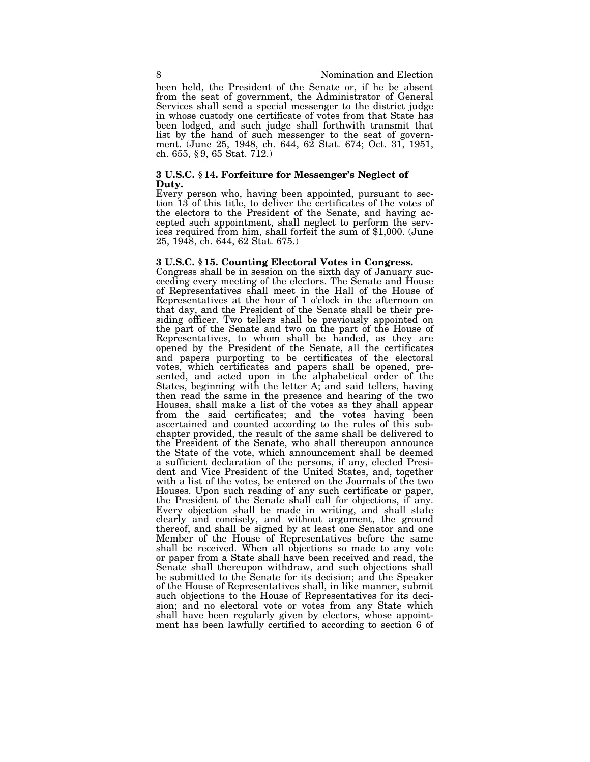been held, the President of the Senate or, if he be absent from the seat of government, the Administrator of General Services shall send a special messenger to the district judge in whose custody one certificate of votes from that State has been lodged, and such judge shall forthwith transmit that list by the hand of such messenger to the seat of government. (June 25, 1948, ch. 644, 62 Stat. 674; Oct. 31, 1951, ch. 655, § 9, 65 Stat. 712.)

#### **3 U.S.C. § 14. Forfeiture for Messenger's Neglect of Duty.**

Every person who, having been appointed, pursuant to section 13 of this title, to deliver the certificates of the votes of the electors to the President of the Senate, and having accepted such appointment, shall neglect to perform the services required from him, shall forfeit the sum of \$1,000. (June 25, 1948, ch. 644, 62 Stat. 675.)

## **3 U.S.C. § 15. Counting Electoral Votes in Congress.**

Congress shall be in session on the sixth day of January succeeding every meeting of the electors. The Senate and House of Representatives shall meet in the Hall of the House of Representatives at the hour of 1 o'clock in the afternoon on that day, and the President of the Senate shall be their presiding officer. Two tellers shall be previously appointed on the part of the Senate and two on the part of the House of Representatives, to whom shall be handed, as they are opened by the President of the Senate, all the certificates and papers purporting to be certificates of the electoral votes, which certificates and papers shall be opened, presented, and acted upon in the alphabetical order of the States, beginning with the letter A; and said tellers, having then read the same in the presence and hearing of the two Houses, shall make a list of the votes as they shall appear from the said certificates; and the votes having been ascertained and counted according to the rules of this subchapter provided, the result of the same shall be delivered to the President of the Senate, who shall thereupon announce the State of the vote, which announcement shall be deemed a sufficient declaration of the persons, if any, elected President and Vice President of the United States, and, together with a list of the votes, be entered on the Journals of the two Houses. Upon such reading of any such certificate or paper, the President of the Senate shall call for objections, if any. Every objection shall be made in writing, and shall state clearly and concisely, and without argument, the ground thereof, and shall be signed by at least one Senator and one Member of the House of Representatives before the same shall be received. When all objections so made to any vote or paper from a State shall have been received and read, the Senate shall thereupon withdraw, and such objections shall be submitted to the Senate for its decision; and the Speaker of the House of Representatives shall, in like manner, submit such objections to the House of Representatives for its decision; and no electoral vote or votes from any State which shall have been regularly given by electors, whose appointment has been lawfully certified to according to section 6 of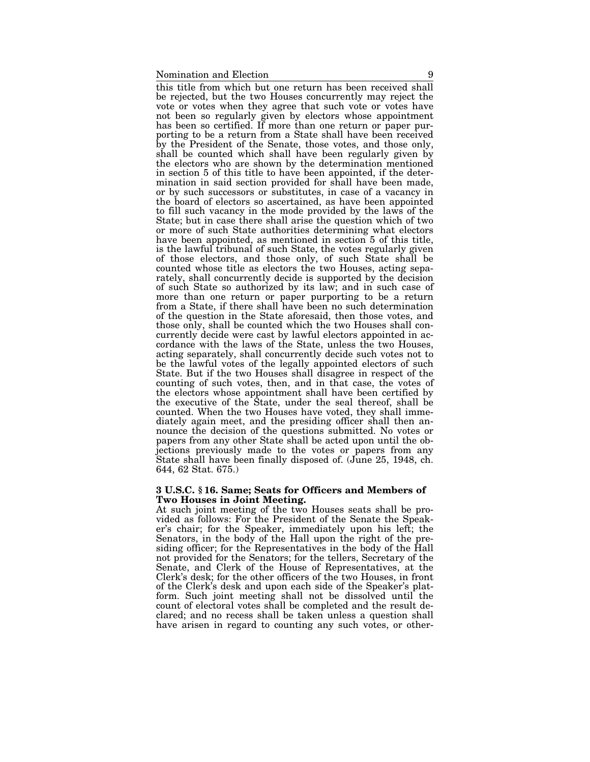this title from which but one return has been received shall be rejected, but the two Houses concurrently may reject the vote or votes when they agree that such vote or votes have not been so regularly given by electors whose appointment has been so certified. If more than one return or paper purporting to be a return from a State shall have been received by the President of the Senate, those votes, and those only, shall be counted which shall have been regularly given by the electors who are shown by the determination mentioned in section 5 of this title to have been appointed, if the determination in said section provided for shall have been made, or by such successors or substitutes, in case of a vacancy in the board of electors so ascertained, as have been appointed to fill such vacancy in the mode provided by the laws of the State; but in case there shall arise the question which of two or more of such State authorities determining what electors have been appointed, as mentioned in section 5 of this title, is the lawful tribunal of such State, the votes regularly given of those electors, and those only, of such State shall be counted whose title as electors the two Houses, acting separately, shall concurrently decide is supported by the decision of such State so authorized by its law; and in such case of more than one return or paper purporting to be a return from a State, if there shall have been no such determination of the question in the State aforesaid, then those votes, and those only, shall be counted which the two Houses shall concurrently decide were cast by lawful electors appointed in accordance with the laws of the State, unless the two Houses, acting separately, shall concurrently decide such votes not to be the lawful votes of the legally appointed electors of such State. But if the two Houses shall disagree in respect of the counting of such votes, then, and in that case, the votes of the electors whose appointment shall have been certified by the executive of the State, under the seal thereof, shall be counted. When the two Houses have voted, they shall immediately again meet, and the presiding officer shall then announce the decision of the questions submitted. No votes or papers from any other State shall be acted upon until the objections previously made to the votes or papers from any State shall have been finally disposed of. (June 25, 1948, ch. 644, 62 Stat. 675.)

#### **3 U.S.C. § 16. Same; Seats for Officers and Members of Two Houses in Joint Meeting.**

At such joint meeting of the two Houses seats shall be provided as follows: For the President of the Senate the Speaker's chair; for the Speaker, immediately upon his left; the Senators, in the body of the Hall upon the right of the presiding officer; for the Representatives in the body of the Hall not provided for the Senators; for the tellers, Secretary of the Senate, and Clerk of the House of Representatives, at the Clerk's desk; for the other officers of the two Houses, in front of the Clerk's desk and upon each side of the Speaker's platform. Such joint meeting shall not be dissolved until the count of electoral votes shall be completed and the result declared; and no recess shall be taken unless a question shall have arisen in regard to counting any such votes, or other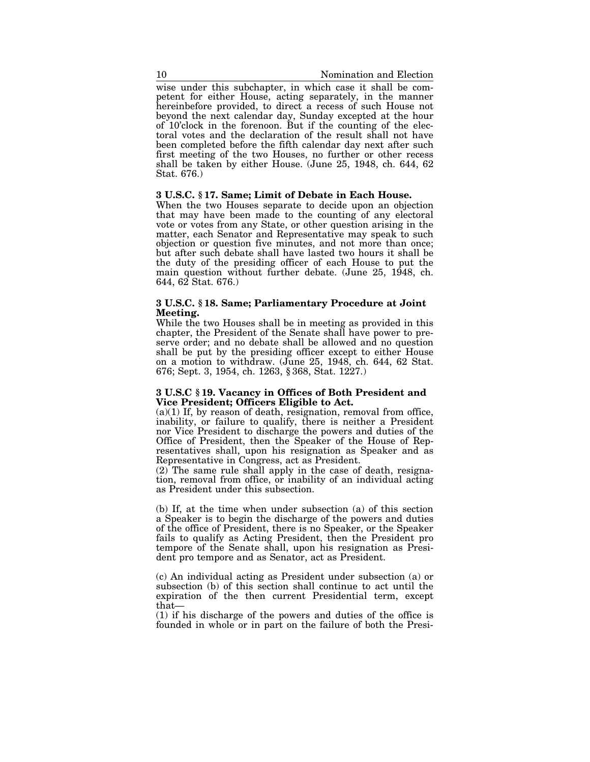wise under this subchapter, in which case it shall be competent for either House, acting separately, in the manner hereinbefore provided, to direct a recess of such House not beyond the next calendar day, Sunday excepted at the hour of 10'clock in the forenoon. But if the counting of the electoral votes and the declaration of the result shall not have been completed before the fifth calendar day next after such first meeting of the two Houses, no further or other recess shall be taken by either House. (June 25, 1948, ch. 644, 62 Stat. 676.)

## **3 U.S.C. § 17. Same; Limit of Debate in Each House.**

When the two Houses separate to decide upon an objection that may have been made to the counting of any electoral vote or votes from any State, or other question arising in the matter, each Senator and Representative may speak to such objection or question five minutes, and not more than once; but after such debate shall have lasted two hours it shall be the duty of the presiding officer of each House to put the main question without further debate. (June 25, 1948, ch. 644, 62 Stat. 676.)

### **3 U.S.C. § 18. Same; Parliamentary Procedure at Joint Meeting.**

While the two Houses shall be in meeting as provided in this chapter, the President of the Senate shall have power to preserve order; and no debate shall be allowed and no question shall be put by the presiding officer except to either House on a motion to withdraw. (June 25, 1948, ch. 644, 62 Stat. 676; Sept. 3, 1954, ch. 1263, § 368, Stat. 1227.)

#### **3 U.S.C § 19. Vacancy in Offices of Both President and Vice President; Officers Eligible to Act.**

 $(a)(1)$  If, by reason of death, resignation, removal from office, inability, or failure to qualify, there is neither a President nor Vice President to discharge the powers and duties of the Office of President, then the Speaker of the House of Representatives shall, upon his resignation as Speaker and as Representative in Congress, act as President.

(2) The same rule shall apply in the case of death, resignation, removal from office, or inability of an individual acting as President under this subsection.

(b) If, at the time when under subsection (a) of this section a Speaker is to begin the discharge of the powers and duties of the office of President, there is no Speaker, or the Speaker fails to qualify as Acting President, then the President pro tempore of the Senate shall, upon his resignation as President pro tempore and as Senator, act as President.

(c) An individual acting as President under subsection (a) or subsection (b) of this section shall continue to act until the expiration of the then current Presidential term, except that—

(1) if his discharge of the powers and duties of the office is founded in whole or in part on the failure of both the Presi-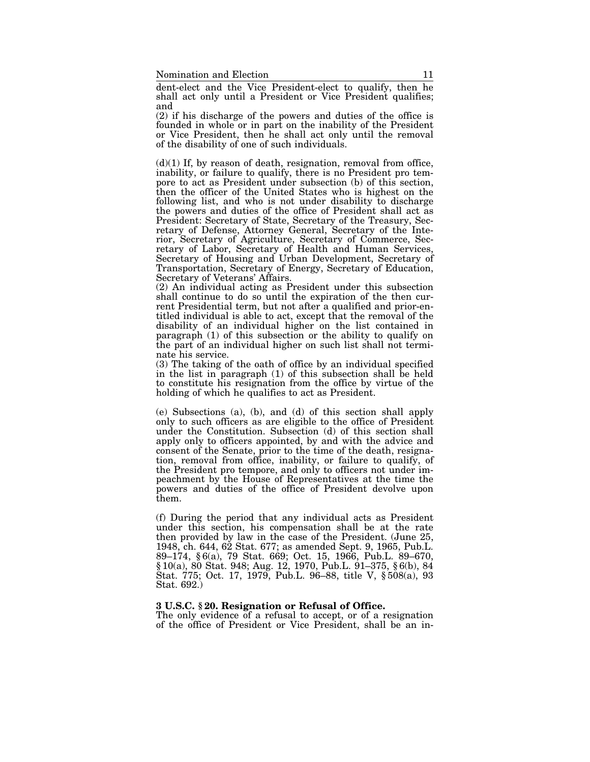dent-elect and the Vice President-elect to qualify, then he shall act only until a President or Vice President qualifies; and

(2) if his discharge of the powers and duties of the office is founded in whole or in part on the inability of the President or Vice President, then he shall act only until the removal of the disability of one of such individuals.

 $(d)(1)$  If, by reason of death, resignation, removal from office, inability, or failure to qualify, there is no President pro tempore to act as President under subsection (b) of this section, then the officer of the United States who is highest on the following list, and who is not under disability to discharge the powers and duties of the office of President shall act as President: Secretary of State, Secretary of the Treasury, Secretary of Defense, Attorney General, Secretary of the Interior, Secretary of Agriculture, Secretary of Commerce, Secretary of Labor, Secretary of Health and Human Services, Secretary of Housing and Urban Development, Secretary of Transportation, Secretary of Energy, Secretary of Education, Secretary of Veterans' Affairs.

(2) An individual acting as President under this subsection shall continue to do so until the expiration of the then current Presidential term, but not after a qualified and prior-entitled individual is able to act, except that the removal of the disability of an individual higher on the list contained in paragraph (1) of this subsection or the ability to qualify on the part of an individual higher on such list shall not terminate his service.

(3) The taking of the oath of office by an individual specified in the list in paragraph (1) of this subsection shall be held to constitute his resignation from the office by virtue of the holding of which he qualifies to act as President.

(e) Subsections (a), (b), and (d) of this section shall apply only to such officers as are eligible to the office of President under the Constitution. Subsection (d) of this section shall apply only to officers appointed, by and with the advice and consent of the Senate, prior to the time of the death, resignation, removal from office, inability, or failure to qualify, of the President pro tempore, and only to officers not under impeachment by the House of Representatives at the time the powers and duties of the office of President devolve upon them.

(f) During the period that any individual acts as President under this section, his compensation shall be at the rate then provided by law in the case of the President. (June 25, 1948, ch. 644, 62 Stat. 677; as amended Sept. 9, 1965, Pub.L. 89–174, § 6(a), 79 Stat. 669; Oct. 15, 1966, Pub.L. 89–670, § 10(a), 80 Stat. 948; Aug. 12, 1970, Pub.L. 91–375, § 6(b), 84 Stat. 775; Oct. 17, 1979, Pub.L. 96–88, title V, § 508(a), 93 Stat. 692.)

#### **3 U.S.C. § 20. Resignation or Refusal of Office.**

The only evidence of a refusal to accept, or of a resignation of the office of President or Vice President, shall be an in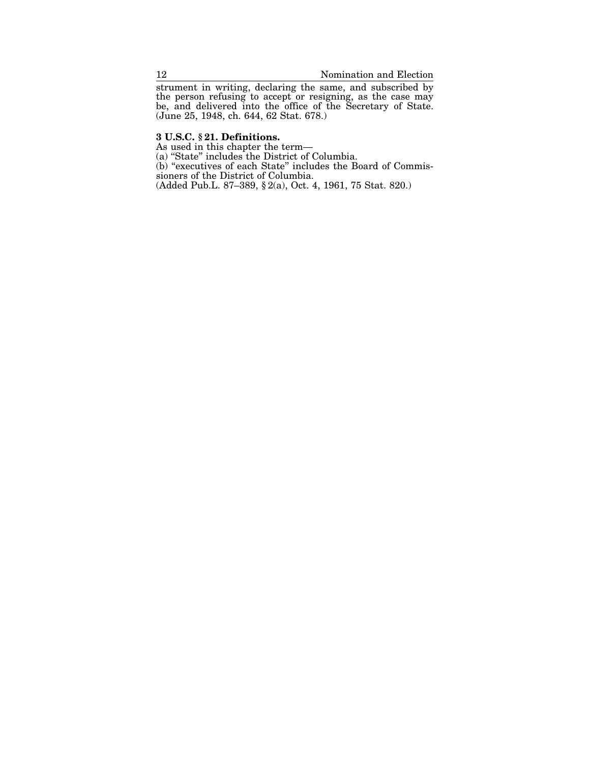strument in writing, declaring the same, and subscribed by the person refusing to accept or resigning, as the case may be, and delivered into the office of the Secretary of State. (June 25, 1948, ch. 644, 62 Stat. 678.)

### **3 U.S.C. § 21. Definitions.**

As used in this chapter the term— (a) ''State'' includes the District of Columbia. (b) ''executives of each State'' includes the Board of Commissioners of the District of Columbia. (Added Pub.L. 87–389, § 2(a), Oct. 4, 1961, 75 Stat. 820.)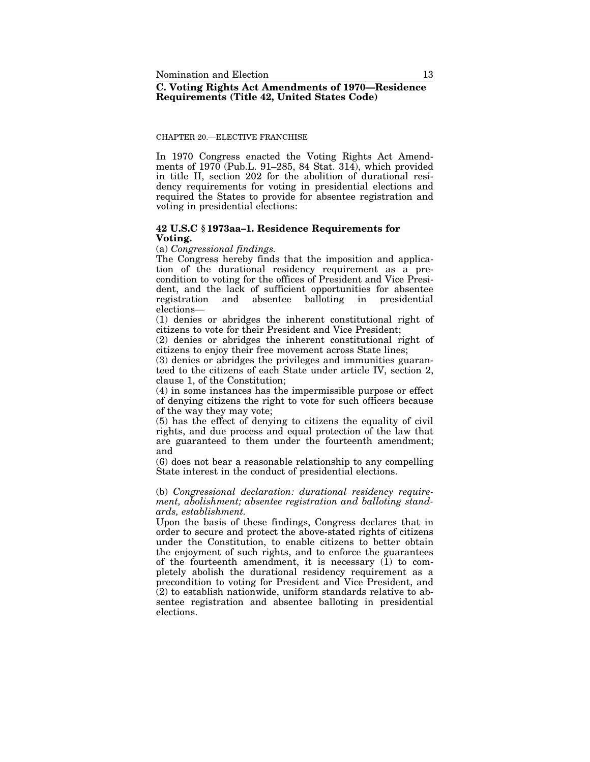#### CHAPTER 20.—ELECTIVE FRANCHISE

In 1970 Congress enacted the Voting Rights Act Amendments of  $1970$  (Pub.L. 91-285, 84 Stat. 314), which provided in title II, section 202 for the abolition of durational residency requirements for voting in presidential elections and required the States to provide for absentee registration and voting in presidential elections:

### **42 U.S.C § 1973aa–1. Residence Requirements for Voting.**

(a) *Congressional findings.*

The Congress hereby finds that the imposition and application of the durational residency requirement as a precondition to voting for the offices of President and Vice President, and the lack of sufficient opportunities for absentee registration and absentee balloting in presidential elections—

(1) denies or abridges the inherent constitutional right of citizens to vote for their President and Vice President;

(2) denies or abridges the inherent constitutional right of citizens to enjoy their free movement across State lines;

(3) denies or abridges the privileges and immunities guaranteed to the citizens of each State under article IV, section 2, clause 1, of the Constitution;

(4) in some instances has the impermissible purpose or effect of denying citizens the right to vote for such officers because of the way they may vote;

(5) has the effect of denying to citizens the equality of civil rights, and due process and equal protection of the law that are guaranteed to them under the fourteenth amendment; and

(6) does not bear a reasonable relationship to any compelling State interest in the conduct of presidential elections.

(b) *Congressional declaration: durational residency requirement, abolishment; absentee registration and balloting standards, establishment.*

Upon the basis of these findings, Congress declares that in order to secure and protect the above-stated rights of citizens under the Constitution, to enable citizens to better obtain the enjoyment of such rights, and to enforce the guarantees of the fourteenth amendment, it is necessary  $(1)$  to completely abolish the durational residency requirement as a precondition to voting for President and Vice President, and (2) to establish nationwide, uniform standards relative to absentee registration and absentee balloting in presidential elections.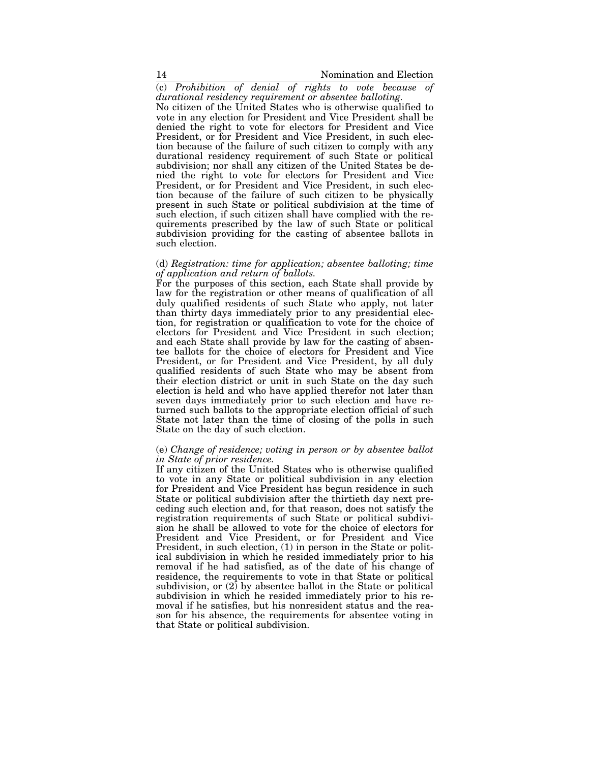(c) *Prohibition of denial of rights to vote because of durational residency requirement or absentee balloting.*

No citizen of the United States who is otherwise qualified to vote in any election for President and Vice President shall be denied the right to vote for electors for President and Vice President, or for President and Vice President, in such election because of the failure of such citizen to comply with any durational residency requirement of such State or political subdivision; nor shall any citizen of the United States be denied the right to vote for electors for President and Vice President, or for President and Vice President, in such election because of the failure of such citizen to be physically present in such State or political subdivision at the time of such election, if such citizen shall have complied with the requirements prescribed by the law of such State or political subdivision providing for the casting of absentee ballots in such election.

### (d) *Registration: time for application; absentee balloting; time of application and return of ballots.*

For the purposes of this section, each State shall provide by law for the registration or other means of qualification of all duly qualified residents of such State who apply, not later than thirty days immediately prior to any presidential election, for registration or qualification to vote for the choice of electors for President and Vice President in such election; and each State shall provide by law for the casting of absentee ballots for the choice of electors for President and Vice President, or for President and Vice President, by all duly qualified residents of such State who may be absent from their election district or unit in such State on the day such election is held and who have applied therefor not later than seven days immediately prior to such election and have returned such ballots to the appropriate election official of such State not later than the time of closing of the polls in such State on the day of such election.

#### (e) *Change of residence; voting in person or by absentee ballot in State of prior residence.*

If any citizen of the United States who is otherwise qualified to vote in any State or political subdivision in any election for President and Vice President has begun residence in such State or political subdivision after the thirtieth day next preceding such election and, for that reason, does not satisfy the registration requirements of such State or political subdivision he shall be allowed to vote for the choice of electors for President and Vice President, or for President and Vice President, in such election, (1) in person in the State or political subdivision in which he resided immediately prior to his removal if he had satisfied, as of the date of his change of residence, the requirements to vote in that State or political subdivision, or  $(2)$  by absentee ballot in the State or political subdivision in which he resided immediately prior to his removal if he satisfies, but his nonresident status and the reason for his absence, the requirements for absentee voting in that State or political subdivision.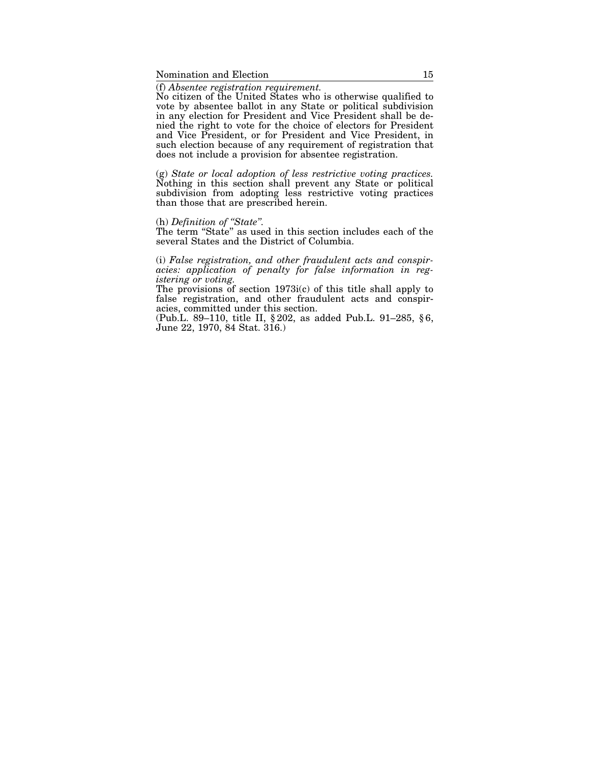(f) *Absentee registration requirement.*

No citizen of the United States who is otherwise qualified to vote by absentee ballot in any State or political subdivision in any election for President and Vice President shall be denied the right to vote for the choice of electors for President and Vice President, or for President and Vice President, in such election because of any requirement of registration that does not include a provision for absentee registration.

(g) *State or local adoption of less restrictive voting practices.* Nothing in this section shall prevent any State or political subdivision from adopting less restrictive voting practices than those that are prescribed herein.

# (h) *Definition of ''State''.*

The term "State" as used in this section includes each of the several States and the District of Columbia.

(i) *False registration, and other fraudulent acts and conspiracies: application of penalty for false information in registering or voting.*

The provisions of section 1973i(c) of this title shall apply to false registration, and other fraudulent acts and conspiracies, committed under this section.

(Pub.L. 89–110, title II, § 202, as added Pub.L. 91–285, § 6, June 22, 1970, 84 Stat. 316.)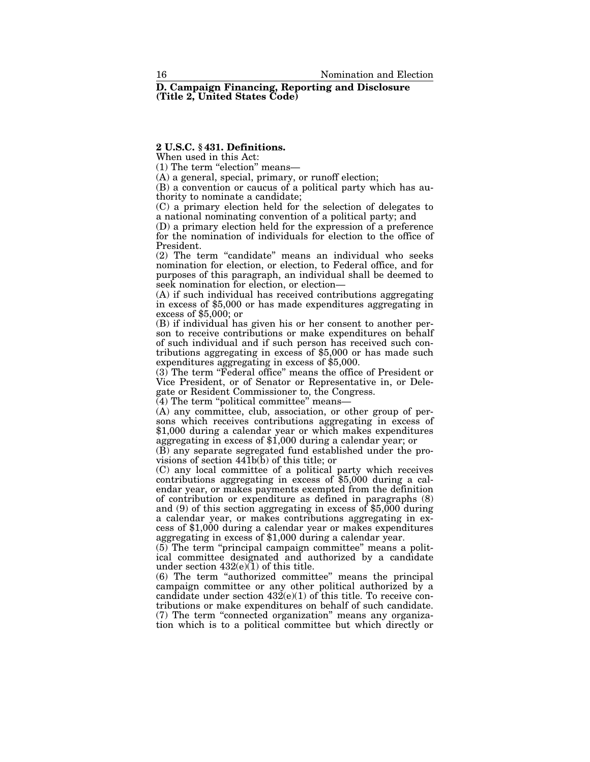**D. Campaign Financing, Reporting and Disclosure (Title 2, United States Code)**

# **2 U.S.C. § 431. Definitions.**

When used in this Act:

(1) The term "election" means-

(A) a general, special, primary, or runoff election;

(B) a convention or caucus of a political party which has authority to nominate a candidate;

(C) a primary election held for the selection of delegates to a national nominating convention of a political party; and

(D) a primary election held for the expression of a preference for the nomination of individuals for election to the office of President.

(2) The term ''candidate'' means an individual who seeks nomination for election, or election, to Federal office, and for purposes of this paragraph, an individual shall be deemed to seek nomination for election, or election—

(A) if such individual has received contributions aggregating in excess of \$5,000 or has made expenditures aggregating in excess of \$5,000; or

(B) if individual has given his or her consent to another person to receive contributions or make expenditures on behalf of such individual and if such person has received such contributions aggregating in excess of \$5,000 or has made such expenditures aggregating in excess of \$5,000.

(3) The term ''Federal office'' means the office of President or Vice President, or of Senator or Representative in, or Delegate or Resident Commissioner to, the Congress.

(4) The term ''political committee'' means—

(A) any committee, club, association, or other group of persons which receives contributions aggregating in excess of \$1,000 during a calendar year or which makes expenditures aggregating in excess of \$1,000 during a calendar year; or

(B) any separate segregated fund established under the provisions of section 441b(b) of this title; or

(C) any local committee of a political party which receives contributions aggregating in excess of \$5,000 during a calendar year, or makes payments exempted from the definition of contribution or expenditure as defined in paragraphs (8) and (9) of this section aggregating in excess of  $$5,000$  during a calendar year, or makes contributions aggregating in excess of \$1,000 during a calendar year or makes expenditures aggregating in excess of \$1,000 during a calendar year.

(5) The term ''principal campaign committee'' means a political committee designated and authorized by a candidate under section  $432(e)(1)$  of this title.

(6) The term ''authorized committee'' means the principal campaign committee or any other political authorized by a candidate under section  $432(e)(1)$  of this title. To receive contributions or make expenditures on behalf of such candidate. (7) The term ''connected organization'' means any organization which is to a political committee but which directly or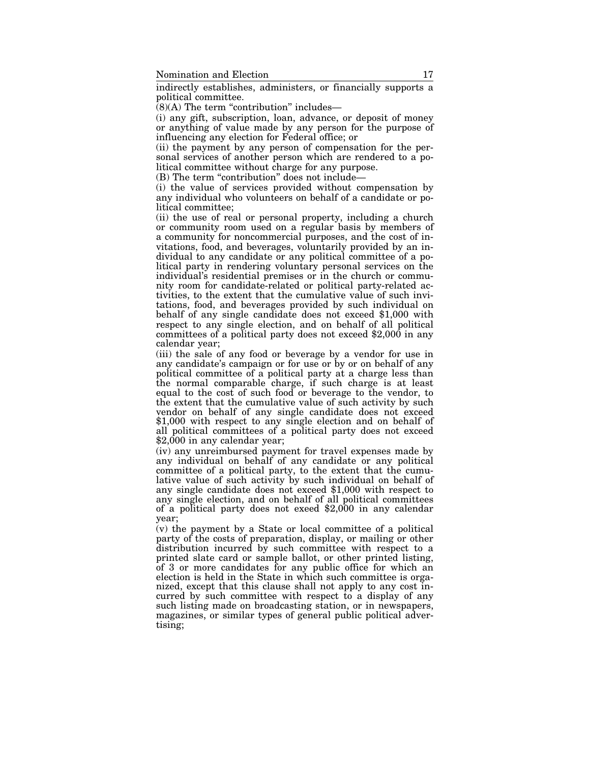indirectly establishes, administers, or financially supports a political committee.

 $(8)(A)$  The term "contribution" includes—

(i) any gift, subscription, loan, advance, or deposit of money or anything of value made by any person for the purpose of influencing any election for Federal office; or

(ii) the payment by any person of compensation for the personal services of another person which are rendered to a political committee without charge for any purpose.

(B) The term "contribution" does not include—

(i) the value of services provided without compensation by any individual who volunteers on behalf of a candidate or political committee;

(ii) the use of real or personal property, including a church or community room used on a regular basis by members of a community for noncommercial purposes, and the cost of invitations, food, and beverages, voluntarily provided by an individual to any candidate or any political committee of a political party in rendering voluntary personal services on the individual's residential premises or in the church or community room for candidate-related or political party-related activities, to the extent that the cumulative value of such invitations, food, and beverages provided by such individual on behalf of any single candidate does not exceed \$1,000 with respect to any single election, and on behalf of all political committees of a political party does not exceed  $$2,000$  in any calendar year;

(iii) the sale of any food or beverage by a vendor for use in any candidate's campaign or for use or by or on behalf of any political committee of a political party at a charge less than the normal comparable charge, if such charge is at least equal to the cost of such food or beverage to the vendor, to the extent that the cumulative value of such activity by such vendor on behalf of any single candidate does not exceed \$1,000 with respect to any single election and on behalf of all political committees of a political party does not exceed \$2,000 in any calendar year;

(iv) any unreimbursed payment for travel expenses made by any individual on behalf of any candidate or any political committee of a political party, to the extent that the cumulative value of such activity by such individual on behalf of any single candidate does not exceed \$1,000 with respect to any single election, and on behalf of all political committees of a political party does not exeed \$2,000 in any calendar year;

(v) the payment by a State or local committee of a political party of the costs of preparation, display, or mailing or other distribution incurred by such committee with respect to a printed slate card or sample ballot, or other printed listing, of 3 or more candidates for any public office for which an election is held in the State in which such committee is organized, except that this clause shall not apply to any cost incurred by such committee with respect to a display of any such listing made on broadcasting station, or in newspapers, magazines, or similar types of general public political advertising;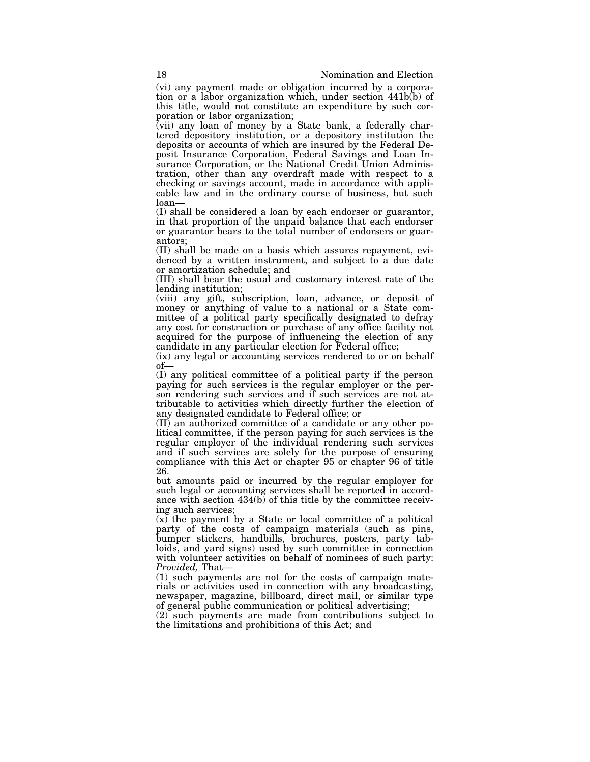(vi) any payment made or obligation incurred by a corporation or a labor organization which, under section 441b(b) of this title, would not constitute an expenditure by such corporation or labor organization;

(vii) any loan of money by a State bank, a federally chartered depository institution, or a depository institution the deposits or accounts of which are insured by the Federal Deposit Insurance Corporation, Federal Savings and Loan Insurance Corporation, or the National Credit Union Administration, other than any overdraft made with respect to a checking or savings account, made in accordance with applicable law and in the ordinary course of business, but such loan—

(I) shall be considered a loan by each endorser or guarantor, in that proportion of the unpaid balance that each endorser or guarantor bears to the total number of endorsers or guarantors;

(II) shall be made on a basis which assures repayment, evidenced by a written instrument, and subject to a due date or amortization schedule; and

(III) shall bear the usual and customary interest rate of the lending institution;

(viii) any gift, subscription, loan, advance, or deposit of money or anything of value to a national or a State committee of a political party specifically designated to defray any cost for construction or purchase of any office facility not acquired for the purpose of influencing the election of any candidate in any particular election for Federal office;

(ix) any legal or accounting services rendered to or on behalf of—

(I) any political committee of a political party if the person paying for such services is the regular employer or the person rendering such services and if such services are not attributable to activities which directly further the election of any designated candidate to Federal office; or

(II) an authorized committee of a candidate or any other political committee, if the person paying for such services is the regular employer of the individual rendering such services and if such services are solely for the purpose of ensuring compliance with this Act or chapter 95 or chapter 96 of title 26.

but amounts paid or incurred by the regular employer for such legal or accounting services shall be reported in accordance with section 434(b) of this title by the committee receiving such services;

 $(x)$  the payment by a State or local committee of a political party of the costs of campaign materials (such as pins, bumper stickers, handbills, brochures, posters, party tabloids, and yard signs) used by such committee in connection with volunteer activities on behalf of nominees of such party: *Provided,* That—

(1) such payments are not for the costs of campaign materials or activities used in connection with any broadcasting, newspaper, magazine, billboard, direct mail, or similar type of general public communication or political advertising;

(2) such payments are made from contributions subject to the limitations and prohibitions of this Act; and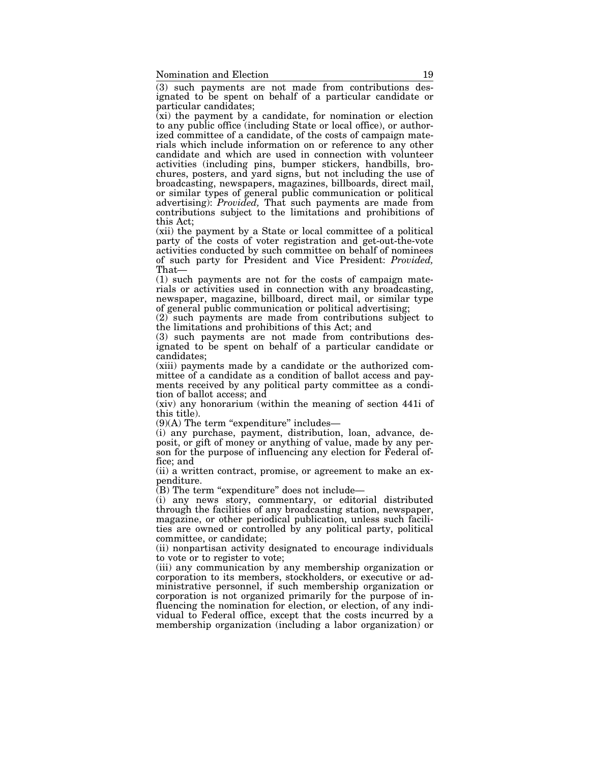(3) such payments are not made from contributions designated to be spent on behalf of a particular candidate or particular candidates;

(xi) the payment by a candidate, for nomination or election to any public office (including State or local office), or authorized committee of a candidate, of the costs of campaign materials which include information on or reference to any other candidate and which are used in connection with volunteer activities (including pins, bumper stickers, handbills, brochures, posters, and yard signs, but not including the use of broadcasting, newspapers, magazines, billboards, direct mail, or similar types of general public communication or political advertising): *Provided,* That such payments are made from contributions subject to the limitations and prohibitions of this Act;

(xii) the payment by a State or local committee of a political party of the costs of voter registration and get-out-the-vote activities conducted by such committee on behalf of nominees of such party for President and Vice President: *Provided,* That—

(1) such payments are not for the costs of campaign materials or activities used in connection with any broadcasting, newspaper, magazine, billboard, direct mail, or similar type of general public communication or political advertising;

(2) such payments are made from contributions subject to the limitations and prohibitions of this Act; and

(3) such payments are not made from contributions designated to be spent on behalf of a particular candidate or candidates;

(xiii) payments made by a candidate or the authorized committee of a candidate as a condition of ballot access and payments received by any political party committee as a condition of ballot access; and

(xiv) any honorarium (within the meaning of section 441i of this title).

 $(9)$ (A) The term "expenditure" includes—

(i) any purchase, payment, distribution, loan, advance, deposit, or gift of money or anything of value, made by any person for the purpose of influencing any election for Federal office; and

(ii) a written contract, promise, or agreement to make an expenditure.

 $(B)$  The term "expenditure" does not include—

(i) any news story, commentary, or editorial distributed through the facilities of any broadcasting station, newspaper, magazine, or other periodical publication, unless such facilities are owned or controlled by any political party, political committee, or candidate;

(ii) nonpartisan activity designated to encourage individuals to vote or to register to vote;

(iii) any communication by any membership organization or corporation to its members, stockholders, or executive or administrative personnel, if such membership organization or corporation is not organized primarily for the purpose of influencing the nomination for election, or election, of any individual to Federal office, except that the costs incurred by a membership organization (including a labor organization) or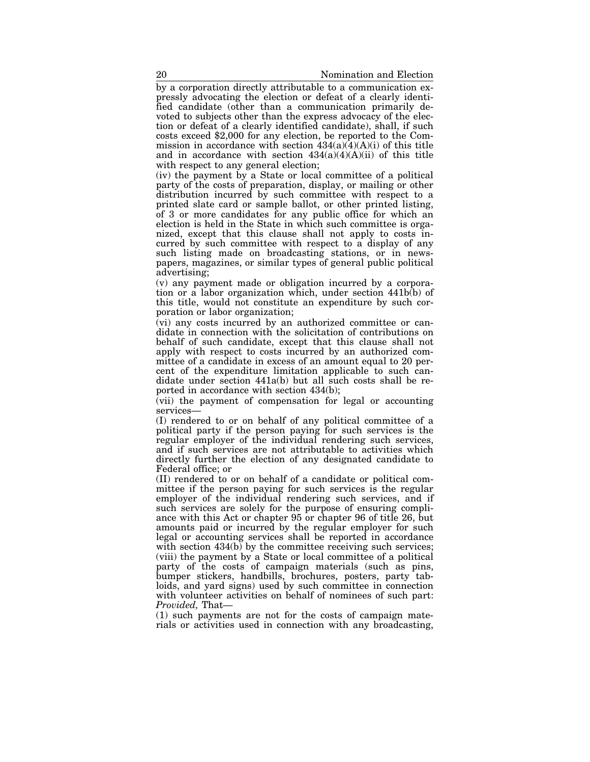by a corporation directly attributable to a communication expressly advocating the election or defeat of a clearly identified candidate (other than a communication primarily devoted to subjects other than the express advocacy of the election or defeat of a clearly identified candidate), shall, if such costs exceed \$2,000 for any election, be reported to the Commission in accordance with section  $434(a)(4)(A)(i)$  of this title and in accordance with section  $434(a)(4)(A)(ii)$  of this title with respect to any general election;

(iv) the payment by a State or local committee of a political party of the costs of preparation, display, or mailing or other distribution incurred by such committee with respect to a printed slate card or sample ballot, or other printed listing, of 3 or more candidates for any public office for which an election is held in the State in which such committee is organized, except that this clause shall not apply to costs incurred by such committee with respect to a display of any such listing made on broadcasting stations, or in newspapers, magazines, or similar types of general public political advertising;

(v) any payment made or obligation incurred by a corporation or a labor organization which, under section 441b(b) of this title, would not constitute an expenditure by such corporation or labor organization;

(vi) any costs incurred by an authorized committee or candidate in connection with the solicitation of contributions on behalf of such candidate, except that this clause shall not apply with respect to costs incurred by an authorized committee of a candidate in excess of an amount equal to 20 percent of the expenditure limitation applicable to such candidate under section 441a(b) but all such costs shall be reported in accordance with section 434(b);

(vii) the payment of compensation for legal or accounting services—

(I) rendered to or on behalf of any political committee of a political party if the person paying for such services is the regular employer of the individual rendering such services, and if such services are not attributable to activities which directly further the election of any designated candidate to Federal office; or

(II) rendered to or on behalf of a candidate or political committee if the person paying for such services is the regular employer of the individual rendering such services, and if such services are solely for the purpose of ensuring compliance with this Act or chapter 95 or chapter 96 of title 26, but amounts paid or incurred by the regular employer for such legal or accounting services shall be reported in accordance with section  $434(b)$  by the committee receiving such services; (viii) the payment by a State or local committee of a political party of the costs of campaign materials (such as pins, bumper stickers, handbills, brochures, posters, party tabloids, and yard signs) used by such committee in connection with volunteer activities on behalf of nominees of such part: *Provided,* That—

(1) such payments are not for the costs of campaign materials or activities used in connection with any broadcasting,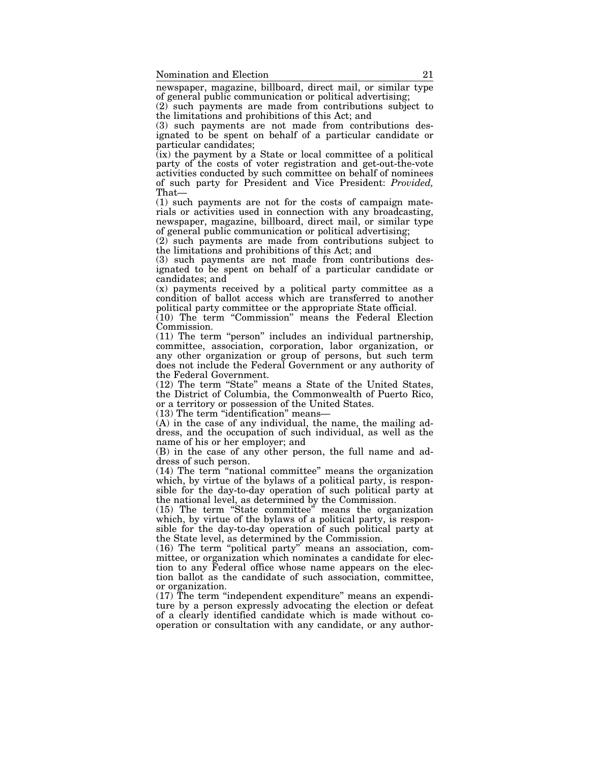newspaper, magazine, billboard, direct mail, or similar type of general public communication or political advertising;

(2) such payments are made from contributions subject to the limitations and prohibitions of this Act; and

(3) such payments are not made from contributions designated to be spent on behalf of a particular candidate or particular candidates;

(ix) the payment by a State or local committee of a political party of the costs of voter registration and get-out-the-vote activities conducted by such committee on behalf of nominees of such party for President and Vice President: *Provided,* That—

(1) such payments are not for the costs of campaign materials or activities used in connection with any broadcasting, newspaper, magazine, billboard, direct mail, or similar type of general public communication or political advertising;

(2) such payments are made from contributions subject to the limitations and prohibitions of this Act; and

(3) such payments are not made from contributions designated to be spent on behalf of a particular candidate or candidates; and

(x) payments received by a political party committee as a condition of ballot access which are transferred to another political party committee or the appropriate State official.

(10) The term ''Commission'' means the Federal Election Commission.

(11) The term ''person'' includes an individual partnership, committee, association, corporation, labor organization, or any other organization or group of persons, but such term does not include the Federal Government or any authority of the Federal Government.

(12) The term ''State'' means a State of the United States, the District of Columbia, the Commonwealth of Puerto Rico, or a territory or possession of the United States.

(13) The term ''identification'' means—

(A) in the case of any individual, the name, the mailing address, and the occupation of such individual, as well as the name of his or her employer; and

(B) in the case of any other person, the full name and address of such person.

(14) The term ''national committee'' means the organization which, by virtue of the bylaws of a political party, is responsible for the day-to-day operation of such political party at the national level, as determined by the Commission.

(15) The term ''State committee'' means the organization which, by virtue of the bylaws of a political party, is responsible for the day-to-day operation of such political party at the State level, as determined by the Commission.

(16) The term ''political party'' means an association, committee, or organization which nominates a candidate for election to any Federal office whose name appears on the election ballot as the candidate of such association, committee, or organization.

(17) The term ''independent expenditure'' means an expenditure by a person expressly advocating the election or defeat of a clearly identified candidate which is made without cooperation or consultation with any candidate, or any author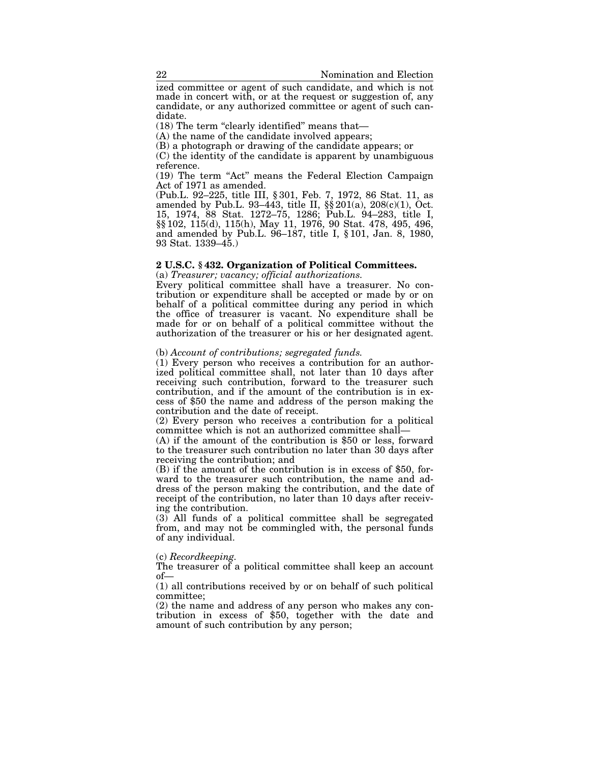ized committee or agent of such candidate, and which is not made in concert with, or at the request or suggestion of, any candidate, or any authorized committee or agent of such candidate.

(18) The term "clearly identified" means that—

(A) the name of the candidate involved appears;

(B) a photograph or drawing of the candidate appears; or

(C) the identity of the candidate is apparent by unambiguous reference.

(19) The term ''Act'' means the Federal Election Campaign Act of 1971 as amended.

(Pub.L. 92–225, title III, § 301, Feb. 7, 1972, 86 Stat. 11, as amended by Pub.L. 93–443, title II, §§ 201(a), 208(c)(1), Oct. 15, 1974, 88 Stat. 1272–75, 1286; Pub.L. 94–283, title I, §§ 102, 115(d), 115(h), May 11, 1976, 90 Stat. 478, 495, 496, and amended by Pub.L. 96–187, title I, § 101, Jan. 8, 1980, 93 Stat. 1339–45.)

## **2 U.S.C. § 432. Organization of Political Committees.**

(a) *Treasurer; vacancy; official authorizations.*

Every political committee shall have a treasurer. No contribution or expenditure shall be accepted or made by or on behalf of a political committee during any period in which the office of treasurer is vacant. No expenditure shall be made for or on behalf of a political committee without the authorization of the treasurer or his or her designated agent.

(b) *Account of contributions; segregated funds.*

(1) Every person who receives a contribution for an authorized political committee shall, not later than 10 days after receiving such contribution, forward to the treasurer such contribution, and if the amount of the contribution is in excess of \$50 the name and address of the person making the contribution and the date of receipt.

(2) Every person who receives a contribution for a political committee which is not an authorized committee shall—

(A) if the amount of the contribution is \$50 or less, forward to the treasurer such contribution no later than 30 days after receiving the contribution; and

(B) if the amount of the contribution is in excess of \$50, forward to the treasurer such contribution, the name and address of the person making the contribution, and the date of receipt of the contribution, no later than 10 days after receiving the contribution.

(3) All funds of a political committee shall be segregated from, and may not be commingled with, the personal funds of any individual.

### (c) *Recordkeeping.*

The treasurer of a political committee shall keep an account of—

(1) all contributions received by or on behalf of such political committee;

(2) the name and address of any person who makes any contribution in excess of \$50, together with the date and amount of such contribution by any person;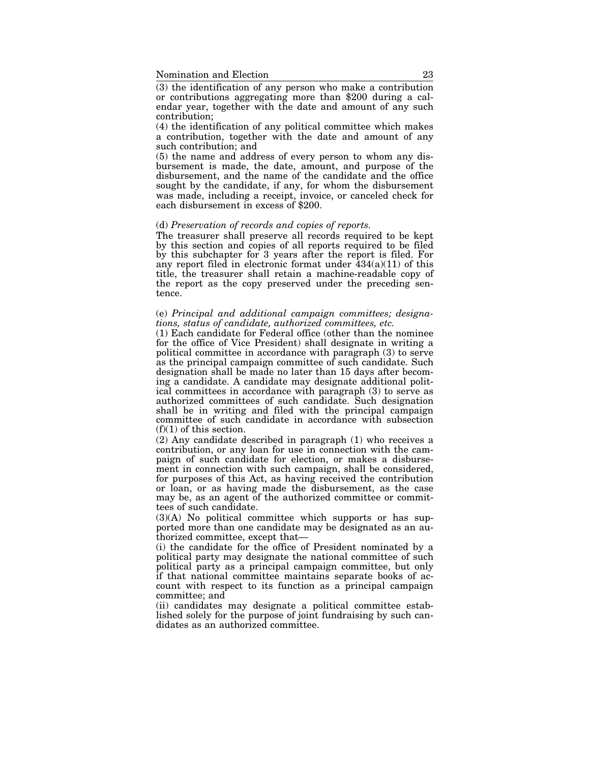(3) the identification of any person who make a contribution or contributions aggregating more than \$200 during a calendar year, together with the date and amount of any such contribution;

(4) the identification of any political committee which makes a contribution, together with the date and amount of any such contribution; and

(5) the name and address of every person to whom any disbursement is made, the date, amount, and purpose of the disbursement, and the name of the candidate and the office sought by the candidate, if any, for whom the disbursement was made, including a receipt, invoice, or canceled check for each disbursement in excess of \$200.

#### (d) *Preservation of records and copies of reports.*

The treasurer shall preserve all records required to be kept by this section and copies of all reports required to be filed by this subchapter for 3 years after the report is filed. For any report filed in electronic format under  $\overline{434(a)(11)}$  of this title, the treasurer shall retain a machine-readable copy of the report as the copy preserved under the preceding sentence.

## (e) *Principal and additional campaign committees; designations, status of candidate, authorized committees, etc.*

(1) Each candidate for Federal office (other than the nominee for the office of Vice President) shall designate in writing a political committee in accordance with paragraph (3) to serve as the principal campaign committee of such candidate. Such designation shall be made no later than 15 days after becoming a candidate. A candidate may designate additional political committees in accordance with paragraph (3) to serve as authorized committees of such candidate. Such designation shall be in writing and filed with the principal campaign committee of such candidate in accordance with subsection  $(f)(1)$  of this section.

(2) Any candidate described in paragraph (1) who receives a contribution, or any loan for use in connection with the campaign of such candidate for election, or makes a disbursement in connection with such campaign, shall be considered, for purposes of this Act, as having received the contribution or loan, or as having made the disbursement, as the case may be, as an agent of the authorized committee or committees of such candidate.

(3)(A) No political committee which supports or has supported more than one candidate may be designated as an authorized committee, except that—

(i) the candidate for the office of President nominated by a political party may designate the national committee of such political party as a principal campaign committee, but only if that national committee maintains separate books of account with respect to its function as a principal campaign committee; and

(ii) candidates may designate a political committee established solely for the purpose of joint fundraising by such candidates as an authorized committee.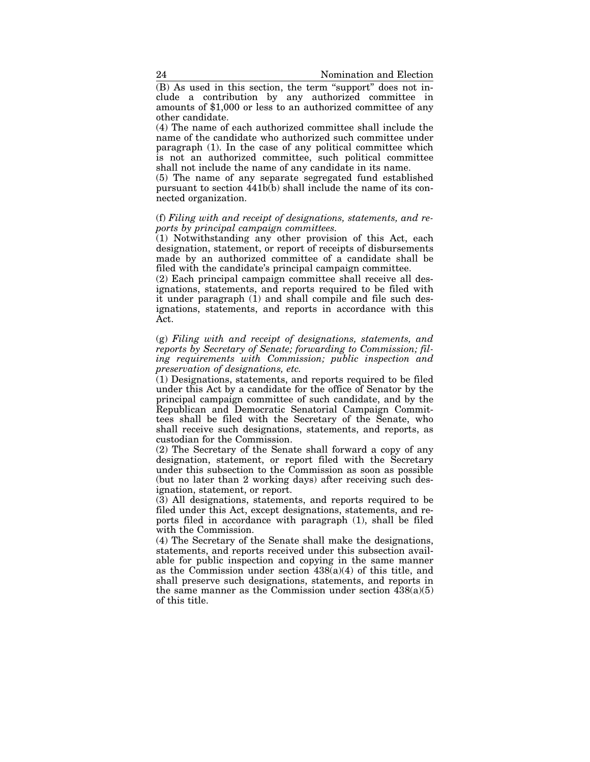(B) As used in this section, the term ''support'' does not include a contribution by any authorized committee in amounts of \$1,000 or less to an authorized committee of any other candidate.

(4) The name of each authorized committee shall include the name of the candidate who authorized such committee under paragraph (1). In the case of any political committee which is not an authorized committee, such political committee shall not include the name of any candidate in its name.

(5) The name of any separate segregated fund established pursuant to section 441b(b) shall include the name of its connected organization.

### (f) *Filing with and receipt of designations, statements, and reports by principal campaign committees.*

(1) Notwithstanding any other provision of this Act, each designation, statement, or report of receipts of disbursements made by an authorized committee of a candidate shall be filed with the candidate's principal campaign committee.

(2) Each principal campaign committee shall receive all designations, statements, and reports required to be filed with it under paragraph (1) and shall compile and file such designations, statements, and reports in accordance with this Act.

(g) *Filing with and receipt of designations, statements, and reports by Secretary of Senate; forwarding to Commission; filing requirements with Commission; public inspection and preservation of designations, etc.*

(1) Designations, statements, and reports required to be filed under this Act by a candidate for the office of Senator by the principal campaign committee of such candidate, and by the Republican and Democratic Senatorial Campaign Committees shall be filed with the Secretary of the Senate, who shall receive such designations, statements, and reports, as custodian for the Commission.

(2) The Secretary of the Senate shall forward a copy of any designation, statement, or report filed with the Secretary under this subsection to the Commission as soon as possible (but no later than 2 working days) after receiving such designation, statement, or report.

(3) All designations, statements, and reports required to be filed under this Act, except designations, statements, and reports filed in accordance with paragraph (1), shall be filed with the Commission.

(4) The Secretary of the Senate shall make the designations, statements, and reports received under this subsection available for public inspection and copying in the same manner as the Commission under section 438(a)(4) of this title, and shall preserve such designations, statements, and reports in the same manner as the Commission under section  $438(a)(5)$ of this title.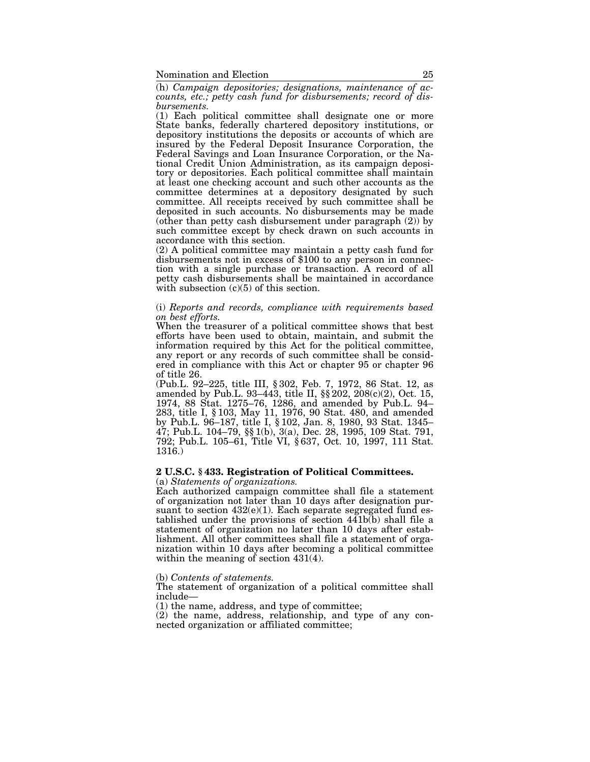(h) *Campaign depositories; designations, maintenance of accounts, etc.; petty cash fund for disbursements; record of disbursements.*

(1) Each political committee shall designate one or more State banks, federally chartered depository institutions, or depository institutions the deposits or accounts of which are insured by the Federal Deposit Insurance Corporation, the Federal Savings and Loan Insurance Corporation, or the National Credit Union Administration, as its campaign depository or depositories. Each political committee shall maintain at least one checking account and such other accounts as the committee determines at a depository designated by such committee. All receipts received by such committee shall be deposited in such accounts. No disbursements may be made (other than petty cash disbursement under paragraph (2)) by such committee except by check drawn on such accounts in accordance with this section.

(2) A political committee may maintain a petty cash fund for disbursements not in excess of \$100 to any person in connection with a single purchase or transaction. A record of all petty cash disbursements shall be maintained in accordance with subsection  $(c)(5)$  of this section.

### (i) *Reports and records, compliance with requirements based on best efforts.*

When the treasurer of a political committee shows that best efforts have been used to obtain, maintain, and submit the information required by this Act for the political committee, any report or any records of such committee shall be considered in compliance with this Act or chapter 95 or chapter 96 of title 26.

(Pub.L. 92–225, title III, § 302, Feb. 7, 1972, 86 Stat. 12, as amended by Pub.L. 93–443, title II, §§ 202, 208(c)(2), Oct. 15, 1974, 88 Stat. 1275–76, 1286, and amended by Pub.L. 94– 283, title I, § 103, May 11, 1976, 90 Stat. 480, and amended by Pub.L. 96–187, title I, § 102, Jan. 8, 1980, 93 Stat. 1345– 47; Pub.L. 104–79, §§ 1(b), 3(a), Dec. 28, 1995, 109 Stat. 791, 792; Pub.L. 105–61, Title VI, § 637, Oct. 10, 1997, 111 Stat. 1316.)

# **2 U.S.C. § 433. Registration of Political Committees.**

(a) *Statements of organizations.*

Each authorized campaign committee shall file a statement of organization not later than 10 days after designation pursuant to section  $432(e)(1)$ . Each separate segregated fund established under the provisions of section 441b(b) shall file a statement of organization no later than 10 days after establishment. All other committees shall file a statement of organization within 10 days after becoming a political committee within the meaning of section 431(4).

### (b) *Contents of statements.*

The statement of organization of a political committee shall include—

(1) the name, address, and type of committee;

(2) the name, address, relationship, and type of any connected organization or affiliated committee;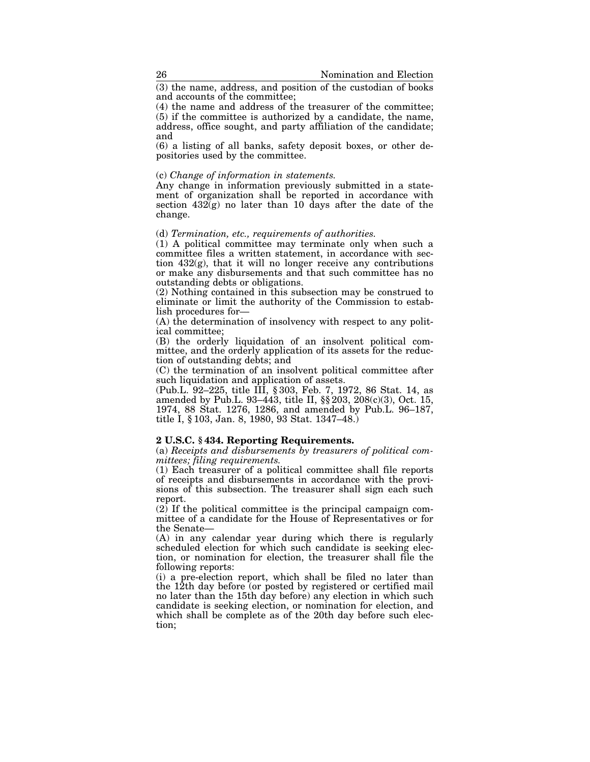(3) the name, address, and position of the custodian of books and accounts of the committee;

(4) the name and address of the treasurer of the committee; (5) if the committee is authorized by a candidate, the name, address, office sought, and party affiliation of the candidate; and

(6) a listing of all banks, safety deposit boxes, or other depositories used by the committee.

# (c) *Change of information in statements.*

Any change in information previously submitted in a statement of organization shall be reported in accordance with section  $432(g)$  no later than 10 days after the date of the change.

### (d) *Termination, etc., requirements of authorities.*

(1) A political committee may terminate only when such a committee files a written statement, in accordance with section 432(g), that it will no longer receive any contributions or make any disbursements and that such committee has no outstanding debts or obligations.

(2) Nothing contained in this subsection may be construed to eliminate or limit the authority of the Commission to establish procedures for—

(A) the determination of insolvency with respect to any political committee;

(B) the orderly liquidation of an insolvent political committee, and the orderly application of its assets for the reduction of outstanding debts; and

(C) the termination of an insolvent political committee after such liquidation and application of assets.

(Pub.L. 92–225, title III, § 303, Feb. 7, 1972, 86 Stat. 14, as amended by Pub.L. 93–443, title II, §§ 203, 208(c)(3), Oct. 15, 1974, 88 Stat. 1276, 1286, and amended by Pub.L. 96–187, title I, § 103, Jan. 8, 1980, 93 Stat. 1347–48.)

#### **2 U.S.C. § 434. Reporting Requirements.**

(a) *Receipts and disbursements by treasurers of political committees; filing requirements.*

(1) Each treasurer of a political committee shall file reports of receipts and disbursements in accordance with the provisions of this subsection. The treasurer shall sign each such report.

(2) If the political committee is the principal campaign committee of a candidate for the House of Representatives or for the Senate—

(A) in any calendar year during which there is regularly scheduled election for which such candidate is seeking election, or nomination for election, the treasurer shall file the following reports:

(i) a pre-election report, which shall be filed no later than the 12th day before (or posted by registered or certified mail no later than the 15th day before) any election in which such candidate is seeking election, or nomination for election, and which shall be complete as of the 20th day before such election;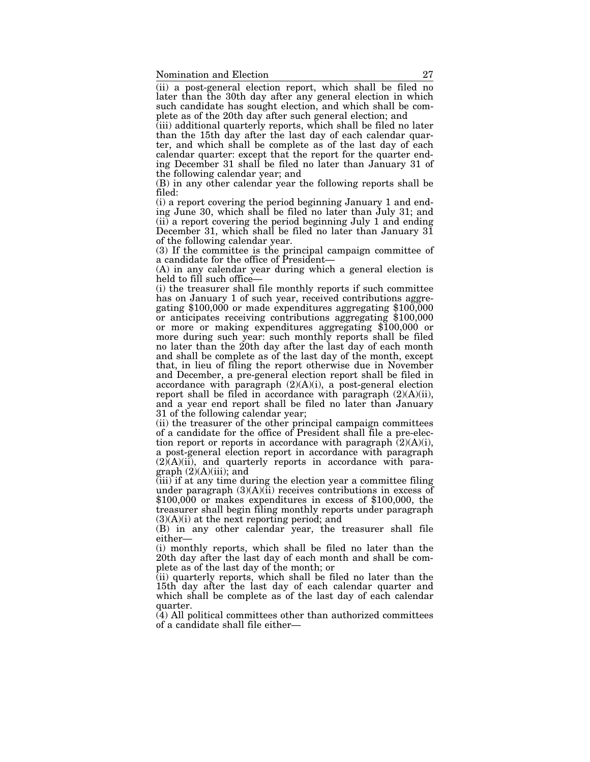(ii) a post-general election report, which shall be filed no later than the 30th day after any general election in which such candidate has sought election, and which shall be complete as of the 20th day after such general election; and

(iii) additional quarterly reports, which shall be filed no later than the 15th day after the last day of each calendar quarter, and which shall be complete as of the last day of each calendar quarter: except that the report for the quarter ending December 31 shall be filed no later than January 31 of the following calendar year; and

(B) in any other calendar year the following reports shall be filed:

(i) a report covering the period beginning January 1 and ending June 30, which shall be filed no later than July 31; and (ii) a report covering the period beginning July 1 and ending December 31, which shall be filed no later than January 31 of the following calendar year.

(3) If the committee is the principal campaign committee of a candidate for the office of President—

(A) in any calendar year during which a general election is held to fill such office-

(i) the treasurer shall file monthly reports if such committee has on January 1 of such year, received contributions aggregating \$100,000 or made expenditures aggregating \$100,000 or anticipates receiving contributions aggregating \$100,000 or more or making expenditures aggregating \$100,000 or more during such year: such monthly reports shall be filed no later than the 20th day after the last day of each month and shall be complete as of the last day of the month, except that, in lieu of filing the report otherwise due in November and December, a pre-general election report shall be filed in accordance with paragraph  $(2)(A)(i)$ , a post-general election report shall be filed in accordance with paragraph (2)(A)(ii), and a year end report shall be filed no later than January 31 of the following calendar year;

(ii) the treasurer of the other principal campaign committees of a candidate for the office of President shall file a pre-election report or reports in accordance with paragraph  $(2)(A)(i)$ , a post-general election report in accordance with paragraph  $(2)(A)(ii)$ , and quarterly reports in accordance with paragraph  $(2)(A)(iii)$ ; and

(iii) if at any time during the election year a committee filing under paragraph  $(3)(A)(ii)$  receives contributions in excess of \$100,000 or makes expenditures in excess of \$100,000, the treasurer shall begin filing monthly reports under paragraph  $(3)(A)(i)$  at the next reporting period; and

(B) in any other calendar year, the treasurer shall file either—

(i) monthly reports, which shall be filed no later than the 20th day after the last day of each month and shall be complete as of the last day of the month; or

(ii) quarterly reports, which shall be filed no later than the 15th day after the last day of each calendar quarter and which shall be complete as of the last day of each calendar quarter.

(4) All political committees other than authorized committees of a candidate shall file either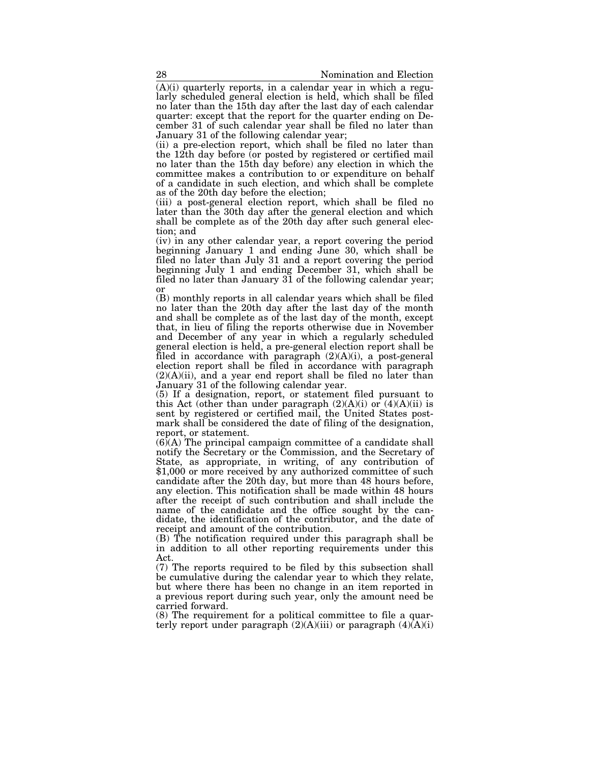(A)(i) quarterly reports, in a calendar year in which a regularly scheduled general election is held, which shall be filed no later than the 15th day after the last day of each calendar quarter: except that the report for the quarter ending on December 31 of such calendar year shall be filed no later than January 31 of the following calendar year;

(ii) a pre-election report, which shall be filed no later than the 12th day before (or posted by registered or certified mail no later than the 15th day before) any election in which the committee makes a contribution to or expenditure on behalf of a candidate in such election, and which shall be complete as of the 20th day before the election;

(iii) a post-general election report, which shall be filed no later than the 30th day after the general election and which shall be complete as of the 20th day after such general election; and

(iv) in any other calendar year, a report covering the period beginning January 1 and ending June 30, which shall be filed no later than July 31 and a report covering the period beginning July 1 and ending December 31, which shall be filed no later than January 31 of the following calendar year; or

(B) monthly reports in all calendar years which shall be filed no later than the 20th day after the last day of the month and shall be complete as of the last day of the month, except that, in lieu of filing the reports otherwise due in November and December of any year in which a regularly scheduled general election is held, a pre-general election report shall be filed in accordance with paragraph (2)(A)(i), a post-general election report shall be filed in accordance with paragraph  $(2)(A)(ii)$ , and a year end report shall be filed no later than January 31 of the following calendar year.

(5) If a designation, report, or statement filed pursuant to this Act (other than under paragraph  $(2)(A)(i)$  or  $(4)(A)(ii)$  is sent by registered or certified mail, the United States postmark shall be considered the date of filing of the designation, report, or statement.

 $(6)$ (A) The principal campaign committee of a candidate shall notify the Secretary or the Commission, and the Secretary of State, as appropriate, in writing, of any contribution of \$1,000 or more received by any authorized committee of such candidate after the 20th day, but more than 48 hours before, any election. This notification shall be made within 48 hours after the receipt of such contribution and shall include the name of the candidate and the office sought by the candidate, the identification of the contributor, and the date of receipt and amount of the contribution.

(B) The notification required under this paragraph shall be in addition to all other reporting requirements under this Act.

(7) The reports required to be filed by this subsection shall be cumulative during the calendar year to which they relate, but where there has been no change in an item reported in a previous report during such year, only the amount need be carried forward.

(8) The requirement for a political committee to file a quarterly report under paragraph  $(2)(A)(iii)$  or paragraph  $(4)(A)(i)$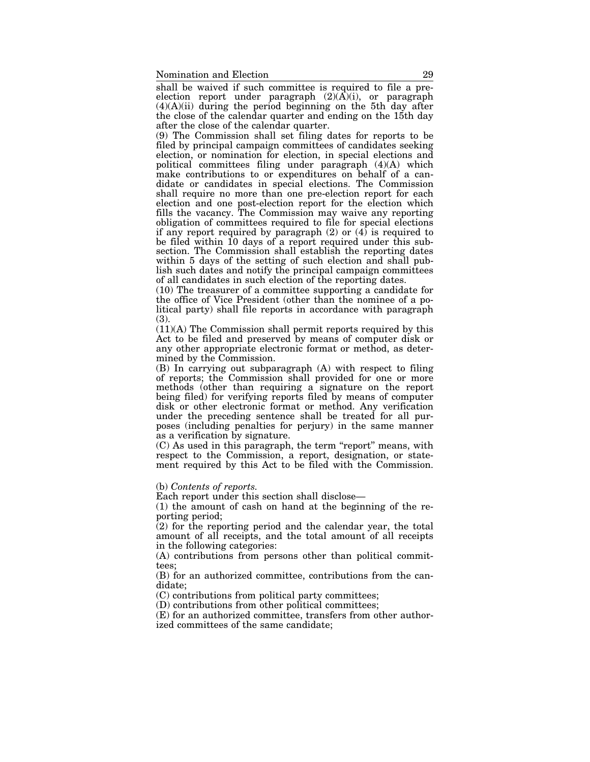Nomination and Election 29

shall be waived if such committee is required to file a preelection report under paragraph  $(2)(A)(i)$ , or paragraph  $(4)(A)(ii)$  during the period beginning on the 5th day after the close of the calendar quarter and ending on the 15th day after the close of the calendar quarter.

(9) The Commission shall set filing dates for reports to be filed by principal campaign committees of candidates seeking election, or nomination for election, in special elections and political committees filing under paragraph (4)(A) which make contributions to or expenditures on behalf of a candidate or candidates in special elections. The Commission shall require no more than one pre-election report for each election and one post-election report for the election which fills the vacancy. The Commission may waive any reporting obligation of committees required to file for special elections if any report required by paragraph  $(2)$  or  $(4)$  is required to be filed within 10 days of a report required under this subsection. The Commission shall establish the reporting dates within 5 days of the setting of such election and shall publish such dates and notify the principal campaign committees of all candidates in such election of the reporting dates.

(10) The treasurer of a committee supporting a candidate for the office of Vice President (other than the nominee of a political party) shall file reports in accordance with paragraph (3).

(11)(A) The Commission shall permit reports required by this Act to be filed and preserved by means of computer disk or any other appropriate electronic format or method, as determined by the Commission.

(B) In carrying out subparagraph (A) with respect to filing of reports; the Commission shall provided for one or more methods (other than requiring a signature on the report being filed) for verifying reports filed by means of computer disk or other electronic format or method. Any verification under the preceding sentence shall be treated for all purposes (including penalties for perjury) in the same manner as a verification by signature.

(C) As used in this paragraph, the term ''report'' means, with respect to the Commission, a report, designation, or statement required by this Act to be filed with the Commission.

(b) *Contents of reports.*

Each report under this section shall disclose—

(1) the amount of cash on hand at the beginning of the reporting period;

(2) for the reporting period and the calendar year, the total amount of all receipts, and the total amount of all receipts in the following categories:

(A) contributions from persons other than political committees;

(B) for an authorized committee, contributions from the candidate;

(C) contributions from political party committees;

(D) contributions from other political committees;

(E) for an authorized committee, transfers from other authorized committees of the same candidate;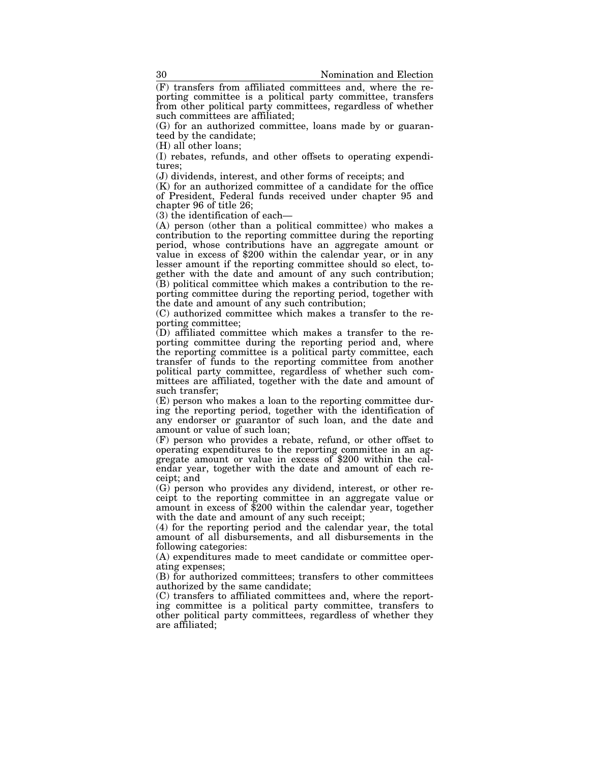(F) transfers from affiliated committees and, where the reporting committee is a political party committee, transfers from other political party committees, regardless of whether such committees are affiliated;

(G) for an authorized committee, loans made by or guaranteed by the candidate;

(H) all other loans;

(I) rebates, refunds, and other offsets to operating expenditures;

(J) dividends, interest, and other forms of receipts; and

(K) for an authorized committee of a candidate for the office of President, Federal funds received under chapter 95 and chapter 96 of title 26;

(3) the identification of each—

(A) person (other than a political committee) who makes a contribution to the reporting committee during the reporting period, whose contributions have an aggregate amount or value in excess of \$200 within the calendar year, or in any lesser amount if the reporting committee should so elect, together with the date and amount of any such contribution; (B) political committee which makes a contribution to the reporting committee during the reporting period, together with the date and amount of any such contribution;

(C) authorized committee which makes a transfer to the reporting committee;

(D) affiliated committee which makes a transfer to the reporting committee during the reporting period and, where the reporting committee is a political party committee, each transfer of funds to the reporting committee from another political party committee, regardless of whether such committees are affiliated, together with the date and amount of such transfer;

(E) person who makes a loan to the reporting committee during the reporting period, together with the identification of any endorser or guarantor of such loan, and the date and amount or value of such loan;

(F) person who provides a rebate, refund, or other offset to operating expenditures to the reporting committee in an aggregate amount or value in excess of \$200 within the calendar year, together with the date and amount of each receipt; and

(G) person who provides any dividend, interest, or other receipt to the reporting committee in an aggregate value or amount in excess of \$200 within the calendar year, together with the date and amount of any such receipt;

(4) for the reporting period and the calendar year, the total amount of all disbursements, and all disbursements in the following categories:

(A) expenditures made to meet candidate or committee operating expenses;

(B) for authorized committees; transfers to other committees authorized by the same candidate;

(C) transfers to affiliated committees and, where the reporting committee is a political party committee, transfers to other political party committees, regardless of whether they are affiliated;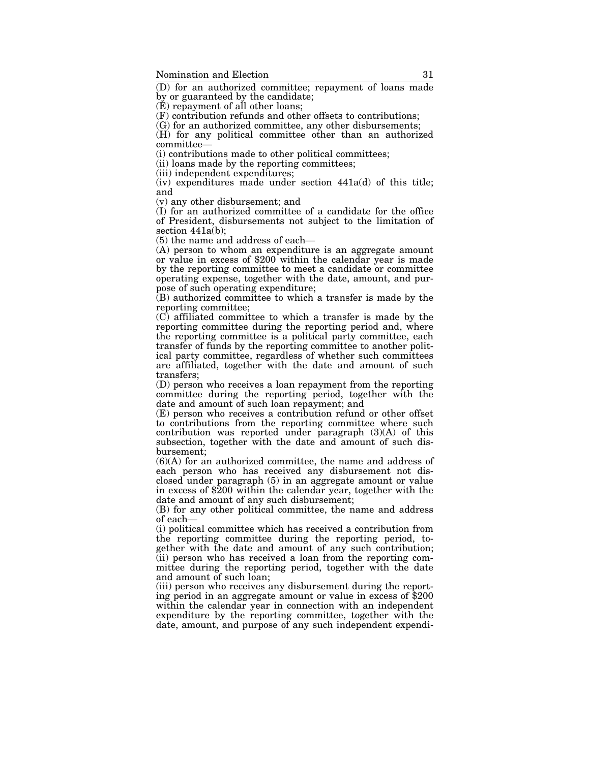(D) for an authorized committee; repayment of loans made by or guaranteed by the candidate;

(E) repayment of all other loans;

(F) contribution refunds and other offsets to contributions;

(G) for an authorized committee, any other disbursements;

(H) for any political committee other than an authorized committee—

(i) contributions made to other political committees;

(ii) loans made by the reporting committees;

(iii) independent expenditures;

(iv) expenditures made under section 441a(d) of this title; and

(v) any other disbursement; and

(I) for an authorized committee of a candidate for the office of President, disbursements not subject to the limitation of section  $441a(b)$ ;

(5) the name and address of each—

(A) person to whom an expenditure is an aggregate amount or value in excess of \$200 within the calendar year is made by the reporting committee to meet a candidate or committee operating expense, together with the date, amount, and purpose of such operating expenditure;

(B) authorized committee to which a transfer is made by the reporting committee;

(C) affiliated committee to which a transfer is made by the reporting committee during the reporting period and, where the reporting committee is a political party committee, each transfer of funds by the reporting committee to another political party committee, regardless of whether such committees are affiliated, together with the date and amount of such transfers;

(D) person who receives a loan repayment from the reporting committee during the reporting period, together with the date and amount of such loan repayment; and

(E) person who receives a contribution refund or other offset to contributions from the reporting committee where such contribution was reported under paragraph (3)(A) of this subsection, together with the date and amount of such disbursement;

(6)(A) for an authorized committee, the name and address of each person who has received any disbursement not disclosed under paragraph (5) in an aggregate amount or value in excess of \$200 within the calendar year, together with the date and amount of any such disbursement;

(B) for any other political committee, the name and address of each—

(i) political committee which has received a contribution from the reporting committee during the reporting period, together with the date and amount of any such contribution; (ii) person who has received a loan from the reporting committee during the reporting period, together with the date and amount of such loan;

(iii) person who receives any disbursement during the reporting period in an aggregate amount or value in excess of \$200 within the calendar year in connection with an independent expenditure by the reporting committee, together with the date, amount, and purpose of any such independent expendi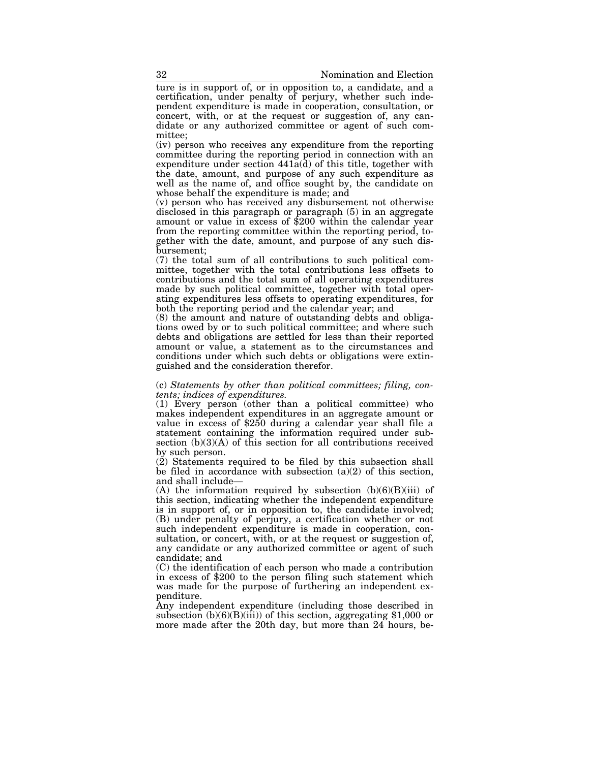ture is in support of, or in opposition to, a candidate, and a certification, under penalty of perjury, whether such independent expenditure is made in cooperation, consultation, or concert, with, or at the request or suggestion of, any candidate or any authorized committee or agent of such committee;

(iv) person who receives any expenditure from the reporting committee during the reporting period in connection with an expenditure under section 441a(d) of this title, together with the date, amount, and purpose of any such expenditure as well as the name of, and office sought by, the candidate on whose behalf the expenditure is made; and

(v) person who has received any disbursement not otherwise disclosed in this paragraph or paragraph (5) in an aggregate amount or value in excess of \$200 within the calendar year from the reporting committee within the reporting period, together with the date, amount, and purpose of any such disbursement;

(7) the total sum of all contributions to such political committee, together with the total contributions less offsets to contributions and the total sum of all operating expenditures made by such political committee, together with total operating expenditures less offsets to operating expenditures, for both the reporting period and the calendar year; and

(8) the amount and nature of outstanding debts and obligations owed by or to such political committee; and where such debts and obligations are settled for less than their reported amount or value, a statement as to the circumstances and conditions under which such debts or obligations were extinguished and the consideration therefor.

### (c) *Statements by other than political committees; filing, contents; indices of expenditures.*

(1) Every person (other than a political committee) who makes independent expenditures in an aggregate amount or value in excess of \$250 during a calendar year shall file a statement containing the information required under subsection (b)(3)(A) of this section for all contributions received by such person.

 $(2)$  Statements required to be filed by this subsection shall be filed in accordance with subsection (a)(2) of this section, and shall include—

(A) the information required by subsection  $(b)(6)(B)(iii)$  of this section, indicating whether the independent expenditure is in support of, or in opposition to, the candidate involved; (B) under penalty of perjury, a certification whether or not such independent expenditure is made in cooperation, consultation, or concert, with, or at the request or suggestion of, any candidate or any authorized committee or agent of such candidate; and

(C) the identification of each person who made a contribution in excess of \$200 to the person filing such statement which was made for the purpose of furthering an independent expenditure.

Any independent expenditure (including those described in subsection  $(b)(6)(B)(iii)$  of this section, aggregating \$1,000 or more made after the 20th day, but more than 24 hours, be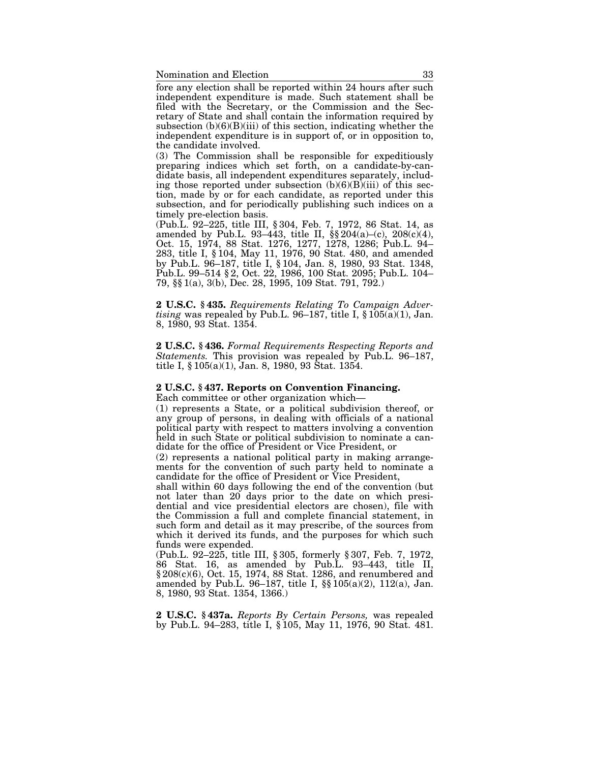fore any election shall be reported within 24 hours after such independent expenditure is made. Such statement shall be filed with the Secretary, or the Commission and the Secretary of State and shall contain the information required by subsection  $(b)(6)(B)(iii)$  of this section, indicating whether the independent expenditure is in support of, or in opposition to, the candidate involved.

(3) The Commission shall be responsible for expeditiously preparing indices which set forth, on a candidate-by-candidate basis, all independent expenditures separately, including those reported under subsection  $(b)(6)(\overline{B})(iii)$  of this section, made by or for each candidate, as reported under this subsection, and for periodically publishing such indices on a timely pre-election basis.

(Pub.L. 92–225, title III, § 304, Feb. 7, 1972, 86 Stat. 14, as amended by Pub.L. 93–443, title II, §§ 204(a)–(c), 208(c)(4), Oct. 15, 1974, 88 Stat. 1276, 1277, 1278, 1286; Pub.L. 94– 283, title I, § 104, May 11, 1976, 90 Stat. 480, and amended by Pub.L. 96–187, title I, § 104, Jan. 8, 1980, 93 Stat. 1348, Pub.L. 99–514 § 2, Oct. 22, 1986, 100 Stat. 2095; Pub.L. 104– 79, §§ 1(a), 3(b), Dec. 28, 1995, 109 Stat. 791, 792.)

**2 U.S.C. § 435.** *Requirements Relating To Campaign Advertising* was repealed by Pub.L. 96–187, title I, § 105(a)(1), Jan. 8, 1980, 93 Stat. 1354.

**2 U.S.C. § 436.** *Formal Requirements Respecting Reports and Statements.* This provision was repealed by Pub.L. 96–187, title I, § 105(a)(1), Jan. 8, 1980, 93 Stat. 1354.

#### **2 U.S.C. § 437. Reports on Convention Financing.**

Each committee or other organization which—

(1) represents a State, or a political subdivision thereof, or any group of persons, in dealing with officials of a national political party with respect to matters involving a convention held in such State or political subdivision to nominate a candidate for the office of President or Vice President, or

(2) represents a national political party in making arrangements for the convention of such party held to nominate a candidate for the office of President or Vice President,

shall within 60 days following the end of the convention (but not later than 20 days prior to the date on which presidential and vice presidential electors are chosen), file with the Commission a full and complete financial statement, in such form and detail as it may prescribe, of the sources from which it derived its funds, and the purposes for which such funds were expended.

(Pub.L. 92–225, title III, § 305, formerly § 307, Feb. 7, 1972, 86 Stat. 16, as amended by Pub.L. 93-443, title II, § 208(c)(6), Oct. 15, 1974, 88 Stat. 1286, and renumbered and amended by Pub.L. 96–187, title I, §§ 105(a)(2), 112(a), Jan. 8, 1980, 93 Stat. 1354, 1366.)

**2 U.S.C. § 437a.** *Reports By Certain Persons,* was repealed by Pub.L. 94–283, title I, § 105, May 11, 1976, 90 Stat. 481.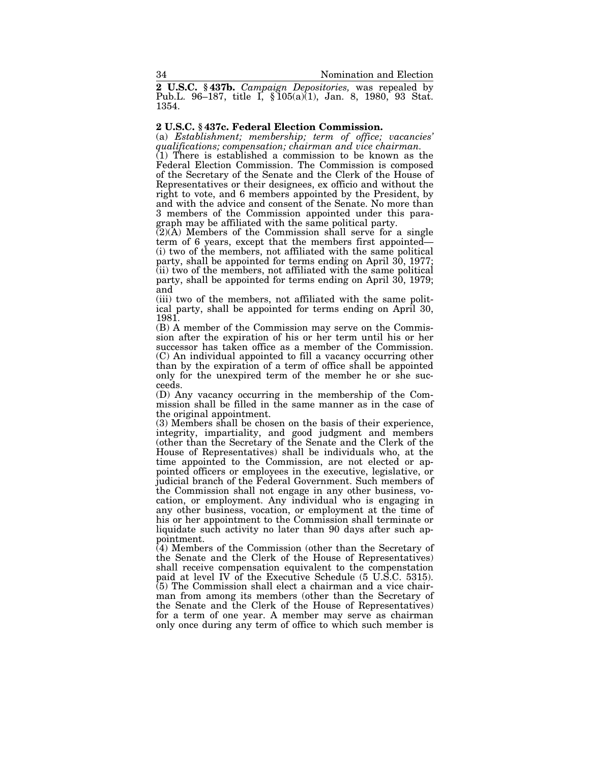**2 U.S.C. § 437b.** *Campaign Depositories,* was repealed by Pub.L. 96–187, title I, § 105(a)(1), Jan. 8, 1980, 93 Stat. 1354.

# **2 U.S.C. § 437c. Federal Election Commission.**

(a) *Establishment; membership; term of office; vacancies' qualifications; compensation; chairman and vice chairman.*

(1) There is established a commission to be known as the Federal Election Commission. The Commission is composed of the Secretary of the Senate and the Clerk of the House of Representatives or their designees, ex officio and without the right to vote, and 6 members appointed by the President, by and with the advice and consent of the Senate. No more than 3 members of the Commission appointed under this paragraph may be affiliated with the same political party.

 $(2)(A)$  Members of the Commission shall serve for a single term of 6 years, except that the members first appointed— (i) two of the members, not affiliated with the same political party, shall be appointed for terms ending on April 30, 1977; (ii) two of the members, not affiliated with the same political party, shall be appointed for terms ending on April 30, 1979; and

(iii) two of the members, not affiliated with the same political party, shall be appointed for terms ending on April 30, 1981.

(B) A member of the Commission may serve on the Commission after the expiration of his or her term until his or her successor has taken office as a member of the Commission. (C) An individual appointed to fill a vacancy occurring other than by the expiration of a term of office shall be appointed only for the unexpired term of the member he or she succeeds.

(D) Any vacancy occurring in the membership of the Commission shall be filled in the same manner as in the case of the original appointment.

(3) Members shall be chosen on the basis of their experience, integrity, impartiality, and good judgment and members (other than the Secretary of the Senate and the Clerk of the House of Representatives) shall be individuals who, at the time appointed to the Commission, are not elected or appointed officers or employees in the executive, legislative, or judicial branch of the Federal Government. Such members of the Commission shall not engage in any other business, vocation, or employment. Any individual who is engaging in any other business, vocation, or employment at the time of his or her appointment to the Commission shall terminate or liquidate such activity no later than 90 days after such appointment.

(4) Members of the Commission (other than the Secretary of the Senate and the Clerk of the House of Representatives) shall receive compensation equivalent to the compenstation paid at level IV of the Executive Schedule (5 U.S.C. 5315). (5) The Commission shall elect a chairman and a vice chairman from among its members (other than the Secretary of the Senate and the Clerk of the House of Representatives) for a term of one year. A member may serve as chairman only once during any term of office to which such member is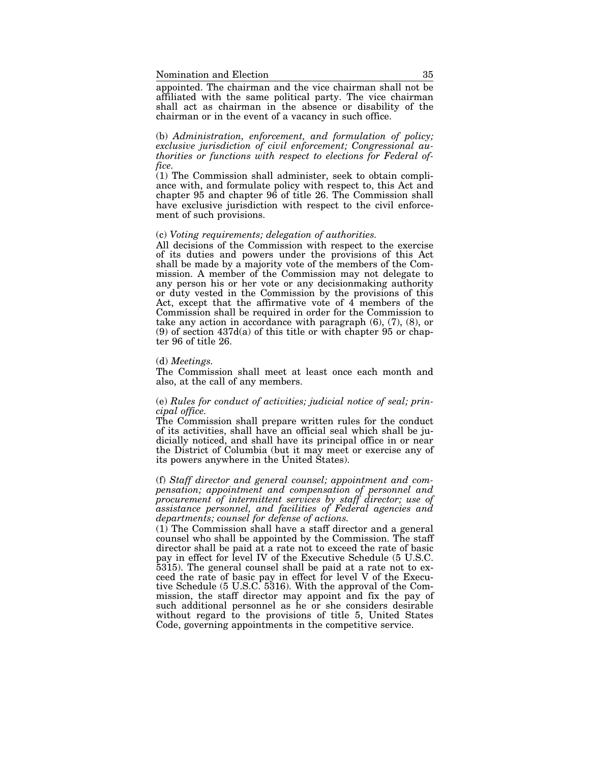appointed. The chairman and the vice chairman shall not be affiliated with the same political party. The vice chairman shall act as chairman in the absence or disability of the chairman or in the event of a vacancy in such office.

(b) *Administration, enforcement, and formulation of policy; exclusive jurisdiction of civil enforcement; Congressional authorities or functions with respect to elections for Federal office.*

(1) The Commission shall administer, seek to obtain compliance with, and formulate policy with respect to, this Act and chapter 95 and chapter 96 of title 26. The Commission shall have exclusive jurisdiction with respect to the civil enforcement of such provisions.

#### (c) *Voting requirements; delegation of authorities.*

All decisions of the Commission with respect to the exercise of its duties and powers under the provisions of this Act shall be made by a majority vote of the members of the Commission. A member of the Commission may not delegate to any person his or her vote or any decisionmaking authority or duty vested in the Commission by the provisions of this Act, except that the affirmative vote of 4 members of the Commission shall be required in order for the Commission to take any action in accordance with paragraph (6), (7), (8), or  $(9)$  of section 437d(a) of this title or with chapter 95 or chapter 96 of title 26.

#### (d) *Meetings.*

The Commission shall meet at least once each month and also, at the call of any members.

# (e) *Rules for conduct of activities; judicial notice of seal; principal office.*

The Commission shall prepare written rules for the conduct of its activities, shall have an official seal which shall be judicially noticed, and shall have its principal office in or near the District of Columbia (but it may meet or exercise any of its powers anywhere in the United States).

(f) *Staff director and general counsel; appointment and compensation; appointment and compensation of personnel and procurement of intermittent services by staff director; use of assistance personnel, and facilities of Federal agencies and departments; counsel for defense of actions.*

(1) The Commission shall have a staff director and a general counsel who shall be appointed by the Commission. The staff director shall be paid at a rate not to exceed the rate of basic pay in effect for level IV of the Executive Schedule (5 U.S.C. 5315). The general counsel shall be paid at a rate not to exceed the rate of basic pay in effect for level V of the Executive Schedule (5 U.S.C. 5316). With the approval of the Commission, the staff director may appoint and fix the pay of such additional personnel as he or she considers desirable without regard to the provisions of title 5, United States Code, governing appointments in the competitive service.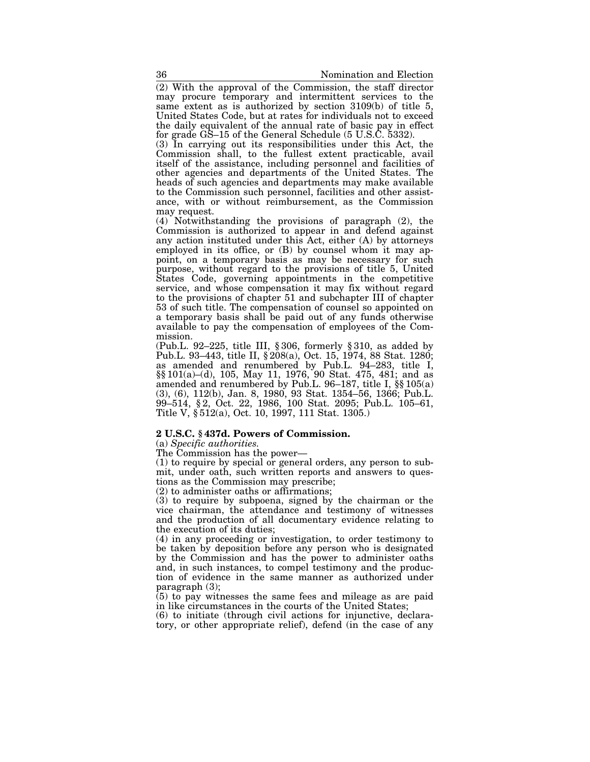(2) With the approval of the Commission, the staff director may procure temporary and intermittent services to the same extent as is authorized by section 3109(b) of title 5, United States Code, but at rates for individuals not to exceed the daily equivalent of the annual rate of basic pay in effect for grade GS–15 of the General Schedule (5 U.S.C. 5332).

(3) In carrying out its responsibilities under this Act, the Commission shall, to the fullest extent practicable, avail itself of the assistance, including personnel and facilities of other agencies and departments of the United States. The heads of such agencies and departments may make available to the Commission such personnel, facilities and other assistance, with or without reimbursement, as the Commission may request.

(4) Notwithstanding the provisions of paragraph (2), the Commission is authorized to appear in and defend against any action instituted under this Act, either (A) by attorneys employed in its office, or (B) by counsel whom it may appoint, on a temporary basis as may be necessary for such purpose, without regard to the provisions of title 5, United States Code, governing appointments in the competitive service, and whose compensation it may fix without regard to the provisions of chapter 51 and subchapter III of chapter 53 of such title. The compensation of counsel so appointed on a temporary basis shall be paid out of any funds otherwise available to pay the compensation of employees of the Commission.

(Pub.L. 92–225, title III, § 306, formerly § 310, as added by Pub.L. 93–443, title II, § 208(a), Oct. 15, 1974, 88 Stat. 1280; as amended and renumbered by Pub.L. 94–283, title I, §§ 101(a)–(d), 105, May 11, 1976, 90 Stat. 475, 481; and as amended and renumbered by Pub.L. 96–187, title I, §§ 105(a) (3), (6), 112(b), Jan. 8, 1980, 93 Stat. 1354–56, 1366; Pub.L. 99–514, § 2, Oct. 22, 1986, 100 Stat. 2095; Pub.L. 105–61, Title V, § 512(a), Oct. 10, 1997, 111 Stat. 1305.)

## **2 U.S.C. § 437d. Powers of Commission.**

(a) *Specific authorities.*

The Commission has the power—

(1) to require by special or general orders, any person to submit, under oath, such written reports and answers to questions as the Commission may prescribe;

(2) to administer oaths or affirmations;

(3) to require by subpoena, signed by the chairman or the vice chairman, the attendance and testimony of witnesses and the production of all documentary evidence relating to the execution of its duties;

(4) in any proceeding or investigation, to order testimony to be taken by deposition before any person who is designated by the Commission and has the power to administer oaths and, in such instances, to compel testimony and the production of evidence in the same manner as authorized under paragraph (3);

(5) to pay witnesses the same fees and mileage as are paid in like circumstances in the courts of the United States;

(6) to initiate (through civil actions for injunctive, declaratory, or other appropriate relief), defend (in the case of any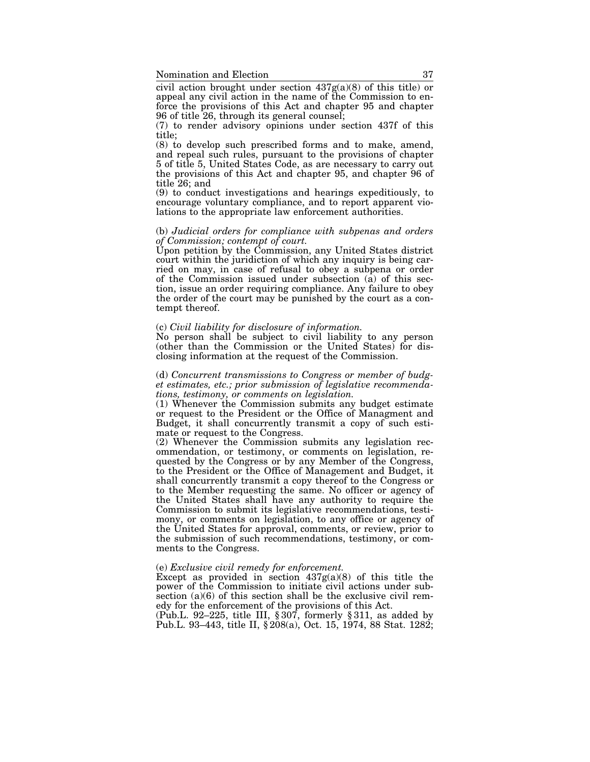civil action brought under section  $437g(a)(8)$  of this title) or appeal any civil action in the name of the Commission to enforce the provisions of this Act and chapter 95 and chapter 96 of title 26, through its general counsel;

(7) to render advisory opinions under section 437f of this title;

(8) to develop such prescribed forms and to make, amend, and repeal such rules, pursuant to the provisions of chapter 5 of title 5, United States Code, as are necessary to carry out the provisions of this Act and chapter 95, and chapter 96 of title 26; and

(9) to conduct investigations and hearings expeditiously, to encourage voluntary compliance, and to report apparent violations to the appropriate law enforcement authorities.

# (b) *Judicial orders for compliance with subpenas and orders of Commission; contempt of court.*

Upon petition by the Commission, any United States district court within the juridiction of which any inquiry is being carried on may, in case of refusal to obey a subpena or order of the Commission issued under subsection (a) of this section, issue an order requiring compliance. Any failure to obey the order of the court may be punished by the court as a contempt thereof.

### (c) *Civil liability for disclosure of information.*

No person shall be subject to civil liability to any person (other than the Commission or the United States) for disclosing information at the request of the Commission.

(d) *Concurrent transmissions to Congress or member of budget estimates, etc.; prior submission of legislative recommendations, testimony, or comments on legislation.*

(1) Whenever the Commission submits any budget estimate or request to the President or the Office of Managment and Budget, it shall concurrently transmit a copy of such estimate or request to the Congress.

(2) Whenever the Commission submits any legislation recommendation, or testimony, or comments on legislation, requested by the Congress or by any Member of the Congress, to the President or the Office of Management and Budget, it shall concurrently transmit a copy thereof to the Congress or to the Member requesting the same. No officer or agency of the United States shall have any authority to require the Commission to submit its legislative recommendations, testimony, or comments on legislation, to any office or agency of the United States for approval, comments, or review, prior to the submission of such recommendations, testimony, or comments to the Congress.

#### (e) *Exclusive civil remedy for enforcement.*

Except as provided in section 437g(a)(8) of this title the power of the Commission to initiate civil actions under subsection (a)(6) of this section shall be the exclusive civil remedy for the enforcement of the provisions of this Act.

(Pub.L. 92–225, title III, § 307, formerly § 311, as added by Pub.L. 93–443, title II, § 208(a), Oct. 15, 1974, 88 Stat. 1282;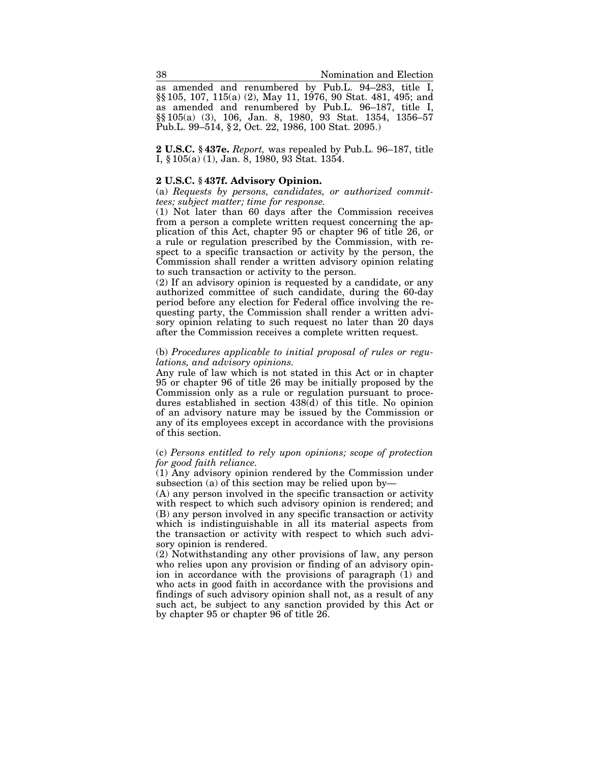38 Nomination and Election

as amended and renumbered by Pub.L. 94–283, title I, §§ 105, 107, 115(a) (2), May 11, 1976, 90 Stat. 481, 495; and as amended and renumbered by Pub.L. 96–187, title I, §§ 105(a) (3), 106, Jan. 8, 1980, 93 Stat. 1354, 1356–57 Pub.L. 99–514, § 2, Oct. 22, 1986, 100 Stat. 2095.)

**2 U.S.C. § 437e.** *Report,* was repealed by Pub.L. 96–187, title I, § 105(a) (1), Jan. 8, 1980, 93 Stat. 1354.

### **2 U.S.C. § 437f. Advisory Opinion.**

(a) *Requests by persons, candidates, or authorized committees; subject matter; time for response.*

(1) Not later than 60 days after the Commission receives from a person a complete written request concerning the application of this Act, chapter 95 or chapter 96 of title 26, or a rule or regulation prescribed by the Commission, with respect to a specific transaction or activity by the person, the Commission shall render a written advisory opinion relating to such transaction or activity to the person.

(2) If an advisory opinion is requested by a candidate, or any authorized committee of such candidate, during the 60-day period before any election for Federal office involving the requesting party, the Commission shall render a written advisory opinion relating to such request no later than 20 days after the Commission receives a complete written request.

# (b) *Procedures applicable to initial proposal of rules or regulations, and advisory opinions.*

Any rule of law which is not stated in this Act or in chapter 95 or chapter 96 of title 26 may be initially proposed by the Commission only as a rule or regulation pursuant to procedures established in section 438(d) of this title. No opinion of an advisory nature may be issued by the Commission or any of its employees except in accordance with the provisions of this section.

# (c) *Persons entitled to rely upon opinions; scope of protection for good faith reliance.*

(1) Any advisory opinion rendered by the Commission under subsection (a) of this section may be relied upon by—

(A) any person involved in the specific transaction or activity with respect to which such advisory opinion is rendered; and (B) any person involved in any specific transaction or activity which is indistinguishable in all its material aspects from the transaction or activity with respect to which such advisory opinion is rendered.

(2) Notwithstanding any other provisions of law, any person who relies upon any provision or finding of an advisory opinion in accordance with the provisions of paragraph (1) and who acts in good faith in accordance with the provisions and findings of such advisory opinion shall not, as a result of any such act, be subject to any sanction provided by this Act or by chapter 95 or chapter 96 of title 26.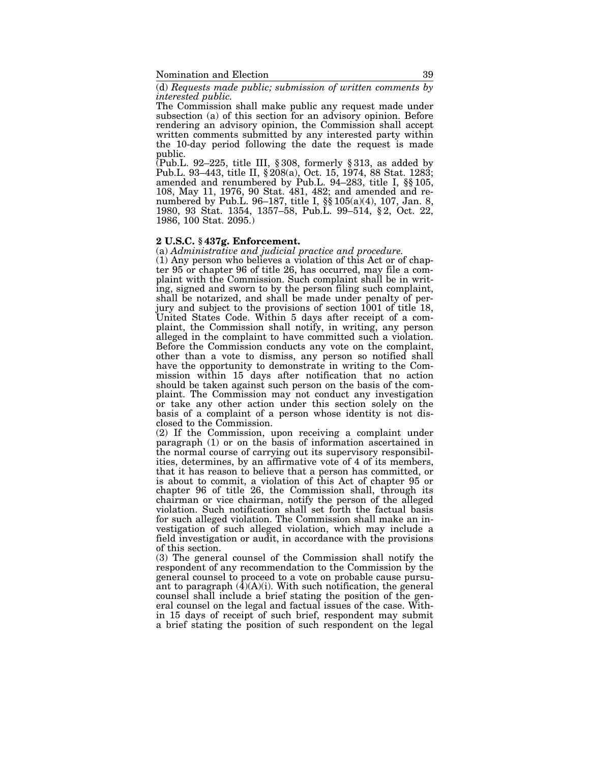(d) *Requests made public; submission of written comments by interested public.*

The Commission shall make public any request made under subsection (a) of this section for an advisory opinion. Before rendering an advisory opinion, the Commission shall accept written comments submitted by any interested party within the 10-day period following the date the request is made public.

(Pub.L. 92–225, title III, § 308, formerly § 313, as added by Pub.L. 93–443, title II, § 208(a), Oct. 15, 1974, 88 Stat. 1283; amended and renumbered by Pub.L. 94–283, title I, §§ 105, 108, May 11, 1976, 90 Stat. 481, 482; and amended and renumbered by Pub.L. 96–187, title I, §§ 105(a)(4), 107, Jan. 8, 1980, 93 Stat. 1354, 1357–58, Pub.L. 99–514, § 2, Oct. 22, 1986, 100 Stat. 2095.)

### **2 U.S.C. § 437g. Enforcement.**

(a) *Administrative and judicial practice and procedure.* (1) Any person who believes a violation of this Act or of chapter 95 or chapter 96 of title 26, has occurred, may file a complaint with the Commission. Such complaint shall be in writing, signed and sworn to by the person filing such complaint, shall be notarized, and shall be made under penalty of perjury and subject to the provisions of section 1001 of title 18, United States Code. Within 5 days after receipt of a complaint, the Commission shall notify, in writing, any person alleged in the complaint to have committed such a violation. Before the Commission conducts any vote on the complaint, other than a vote to dismiss, any person so notified shall have the opportunity to demonstrate in writing to the Commission within 15 days after notification that no action should be taken against such person on the basis of the complaint. The Commission may not conduct any investigation or take any other action under this section solely on the basis of a complaint of a person whose identity is not disclosed to the Commission.

(2) If the Commission, upon receiving a complaint under paragraph (1) or on the basis of information ascertained in the normal course of carrying out its supervisory responsibilities, determines, by an affirmative vote of 4 of its members, that it has reason to believe that a person has committed, or is about to commit, a violation of this Act of chapter 95 or chapter 96 of title 26, the Commission shall, through its chairman or vice chairman, notify the person of the alleged violation. Such notification shall set forth the factual basis for such alleged violation. The Commission shall make an investigation of such alleged violation, which may include a field investigation or audit, in accordance with the provisions of this section.

(3) The general counsel of the Commission shall notify the respondent of any recommendation to the Commission by the general counsel to proceed to a vote on probable cause pursuant to paragraph  $(\overline{4})(A)(i)$ . With such notification, the general counsel shall include a brief stating the position of the general counsel on the legal and factual issues of the case. Within 15 days of receipt of such brief, respondent may submit a brief stating the position of such respondent on the legal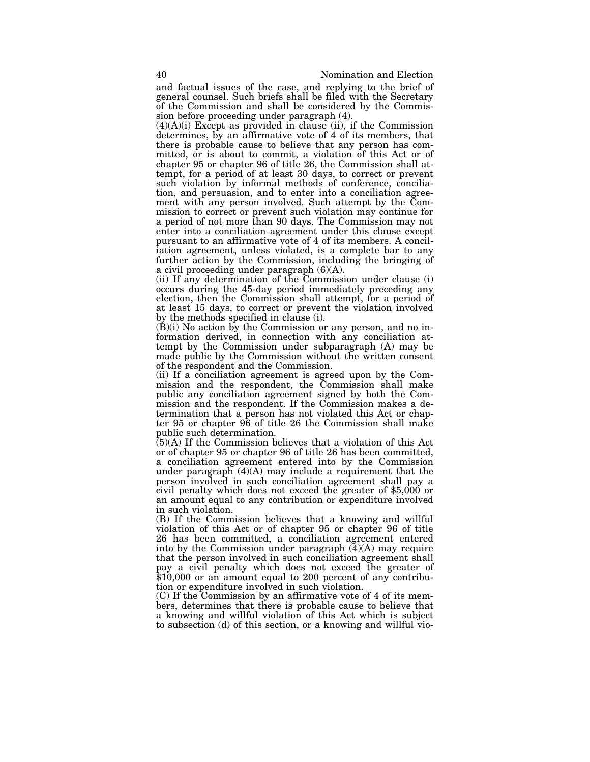and factual issues of the case, and replying to the brief of general counsel. Such briefs shall be filed with the Secretary of the Commission and shall be considered by the Commission before proceeding under paragraph (4).

 $(4)(A)(i)$  Except as provided in clause (ii), if the Commission determines, by an affirmative vote of 4 of its members, that there is probable cause to believe that any person has committed, or is about to commit, a violation of this Act or of chapter 95 or chapter 96 of title 26, the Commission shall attempt, for a period of at least 30 days, to correct or prevent such violation by informal methods of conference, conciliation, and persuasion, and to enter into a conciliation agreement with any person involved. Such attempt by the Commission to correct or prevent such violation may continue for a period of not more than 90 days. The Commission may not enter into a conciliation agreement under this clause except pursuant to an affirmative vote of 4 of its members. A conciliation agreement, unless violated, is a complete bar to any further action by the Commission, including the bringing of a civil proceeding under paragraph (6)(A).

(ii) If any determination of the Commission under clause (i) occurs during the 45-day period immediately preceding any election, then the Commission shall attempt, for a period of at least 15 days, to correct or prevent the violation involved by the methods specified in clause (i).

 $(\dot{B})(i)$  No action by the Commission or any person, and no information derived, in connection with any conciliation attempt by the Commission under subparagraph (A) may be made public by the Commission without the written consent of the respondent and the Commission.

(ii) If a conciliation agreement is agreed upon by the Commission and the respondent, the Commission shall make public any conciliation agreement signed by both the Commission and the respondent. If the Commission makes a determination that a person has not violated this Act or chapter 95 or chapter 96 of title 26 the Commission shall make public such determination.

 $(5)(A)$  If the Commission believes that a violation of this Act or of chapter 95 or chapter 96 of title 26 has been committed, a conciliation agreement entered into by the Commission under paragraph (4)(A) may include a requirement that the person involved in such conciliation agreement shall pay a civil penalty which does not exceed the greater of \$5,000 or an amount equal to any contribution or expenditure involved in such violation.

(B) If the Commission believes that a knowing and willful violation of this Act or of chapter 95 or chapter 96 of title 26 has been committed, a conciliation agreement entered into by the Commission under paragraph (4)(A) may require that the person involved in such conciliation agreement shall pay a civil penalty which does not exceed the greater of \$10,000 or an amount equal to 200 percent of any contribution or expenditure involved in such violation.

(C) If the Commission by an affirmative vote of 4 of its members, determines that there is probable cause to believe that a knowing and willful violation of this Act which is subject to subsection (d) of this section, or a knowing and willful vio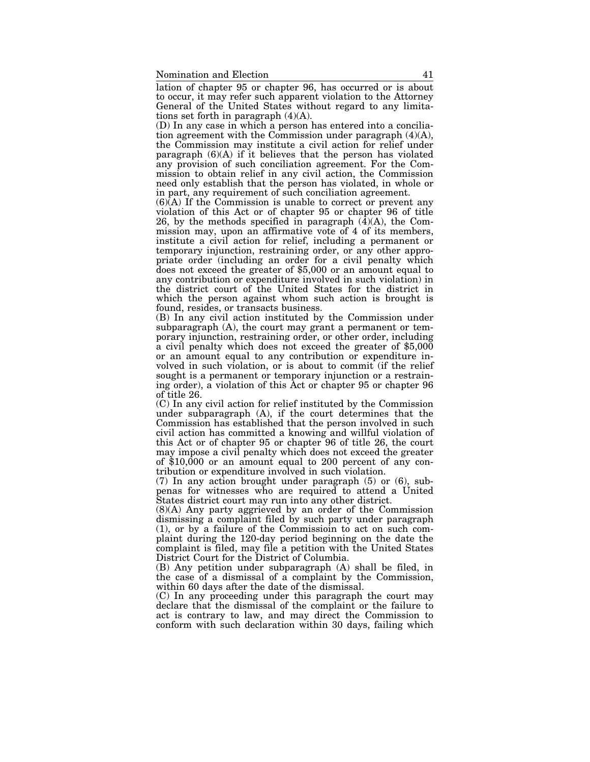lation of chapter 95 or chapter 96, has occurred or is about to occur, it may refer such apparent violation to the Attorney General of the United States without regard to any limitations set forth in paragraph (4)(A).

(D) In any case in which a person has entered into a conciliation agreement with the Commission under paragraph (4)(A), the Commission may institute a civil action for relief under paragraph  $(6)(A)$  if it believes that the person has violated any provision of such conciliation agreement. For the Commission to obtain relief in any civil action, the Commission need only establish that the person has violated, in whole or in part, any requirement of such conciliation agreement.

 $(6)$  $(A)$  If the Commission is unable to correct or prevent any violation of this Act or of chapter 95 or chapter 96 of title 26, by the methods specified in paragraph  $(\overline{4})(A)$ , the Commission may, upon an affirmative vote of 4 of its members, institute a civil action for relief, including a permanent or temporary injunction, restraining order, or any other appropriate order (including an order for a civil penalty which does not exceed the greater of \$5,000 or an amount equal to any contribution or expenditure involved in such violation) in the district court of the United States for the district in which the person against whom such action is brought is found, resides, or transacts business.

(B) In any civil action instituted by the Commission under subparagraph (A), the court may grant a permanent or temporary injunction, restraining order, or other order, including a civil penalty which does not exceed the greater of \$5,000 or an amount equal to any contribution or expenditure involved in such violation, or is about to commit (if the relief sought is a permanent or temporary injunction or a restraining order), a violation of this Act or chapter 95 or chapter 96 of title 26.

(C) In any civil action for relief instituted by the Commission under subparagraph (A), if the court determines that the Commission has established that the person involved in such civil action has committed a knowing and willful violation of this Act or of chapter 95 or chapter 96 of title 26, the court may impose a civil penalty which does not exceed the greater of \$10,000 or an amount equal to 200 percent of any contribution or expenditure involved in such violation.

(7) In any action brought under paragraph (5) or (6), subpenas for witnesses who are required to attend a United States district court may run into any other district.

(8)(A) Any party aggrieved by an order of the Commission dismissing a complaint filed by such party under paragraph (1), or by a failure of the Commissioin to act on such complaint during the 120-day period beginning on the date the complaint is filed, may file a petition with the United States District Court for the District of Columbia.

(B) Any petition under subparagraph (A) shall be filed, in the case of a dismissal of a complaint by the Commission, within 60 days after the date of the dismissal.

(C) In any proceeding under this paragraph the court may declare that the dismissal of the complaint or the failure to act is contrary to law, and may direct the Commission to conform with such declaration within 30 days, failing which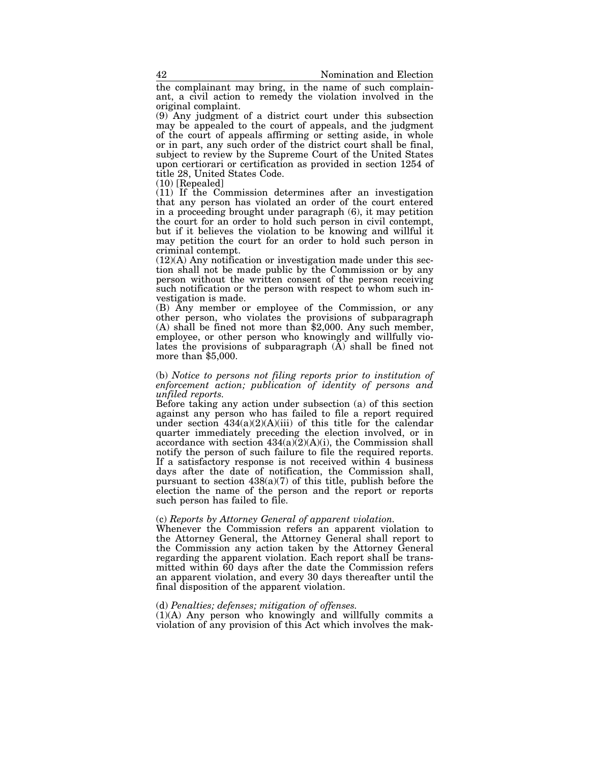the complainant may bring, in the name of such complainant, a civil action to remedy the violation involved in the original complaint.

(9) Any judgment of a district court under this subsection may be appealed to the court of appeals, and the judgment of the court of appeals affirming or setting aside, in whole or in part, any such order of the district court shall be final, subject to review by the Supreme Court of the United States upon certiorari or certification as provided in section 1254 of title 28, United States Code.

(10) [Repealed]

(11) If the Commission determines after an investigation that any person has violated an order of the court entered in a proceeding brought under paragraph (6), it may petition the court for an order to hold such person in civil contempt, but if it believes the violation to be knowing and willful it may petition the court for an order to hold such person in criminal contempt.

 $(12)(A)$  Any notification or investigation made under this section shall not be made public by the Commission or by any person without the written consent of the person receiving such notification or the person with respect to whom such investigation is made.

(B) Any member or employee of the Commission, or any other person, who violates the provisions of subparagraph (A) shall be fined not more than \$2,000. Any such member, employee, or other person who knowingly and willfully violates the provisions of subparagraph (A) shall be fined not more than \$5,000.

### (b) *Notice to persons not filing reports prior to institution of enforcement action; publication of identity of persons and unfiled reports.*

Before taking any action under subsection (a) of this section against any person who has failed to file a report required under section  $434(a)(2)(A)(iii)$  of this title for the calendar quarter immediately preceding the election involved, or in accordance with section  $434(a)(2)(A)(i)$ , the Commission shall notify the person of such failure to file the required reports. If a satisfactory response is not received within 4 business days after the date of notification, the Commission shall, pursuant to section 438(a)(7) of this title, publish before the election the name of the person and the report or reports such person has failed to file.

# (c) *Reports by Attorney General of apparent violation.*

Whenever the Commission refers an apparent violation to the Attorney General, the Attorney General shall report to the Commission any action taken by the Attorney General regarding the apparent violation. Each report shall be transmitted within 60 days after the date the Commission refers an apparent violation, and every 30 days thereafter until the final disposition of the apparent violation.

### (d) *Penalties; defenses; mitigation of offenses.*

(1)(A) Any person who knowingly and willfully commits a violation of any provision of this Act which involves the mak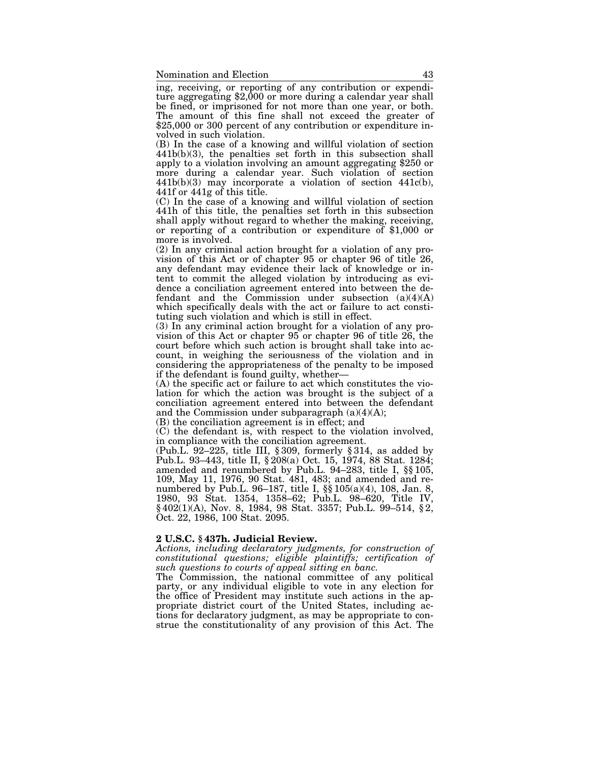ing, receiving, or reporting of any contribution or expenditure aggregating \$2,000 or more during a calendar year shall be fined, or imprisoned for not more than one year, or both. The amount of this fine shall not exceed the greater of \$25,000 or 300 percent of any contribution or expenditure involved in such violation.

(B) In the case of a knowing and willful violation of section 441b(b)(3), the penalties set forth in this subsection shall apply to a violation involving an amount aggregating \$250 or more during a calendar year. Such violation of section  $441b(b)(3)$  may incorporate a violation of section  $441c(b)$ , 441f or 441g of this title.

(C) In the case of a knowing and willful violation of section 441h of this title, the penalties set forth in this subsection shall apply without regard to whether the making, receiving, or reporting of a contribution or expenditure of \$1,000 or more is involved.

(2) In any criminal action brought for a violation of any provision of this Act or of chapter 95 or chapter 96 of title 26, any defendant may evidence their lack of knowledge or intent to commit the alleged violation by introducing as evidence a conciliation agreement entered into between the defendant and the Commission under subsection  $(a)(4)(A)$ which specifically deals with the act or failure to act constituting such violation and which is still in effect.

(3) In any criminal action brought for a violation of any provision of this Act or chapter 95 or chapter 96 of title 26, the court before which such action is brought shall take into account, in weighing the seriousness of the violation and in considering the appropriateness of the penalty to be imposed if the defendant is found guilty, whether—

(A) the specific act or failure to act which constitutes the violation for which the action was brought is the subject of a conciliation agreement entered into between the defendant and the Commission under subparagraph  $(a)(4)(A);$ 

(B) the conciliation agreement is in effect; and

(C) the defendant is, with respect to the violation involved, in compliance with the conciliation agreement.

(Pub.L. 92–225, title III, § 309, formerly § 314, as added by Pub.L. 93–443, title II, § 208(a) Oct. 15, 1974, 88 Stat. 1284; amended and renumbered by Pub.L. 94–283, title I, §§ 105, 109, May 11, 1976, 90 Stat. 481, 483; and amended and renumbered by Pub.L. 96–187, title I, §§ 105(a)(4), 108, Jan. 8, 1980, 93 Stat. 1354, 1358–62; Pub.L. 98–620, Title IV, § 402(1)(A), Nov. 8, 1984, 98 Stat. 3357; Pub.L. 99–514, § 2, Oct. 22, 1986, 100 Stat. 2095.

# **2 U.S.C. § 437h. Judicial Review.**

*Actions, including declaratory judgments, for construction of constitutional questions; eligible plaintiffs; certification of such questions to courts of appeal sitting en banc.*

The Commission, the national committee of any political party, or any individual eligible to vote in any election for the office of President may institute such actions in the appropriate district court of the United States, including actions for declaratory judgment, as may be appropriate to construe the constitutionality of any provision of this Act. The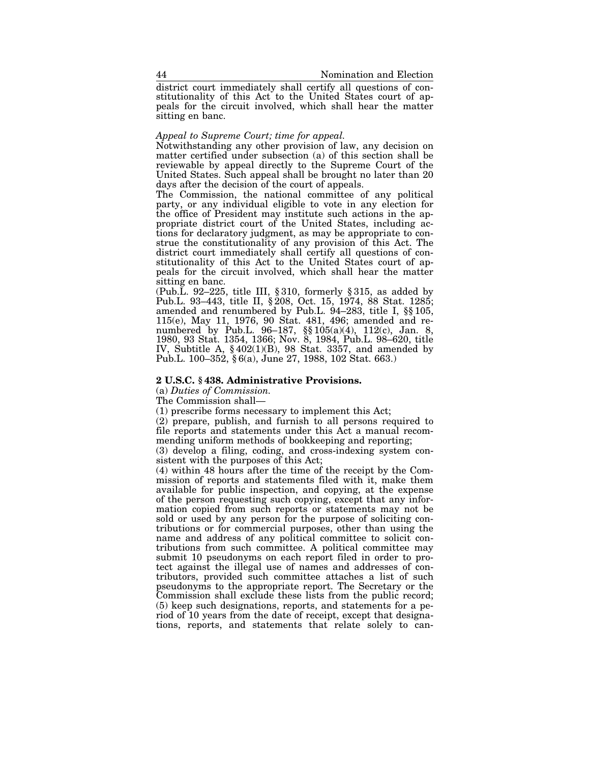district court immediately shall certify all questions of constitutionality of this Act to the United States court of appeals for the circuit involved, which shall hear the matter sitting en banc.

### *Appeal to Supreme Court; time for appeal.*

Notwithstanding any other provision of law, any decision on matter certified under subsection (a) of this section shall be reviewable by appeal directly to the Supreme Court of the United States. Such appeal shall be brought no later than 20 days after the decision of the court of appeals.

The Commission, the national committee of any political party, or any individual eligible to vote in any election for the office of President may institute such actions in the appropriate district court of the United States, including actions for declaratory judgment, as may be appropriate to construe the constitutionality of any provision of this Act. The district court immediately shall certify all questions of constitutionality of this Act to the United States court of appeals for the circuit involved, which shall hear the matter sitting en banc.

(Pub.L. 92–225, title III, § 310, formerly § 315, as added by Pub.L. 93–443, title II, § 208, Oct. 15, 1974, 88 Stat. 1285; amended and renumbered by Pub.L. 94–283, title I, §§ 105, 115(e), May 11, 1976, 90 Stat. 481, 496; amended and renumbered by Pub.L. 96–187, §§ 105(a)(4), 112(c), Jan. 8, 1980, 93 Stat. 1354, 1366; Nov. 8, 1984, Pub.L. 98–620, title IV, Subtitle A, § 402(1)(B), 98 Stat. 3357, and amended by Pub.L. 100–352, § 6(a), June 27, 1988, 102 Stat. 663.)

#### **2 U.S.C. § 438. Administrative Provisions.**

(a) *Duties of Commission.*

The Commission shall—

(1) prescribe forms necessary to implement this Act;

(2) prepare, publish, and furnish to all persons required to file reports and statements under this Act a manual recommending uniform methods of bookkeeping and reporting;

(3) develop a filing, coding, and cross-indexing system consistent with the purposes of this Act;

(4) within 48 hours after the time of the receipt by the Commission of reports and statements filed with it, make them available for public inspection, and copying, at the expense of the person requesting such copying, except that any information copied from such reports or statements may not be sold or used by any person for the purpose of soliciting contributions or for commercial purposes, other than using the name and address of any political committee to solicit contributions from such committee. A political committee may submit 10 pseudonyms on each report filed in order to protect against the illegal use of names and addresses of contributors, provided such committee attaches a list of such pseudonyms to the appropriate report. The Secretary or the Commission shall exclude these lists from the public record; (5) keep such designations, reports, and statements for a period of 10 years from the date of receipt, except that designations, reports, and statements that relate solely to can-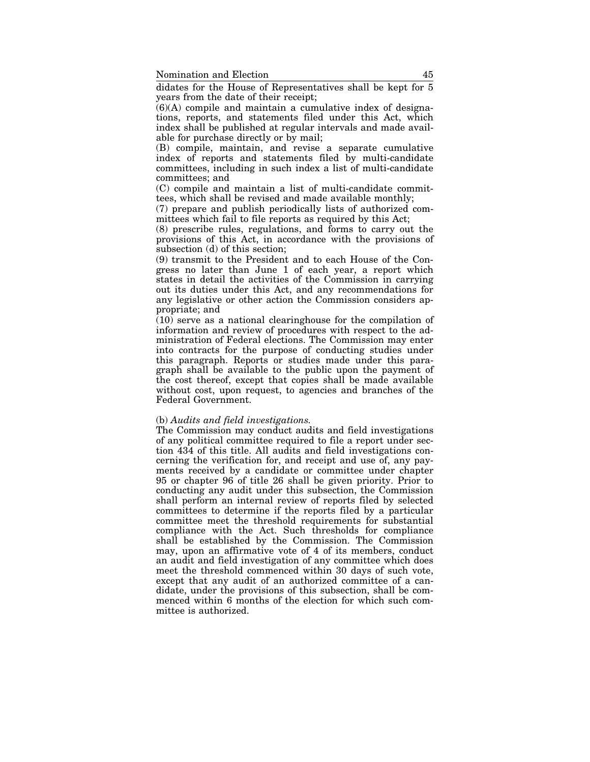Nomination and Election 45

didates for the House of Representatives shall be kept for 5 years from the date of their receipt;

(6)(A) compile and maintain a cumulative index of designations, reports, and statements filed under this Act, which index shall be published at regular intervals and made available for purchase directly or by mail;

(B) compile, maintain, and revise a separate cumulative index of reports and statements filed by multi-candidate committees, including in such index a list of multi-candidate committees; and

(C) compile and maintain a list of multi-candidate committees, which shall be revised and made available monthly;

(7) prepare and publish periodically lists of authorized committees which fail to file reports as required by this Act;

(8) prescribe rules, regulations, and forms to carry out the provisions of this Act, in accordance with the provisions of subsection (d) of this section;

(9) transmit to the President and to each House of the Congress no later than June 1 of each year, a report which states in detail the activities of the Commission in carrying out its duties under this Act, and any recommendations for any legislative or other action the Commission considers appropriate; and

(10) serve as a national clearinghouse for the compilation of information and review of procedures with respect to the administration of Federal elections. The Commission may enter into contracts for the purpose of conducting studies under this paragraph. Reports or studies made under this paragraph shall be available to the public upon the payment of the cost thereof, except that copies shall be made available without cost, upon request, to agencies and branches of the Federal Government.

# (b) *Audits and field investigations.*

The Commission may conduct audits and field investigations of any political committee required to file a report under section 434 of this title. All audits and field investigations concerning the verification for, and receipt and use of, any payments received by a candidate or committee under chapter 95 or chapter 96 of title 26 shall be given priority. Prior to conducting any audit under this subsection, the Commission shall perform an internal review of reports filed by selected committees to determine if the reports filed by a particular committee meet the threshold requirements for substantial compliance with the Act. Such thresholds for compliance shall be established by the Commission. The Commission may, upon an affirmative vote of 4 of its members, conduct an audit and field investigation of any committee which does meet the threshold commenced within 30 days of such vote, except that any audit of an authorized committee of a candidate, under the provisions of this subsection, shall be commenced within 6 months of the election for which such committee is authorized.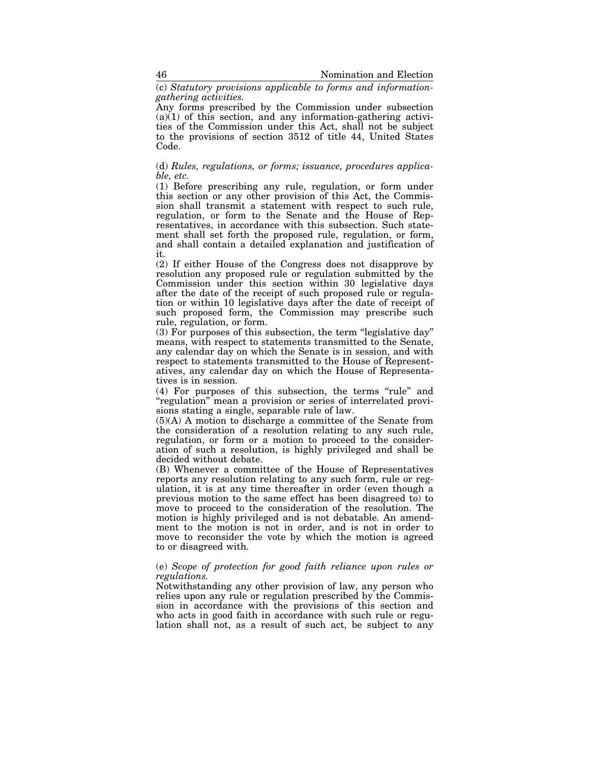(c) *Statutory provisions applicable to forms and informationgathering activities.*

Any forms prescribed by the Commission under subsection  $(a)(1)$  of this section, and any information-gathering activities of the Commission under this Act, shall not be subject to the provisions of section 3512 of title 44, United States Code.

(d) *Rules, regulations, or forms; issuance, procedures applicable, etc.*

(1) Before prescribing any rule, regulation, or form under this section or any other provision of this Act, the Commission shall transmit a statement with respect to such rule, regulation, or form to the Senate and the House of Representatives, in accordance with this subsection. Such statement shall set forth the proposed rule, regulation, or form, and shall contain a detailed explanation and justification of it.

(2) If either House of the Congress does not disapprove by resolution any proposed rule or regulation submitted by the Commission under this section within 30 legislative days after the date of the receipt of such proposed rule or regulation or within 10 legislative days after the date of receipt of such proposed form, the Commission may prescribe such rule, regulation, or form.

(3) For purposes of this subsection, the term ''legislative day'' means, with respect to statements transmitted to the Senate, any calendar day on which the Senate is in session, and with respect to statements transmitted to the House of Representatives, any calendar day on which the House of Representatives is in session.

(4) For purposes of this subsection, the terms ''rule'' and "regulation" mean a provision or series of interrelated provisions stating a single, separable rule of law.

(5)(A) A motion to discharge a committee of the Senate from the consideration of a resolution relating to any such rule, regulation, or form or a motion to proceed to the consideration of such a resolution, is highly privileged and shall be decided without debate.

(B) Whenever a committee of the House of Representatives reports any resolution relating to any such form, rule or regulation, it is at any time thereafter in order (even though a previous motion to the same effect has been disagreed to) to move to proceed to the consideration of the resolution. The motion is highly privileged and is not debatable. An amendment to the motion is not in order, and is not in order to move to reconsider the vote by which the motion is agreed to or disagreed with.

# (e) *Scope of protection for good faith reliance upon rules or regulations.*

Notwithstanding any other provision of law, any person who relies upon any rule or regulation prescribed by the Commission in accordance with the provisions of this section and who acts in good faith in accordance with such rule or regulation shall not, as a result of such act, be subject to any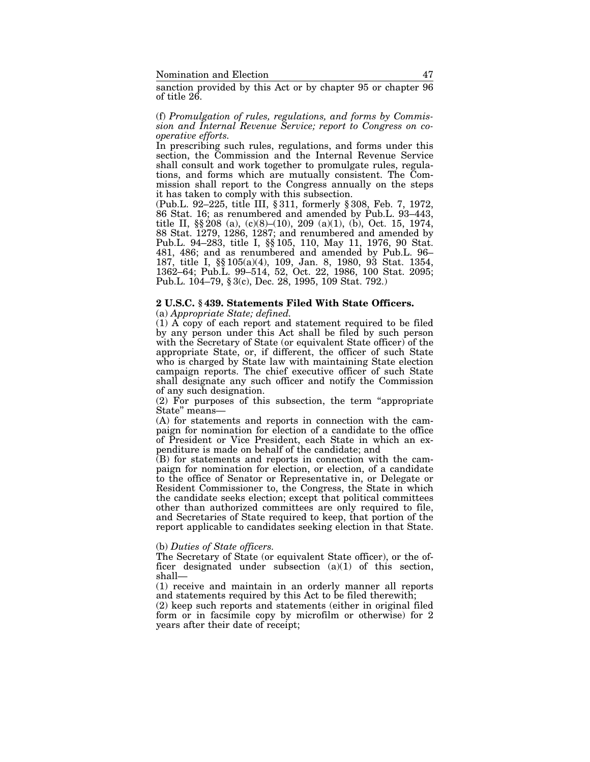Nomination and Election 47

sanction provided by this Act or by chapter 95 or chapter 96 of title 26.

(f) *Promulgation of rules, regulations, and forms by Commission and Internal Revenue Service; report to Congress on cooperative efforts.*

In prescribing such rules, regulations, and forms under this section, the Commission and the Internal Revenue Service shall consult and work together to promulgate rules, regulations, and forms which are mutually consistent. The Commission shall report to the Congress annually on the steps it has taken to comply with this subsection.

(Pub.L. 92–225, title III, § 311, formerly § 308, Feb. 7, 1972, 86 Stat. 16; as renumbered and amended by Pub.L. 93–443, title II, §§ 208 (a), (c)(8)–(10), 209 (a)(1), (b), Oct. 15, 1974, 88 Stat. 1279, 1286, 1287; and renumbered and amended by Pub.L. 94–283, title I, §§ 105, 110, May 11, 1976, 90 Stat. 481, 486; and as renumbered and amended by Pub.L. 96– 187, title I, §§ 105(a)(4), 109, Jan. 8, 1980, 93 Stat. 1354, 1362–64; Pub.L. 99–514, 52, Oct. 22, 1986, 100 Stat. 2095; Pub.L. 104–79, § 3(c), Dec. 28, 1995, 109 Stat. 792.)

# **2 U.S.C. § 439. Statements Filed With State Officers.**

(a) *Appropriate State; defined.*

(1)  $\overrightarrow{A}$  copy of each report and statement required to be filed by any person under this Act shall be filed by such person with the Secretary of State (or equivalent State officer) of the appropriate State, or, if different, the officer of such State who is charged by State law with maintaining State election campaign reports. The chief executive officer of such State shall designate any such officer and notify the Commission of any such designation.

(2) For purposes of this subsection, the term ''appropriate State'' means—

(A) for statements and reports in connection with the campaign for nomination for election of a candidate to the office of President or Vice President, each State in which an expenditure is made on behalf of the candidate; and

(B) for statements and reports in connection with the campaign for nomination for election, or election, of a candidate to the office of Senator or Representative in, or Delegate or Resident Commissioner to, the Congress, the State in which the candidate seeks election; except that political committees other than authorized committees are only required to file, and Secretaries of State required to keep, that portion of the report applicable to candidates seeking election in that State.

### (b) *Duties of State officers.*

The Secretary of State (or equivalent State officer), or the officer designated under subsection (a)(1) of this section, shall—

(1) receive and maintain in an orderly manner all reports and statements required by this Act to be filed therewith;

(2) keep such reports and statements (either in original filed form or in facsimile copy by microfilm or otherwise) for 2 years after their date of receipt;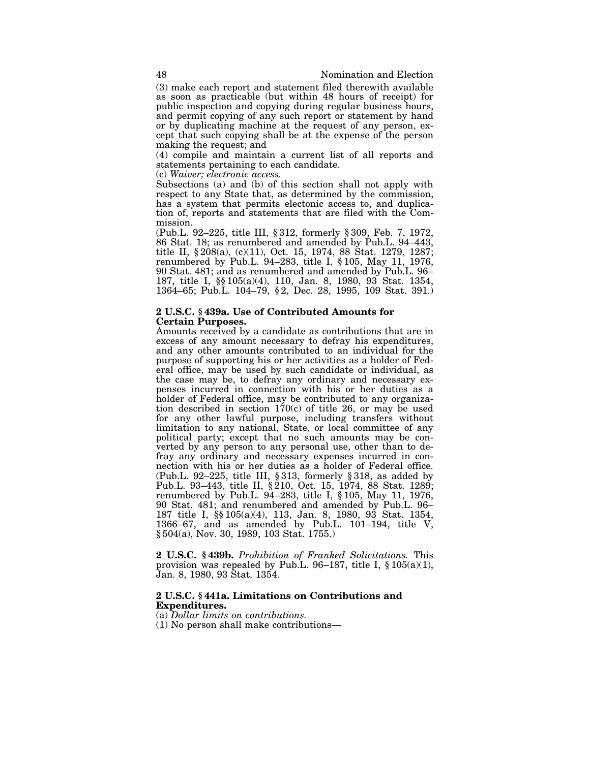(3) make each report and statement filed therewith available as soon as practicable (but within 48 hours of receipt) for public inspection and copying during regular business hours, and permit copying of any such report or statement by hand or by duplicating machine at the request of any person, except that such copying shall be at the expense of the person making the request; and

(4) compile and maintain a current list of all reports and statements pertaining to each candidate.

(c) *Waiver; electronic access.*

Subsections (a) and (b) of this section shall not apply with respect to any State that, as determined by the commission, has a system that permits electonic access to, and duplication of, reports and statements that are filed with the Commission.

(Pub.L. 92–225, title III, § 312, formerly § 309, Feb. 7, 1972, 86 Stat. 18; as renumbered and amended by Pub.L. 94–443, title II, § 208(a), (c)(11), Oct. 15, 1974, 88 Stat. 1279, 1287; renumbered by Pub.L. 94–283, title I, § 105, May 11, 1976, 90 Stat. 481; and as renumbered and amended by Pub.L. 96– 187, title I, §§ 105(a)(4), 110, Jan. 8, 1980, 93 Stat. 1354, 1364–65; Pub.L. 104–79, § 2, Dec. 28, 1995, 109 Stat. 391.)

# **2 U.S.C. § 439a. Use of Contributed Amounts for Certain Purposes.**

Amounts received by a candidate as contributions that are in excess of any amount necessary to defray his expenditures, and any other amounts contributed to an individual for the purpose of supporting his or her activities as a holder of Federal office, may be used by such candidate or individual, as the case may be, to defray any ordinary and necessary expenses incurred in connection with his or her duties as a holder of Federal office, may be contributed to any organization described in section 170(c) of title 26, or may be used for any other lawful purpose, including transfers without limitation to any national, State, or local committee of any political party; except that no such amounts may be converted by any person to any personal use, other than to defray any ordinary and necessary expenses incurred in connection with his or her duties as a holder of Federal office. (Pub.L. 92–225, title III, § 313, formerly § 318, as added by Pub.L. 93–443, title II, § 210, Oct. 15, 1974, 88 Stat. 1289; renumbered by Pub.L. 94–283, title I, § 105, May 11, 1976, 90 Stat. 481; and renumbered and amended by Pub.L. 96– 187 title I, §§ 105(a)(4), 113, Jan. 8, 1980, 93 Stat. 1354, 1366–67, and as amended by Pub.L. 101–194, title V, § 504(a), Nov. 30, 1989, 103 Stat. 1755.)

**2 U.S.C. § 439b.** *Prohibition of Franked Solicitations.* This provision was repealed by Pub.L. 96–187, title I,  $\S 105(a)(1)$ , Jan. 8, 1980, 93 Stat. 1354.

### **2 U.S.C. § 441a. Limitations on Contributions and Expenditures.**

(a) *Dollar limits on contributions.*

(1) No person shall make contributions—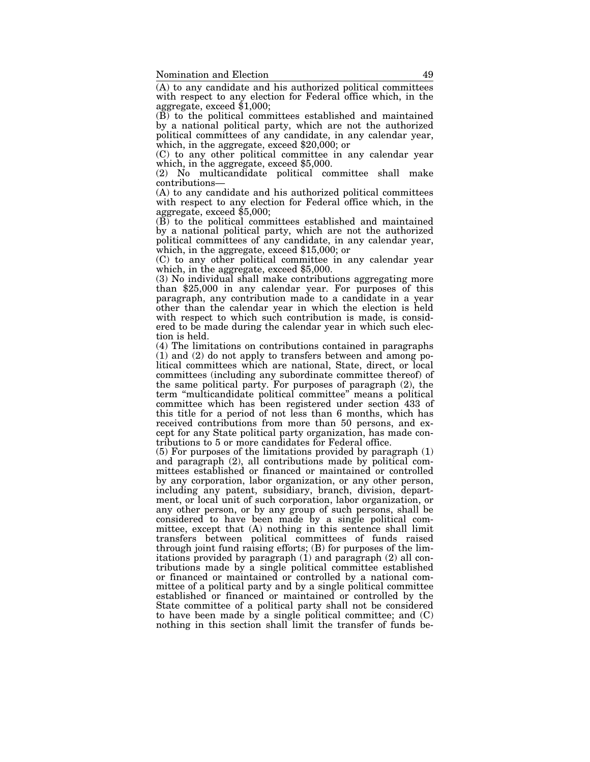(A) to any candidate and his authorized political committees with respect to any election for Federal office which, in the aggregate, exceed \$1,000;

(B) to the political committees established and maintained by a national political party, which are not the authorized political committees of any candidate, in any calendar year, which, in the aggregate, exceed \$20,000; or

(C) to any other political committee in any calendar year which, in the aggregate, exceed \$5,000.

(2) No multicandidate political committee shall make contributions—

(A) to any candidate and his authorized political committees with respect to any election for Federal office which, in the aggregate, exceed \$5,000;

(B) to the political committees established and maintained by a national political party, which are not the authorized political committees of any candidate, in any calendar year, which, in the aggregate, exceed \$15,000; or

(C) to any other political committee in any calendar year which, in the aggregate, exceed \$5,000.

(3) No individual shall make contributions aggregating more than \$25,000 in any calendar year. For purposes of this paragraph, any contribution made to a candidate in a year other than the calendar year in which the election is held with respect to which such contribution is made, is considered to be made during the calendar year in which such election is held.

(4) The limitations on contributions contained in paragraphs (1) and (2) do not apply to transfers between and among political committees which are national, State, direct, or local committees (including any subordinate committee thereof) of the same political party. For purposes of paragraph (2), the term ''multicandidate political committee'' means a political committee which has been registered under section 433 of this title for a period of not less than 6 months, which has received contributions from more than 50 persons, and except for any State political party organization, has made contributions to 5 or more candidates for Federal office.

(5) For purposes of the limitations provided by paragraph (1) and paragraph (2), all contributions made by political committees established or financed or maintained or controlled by any corporation, labor organization, or any other person, including any patent, subsidiary, branch, division, department, or local unit of such corporation, labor organization, or any other person, or by any group of such persons, shall be considered to have been made by a single political committee, except that (A) nothing in this sentence shall limit transfers between political committees of funds raised through joint fund raising efforts; (B) for purposes of the limitations provided by paragraph  $(1)$  and paragraph  $(2)$  all contributions made by a single political committee established or financed or maintained or controlled by a national committee of a political party and by a single political committee established or financed or maintained or controlled by the State committee of a political party shall not be considered to have been made by a single political committee; and  $(C)$ nothing in this section shall limit the transfer of funds be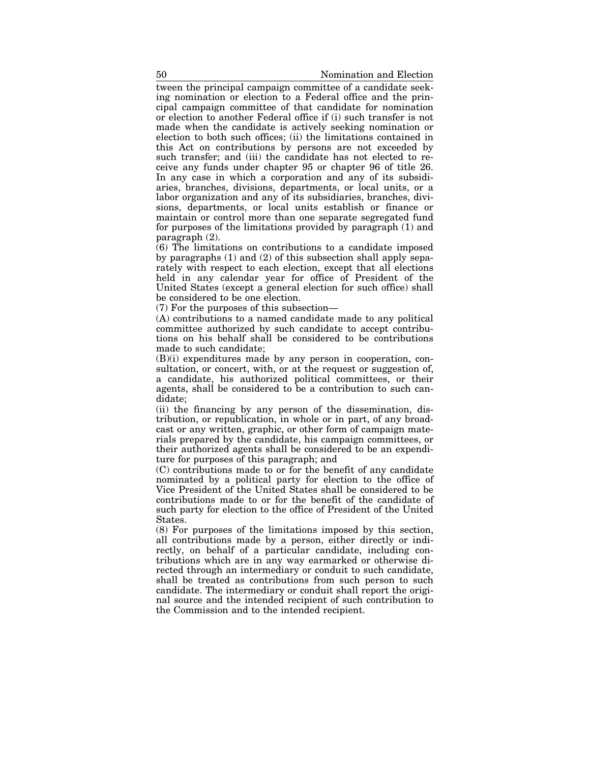50 Nomination and Election

tween the principal campaign committee of a candidate seeking nomination or election to a Federal office and the principal campaign committee of that candidate for nomination or election to another Federal office if (i) such transfer is not made when the candidate is actively seeking nomination or election to both such offices; (ii) the limitations contained in this Act on contributions by persons are not exceeded by such transfer; and (iii) the candidate has not elected to receive any funds under chapter 95 or chapter 96 of title 26. In any case in which a corporation and any of its subsidiaries, branches, divisions, departments, or local units, or a labor organization and any of its subsidiaries, branches, divisions, departments, or local units establish or finance or maintain or control more than one separate segregated fund for purposes of the limitations provided by paragraph (1) and paragraph (2).

(6) The limitations on contributions to a candidate imposed by paragraphs (1) and (2) of this subsection shall apply separately with respect to each election, except that all elections held in any calendar year for office of President of the United States (except a general election for such office) shall be considered to be one election.

(7) For the purposes of this subsection—

(A) contributions to a named candidate made to any political committee authorized by such candidate to accept contributions on his behalf shall be considered to be contributions made to such candidate;

(B)(i) expenditures made by any person in cooperation, consultation, or concert, with, or at the request or suggestion of, a candidate, his authorized political committees, or their agents, shall be considered to be a contribution to such candidate;

(ii) the financing by any person of the dissemination, distribution, or republication, in whole or in part, of any broadcast or any written, graphic, or other form of campaign materials prepared by the candidate, his campaign committees, or their authorized agents shall be considered to be an expenditure for purposes of this paragraph; and

(C) contributions made to or for the benefit of any candidate nominated by a political party for election to the office of Vice President of the United States shall be considered to be contributions made to or for the benefit of the candidate of such party for election to the office of President of the United States.

(8) For purposes of the limitations imposed by this section, all contributions made by a person, either directly or indirectly, on behalf of a particular candidate, including contributions which are in any way earmarked or otherwise directed through an intermediary or conduit to such candidate, shall be treated as contributions from such person to such candidate. The intermediary or conduit shall report the original source and the intended recipient of such contribution to the Commission and to the intended recipient.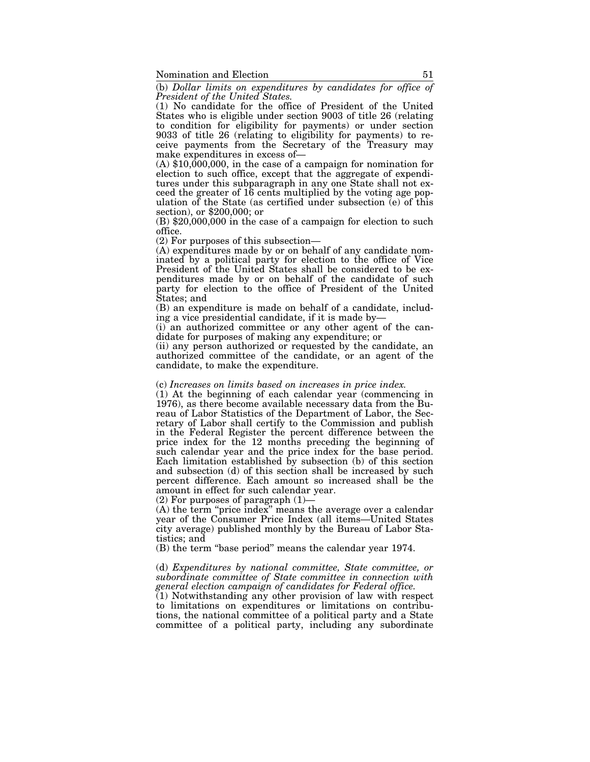Nomination and Election 51

(b) *Dollar limits on expenditures by candidates for office of President of the United States.*

(1) No candidate for the office of President of the United States who is eligible under section 9003 of title 26 (relating to condition for eligibility for payments) or under section 9033 of title 26 (relating to eligibility for payments) to receive payments from the Secretary of the Treasury may make expenditures in excess of—

 $(A)$  \$10,000,000, in the case of a campaign for nomination for election to such office, except that the aggregate of expenditures under this subparagraph in any one State shall not exceed the greater of 16 cents multiplied by the voting age population of the State (as certified under subsection (e) of this section), or \$200,000; or

(B) \$20,000,000 in the case of a campaign for election to such office.

(2) For purposes of this subsection—

(A) expenditures made by or on behalf of any candidate nominated by a political party for election to the office of Vice President of the United States shall be considered to be expenditures made by or on behalf of the candidate of such party for election to the office of President of the United States; and

(B) an expenditure is made on behalf of a candidate, including a vice presidential candidate, if it is made by—

(i) an authorized committee or any other agent of the candidate for purposes of making any expenditure; or

(ii) any person authorized or requested by the candidate, an authorized committee of the candidate, or an agent of the candidate, to make the expenditure.

(c) *Increases on limits based on increases in price index.*

(1) At the beginning of each calendar year (commencing in 1976), as there become available necessary data from the Bureau of Labor Statistics of the Department of Labor, the Secretary of Labor shall certify to the Commission and publish in the Federal Register the percent difference between the price index for the 12 months preceding the beginning of such calendar year and the price index for the base period. Each limitation established by subsection (b) of this section and subsection (d) of this section shall be increased by such percent difference. Each amount so increased shall be the amount in effect for such calendar year.

 $(2)$  For purposes of paragraph  $(1)$ 

(A) the term ''price index'' means the average over a calendar year of the Consumer Price Index (all items—United States city average) published monthly by the Bureau of Labor Statistics; and

(B) the term ''base period'' means the calendar year 1974.

(d) *Expenditures by national committee, State committee, or subordinate committee of State committee in connection with general election campaign of candidates for Federal office.*

(1) Notwithstanding any other provision of law with respect to limitations on expenditures or limitations on contributions, the national committee of a political party and a State committee of a political party, including any subordinate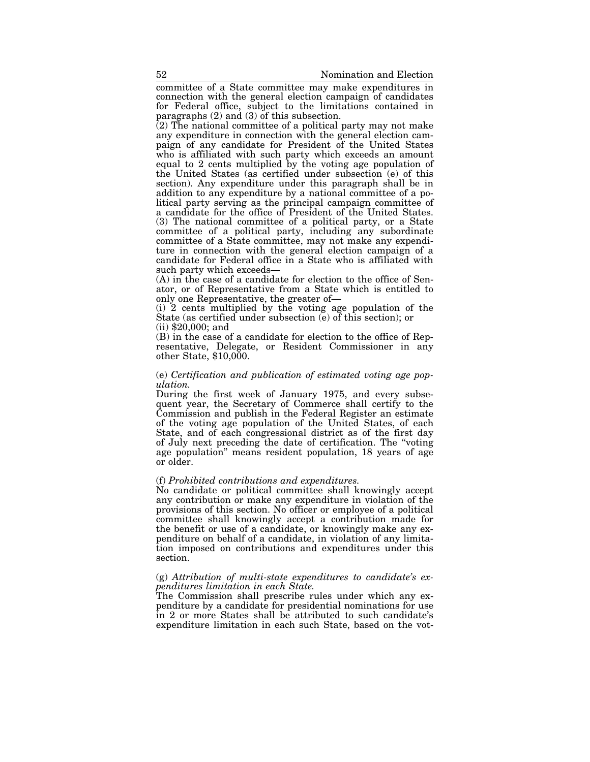committee of a State committee may make expenditures in connection with the general election campaign of candidates for Federal office, subject to the limitations contained in paragraphs (2) and (3) of this subsection.

(2) The national committee of a political party may not make any expenditure in connection with the general election campaign of any candidate for President of the United States who is affiliated with such party which exceeds an amount equal to 2 cents multiplied by the voting age population of the United States (as certified under subsection (e) of this section). Any expenditure under this paragraph shall be in addition to any expenditure by a national committee of a political party serving as the principal campaign committee of a candidate for the office of President of the United States. (3) The national committee of a political party, or a State committee of a political party, including any subordinate committee of a State committee, may not make any expenditure in connection with the general election campaign of a candidate for Federal office in a State who is affiliated with such party which exceeds—

(A) in the case of a candidate for election to the office of Senator, or of Representative from a State which is entitled to only one Representative, the greater of—

(i) 2 cents multiplied by the voting age population of the State (as certified under subsection (e) of this section); or (ii) \$20,000; and

(B) in the case of a candidate for election to the office of Representative, Delegate, or Resident Commissioner in any other State, \$10,000.

### (e) *Certification and publication of estimated voting age population.*

During the first week of January 1975, and every subsequent year, the Secretary of Commerce shall certify to the Commission and publish in the Federal Register an estimate of the voting age population of the United States, of each State, and of each congressional district as of the first day of July next preceding the date of certification. The ''voting age population'' means resident population, 18 years of age or older.

### (f) *Prohibited contributions and expenditures.*

No candidate or political committee shall knowingly accept any contribution or make any expenditure in violation of the provisions of this section. No officer or employee of a political committee shall knowingly accept a contribution made for the benefit or use of a candidate, or knowingly make any expenditure on behalf of a candidate, in violation of any limitation imposed on contributions and expenditures under this section.

### (g) *Attribution of multi-state expenditures to candidate's expenditures limitation in each State.*

The Commission shall prescribe rules under which any expenditure by a candidate for presidential nominations for use in 2 or more States shall be attributed to such candidate's expenditure limitation in each such State, based on the vot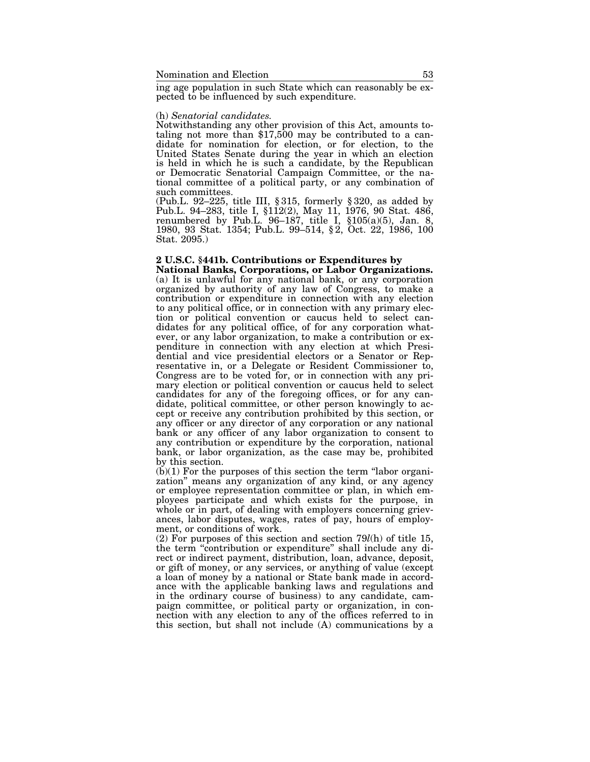ing age population in such State which can reasonably be expected to be influenced by such expenditure.

### (h) *Senatorial candidates.*

Notwithstanding any other provision of this Act, amounts totaling not more than \$17,500 may be contributed to a candidate for nomination for election, or for election, to the United States Senate during the year in which an election is held in which he is such a candidate, by the Republican or Democratic Senatorial Campaign Committee, or the national committee of a political party, or any combination of such committees.

(Pub.L. 92–225, title III, § 315, formerly § 320, as added by Pub.L. 94–283, title I, §112(2), May 11, 1976, 90 Stat. 486, renumbered by Pub.L. 96–187, title I, §105(a)(5), Jan. 8, 1980, 93 Stat. 1354; Pub.L. 99–514, § 2, Oct. 22, 1986, 100 Stat. 2095.)

# **2 U.S.C. §441b. Contributions or Expenditures by**

**National Banks, Corporations, or Labor Organizations.** (a) It is unlawful for any national bank, or any corporation organized by authority of any law of Congress, to make a contribution or expenditure in connection with any election to any political office, or in connection with any primary election or political convention or caucus held to select candidates for any political office, of for any corporation whatever, or any labor organization, to make a contribution or expenditure in connection with any election at which Presidential and vice presidential electors or a Senator or Representative in, or a Delegate or Resident Commissioner to, Congress are to be voted for, or in connection with any primary election or political convention or caucus held to select candidates for any of the foregoing offices, or for any candidate, political committee, or other person knowingly to accept or receive any contribution prohibited by this section, or any officer or any director of any corporation or any national bank or any officer of any labor organization to consent to any contribution or expenditure by the corporation, national bank, or labor organization, as the case may be, prohibited by this section.

 $(b)(1)$  For the purposes of this section the term "labor organization'' means any organization of any kind, or any agency or employee representation committee or plan, in which employees participate and which exists for the purpose, in whole or in part, of dealing with employers concerning grievances, labor disputes, wages, rates of pay, hours of employment, or conditions of work.

(2) For purposes of this section and section 79*l*(h) of title 15, the term "contribution or expenditure" shall include any direct or indirect payment, distribution, loan, advance, deposit, or gift of money, or any services, or anything of value (except a loan of money by a national or State bank made in accordance with the applicable banking laws and regulations and in the ordinary course of business) to any candidate, campaign committee, or political party or organization, in connection with any election to any of the offices referred to in this section, but shall not include (A) communications by a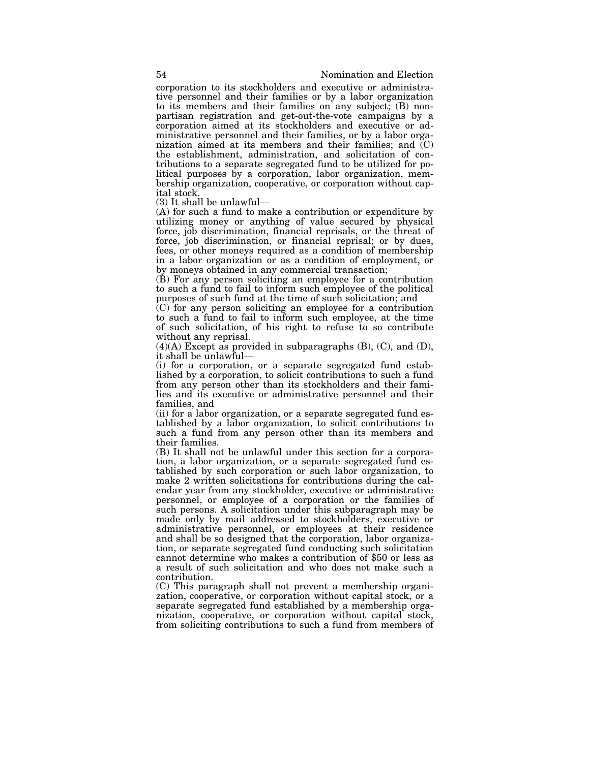corporation to its stockholders and executive or administrative personnel and their families or by a labor organization to its members and their families on any subject; (B) nonpartisan registration and get-out-the-vote campaigns by a corporation aimed at its stockholders and executive or administrative personnel and their families, or by a labor organization aimed at its members and their families; and  $(C)$ the establishment, administration, and solicitation of contributions to a separate segregated fund to be utilized for political purposes by a corporation, labor organization, membership organization, cooperative, or corporation without capital stock.

(3) It shall be unlawful—

(A) for such a fund to make a contribution or expenditure by utilizing money or anything of value secured by physical force, job discrimination, financial reprisals, or the threat of force, job discrimination, or financial reprisal; or by dues, fees, or other moneys required as a condition of membership in a labor organization or as a condition of employment, or by moneys obtained in any commercial transaction;

(B) For any person soliciting an employee for a contribution to such a fund to fail to inform such employee of the political purposes of such fund at the time of such solicitation; and

(C) for any person soliciting an employee for a contribution to such a fund to fail to inform such employee, at the time of such solicitation, of his right to refuse to so contribute without any reprisal.

 $(4)(A)$  Except as provided in subparagraphs  $(B)$ ,  $(C)$ , and  $(D)$ , it shall be unlawful—

(i) for a corporation, or a separate segregated fund established by a corporation, to solicit contributions to such a fund from any person other than its stockholders and their families and its executive or administrative personnel and their families, and

(ii) for a labor organization, or a separate segregated fund established by a labor organization, to solicit contributions to such a fund from any person other than its members and their families.

(B) It shall not be unlawful under this section for a corporation, a labor organization, or a separate segregated fund established by such corporation or such labor organization, to make 2 written solicitations for contributions during the calendar year from any stockholder, executive or administrative personnel, or employee of a corporation or the families of such persons. A solicitation under this subparagraph may be made only by mail addressed to stockholders, executive or administrative personnel, or employees at their residence and shall be so designed that the corporation, labor organization, or separate segregated fund conducting such solicitation cannot determine who makes a contribution of \$50 or less as a result of such solicitation and who does not make such a contribution.

(C) This paragraph shall not prevent a membership organization, cooperative, or corporation without capital stock, or a separate segregated fund established by a membership organization, cooperative, or corporation without capital stock, from soliciting contributions to such a fund from members of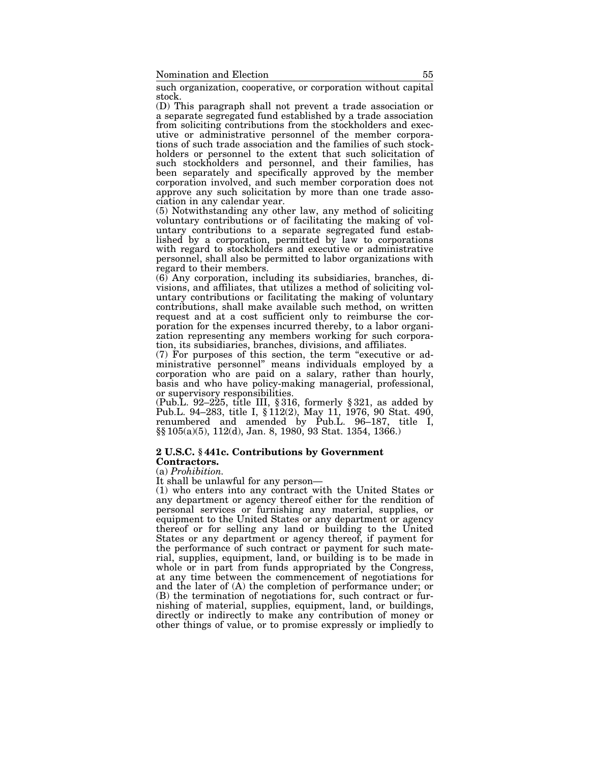such organization, cooperative, or corporation without capital stock.

(D) This paragraph shall not prevent a trade association or a separate segregated fund established by a trade association from soliciting contributions from the stockholders and executive or administrative personnel of the member corporations of such trade association and the families of such stockholders or personnel to the extent that such solicitation of such stockholders and personnel, and their families, has been separately and specifically approved by the member corporation involved, and such member corporation does not approve any such solicitation by more than one trade association in any calendar year.

(5) Notwithstanding any other law, any method of soliciting voluntary contributions or of facilitating the making of voluntary contributions to a separate segregated fund established by a corporation, permitted by law to corporations with regard to stockholders and executive or administrative personnel, shall also be permitted to labor organizations with regard to their members.

(6) Any corporation, including its subsidiaries, branches, divisions, and affiliates, that utilizes a method of soliciting voluntary contributions or facilitating the making of voluntary contributions, shall make available such method, on written request and at a cost sufficient only to reimburse the corporation for the expenses incurred thereby, to a labor organization representing any members working for such corporation, its subsidiaries, branches, divisions, and affiliates.

(7) For purposes of this section, the term ''executive or administrative personnel'' means individuals employed by a corporation who are paid on a salary, rather than hourly, basis and who have policy-making managerial, professional, or supervisory responsibilities.

(Pub.L. 92–225, title III, § 316, formerly § 321, as added by Pub.L. 94–283, title I, § 112(2), May 11, 1976, 90 Stat. 490, renumbered and amended by Pub.L. 96–187, title I, §§ 105(a)(5), 112(d), Jan. 8, 1980, 93 Stat. 1354, 1366.)

#### **2 U.S.C. § 441c. Contributions by Government Contractors.**

# (a) *Prohibition.*

It shall be unlawful for any person—

(1) who enters into any contract with the United States or any department or agency thereof either for the rendition of personal services or furnishing any material, supplies, or equipment to the United States or any department or agency thereof or for selling any land or building to the United States or any department or agency thereof, if payment for the performance of such contract or payment for such material, supplies, equipment, land, or building is to be made in whole or in part from funds appropriated by the Congress, at any time between the commencement of negotiations for and the later of (A) the completion of performance under; or (B) the termination of negotiations for, such contract or furnishing of material, supplies, equipment, land, or buildings, directly or indirectly to make any contribution of money or other things of value, or to promise expressly or impliedly to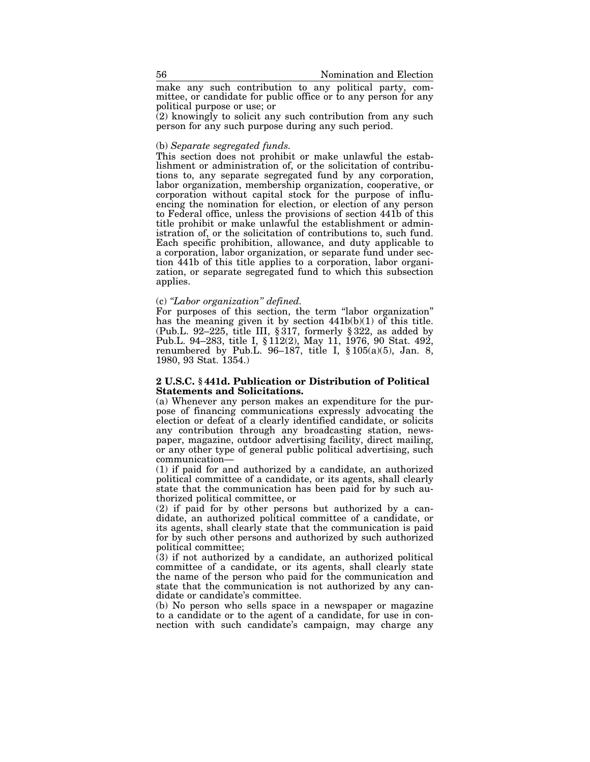make any such contribution to any political party, committee, or candidate for public office or to any person for any political purpose or use; or

(2) knowingly to solicit any such contribution from any such person for any such purpose during any such period.

#### (b) *Separate segregated funds.*

This section does not prohibit or make unlawful the establishment or administration of, or the solicitation of contributions to, any separate segregated fund by any corporation, labor organization, membership organization, cooperative, or corporation without capital stock for the purpose of influencing the nomination for election, or election of any person to Federal office, unless the provisions of section 441b of this title prohibit or make unlawful the establishment or administration of, or the solicitation of contributions to, such fund. Each specific prohibition, allowance, and duty applicable to a corporation, labor organization, or separate fund under section 441b of this title applies to a corporation, labor organization, or separate segregated fund to which this subsection applies.

### (c) *''Labor organization'' defined.*

For purposes of this section, the term "labor organization" has the meaning given it by section  $441b(b)(1)$  of this title. (Pub.L. 92–225, title III, § 317, formerly § 322, as added by Pub.L. 94–283, title I, § 112(2), May 11, 1976, 90 Stat. 492, renumbered by Pub.L. 96–187, title I, § 105(a)(5), Jan. 8, 1980, 93 Stat. 1354.)

### **2 U.S.C. § 441d. Publication or Distribution of Political Statements and Solicitations.**

(a) Whenever any person makes an expenditure for the purpose of financing communications expressly advocating the election or defeat of a clearly identified candidate, or solicits any contribution through any broadcasting station, newspaper, magazine, outdoor advertising facility, direct mailing, or any other type of general public political advertising, such communication—

(1) if paid for and authorized by a candidate, an authorized political committee of a candidate, or its agents, shall clearly state that the communication has been paid for by such authorized political committee, or

(2) if paid for by other persons but authorized by a candidate, an authorized political committee of a candidate, or its agents, shall clearly state that the communication is paid for by such other persons and authorized by such authorized political committee;

 $(3)$  if not authorized by a candidate, an authorized political committee of a candidate, or its agents, shall clearly state the name of the person who paid for the communication and state that the communication is not authorized by any candidate or candidate's committee.

(b) No person who sells space in a newspaper or magazine to a candidate or to the agent of a candidate, for use in connection with such candidate's campaign, may charge any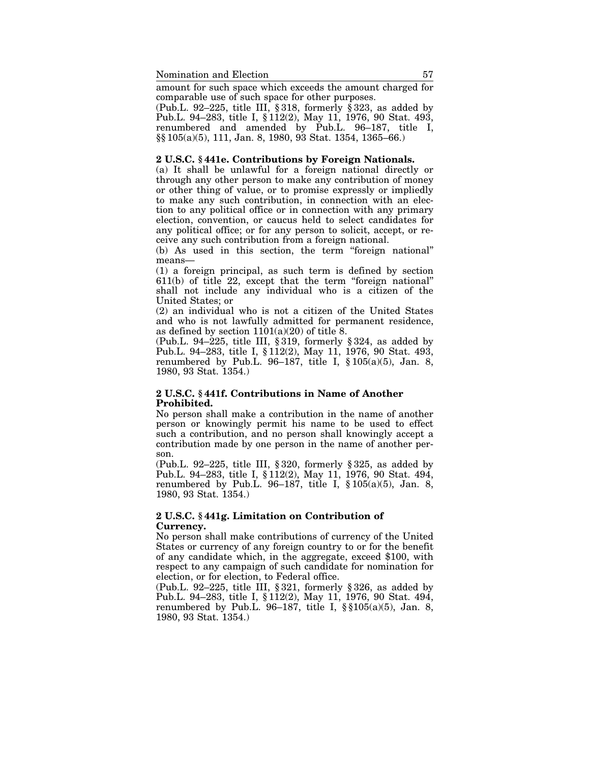amount for such space which exceeds the amount charged for comparable use of such space for other purposes.

(Pub.L. 92–225, title III, § 318, formerly § 323, as added by Pub.L. 94–283, title I, § 112(2), May 11, 1976, 90 Stat. 493, renumbered and amended by Pub.L. 96–187, title I, §§ 105(a)(5), 111, Jan. 8, 1980, 93 Stat. 1354, 1365–66.)

# **2 U.S.C. § 441e. Contributions by Foreign Nationals.**

(a) It shall be unlawful for a foreign national directly or through any other person to make any contribution of money or other thing of value, or to promise expressly or impliedly to make any such contribution, in connection with an election to any political office or in connection with any primary election, convention, or caucus held to select candidates for any political office; or for any person to solicit, accept, or receive any such contribution from a foreign national.

(b) As used in this section, the term ''foreign national'' means—

(1) a foreign principal, as such term is defined by section 611(b) of title 22, except that the term ''foreign national'' shall not include any individual who is a citizen of the United States; or

(2) an individual who is not a citizen of the United States and who is not lawfully admitted for permanent residence, as defined by section  $1101(a)(20)$  of title 8.

(Pub.L. 94–225, title III, § 319, formerly § 324, as added by Pub.L. 94–283, title I, § 112(2), May 11, 1976, 90 Stat. 493, renumbered by Pub.L. 96-187, title I,  $$105(a)(5)$ , Jan. 8, 1980, 93 Stat. 1354.)

# **2 U.S.C. § 441f. Contributions in Name of Another Prohibited.**

No person shall make a contribution in the name of another person or knowingly permit his name to be used to effect such a contribution, and no person shall knowingly accept a contribution made by one person in the name of another person.

(Pub.L. 92–225, title III, § 320, formerly § 325, as added by Pub.L. 94–283, title I, § 112(2), May 11, 1976, 90 Stat. 494, renumbered by Pub.L. 96–187, title I,  $$105(a)(5)$ , Jan. 8, 1980, 93 Stat. 1354.)

# **2 U.S.C. § 441g. Limitation on Contribution of Currency.**

No person shall make contributions of currency of the United States or currency of any foreign country to or for the benefit of any candidate which, in the aggregate, exceed \$100, with respect to any campaign of such candidate for nomination for election, or for election, to Federal office.

(Pub.L. 92–225, title III, § 321, formerly § 326, as added by Pub.L. 94–283, title I, § 112(2), May 11, 1976, 90 Stat. 494, renumbered by Pub.L. 96-187, title I,  $\S$  $105(a)(5)$ , Jan. 8, 1980, 93 Stat. 1354.)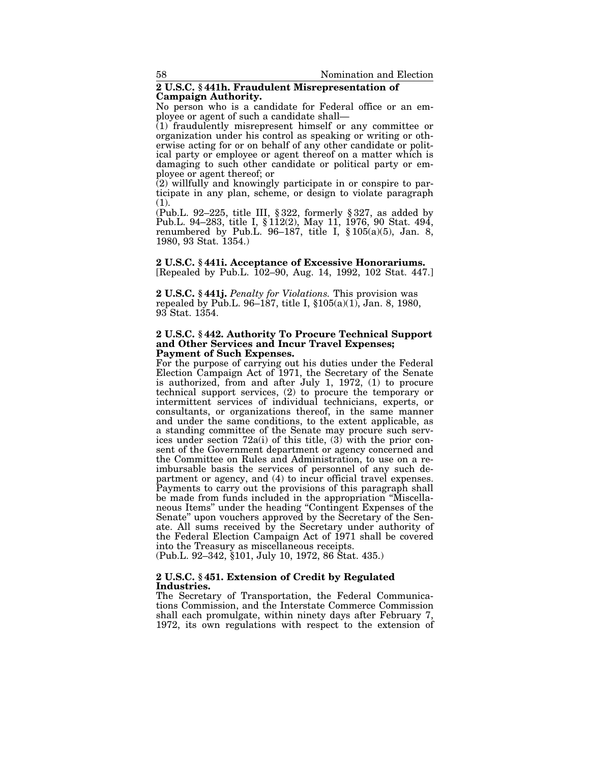# **2 U.S.C. § 441h. Fraudulent Misrepresentation of Campaign Authority.**

No person who is a candidate for Federal office or an employee or agent of such a candidate shall—

(1) fraudulently misrepresent himself or any committee or organization under his control as speaking or writing or otherwise acting for or on behalf of any other candidate or political party or employee or agent thereof on a matter which is damaging to such other candidate or political party or employee or agent thereof; or

(2) willfully and knowingly participate in or conspire to participate in any plan, scheme, or design to violate paragraph (1).

(Pub.L. 92–225, title III, § 322, formerly § 327, as added by Pub.L. 94–283, title I, § 112(2), May 11, 1976, 90 Stat. 494, renumbered by Pub.L. 96–187, title I, § 105(a)(5), Jan. 8, 1980, 93 Stat. 1354.)

**2 U.S.C. § 441i. Acceptance of Excessive Honorariums.** [Repealed by Pub.L. 102–90, Aug. 14, 1992, 102 Stat. 447.]

**2 U.S.C. § 441j.** *Penalty for Violations.* This provision was repealed by Pub.L. 96–187, title I,  $$105(a)(1)$ , Jan. 8, 1980, 93 Stat. 1354.

### **2 U.S.C. § 442. Authority To Procure Technical Support and Other Services and Incur Travel Expenses; Payment of Such Expenses.**

For the purpose of carrying out his duties under the Federal Election Campaign Act of 1971, the Secretary of the Senate is authorized, from and after July 1, 1972, (1) to procure technical support services, (2) to procure the temporary or intermittent services of individual technicians, experts, or consultants, or organizations thereof, in the same manner and under the same conditions, to the extent applicable, as a standing committee of the Senate may procure such services under section  $72a(i)$  of this title,  $(3)$  with the prior consent of the Government department or agency concerned and the Committee on Rules and Administration, to use on a reimbursable basis the services of personnel of any such department or agency, and (4) to incur official travel expenses. Payments to carry out the provisions of this paragraph shall be made from funds included in the appropriation ''Miscellaneous Items'' under the heading ''Contingent Expenses of the Senate'' upon vouchers approved by the Secretary of the Senate. All sums received by the Secretary under authority of the Federal Election Campaign Act of 1971 shall be covered into the Treasury as miscellaneous receipts.

(Pub.L. 92–342, §101, July 10, 1972, 86 Stat. 435.)

# **2 U.S.C. § 451. Extension of Credit by Regulated Industries.**

The Secretary of Transportation, the Federal Communications Commission, and the Interstate Commerce Commission shall each promulgate, within ninety days after February 7, 1972, its own regulations with respect to the extension of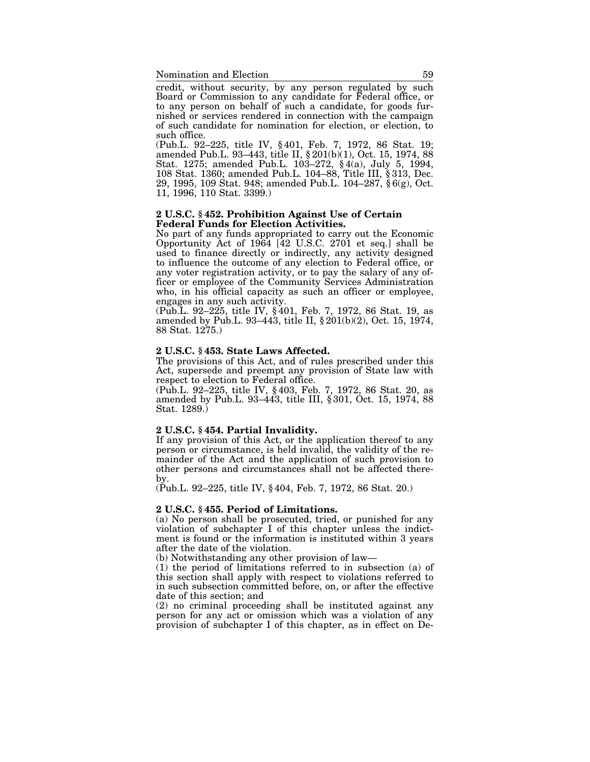credit, without security, by any person regulated by such Board or Commission to any candidate for Federal office, or to any person on behalf of such a candidate, for goods furnished or services rendered in connection with the campaign of such candidate for nomination for election, or election, to such office.

(Pub.L. 92–225, title IV, § 401, Feb. 7, 1972, 86 Stat. 19; amended Pub.L. 93–443, title II, § 201(b)(1), Oct. 15, 1974, 88 Stat. 1275; amended Pub.L. 103–272, § 4(a), July 5, 1994, 108 Stat. 1360; amended Pub.L. 104–88, Title III, § 313, Dec. 29, 1995, 109 Stat. 948; amended Pub.L. 104–287, § 6(g), Oct. 11, 1996, 110 Stat. 3399.)

# **2 U.S.C. § 452. Prohibition Against Use of Certain Federal Funds for Election Activities.**

No part of any funds appropriated to carry out the Economic Opportunity Act of 1964 [42 U.S.C. 2701 et seq.] shall be used to finance directly or indirectly, any activity designed to influence the outcome of any election to Federal office, or any voter registration activity, or to pay the salary of any officer or employee of the Community Services Administration who, in his official capacity as such an officer or employee, engages in any such activity.

(Pub.L. 92–225, title IV, § 401, Feb. 7, 1972, 86 Stat. 19, as amended by Pub.L. 93–443, title II, § 201(b)(2), Oct. 15, 1974, 88 Stat. 1275.)

# **2 U.S.C. § 453. State Laws Affected.**

The provisions of this Act, and of rules prescribed under this Act, supersede and preempt any provision of State law with respect to election to Federal office.

(Pub.L. 92–225, title IV, § 403, Feb. 7, 1972, 86 Stat. 20, as amended by Pub.L. 93–443, title III, § 301, Oct. 15, 1974, 88 Stat. 1289.)

### **2 U.S.C. § 454. Partial Invalidity.**

If any provision of this Act, or the application thereof to any person or circumstance, is held invalid, the validity of the remainder of the Act and the application of such provision to other persons and circumstances shall not be affected thereby.

(Pub.L. 92–225, title IV, § 404, Feb. 7, 1972, 86 Stat. 20.)

#### **2 U.S.C. § 455. Period of Limitations.**

(a) No person shall be prosecuted, tried, or punished for any violation of subchapter I of this chapter unless the indictment is found or the information is instituted within 3 years after the date of the violation.

(b) Notwithstanding any other provision of law—

(1) the period of limitations referred to in subsection (a) of this section shall apply with respect to violations referred to in such subsection committed before, on, or after the effective date of this section; and

(2) no criminal proceeding shall be instituted against any person for any act or omission which was a violation of any provision of subchapter I of this chapter, as in effect on De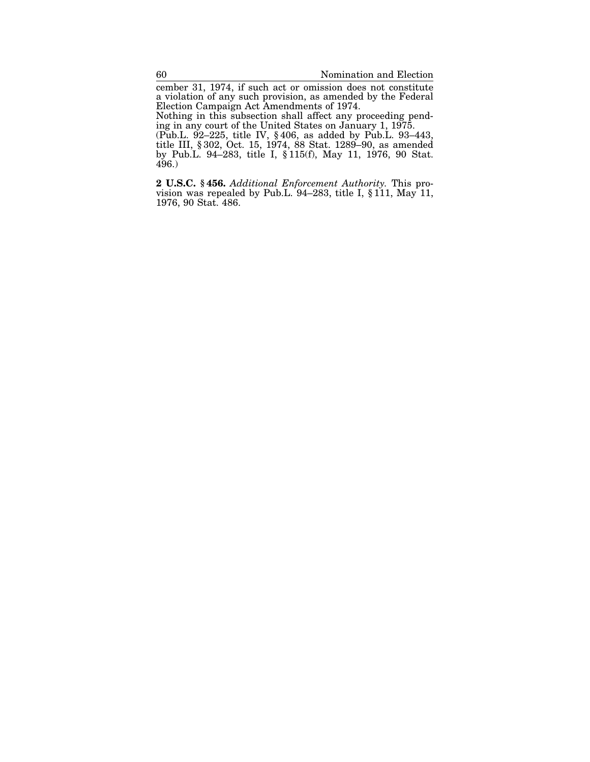cember 31, 1974, if such act or omission does not constitute a violation of any such provision, as amended by the Federal Election Campaign Act Amendments of 1974.

Nothing in this subsection shall affect any proceeding pending in any court of the United States on January 1, 1975. (Pub.L. 92–225, title IV, § 406, as added by Pub.L. 93–443, title III, § 302, Oct. 15, 1974, 88 Stat. 1289–90, as amended by Pub.L. 94–283, title I, § 115(f), May 11, 1976, 90 Stat. 496.)

**2 U.S.C. § 456.** *Additional Enforcement Authority.* This provision was repealed by Pub.L. 94-283, title I,  $\S 111$ , May 11, 1976, 90 Stat. 486.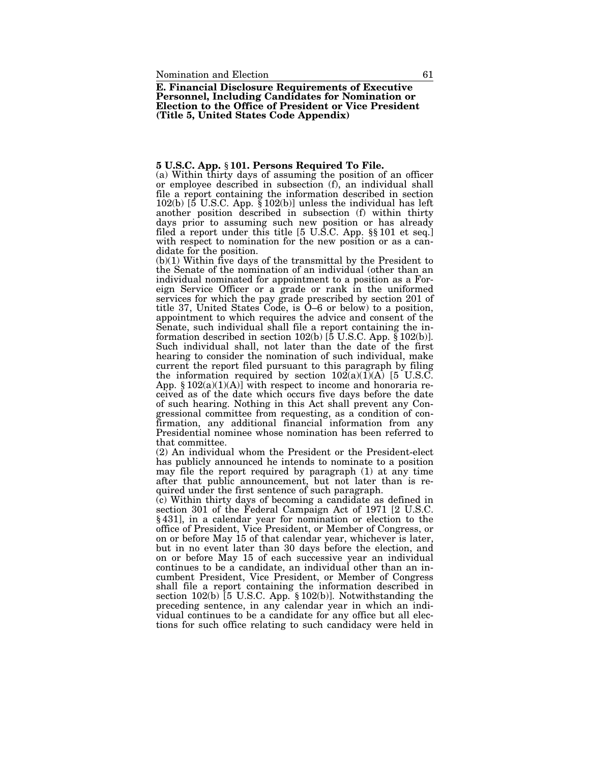**E. Financial Disclosure Requirements of Executive Personnel, Including Candidates for Nomination or Election to the Office of President or Vice President (Title 5, United States Code Appendix)**

# **5 U.S.C. App.** § **101. Persons Required To File.**

(a) Within thirty days of assuming the position of an officer or employee described in subsection (f), an individual shall file a report containing the information described in section 102(b) [ $\bar{5}$  U.S.C. App.  $\bar{8}$  102(b)] unless the individual has left another position described in subsection (f) within thirty days prior to assuming such new position or has already filed a report under this title [5 U.S.C. App. §§ 101 et seq.] with respect to nomination for the new position or as a candidate for the position.

(b)(1) Within five days of the transmittal by the President to the Senate of the nomination of an individual (other than an individual nominated for appointment to a position as a Foreign Service Officer or a grade or rank in the uniformed services for which the pay grade prescribed by section 201 of title 37, United States Code, is O–6 or below) to a position, appointment to which requires the advice and consent of the Senate, such individual shall file a report containing the information described in section 102(b) [5 U.S.C. App. § 102(b)]. Such individual shall, not later than the date of the first hearing to consider the nomination of such individual, make current the report filed pursuant to this paragraph by filing the information required by section  $102(a)(1)(A)$  [5 U.S.C. App.  $§ 102(a)(1)(A)]$  with respect to income and honoraria received as of the date which occurs five days before the date of such hearing. Nothing in this Act shall prevent any Congressional committee from requesting, as a condition of confirmation, any additional financial information from any Presidential nominee whose nomination has been referred to that committee.

(2) An individual whom the President or the President-elect has publicly announced he intends to nominate to a position may file the report required by paragraph (1) at any time after that public announcement, but not later than is required under the first sentence of such paragraph.

(c) Within thirty days of becoming a candidate as defined in section 301 of the Federal Campaign Act of 1971 [2 U.S.C. § 431], in a calendar year for nomination or election to the office of President, Vice President, or Member of Congress, or on or before May 15 of that calendar year, whichever is later, but in no event later than 30 days before the election, and on or before May 15 of each successive year an individual continues to be a candidate, an individual other than an incumbent President, Vice President, or Member of Congress shall file a report containing the information described in section 102(b) [5 U.S.C. App. § 102(b)]. Notwithstanding the preceding sentence, in any calendar year in which an individual continues to be a candidate for any office but all elections for such office relating to such candidacy were held in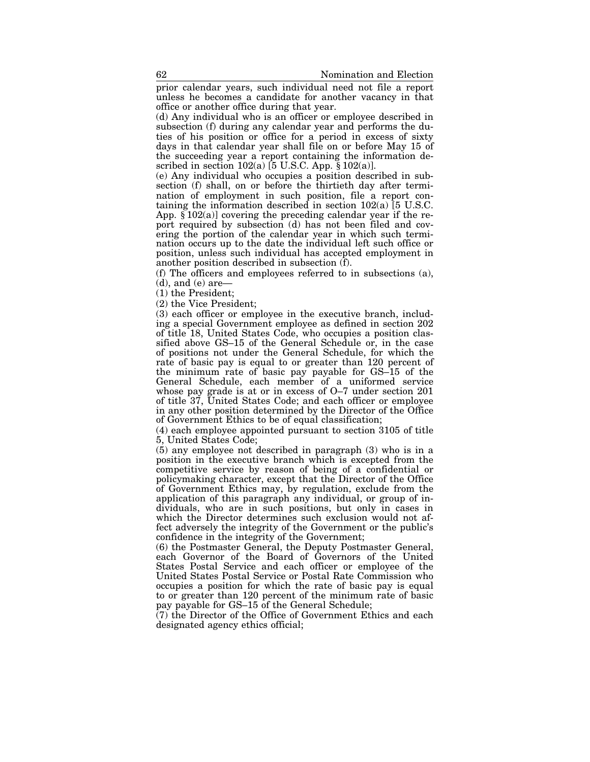prior calendar years, such individual need not file a report unless he becomes a candidate for another vacancy in that office or another office during that year.

(d) Any individual who is an officer or employee described in subsection (f) during any calendar year and performs the duties of his position or office for a period in excess of sixty days in that calendar year shall file on or before May 15 of the succeeding year a report containing the information described in section  $102(a)$  [5 U.S.C. App. §  $102(a)$ ].

(e) Any individual who occupies a position described in subsection (f) shall, on or before the thirtieth day after termination of employment in such position, file a report containing the information described in section  $102(a)$  [5 U.S.C.] App.  $\S 102(a)$  covering the preceding calendar year if the report required by subsection (d) has not been filed and covering the portion of the calendar year in which such termination occurs up to the date the individual left such office or position, unless such individual has accepted employment in another position described in subsection (f).

(f) The officers and employees referred to in subsections (a),  $(d)$ , and  $(e)$  are

(1) the President;

(2) the Vice President;

(3) each officer or employee in the executive branch, including a special Government employee as defined in section 202 of title 18, United States Code, who occupies a position classified above GS–15 of the General Schedule or, in the case of positions not under the General Schedule, for which the rate of basic pay is equal to or greater than 120 percent of the minimum rate of basic pay payable for GS–15 of the General Schedule, each member of a uniformed service whose pay grade is at or in excess of O–7 under section 201 of title 37, United States Code; and each officer or employee in any other position determined by the Director of the Office of Government Ethics to be of equal classification;

(4) each employee appointed pursuant to section 3105 of title 5, United States Code;

(5) any employee not described in paragraph (3) who is in a position in the executive branch which is excepted from the competitive service by reason of being of a confidential or policymaking character, except that the Director of the Office of Government Ethics may, by regulation, exclude from the application of this paragraph any individual, or group of individuals, who are in such positions, but only in cases in which the Director determines such exclusion would not affect adversely the integrity of the Government or the public's confidence in the integrity of the Government;

(6) the Postmaster General, the Deputy Postmaster General, each Governor of the Board of Governors of the United States Postal Service and each officer or employee of the United States Postal Service or Postal Rate Commission who occupies a position for which the rate of basic pay is equal to or greater than 120 percent of the minimum rate of basic pay payable for GS–15 of the General Schedule;

(7) the Director of the Office of Government Ethics and each designated agency ethics official;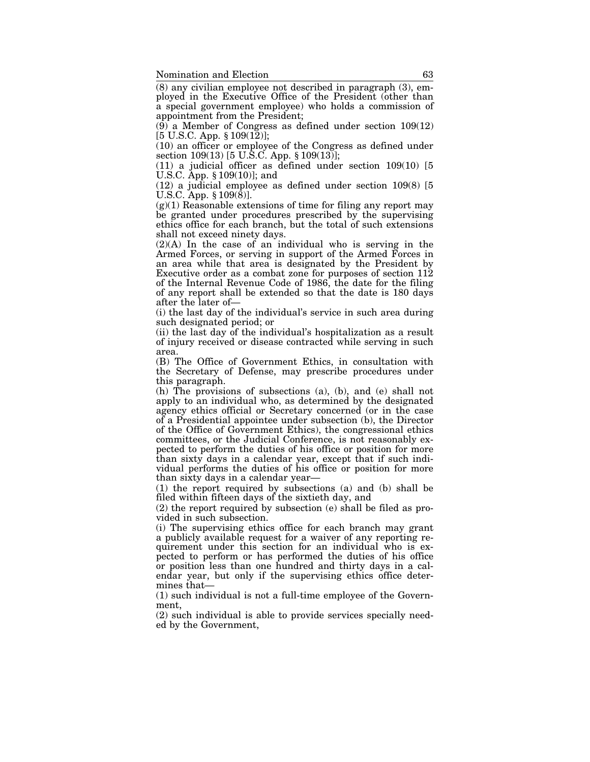(8) any civilian employee not described in paragraph (3), employed in the Executive Office of the President (other than a special government employee) who holds a commission of appointment from the President;

 $(9)$  a Member of Congress as defined under section 109(12) [5 U.S.C. App. § 109(12)];

(10) an officer or employee of the Congress as defined under section  $109(13)$  [5 U.S.C. App. §  $109(13)$ ];

(11) a judicial officer as defined under section 109(10) [5 U.S.C. App. § 109(10)]; and

(12) a judicial employee as defined under section 109(8) [5 U.S.C. App.  $\S 109(\bar{8})$ ].

 $(g)(1)$  Reasonable extensions of time for filing any report may be granted under procedures prescribed by the supervising ethics office for each branch, but the total of such extensions shall not exceed ninety days.

(2)(A) In the case of an individual who is serving in the Armed Forces, or serving in support of the Armed Forces in an area while that area is designated by the President by Executive order as a combat zone for purposes of section 112 of the Internal Revenue Code of 1986, the date for the filing of any report shall be extended so that the date is 180 days after the later of—

(i) the last day of the individual's service in such area during such designated period; or

(ii) the last day of the individual's hospitalization as a result of injury received or disease contracted while serving in such area.

(B) The Office of Government Ethics, in consultation with the Secretary of Defense, may prescribe procedures under this paragraph.

(h) The provisions of subsections (a), (b), and (e) shall not apply to an individual who, as determined by the designated agency ethics official or Secretary concerned (or in the case of a Presidential appointee under subsection (b), the Director of the Office of Government Ethics), the congressional ethics committees, or the Judicial Conference, is not reasonably expected to perform the duties of his office or position for more than sixty days in a calendar year, except that if such individual performs the duties of his office or position for more than sixty days in a calendar year—

(1) the report required by subsections (a) and (b) shall be filed within fifteen days of the sixtieth day, and

(2) the report required by subsection (e) shall be filed as provided in such subsection.

(i) The supervising ethics office for each branch may grant a publicly available request for a waiver of any reporting requirement under this section for an individual who is expected to perform or has performed the duties of his office or position less than one hundred and thirty days in a calendar year, but only if the supervising ethics office determines that—

(1) such individual is not a full-time employee of the Government,

(2) such individual is able to provide services specially needed by the Government,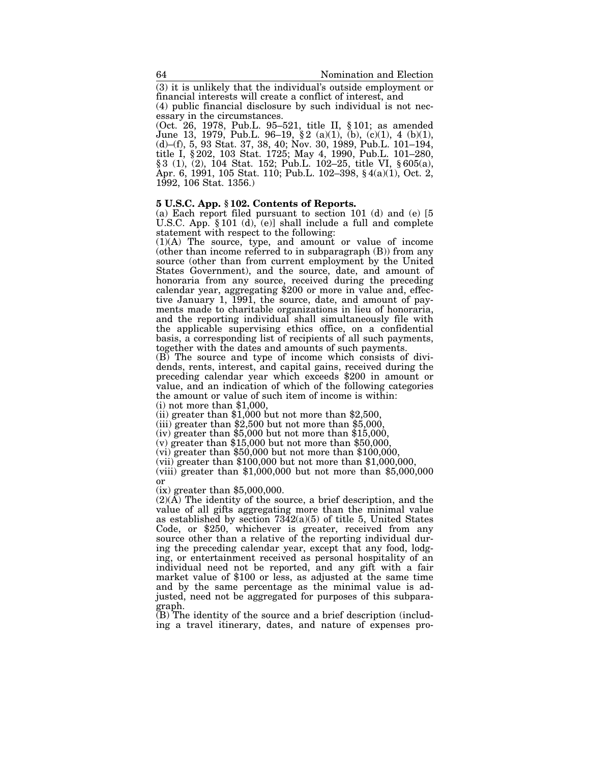(3) it is unlikely that the individual's outside employment or financial interests will create a conflict of interest, and (4) public financial disclosure by such individual is not necessary in the circumstances.

(Oct. 26, 1978, Pub.L. 95–521, title II, § 101; as amended June 13, 1979, Pub.L. 96–19, § 2 (a)(1), (b), (c)(1), 4 (b)(1), (d)–(f), 5, 93 Stat. 37, 38, 40; Nov. 30, 1989, Pub.L. 101–194, title I, § 202, 103 Stat. 1725; May 4, 1990, Pub.L. 101–280, § 3 (1), (2), 104 Stat. 152; Pub.L. 102–25, title VI, § 605(a), Apr. 6, 1991, 105 Stat. 110; Pub.L. 102–398, § 4(a)(1), Oct. 2, 1992, 106 Stat. 1356.)

#### **5 U.S.C. App. § 102. Contents of Reports.**

(a) Each report filed pursuant to section 101 (d) and (e) [5 U.S.C. App. § 101 (d), (e)] shall include a full and complete statement with respect to the following:

(1)(A) The source, type, and amount or value of income (other than income referred to in subparagraph (B)) from any source (other than from current employment by the United States Government), and the source, date, and amount of honoraria from any source, received during the preceding calendar year, aggregating \$200 or more in value and, effective January 1, 1991, the source, date, and amount of payments made to charitable organizations in lieu of honoraria, and the reporting individual shall simultaneously file with the applicable supervising ethics office, on a confidential basis, a corresponding list of recipients of all such payments, together with the dates and amounts of such payments.

(B) The source and type of income which consists of dividends, rents, interest, and capital gains, received during the preceding calendar year which exceeds \$200 in amount or value, and an indication of which of the following categories the amount or value of such item of income is within:

(i) not more than \$1,000,

(ii) greater than \$1,000 but not more than \$2,500,

(iii) greater than \$2,500 but not more than \$5,000,

(iv) greater than  $$5,000$  but not more than  $$15,000$ ,

(v) greater than  $$15,000$  but not more than  $$50,000$ .

 $(vi)$  greater than \$50,000 but not more than \$100,000,

(vii) greater than \$100,000 but not more than \$1,000,000,

(viii) greater than \$1,000,000 but not more than \$5,000,000 or

(ix) greater than \$5,000,000.

 $(2)(\overline{A})$  The identity of the source, a brief description, and the value of all gifts aggregating more than the minimal value as established by section  $7342(a)(5)$  of title 5, United States Code, or \$250, whichever is greater, received from any source other than a relative of the reporting individual during the preceding calendar year, except that any food, lodging, or entertainment received as personal hospitality of an individual need not be reported, and any gift with a fair market value of \$100 or less, as adjusted at the same time and by the same percentage as the minimal value is adjusted, need not be aggregated for purposes of this subparagraph.

(B) The identity of the source and a brief description (including a travel itinerary, dates, and nature of expenses pro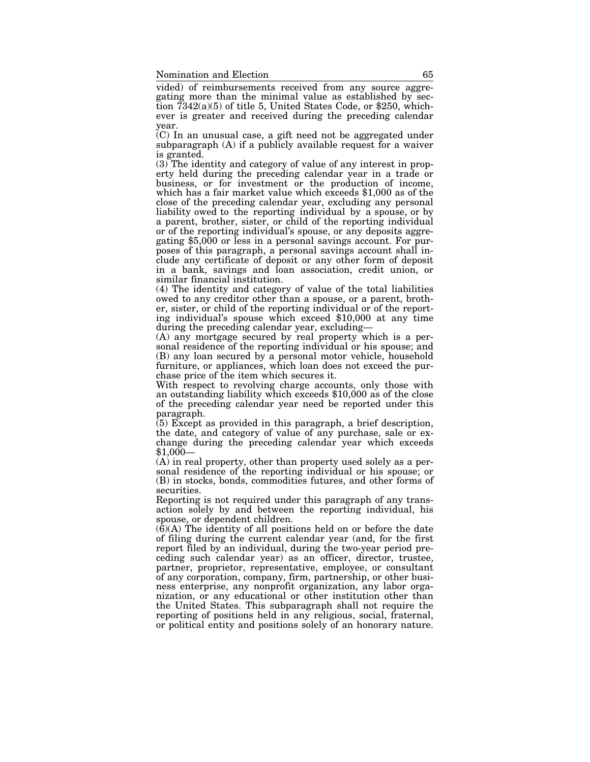vided) of reimbursements received from any source aggregating more than the minimal value as established by section 7342(a)(5) of title 5, United States Code, or \$250, whichever is greater and received during the preceding calendar year.

(C) In an unusual case, a gift need not be aggregated under subparagraph (A) if a publicly available request for a waiver is granted.

(3) The identity and category of value of any interest in property held during the preceding calendar year in a trade or business, or for investment or the production of income, which has a fair market value which exceeds \$1,000 as of the close of the preceding calendar year, excluding any personal liability owed to the reporting individual by a spouse, or by a parent, brother, sister, or child of the reporting individual or of the reporting individual's spouse, or any deposits aggregating \$5,000 or less in a personal savings account. For purposes of this paragraph, a personal savings account shall include any certificate of deposit or any other form of deposit in a bank, savings and loan association, credit union, or similar financial institution.

(4) The identity and category of value of the total liabilities owed to any creditor other than a spouse, or a parent, brother, sister, or child of the reporting individual or of the reporting individual's spouse which exceed \$10,000 at any time during the preceding calendar year, excluding—

(A) any mortgage secured by real property which is a personal residence of the reporting individual or his spouse; and (B) any loan secured by a personal motor vehicle, household furniture, or appliances, which loan does not exceed the purchase price of the item which secures it.

With respect to revolving charge accounts, only those with an outstanding liability which exceeds \$10,000 as of the close of the preceding calendar year need be reported under this paragraph.

(5) Except as provided in this paragraph, a brief description, the date, and category of value of any purchase, sale or exchange during the preceding calendar year which exceeds \$1,000—

(A) in real property, other than property used solely as a personal residence of the reporting individual or his spouse; or (B) in stocks, bonds, commodities futures, and other forms of securities.

Reporting is not required under this paragraph of any transaction solely by and between the reporting individual, his spouse, or dependent children.

 $(6)(A)$  The identity of all positions held on or before the date of filing during the current calendar year (and, for the first report filed by an individual, during the two-year period preceding such calendar year) as an officer, director, trustee, partner, proprietor, representative, employee, or consultant of any corporation, company, firm, partnership, or other business enterprise, any nonprofit organization, any labor organization, or any educational or other institution other than the United States. This subparagraph shall not require the reporting of positions held in any religious, social, fraternal, or political entity and positions solely of an honorary nature.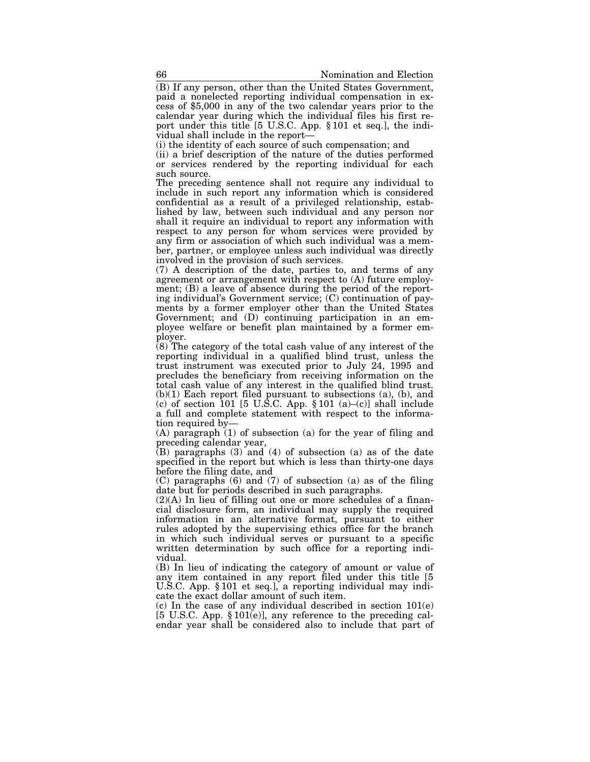(B) If any person, other than the United States Government, paid a nonelected reporting individual compensation in excess of \$5,000 in any of the two calendar years prior to the calendar year during which the individual files his first report under this title [5 U.S.C. App. § 101 et seq.], the individual shall include in the report—

(i) the identity of each source of such compensation; and

(ii) a brief description of the nature of the duties performed or services rendered by the reporting individual for each such source.

The preceding sentence shall not require any individual to include in such report any information which is considered confidential as a result of a privileged relationship, established by law, between such individual and any person nor shall it require an individual to report any information with respect to any person for whom services were provided by any firm or association of which such individual was a member, partner, or employee unless such individual was directly involved in the provision of such services.

(7) A description of the date, parties to, and terms of any agreement or arrangement with respect to (A) future employment; (B) a leave of absence during the period of the reporting individual's Government service; (C) continuation of payments by a former employer other than the United States Government; and (D) continuing participation in an employee welfare or benefit plan maintained by a former employer.

(8) The category of the total cash value of any interest of the reporting individual in a qualified blind trust, unless the trust instrument was executed prior to July 24, 1995 and precludes the beneficiary from receiving information on the total cash value of any interest in the qualified blind trust. (b)(1) Each report filed pursuant to subsections (a), (b), and (c) of section 101 [5 U.S.C. App. § 101 (a)–(c)] shall include a full and complete statement with respect to the information required by—

(A) paragraph (1) of subsection (a) for the year of filing and preceding calendar year,

 $(B)$  paragraphs  $(3)$  and  $(4)$  of subsection  $(a)$  as of the date specified in the report but which is less than thirty-one days before the filing date, and

(C) paragraphs (6) and (7) of subsection (a) as of the filing date but for periods described in such paragraphs.

 $(2)(A)$  In lieu of filling out one or more schedules of a financial disclosure form, an individual may supply the required information in an alternative format, pursuant to either rules adopted by the supervising ethics office for the branch in which such individual serves or pursuant to a specific written determination by such office for a reporting individual.

(B) In lieu of indicating the category of amount or value of any item contained in any report filed under this title [5 U.S.C. App. § 101 et seq.], a reporting individual may indicate the exact dollar amount of such item.

(c) In the case of any individual described in section 101(e) [5 U.S.C. App. § 101(e)], any reference to the preceding calendar year shall be considered also to include that part of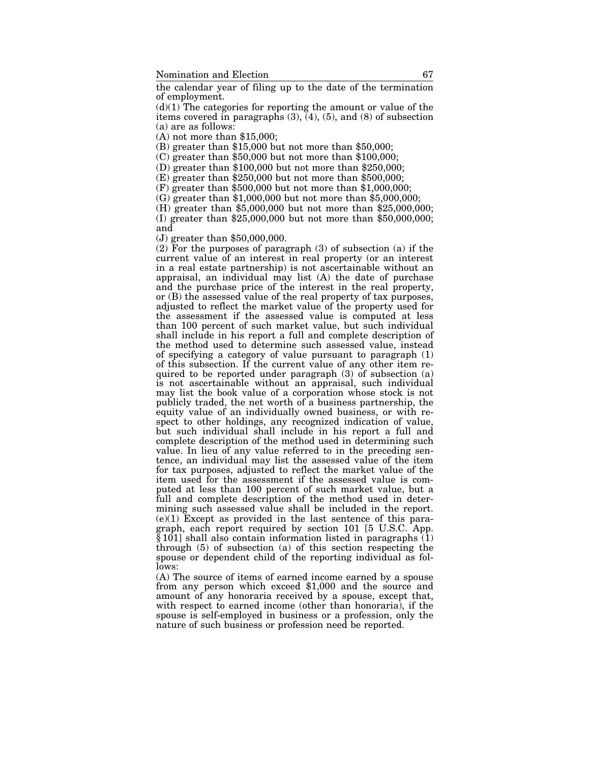the calendar year of filing up to the date of the termination of employment.

 $(d)(1)$  The categories for reporting the amount or value of the items covered in paragraphs  $(3)$ ,  $(4)$ ,  $(5)$ , and  $(8)$  of subsection (a) are as follows:

(A) not more than \$15,000;

(B) greater than \$15,000 but not more than \$50,000;

(C) greater than \$50,000 but not more than \$100,000;

(D) greater than \$100,000 but not more than \$250,000;

(E) greater than \$250,000 but not more than \$500,000;

(F) greater than \$500,000 but not more than \$1,000,000;

(G) greater than \$1,000,000 but not more than \$5,000,000;

(H) greater than \$5,000,000 but not more than \$25,000,000;

(I) greater than \$25,000,000 but not more than \$50,000,000; and

(J) greater than \$50,000,000.

(2) For the purposes of paragraph (3) of subsection (a) if the current value of an interest in real property (or an interest in a real estate partnership) is not ascertainable without an appraisal, an individual may list (A) the date of purchase and the purchase price of the interest in the real property, or (B) the assessed value of the real property of tax purposes, adjusted to reflect the market value of the property used for the assessment if the assessed value is computed at less than 100 percent of such market value, but such individual shall include in his report a full and complete description of the method used to determine such assessed value, instead of specifying a category of value pursuant to paragraph (1) of this subsection. If the current value of any other item required to be reported under paragraph  $(3)$  of subsection  $(a)$ is not ascertainable without an appraisal, such individual may list the book value of a corporation whose stock is not publicly traded, the net worth of a business partnership, the equity value of an individually owned business, or with respect to other holdings, any recognized indication of value, but such individual shall include in his report a full and complete description of the method used in determining such value. In lieu of any value referred to in the preceding sentence, an individual may list the assessed value of the item for tax purposes, adjusted to reflect the market value of the item used for the assessment if the assessed value is computed at less than 100 percent of such market value, but a full and complete description of the method used in determining such assessed value shall be included in the report. (e)(1) Except as provided in the last sentence of this paragraph, each report required by section 101 [5 U.S.C. App.  $\S 101$  shall also contain information listed in paragraphs  $(1)$ through (5) of subsection (a) of this section respecting the spouse or dependent child of the reporting individual as follows:

(A) The source of items of earned income earned by a spouse from any person which exceed \$1,000 and the source and amount of any honoraria received by a spouse, except that, with respect to earned income (other than honoraria), if the spouse is self-employed in business or a profession, only the nature of such business or profession need be reported.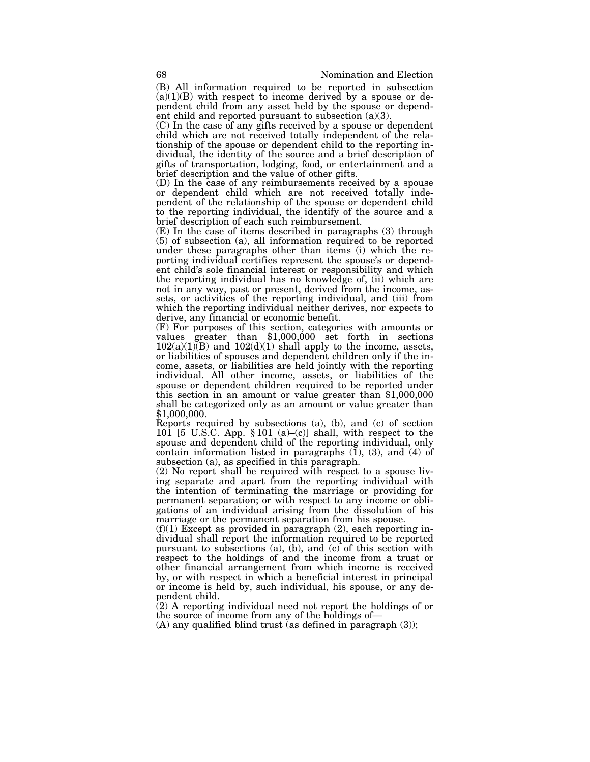(B) All information required to be reported in subsection  $(a)(1)(B)$  with respect to income derived by a spouse or dependent child from any asset held by the spouse or dependent child and reported pursuant to subsection (a)(3).

(C) In the case of any gifts received by a spouse or dependent child which are not received totally independent of the relationship of the spouse or dependent child to the reporting individual, the identity of the source and a brief description of gifts of transportation, lodging, food, or entertainment and a brief description and the value of other gifts.

(D) In the case of any reimbursements received by a spouse or dependent child which are not received totally independent of the relationship of the spouse or dependent child to the reporting individual, the identify of the source and a brief description of each such reimbursement.

(E) In the case of items described in paragraphs (3) through (5) of subsection (a), all information required to be reported under these paragraphs other than items (i) which the reporting individual certifies represent the spouse's or dependent child's sole financial interest or responsibility and which the reporting individual has no knowledge of, (ii) which are not in any way, past or present, derived from the income, assets, or activities of the reporting individual, and (iii) from which the reporting individual neither derives, nor expects to derive, any financial or economic benefit.

(F) For purposes of this section, categories with amounts or values greater than \$1,000,000 set forth in sections  $102(a)(1)(B)$  and  $102(d)(1)$  shall apply to the income, assets, or liabilities of spouses and dependent children only if the income, assets, or liabilities are held jointly with the reporting individual. All other income, assets, or liabilities of the spouse or dependent children required to be reported under this section in an amount or value greater than \$1,000,000 shall be categorized only as an amount or value greater than \$1,000,000.

Reports required by subsections (a), (b), and (c) of section 101 [5 U.S.C. App. § 101 (a)–(c)] shall, with respect to the spouse and dependent child of the reporting individual, only contain information listed in paragraphs (1), (3), and (4) of subsection (a), as specified in this paragraph.

(2) No report shall be required with respect to a spouse living separate and apart from the reporting individual with the intention of terminating the marriage or providing for permanent separation; or with respect to any income or obligations of an individual arising from the dissolution of his marriage or the permanent separation from his spouse.

 $(f)(1)$  Except as provided in paragraph  $(2)$ , each reporting individual shall report the information required to be reported pursuant to subsections (a), (b), and (c) of this section with respect to the holdings of and the income from a trust or other financial arrangement from which income is received by, or with respect in which a beneficial interest in principal or income is held by, such individual, his spouse, or any dependent child.

(2) A reporting individual need not report the holdings of or the source of income from any of the holdings of—

(A) any qualified blind trust (as defined in paragraph (3));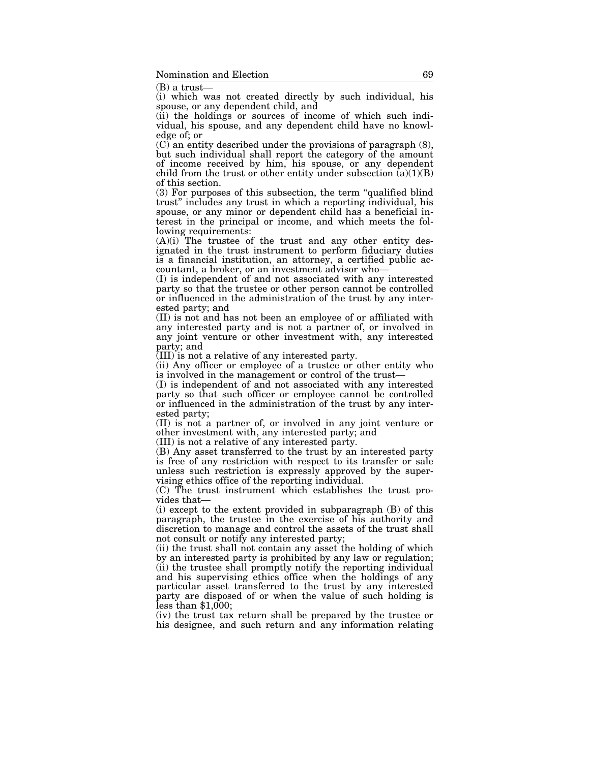$(B)$  a trust—

(i) which was not created directly by such individual, his spouse, or any dependent child, and

(ii) the holdings or sources of income of which such individual, his spouse, and any dependent child have no knowledge of; or

(C) an entity described under the provisions of paragraph (8), but such individual shall report the category of the amount of income received by him, his spouse, or any dependent child from the trust or other entity under subsection  $(a)(1)(B)$ of this section.

(3) For purposes of this subsection, the term ''qualified blind trust'' includes any trust in which a reporting individual, his spouse, or any minor or dependent child has a beneficial interest in the principal or income, and which meets the following requirements:

 $(A)(i)$  The trustee of the trust and any other entity designated in the trust instrument to perform fiduciary duties is a financial institution, an attorney, a certified public accountant, a broker, or an investment advisor who—

(I) is independent of and not associated with any interested party so that the trustee or other person cannot be controlled or influenced in the administration of the trust by any interested party; and

(II) is not and has not been an employee of or affiliated with any interested party and is not a partner of, or involved in any joint venture or other investment with, any interested party; and

(III) is not a relative of any interested party.

(ii) Any officer or employee of a trustee or other entity who is involved in the management or control of the trust—

(I) is independent of and not associated with any interested party so that such officer or employee cannot be controlled or influenced in the administration of the trust by any interested party;

(II) is not a partner of, or involved in any joint venture or other investment with, any interested party; and

(III) is not a relative of any interested party.

(B) Any asset transferred to the trust by an interested party is free of any restriction with respect to its transfer or sale unless such restriction is expressly approved by the supervising ethics office of the reporting individual.

(C) The trust instrument which establishes the trust provides that—

(i) except to the extent provided in subparagraph (B) of this paragraph, the trustee in the exercise of his authority and discretion to manage and control the assets of the trust shall not consult or notify any interested party;

(ii) the trust shall not contain any asset the holding of which by an interested party is prohibited by any law or regulation; (ii) the trustee shall promptly notify the reporting individual and his supervising ethics office when the holdings of any particular asset transferred to the trust by any interested party are disposed of or when the value of such holding is less than \$1,000;

(iv) the trust tax return shall be prepared by the trustee or his designee, and such return and any information relating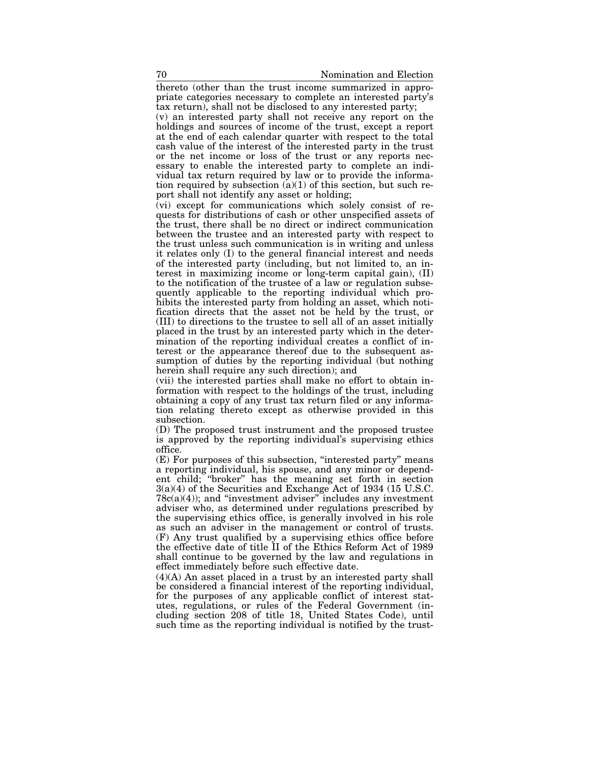thereto (other than the trust income summarized in appropriate categories necessary to complete an interested party's tax return), shall not be disclosed to any interested party;

(v) an interested party shall not receive any report on the holdings and sources of income of the trust, except a report at the end of each calendar quarter with respect to the total cash value of the interest of the interested party in the trust or the net income or loss of the trust or any reports necessary to enable the interested party to complete an individual tax return required by law or to provide the information required by subsection  $(a)(1)$  of this section, but such report shall not identify any asset or holding;

(vi) except for communications which solely consist of requests for distributions of cash or other unspecified assets of the trust, there shall be no direct or indirect communication between the trustee and an interested party with respect to the trust unless such communication is in writing and unless it relates only (I) to the general financial interest and needs of the interested party (including, but not limited to, an interest in maximizing income or long-term capital gain), (II) to the notification of the trustee of a law or regulation subsequently applicable to the reporting individual which prohibits the interested party from holding an asset, which notification directs that the asset not be held by the trust, or (III) to directions to the trustee to sell all of an asset initially placed in the trust by an interested party which in the determination of the reporting individual creates a conflict of interest or the appearance thereof due to the subsequent assumption of duties by the reporting individual (but nothing herein shall require any such direction); and

(vii) the interested parties shall make no effort to obtain information with respect to the holdings of the trust, including obtaining a copy of any trust tax return filed or any information relating thereto except as otherwise provided in this subsection.

(D) The proposed trust instrument and the proposed trustee is approved by the reporting individual's supervising ethics office.

(E) For purposes of this subsection, ''interested party'' means a reporting individual, his spouse, and any minor or dependent child; ''broker'' has the meaning set forth in section 3(a)(4) of the Securities and Exchange Act of 1934 (15 U.S.C.  $78c(a)(4)$ ; and "investment adviser" includes any investment adviser who, as determined under regulations prescribed by the supervising ethics office, is generally involved in his role as such an adviser in the management or control of trusts. (F) Any trust qualified by a supervising ethics office before the effective date of title II of the Ethics Reform Act of 1989 shall continue to be governed by the law and regulations in effect immediately before such effective date.

(4)(A) An asset placed in a trust by an interested party shall be considered a financial interest of the reporting individual, for the purposes of any applicable conflict of interest statutes, regulations, or rules of the Federal Government (including section 208 of title 18, United States Code), until such time as the reporting individual is notified by the trust-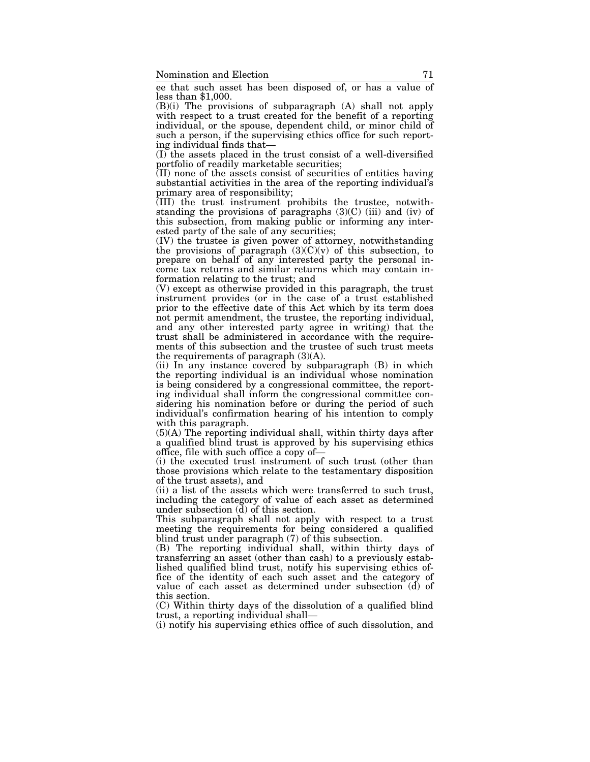ee that such asset has been disposed of, or has a value of less than \$1,000.

(B)(i) The provisions of subparagraph (A) shall not apply with respect to a trust created for the benefit of a reporting individual, or the spouse, dependent child, or minor child of such a person, if the supervising ethics office for such reporting individual finds that—

(I) the assets placed in the trust consist of a well-diversified portfolio of readily marketable securities;

(II) none of the assets consist of securities of entities having substantial activities in the area of the reporting individual's primary area of responsibility;

(III) the trust instrument prohibits the trustee, notwithstanding the provisions of paragraphs (3)(C) (iii) and (iv) of this subsection, from making public or informing any interested party of the sale of any securities;

(IV) the trustee is given power of attorney, notwithstanding the provisions of paragraph  $(3)(C)(v)$  of this subsection, to prepare on behalf of any interested party the personal income tax returns and similar returns which may contain information relating to the trust; and

(V) except as otherwise provided in this paragraph, the trust instrument provides (or in the case of a trust established prior to the effective date of this Act which by its term does not permit amendment, the trustee, the reporting individual, and any other interested party agree in writing) that the trust shall be administered in accordance with the requirements of this subsection and the trustee of such trust meets the requirements of paragraph (3)(A).

(ii) In any instance covered by subparagraph (B) in which the reporting individual is an individual whose nomination is being considered by a congressional committee, the reporting individual shall inform the congressional committee considering his nomination before or during the period of such individual's confirmation hearing of his intention to comply with this paragraph.

(5)(A) The reporting individual shall, within thirty days after a qualified blind trust is approved by his supervising ethics office, file with such office a copy of—

(i) the executed trust instrument of such trust (other than those provisions which relate to the testamentary disposition of the trust assets), and

(ii) a list of the assets which were transferred to such trust, including the category of value of each asset as determined under subsection (d) of this section.

This subparagraph shall not apply with respect to a trust meeting the requirements for being considered a qualified blind trust under paragraph (7) of this subsection.

(B) The reporting individual shall, within thirty days of transferring an asset (other than cash) to a previously established qualified blind trust, notify his supervising ethics office of the identity of each such asset and the category of value of each asset as determined under subsection (d) of this section.

(C) Within thirty days of the dissolution of a qualified blind trust, a reporting individual shall—

(i) notify his supervising ethics office of such dissolution, and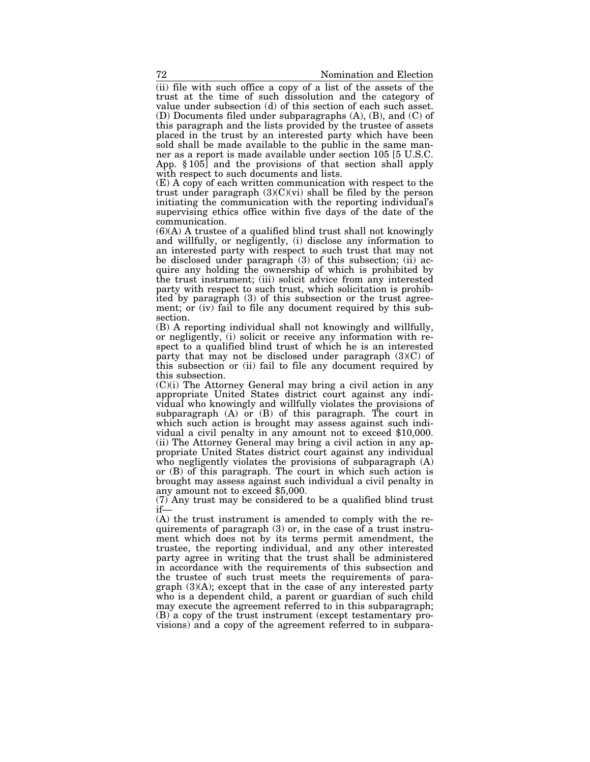(ii) file with such office a copy of a list of the assets of the trust at the time of such dissolution and the category of value under subsection (d) of this section of each such asset. (D) Documents filed under subparagraphs (A), (B), and (C) of this paragraph and the lists provided by the trustee of assets placed in the trust by an interested party which have been sold shall be made available to the public in the same manner as a report is made available under section 105 [5 U.S.C. App. § 105] and the provisions of that section shall apply with respect to such documents and lists.

(E) A copy of each written communication with respect to the trust under paragraph  $(3)(C)(vi)$  shall be filed by the person initiating the communication with the reporting individual's supervising ethics office within five days of the date of the communication.

 $(6)(A)$  A trustee of a qualified blind trust shall not knowingly and willfully, or negligently, (i) disclose any information to an interested party with respect to such trust that may not be disclosed under paragraph (3) of this subsection; (ii) acquire any holding the ownership of which is prohibited by the trust instrument; (iii) solicit advice from any interested party with respect to such trust, which solicitation is prohibited by paragraph (3) of this subsection or the trust agreement; or (iv) fail to file any document required by this subsection.

(B) A reporting individual shall not knowingly and willfully, or negligently, (i) solicit or receive any information with respect to a qualified blind trust of which he is an interested party that may not be disclosed under paragraph  $(3)(C)$  of this subsection or (ii) fail to file any document required by this subsection.

(C)(i) The Attorney General may bring a civil action in any appropriate United States district court against any individual who knowingly and willfully violates the provisions of subparagraph (A) or (B) of this paragraph. The court in which such action is brought may assess against such individual a civil penalty in any amount not to exceed \$10,000. (ii) The Attorney General may bring a civil action in any appropriate United States district court against any individual who negligently violates the provisions of subparagraph (A) or (B) of this paragraph. The court in which such action is brought may assess against such individual a civil penalty in any amount not to exceed \$5,000.

(7) Any trust may be considered to be a qualified blind trust if—

(A) the trust instrument is amended to comply with the requirements of paragraph (3) or, in the case of a trust instrument which does not by its terms permit amendment, the trustee, the reporting individual, and any other interested party agree in writing that the trust shall be administered in accordance with the requirements of this subsection and the trustee of such trust meets the requirements of paragraph (3)(A); except that in the case of any interested party who is a dependent child, a parent or guardian of such child may execute the agreement referred to in this subparagraph; (B) a copy of the trust instrument (except testamentary provisions) and a copy of the agreement referred to in subpara-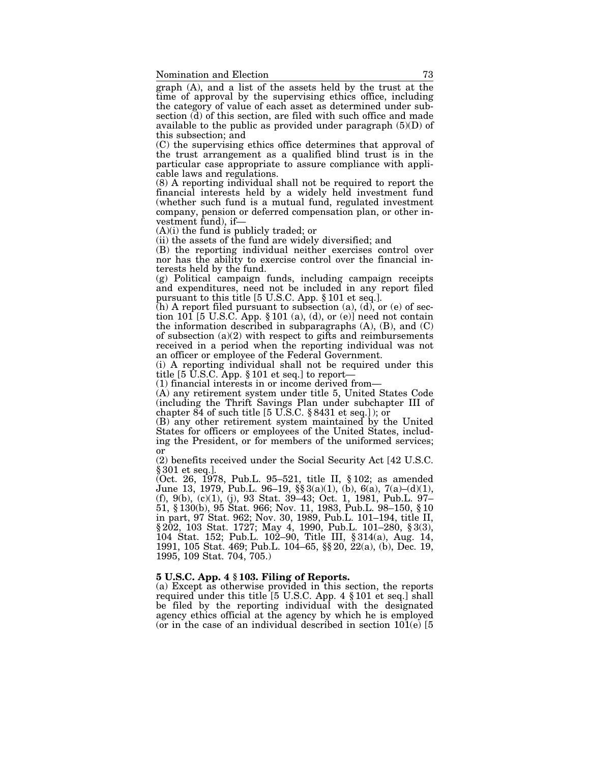graph (A), and a list of the assets held by the trust at the time of approval by the supervising ethics office, including the category of value of each asset as determined under subsection (d) of this section, are filed with such office and made available to the public as provided under paragraph  $(5)(D)$  of this subsection; and

(C) the supervising ethics office determines that approval of the trust arrangement as a qualified blind trust is in the particular case appropriate to assure compliance with applicable laws and regulations.

(8) A reporting individual shall not be required to report the financial interests held by a widely held investment fund (whether such fund is a mutual fund, regulated investment company, pension or deferred compensation plan, or other investment fund), if—

(A)(i) the fund is publicly traded; or

(ii) the assets of the fund are widely diversified; and

(B) the reporting individual neither exercises control over nor has the ability to exercise control over the financial interests held by the fund.

(g) Political campaign funds, including campaign receipts and expenditures, need not be included in any report filed pursuant to this title [5 U.S.C. App. § 101 et seq.].

(h) A report filed pursuant to subsection  $(a)$ ,  $(d)$ , or  $(e)$  of section 101 [5 U.S.C. App.  $\S 101$  (a), (d), or (e)] need not contain the information described in subparagraphs (A), (B), and (C) of subsection  $(a)(2)$  with respect to gifts and reimbursements received in a period when the reporting individual was not an officer or employee of the Federal Government.

(i) A reporting individual shall not be required under this title  $[5 \text{ U.S.C. App. § } 101 \text{ et seq.}]$  to report-

(1) financial interests in or income derived from—

(A) any retirement system under title 5, United States Code (including the Thrift Savings Plan under subchapter III of chapter 84 of such title [5 U.S.C. § 8431 et seq.] ); or

(B) any other retirement system maintained by the United States for officers or employees of the United States, including the President, or for members of the uniformed services; or

(2) benefits received under the Social Security Act [42 U.S.C. § 301 et seq.].

(Oct. 26, 1978, Pub.L. 95–521, title II, § 102; as amended June 13, 1979, Pub.L. 96–19, §§ 3(a)(1), (b), 6(a), 7(a)–(d)(1), (f), 9(b), (c)(1), (j), 93 Stat. 39–43; Oct. 1, 1981, Pub.L. 97– 51, § 130(b), 95 Stat. 966; Nov. 11, 1983, Pub.L. 98–150, § 10 in part, 97 Stat. 962; Nov. 30, 1989, Pub.L. 101–194, title II, § 202, 103 Stat. 1727; May 4, 1990, Pub.L. 101–280, § 3(3), 104 Stat. 152; Pub.L. 102–90, Title III, § 314(a), Aug. 14, 1991, 105 Stat. 469; Pub.L. 104–65, §§ 20, 22(a), (b), Dec. 19, 1995, 109 Stat. 704, 705.)

# **5 U.S.C. App. 4 § 103. Filing of Reports.**

(a) Except as otherwise provided in this section, the reports required under this title [5 U.S.C. App. 4 § 101 et seq.] shall be filed by the reporting individual with the designated agency ethics official at the agency by which he is employed (or in the case of an individual described in section  $101(e)$  [5]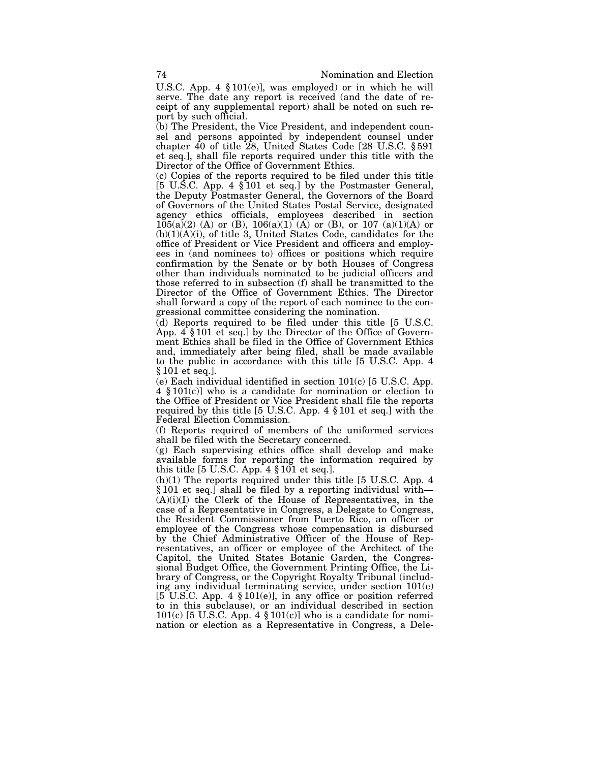U.S.C. App. 4 § 101(e)], was employed) or in which he will serve. The date any report is received (and the date of receipt of any supplemental report) shall be noted on such report by such official.

(b) The President, the Vice President, and independent counsel and persons appointed by independent counsel under chapter 40 of title 28, United States Code [28 U.S.C. § 591 et seq.], shall file reports required under this title with the Director of the Office of Government Ethics.

(c) Copies of the reports required to be filed under this title [5 U.S.C. App. 4 § 101 et seq.] by the Postmaster General, the Deputy Postmaster General, the Governors of the Board of Governors of the United States Postal Service, designated agency ethics officials, employees described in section  $105(a)(2)$  (A) or (B),  $106(a)(1)$  (A) or (B), or 107 (a)(1)(A) or (b)(1)(A)(i), of title 3, United States Code, candidates for the office of President or Vice President and officers and employees in (and nominees to) offices or positions which require confirmation by the Senate or by both Houses of Congress other than individuals nominated to be judicial officers and those referred to in subsection (f) shall be transmitted to the Director of the Office of Government Ethics. The Director shall forward a copy of the report of each nominee to the congressional committee considering the nomination.

(d) Reports required to be filed under this title [5 U.S.C. App. 4 § 101 et seq.] by the Director of the Office of Government Ethics shall be filed in the Office of Government Ethics and, immediately after being filed, shall be made available to the public in accordance with this title [5 U.S.C. App. 4 § 101 et seq.].

(e) Each individual identified in section 101(c) [5 U.S.C. App. 4 § 101(c)] who is a candidate for nomination or election to the Office of President or Vice President shall file the reports required by this title [5 U.S.C. App. 4 § 101 et seq.] with the Federal Election Commission.

(f) Reports required of members of the uniformed services shall be filed with the Secretary concerned.

(g) Each supervising ethics office shall develop and make available forms for reporting the information required by this title  $[5 \text{ U.S.C. App. } 4 \text{ § } 101 \text{ et seq.}].$ 

 $(h)(1)$  The reports required under this title [5 U.S.C. App. 4] § 101 et seq.] shall be filed by a reporting individual with—  $(A)(i)(I)$  the Clerk of the House of Representatives, in the case of a Representative in Congress, a Delegate to Congress, the Resident Commissioner from Puerto Rico, an officer or employee of the Congress whose compensation is disbursed by the Chief Administrative Officer of the House of Representatives, an officer or employee of the Architect of the Capitol, the United States Botanic Garden, the Congressional Budget Office, the Government Printing Office, the Library of Congress, or the Copyright Royalty Tribunal (including any individual terminating service, under section 101(e) [5 U.S.C. App. 4 § 101(e)], in any office or position referred to in this subclause), or an individual described in section  $101(c)$  [5 U.S.C. App. 4 §  $101(c)$ ] who is a candidate for nomination or election as a Representative in Congress, a Dele-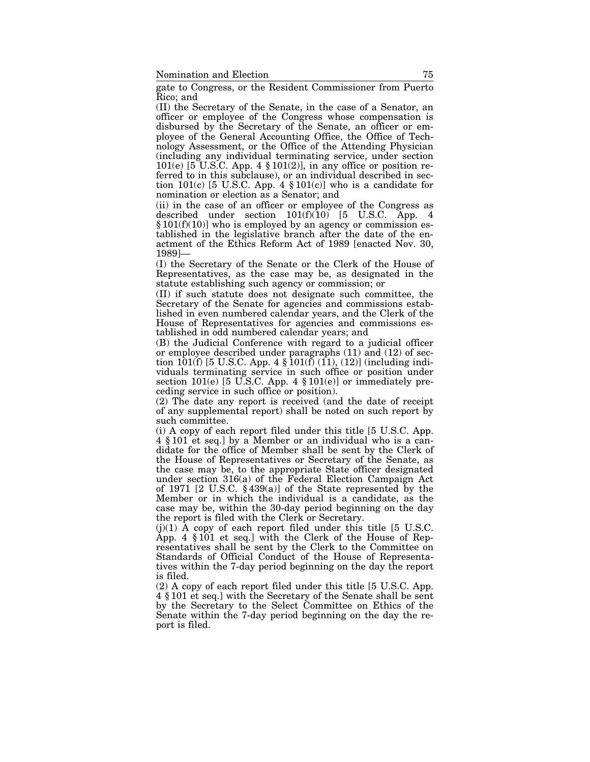gate to Congress, or the Resident Commissioner from Puerto Rico; and

(II) the Secretary of the Senate, in the case of a Senator, an officer or employee of the Congress whose compensation is disbursed by the Secretary of the Senate, an officer or employee of the General Accounting Office, the Office of Technology Assessment, or the Office of the Attending Physician (including any individual terminating service, under section 101(e) [5 U.S.C. App. 4  $\S 101(2)$ ], in any office or position referred to in this subclause), or an individual described in section 101(c) [5 U.S.C. App. 4  $\S 101(c)$ ] who is a candidate for nomination or election as a Senator; and

(ii) in the case of an officer or employee of the Congress as described under section  $101(f)(10)$  [5 U.S.C. App.  $\S 101(f)(10)$  who is employed by an agency or commission established in the legislative branch after the date of the enactment of the Ethics Reform Act of 1989 [enacted Nov. 30, 1989]—

(I) the Secretary of the Senate or the Clerk of the House of Representatives, as the case may be, as designated in the statute establishing such agency or commission; or

(II) if such statute does not designate such committee, the Secretary of the Senate for agencies and commissions established in even numbered calendar years, and the Clerk of the House of Representatives for agencies and commissions established in odd numbered calendar years; and

(B) the Judicial Conference with regard to a judicial officer or employee described under paragraphs (11) and (12) of section 101(f) [5 U.S.C. App. 4  $\S 101(f) (11)$ , (12)] (including individuals terminating service in such office or position under section 101(e) [5 U.S.C. App. 4  $\S 101(e)$ ] or immediately preceding service in such office or position).

(2) The date any report is received (and the date of receipt of any supplemental report) shall be noted on such report by such committee.

(i) A copy of each report filed under this title [5 U.S.C. App. 4 § 101 et seq.] by a Member or an individual who is a candidate for the office of Member shall be sent by the Clerk of the House of Representatives or Secretary of the Senate, as the case may be, to the appropriate State officer designated under section 316(a) of the Federal Election Campaign Act of 1971 [2 U.S.C. § 439(a)] of the State represented by the Member or in which the individual is a candidate, as the case may be, within the 30-day period beginning on the day the report is filed with the Clerk or Secretary.

 $(j)(1)$  A copy of each report filed under this title [5 U.S.C.] App. 4 § 101 et seq.] with the Clerk of the House of Representatives shall be sent by the Clerk to the Committee on Standards of Official Conduct of the House of Representatives within the 7-day period beginning on the day the report is filed.

(2) A copy of each report filed under this title [5 U.S.C. App. 4 § 101 et seq.] with the Secretary of the Senate shall be sent by the Secretary to the Select Committee on Ethics of the Senate within the 7-day period beginning on the day the report is filed.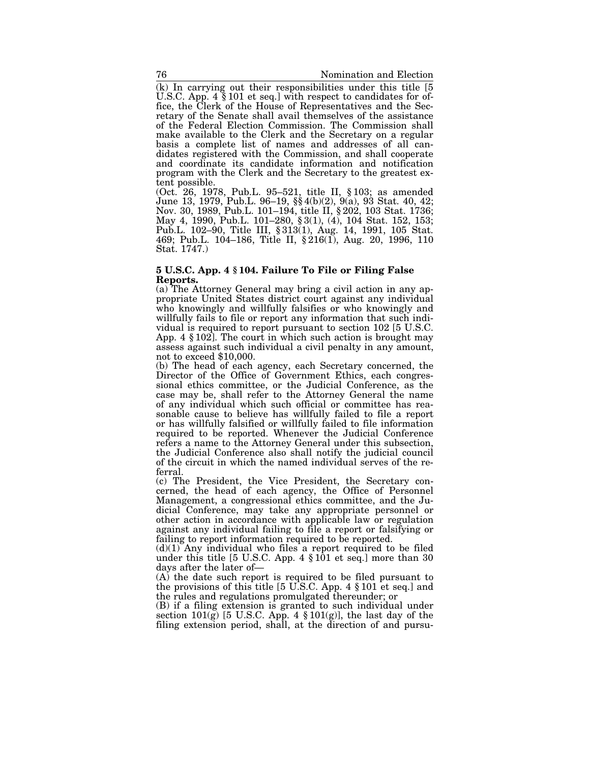(k) In carrying out their responsibilities under this title [5 U.S.C. App. 4 § 101 et seq.] with respect to candidates for office, the Clerk of the House of Representatives and the Secretary of the Senate shall avail themselves of the assistance of the Federal Election Commission. The Commission shall make available to the Clerk and the Secretary on a regular basis a complete list of names and addresses of all candidates registered with the Commission, and shall cooperate and coordinate its candidate information and notification program with the Clerk and the Secretary to the greatest extent possible.

(Oct. 26, 1978, Pub.L. 95–521, title II, § 103; as amended June 13, 1979, Pub.L. 96–19, §§ 4(b)(2), 9(a), 93 Stat. 40, 42; Nov. 30, 1989, Pub.L. 101–194, title II, § 202, 103 Stat. 1736; May 4, 1990, Pub.L. 101–280, § 3(1), (4), 104 Stat. 152, 153; Pub.L. 102–90, Title III, § 313(1), Aug. 14, 1991, 105 Stat. 469; Pub.L. 104–186, Title II, § 216(1), Aug. 20, 1996, 110 Stat. 1747.)

# **5 U.S.C. App. 4 § 104. Failure To File or Filing False Reports.**

(a) The Attorney General may bring a civil action in any appropriate United States district court against any individual who knowingly and willfully falsifies or who knowingly and willfully fails to file or report any information that such individual is required to report pursuant to section 102 [5 U.S.C. App. 4 § 102]. The court in which such action is brought may assess against such individual a civil penalty in any amount, not to exceed \$10,000.

(b) The head of each agency, each Secretary concerned, the Director of the Office of Government Ethics, each congressional ethics committee, or the Judicial Conference, as the case may be, shall refer to the Attorney General the name of any individual which such official or committee has reasonable cause to believe has willfully failed to file a report or has willfully falsified or willfully failed to file information required to be reported. Whenever the Judicial Conference refers a name to the Attorney General under this subsection, the Judicial Conference also shall notify the judicial council of the circuit in which the named individual serves of the referral.

(c) The President, the Vice President, the Secretary concerned, the head of each agency, the Office of Personnel Management, a congressional ethics committee, and the Judicial Conference, may take any appropriate personnel or other action in accordance with applicable law or regulation against any individual failing to file a report or falsifying or failing to report information required to be reported.

 $(d)(1)$  Any individual who files a report required to be filed under this title [5 U.S.C. App. 4 § 101 et seq.] more than 30 days after the later of—

(A) the date such report is required to be filed pursuant to the provisions of this title [5 U.S.C. App. 4 § 101 et seq.] and the rules and regulations promulgated thereunder; or

(B) if a filing extension is granted to such individual under section  $101(g)$  [5 U.S.C. App. 4 § 101(g)], the last day of the filing extension period, shall, at the direction of and pursu-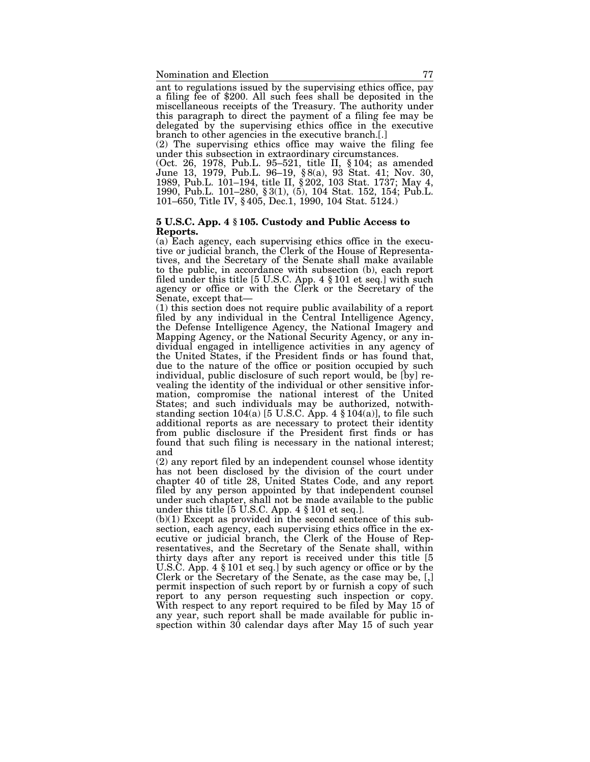ant to regulations issued by the supervising ethics office, pay a filing fee of \$200. All such fees shall be deposited in the miscellaneous receipts of the Treasury. The authority under this paragraph to direct the payment of a filing fee may be delegated by the supervising ethics office in the executive branch to other agencies in the executive branch.[.]

(2) The supervising ethics office may waive the filing fee under this subsection in extraordinary circumstances.

(Oct. 26, 1978, Pub.L. 95–521, title II, § 104; as amended June 13, 1979, Pub.L. 96–19, § 8(a), 93 Stat. 41; Nov. 30, 1989, Pub.L. 101–194, title II, § 202, 103 Stat. 1737; May 4, 1990, Pub.L. 101–280, § 3(1), (5), 104 Stat. 152, 154; Pub.L. 101–650, Title IV, § 405, Dec.1, 1990, 104 Stat. 5124.)

# **5 U.S.C. App. 4 § 105. Custody and Public Access to Reports.**

(a) Each agency, each supervising ethics office in the executive or judicial branch, the Clerk of the House of Representatives, and the Secretary of the Senate shall make available to the public, in accordance with subsection (b), each report filed under this title [5 U.S.C. App. 4 § 101 et seq.] with such agency or office or with the Clerk or the Secretary of the Senate, except that—

(1) this section does not require public availability of a report filed by any individual in the Central Intelligence Agency, the Defense Intelligence Agency, the National Imagery and Mapping Agency, or the National Security Agency, or any individual engaged in intelligence activities in any agency of the United States, if the President finds or has found that, due to the nature of the office or position occupied by such individual, public disclosure of such report would, be [by] revealing the identity of the individual or other sensitive information, compromise the national interest of the United States; and such individuals may be authorized, notwithstanding section 104(a) [5 U.S.C. App. 4  $\S 104(a)$ ], to file such additional reports as are necessary to protect their identity from public disclosure if the President first finds or has found that such filing is necessary in the national interest; and

(2) any report filed by an independent counsel whose identity has not been disclosed by the division of the court under chapter 40 of title 28, United States Code, and any report filed by any person appointed by that independent counsel under such chapter, shall not be made available to the public under this title [5 U.S.C. App. 4 § 101 et seq.].

(b)(1) Except as provided in the second sentence of this subsection, each agency, each supervising ethics office in the executive or judicial branch, the Clerk of the House of Representatives, and the Secretary of the Senate shall, within thirty days after any report is received under this title [5 U.S.C. App. 4 § 101 et seq.] by such agency or office or by the Clerk or the Secretary of the Senate, as the case may be, [,] permit inspection of such report by or furnish a copy of such report to any person requesting such inspection or copy. With respect to any report required to be filed by May 15 of any year, such report shall be made available for public inspection within 30 calendar days after May 15 of such year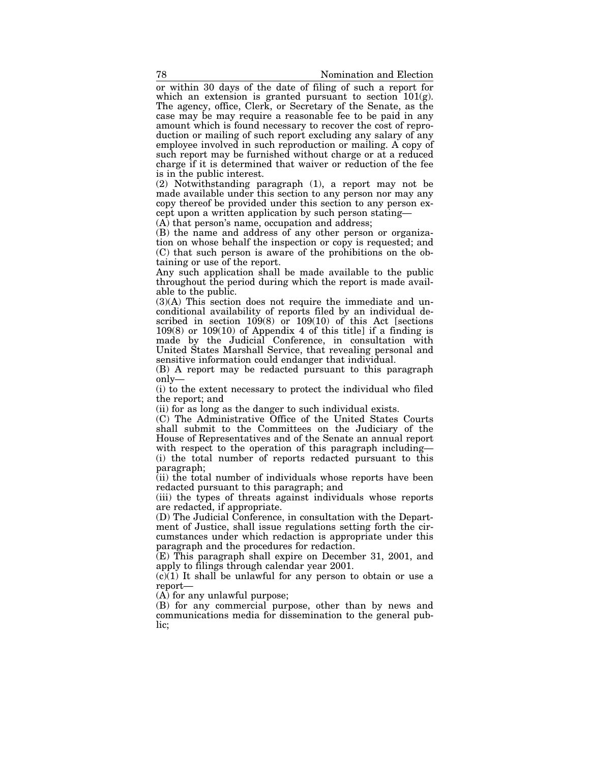or within 30 days of the date of filing of such a report for which an extension is granted pursuant to section  $101(g)$ . The agency, office, Clerk, or Secretary of the Senate, as the case may be may require a reasonable fee to be paid in any amount which is found necessary to recover the cost of reproduction or mailing of such report excluding any salary of any employee involved in such reproduction or mailing. A copy of such report may be furnished without charge or at a reduced charge if it is determined that waiver or reduction of the fee is in the public interest.

(2) Notwithstanding paragraph (1), a report may not be made available under this section to any person nor may any copy thereof be provided under this section to any person except upon a written application by such person stating—

(A) that person's name, occupation and address;

(B) the name and address of any other person or organization on whose behalf the inspection or copy is requested; and (C) that such person is aware of the prohibitions on the obtaining or use of the report.

Any such application shall be made available to the public throughout the period during which the report is made available to the public.

(3)(A) This section does not require the immediate and unconditional availability of reports filed by an individual described in section  $109(8)$  or  $109(10)$  of this Act [sections 109(8) or 109(10) of Appendix 4 of this title] if a finding is made by the Judicial Conference, in consultation with United States Marshall Service, that revealing personal and sensitive information could endanger that individual.

(B) A report may be redacted pursuant to this paragraph only—

(i) to the extent necessary to protect the individual who filed the report; and

(ii) for as long as the danger to such individual exists.

(C) The Administrative Office of the United States Courts shall submit to the Committees on the Judiciary of the House of Representatives and of the Senate an annual report with respect to the operation of this paragraph including— (i) the total number of reports redacted pursuant to this paragraph;

(ii) the total number of individuals whose reports have been redacted pursuant to this paragraph; and

(iii) the types of threats against individuals whose reports are redacted, if appropriate.

(D) The Judicial Conference, in consultation with the Department of Justice, shall issue regulations setting forth the circumstances under which redaction is appropriate under this paragraph and the procedures for redaction.

(E) This paragraph shall expire on December 31, 2001, and apply to filings through calendar year 2001.

 $(c)(1)$  It shall be unlawful for any person to obtain or use a report—

(A) for any unlawful purpose;

(B) for any commercial purpose, other than by news and communications media for dissemination to the general public;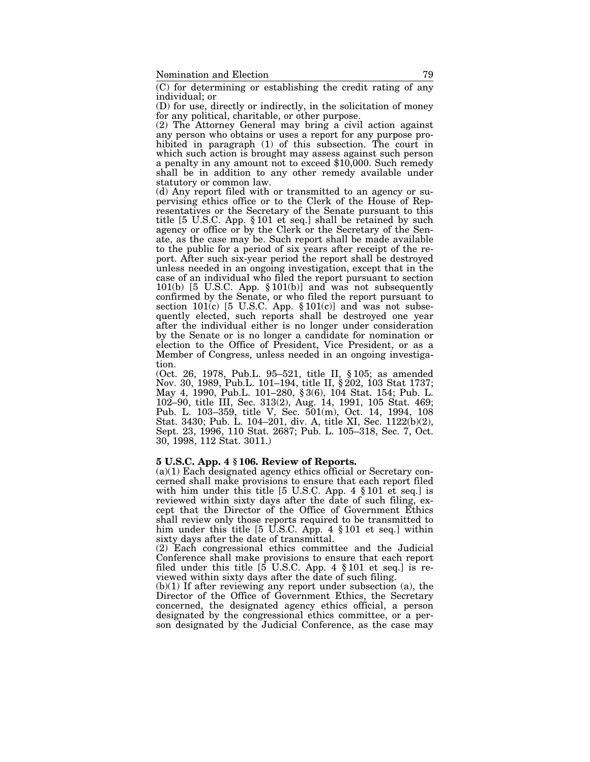(C) for determining or establishing the credit rating of any individual; or

(D) for use, directly or indirectly, in the solicitation of money for any political, charitable, or other purpose.

(2) The Attorney General may bring a civil action against any person who obtains or uses a report for any purpose prohibited in paragraph (1) of this subsection. The court in which such action is brought may assess against such person a penalty in any amount not to exceed \$10,000. Such remedy shall be in addition to any other remedy available under statutory or common law.

(d) Any report filed with or transmitted to an agency or supervising ethics office or to the Clerk of the House of Representatives or the Secretary of the Senate pursuant to this title [5 U.S.C. App. § 101 et seq.] shall be retained by such agency or office or by the Clerk or the Secretary of the Senate, as the case may be. Such report shall be made available to the public for a period of six years after receipt of the report. After such six-year period the report shall be destroyed unless needed in an ongoing investigation, except that in the case of an individual who filed the report pursuant to section 101(b) [5 U.S.C. App. § 101(b)] and was not subsequently confirmed by the Senate, or who filed the report pursuant to section 101 $(c)$  [5 U.S.C. App. § 101 $(c)$ ] and was not subsequently elected, such reports shall be destroyed one year after the individual either is no longer under consideration by the Senate or is no longer a candidate for nomination or election to the Office of President, Vice President, or as a Member of Congress, unless needed in an ongoing investigation.

(Oct. 26, 1978, Pub.L. 95–521, title II, § 105; as amended Nov. 30, 1989, Pub.L. 101–194, title II, § 202, 103 Stat 1737; May 4, 1990, Pub.L. 101–280, § 3(6), 104 Stat. 154; Pub. L. 102–90, title III, Sec. 313(2), Aug. 14, 1991, 105 Stat. 469; Pub. L. 103–359, title V, Sec. 501(m), Oct. 14, 1994, 108 Stat. 3430; Pub. L. 104–201, div. A, title XI, Sec. 1122(b)(2), Sept. 23, 1996, 110 Stat. 2687; Pub. L. 105–318, Sec. 7, Oct. 30, 1998, 112 Stat. 3011.)

#### **5 U.S.C. App. 4 § 106. Review of Reports.**

 $(a)(1)$  Each designated agency ethics official or Secretary concerned shall make provisions to ensure that each report filed with him under this title [5 U.S.C. App. 4 § 101 et seq.] is reviewed within sixty days after the date of such filing, except that the Director of the Office of Government Ethics shall review only those reports required to be transmitted to him under this title [5 U.S.C. App. 4 § 101 et seq.] within sixty days after the date of transmittal.

(2) Each congressional ethics committee and the Judicial Conference shall make provisions to ensure that each report filed under this title [5 U.S.C. App. 4 § 101 et seq.] is reviewed within sixty days after the date of such filing.

 $(b)(1)$  If after reviewing any report under subsection (a), the Director of the Office of Government Ethics, the Secretary concerned, the designated agency ethics official, a person designated by the congressional ethics committee, or a person designated by the Judicial Conference, as the case may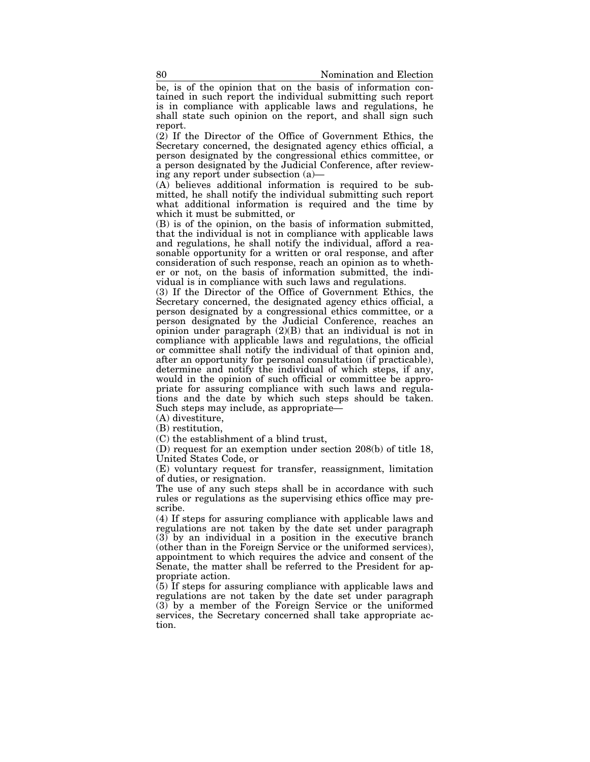be, is of the opinion that on the basis of information contained in such report the individual submitting such report is in compliance with applicable laws and regulations, he shall state such opinion on the report, and shall sign such report.

(2) If the Director of the Office of Government Ethics, the Secretary concerned, the designated agency ethics official, a person designated by the congressional ethics committee, or a person designated by the Judicial Conference, after reviewing any report under subsection (a)—

(A) believes additional information is required to be submitted, he shall notify the individual submitting such report what additional information is required and the time by which it must be submitted, or

(B) is of the opinion, on the basis of information submitted, that the individual is not in compliance with applicable laws and regulations, he shall notify the individual, afford a reasonable opportunity for a written or oral response, and after consideration of such response, reach an opinion as to whether or not, on the basis of information submitted, the individual is in compliance with such laws and regulations.

(3) If the Director of the Office of Government Ethics, the Secretary concerned, the designated agency ethics official, a person designated by a congressional ethics committee, or a person designated by the Judicial Conference, reaches an opinion under paragraph (2)(B) that an individual is not in compliance with applicable laws and regulations, the official or committee shall notify the individual of that opinion and, after an opportunity for personal consultation (if practicable), determine and notify the individual of which steps, if any, would in the opinion of such official or committee be appropriate for assuring compliance with such laws and regulations and the date by which such steps should be taken. Such steps may include, as appropriate—

(A) divestiture,

(B) restitution,

(C) the establishment of a blind trust,

(D) request for an exemption under section 208(b) of title 18, United States Code, or

(E) voluntary request for transfer, reassignment, limitation of duties, or resignation.

The use of any such steps shall be in accordance with such rules or regulations as the supervising ethics office may prescribe.

(4) If steps for assuring compliance with applicable laws and regulations are not taken by the date set under paragraph (3) by an individual in a position in the executive branch (other than in the Foreign Service or the uniformed services), appointment to which requires the advice and consent of the Senate, the matter shall be referred to the President for appropriate action.

(5) If steps for assuring compliance with applicable laws and regulations are not taken by the date set under paragraph (3) by a member of the Foreign Service or the uniformed services, the Secretary concerned shall take appropriate action.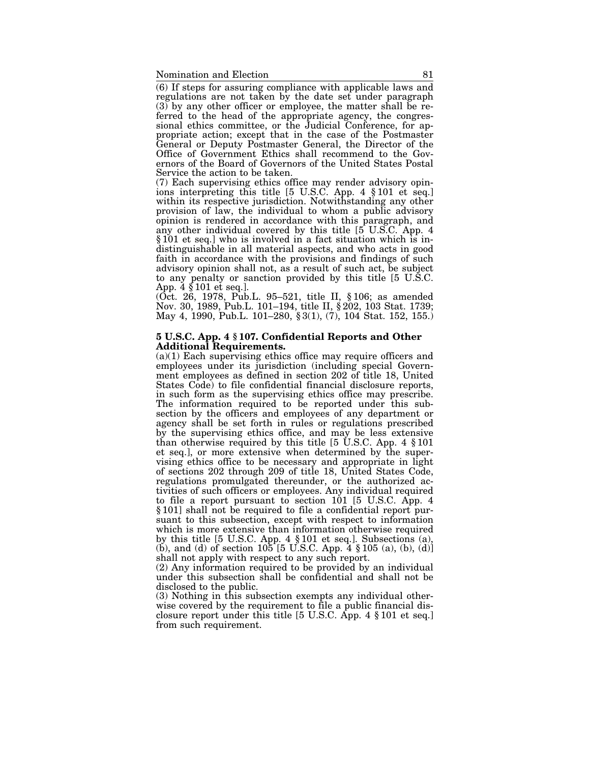Nomination and Election 81

(6) If steps for assuring compliance with applicable laws and regulations are not taken by the date set under paragraph (3) by any other officer or employee, the matter shall be referred to the head of the appropriate agency, the congressional ethics committee, or the Judicial Conference, for appropriate action; except that in the case of the Postmaster General or Deputy Postmaster General, the Director of the Office of Government Ethics shall recommend to the Governors of the Board of Governors of the United States Postal Service the action to be taken.

(7) Each supervising ethics office may render advisory opinions interpreting this title [5 U.S.C. App. 4 § 101 et seq.] within its respective jurisdiction. Notwithstanding any other provision of law, the individual to whom a public advisory opinion is rendered in accordance with this paragraph, and any other individual covered by this title [5 U.S.C. App. 4 § 101 et seq.] who is involved in a fact situation which is indistinguishable in all material aspects, and who acts in good faith in accordance with the provisions and findings of such advisory opinion shall not, as a result of such act, be subject to any penalty or sanction provided by this title [5 U.S.C. App. 4 § 101 et seq.].

(Oct. 26, 1978, Pub.L. 95–521, title II, § 106; as amended Nov. 30, 1989, Pub.L. 101–194, title II, § 202, 103 Stat. 1739; May 4, 1990, Pub.L. 101–280, § 3(1), (7), 104 Stat. 152, 155.)

# **5 U.S.C. App. 4 § 107. Confidential Reports and Other Additional Requirements.**

 $(a)(1)$  Each supervising ethics office may require officers and employees under its jurisdiction (including special Government employees as defined in section 202 of title 18, United States Code) to file confidential financial disclosure reports, in such form as the supervising ethics office may prescribe. The information required to be reported under this subsection by the officers and employees of any department or agency shall be set forth in rules or regulations prescribed by the supervising ethics office, and may be less extensive than otherwise required by this title  $[5 \text{ U.S.C. App. 4 § } 101]$ et seq.], or more extensive when determined by the supervising ethics office to be necessary and appropriate in light of sections 202 through 209 of title 18, United States Code, regulations promulgated thereunder, or the authorized activities of such officers or employees. Any individual required to file a report pursuant to section 101 [5 U.S.C. App. 4 § 101] shall not be required to file a confidential report pursuant to this subsection, except with respect to information which is more extensive than information otherwise required by this title [5 U.S.C. App. 4 § 101 et seq.]. Subsections (a), (b), and (d) of section 105 [5 U.S.C. App. 4 § 105 (a), (b), (d)] shall not apply with respect to any such report.

(2) Any information required to be provided by an individual under this subsection shall be confidential and shall not be disclosed to the public.

(3) Nothing in this subsection exempts any individual otherwise covered by the requirement to file a public financial disclosure report under this title [5 U.S.C. App. 4 § 101 et seq.] from such requirement.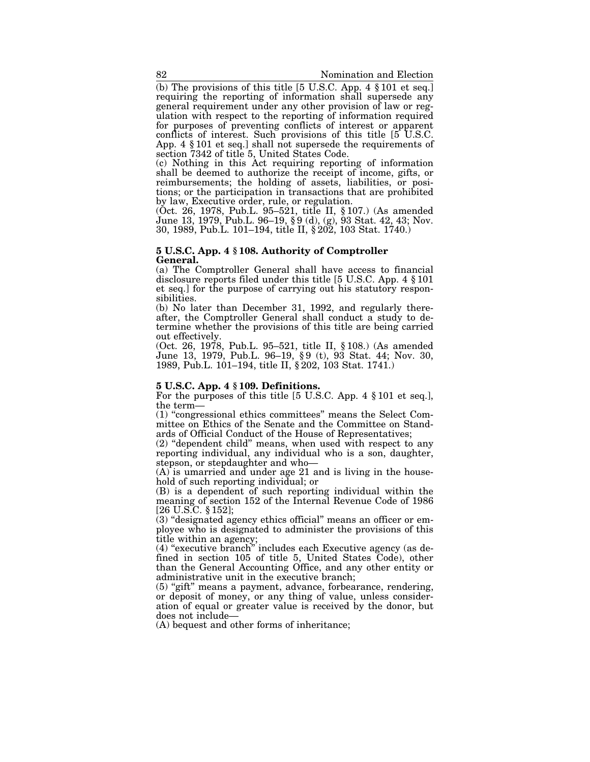(b) The provisions of this title [5 U.S.C. App. 4 § 101 et seq.] requiring the reporting of information shall supersede any general requirement under any other provision of law or regulation with respect to the reporting of information required for purposes of preventing conflicts of interest or apparent conflicts of interest. Such provisions of this title [5 U.S.C. App. 4 § 101 et seq.] shall not supersede the requirements of section 7342 of title 5, United States Code.

(c) Nothing in this Act requiring reporting of information shall be deemed to authorize the receipt of income, gifts, or reimbursements; the holding of assets, liabilities, or positions; or the participation in transactions that are prohibited by law, Executive order, rule, or regulation.

(Oct. 26, 1978, Pub.L. 95–521, title II, § 107.) (As amended June 13, 1979, Pub.L. 96–19, § 9 (d), (g), 93 Stat. 42, 43; Nov. 30, 1989, Pub.L. 101–194, title II, § 202, 103 Stat. 1740.)

# **5 U.S.C. App. 4 § 108. Authority of Comptroller General.**

(a) The Comptroller General shall have access to financial disclosure reports filed under this title [5 U.S.C. App. 4 § 101 et seq.] for the purpose of carrying out his statutory responsibilities.

(b) No later than December 31, 1992, and regularly thereafter, the Comptroller General shall conduct a study to determine whether the provisions of this title are being carried out effectively.

(Oct. 26, 1978, Pub.L. 95–521, title II, § 108.) (As amended June 13, 1979, Pub.L. 96–19, § 9 (t), 93 Stat. 44; Nov. 30, 1989, Pub.L. 101–194, title II, § 202, 103 Stat. 1741.)

# **5 U.S.C. App. 4 § 109. Definitions.**

For the purposes of this title [5 U.S.C. App. 4 § 101 et seq.], the term—

(1) ''congressional ethics committees'' means the Select Committee on Ethics of the Senate and the Committee on Standards of Official Conduct of the House of Representatives;

(2) ''dependent child'' means, when used with respect to any reporting individual, any individual who is a son, daughter, stepson, or stepdaughter and who—

 $(A)$  is umarried and under age 21 and is living in the household of such reporting individual; or

(B) is a dependent of such reporting individual within the meaning of section 152 of the Internal Revenue Code of 1986 [26 U.S.C. § 152];

(3) ''designated agency ethics official'' means an officer or employee who is designated to administer the provisions of this title within an agency;

(4) ''executive branch'' includes each Executive agency (as defined in section 105 of title 5, United States Code), other than the General Accounting Office, and any other entity or administrative unit in the executive branch;

(5) "gift" means a payment, advance, forbearance, rendering, or deposit of money, or any thing of value, unless consideration of equal or greater value is received by the donor, but does not include—

(A) bequest and other forms of inheritance;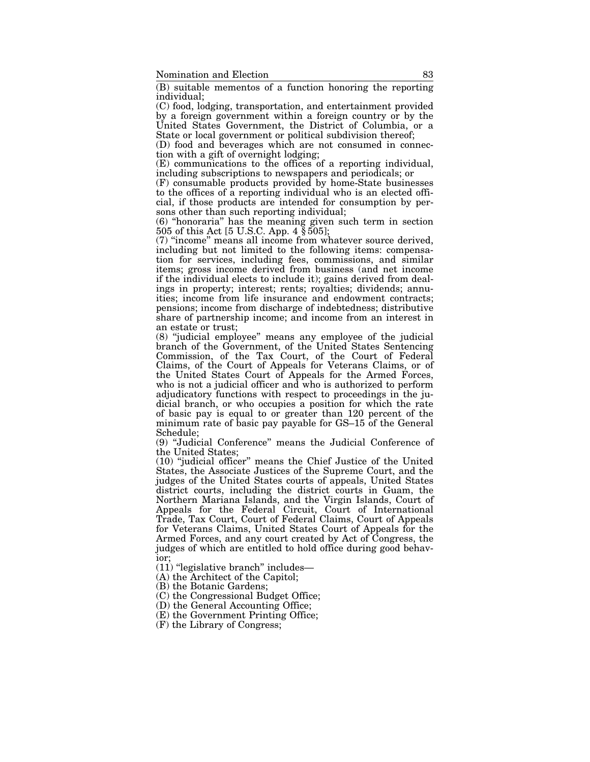(B) suitable mementos of a function honoring the reporting individual;

(C) food, lodging, transportation, and entertainment provided by a foreign government within a foreign country or by the United States Government, the District of Columbia, or a State or local government or political subdivision thereof;

(D) food and beverages which are not consumed in connection with a gift of overnight lodging;

(E) communications to the offices of a reporting individual, including subscriptions to newspapers and periodicals; or

(F) consumable products provided by home-State businesses to the offices of a reporting individual who is an elected official, if those products are intended for consumption by persons other than such reporting individual;

(6) ''honoraria'' has the meaning given such term in section 505 of this Act [5 U.S.C. App. 4 § 505];

(7) ''income'' means all income from whatever source derived, including but not limited to the following items: compensation for services, including fees, commissions, and similar items; gross income derived from business (and net income if the individual elects to include it); gains derived from dealings in property; interest; rents; royalties; dividends; annuities; income from life insurance and endowment contracts; pensions; income from discharge of indebtedness; distributive share of partnership income; and income from an interest in an estate or trust;

(8) ''judicial employee'' means any employee of the judicial branch of the Government, of the United States Sentencing Commission, of the Tax Court, of the Court of Federal Claims, of the Court of Appeals for Veterans Claims, or of the United States Court of Appeals for the Armed Forces, who is not a judicial officer and who is authorized to perform adjudicatory functions with respect to proceedings in the judicial branch, or who occupies a position for which the rate of basic pay is equal to or greater than 120 percent of the minimum rate of basic pay payable for GS–15 of the General Schedule;

(9) ''Judicial Conference'' means the Judicial Conference of the United States;

(10) ''judicial officer'' means the Chief Justice of the United States, the Associate Justices of the Supreme Court, and the judges of the United States courts of appeals, United States district courts, including the district courts in Guam, the Northern Mariana Islands, and the Virgin Islands, Court of Appeals for the Federal Circuit, Court of International Trade, Tax Court, Court of Federal Claims, Court of Appeals for Veterans Claims, United States Court of Appeals for the Armed Forces, and any court created by Act of Congress, the judges of which are entitled to hold office during good behavior;

 $(11)$  "legislative branch" includes—

(A) the Architect of the Capitol;

(B) the Botanic Gardens;

(C) the Congressional Budget Office;

(D) the General Accounting Office;

(E) the Government Printing Office;

(F) the Library of Congress;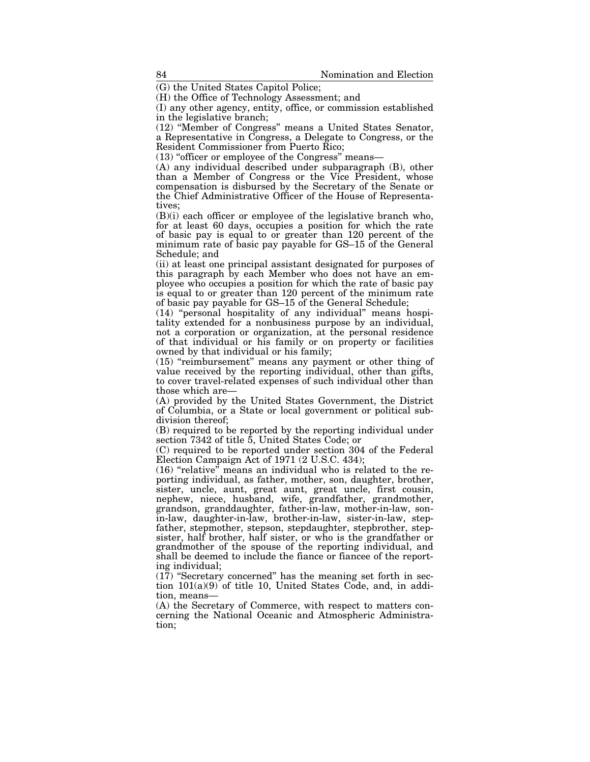(G) the United States Capitol Police;

(H) the Office of Technology Assessment; and

(I) any other agency, entity, office, or commission established in the legislative branch;

(12) ''Member of Congress'' means a United States Senator, a Representative in Congress, a Delegate to Congress, or the Resident Commissioner from Puerto Rico;

(13) ''officer or employee of the Congress'' means—

(A) any individual described under subparagraph (B), other than a Member of Congress or the Vice President, whose compensation is disbursed by the Secretary of the Senate or the Chief Administrative Officer of the House of Representatives;

(B)(i) each officer or employee of the legislative branch who, for at least 60 days, occupies a position for which the rate of basic pay is equal to or greater than 120 percent of the minimum rate of basic pay payable for GS–15 of the General Schedule; and

(ii) at least one principal assistant designated for purposes of this paragraph by each Member who does not have an employee who occupies a position for which the rate of basic pay is equal to or greater than 120 percent of the minimum rate of basic pay payable for GS–15 of the General Schedule;

(14) ''personal hospitality of any individual'' means hospitality extended for a nonbusiness purpose by an individual, not a corporation or organization, at the personal residence of that individual or his family or on property or facilities owned by that individual or his family;

(15) ''reimbursement'' means any payment or other thing of value received by the reporting individual, other than gifts, to cover travel-related expenses of such individual other than those which are—

(A) provided by the United States Government, the District of Columbia, or a State or local government or political subdivision thereof;

(B) required to be reported by the reporting individual under section 7342 of title 5, United States Code; or

(C) required to be reported under section 304 of the Federal Election Campaign Act of 1971 (2 U.S.C. 434);

 $(16)$  "relative" means an individual who is related to the reporting individual, as father, mother, son, daughter, brother, sister, uncle, aunt, great aunt, great uncle, first cousin, nephew, niece, husband, wife, grandfather, grandmother, grandson, granddaughter, father-in-law, mother-in-law, sonin-law, daughter-in-law, brother-in-law, sister-in-law, stepfather, stepmother, stepson, stepdaughter, stepbrother, stepsister, half brother, half sister, or who is the grandfather or grandmother of the spouse of the reporting individual, and shall be deemed to include the fiance or fiancee of the reporting individual;

 $(17)$  "Secretary concerned" has the meaning set forth in section 101(a)(9) of title 10, United States Code, and, in addition, means—

(A) the Secretary of Commerce, with respect to matters concerning the National Oceanic and Atmospheric Administration;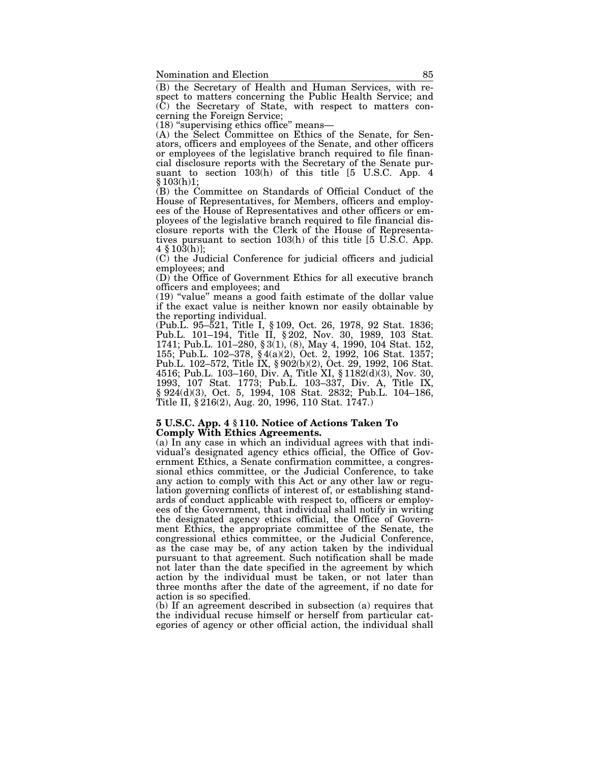(B) the Secretary of Health and Human Services, with respect to matters concerning the Public Health Service; and (C) the Secretary of State, with respect to matters concerning the Foreign Service;

(18) ''supervising ethics office'' means—

(A) the Select Committee on Ethics of the Senate, for Senators, officers and employees of the Senate, and other officers or employees of the legislative branch required to file financial disclosure reports with the Secretary of the Senate pursuant to section 103(h) of this title [5 U.S.C. App. 4  $§ 103(h)1;$ 

(B) the Committee on Standards of Official Conduct of the House of Representatives, for Members, officers and employees of the House of Representatives and other officers or employees of the legislative branch required to file financial disclosure reports with the Clerk of the House of Representatives pursuant to section 103(h) of this title [5 U.S.C. App. 4 § 103(h)];

(C) the Judicial Conference for judicial officers and judicial employees; and

(D) the Office of Government Ethics for all executive branch officers and employees; and

(19) ''value'' means a good faith estimate of the dollar value if the exact value is neither known nor easily obtainable by the reporting individual.

(Pub.L. 95–521, Title I, § 109, Oct. 26, 1978, 92 Stat. 1836; Pub.L. 101–194, Title II, § 202, Nov. 30, 1989, 103 Stat. 1741; Pub.L. 101–280, § 3(1), (8), May 4, 1990, 104 Stat. 152, 155; Pub.L. 102–378, § 4(a)(2), Oct. 2, 1992, 106 Stat. 1357; Pub.L. 102–572, Title IX, § 902(b)(2), Oct. 29, 1992, 106 Stat. 4516; Pub.L. 103–160, Div. A, Title XI, § 1182(d)(3), Nov. 30, 1993, 107 Stat. 1773; Pub.L. 103–337, Div. A, Title IX, § 924(d)(3), Oct. 5, 1994, 108 Stat. 2832; Pub.L. 104–186, Title II, § 216(2), Aug. 20, 1996, 110 Stat. 1747.)

# **5 U.S.C. App. 4 § 110. Notice of Actions Taken To Comply With Ethics Agreements.**

(a) In any case in which an individual agrees with that individual's designated agency ethics official, the Office of Government Ethics, a Senate confirmation committee, a congressional ethics committee, or the Judicial Conference, to take any action to comply with this Act or any other law or regulation governing conflicts of interest of, or establishing standards of conduct applicable with respect to, officers or employees of the Government, that individual shall notify in writing the designated agency ethics official, the Office of Government Ethics, the appropriate committee of the Senate, the congressional ethics committee, or the Judicial Conference, as the case may be, of any action taken by the individual pursuant to that agreement. Such notification shall be made not later than the date specified in the agreement by which action by the individual must be taken, or not later than three months after the date of the agreement, if no date for action is so specified.

(b) If an agreement described in subsection (a) requires that the individual recuse himself or herself from particular categories of agency or other official action, the individual shall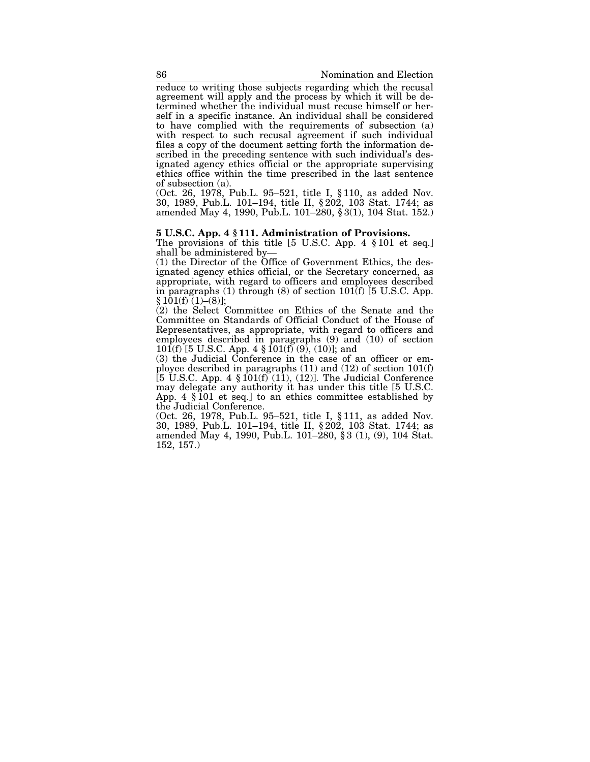reduce to writing those subjects regarding which the recusal agreement will apply and the process by which it will be determined whether the individual must recuse himself or herself in a specific instance. An individual shall be considered to have complied with the requirements of subsection (a) with respect to such recusal agreement if such individual files a copy of the document setting forth the information described in the preceding sentence with such individual's designated agency ethics official or the appropriate supervising ethics office within the time prescribed in the last sentence of subsection (a).

(Oct. 26, 1978, Pub.L. 95–521, title I, § 110, as added Nov. 30, 1989, Pub.L. 101–194, title II, § 202, 103 Stat. 1744; as amended May 4, 1990, Pub.L. 101–280, § 3(1), 104 Stat. 152.)

#### **5 U.S.C. App. 4 § 111. Administration of Provisions.**

The provisions of this title [5 U.S.C. App. 4 § 101 et seq.] shall be administered by—

(1) the Director of the Office of Government Ethics, the designated agency ethics official, or the Secretary concerned, as appropriate, with regard to officers and employees described in paragraphs (1) through (8) of section  $101(f)$  [5 U.S.C. App.  $§ 101(f) (1)–(8)];$ 

(2) the Select Committee on Ethics of the Senate and the Committee on Standards of Official Conduct of the House of Representatives, as appropriate, with regard to officers and employees described in paragraphs (9) and (10) of section 101(f) [5 U.S.C. App. 4 § 101(f) (9), (10)]; and

(3) the Judicial Conference in the case of an officer or employee described in paragraphs (11) and (12) of section 101(f) [5 U.S.C. App. 4 § 101(f) (11), (12)]. The Judicial Conference may delegate any authority it has under this title [5 U.S.C. App. 4 § 101 et seq.] to an ethics committee established by the Judicial Conference.

(Oct. 26, 1978, Pub.L. 95–521, title I, § 111, as added Nov. 30, 1989, Pub.L. 101–194, title II, § 202, 103 Stat. 1744; as amended May 4, 1990, Pub.L. 101–280, § 3 (1), (9), 104 Stat. 152, 157.)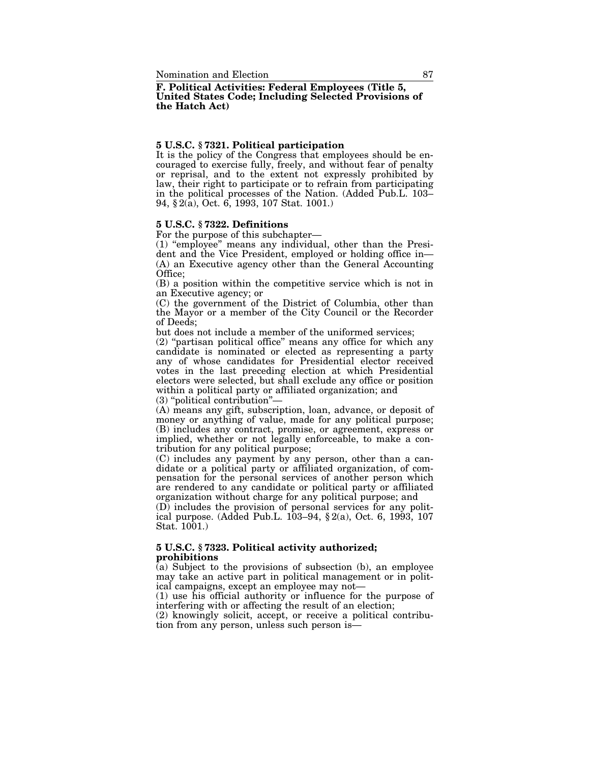# **5 U.S.C. § 7321. Political participation**

It is the policy of the Congress that employees should be encouraged to exercise fully, freely, and without fear of penalty or reprisal, and to the extent not expressly prohibited by law, their right to participate or to refrain from participating in the political processes of the Nation. (Added Pub.L. 103– 94, § 2(a), Oct. 6, 1993, 107 Stat. 1001.)

# **5 U.S.C. § 7322. Definitions**

For the purpose of this subchapter—

(1) ''employee'' means any individual, other than the President and the Vice President, employed or holding office in— (A) an Executive agency other than the General Accounting Office;

(B) a position within the competitive service which is not in an Executive agency; or

(C) the government of the District of Columbia, other than the Mayor or a member of the City Council or the Recorder of Deeds;

but does not include a member of the uniformed services;

(2) ''partisan political office'' means any office for which any candidate is nominated or elected as representing a party any of whose candidates for Presidential elector received votes in the last preceding election at which Presidential electors were selected, but shall exclude any office or position within a political party or affiliated organization; and

 $(3)$  "political contribution"—

(A) means any gift, subscription, loan, advance, or deposit of money or anything of value, made for any political purpose; (B) includes any contract, promise, or agreement, express or implied, whether or not legally enforceable, to make a contribution for any political purpose;

(C) includes any payment by any person, other than a candidate or a political party or affiliated organization, of compensation for the personal services of another person which are rendered to any candidate or political party or affiliated organization without charge for any political purpose; and

(D) includes the provision of personal services for any political purpose. (Added Pub.L. 103–94, § 2(a), Oct. 6, 1993, 107 Stat. 1001.)

# **5 U.S.C. § 7323. Political activity authorized; prohibitions**

 $(a)$  Subject to the provisions of subsection (b), an employee may take an active part in political management or in political campaigns, except an employee may not—

(1) use his official authority or influence for the purpose of interfering with or affecting the result of an election;

(2) knowingly solicit, accept, or receive a political contribution from any person, unless such person is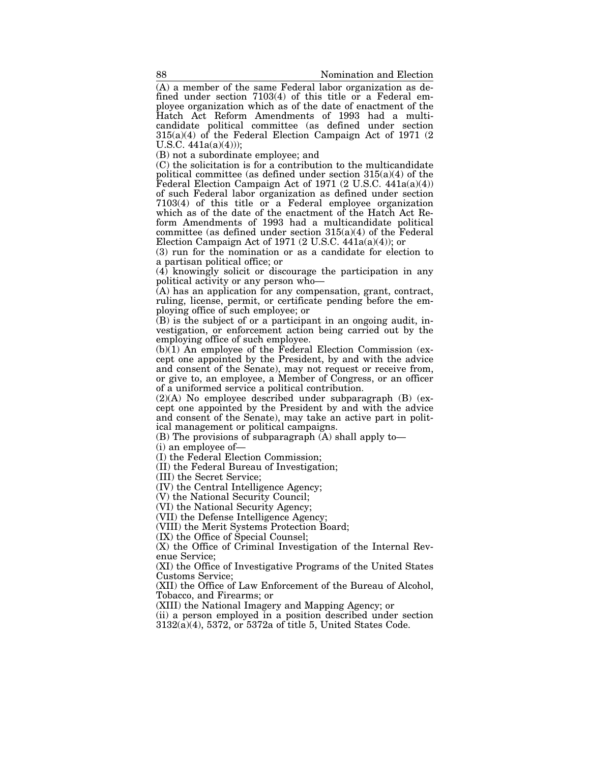(A) a member of the same Federal labor organization as defined under section 7103(4) of this title or a Federal employee organization which as of the date of enactment of the Hatch Act Reform Amendments of 1993 had a multicandidate political committee (as defined under section 315(a)(4) of the Federal Election Campaign Act of 1971 (2 U.S.C.  $441a(a)(4)$ ;

(B) not a subordinate employee; and

(C) the solicitation is for a contribution to the multicandidate political committee (as defined under section  $315(a)(4)$  of the Federal Election Campaign Act of 1971 (2 U.S.C. 441a(a)(4)) of such Federal labor organization as defined under section 7103(4) of this title or a Federal employee organization which as of the date of the enactment of the Hatch Act Reform Amendments of 1993 had a multicandidate political committee (as defined under section 315(a)(4) of the Federal Election Campaign Act of 1971 (2 U.S.C. 441a(a)(4)); or

(3) run for the nomination or as a candidate for election to a partisan political office; or

(4) knowingly solicit or discourage the participation in any political activity or any person who—

(A) has an application for any compensation, grant, contract, ruling, license, permit, or certificate pending before the employing office of such employee; or

(B) is the subject of or a participant in an ongoing audit, investigation, or enforcement action being carried out by the employing office of such employee.

 $(b)(1)$  An employee of the Federal Election Commission (except one appointed by the President, by and with the advice and consent of the Senate), may not request or receive from, or give to, an employee, a Member of Congress, or an officer of a uniformed service a political contribution.

 $(2)(A)$  No employee described under subparagraph  $(B)$  (except one appointed by the President by and with the advice and consent of the Senate), may take an active part in political management or political campaigns.

(B) The provisions of subparagraph (A) shall apply to—

(i) an employee of—

(I) the Federal Election Commission;

(II) the Federal Bureau of Investigation;

(III) the Secret Service;

(IV) the Central Intelligence Agency;

(V) the National Security Council;

(VI) the National Security Agency;

(VII) the Defense Intelligence Agency;

(VIII) the Merit Systems Protection Board;

(IX) the Office of Special Counsel;

(X) the Office of Criminal Investigation of the Internal Revenue Service;

(XI) the Office of Investigative Programs of the United States Customs Service;

(XII) the Office of Law Enforcement of the Bureau of Alcohol, Tobacco, and Firearms; or

(XIII) the National Imagery and Mapping Agency; or

(ii) a person employed in a position described under section 3132(a)(4), 5372, or 5372a of title 5, United States Code.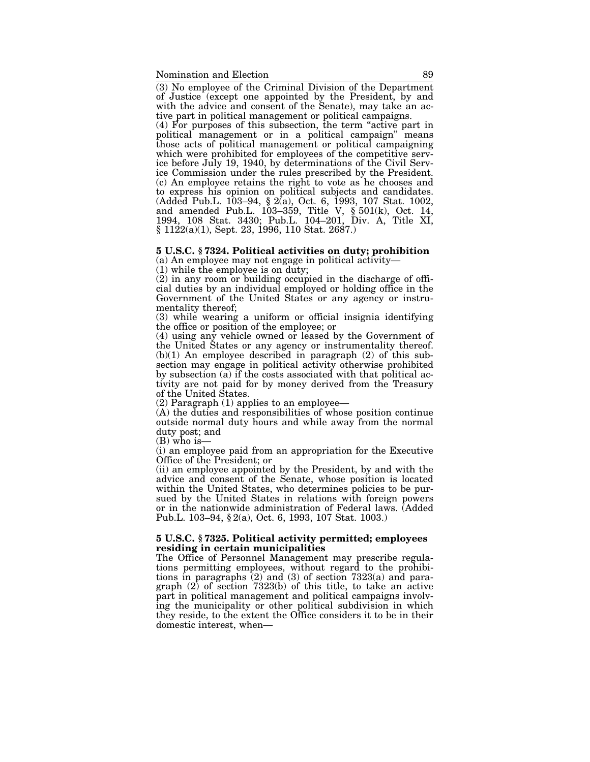Nomination and Election 89

(3) No employee of the Criminal Division of the Department of Justice (except one appointed by the President, by and with the advice and consent of the Senate), may take an active part in political management or political campaigns.

(4) For purposes of this subsection, the term ''active part in political management or in a political campaign'' means those acts of political management or political campaigning which were prohibited for employees of the competitive service before July 19, 1940, by determinations of the Civil Service Commission under the rules prescribed by the President. (c) An employee retains the right to vote as he chooses and to express his opinion on political subjects and candidates. (Added Pub.L. 103–94, § 2(a), Oct. 6, 1993, 107 Stat. 1002, and amended Pub.L. 103–359, Title V, § 501(k), Oct. 14, 1994, 108 Stat. 3430; Pub.L. 104–201, Div. A, Title XI, § 1122(a)(1), Sept. 23, 1996, 110 Stat. 2687.)

#### **5 U.S.C. § 7324. Political activities on duty; prohibition**

(a) An employee may not engage in political activity—

(1) while the employee is on duty;

(2) in any room or building occupied in the discharge of official duties by an individual employed or holding office in the Government of the United States or any agency or instrumentality thereof;

(3) while wearing a uniform or official insignia identifying the office or position of the employee; or

(4) using any vehicle owned or leased by the Government of the United States or any agency or instrumentality thereof.  $(b)(1)$  An employee described in paragraph  $(2)$  of this subsection may engage in political activity otherwise prohibited by subsection  $\overline{a}$  if the costs associated with that political activity are not paid for by money derived from the Treasury of the United States.

(2) Paragraph (1) applies to an employee—

(A) the duties and responsibilities of whose position continue outside normal duty hours and while away from the normal duty post; and

(B) who is—

(i) an employee paid from an appropriation for the Executive Office of the President; or

(ii) an employee appointed by the President, by and with the advice and consent of the Senate, whose position is located within the United States, who determines policies to be pursued by the United States in relations with foreign powers or in the nationwide administration of Federal laws. (Added Pub.L. 103–94, § 2(a), Oct. 6, 1993, 107 Stat. 1003.)

# **5 U.S.C. § 7325. Political activity permitted; employees residing in certain municipalities**

The Office of Personnel Management may prescribe regulations permitting employees, without regard to the prohibitions in paragraphs (2) and (3) of section 7323(a) and paragraph (2) of section 7323(b) of this title, to take an active part in political management and political campaigns involving the municipality or other political subdivision in which they reside, to the extent the Office considers it to be in their domestic interest, when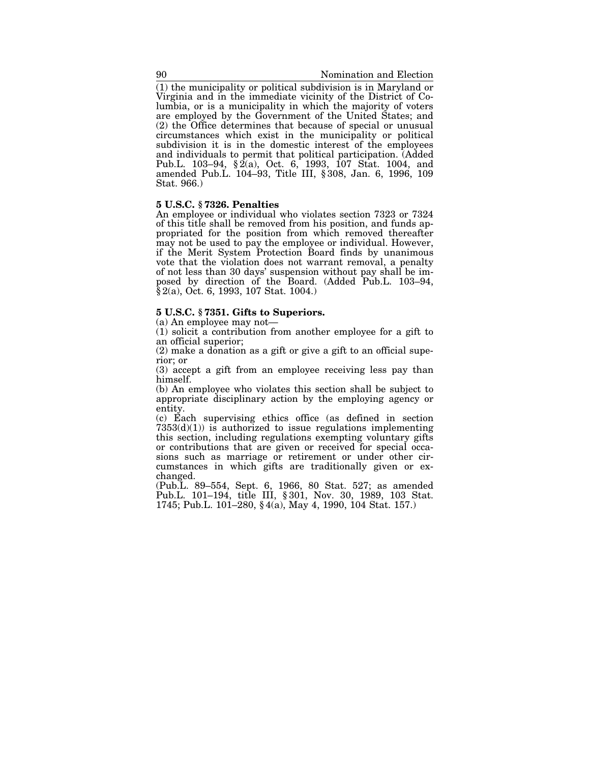(1) the municipality or political subdivision is in Maryland or Virginia and in the immediate vicinity of the District of Columbia, or is a municipality in which the majority of voters are employed by the Government of the United States; and (2) the Office determines that because of special or unusual circumstances which exist in the municipality or political subdivision it is in the domestic interest of the employees and individuals to permit that political participation. (Added Pub.L. 103–94, § 2(a), Oct. 6, 1993, 107 Stat. 1004, and amended Pub.L. 104–93, Title III, § 308, Jan. 6, 1996, 109 Stat. 966.)

# **5 U.S.C. § 7326. Penalties**

An employee or individual who violates section 7323 or 7324 of this title shall be removed from his position, and funds appropriated for the position from which removed thereafter may not be used to pay the employee or individual. However, if the Merit System Protection Board finds by unanimous vote that the violation does not warrant removal, a penalty of not less than 30 days' suspension without pay shall be imposed by direction of the Board. (Added Pub.L. 103–94,  $\S$  2(a), Oct. 6, 1993, 107 Stat. 1004.)

# **5 U.S.C. § 7351. Gifts to Superiors.**

(a) An employee may not—

(1) solicit a contribution from another employee for a gift to an official superior;

(2) make a donation as a gift or give a gift to an official superior; or

(3) accept a gift from an employee receiving less pay than himself.

(b) An employee who violates this section shall be subject to appropriate disciplinary action by the employing agency or entity.

(c) Each supervising ethics office (as defined in section  $7353(d)(1)$  is authorized to issue regulations implementing this section, including regulations exempting voluntary gifts or contributions that are given or received for special occasions such as marriage or retirement or under other circumstances in which gifts are traditionally given or exchanged.

(Pub.L. 89–554, Sept. 6, 1966, 80 Stat. 527; as amended Pub.L. 101–194, title III, § 301, Nov. 30, 1989, 103 Stat. 1745; Pub.L. 101–280, § 4(a), May 4, 1990, 104 Stat. 157.)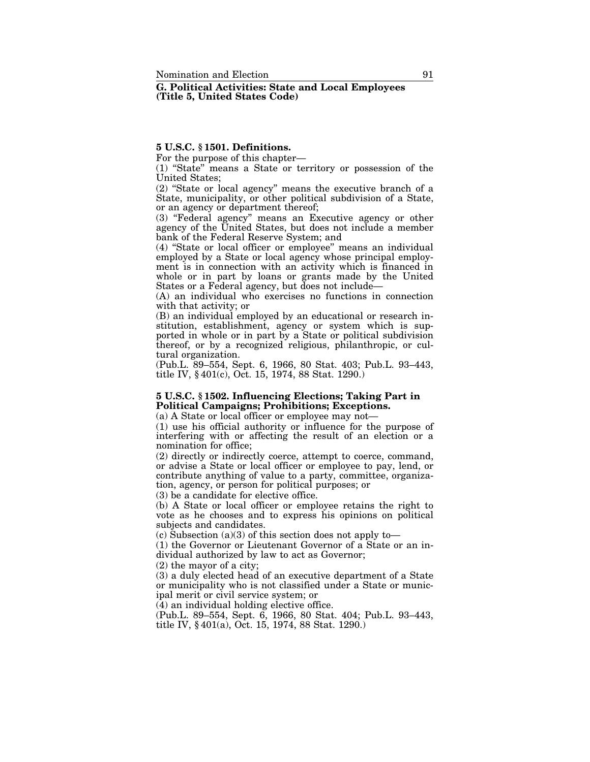# **5 U.S.C. § 1501. Definitions.**

For the purpose of this chapter—

(1) ''State'' means a State or territory or possession of the United States;

(2) ''State or local agency'' means the executive branch of a State, municipality, or other political subdivision of a State, or an agency or department thereof;

(3) ''Federal agency'' means an Executive agency or other agency of the United States, but does not include a member bank of the Federal Reserve System; and

(4) ''State or local officer or employee'' means an individual employed by a State or local agency whose principal employment is in connection with an activity which is financed in whole or in part by loans or grants made by the United States or a Federal agency, but does not include—

(A) an individual who exercises no functions in connection with that activity; or

(B) an individual employed by an educational or research institution, establishment, agency or system which is supported in whole or in part by a State or political subdivision thereof, or by a recognized religious, philanthropic, or cultural organization.

(Pub.L. 89–554, Sept. 6, 1966, 80 Stat. 403; Pub.L. 93–443, title IV, § 401(c), Oct. 15, 1974, 88 Stat. 1290.)

# **5 U.S.C. § 1502. Influencing Elections; Taking Part in Political Campaigns; Prohibitions; Exceptions.**

(a) A State or local officer or employee may not—

(1) use his official authority or influence for the purpose of interfering with or affecting the result of an election or a nomination for office;

(2) directly or indirectly coerce, attempt to coerce, command, or advise a State or local officer or employee to pay, lend, or contribute anything of value to a party, committee, organization, agency, or person for political purposes; or

(3) be a candidate for elective office.

(b) A State or local officer or employee retains the right to vote as he chooses and to express his opinions on political subjects and candidates.

 $(c)$  Subsection (a)(3) of this section does not apply to-

(1) the Governor or Lieutenant Governor of a State or an individual authorized by law to act as Governor;

(2) the mayor of a city;

(3) a duly elected head of an executive department of a State or municipality who is not classified under a State or municipal merit or civil service system; or

(4) an individual holding elective office.

(Pub.L. 89–554, Sept. 6, 1966, 80 Stat. 404; Pub.L. 93–443, title IV, § 401(a), Oct. 15, 1974, 88 Stat. 1290.)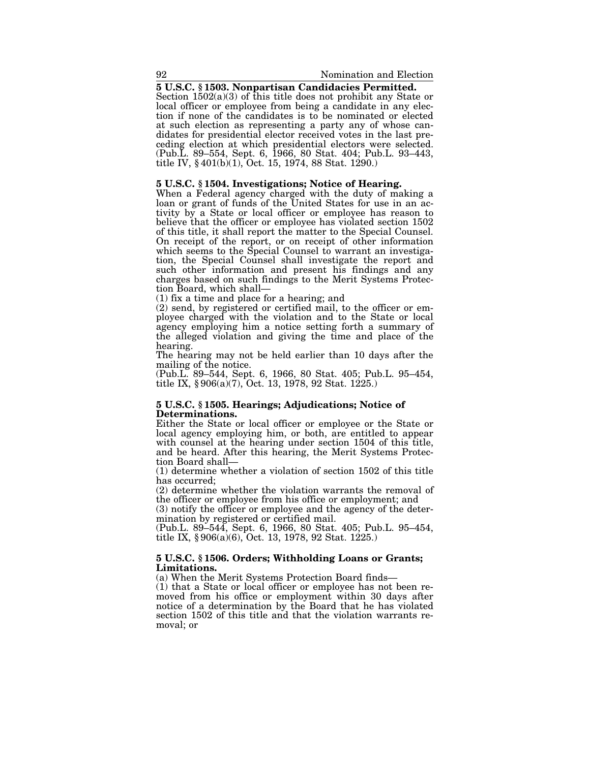# **5 U.S.C. § 1503. Nonpartisan Candidacies Permitted.**

Section  $1502(a)(3)$  of this title does not prohibit any State or local officer or employee from being a candidate in any election if none of the candidates is to be nominated or elected at such election as representing a party any of whose candidates for presidential elector received votes in the last preceding election at which presidential electors were selected. (Pub.L. 89–554, Sept. 6, 1966, 80 Stat. 404; Pub.L. 93–443, title IV, § 401(b)(1), Oct. 15, 1974, 88 Stat. 1290.)

#### **5 U.S.C. § 1504. Investigations; Notice of Hearing.**

When a Federal agency charged with the duty of making a loan or grant of funds of the United States for use in an activity by a State or local officer or employee has reason to believe that the officer or employee has violated section 1502 of this title, it shall report the matter to the Special Counsel. On receipt of the report, or on receipt of other information which seems to the Special Counsel to warrant an investigation, the Special Counsel shall investigate the report and such other information and present his findings and any charges based on such findings to the Merit Systems Protection Board, which shall—

(1) fix a time and place for a hearing; and

(2) send, by registered or certified mail, to the officer or employee charged with the violation and to the State or local agency employing him a notice setting forth a summary of the alleged violation and giving the time and place of the hearing.

The hearing may not be held earlier than 10 days after the mailing of the notice.

(Pub.L. 89–544, Sept. 6, 1966, 80 Stat. 405; Pub.L. 95–454, title IX, § 906(a)(7), Oct. 13, 1978, 92 Stat. 1225.)

# **5 U.S.C. § 1505. Hearings; Adjudications; Notice of Determinations.**

Either the State or local officer or employee or the State or local agency employing him, or both, are entitled to appear with counsel at the hearing under section 1504 of this title, and be heard. After this hearing, the Merit Systems Protection Board shall—

(1) determine whether a violation of section 1502 of this title has occurred;

(2) determine whether the violation warrants the removal of the officer or employee from his office or employment; and

(3) notify the officer or employee and the agency of the determination by registered or certified mail.

(Pub.L. 89–544, Sept. 6, 1966, 80 Stat. 405; Pub.L. 95–454, title IX, § 906(a)(6), Oct. 13, 1978, 92 Stat. 1225.)

#### **5 U.S.C. § 1506. Orders; Withholding Loans or Grants; Limitations.**

(a) When the Merit Systems Protection Board finds—

(1) that a State or local officer or employee has not been removed from his office or employment within 30 days after notice of a determination by the Board that he has violated section 1502 of this title and that the violation warrants removal; or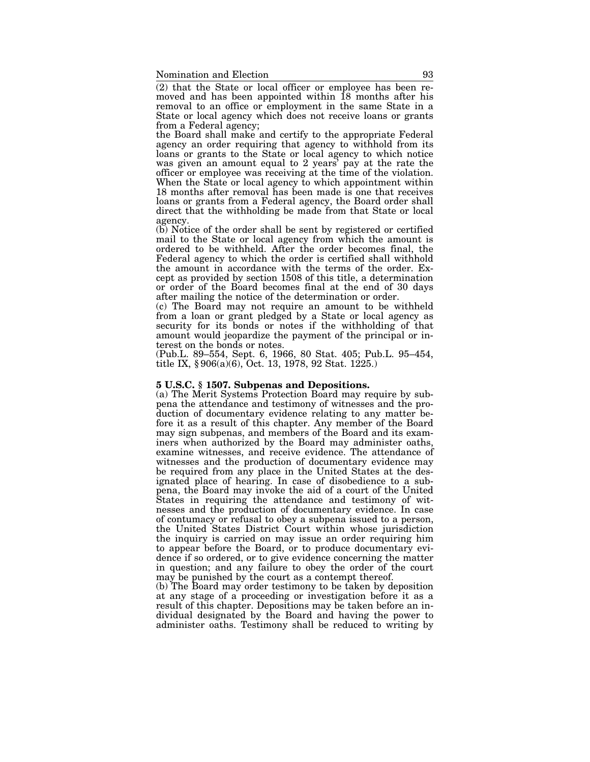(2) that the State or local officer or employee has been removed and has been appointed within 18 months after his removal to an office or employment in the same State in a State or local agency which does not receive loans or grants from a Federal agency;

the Board shall make and certify to the appropriate Federal agency an order requiring that agency to withhold from its loans or grants to the State or local agency to which notice was given an amount equal to 2 years' pay at the rate the officer or employee was receiving at the time of the violation. When the State or local agency to which appointment within 18 months after removal has been made is one that receives loans or grants from a Federal agency, the Board order shall direct that the withholding be made from that State or local agency.

(b) Notice of the order shall be sent by registered or certified mail to the State or local agency from which the amount is ordered to be withheld. After the order becomes final, the Federal agency to which the order is certified shall withhold the amount in accordance with the terms of the order. Except as provided by section 1508 of this title, a determination or order of the Board becomes final at the end of 30 days after mailing the notice of the determination or order.

(c) The Board may not require an amount to be withheld from a loan or grant pledged by a State or local agency as security for its bonds or notes if the withholding of that amount would jeopardize the payment of the principal or interest on the bonds or notes.

(Pub.L. 89–554, Sept. 6, 1966, 80 Stat. 405; Pub.L. 95–454, title IX, § 906(a)(6), Oct. 13, 1978, 92 Stat. 1225.)

#### **5 U.S.C. § 1507. Subpenas and Depositions.**

(a) The Merit Systems Protection Board may require by subpena the attendance and testimony of witnesses and the production of documentary evidence relating to any matter before it as a result of this chapter. Any member of the Board may sign subpenas, and members of the Board and its examiners when authorized by the Board may administer oaths, examine witnesses, and receive evidence. The attendance of witnesses and the production of documentary evidence may be required from any place in the United States at the designated place of hearing. In case of disobedience to a subpena, the Board may invoke the aid of a court of the United States in requiring the attendance and testimony of witnesses and the production of documentary evidence. In case of contumacy or refusal to obey a subpena issued to a person, the United States District Court within whose jurisdiction the inquiry is carried on may issue an order requiring him to appear before the Board, or to produce documentary evidence if so ordered, or to give evidence concerning the matter in question; and any failure to obey the order of the court may be punished by the court as a contempt thereof.

(b) The Board may order testimony to be taken by deposition at any stage of a proceeding or investigation before it as a result of this chapter. Depositions may be taken before an individual designated by the Board and having the power to administer oaths. Testimony shall be reduced to writing by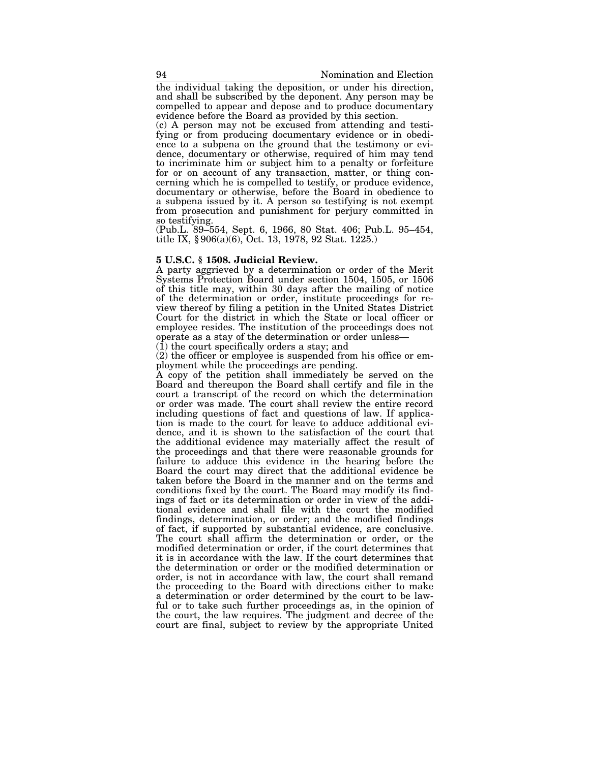the individual taking the deposition, or under his direction, and shall be subscribed by the deponent. Any person may be compelled to appear and depose and to produce documentary evidence before the Board as provided by this section.

(c) A person may not be excused from attending and testifying or from producing documentary evidence or in obedience to a subpena on the ground that the testimony or evidence, documentary or otherwise, required of him may tend to incriminate him or subject him to a penalty or forfeiture for or on account of any transaction, matter, or thing concerning which he is compelled to testify, or produce evidence, documentary or otherwise, before the Board in obedience to a subpena issued by it. A person so testifying is not exempt from prosecution and punishment for perjury committed in so testifying.

(Pub.L. 89–554, Sept. 6, 1966, 80 Stat. 406; Pub.L. 95–454, title IX, § 906(a)(6), Oct. 13, 1978, 92 Stat. 1225.)

#### **5 U.S.C. § 1508. Judicial Review.**

A party aggrieved by a determination or order of the Merit Systems Protection Board under section 1504, 1505, or 1506 of this title may, within 30 days after the mailing of notice of the determination or order, institute proceedings for review thereof by filing a petition in the United States District Court for the district in which the State or local officer or employee resides. The institution of the proceedings does not operate as a stay of the determination or order unless—

(1) the court specifically orders a stay; and

(2) the officer or employee is suspended from his office or employment while the proceedings are pending.

A copy of the petition shall immediately be served on the Board and thereupon the Board shall certify and file in the court a transcript of the record on which the determination or order was made. The court shall review the entire record including questions of fact and questions of law. If application is made to the court for leave to adduce additional evidence, and it is shown to the satisfaction of the court that the additional evidence may materially affect the result of the proceedings and that there were reasonable grounds for failure to adduce this evidence in the hearing before the Board the court may direct that the additional evidence be taken before the Board in the manner and on the terms and conditions fixed by the court. The Board may modify its findings of fact or its determination or order in view of the additional evidence and shall file with the court the modified findings, determination, or order; and the modified findings of fact, if supported by substantial evidence, are conclusive. The court shall affirm the determination or order, or the modified determination or order, if the court determines that it is in accordance with the law. If the court determines that the determination or order or the modified determination or order, is not in accordance with law, the court shall remand the proceeding to the Board with directions either to make a determination or order determined by the court to be lawful or to take such further proceedings as, in the opinion of the court, the law requires. The judgment and decree of the court are final, subject to review by the appropriate United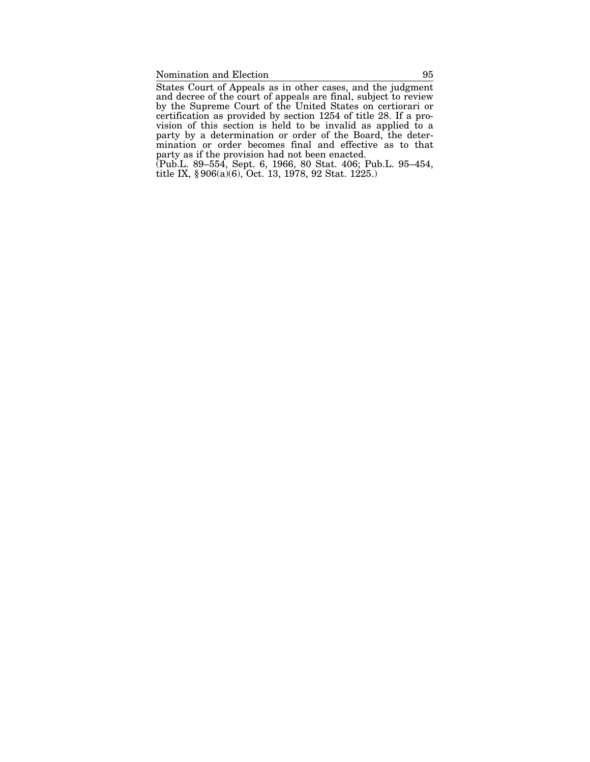States Court of Appeals as in other cases, and the judgment and decree of the court of appeals are final, subject to review by the Supreme Court of the United States on certiorari or certification as provided by section 1254 of title 28. If a provision of this section is held to be invalid as applied to a party by a determination or order of the Board, the determination or order becomes final and effective as to that party as if the provision had not been enacted.

(Pub.L. 89–554, Sept. 6, 1966, 80 Stat. 406; Pub.L. 95–454, title IX, § 906(a)(6), Oct. 13, 1978, 92 Stat. 1225.)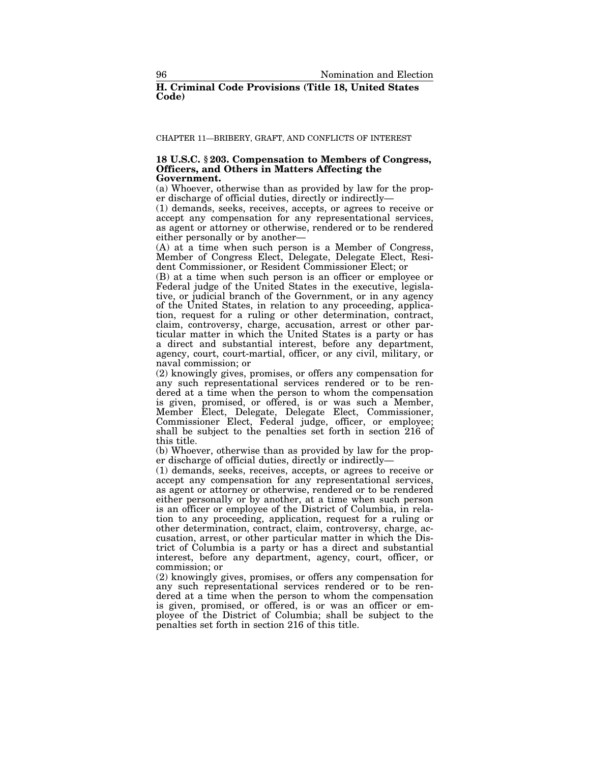**H. Criminal Code Provisions (Title 18, United States Code)**

CHAPTER 11—BRIBERY, GRAFT, AND CONFLICTS OF INTEREST

#### **18 U.S.C. § 203. Compensation to Members of Congress, Officers, and Others in Matters Affecting the Government.**

(a) Whoever, otherwise than as provided by law for the proper discharge of official duties, directly or indirectly—

(1) demands, seeks, receives, accepts, or agrees to receive or accept any compensation for any representational services, as agent or attorney or otherwise, rendered or to be rendered either personally or by another—

(A) at a time when such person is a Member of Congress, Member of Congress Elect, Delegate, Delegate Elect, Resident Commissioner, or Resident Commissioner Elect; or

(B) at a time when such person is an officer or employee or Federal judge of the United States in the executive, legislative, or judicial branch of the Government, or in any agency of the United States, in relation to any proceeding, application, request for a ruling or other determination, contract, claim, controversy, charge, accusation, arrest or other particular matter in which the United States is a party or has a direct and substantial interest, before any department, agency, court, court-martial, officer, or any civil, military, or naval commission; or

(2) knowingly gives, promises, or offers any compensation for any such representational services rendered or to be rendered at a time when the person to whom the compensation is given, promised, or offered, is or was such a Member, Member Elect, Delegate, Delegate Elect, Commissioner, Commissioner Elect, Federal judge, officer, or employee; shall be subject to the penalties set forth in section 216 of this title.

(b) Whoever, otherwise than as provided by law for the proper discharge of official duties, directly or indirectly—

(1) demands, seeks, receives, accepts, or agrees to receive or accept any compensation for any representational services, as agent or attorney or otherwise, rendered or to be rendered either personally or by another, at a time when such person is an officer or employee of the District of Columbia, in relation to any proceeding, application, request for a ruling or other determination, contract, claim, controversy, charge, accusation, arrest, or other particular matter in which the District of Columbia is a party or has a direct and substantial interest, before any department, agency, court, officer, or commission; or

(2) knowingly gives, promises, or offers any compensation for any such representational services rendered or to be rendered at a time when the person to whom the compensation is given, promised, or offered, is or was an officer or employee of the District of Columbia; shall be subject to the penalties set forth in section 216 of this title.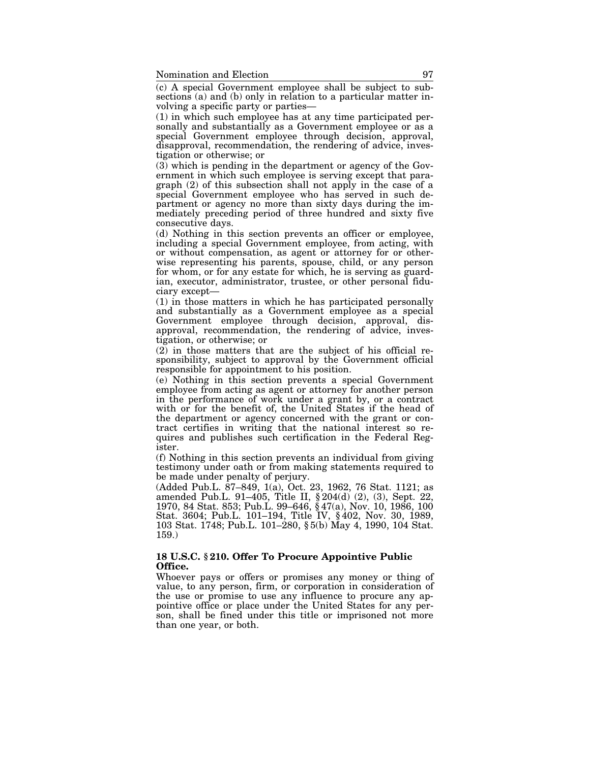(c) A special Government employee shall be subject to subsections (a) and (b) only in relation to a particular matter involving a specific party or parties—

(1) in which such employee has at any time participated personally and substantially as a Government employee or as a special Government employee through decision, approval, disapproval, recommendation, the rendering of advice, investigation or otherwise; or

(3) which is pending in the department or agency of the Government in which such employee is serving except that paragraph (2) of this subsection shall not apply in the case of a special Government employee who has served in such department or agency no more than sixty days during the immediately preceding period of three hundred and sixty five consecutive days.

(d) Nothing in this section prevents an officer or employee, including a special Government employee, from acting, with or without compensation, as agent or attorney for or otherwise representing his parents, spouse, child, or any person for whom, or for any estate for which, he is serving as guardian, executor, administrator, trustee, or other personal fiduciary except—

(1) in those matters in which he has participated personally and substantially as a Government employee as a special Government employee through decision, approval, disapproval, recommendation, the rendering of advice, investigation, or otherwise; or

(2) in those matters that are the subject of his official responsibility, subject to approval by the Government official responsible for appointment to his position.

(e) Nothing in this section prevents a special Government employee from acting as agent or attorney for another person in the performance of work under a grant by, or a contract with or for the benefit of, the United States if the head of the department or agency concerned with the grant or contract certifies in writing that the national interest so requires and publishes such certification in the Federal Register.

(f) Nothing in this section prevents an individual from giving testimony under oath or from making statements required to be made under penalty of perjury.

(Added Pub.L. 87–849, 1(a), Oct. 23, 1962, 76 Stat. 1121; as amended Pub.L. 91–405, Title II, § 204(d) (2), (3), Sept. 22, 1970, 84 Stat. 853; Pub.L. 99–646, § 47(a), Nov. 10, 1986, 100 Stat. 3604; Pub.L. 101–194, Title IV, § 402, Nov. 30, 1989, 103 Stat. 1748; Pub.L. 101–280, § 5(b) May 4, 1990, 104 Stat. 159.)

## **18 U.S.C. § 210. Offer To Procure Appointive Public Office.**

Whoever pays or offers or promises any money or thing of value, to any person, firm, or corporation in consideration of the use or promise to use any influence to procure any appointive office or place under the United States for any person, shall be fined under this title or imprisoned not more than one year, or both.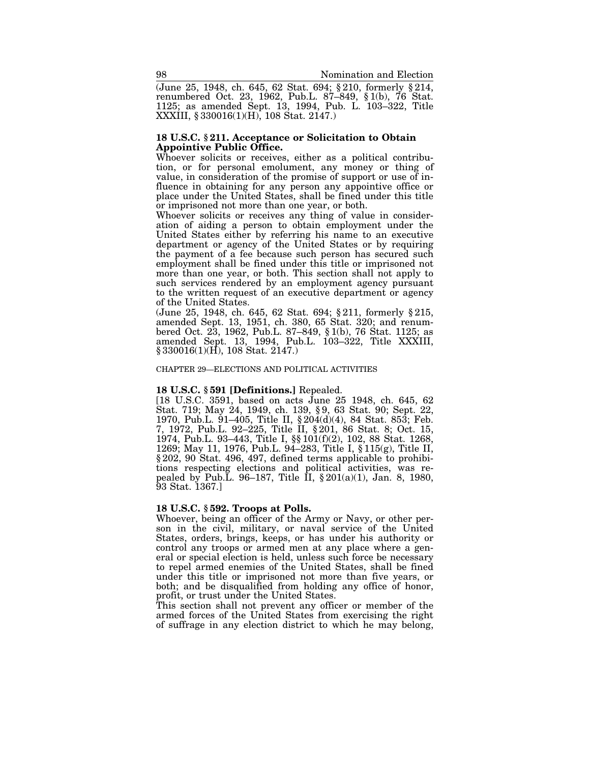(June 25, 1948, ch. 645, 62 Stat. 694; § 210, formerly § 214, renumbered Oct. 23, 1962, Pub.L. 87–849, § 1(b), 76 Stat. 1125; as amended Sept. 13, 1994, Pub. L. 103–322, Title XXXIII, § 330016(1)(H), 108 Stat. 2147.)

## **18 U.S.C. § 211. Acceptance or Solicitation to Obtain Appointive Public Office.**

Whoever solicits or receives, either as a political contribution, or for personal emolument, any money or thing of value, in consideration of the promise of support or use of influence in obtaining for any person any appointive office or place under the United States, shall be fined under this title or imprisoned not more than one year, or both.

Whoever solicits or receives any thing of value in consideration of aiding a person to obtain employment under the United States either by referring his name to an executive department or agency of the United States or by requiring the payment of a fee because such person has secured such employment shall be fined under this title or imprisoned not more than one year, or both. This section shall not apply to such services rendered by an employment agency pursuant to the written request of an executive department or agency of the United States.

(June 25, 1948, ch. 645, 62 Stat. 694; § 211, formerly § 215, amended Sept. 13, 1951, ch. 380, 65 Stat. 320; and renumbered Oct. 23, 1962, Pub.L. 87–849, § 1(b), 76 Stat. 1125; as amended Sept. 13, 1994, Pub.L. 103–322, Title XXXIII, § 330016(1)(H), 108 Stat. 2147.)

#### CHAPTER 29—ELECTIONS AND POLITICAL ACTIVITIES

#### **18 U.S.C. § 591 [Definitions.]** Repealed.

[18 U.S.C. 3591, based on acts June 25 1948, ch. 645, 62 Stat. 719; May 24, 1949, ch. 139, § 9, 63 Stat. 90; Sept. 22, 1970, Pub.L. 91–405, Title II, § 204(d)(4), 84 Stat. 853; Feb. 7, 1972, Pub.L. 92–225, Title II, § 201, 86 Stat. 8; Oct. 15, 1974, Pub.L. 93–443, Title I, §§ 101(f)(2), 102, 88 Stat. 1268, 1269; May 11, 1976, Pub.L. 94–283, Title I, § 115(g), Title II, § 202, 90 Stat. 496, 497, defined terms applicable to prohibitions respecting elections and political activities, was repealed by Pub.L. 96–187, Title II, § 201(a)(1), Jan. 8, 1980, 93 Stat. 1367.]

#### **18 U.S.C. § 592. Troops at Polls.**

Whoever, being an officer of the Army or Navy, or other person in the civil, military, or naval service of the United States, orders, brings, keeps, or has under his authority or control any troops or armed men at any place where a general or special election is held, unless such force be necessary to repel armed enemies of the United States, shall be fined under this title or imprisoned not more than five years, or both; and be disqualified from holding any office of honor, profit, or trust under the United States.

This section shall not prevent any officer or member of the armed forces of the United States from exercising the right of suffrage in any election district to which he may belong,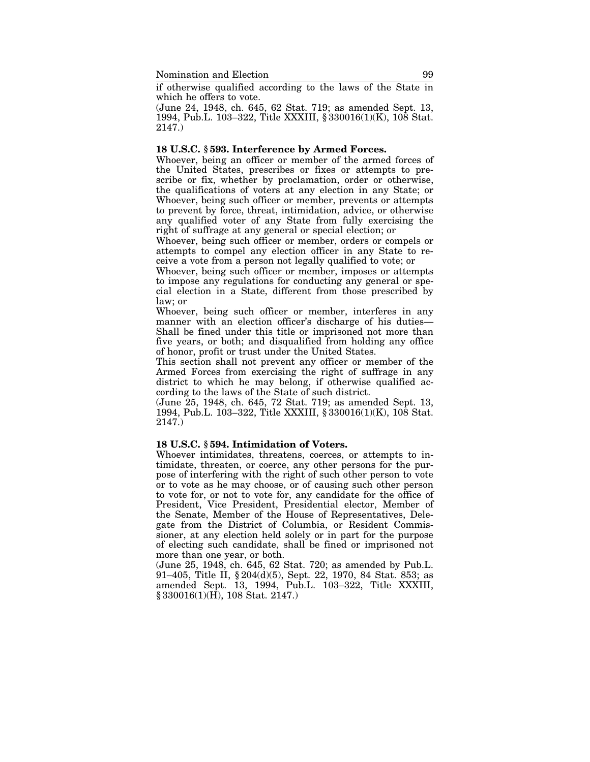if otherwise qualified according to the laws of the State in which he offers to vote.

(June 24, 1948, ch. 645, 62 Stat. 719; as amended Sept. 13, 1994, Pub.L. 103–322, Title XXXIII, § 330016(1)(K), 108 Stat. 2147.)

## **18 U.S.C. § 593. Interference by Armed Forces.**

Whoever, being an officer or member of the armed forces of the United States, prescribes or fixes or attempts to prescribe or fix, whether by proclamation, order or otherwise, the qualifications of voters at any election in any State; or Whoever, being such officer or member, prevents or attempts to prevent by force, threat, intimidation, advice, or otherwise any qualified voter of any State from fully exercising the right of suffrage at any general or special election; or

Whoever, being such officer or member, orders or compels or attempts to compel any election officer in any State to receive a vote from a person not legally qualified to vote; or

Whoever, being such officer or member, imposes or attempts to impose any regulations for conducting any general or special election in a State, different from those prescribed by law; or

Whoever, being such officer or member, interferes in any manner with an election officer's discharge of his duties— Shall be fined under this title or imprisoned not more than five years, or both; and disqualified from holding any office of honor, profit or trust under the United States.

This section shall not prevent any officer or member of the Armed Forces from exercising the right of suffrage in any district to which he may belong, if otherwise qualified according to the laws of the State of such district.

(June 25, 1948, ch. 645, 72 Stat. 719; as amended Sept. 13, 1994, Pub.L. 103–322, Title XXXIII, § 330016(1)(K), 108 Stat. 2147.)

# **18 U.S.C. § 594. Intimidation of Voters.**

Whoever intimidates, threatens, coerces, or attempts to intimidate, threaten, or coerce, any other persons for the purpose of interfering with the right of such other person to vote or to vote as he may choose, or of causing such other person to vote for, or not to vote for, any candidate for the office of President, Vice President, Presidential elector, Member of the Senate, Member of the House of Representatives, Delegate from the District of Columbia, or Resident Commissioner, at any election held solely or in part for the purpose of electing such candidate, shall be fined or imprisoned not more than one year, or both.

(June 25, 1948, ch. 645, 62 Stat. 720; as amended by Pub.L. 91–405, Title II, § 204(d)(5), Sept. 22, 1970, 84 Stat. 853; as amended Sept. 13, 1994, Pub.L. 103–322, Title XXXIII, § 330016(1)(H), 108 Stat. 2147.)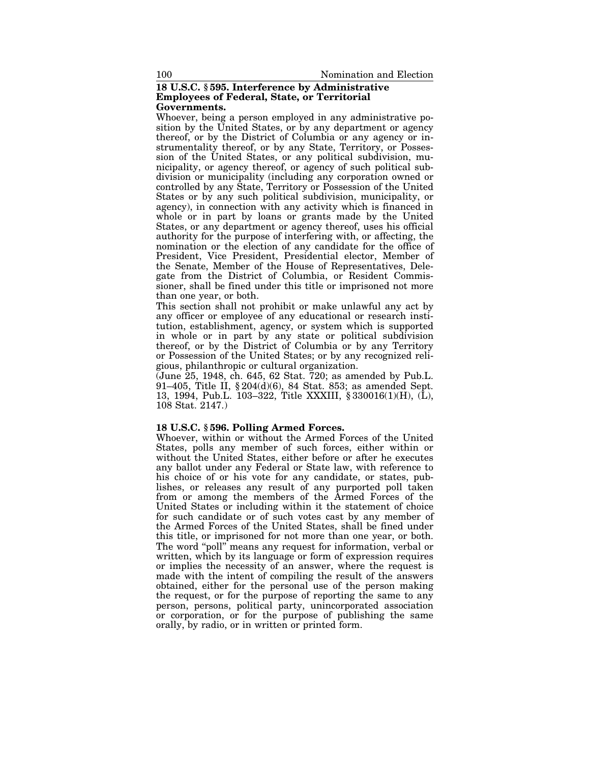# **18 U.S.C. § 595. Interference by Administrative Employees of Federal, State, or Territorial Governments.**

Whoever, being a person employed in any administrative position by the United States, or by any department or agency thereof, or by the District of Columbia or any agency or instrumentality thereof, or by any State, Territory, or Possession of the United States, or any political subdivision, municipality, or agency thereof, or agency of such political subdivision or municipality (including any corporation owned or controlled by any State, Territory or Possession of the United States or by any such political subdivision, municipality, or agency), in connection with any activity which is financed in whole or in part by loans or grants made by the United States, or any department or agency thereof, uses his official authority for the purpose of interfering with, or affecting, the nomination or the election of any candidate for the office of President, Vice President, Presidential elector, Member of the Senate, Member of the House of Representatives, Delegate from the District of Columbia, or Resident Commissioner, shall be fined under this title or imprisoned not more than one year, or both.

This section shall not prohibit or make unlawful any act by any officer or employee of any educational or research institution, establishment, agency, or system which is supported in whole or in part by any state or political subdivision thereof, or by the District of Columbia or by any Territory or Possession of the United States; or by any recognized religious, philanthropic or cultural organization.

(June 25, 1948, ch. 645, 62 Stat. 720; as amended by Pub.L. 91–405, Title II, § 204(d)(6), 84 Stat. 853; as amended Sept. 13, 1994, Pub.L. 103–322, Title XXXIII, § 330016(1)(H), (L), 108 Stat. 2147.)

# **18 U.S.C. § 596. Polling Armed Forces.**

Whoever, within or without the Armed Forces of the United States, polls any member of such forces, either within or without the United States, either before or after he executes any ballot under any Federal or State law, with reference to his choice of or his vote for any candidate, or states, publishes, or releases any result of any purported poll taken from or among the members of the Armed Forces of the United States or including within it the statement of choice for such candidate or of such votes cast by any member of the Armed Forces of the United States, shall be fined under this title, or imprisoned for not more than one year, or both. The word "poll" means any request for information, verbal or written, which by its language or form of expression requires or implies the necessity of an answer, where the request is made with the intent of compiling the result of the answers obtained, either for the personal use of the person making the request, or for the purpose of reporting the same to any person, persons, political party, unincorporated association or corporation, or for the purpose of publishing the same orally, by radio, or in written or printed form.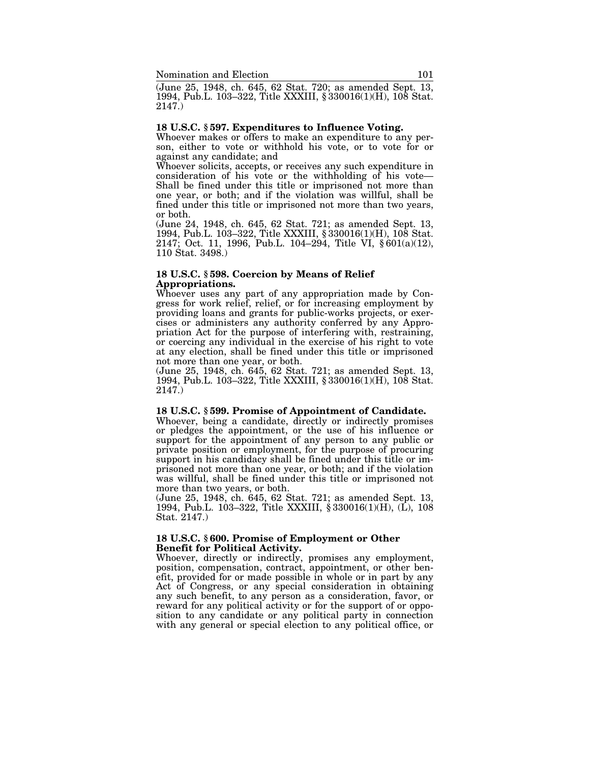(June 25, 1948, ch. 645, 62 Stat. 720; as amended Sept. 13, 1994, Pub.L. 103–322, Title XXXIII, § 330016(1)(H), 108 Stat. 2147.)

# **18 U.S.C. § 597. Expenditures to Influence Voting.**

Whoever makes or offers to make an expenditure to any person, either to vote or withhold his vote, or to vote for or against any candidate; and

Whoever solicits, accepts, or receives any such expenditure in consideration of his vote or the withholding of his vote— Shall be fined under this title or imprisoned not more than one year, or both; and if the violation was willful, shall be fined under this title or imprisoned not more than two years, or both.

(June 24, 1948, ch. 645, 62 Stat. 721; as amended Sept. 13, 1994, Pub.L. 103–322, Title XXXIII, § 330016(1)(H), 108 Stat. 2147; Oct. 11, 1996, Pub.L. 104–294, Title VI, § 601(a)(12), 110 Stat. 3498.)

## **18 U.S.C. § 598. Coercion by Means of Relief Appropriations.**

Whoever uses any part of any appropriation made by Congress for work relief, relief, or for increasing employment by providing loans and grants for public-works projects, or exercises or administers any authority conferred by any Appropriation Act for the purpose of interfering with, restraining, or coercing any individual in the exercise of his right to vote at any election, shall be fined under this title or imprisoned not more than one year, or both.

(June 25, 1948, ch. 645, 62 Stat. 721; as amended Sept. 13, 1994, Pub.L. 103–322, Title XXXIII, § 330016(1)(H), 108 Stat. 2147.)

#### **18 U.S.C. § 599. Promise of Appointment of Candidate.**

Whoever, being a candidate, directly or indirectly promises or pledges the appointment, or the use of his influence or support for the appointment of any person to any public or private position or employment, for the purpose of procuring support in his candidacy shall be fined under this title or imprisoned not more than one year, or both; and if the violation was willful, shall be fined under this title or imprisoned not more than two years, or both.

(June 25, 1948, ch. 645, 62 Stat. 721; as amended Sept. 13, 1994, Pub.L. 103–322, Title XXXIII, § 330016(1)(H), (L), 108 Stat. 2147.)

# **18 U.S.C. § 600. Promise of Employment or Other Benefit for Political Activity.**

Whoever, directly or indirectly, promises any employment, position, compensation, contract, appointment, or other benefit, provided for or made possible in whole or in part by any Act of Congress, or any special consideration in obtaining any such benefit, to any person as a consideration, favor, or reward for any political activity or for the support of or opposition to any candidate or any political party in connection with any general or special election to any political office, or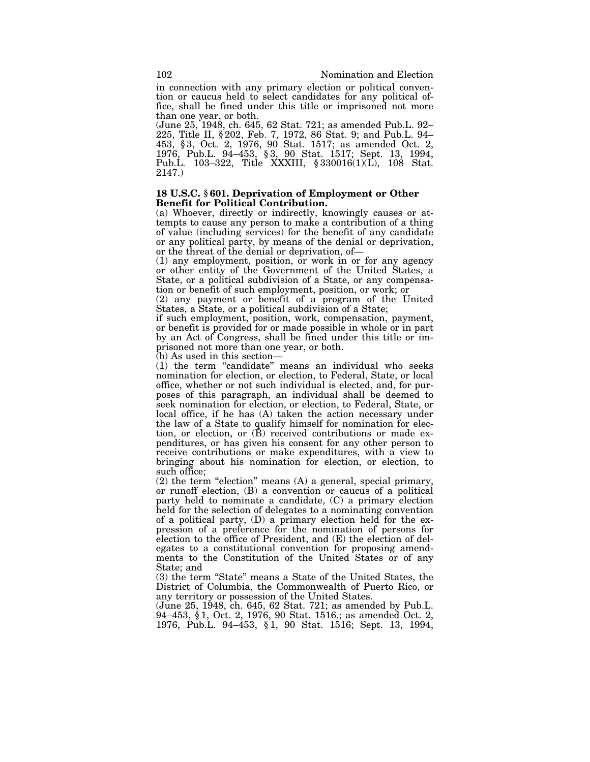in connection with any primary election or political convention or caucus held to select candidates for any political office, shall be fined under this title or imprisoned not more than one year, or both.

(June 25, 1948, ch. 645, 62 Stat. 721; as amended Pub.L. 92– 225, Title II, § 202, Feb. 7, 1972, 86 Stat. 9; and Pub.L. 94– 453, § 3, Oct. 2, 1976, 90 Stat. 1517; as amended Oct. 2, 1976, Pub.L. 94–453, § 3, 90 Stat. 1517; Sept. 13, 1994, Pub.L. 103–322, Title XXXIII, § 330016(1)(L), 108 Stat. 2147.)

## **18 U.S.C. § 601. Deprivation of Employment or Other Benefit for Political Contribution.**

(a) Whoever, directly or indirectly, knowingly causes or attempts to cause any person to make a contribution of a thing of value (including services) for the benefit of any candidate or any political party, by means of the denial or deprivation, or the threat of the denial or deprivation, of—

(1) any employment, position, or work in or for any agency or other entity of the Government of the United States, a State, or a political subdivision of a State, or any compensation or benefit of such employment, position, or work; or

(2) any payment or benefit of a program of the United States, a State, or a political subdivision of a State;

if such employment, position, work, compensation, payment, or benefit is provided for or made possible in whole or in part by an Act of Congress, shall be fined under this title or imprisoned not more than one year, or both.

(b) As used in this section—

(1) the term ''candidate'' means an individual who seeks nomination for election, or election, to Federal, State, or local office, whether or not such individual is elected, and, for purposes of this paragraph, an individual shall be deemed to seek nomination for election, or election, to Federal, State, or local office, if he has (A) taken the action necessary under the law of a State to qualify himself for nomination for election, or election, or (B) received contributions or made expenditures, or has given his consent for any other person to receive contributions or make expenditures, with a view to bringing about his nomination for election, or election, to such office;

 $(2)$  the term "election" means  $(A)$  a general, special primary, or runoff election, (B) a convention or caucus of a political party held to nominate a candidate, (C) a primary election held for the selection of delegates to a nominating convention of a political party, (D) a primary election held for the expression of a preference for the nomination of persons for election to the office of President, and (E) the election of delegates to a constitutional convention for proposing amendments to the Constitution of the United States or of any State; and

(3) the term ''State'' means a State of the United States, the District of Columbia, the Commonwealth of Puerto Rico, or any territory or possession of the United States.

(June 25, 1948, ch. 645, 62 Stat. 721; as amended by Pub.L. 94–453, § 1, Oct. 2, 1976, 90 Stat. 1516.; as amended Oct. 2, 1976, Pub.L. 94–453, § 1, 90 Stat. 1516; Sept. 13, 1994,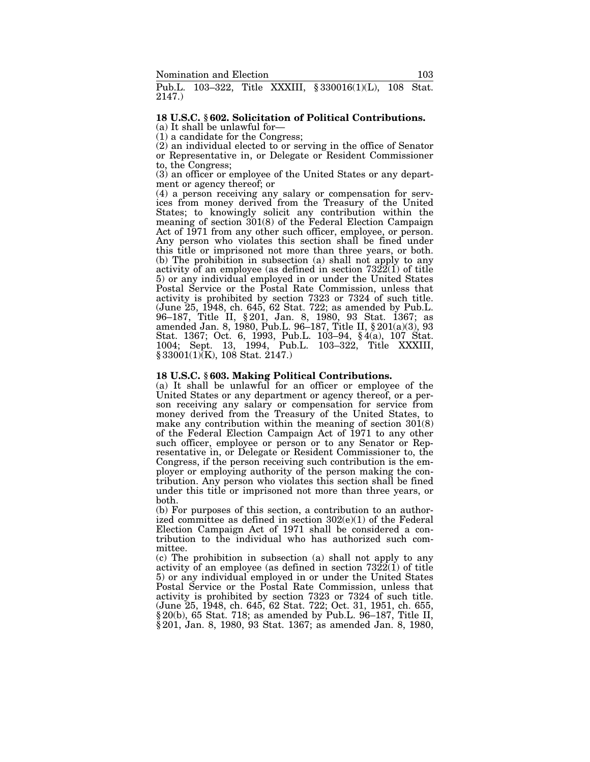Pub.L. 103–322, Title XXXIII, § 330016(1)(L), 108 Stat. 2147.)

#### **18 U.S.C. § 602. Solicitation of Political Contributions.** (a) It shall be unlawful for—

(1) a candidate for the Congress;

(2) an individual elected to or serving in the office of Senator

or Representative in, or Delegate or Resident Commissioner to, the Congress;

(3) an officer or employee of the United States or any department or agency thereof; or

(4) a person receiving any salary or compensation for services from money derived from the Treasury of the United States; to knowingly solicit any contribution within the meaning of section 301(8) of the Federal Election Campaign Act of 1971 from any other such officer, employee, or person. Any person who violates this section shall be fined under this title or imprisoned not more than three years, or both. (b) The prohibition in subsection (a) shall not apply to any activity of an employee (as defined in section  $7322(1)$  of title 5) or any individual employed in or under the United States Postal Service or the Postal Rate Commission, unless that activity is prohibited by section 7323 or 7324 of such title. (June 25, 1948, ch. 645, 62 Stat. 722; as amended by Pub.L. 96–187, Title II, § 201, Jan. 8, 1980, 93 Stat. 1367; as amended Jan. 8, 1980, Pub.L. 96–187, Title II, § 201(a)(3), 93 Stat. 1367; Oct. 6, 1993, Pub.L. 103–94, § 4(a), 107 Stat. 1004; Sept. 13, 1994, Pub.L. 103–322, Title XXXIII, § 33001(1)(K), 108 Stat. 2147.)

# **18 U.S.C. § 603. Making Political Contributions.**

(a) It shall be unlawful for an officer or employee of the United States or any department or agency thereof, or a person receiving any salary or compensation for service from money derived from the Treasury of the United States, to make any contribution within the meaning of section 301(8) of the Federal Election Campaign Act of 1971 to any other such officer, employee or person or to any Senator or Representative in, or Delegate or Resident Commissioner to, the Congress, if the person receiving such contribution is the employer or employing authority of the person making the contribution. Any person who violates this section shall be fined under this title or imprisoned not more than three years, or both.

(b) For purposes of this section, a contribution to an authorized committee as defined in section  $302(e)(1)$  of the Federal Election Campaign Act of 1971 shall be considered a contribution to the individual who has authorized such committee.

(c) The prohibition in subsection (a) shall not apply to any activity of an employee (as defined in section  $732\overline{2}(1)$  of title 5) or any individual employed in or under the United States Postal Service or the Postal Rate Commission, unless that activity is prohibited by section 7323 or 7324 of such title. (June 25, 1948, ch. 645, 62 Stat. 722; Oct. 31, 1951, ch. 655, § 20(b), 65 Stat. 718; as amended by Pub.L. 96–187, Title II, § 201, Jan. 8, 1980, 93 Stat. 1367; as amended Jan. 8, 1980,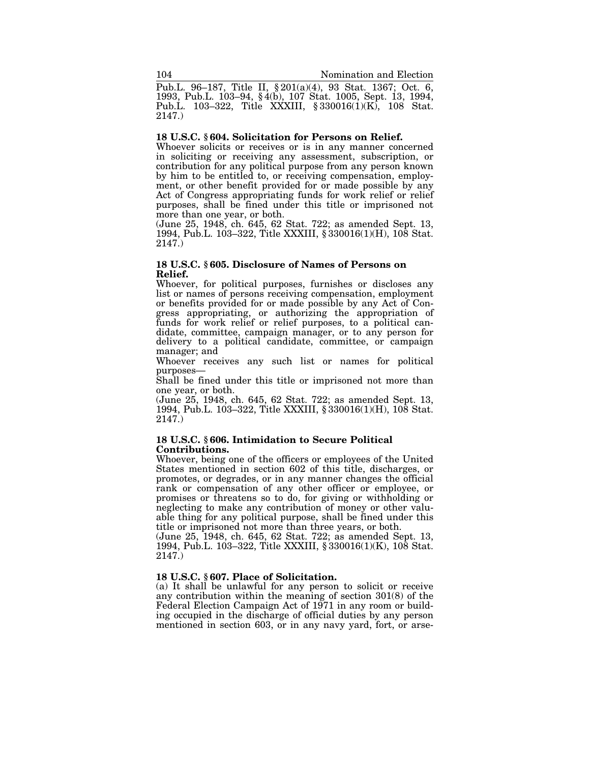Pub.L. 96–187, Title II, § 201(a)(4), 93 Stat. 1367; Oct. 6, 1993, Pub.L. 103–94, § 4(b), 107 Stat. 1005, Sept. 13, 1994, Pub.L. 103–322, Title XXXIII, § 330016(1)(K), 108 Stat. 2147.)

#### **18 U.S.C. § 604. Solicitation for Persons on Relief.**

Whoever solicits or receives or is in any manner concerned in soliciting or receiving any assessment, subscription, or contribution for any political purpose from any person known by him to be entitled to, or receiving compensation, employment, or other benefit provided for or made possible by any Act of Congress appropriating funds for work relief or relief purposes, shall be fined under this title or imprisoned not more than one year, or both.

(June 25, 1948, ch. 645, 62 Stat. 722; as amended Sept. 13, 1994, Pub.L. 103–322, Title XXXIII, § 330016(1)(H), 108 Stat. 2147.)

## **18 U.S.C. § 605. Disclosure of Names of Persons on Relief.**

Whoever, for political purposes, furnishes or discloses any list or names of persons receiving compensation, employment or benefits provided for or made possible by any Act of Congress appropriating, or authorizing the appropriation of funds for work relief or relief purposes, to a political candidate, committee, campaign manager, or to any person for delivery to a political candidate, committee, or campaign manager; and

Whoever receives any such list or names for political purposes—

Shall be fined under this title or imprisoned not more than one year, or both.

(June 25, 1948, ch. 645, 62 Stat. 722; as amended Sept. 13, 1994, Pub.L. 103–322, Title XXXIII, § 330016(1)(H), 108 Stat. 2147.)

# **18 U.S.C. § 606. Intimidation to Secure Political Contributions.**

Whoever, being one of the officers or employees of the United States mentioned in section 602 of this title, discharges, or promotes, or degrades, or in any manner changes the official rank or compensation of any other officer or employee, or promises or threatens so to do, for giving or withholding or neglecting to make any contribution of money or other valuable thing for any political purpose, shall be fined under this title or imprisoned not more than three years, or both.

(June 25, 1948, ch. 645, 62 Stat. 722; as amended Sept. 13, 1994, Pub.L. 103–322, Title XXXIII, § 330016(1)(K), 108 Stat. 2147.)

# **18 U.S.C. § 607. Place of Solicitation.**

(a) It shall be unlawful for any person to solicit or receive any contribution within the meaning of section 301(8) of the Federal Election Campaign Act of 1971 in any room or building occupied in the discharge of official duties by any person mentioned in section 603, or in any navy yard, fort, or arse-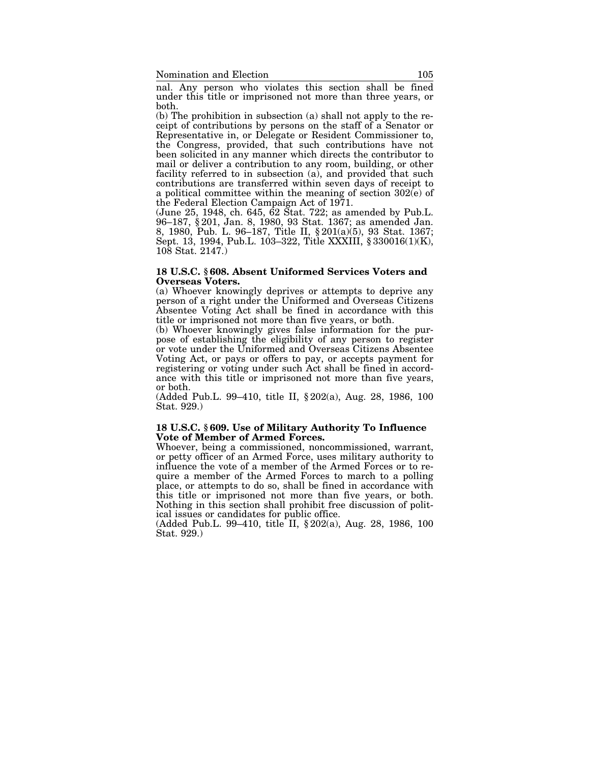nal. Any person who violates this section shall be fined under this title or imprisoned not more than three years, or both.

(b) The prohibition in subsection (a) shall not apply to the receipt of contributions by persons on the staff of a Senator or Representative in, or Delegate or Resident Commissioner to, the Congress, provided, that such contributions have not been solicited in any manner which directs the contributor to mail or deliver a contribution to any room, building, or other facility referred to in subsection (a), and provided that such contributions are transferred within seven days of receipt to a political committee within the meaning of section 302(e) of the Federal Election Campaign Act of 1971.

(June 25, 1948, ch. 645, 62 Stat. 722; as amended by Pub.L. 96–187, § 201, Jan. 8, 1980, 93 Stat. 1367; as amended Jan. 8, 1980, Pub. L. 96–187, Title II, § 201(a)(5), 93 Stat. 1367; Sept. 13, 1994, Pub.L. 103–322, Title XXXIII, § 330016(1)(K), 108 Stat. 2147.)

## **18 U.S.C. § 608. Absent Uniformed Services Voters and Overseas Voters.**

(a) Whoever knowingly deprives or attempts to deprive any person of a right under the Uniformed and Overseas Citizens Absentee Voting Act shall be fined in accordance with this title or imprisoned not more than five years, or both.

(b) Whoever knowingly gives false information for the purpose of establishing the eligibility of any person to register or vote under the Uniformed and Overseas Citizens Absentee Voting Act, or pays or offers to pay, or accepts payment for registering or voting under such Act shall be fined in accordance with this title or imprisoned not more than five years, or both.

(Added Pub.L. 99–410, title II, § 202(a), Aug. 28, 1986, 100 Stat. 929.)

## **18 U.S.C. § 609. Use of Military Authority To Influence Vote of Member of Armed Forces.**

Whoever, being a commissioned, noncommissioned, warrant, or petty officer of an Armed Force, uses military authority to influence the vote of a member of the Armed Forces or to require a member of the Armed Forces to march to a polling place, or attempts to do so, shall be fined in accordance with this title or imprisoned not more than five years, or both. Nothing in this section shall prohibit free discussion of political issues or candidates for public office.

(Added Pub.L. 99–410, title II, § 202(a), Aug. 28, 1986, 100 Stat. 929.)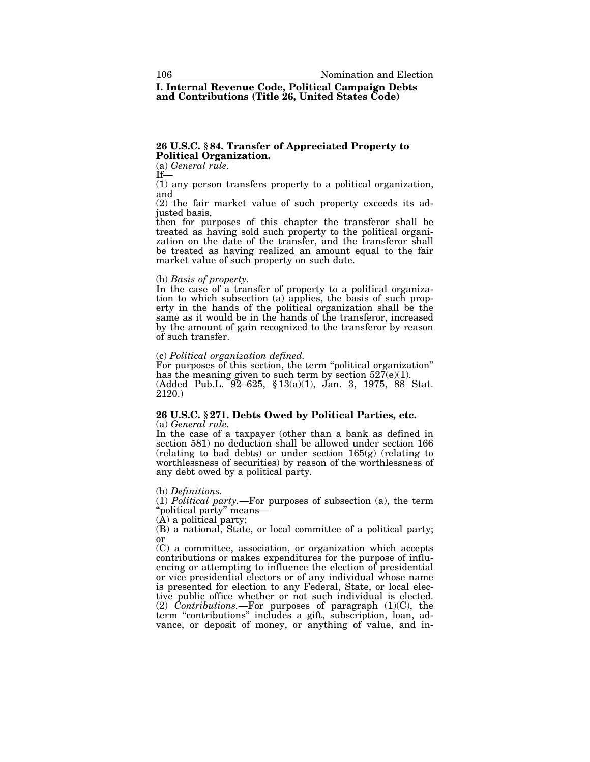**I. Internal Revenue Code, Political Campaign Debts and Contributions (Title 26, United States Code)**

# **26 U.S.C. § 84. Transfer of Appreciated Property to Political Organization.**

(a) *General rule.*

If—

(1) any person transfers property to a political organization, and

(2) the fair market value of such property exceeds its adjusted basis,

then for purposes of this chapter the transferor shall be treated as having sold such property to the political organization on the date of the transfer, and the transferor shall be treated as having realized an amount equal to the fair market value of such property on such date.

#### (b) *Basis of property.*

In the case of a transfer of property to a political organization to which subsection (a) applies, the basis of such property in the hands of the political organization shall be the same as it would be in the hands of the transferor, increased by the amount of gain recognized to the transferor by reason of such transfer.

# (c) *Political organization defined.*

For purposes of this section, the term "political organization" has the meaning given to such term by section  $527(e)(1)$ . (Added Pub.L. 92–625, § 13(a)(1), Jan. 3, 1975, 88 Stat. 2120.)

#### **26 U.S.C. § 271. Debts Owed by Political Parties, etc.** (a) *General rule.*

In the case of a taxpayer (other than a bank as defined in section 581) no deduction shall be allowed under section 166 (relating to bad debts) or under section 165(g) (relating to worthlessness of securities) by reason of the worthlessness of any debt owed by a political party.

#### (b) *Definitions.*

(1) *Political party.*—For purposes of subsection (a), the term ''political party'' means—

 $(\tilde{A})$  a political party;

(B) a national, State, or local committee of a political party; or

(C) a committee, association, or organization which accepts contributions or makes expenditures for the purpose of influencing or attempting to influence the election of presidential or vice presidential electors or of any individual whose name is presented for election to any Federal, State, or local elective public office whether or not such individual is elected. (2) *Contributions.*—For purposes of paragraph (1)(C), the term ''contributions'' includes a gift, subscription, loan, advance, or deposit of money, or anything of value, and in-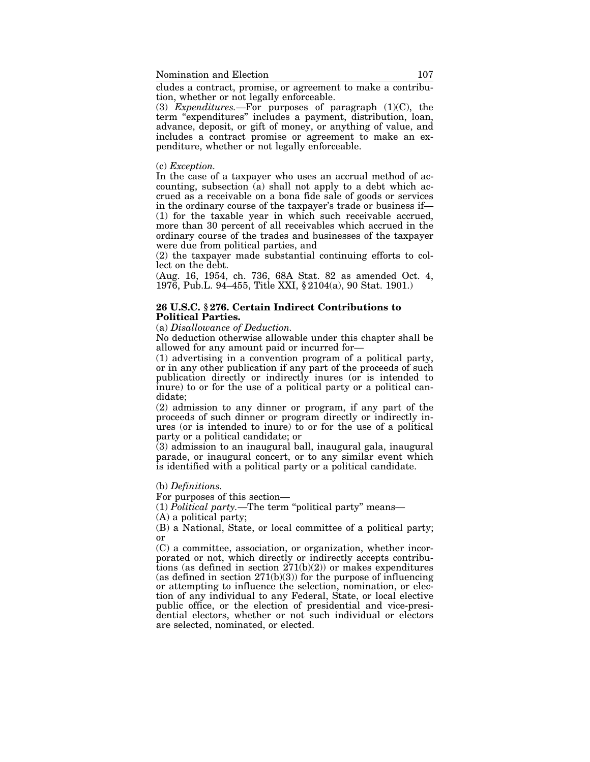cludes a contract, promise, or agreement to make a contribution, whether or not legally enforceable.

(3) *Expenditures.*—For purposes of paragraph (1)(C), the term ''expenditures'' includes a payment, distribution, loan, advance, deposit, or gift of money, or anything of value, and includes a contract promise or agreement to make an expenditure, whether or not legally enforceable.

(c) *Exception.*

In the case of a taxpayer who uses an accrual method of accounting, subsection (a) shall not apply to a debt which accrued as a receivable on a bona fide sale of goods or services in the ordinary course of the taxpayer's trade or business if— (1) for the taxable year in which such receivable accrued, more than 30 percent of all receivables which accrued in the ordinary course of the trades and businesses of the taxpayer were due from political parties, and

(2) the taxpayer made substantial continuing efforts to collect on the debt.

(Aug. 16, 1954, ch. 736, 68A Stat. 82 as amended Oct. 4, 1976, Pub.L. 94–455, Title XXI, § 2104(a), 90 Stat. 1901.)

#### **26 U.S.C. § 276. Certain Indirect Contributions to Political Parties.**

(a) *Disallowance of Deduction.*

No deduction otherwise allowable under this chapter shall be allowed for any amount paid or incurred for—

(1) advertising in a convention program of a political party, or in any other publication if any part of the proceeds of such publication directly or indirectly inures (or is intended to inure) to or for the use of a political party or a political candidate;

(2) admission to any dinner or program, if any part of the proceeds of such dinner or program directly or indirectly inures (or is intended to inure) to or for the use of a political party or a political candidate; or

(3) admission to an inaugural ball, inaugural gala, inaugural parade, or inaugural concert, or to any similar event which is identified with a political party or a political candidate.

(b) *Definitions.*

For purposes of this section—

 $(1)$  *Political party.*—The term "political party" means—

(A) a political party;

(B) a National, State, or local committee of a political party; or

(C) a committee, association, or organization, whether incorporated or not, which directly or indirectly accepts contributions (as defined in section  $271(b)(2)$ ) or makes expenditures (as defined in section  $271(b)(3)$ ) for the purpose of influencing or attempting to influence the selection, nomination, or election of any individual to any Federal, State, or local elective public office, or the election of presidential and vice-presidential electors, whether or not such individual or electors are selected, nominated, or elected.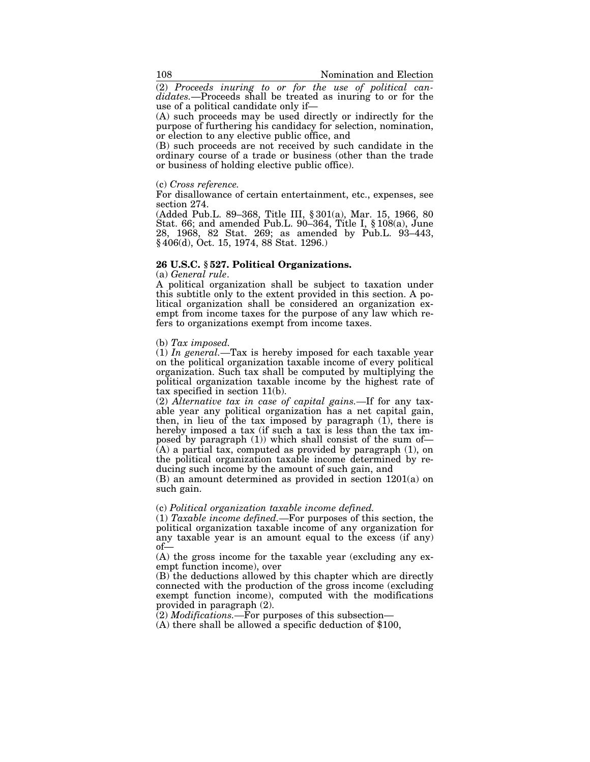(2) *Proceeds inuring to or for the use of political candidates.*—Proceeds shall be treated as inuring to or for the use of a political candidate only if—

(A) such proceeds may be used directly or indirectly for the purpose of furthering his candidacy for selection, nomination, or election to any elective public office, and

(B) such proceeds are not received by such candidate in the ordinary course of a trade or business (other than the trade or business of holding elective public office).

(c) *Cross reference.*

For disallowance of certain entertainment, etc., expenses, see section 274.

(Added Pub.L. 89–368, Title III, § 301(a), Mar. 15, 1966, 80 Stat. 66; and amended Pub.L. 90–364, Title I, § 108(a), June 28, 1968, 82 Stat. 269; as amended by Pub.L. 93–443, § 406(d), Oct. 15, 1974, 88 Stat. 1296.)

## **26 U.S.C. § 527. Political Organizations.**

(a) *General rule*.

A political organization shall be subject to taxation under this subtitle only to the extent provided in this section. A political organization shall be considered an organization exempt from income taxes for the purpose of any law which refers to organizations exempt from income taxes.

#### (b) *Tax imposed.*

(1) *In general.—*Tax is hereby imposed for each taxable year on the political organization taxable income of every political organization. Such tax shall be computed by multiplying the political organization taxable income by the highest rate of tax specified in section 11(b).

(2) *Alternative tax in case of capital gains.—*If for any taxable year any political organization has a net capital gain, then, in lieu of the tax imposed by paragraph (1), there is hereby imposed a tax (if such a tax is less than the tax imposed by paragraph (1)) which shall consist of the sum of—  $(A)$  a partial tax, computed as provided by paragraph  $(1)$ , on the political organization taxable income determined by reducing such income by the amount of such gain, and

(B) an amount determined as provided in section 1201(a) on such gain.

(c) *Political organization taxable income defined.*

(1) *Taxable income defined.—*For purposes of this section, the political organization taxable income of any organization for any taxable year is an amount equal to the excess (if any) of—

(A) the gross income for the taxable year (excluding any exempt function income), over

(B) the deductions allowed by this chapter which are directly connected with the production of the gross income (excluding exempt function income), computed with the modifications provided in paragraph (2).

(2) *Modifications.—*For purposes of this subsection—

(A) there shall be allowed a specific deduction of \$100,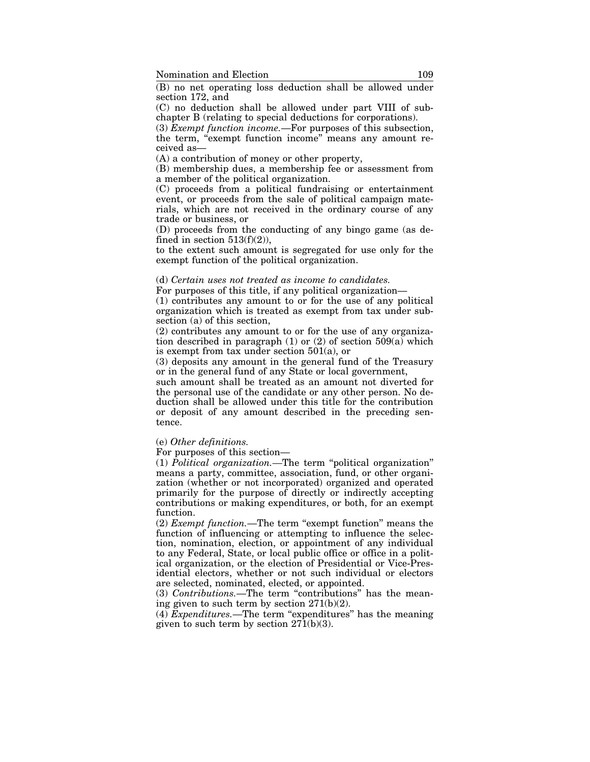(B) no net operating loss deduction shall be allowed under section 172, and

(C) no deduction shall be allowed under part VIII of subchapter B (relating to special deductions for corporations).

(3) *Exempt function income.*—For purposes of this subsection, the term, "exempt function income" means any amount received as—

(A) a contribution of money or other property,

(B) membership dues, a membership fee or assessment from a member of the political organization.

(C) proceeds from a political fundraising or entertainment event, or proceeds from the sale of political campaign materials, which are not received in the ordinary course of any trade or business, or

(D) proceeds from the conducting of any bingo game (as defined in section  $513(f)(2)$ ),

to the extent such amount is segregated for use only for the exempt function of the political organization.

#### (d) *Certain uses not treated as income to candidates.*

For purposes of this title, if any political organization—

(1) contributes any amount to or for the use of any political organization which is treated as exempt from tax under subsection (a) of this section,

(2) contributes any amount to or for the use of any organization described in paragraph  $(1)$  or  $(2)$  of section  $509(a)$  which is exempt from tax under section 501(a), or

(3) deposits any amount in the general fund of the Treasury or in the general fund of any State or local government,

such amount shall be treated as an amount not diverted for the personal use of the candidate or any other person. No deduction shall be allowed under this title for the contribution or deposit of any amount described in the preceding sentence.

## (e) *Other definitions.*

For purposes of this section—

(1) *Political organization.—*The term ''political organization'' means a party, committee, association, fund, or other organization (whether or not incorporated) organized and operated primarily for the purpose of directly or indirectly accepting contributions or making expenditures, or both, for an exempt function.

(2) *Exempt function*.—The term "exempt function" means the function of influencing or attempting to influence the selection, nomination, election, or appointment of any individual to any Federal, State, or local public office or office in a political organization, or the election of Presidential or Vice-Presidential electors, whether or not such individual or electors are selected, nominated, elected, or appointed.

(3) *Contributions.*—The term "contributions" has the meaning given to such term by section 271(b)(2).

 $(4)$  *Expenditures.*—The term "expenditures" has the meaning given to such term by section  $271(b)(3)$ .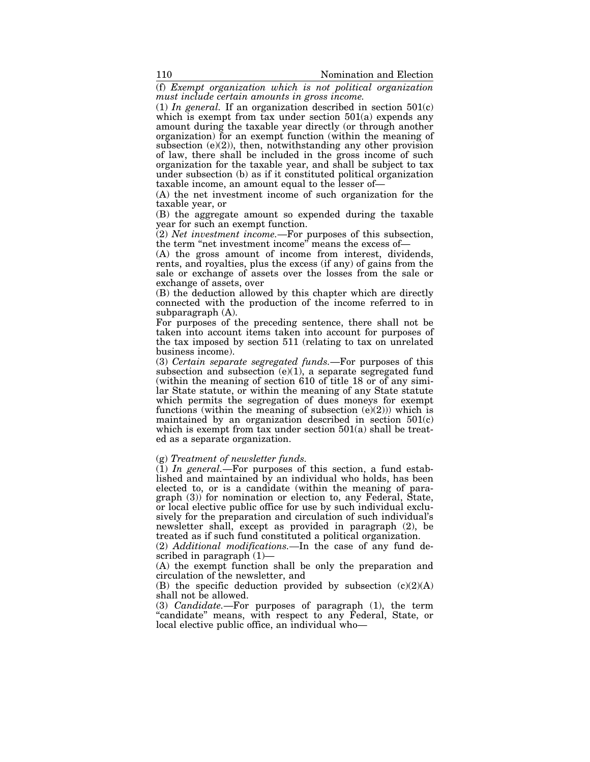(f) *Exempt organization which is not political organization must include certain amounts in gross income.*

(1) In general. If an organization described in section  $501(c)$ which is exempt from tax under section  $501(a)$  expends any amount during the taxable year directly (or through another organization) for an exempt function (within the meaning of subsection  $(e)(2)$ , then, notwithstanding any other provision of law, there shall be included in the gross income of such organization for the taxable year, and shall be subject to tax under subsection (b) as if it constituted political organization taxable income, an amount equal to the lesser of—

(A) the net investment income of such organization for the taxable year, or

(B) the aggregate amount so expended during the taxable year for such an exempt function.

(2) *Net investment income.*—For purposes of this subsection, the term "net investment income" means the excess of-

(A) the gross amount of income from interest, dividends, rents, and royalties, plus the excess (if any) of gains from the sale or exchange of assets over the losses from the sale or exchange of assets, over

(B) the deduction allowed by this chapter which are directly connected with the production of the income referred to in subparagraph (A).

For purposes of the preceding sentence, there shall not be taken into account items taken into account for purposes of the tax imposed by section 511 (relating to tax on unrelated business income).

(3) *Certain separate segregated funds.*—For purposes of this subsection and subsection  $(e)(1)$ , a separate segregated fund (within the meaning of section 610 of title 18 or of any similar State statute, or within the meaning of any State statute which permits the segregation of dues moneys for exempt functions (within the meaning of subsection  $(e)(2)$ )) which is maintained by an organization described in section 501(c) which is exempt from tax under section  $501(a)$  shall be treated as a separate organization.

#### (g) *Treatment of newsletter funds.*

(1) *In general.*—For purposes of this section, a fund established and maintained by an individual who holds, has been elected to, or is a candidate (within the meaning of paragraph (3)) for nomination or election to, any Federal, State, or local elective public office for use by such individual exclusively for the preparation and circulation of such individual's newsletter shall, except as provided in paragraph (2), be treated as if such fund constituted a political organization.

(2) *Additional modifications.—*In the case of any fund described in paragraph (1)—

(A) the exempt function shall be only the preparation and circulation of the newsletter, and

(B) the specific deduction provided by subsection  $(c)(2)(A)$ shall not be allowed.

(3) *Candidate.*—For purposes of paragraph (1), the term "candidate" means, with respect to any Federal, State, or local elective public office, an individual who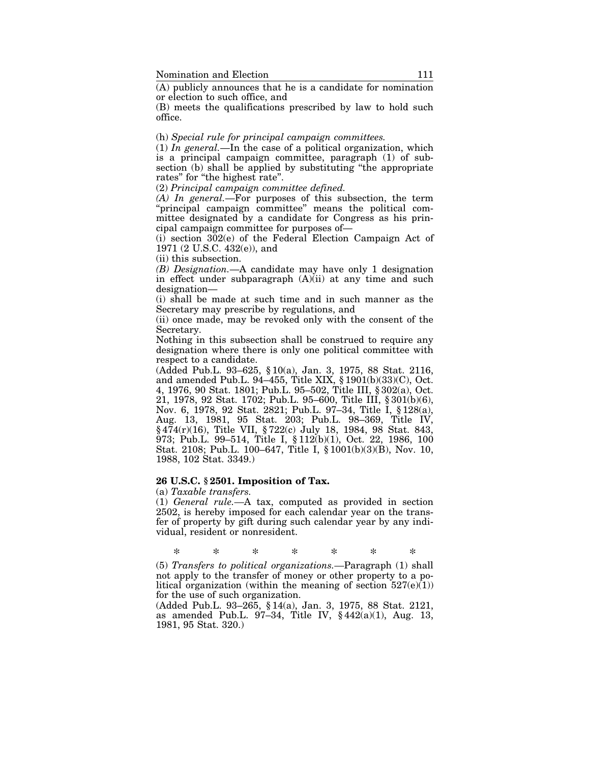(A) publicly announces that he is a candidate for nomination or election to such office, and

(B) meets the qualifications prescribed by law to hold such office.

(h) *Special rule for principal campaign committees.*

 $(1)$  *In general*.—In the case of a political organization, which is a principal campaign committee, paragraph (1) of subsection (b) shall be applied by substituting ''the appropriate rates" for "the highest rate".

(2) *Principal campaign committee defined.*

*(A) In general.*—For purposes of this subsection, the term "principal campaign committee" means the political committee designated by a candidate for Congress as his principal campaign committee for purposes of—

(i) section 302(e) of the Federal Election Campaign Act of 1971 (2 U.S.C. 432(e)), and

(ii) this subsection.

*(B) Designation.*—A candidate may have only 1 designation in effect under subparagraph (A)(ii) at any time and such designation—

(i) shall be made at such time and in such manner as the Secretary may prescribe by regulations, and

(ii) once made, may be revoked only with the consent of the Secretary.

Nothing in this subsection shall be construed to require any designation where there is only one political committee with respect to a candidate.

(Added Pub.L. 93–625, § 10(a), Jan. 3, 1975, 88 Stat. 2116, and amended Pub.L. 94–455, Title XIX, § 1901(b)(33)(C), Oct. 4, 1976, 90 Stat. 1801; Pub.L. 95–502, Title III, § 302(a), Oct. 21, 1978, 92 Stat. 1702; Pub.L. 95–600, Title III, § 301(b)(6), Nov. 6, 1978, 92 Stat. 2821; Pub.L. 97–34, Title I, § 128(a), Aug. 13, 1981, 95 Stat. 203; Pub.L. 98–369, Title IV, § 474(r)(16), Title VII, § 722(c) July 18, 1984, 98 Stat. 843, 973; Pub.L. 99–514, Title I, § 112(b)(1), Oct. 22, 1986, 100 Stat. 2108; Pub.L. 100–647, Title I, § 1001(b)(3)(B), Nov. 10, 1988, 102 Stat. 3349.)

## **26 U.S.C. § 2501. Imposition of Tax.**

(a) *Taxable transfers.*

(1) *General rule.—*A tax, computed as provided in section 2502, is hereby imposed for each calendar year on the transfer of property by gift during such calendar year by any individual, resident or nonresident.

\* \* \* \* \* \* \*

(5) *Transfers to political organizations.—*Paragraph (1) shall not apply to the transfer of money or other property to a political organization (within the meaning of section  $527(e)(1)$ ) for the use of such organization.

(Added Pub.L. 93–265, § 14(a), Jan. 3, 1975, 88 Stat. 2121, as amended Pub.L. 97–34, Title IV, § 442(a)(1), Aug. 13, 1981, 95 Stat. 320.)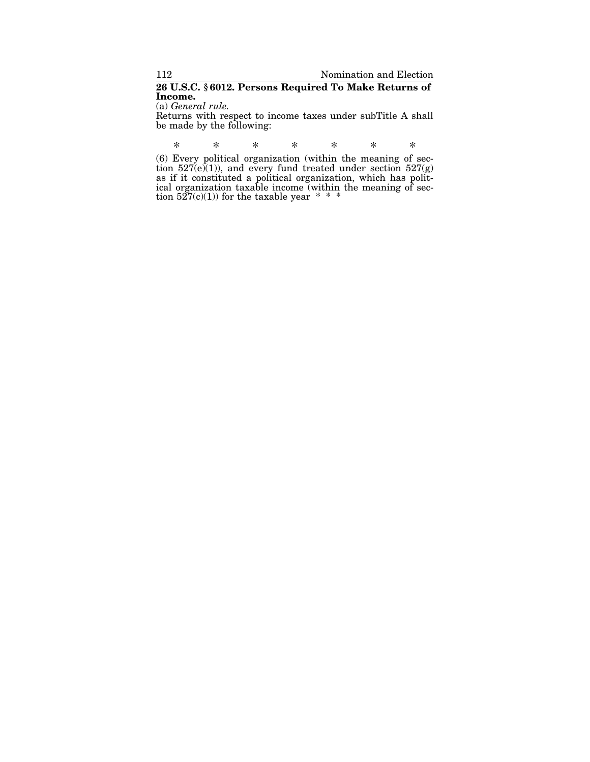# **26 U.S.C. § 6012. Persons Required To Make Returns of Income.**

(a) *General rule.*

Returns with respect to income taxes under subTitle A shall be made by the following:

\* \* \* \* \* \* \*

(6) Every political organization (within the meaning of section  $527(e)(1)$ , and every fund treated under section  $527(g)$ as if it constituted a political organization, which has political organization taxable income (within the meaning of section  $527(c)(1)$ ) for the taxable year \* \* \*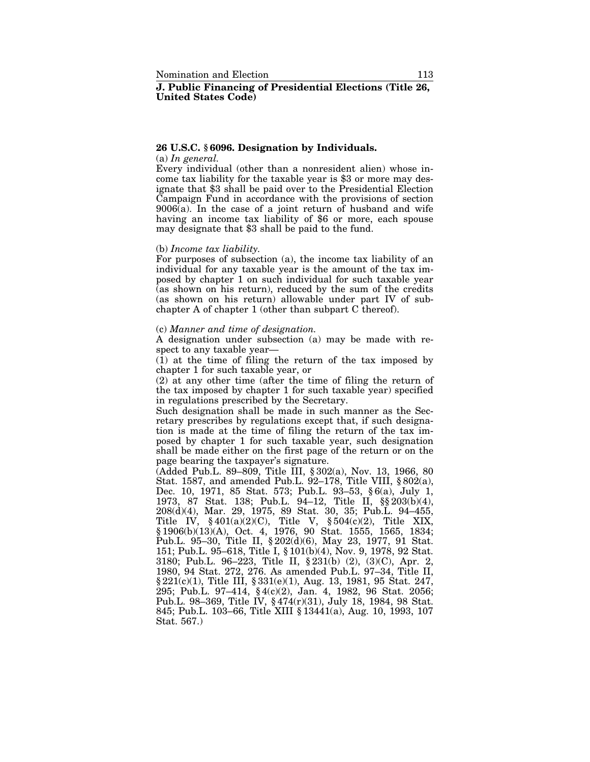**J. Public Financing of Presidential Elections (Title 26, United States Code)**

# **26 U.S.C. § 6096. Designation by Individuals.**

(a) *In general.*

Every individual (other than a nonresident alien) whose income tax liability for the taxable year is \$3 or more may designate that \$3 shall be paid over to the Presidential Election Campaign Fund in accordance with the provisions of section 9006(a). In the case of a joint return of husband and wife having an income tax liability of \$6 or more, each spouse may designate that \$3 shall be paid to the fund.

#### (b) *Income tax liability.*

For purposes of subsection (a), the income tax liability of an individual for any taxable year is the amount of the tax imposed by chapter 1 on such individual for such taxable year (as shown on his return), reduced by the sum of the credits (as shown on his return) allowable under part IV of subchapter A of chapter 1 (other than subpart C thereof).

#### (c) *Manner and time of designation.*

A designation under subsection (a) may be made with respect to any taxable year—

 $(i)$  at the time of filing the return of the tax imposed by chapter 1 for such taxable year, or

(2) at any other time (after the time of filing the return of the tax imposed by chapter 1 for such taxable year) specified in regulations prescribed by the Secretary.

Such designation shall be made in such manner as the Secretary prescribes by regulations except that, if such designation is made at the time of filing the return of the tax imposed by chapter 1 for such taxable year, such designation shall be made either on the first page of the return or on the page bearing the taxpayer's signature.

(Added Pub.L. 89–809, Title III, § 302(a), Nov. 13, 1966, 80 Stat. 1587, and amended Pub.L.  $92-178$ , Title VIII,  $\S 802(a)$ , Dec. 10, 1971, 85 Stat. 573; Pub.L. 93–53, § 6(a), July 1, 1973, 87 Stat. 138; Pub.L. 94–12, Title II, §§ 203(b)(4), 208(d)(4), Mar. 29, 1975, 89 Stat. 30, 35; Pub.L. 94–455, Title IV,  $\S~401(a)(2)(C)$ , Title V,  $\S~504(c)(2)$ , Title XIX, § 1906(b)(13)(A), Oct. 4, 1976, 90 Stat. 1555, 1565, 1834; Pub.L. 95–30, Title II, § 202(d)(6), May 23, 1977, 91 Stat. 151; Pub.L. 95–618, Title I, § 101(b)(4), Nov. 9, 1978, 92 Stat. 3180; Pub.L. 96–223, Title II, § 231(b) (2), (3)(C), Apr. 2, 1980, 94 Stat. 272, 276. As amended Pub.L. 97–34, Title II, § 221(c)(1), Title III, § 331(e)(1), Aug. 13, 1981, 95 Stat. 247, 295; Pub.L. 97–414, § 4(c)(2), Jan. 4, 1982, 96 Stat. 2056; Pub.L. 98–369, Title IV, § 474(r)(31), July 18, 1984, 98 Stat. 845; Pub.L. 103–66, Title XIII § 13441(a), Aug. 10, 1993, 107 Stat. 567.)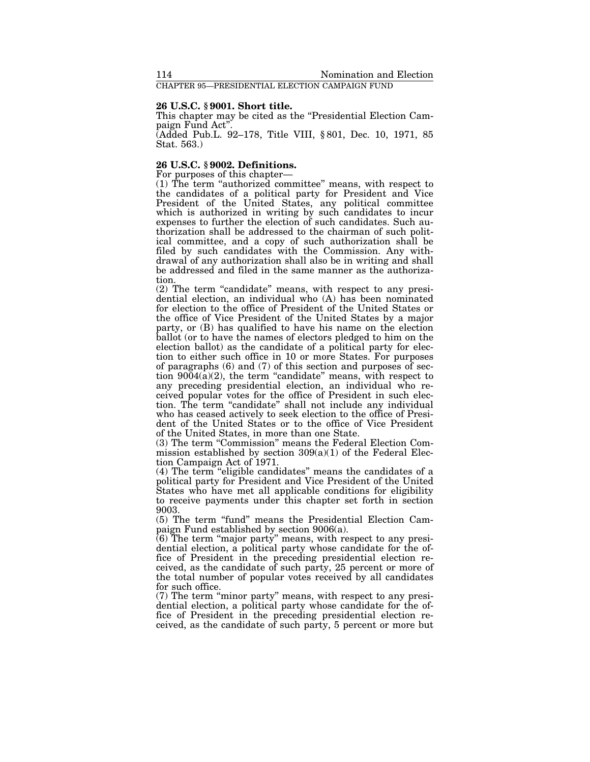CHAPTER 95—PRESIDENTIAL ELECTION CAMPAIGN FUND

#### **26 U.S.C. § 9001. Short title.**

This chapter may be cited as the "Presidential Election Campaign Fund Act''.

(Added Pub.L. 92–178, Title VIII, § 801, Dec. 10, 1971, 85 Stat. 563.)

## **26 U.S.C. § 9002. Definitions.**

For purposes of this chapter—

(1) The term ''authorized committee'' means, with respect to the candidates of a political party for President and Vice President of the United States, any political committee which is authorized in writing by such candidates to incur expenses to further the election of such candidates. Such authorization shall be addressed to the chairman of such political committee, and a copy of such authorization shall be filed by such candidates with the Commission. Any withdrawal of any authorization shall also be in writing and shall be addressed and filed in the same manner as the authorization.

(2) The term ''candidate'' means, with respect to any presidential election, an individual who (A) has been nominated for election to the office of President of the United States or the office of Vice President of the United States by a major party, or (B) has qualified to have his name on the election ballot (or to have the names of electors pledged to him on the election ballot) as the candidate of a political party for election to either such office in 10 or more States. For purposes of paragraphs (6) and (7) of this section and purposes of section  $9004(a)(2)$ , the term "candidate" means, with respect to any preceding presidential election, an individual who received popular votes for the office of President in such election. The term ''candidate'' shall not include any individual who has ceased actively to seek election to the office of President of the United States or to the office of Vice President of the United States, in more than one State.

(3) The term ''Commission'' means the Federal Election Commission established by section  $309(a)(1)$  of the Federal Election Campaign Act of 1971.

(4) The term ''eligible candidates'' means the candidates of a political party for President and Vice President of the United States who have met all applicable conditions for eligibility to receive payments under this chapter set forth in section 9003.

(5) The term ''fund'' means the Presidential Election Campaign Fund established by section 9006(a).

(6) The term ''major party'' means, with respect to any presidential election, a political party whose candidate for the office of President in the preceding presidential election received, as the candidate of such party, 25 percent or more of the total number of popular votes received by all candidates for such office.

(7) The term ''minor party'' means, with respect to any presidential election, a political party whose candidate for the office of President in the preceding presidential election received, as the candidate of such party, 5 percent or more but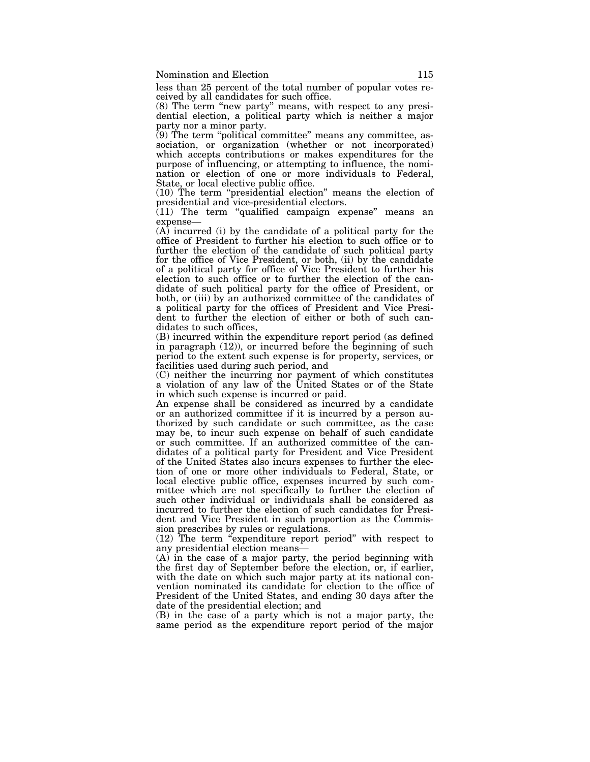less than 25 percent of the total number of popular votes received by all candidates for such office.

(8) The term ''new party'' means, with respect to any presidential election, a political party which is neither a major party nor a minor party.

(9) The term ''political committee'' means any committee, association, or organization (whether or not incorporated) which accepts contributions or makes expenditures for the purpose of influencing, or attempting to influence, the nomination or election of one or more individuals to Federal, State, or local elective public office.

(10) The term ''presidential election'' means the election of presidential and vice-presidential electors.

 $(11)$  The term "qualified campaign expense" means an expense—

(A) incurred (i) by the candidate of a political party for the office of President to further his election to such office or to further the election of the candidate of such political party for the office of Vice President, or both, (ii) by the candidate of a political party for office of Vice President to further his election to such office or to further the election of the candidate of such political party for the office of President, or both, or (iii) by an authorized committee of the candidates of a political party for the offices of President and Vice President to further the election of either or both of such candidates to such offices,

(B) incurred within the expenditure report period (as defined in paragraph (12)), or incurred before the beginning of such period to the extent such expense is for property, services, or facilities used during such period, and

(C) neither the incurring nor payment of which constitutes a violation of any law of the United States or of the State in which such expense is incurred or paid.

An expense shall be considered as incurred by a candidate or an authorized committee if it is incurred by a person authorized by such candidate or such committee, as the case may be, to incur such expense on behalf of such candidate or such committee. If an authorized committee of the candidates of a political party for President and Vice President of the United States also incurs expenses to further the election of one or more other individuals to Federal, State, or local elective public office, expenses incurred by such committee which are not specifically to further the election of such other individual or individuals shall be considered as incurred to further the election of such candidates for President and Vice President in such proportion as the Commission prescribes by rules or regulations.

(12) The term ''expenditure report period'' with respect to any presidential election means—

(A) in the case of a major party, the period beginning with the first day of September before the election, or, if earlier, with the date on which such major party at its national convention nominated its candidate for election to the office of President of the United States, and ending 30 days after the date of the presidential election; and

(B) in the case of a party which is not a major party, the same period as the expenditure report period of the major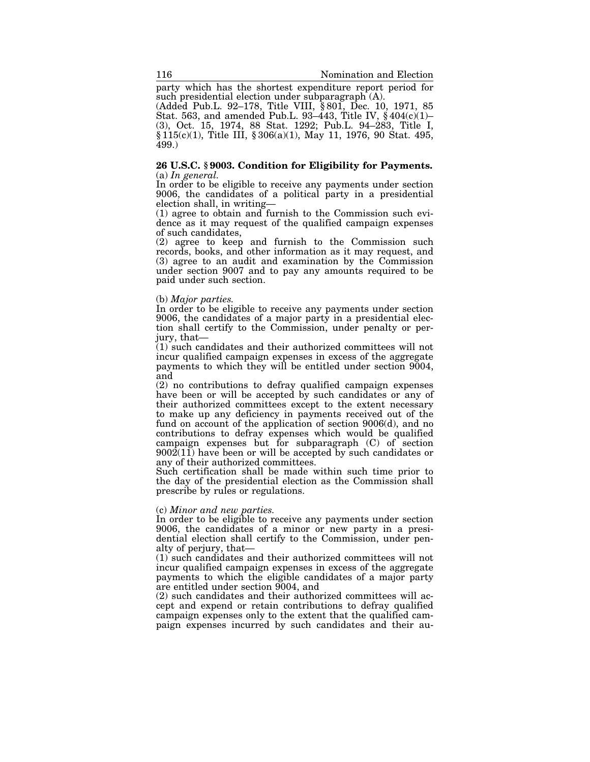party which has the shortest expenditure report period for such presidential election under subparagraph (A).

(Added Pub.L. 92–178, Title VIII, § 801, Dec. 10, 1971, 85 Stat. 563, and amended Pub.L. 93–443, Title IV, § 404(c)(1)– (3), Oct. 15, 1974, 88 Stat. 1292; Pub.L. 94–283, Title I, § 115(c)(1), Title III, § 306(a)(1), May 11, 1976, 90 Stat. 495, 499.)

#### **26 U.S.C. § 9003. Condition for Eligibility for Payments.** (a) *In general.*

In order to be eligible to receive any payments under section 9006, the candidates of a political party in a presidential election shall, in writing—

(1) agree to obtain and furnish to the Commission such evidence as it may request of the qualified campaign expenses of such candidates,

(2) agree to keep and furnish to the Commission such records, books, and other information as it may request, and (3) agree to an audit and examination by the Commission under section 9007 and to pay any amounts required to be paid under such section.

#### (b) *Major parties.*

In order to be eligible to receive any payments under section 9006, the candidates of a major party in a presidential election shall certify to the Commission, under penalty or perjury, that—

(1) such candidates and their authorized committees will not incur qualified campaign expenses in excess of the aggregate payments to which they will be entitled under section 9004, and

(2) no contributions to defray qualified campaign expenses have been or will be accepted by such candidates or any of their authorized committees except to the extent necessary to make up any deficiency in payments received out of the fund on account of the application of section 9006(d), and no contributions to defray expenses which would be qualified campaign expenses but for subparagraph (C) of section  $9002(11)$  have been or will be accepted by such candidates or any of their authorized committees.

Such certification shall be made within such time prior to the day of the presidential election as the Commission shall prescribe by rules or regulations.

#### (c) *Minor and new parties.*

In order to be eligible to receive any payments under section 9006, the candidates of a minor or new party in a presidential election shall certify to the Commission, under penalty of perjury, that—

(1) such candidates and their authorized committees will not incur qualified campaign expenses in excess of the aggregate payments to which the eligible candidates of a major party are entitled under section 9004, and

(2) such candidates and their authorized committees will accept and expend or retain contributions to defray qualified campaign expenses only to the extent that the qualified campaign expenses incurred by such candidates and their au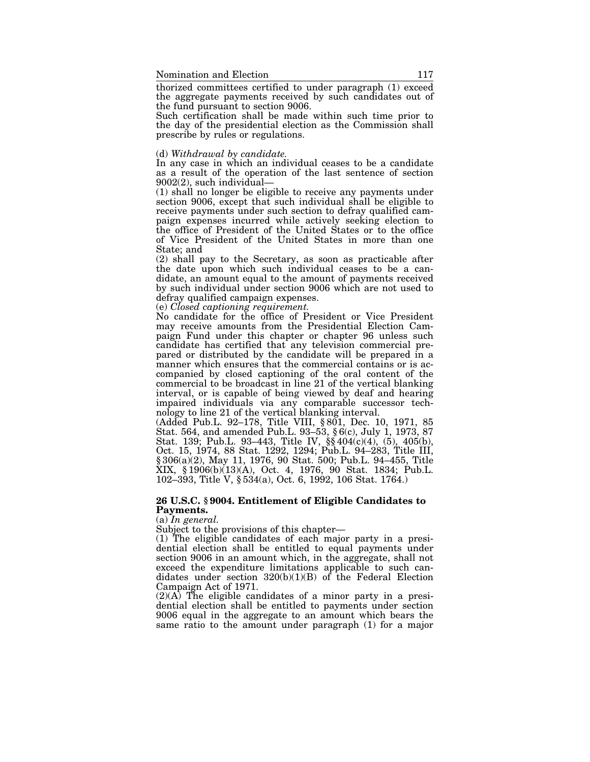thorized committees certified to under paragraph (1) exceed the aggregate payments received by such candidates out of the fund pursuant to section 9006.

Such certification shall be made within such time prior to the day of the presidential election as the Commission shall prescribe by rules or regulations.

#### (d) *Withdrawal by candidate.*

In any case in which an individual ceases to be a candidate as a result of the operation of the last sentence of section 9002(2), such individual—

(1) shall no longer be eligible to receive any payments under section 9006, except that such individual shall be eligible to receive payments under such section to defray qualified campaign expenses incurred while actively seeking election to the office of President of the United States or to the office of Vice President of the United States in more than one State; and

(2) shall pay to the Secretary, as soon as practicable after the date upon which such individual ceases to be a candidate, an amount equal to the amount of payments received by such individual under section 9006 which are not used to defray qualified campaign expenses.

(e) *Closed captioning requirement.*

No candidate for the office of President or Vice President may receive amounts from the Presidential Election Campaign Fund under this chapter or chapter 96 unless such candidate has certified that any television commercial prepared or distributed by the candidate will be prepared in a manner which ensures that the commercial contains or is accompanied by closed captioning of the oral content of the commercial to be broadcast in line 21 of the vertical blanking interval, or is capable of being viewed by deaf and hearing impaired individuals via any comparable successor technology to line 21 of the vertical blanking interval.

(Added Pub.L. 92–178, Title VIII, § 801, Dec. 10, 1971, 85 Stat. 564, and amended Pub.L. 93–53, § 6(c), July 1, 1973, 87 Stat. 139; Pub.L. 93–443, Title IV, §§ 404(c)(4), (5), 405(b), Oct. 15, 1974, 88 Stat. 1292, 1294; Pub.L. 94–283, Title III, § 306(a)(2), May 11, 1976, 90 Stat. 500; Pub.L. 94–455, Title XIX, § 1906(b)(13)(A), Oct. 4, 1976, 90 Stat. 1834; Pub.L. 102–393, Title V, § 534(a), Oct. 6, 1992, 106 Stat. 1764.)

# **26 U.S.C. § 9004. Entitlement of Eligible Candidates to Payments.**

(a) *In general.*

Subject to the provisions of this chapter—

(1) The eligible candidates of each major party in a presidential election shall be entitled to equal payments under section 9006 in an amount which, in the aggregate, shall not exceed the expenditure limitations applicable to such candidates under section  $320(b)(1)(B)$  of the Federal Election Campaign Act of 1971.

 $(2)(A)$  The eligible candidates of a minor party in a presidential election shall be entitled to payments under section 9006 equal in the aggregate to an amount which bears the same ratio to the amount under paragraph (1) for a major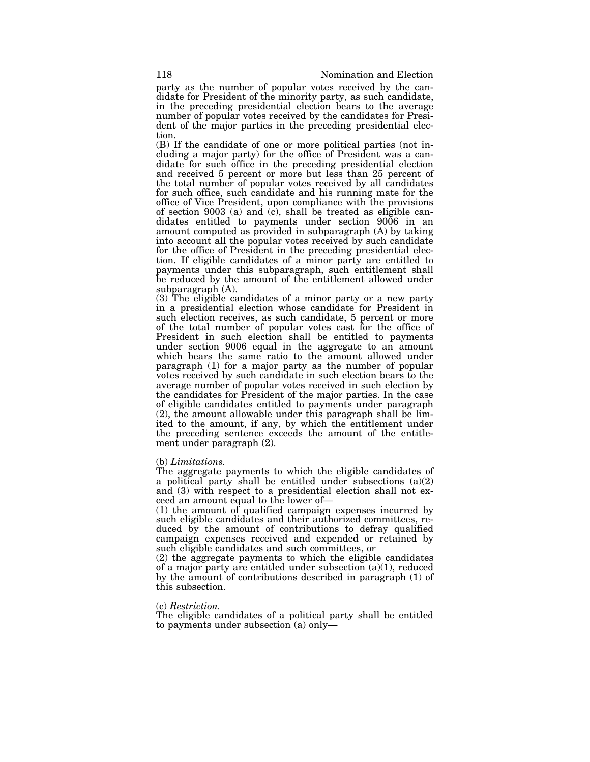party as the number of popular votes received by the candidate for President of the minority party, as such candidate, in the preceding presidential election bears to the average number of popular votes received by the candidates for President of the major parties in the preceding presidential election.

(B) If the candidate of one or more political parties (not including a major party) for the office of President was a candidate for such office in the preceding presidential election and received 5 percent or more but less than 25 percent of the total number of popular votes received by all candidates for such office, such candidate and his running mate for the office of Vice President, upon compliance with the provisions of section 9003 (a) and (c), shall be treated as eligible candidates entitled to payments under section 9006 in an amount computed as provided in subparagraph (A) by taking into account all the popular votes received by such candidate for the office of President in the preceding presidential election. If eligible candidates of a minor party are entitled to payments under this subparagraph, such entitlement shall be reduced by the amount of the entitlement allowed under subparagraph (A).

(3) The eligible candidates of a minor party or a new party in a presidential election whose candidate for President in such election receives, as such candidate, 5 percent or more of the total number of popular votes cast for the office of President in such election shall be entitled to payments under section 9006 equal in the aggregate to an amount which bears the same ratio to the amount allowed under paragraph (1) for a major party as the number of popular votes received by such candidate in such election bears to the average number of popular votes received in such election by the candidates for President of the major parties. In the case of eligible candidates entitled to payments under paragraph (2), the amount allowable under this paragraph shall be limited to the amount, if any, by which the entitlement under the preceding sentence exceeds the amount of the entitlement under paragraph (2).

#### (b) *Limitations.*

The aggregate payments to which the eligible candidates of a political party shall be entitled under subsections  $(a)(2)$ and (3) with respect to a presidential election shall not exceed an amount equal to the lower of—

(1) the amount of qualified campaign expenses incurred by such eligible candidates and their authorized committees, reduced by the amount of contributions to defray qualified campaign expenses received and expended or retained by such eligible candidates and such committees, or

(2) the aggregate payments to which the eligible candidates of a major party are entitled under subsection (a)(1), reduced by the amount of contributions described in paragraph (1) of this subsection.

#### (c) *Restriction.*

The eligible candidates of a political party shall be entitled to payments under subsection (a) only—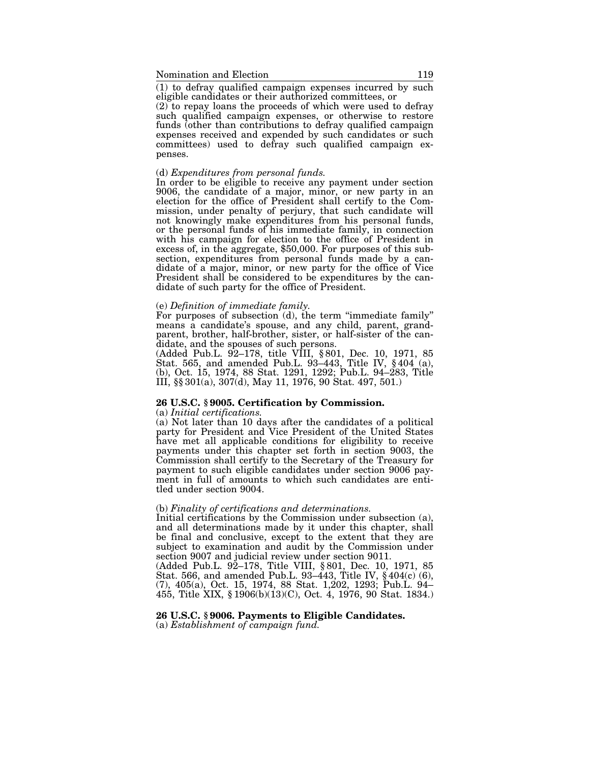(1) to defray qualified campaign expenses incurred by such eligible candidates or their authorized committees, or

(2) to repay loans the proceeds of which were used to defray such qualified campaign expenses, or otherwise to restore funds (other than contributions to defray qualified campaign expenses received and expended by such candidates or such committees) used to defray such qualified campaign expenses.

#### (d) *Expenditures from personal funds.*

In order to be eligible to receive any payment under section 9006, the candidate of a major, minor, or new party in an election for the office of President shall certify to the Commission, under penalty of perjury, that such candidate will not knowingly make expenditures from his personal funds, or the personal funds of his immediate family, in connection with his campaign for election to the office of President in excess of, in the aggregate, \$50,000. For purposes of this subsection, expenditures from personal funds made by a candidate of a major, minor, or new party for the office of Vice President shall be considered to be expenditures by the candidate of such party for the office of President.

## (e) *Definition of immediate family.*

For purposes of subsection (d), the term "immediate family" means a candidate's spouse, and any child, parent, grandparent, brother, half-brother, sister, or half-sister of the candidate, and the spouses of such persons.

(Added Pub.L. 92–178, title VIII, § 801, Dec. 10, 1971, 85 Stat. 565, and amended Pub.L. 93–443, Title IV, § 404 (a), (b), Oct. 15, 1974, 88 Stat. 1291, 1292; Pub.L. 94–283, Title III, §§ 301(a), 307(d), May 11, 1976, 90 Stat. 497, 501.)

#### **26 U.S.C. § 9005. Certification by Commission.**

## (a) *Initial certifications.*

(a) Not later than 10 days after the candidates of a political party for President and Vice President of the United States have met all applicable conditions for eligibility to receive payments under this chapter set forth in section 9003, the Commission shall certify to the Secretary of the Treasury for payment to such eligible candidates under section 9006 payment in full of amounts to which such candidates are entitled under section 9004.

#### (b) *Finality of certifications and determinations.*

Initial certifications by the Commission under subsection (a), and all determinations made by it under this chapter, shall be final and conclusive, except to the extent that they are subject to examination and audit by the Commission under section 9007 and judicial review under section 9011.

(Added Pub.L. 92–178, Title VIII, § 801, Dec. 10, 1971, 85 Stat. 566, and amended Pub.L. 93–443, Title IV, § 404(c) (6), (7), 405(a), Oct. 15, 1974, 88 Stat. 1,202, 1293; Pub.L. 94– 455, Title XIX, § 1906(b)(13)(C), Oct. 4, 1976, 90 Stat. 1834.)

#### **26 U.S.C. § 9006. Payments to Eligible Candidates.**

(a) *Establishment of campaign fund.*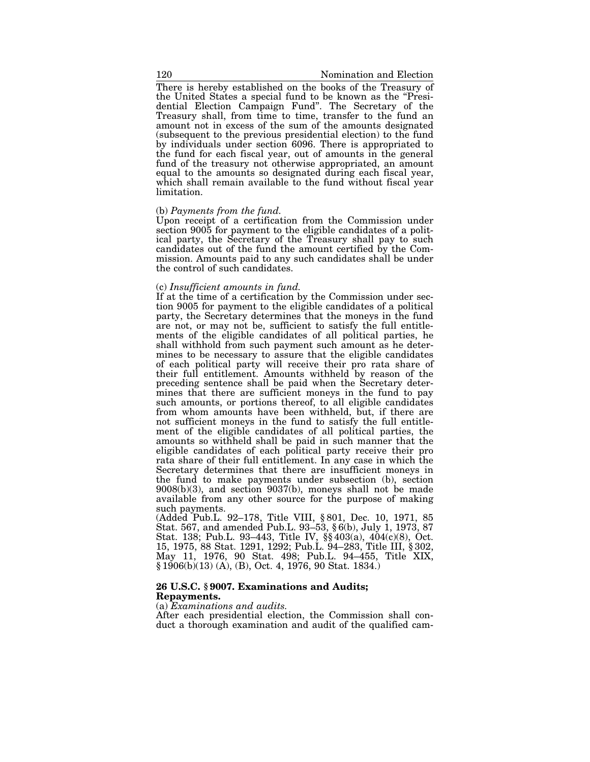There is hereby established on the books of the Treasury of the United States a special fund to be known as the ''Presidential Election Campaign Fund''. The Secretary of the Treasury shall, from time to time, transfer to the fund an amount not in excess of the sum of the amounts designated (subsequent to the previous presidential election) to the fund by individuals under section 6096. There is appropriated to the fund for each fiscal year, out of amounts in the general fund of the treasury not otherwise appropriated, an amount equal to the amounts so designated during each fiscal year, which shall remain available to the fund without fiscal year limitation.

#### (b) *Payments from the fund.*

Upon receipt of a certification from the Commission under section 9005 for payment to the eligible candidates of a political party, the Secretary of the Treasury shall pay to such candidates out of the fund the amount certified by the Commission. Amounts paid to any such candidates shall be under the control of such candidates.

#### (c) *Insufficient amounts in fund.*

If at the time of a certification by the Commission under section 9005 for payment to the eligible candidates of a political party, the Secretary determines that the moneys in the fund are not, or may not be, sufficient to satisfy the full entitlements of the eligible candidates of all political parties, he shall withhold from such payment such amount as he determines to be necessary to assure that the eligible candidates of each political party will receive their pro rata share of their full entitlement. Amounts withheld by reason of the preceding sentence shall be paid when the Secretary determines that there are sufficient moneys in the fund to pay such amounts, or portions thereof, to all eligible candidates from whom amounts have been withheld, but, if there are not sufficient moneys in the fund to satisfy the full entitlement of the eligible candidates of all political parties, the amounts so withheld shall be paid in such manner that the eligible candidates of each political party receive their pro rata share of their full entitlement. In any case in which the Secretary determines that there are insufficient moneys in the fund to make payments under subsection (b), section 9008(b)(3), and section 9037(b), moneys shall not be made available from any other source for the purpose of making such payments.

(Added Pub.L. 92–178, Title VIII, § 801, Dec. 10, 1971, 85 Stat. 567, and amended Pub.L. 93–53, § 6(b), July 1, 1973, 87 Stat. 138; Pub.L. 93–443, Title IV, §§ 403(a), 404(c)(8), Oct. 15, 1975, 88 Stat. 1291, 1292; Pub.L. 94–283, Title III, § 302, May 11, 1976, 90 Stat. 498; Pub.L. 94–455, Title XIX, § 1906(b)(13) (A), (B), Oct. 4, 1976, 90 Stat. 1834.)

## **26 U.S.C. § 9007. Examinations and Audits; Repayments.**

(a) *Examinations and audits.*

After each presidential election, the Commission shall conduct a thorough examination and audit of the qualified cam-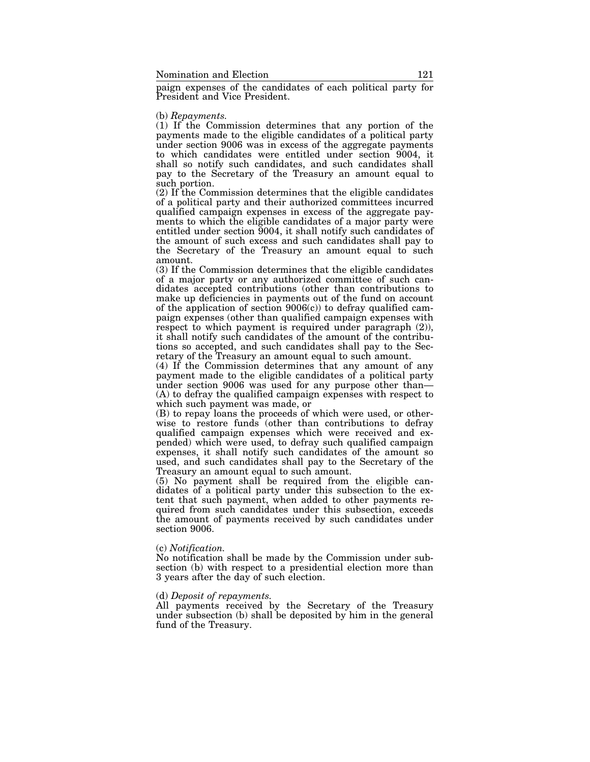paign expenses of the candidates of each political party for President and Vice President.

#### (b) *Repayments.*

(1) If the Commission determines that any portion of the payments made to the eligible candidates of a political party under section 9006 was in excess of the aggregate payments to which candidates were entitled under section 9004, it shall so notify such candidates, and such candidates shall pay to the Secretary of the Treasury an amount equal to such portion.

(2) If the Commission determines that the eligible candidates of a political party and their authorized committees incurred qualified campaign expenses in excess of the aggregate payments to which the eligible candidates of a major party were entitled under section 9004, it shall notify such candidates of the amount of such excess and such candidates shall pay to the Secretary of the Treasury an amount equal to such amount.

(3) If the Commission determines that the eligible candidates of a major party or any authorized committee of such candidates accepted contributions (other than contributions to make up deficiencies in payments out of the fund on account of the application of section  $9006(c)$  to defray qualified campaign expenses (other than qualified campaign expenses with respect to which payment is required under paragraph (2)), it shall notify such candidates of the amount of the contributions so accepted, and such candidates shall pay to the Secretary of the Treasury an amount equal to such amount.

(4) If the Commission determines that any amount of any payment made to the eligible candidates of a political party under section 9006 was used for any purpose other than— (A) to defray the qualified campaign expenses with respect to which such payment was made, or

(B) to repay loans the proceeds of which were used, or otherwise to restore funds (other than contributions to defray qualified campaign expenses which were received and expended) which were used, to defray such qualified campaign expenses, it shall notify such candidates of the amount so used, and such candidates shall pay to the Secretary of the Treasury an amount equal to such amount.

(5) No payment shall be required from the eligible candidates of a political party under this subsection to the extent that such payment, when added to other payments required from such candidates under this subsection, exceeds the amount of payments received by such candidates under section 9006.

#### (c) *Notification.*

No notification shall be made by the Commission under subsection (b) with respect to a presidential election more than 3 years after the day of such election.

## (d) *Deposit of repayments.*

All payments received by the Secretary of the Treasury under subsection (b) shall be deposited by him in the general fund of the Treasury.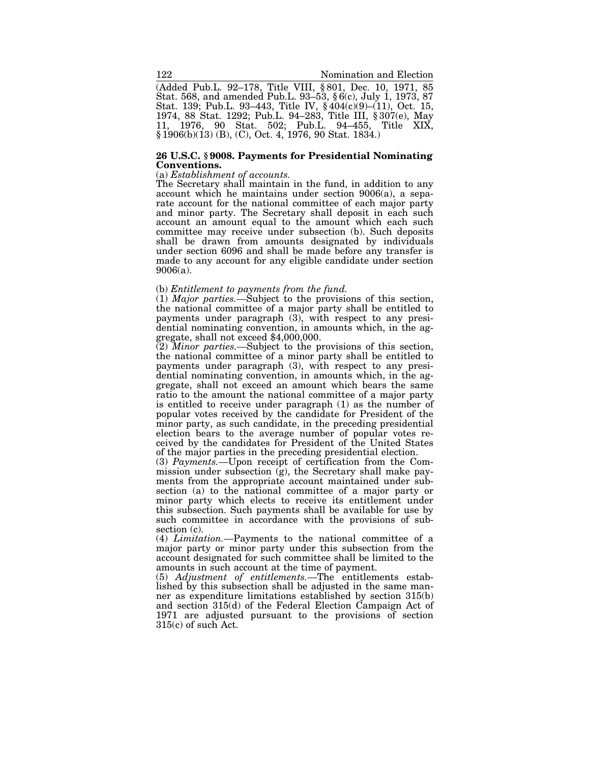(Added Pub.L. 92–178, Title VIII, § 801, Dec. 10, 1971, 85 Stat. 568, and amended Pub.L. 93–53, § 6(c), July 1, 1973, 87 Stat. 139; Pub.L. 93–443, Title IV, § 404(c)(9)–(11), Oct. 15, 1974, 88 Stat. 1292; Pub.L. 94–283, Title III, § 307(e), May 11, 1976, 90 Stat. 502; Pub.L. 94–455, Title XIX,  $\S 1906(b)(13)$  (B), (C), Oct. 4, 1976, 90 Stat. 1834.)

# **26 U.S.C. § 9008. Payments for Presidential Nominating Conventions.**

# (a) *Establishment of accounts.*

The Secretary shall maintain in the fund, in addition to any account which he maintains under section 9006(a), a separate account for the national committee of each major party and minor party. The Secretary shall deposit in each such account an amount equal to the amount which each such committee may receive under subsection (b). Such deposits shall be drawn from amounts designated by individuals under section 6096 and shall be made before any transfer is made to any account for any eligible candidate under section 9006(a).

#### (b) *Entitlement to payments from the fund.*

(1) *Major parties.—*Subject to the provisions of this section, the national committee of a major party shall be entitled to payments under paragraph (3), with respect to any presidential nominating convention, in amounts which, in the aggregate, shall not exceed \$4,000,000.

(2) *Minor parties.—*Subject to the provisions of this section, the national committee of a minor party shall be entitled to payments under paragraph (3), with respect to any presidential nominating convention, in amounts which, in the aggregate, shall not exceed an amount which bears the same ratio to the amount the national committee of a major party is entitled to receive under paragraph (1) as the number of popular votes received by the candidate for President of the minor party, as such candidate, in the preceding presidential election bears to the average number of popular votes received by the candidates for President of the United States of the major parties in the preceding presidential election.

(3) *Payments.—*Upon receipt of certification from the Commission under subsection (g), the Secretary shall make payments from the appropriate account maintained under subsection (a) to the national committee of a major party or minor party which elects to receive its entitlement under this subsection. Such payments shall be available for use by such committee in accordance with the provisions of subsection (c).

(4) *Limitation.—*Payments to the national committee of a major party or minor party under this subsection from the account designated for such committee shall be limited to the amounts in such account at the time of payment.

(5) *Adjustment of entitlements.—*The entitlements established by this subsection shall be adjusted in the same manner as expenditure limitations established by section 315(b) and section 315(d) of the Federal Election Campaign Act of 1971 are adjusted pursuant to the provisions of section 315(c) of such Act.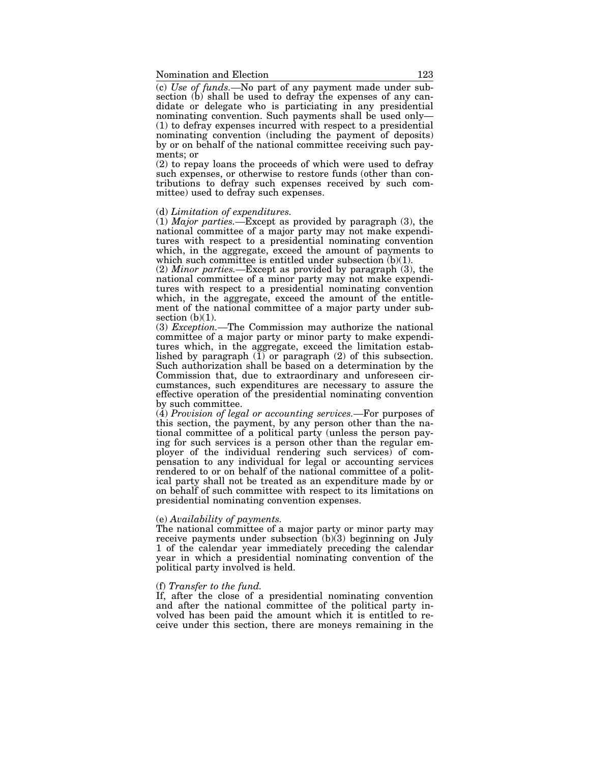(c) *Use of funds.—*No part of any payment made under subsection (b) shall be used to defray the expenses of any candidate or delegate who is particiating in any presidential nominating convention. Such payments shall be used only— (1) to defray expenses incurred with respect to a presidential nominating convention (including the payment of deposits) by or on behalf of the national committee receiving such payments; or

(2) to repay loans the proceeds of which were used to defray such expenses, or otherwise to restore funds (other than contributions to defray such expenses received by such committee) used to defray such expenses.

#### (d) *Limitation of expenditures.*

(1) *Major parties.—*Except as provided by paragraph (3), the national committee of a major party may not make expenditures with respect to a presidential nominating convention which, in the aggregate, exceed the amount of payments to which such committee is entitled under subsection  $(b)(1)$ .

(2) *Minor parties.—*Except as provided by paragraph (3), the national committee of a minor party may not make expenditures with respect to a presidential nominating convention which, in the aggregate, exceed the amount of the entitlement of the national committee of a major party under subsection  $(b)(1)$ .

(3) *Exception.—*The Commission may authorize the national committee of a major party or minor party to make expenditures which, in the aggregate, exceed the limitation established by paragraph  $(\tilde{1})$  or paragraph  $(2)$  of this subsection. Such authorization shall be based on a determination by the Commission that, due to extraordinary and unforeseen circumstances, such expenditures are necessary to assure the effective operation of the presidential nominating convention by such committee.

(4) *Provision of legal or accounting services.—*For purposes of this section, the payment, by any person other than the national committee of a political party (unless the person paying for such services is a person other than the regular employer of the individual rendering such services) of compensation to any individual for legal or accounting services rendered to or on behalf of the national committee of a political party shall not be treated as an expenditure made by or on behalf of such committee with respect to its limitations on presidential nominating convention expenses.

#### (e) *Availability of payments.*

The national committee of a major party or minor party may receive payments under subsection (b)(3) beginning on July 1 of the calendar year immediately preceding the calendar year in which a presidential nominating convention of the political party involved is held.

## (f) *Transfer to the fund.*

If, after the close of a presidential nominating convention and after the national committee of the political party involved has been paid the amount which it is entitled to receive under this section, there are moneys remaining in the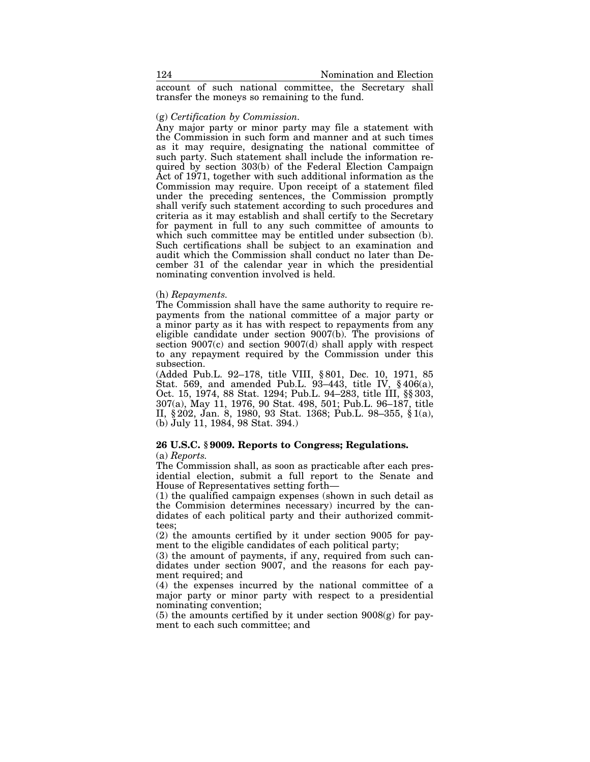account of such national committee, the Secretary shall transfer the moneys so remaining to the fund.

## (g) *Certification by Commission.*

Any major party or minor party may file a statement with the Commission in such form and manner and at such times as it may require, designating the national committee of such party. Such statement shall include the information required by section 303(b) of the Federal Election Campaign Act of 1971, together with such additional information as the Commission may require. Upon receipt of a statement filed under the preceding sentences, the Commission promptly shall verify such statement according to such procedures and criteria as it may establish and shall certify to the Secretary for payment in full to any such committee of amounts to which such committee may be entitled under subsection (b). Such certifications shall be subject to an examination and audit which the Commission shall conduct no later than December 31 of the calendar year in which the presidential nominating convention involved is held.

#### (h) *Repayments.*

The Commission shall have the same authority to require repayments from the national committee of a major party or a minor party as it has with respect to repayments from any eligible candidate under section 9007(b). The provisions of section 9007(c) and section 9007(d) shall apply with respect to any repayment required by the Commission under this subsection.

(Added Pub.L. 92–178, title VIII, § 801, Dec. 10, 1971, 85 Stat. 569, and amended Pub.L. 93–443, title IV, § 406(a), Oct. 15, 1974, 88 Stat. 1294; Pub.L. 94–283, title III, §§ 303, 307(a), May 11, 1976, 90 Stat. 498, 501; Pub.L. 96–187, title II, § 202, Jan. 8, 1980, 93 Stat. 1368; Pub.L. 98–355, § 1(a), (b) July 11, 1984, 98 Stat. 394.)

# **26 U.S.C. § 9009. Reports to Congress; Regulations.**

(a) *Reports.*

The Commission shall, as soon as practicable after each presidential election, submit a full report to the Senate and House of Representatives setting forth—

(1) the qualified campaign expenses (shown in such detail as the Commision determines necessary) incurred by the candidates of each political party and their authorized committees;

(2) the amounts certified by it under section 9005 for payment to the eligible candidates of each political party;

(3) the amount of payments, if any, required from such candidates under section 9007, and the reasons for each payment required; and

(4) the expenses incurred by the national committee of a major party or minor party with respect to a presidential nominating convention;

 $(5)$  the amounts certified by it under section  $9008(g)$  for payment to each such committee; and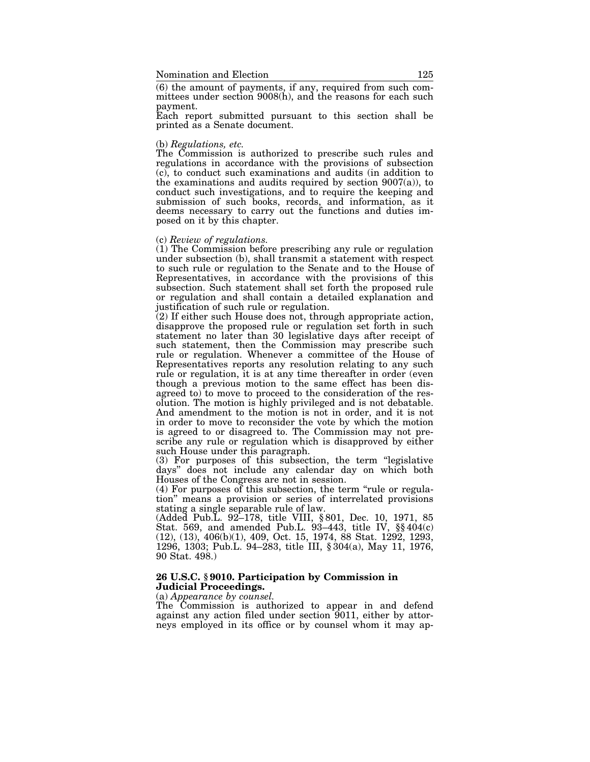(6) the amount of payments, if any, required from such committees under section 9008(h), and the reasons for each such payment.

Each report submitted pursuant to this section shall be printed as a Senate document.

#### (b) *Regulations, etc.*

The Commission is authorized to prescribe such rules and regulations in accordance with the provisions of subsection (c), to conduct such examinations and audits (in addition to the examinations and audits required by section 9007(a)), to conduct such investigations, and to require the keeping and submission of such books, records, and information, as it deems necessary to carry out the functions and duties imposed on it by this chapter.

#### (c) *Review of regulations.*

(1) The Commission before prescribing any rule or regulation under subsection (b), shall transmit a statement with respect to such rule or regulation to the Senate and to the House of Representatives, in accordance with the provisions of this subsection. Such statement shall set forth the proposed rule or regulation and shall contain a detailed explanation and justification of such rule or regulation.

(2) If either such House does not, through appropriate action, disapprove the proposed rule or regulation set forth in such statement no later than 30 legislative days after receipt of such statement, then the Commission may prescribe such rule or regulation. Whenever a committee of the House of Representatives reports any resolution relating to any such rule or regulation, it is at any time thereafter in order (even though a previous motion to the same effect has been disagreed to) to move to proceed to the consideration of the resolution. The motion is highly privileged and is not debatable. And amendment to the motion is not in order, and it is not in order to move to reconsider the vote by which the motion is agreed to or disagreed to. The Commission may not prescribe any rule or regulation which is disapproved by either such House under this paragraph.

(3) For purposes of this subsection, the term ''legislative days'' does not include any calendar day on which both Houses of the Congress are not in session.

(4) For purposes of this subsection, the term ''rule or regulation'' means a provision or series of interrelated provisions stating a single separable rule of law.

(Added Pub.L. 92–178, title VIII, § 801, Dec. 10, 1971, 85 Stat. 569, and amended Pub.L. 93–443, title IV, §§ 404(c) (12), (13), 406(b)(1), 409, Oct. 15, 1974, 88 Stat. 1292, 1293, 1296, 1303; Pub.L. 94–283, title III, § 304(a), May 11, 1976, 90 Stat. 498.)

# **26 U.S.C. § 9010. Participation by Commission in Judicial Proceedings.**

#### (a) *Appearance by counsel.*

The Commission is authorized to appear in and defend against any action filed under section 9011, either by attorneys employed in its office or by counsel whom it may ap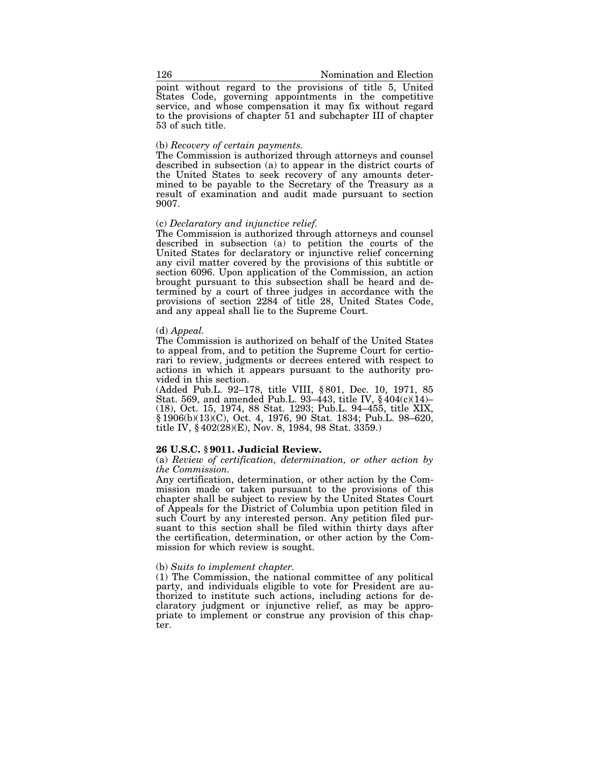point without regard to the provisions of title 5, United States Code, governing appointments in the competitive service, and whose compensation it may fix without regard to the provisions of chapter 51 and subchapter III of chapter 53 of such title.

#### (b) *Recovery of certain payments.*

The Commission is authorized through attorneys and counsel described in subsection (a) to appear in the district courts of the United States to seek recovery of any amounts determined to be payable to the Secretary of the Treasury as a result of examination and audit made pursuant to section 9007.

# (c) *Declaratory and injunctive relief.*

The Commission is authorized through attorneys and counsel described in subsection (a) to petition the courts of the United States for declaratory or injunctive relief concerning any civil matter covered by the provisions of this subtitle or section 6096. Upon application of the Commission, an action brought pursuant to this subsection shall be heard and determined by a court of three judges in accordance with the provisions of section 2284 of title 28, United States Code, and any appeal shall lie to the Supreme Court.

#### (d) *Appeal.*

The Commission is authorized on behalf of the United States to appeal from, and to petition the Supreme Court for certiorari to review, judgments or decrees entered with respect to actions in which it appears pursuant to the authority provided in this section.

(Added Pub.L. 92–178, title VIII, § 801, Dec. 10, 1971, 85 Stat. 569, and amended Pub.L. 93–443, title IV,  $\S 404(c)(14)$ – (18), Oct. 15, 1974, 88 Stat. 1293; Pub.L. 94–455, title XIX, § 1906(b)(13)(C), Oct. 4, 1976, 90 Stat. 1834; Pub.L. 98–620, title IV, § 402(28)(E), Nov. 8, 1984, 98 Stat. 3359.)

#### **26 U.S.C. § 9011. Judicial Review.**

#### (a) *Review of certification, determination, or other action by the Commission.*

Any certification, determination, or other action by the Commission made or taken pursuant to the provisions of this chapter shall be subject to review by the United States Court of Appeals for the District of Columbia upon petition filed in such Court by any interested person. Any petition filed pursuant to this section shall be filed within thirty days after the certification, determination, or other action by the Commission for which review is sought.

#### (b) *Suits to implement chapter.*

(1) The Commission, the national committee of any political party, and individuals eligible to vote for President are authorized to institute such actions, including actions for declaratory judgment or injunctive relief, as may be appropriate to implement or construe any provision of this chapter.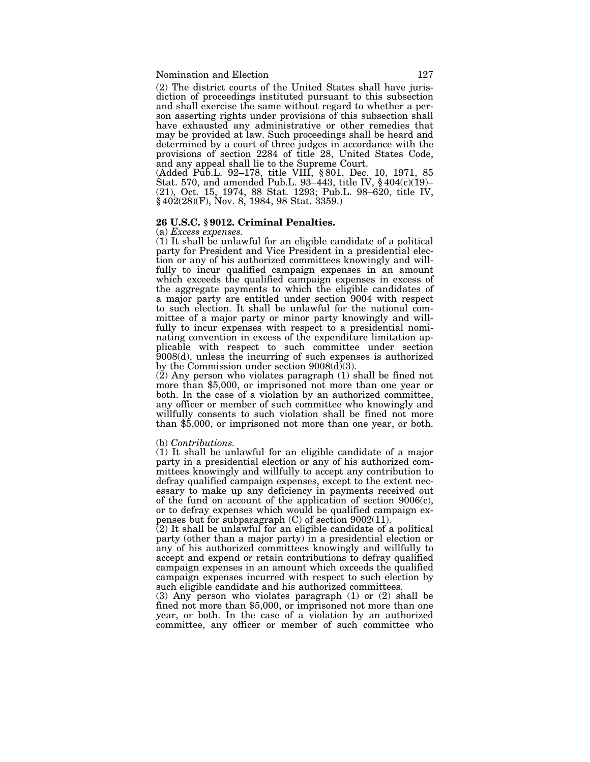(2) The district courts of the United States shall have jurisdiction of proceedings instituted pursuant to this subsection and shall exercise the same without regard to whether a person asserting rights under provisions of this subsection shall have exhausted any administrative or other remedies that may be provided at law. Such proceedings shall be heard and determined by a court of three judges in accordance with the provisions of section 2284 of title 28, United States Code, and any appeal shall lie to the Supreme Court.

(Added Pub.L. 92–178, title VIII, § 801, Dec. 10, 1971, 85 Stat. 570, and amended Pub.L. 93–443, title IV, § 404(c)(19)– (21), Oct. 15, 1974, 88 Stat. 1293; Pub.L. 98–620, title IV, § 402(28)(F), Nov. 8, 1984, 98 Stat. 3359.)

# **26 U.S.C. § 9012. Criminal Penalties.**

(a) *Excess expenses.*

(1) It shall be unlawful for an eligible candidate of a political party for President and Vice President in a presidential election or any of his authorized committees knowingly and willfully to incur qualified campaign expenses in an amount which exceeds the qualified campaign expenses in excess of the aggregate payments to which the eligible candidates of a major party are entitled under section 9004 with respect to such election. It shall be unlawful for the national committee of a major party or minor party knowingly and willfully to incur expenses with respect to a presidential nominating convention in excess of the expenditure limitation applicable with respect to such committee under section 9008(d), unless the incurring of such expenses is authorized by the Commission under section  $9008(d)(3)$ .

 $(2)$  Any person who violates paragraph  $(1)$  shall be fined not more than \$5,000, or imprisoned not more than one year or both. In the case of a violation by an authorized committee, any officer or member of such committee who knowingly and willfully consents to such violation shall be fined not more than \$5,000, or imprisoned not more than one year, or both.

#### (b) *Contributions.*

(1) It shall be unlawful for an eligible candidate of a major party in a presidential election or any of his authorized committees knowingly and willfully to accept any contribution to defray qualified campaign expenses, except to the extent necessary to make up any deficiency in payments received out of the fund on account of the application of section 9006(c), or to defray expenses which would be qualified campaign expenses but for subparagraph  $(C)$  of section 9002(11).

(2) It shall be unlawful for an eligible candidate of a political party (other than a major party) in a presidential election or any of his authorized committees knowingly and willfully to accept and expend or retain contributions to defray qualified campaign expenses in an amount which exceeds the qualified campaign expenses incurred with respect to such election by such eligible candidate and his authorized committees.

(3) Any person who violates paragraph (1) or (2) shall be fined not more than \$5,000, or imprisoned not more than one year, or both. In the case of a violation by an authorized committee, any officer or member of such committee who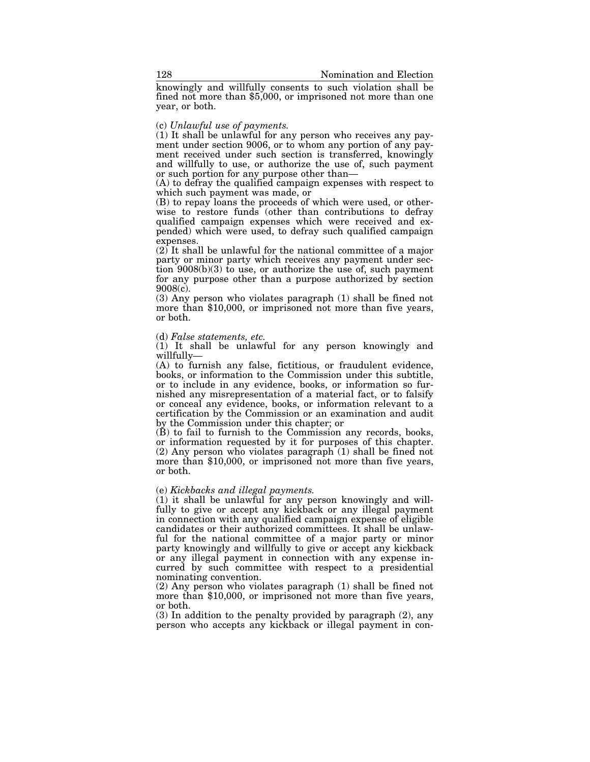knowingly and willfully consents to such violation shall be fined not more than \$5,000, or imprisoned not more than one year, or both.

## (c) *Unlawful use of payments.*

(1) It shall be unlawful for any person who receives any payment under section 9006, or to whom any portion of any payment received under such section is transferred, knowingly and willfully to use, or authorize the use of, such payment or such portion for any purpose other than—

(A) to defray the qualified campaign expenses with respect to which such payment was made, or

(B) to repay loans the proceeds of which were used, or otherwise to restore funds (other than contributions to defray qualified campaign expenses which were received and expended) which were used, to defray such qualified campaign expenses.

(2) It shall be unlawful for the national committee of a major party or minor party which receives any payment under section 9008(b)(3) to use, or authorize the use of, such payment for any purpose other than a purpose authorized by section 9008(c).

(3) Any person who violates paragraph (1) shall be fined not more than \$10,000, or imprisoned not more than five years, or both.

(d) *False statements, etc.*

(1) It shall be unlawful for any person knowingly and willfully—

(A) to furnish any false, fictitious, or fraudulent evidence, books, or information to the Commission under this subtitle, or to include in any evidence, books, or information so furnished any misrepresentation of a material fact, or to falsify or conceal any evidence, books, or information relevant to a certification by the Commission or an examination and audit by the Commission under this chapter; or

(B) to fail to furnish to the Commission any records, books, or information requested by it for purposes of this chapter. (2) Any person who violates paragraph (1) shall be fined not more than \$10,000, or imprisoned not more than five years, or both.

#### (e) *Kickbacks and illegal payments.*

(1) it shall be unlawful for any person knowingly and willfully to give or accept any kickback or any illegal payment in connection with any qualified campaign expense of eligible candidates or their authorized committees. It shall be unlawful for the national committee of a major party or minor party knowingly and willfully to give or accept any kickback or any illegal payment in connection with any expense incurred by such committee with respect to a presidential nominating convention.

(2) Any person who violates paragraph (1) shall be fined not more than \$10,000, or imprisoned not more than five years, or both.

(3) In addition to the penalty provided by paragraph (2), any person who accepts any kickback or illegal payment in con-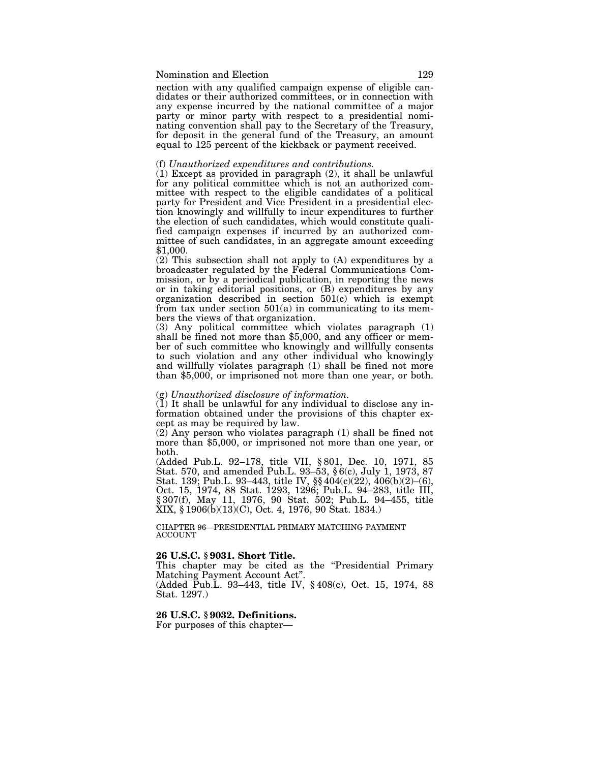nection with any qualified campaign expense of eligible candidates or their authorized committees, or in connection with any expense incurred by the national committee of a major party or minor party with respect to a presidential nominating convention shall pay to the Secretary of the Treasury, for deposit in the general fund of the Treasury, an amount equal to 125 percent of the kickback or payment received.

#### (f) *Unauthorized expenditures and contributions.*

(1) Except as provided in paragraph (2), it shall be unlawful for any political committee which is not an authorized committee with respect to the eligible candidates of a political party for President and Vice President in a presidential election knowingly and willfully to incur expenditures to further the election of such candidates, which would constitute qualified campaign expenses if incurred by an authorized committee of such candidates, in an aggregate amount exceeding \$1,000.

(2) This subsection shall not apply to (A) expenditures by a broadcaster regulated by the Federal Communications Commission, or by a periodical publication, in reporting the news or in taking editorial positions, or (B) expenditures by any organization described in section 501(c) which is exempt from tax under section 501(a) in communicating to its members the views of that organization.

(3) Any political committee which violates paragraph (1) shall be fined not more than \$5,000, and any officer or member of such committee who knowingly and willfully consents to such violation and any other individual who knowingly and willfully violates paragraph (1) shall be fined not more than \$5,000, or imprisoned not more than one year, or both.

#### (g) *Unauthorized disclosure of information.*

(1) It shall be unlawful for any individual to disclose any information obtained under the provisions of this chapter except as may be required by law.

(2) Any person who violates paragraph (1) shall be fined not more than \$5,000, or imprisoned not more than one year, or both.

(Added Pub.L. 92–178, title VII, § 801, Dec. 10, 1971, 85 Stat. 570, and amended Pub.L. 93–53, § 6(c), July 1, 1973, 87 Stat. 139; Pub.L. 93–443, title IV, §§ 404(c)(22), 406(b)(2)–(6), Oct. 15, 1974, 88 Stat. 1293, 1296; Pub.L. 94–283, title III, § 307(f), May 11, 1976, 90 Stat. 502; Pub.L. 94–455, title XIX, § 1906(b)(13)(C), Oct. 4, 1976, 90 Stat. 1834.)

CHAPTER 96—PRESIDENTIAL PRIMARY MATCHING PAYMENT ACCOUNT

# **26 U.S.C. § 9031. Short Title.**

This chapter may be cited as the "Presidential Primary Matching Payment Account Act''.

(Added Pub.L. 93–443, title IV, § 408(c), Oct. 15, 1974, 88 Stat. 1297.)

# **26 U.S.C. § 9032. Definitions.**

For purposes of this chapter—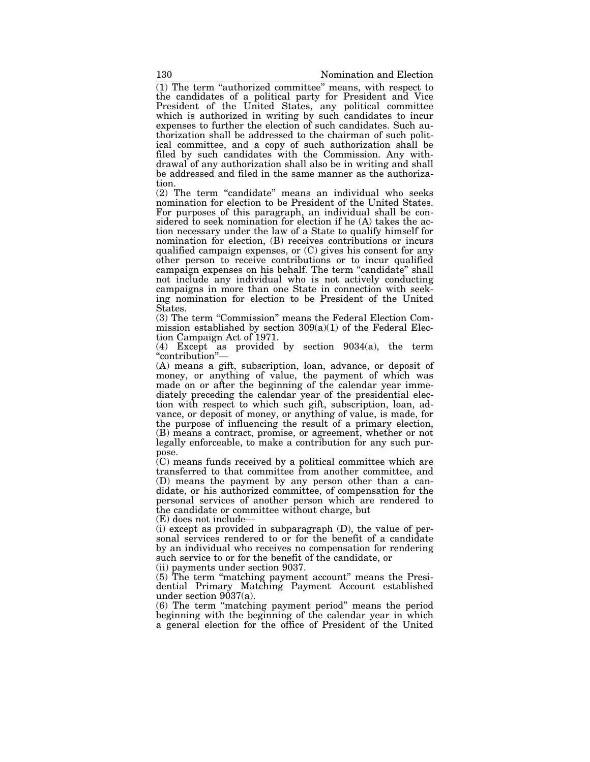(1) The term ''authorized committee'' means, with respect to the candidates of a political party for President and Vice President of the United States, any political committee which is authorized in writing by such candidates to incur expenses to further the election of such candidates. Such authorization shall be addressed to the chairman of such political committee, and a copy of such authorization shall be filed by such candidates with the Commission. Any withdrawal of any authorization shall also be in writing and shall be addressed and filed in the same manner as the authorization.

(2) The term ''candidate'' means an individual who seeks nomination for election to be President of the United States. For purposes of this paragraph, an individual shall be considered to seek nomination for election if he (A) takes the action necessary under the law of a State to qualify himself for nomination for election, (B) receives contributions or incurs qualified campaign expenses, or (C) gives his consent for any other person to receive contributions or to incur qualified campaign expenses on his behalf. The term "candidate" shall not include any individual who is not actively conducting campaigns in more than one State in connection with seeking nomination for election to be President of the United States.

(3) The term ''Commission'' means the Federal Election Commission established by section 309(a)(1) of the Federal Election Campaign Act of 1971.

(4) Except as provided by section 9034(a), the term ''contribution''—

(A) means a gift, subscription, loan, advance, or deposit of money, or anything of value, the payment of which was made on or after the beginning of the calendar year immediately preceding the calendar year of the presidential election with respect to which such gift, subscription, loan, advance, or deposit of money, or anything of value, is made, for the purpose of influencing the result of a primary election, (B) means a contract, promise, or agreement, whether or not legally enforceable, to make a contribution for any such purpose.

(C) means funds received by a political committee which are transferred to that committee from another committee, and (D) means the payment by any person other than a candidate, or his authorized committee, of compensation for the personal services of another person which are rendered to the candidate or committee without charge, but

(E) does not include—

(i) except as provided in subparagraph (D), the value of personal services rendered to or for the benefit of a candidate by an individual who receives no compensation for rendering such service to or for the benefit of the candidate, or

(ii) payments under section 9037.

(5) The term ''matching payment account'' means the Presidential Primary Matching Payment Account established under section 9037(a).

(6) The term ''matching payment period'' means the period beginning with the beginning of the calendar year in which a general election for the office of President of the United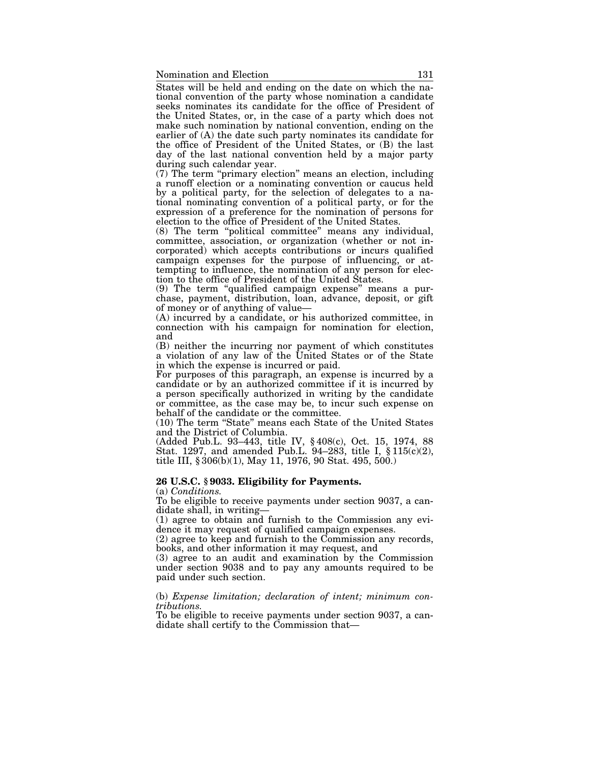States will be held and ending on the date on which the national convention of the party whose nomination a candidate seeks nominates its candidate for the office of President of the United States, or, in the case of a party which does not make such nomination by national convention, ending on the earlier of (A) the date such party nominates its candidate for the office of President of the United States, or (B) the last day of the last national convention held by a major party during such calendar year.

(7) The term ''primary election'' means an election, including a runoff election or a nominating convention or caucus held by a political party, for the selection of delegates to a national nominating convention of a political party, or for the expression of a preference for the nomination of persons for election to the office of President of the United States.

(8) The term ''political committee'' means any individual, committee, association, or organization (whether or not incorporated) which accepts contributions or incurs qualified campaign expenses for the purpose of influencing, or attempting to influence, the nomination of any person for election to the office of President of the United States.

(9) The term ''qualified campaign expense'' means a purchase, payment, distribution, loan, advance, deposit, or gift of money or of anything of value—

(A) incurred by a candidate, or his authorized committee, in connection with his campaign for nomination for election, and

(B) neither the incurring nor payment of which constitutes a violation of any law of the United States or of the State in which the expense is incurred or paid.

For purposes of this paragraph, an expense is incurred by a candidate or by an authorized committee if it is incurred by a person specifically authorized in writing by the candidate or committee, as the case may be, to incur such expense on behalf of the candidate or the committee.

(10) The term ''State'' means each State of the United States and the District of Columbia.

(Added Pub.L. 93–443, title IV, § 408(c), Oct. 15, 1974, 88 Stat. 1297, and amended Pub.L. 94–283, title I, § 115(c)(2), title III, § 306(b)(1), May 11, 1976, 90 Stat. 495, 500.)

## **26 U.S.C. § 9033. Eligibility for Payments.**

(a) *Conditions.*

To be eligible to receive payments under section 9037, a candidate shall, in writing—

(1) agree to obtain and furnish to the Commission any evidence it may request of qualified campaign expenses.

(2) agree to keep and furnish to the Commission any records, books, and other information it may request, and

(3) agree to an audit and examination by the Commission under section 9038 and to pay any amounts required to be paid under such section.

(b) *Expense limitation; declaration of intent; minimum contributions.*

To be eligible to receive payments under section 9037, a candidate shall certify to the Commission that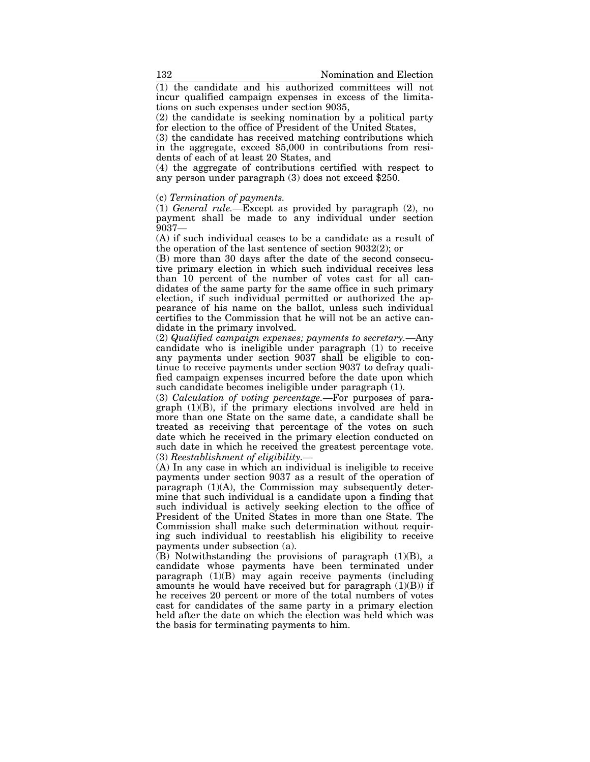(1) the candidate and his authorized committees will not incur qualified campaign expenses in excess of the limitations on such expenses under section 9035,

(2) the candidate is seeking nomination by a political party for election to the office of President of the United States,

(3) the candidate has received matching contributions which in the aggregate, exceed \$5,000 in contributions from residents of each of at least 20 States, and

(4) the aggregate of contributions certified with respect to any person under paragraph (3) does not exceed \$250.

(c) *Termination of payments.*

(1) *General rule.—*Except as provided by paragraph (2), no payment shall be made to any individual under section 9037—

(A) if such individual ceases to be a candidate as a result of the operation of the last sentence of section 9032(2); or

(B) more than 30 days after the date of the second consecutive primary election in which such individual receives less than 10 percent of the number of votes cast for all candidates of the same party for the same office in such primary election, if such individual permitted or authorized the appearance of his name on the ballot, unless such individual certifies to the Commission that he will not be an active candidate in the primary involved.

(2) *Qualified campaign expenses; payments to secretary.—*Any candidate who is ineligible under paragraph (1) to receive any payments under section 9037 shall be eligible to continue to receive payments under section 9037 to defray qualified campaign expenses incurred before the date upon which such candidate becomes ineligible under paragraph (1).

(3) *Calculation of voting percentage.—*For purposes of paragraph (1)(B), if the primary elections involved are held in more than one State on the same date, a candidate shall be treated as receiving that percentage of the votes on such date which he received in the primary election conducted on such date in which he received the greatest percentage vote. (3) *Reestablishment of eligibility.—*

(A) In any case in which an individual is ineligible to receive payments under section 9037 as a result of the operation of paragraph (1)(A), the Commission may subsequently determine that such individual is a candidate upon a finding that such individual is actively seeking election to the office of President of the United States in more than one State. The Commission shall make such determination without requiring such individual to reestablish his eligibility to receive payments under subsection (a).

(B) Notwithstanding the provisions of paragraph (1)(B), a candidate whose payments have been terminated under paragraph (1)(B) may again receive payments (including amounts he would have received but for paragraph  $(1)(B)$  if he receives 20 percent or more of the total numbers of votes cast for candidates of the same party in a primary election held after the date on which the election was held which was the basis for terminating payments to him.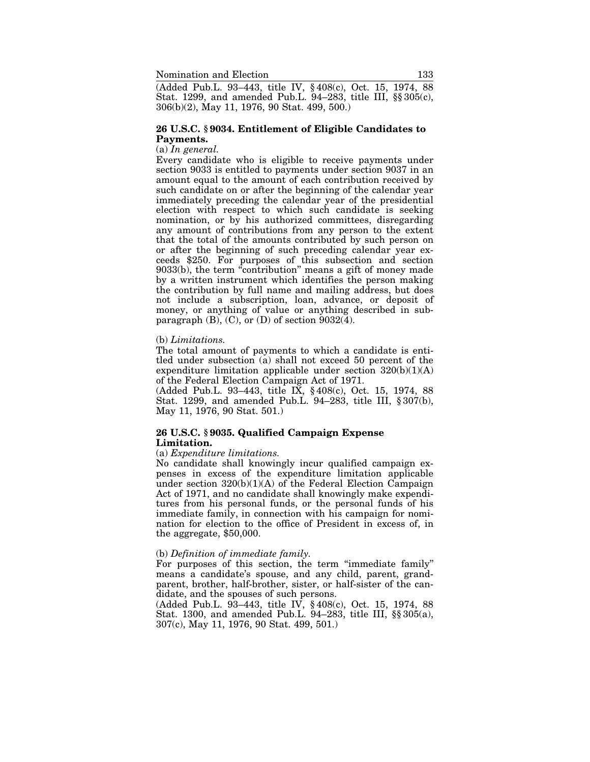Nomination and Election 133

(Added Pub.L. 93–443, title IV, § 408(c), Oct. 15, 1974, 88 Stat. 1299, and amended Pub.L. 94–283, title III, §§ 305(c), 306(b)(2), May 11, 1976, 90 Stat. 499, 500.)

# **26 U.S.C. § 9034. Entitlement of Eligible Candidates to Payments.**

#### (a) *In general.*

Every candidate who is eligible to receive payments under section 9033 is entitled to payments under section 9037 in an amount equal to the amount of each contribution received by such candidate on or after the beginning of the calendar year immediately preceding the calendar year of the presidential election with respect to which such candidate is seeking nomination, or by his authorized committees, disregarding any amount of contributions from any person to the extent that the total of the amounts contributed by such person on or after the beginning of such preceding calendar year exceeds \$250. For purposes of this subsection and section 9033(b), the term ''contribution'' means a gift of money made by a written instrument which identifies the person making the contribution by full name and mailing address, but does not include a subscription, loan, advance, or deposit of money, or anything of value or anything described in subparagraph  $(B)$ ,  $(C)$ , or  $(D)$  of section 9032(4).

#### (b) *Limitations.*

The total amount of payments to which a candidate is entitled under subsection (a) shall not exceed 50 percent of the expenditure limitation applicable under section  $320(b)(1)(A)$ of the Federal Election Campaign Act of 1971.

(Added Pub.L. 93–443, title IX, § 408(c), Oct. 15, 1974, 88 Stat. 1299, and amended Pub.L. 94–283, title III, § 307(b), May 11, 1976, 90 Stat. 501.)

# **26 U.S.C. § 9035. Qualified Campaign Expense Limitation.**

#### (a) *Expenditure limitations.*

No candidate shall knowingly incur qualified campaign expenses in excess of the expenditure limitation applicable under section  $320(b)(1)(A)$  of the Federal Election Campaign Act of 1971, and no candidate shall knowingly make expenditures from his personal funds, or the personal funds of his immediate family, in connection with his campaign for nomination for election to the office of President in excess of, in the aggregate, \$50,000.

# (b) *Definition of immediate family.*

For purposes of this section, the term ''immediate family'' means a candidate's spouse, and any child, parent, grandparent, brother, half-brother, sister, or half-sister of the candidate, and the spouses of such persons.

(Added Pub.L. 93–443, title IV, § 408(c), Oct. 15, 1974, 88 Stat. 1300, and amended Pub.L. 94–283, title III, §§ 305(a), 307(c), May 11, 1976, 90 Stat. 499, 501.)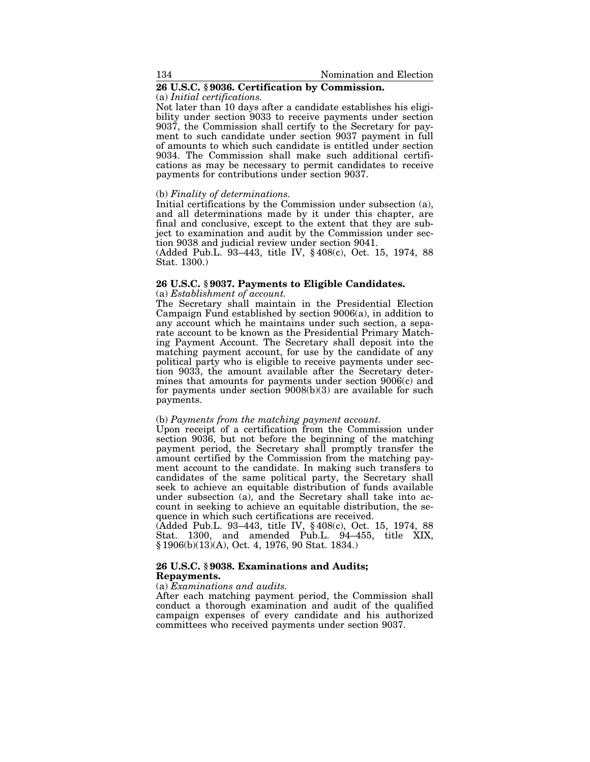# **26 U.S.C. § 9036. Certification by Commission.**

(a) *Initial certifications.*

Not later than 10 days after a candidate establishes his eligibility under section 9033 to receive payments under section 9037, the Commission shall certify to the Secretary for payment to such candidate under section 9037 payment in full of amounts to which such candidate is entitled under section 9034. The Commission shall make such additional certifications as may be necessary to permit candidates to receive payments for contributions under section 9037.

# (b) *Finality of determinations.*

Initial certifications by the Commission under subsection (a), and all determinations made by it under this chapter, are final and conclusive, except to the extent that they are subject to examination and audit by the Commission under section 9038 and judicial review under section 9041.

(Added Pub.L. 93–443, title IV, § 408(c), Oct. 15, 1974, 88 Stat. 1300.)

# **26 U.S.C. § 9037. Payments to Eligible Candidates.**

(a) *Establishment of account.*

The Secretary shall maintain in the Presidential Election Campaign Fund established by section 9006(a), in addition to any account which he maintains under such section, a separate account to be known as the Presidential Primary Matching Payment Account. The Secretary shall deposit into the matching payment account, for use by the candidate of any political party who is eligible to receive payments under section 9033, the amount available after the Secretary determines that amounts for payments under section 9006(c) and for payments under section 9008(b)(3) are available for such payments.

# (b) *Payments from the matching payment account.*

Upon receipt of a certification from the Commission under section 9036, but not before the beginning of the matching payment period, the Secretary shall promptly transfer the amount certified by the Commission from the matching payment account to the candidate. In making such transfers to candidates of the same political party, the Secretary shall seek to achieve an equitable distribution of funds available under subsection (a), and the Secretary shall take into account in seeking to achieve an equitable distribution, the sequence in which such certifications are received.

(Added Pub.L. 93–443, title IV, § 408(c), Oct. 15, 1974, 88 Stat. 1300, and amended Pub.L. 94–455, title XIX, § 1906(b)(13)(A), Oct. 4, 1976, 90 Stat. 1834.)

# **26 U.S.C. § 9038. Examinations and Audits; Repayments.**

# (a) *Examinations and audits.*

After each matching payment period, the Commission shall conduct a thorough examination and audit of the qualified campaign expenses of every candidate and his authorized committees who received payments under section 9037.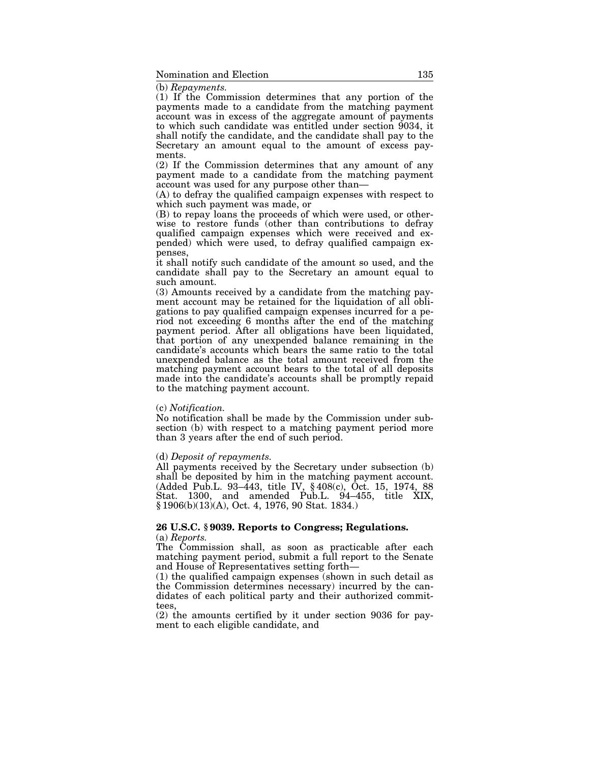(b) *Repayments.*

(1) If the Commission determines that any portion of the payments made to a candidate from the matching payment account was in excess of the aggregate amount of payments to which such candidate was entitled under section 9034, it shall notify the candidate, and the candidate shall pay to the Secretary an amount equal to the amount of excess payments.

(2) If the Commission determines that any amount of any payment made to a candidate from the matching payment account was used for any purpose other than—

(A) to defray the qualified campaign expenses with respect to which such payment was made, or

(B) to repay loans the proceeds of which were used, or otherwise to restore funds (other than contributions to defray qualified campaign expenses which were received and expended) which were used, to defray qualified campaign expenses,

it shall notify such candidate of the amount so used, and the candidate shall pay to the Secretary an amount equal to such amount.

(3) Amounts received by a candidate from the matching payment account may be retained for the liquidation of all obligations to pay qualified campaign expenses incurred for a period not exceeding 6 months after the end of the matching payment period. After all obligations have been liquidated, that portion of any unexpended balance remaining in the candidate's accounts which bears the same ratio to the total unexpended balance as the total amount received from the matching payment account bears to the total of all deposits made into the candidate's accounts shall be promptly repaid to the matching payment account.

### (c) *Notification.*

No notification shall be made by the Commission under subsection (b) with respect to a matching payment period more than 3 years after the end of such period.

#### (d) *Deposit of repayments.*

All payments received by the Secretary under subsection (b) shall be deposited by him in the matching payment account. (Added Pub.L. 93–443, title IV, § 408(c), Oct. 15, 1974, 88 Stat. 1300, and amended Pub.L. 94–455, title XIX, § 1906(b)(13)(A), Oct. 4, 1976, 90 Stat. 1834.)

#### **26 U.S.C. § 9039. Reports to Congress; Regulations.** (a) *Reports.*

The Commission shall, as soon as practicable after each matching payment period, submit a full report to the Senate and House of Representatives setting forth—

(1) the qualified campaign expenses (shown in such detail as the Commission determines necessary) incurred by the candidates of each political party and their authorized committees,

(2) the amounts certified by it under section 9036 for payment to each eligible candidate, and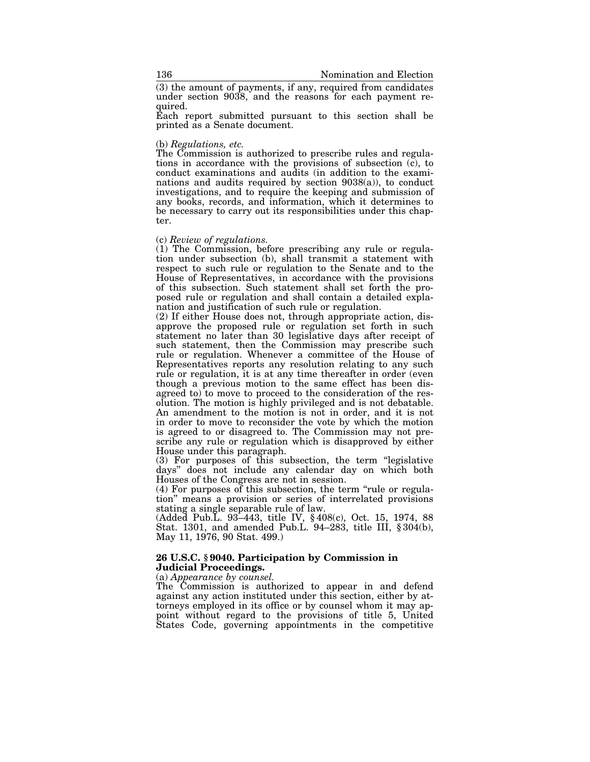(3) the amount of payments, if any, required from candidates under section 9038, and the reasons for each payment required.

Each report submitted pursuant to this section shall be printed as a Senate document.

#### (b) *Regulations, etc.*

The Commission is authorized to prescribe rules and regulations in accordance with the provisions of subsection (c), to conduct examinations and audits (in addition to the examinations and audits required by section 9038(a)), to conduct investigations, and to require the keeping and submission of any books, records, and information, which it determines to be necessary to carry out its responsibilities under this chapter.

#### (c) *Review of regulations.*

(1) The Commission, before prescribing any rule or regulation under subsection (b), shall transmit a statement with respect to such rule or regulation to the Senate and to the House of Representatives, in accordance with the provisions of this subsection. Such statement shall set forth the proposed rule or regulation and shall contain a detailed explanation and justification of such rule or regulation.

(2) If either House does not, through appropriate action, disapprove the proposed rule or regulation set forth in such statement no later than 30 legislative days after receipt of such statement, then the Commission may prescribe such rule or regulation. Whenever a committee of the House of Representatives reports any resolution relating to any such rule or regulation, it is at any time thereafter in order (even though a previous motion to the same effect has been disagreed to) to move to proceed to the consideration of the resolution. The motion is highly privileged and is not debatable. An amendment to the motion is not in order, and it is not in order to move to reconsider the vote by which the motion is agreed to or disagreed to. The Commission may not prescribe any rule or regulation which is disapproved by either House under this paragraph.

(3) For purposes of this subsection, the term ''legislative days'' does not include any calendar day on which both Houses of the Congress are not in session.

(4) For purposes of this subsection, the term ''rule or regulation'' means a provision or series of interrelated provisions stating a single separable rule of law.

(Added Pub.L. 93–443, title IV, § 408(c), Oct. 15, 1974, 88 Stat. 1301, and amended Pub.L. 94–283, title III, § 304(b), May 11, 1976, 90 Stat. 499.)

#### **26 U.S.C. § 9040. Participation by Commission in Judicial Proceedings.**

(a) *Appearance by counsel.*

The Commission is authorized to appear in and defend against any action instituted under this section, either by attorneys employed in its office or by counsel whom it may appoint without regard to the provisions of title 5, United States Code, governing appointments in the competitive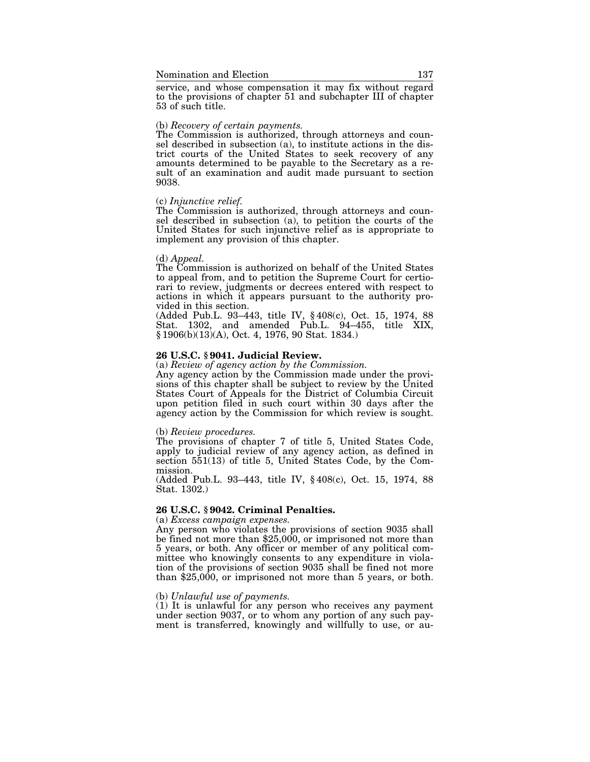Nomination and Election 137

service, and whose compensation it may fix without regard to the provisions of chapter 51 and subchapter III of chapter 53 of such title.

### (b) *Recovery of certain payments.*

The Commission is authorized, through attorneys and counsel described in subsection (a), to institute actions in the district courts of the United States to seek recovery of any amounts determined to be payable to the Secretary as a result of an examination and audit made pursuant to section 9038.

#### (c) *Injunctive relief.*

The Commission is authorized, through attorneys and counsel described in subsection (a), to petition the courts of the United States for such injunctive relief as is appropriate to implement any provision of this chapter.

#### (d) *Appeal.*

The Commission is authorized on behalf of the United States to appeal from, and to petition the Supreme Court for certiorari to review, judgments or decrees entered with respect to actions in which it appears pursuant to the authority provided in this section.

(Added Pub.L. 93–443, title IV, § 408(c), Oct. 15, 1974, 88 Stat. 1302, and amended Pub.L. 94–455, title XIX, § 1906(b)(13)(A), Oct. 4, 1976, 90 Stat. 1834.)

#### **26 U.S.C. § 9041. Judicial Review.**

(a) *Review of agency action by the Commission.*

Any agency action by the Commission made under the provisions of this chapter shall be subject to review by the United States Court of Appeals for the District of Columbia Circuit upon petition filed in such court within 30 days after the agency action by the Commission for which review is sought.

#### (b) *Review procedures.*

The provisions of chapter 7 of title 5, United States Code, apply to judicial review of any agency action, as defined in section 551(13) of title 5, United States Code, by the Commission.

(Added Pub.L. 93–443, title IV, § 408(c), Oct. 15, 1974, 88 Stat. 1302.)

# **26 U.S.C. § 9042. Criminal Penalties.**

(a) *Excess campaign expenses.*

Any person who violates the provisions of section 9035 shall be fined not more than \$25,000, or imprisoned not more than 5 years, or both. Any officer or member of any political committee who knowingly consents to any expenditure in violation of the provisions of section 9035 shall be fined not more than \$25,000, or imprisoned not more than 5 years, or both.

# (b) *Unlawful use of payments.*

(1) It is unlawful for any person who receives any payment under section 9037, or to whom any portion of any such payment is transferred, knowingly and willfully to use, or au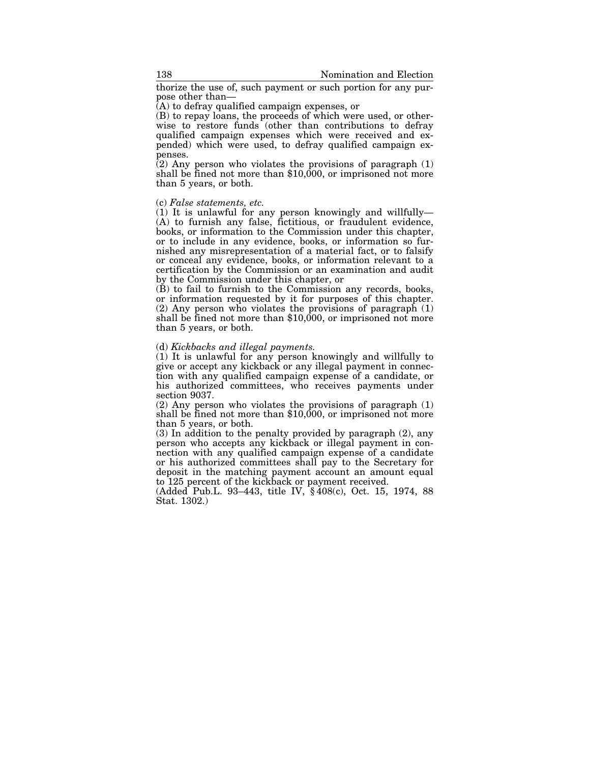thorize the use of, such payment or such portion for any purpose other than—

(A) to defray qualified campaign expenses, or

(B) to repay loans, the proceeds of which were used, or otherwise to restore funds (other than contributions to defray qualified campaign expenses which were received and expended) which were used, to defray qualified campaign expenses.

 $(2)$  Any person who violates the provisions of paragraph  $(1)$ shall be fined not more than \$10,000, or imprisoned not more than 5 years, or both.

#### (c) *False statements, etc.*

(1) It is unlawful for any person knowingly and willfully— (A) to furnish any false, fictitious, or fraudulent evidence, books, or information to the Commission under this chapter, or to include in any evidence, books, or information so furnished any misrepresentation of a material fact, or to falsify or conceal any evidence, books, or information relevant to a certification by the Commission or an examination and audit by the Commission under this chapter, or

(B) to fail to furnish to the Commission any records, books, or information requested by it for purposes of this chapter.  $(2)$  Any person who violates the provisions of paragraph  $(1)$ shall be fined not more than \$10,000, or imprisoned not more than 5 years, or both.

#### (d) *Kickbacks and illegal payments.*

(1) It is unlawful for any person knowingly and willfully to give or accept any kickback or any illegal payment in connection with any qualified campaign expense of a candidate, or his authorized committees, who receives payments under section 9037.

(2) Any person who violates the provisions of paragraph (1) shall be fined not more than \$10,000, or imprisoned not more than 5 years, or both.

(3) In addition to the penalty provided by paragraph (2), any person who accepts any kickback or illegal payment in connection with any qualified campaign expense of a candidate or his authorized committees shall pay to the Secretary for deposit in the matching payment account an amount equal to 125 percent of the kickback or payment received.

(Added Pub.L. 93–443, title IV, § 408(c), Oct. 15, 1974, 88 Stat. 1302.)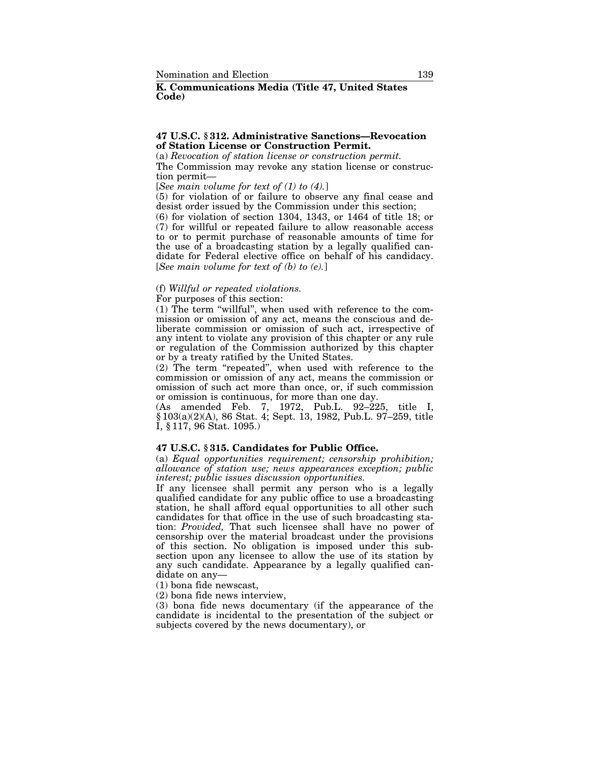**K. Communications Media (Title 47, United States Code)**

# **47 U.S.C. § 312. Administrative Sanctions—Revocation of Station License or Construction Permit.**

(a) *Revocation of station license or construction permit.* The Commission may revoke any station license or construction permit—

[*See main volume for text of (1) to (4).*]

(5) for violation of or failure to observe any final cease and desist order issued by the Commission under this section;

(6) for violation of section 1304, 1343, or 1464 of title 18; or (7) for willful or repeated failure to allow reasonable access to or to permit purchase of reasonable amounts of time for the use of a broadcasting station by a legally qualified candidate for Federal elective office on behalf of his candidacy. [*See main volume for text of (b) to (e).*]

#### (f) *Willful or repeated violations.*

For purposes of this section:

(1) The term ''willful'', when used with reference to the commission or omission of any act, means the conscious and deliberate commission or omission of such act, irrespective of any intent to violate any provision of this chapter or any rule or regulation of the Commission authorized by this chapter or by a treaty ratified by the United States.

(2) The term ''repeated'', when used with reference to the commission or omission of any act, means the commission or omission of such act more than once, or, if such commission or omission is continuous, for more than one day.

(As amended Feb. 7, 1972, Pub.L. 92–225, title I, § 103(a)(2)(A), 86 Stat. 4; Sept. 13, 1982, Pub.L. 97–259, title I, § 117, 96 Stat. 1095.)

### **47 U.S.C. § 315. Candidates for Public Office.**

(a) *Equal opportunities requirement; censorship prohibition; allowance of station use; news appearances exception; public interest; public issues discussion opportunities.*

If any licensee shall permit any person who is a legally qualified candidate for any public office to use a broadcasting station, he shall afford equal opportunities to all other such candidates for that office in the use of such broadcasting station: *Provided,* That such licensee shall have no power of censorship over the material broadcast under the provisions of this section. No obligation is imposed under this subsection upon any licensee to allow the use of its station by any such candidate. Appearance by a legally qualified candidate on any—

(1) bona fide newscast,

(2) bona fide news interview,

(3) bona fide news documentary (if the appearance of the candidate is incidental to the presentation of the subject or subjects covered by the news documentary), or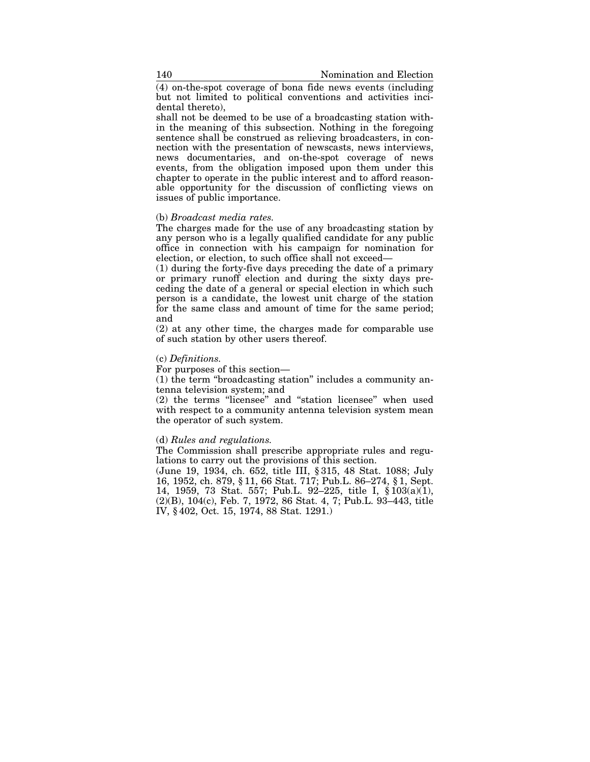(4) on-the-spot coverage of bona fide news events (including but not limited to political conventions and activities incidental thereto),

shall not be deemed to be use of a broadcasting station within the meaning of this subsection. Nothing in the foregoing sentence shall be construed as relieving broadcasters, in connection with the presentation of newscasts, news interviews, news documentaries, and on-the-spot coverage of news events, from the obligation imposed upon them under this chapter to operate in the public interest and to afford reasonable opportunity for the discussion of conflicting views on issues of public importance.

# (b) *Broadcast media rates.*

The charges made for the use of any broadcasting station by any person who is a legally qualified candidate for any public office in connection with his campaign for nomination for election, or election, to such office shall not exceed—

(1) during the forty-five days preceding the date of a primary or primary runoff election and during the sixty days preceding the date of a general or special election in which such person is a candidate, the lowest unit charge of the station for the same class and amount of time for the same period; and

(2) at any other time, the charges made for comparable use of such station by other users thereof.

### (c) *Definitions.*

For purposes of this section—

 $(1)$  the term "broadcasting station" includes a community antenna television system; and

(2) the terms ''licensee'' and ''station licensee'' when used with respect to a community antenna television system mean the operator of such system.

# (d) *Rules and regulations.*

The Commission shall prescribe appropriate rules and regulations to carry out the provisions of this section.

(June 19, 1934, ch. 652, title III, § 315, 48 Stat. 1088; July 16, 1952, ch. 879, § 11, 66 Stat. 717; Pub.L. 86–274, § 1, Sept. 14, 1959, 73 Stat. 557; Pub.L. 92–225, title I, § 103(a)(1), (2)(B), 104(c), Feb. 7, 1972, 86 Stat. 4, 7; Pub.L. 93–443, title IV, § 402, Oct. 15, 1974, 88 Stat. 1291.)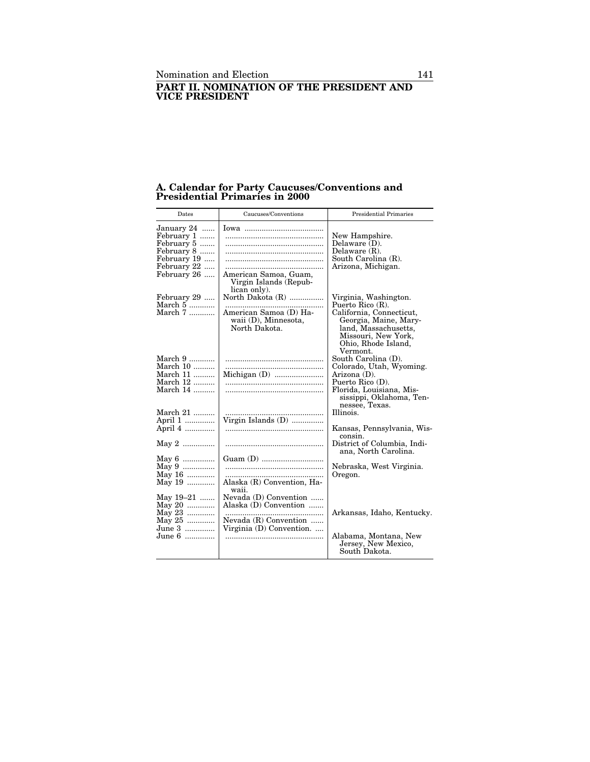Nomination and Election 141

**PART II. NOMINATION OF THE PRESIDENT AND VICE PRESIDENT**

# **A. Calendar for Party Caucuses/Conventions and Presidential Primaries in 2000**

| Dates                                                                                             | Caucuses/Conventions                                                                                | <b>Presidential Primaries</b>                                                                                                                                                    |
|---------------------------------------------------------------------------------------------------|-----------------------------------------------------------------------------------------------------|----------------------------------------------------------------------------------------------------------------------------------------------------------------------------------|
| January 24<br>February 1<br>February 5<br>February 8<br>February 19<br>February 22<br>February 26 | American Samoa, Guam,<br>Virgin Islands (Repub-<br>lican only).                                     | New Hampshire.<br>Delaware $(D)$ .<br>Delaware $(R)$ .<br>South Carolina (R).<br>Arizona, Michigan.                                                                              |
| February 29<br>March 5<br>March $7$                                                               | North Dakota (R)<br>American Samoa (D) Ha-<br>waii (D), Minnesota,<br>North Dakota.                 | Virginia, Washington.<br>Puerto Rico (R).<br>California, Connecticut,<br>Georgia, Maine, Mary-<br>land, Massachusetts,<br>Missouri, New York,<br>Ohio, Rhode Island,<br>Vermont. |
| March $9$<br>March 10<br>March 11<br>March 12<br>March 14                                         | Michigan (D)                                                                                        | South Carolina (D).<br>Colorado, Utah, Wyoming.<br>Arizona (D).<br>Puerto Rico (D).<br>Florida, Louisiana, Mis-<br>sissippi, Oklahoma, Ten-<br>nessee, Texas.                    |
| March 21<br>April 1<br>April 4                                                                    | Virgin Islands (D)                                                                                  | Illinois.<br>Kansas, Pennsylvania, Wis-<br>consin.                                                                                                                               |
| May 2                                                                                             |                                                                                                     | District of Columbia, Indi-<br>ana, North Carolina.                                                                                                                              |
| $May 6$<br>$May\ 9$<br>May 16<br>May 19                                                           | Alaska (R) Convention, Ha-<br>waii.                                                                 | Nebraska, West Virginia.<br>Oregon.                                                                                                                                              |
| May $19-21$<br>May 20<br>May 23<br>$May 25$<br>June 3<br>June $6$                                 | Nevada (D) Convention<br>Alaska (D) Convention<br>Nevada (R) Convention<br>Virginia (D) Convention. | Arkansas, Idaho, Kentucky.<br>Alabama, Montana, New<br>Jersey, New Mexico,<br>South Dakota.                                                                                      |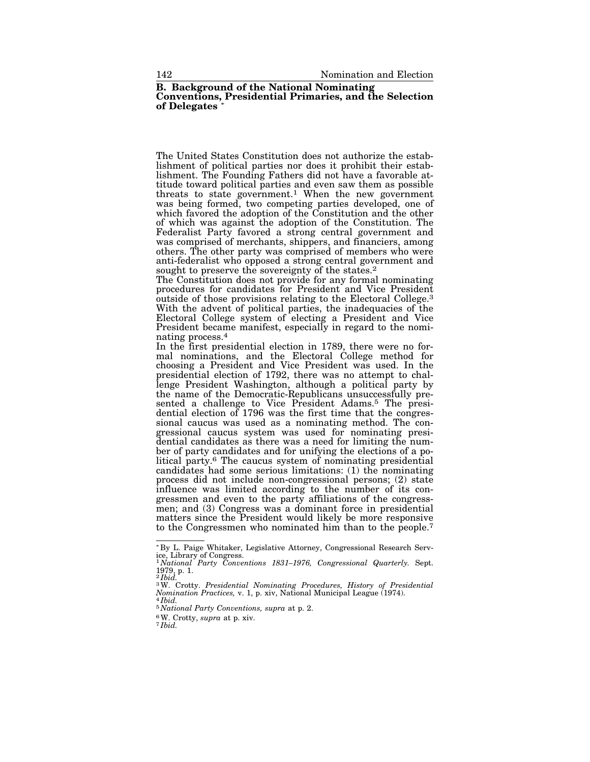142 Nomination and Election

**B. Background of the National Nominating Conventions, Presidential Primaries, and the Selection of Delegates** \*

The United States Constitution does not authorize the establishment of political parties nor does it prohibit their establishment. The Founding Fathers did not have a favorable attitude toward political parties and even saw them as possible threats to state government.1 When the new government was being formed, two competing parties developed, one of which favored the adoption of the Constitution and the other of which was against the adoption of the Constitution. The Federalist Party favored a strong central government and was comprised of merchants, shippers, and financiers, among others. The other party was comprised of members who were anti-federalist who opposed a strong central government and sought to preserve the sovereignty of the states.<sup>2</sup>

The Constitution does not provide for any formal nominating procedures for candidates for President and Vice President outside of those provisions relating to the Electoral College.3 With the advent of political parties, the inadequacies of the Electoral College system of electing a President and Vice President became manifest, especially in regard to the nominating process.4

In the first presidential election in 1789, there were no formal nominations, and the Electoral College method for choosing a President and Vice President was used. In the presidential election of 1792, there was no attempt to challenge President Washington, although a political party by the name of the Democratic-Republicans unsuccessfully presented a challenge to Vice President Adams.5 The presidential election of 1796 was the first time that the congressional caucus was used as a nominating method. The congressional caucus system was used for nominating presidential candidates as there was a need for limiting the number of party candidates and for unifying the elections of a political party.6 The caucus system of nominating presidential candidates had some serious limitations: (1) the nominating process did not include non-congressional persons; (2) state influence was limited according to the number of its congressmen and even to the party affiliations of the congressmen; and (3) Congress was a dominant force in presidential matters since the President would likely be more responsive to the Congressmen who nominated him than to the people.7

<sup>\*</sup> By L. Paige Whitaker, Legislative Attorney, Congressional Research Service, Library of Congress.

<sup>1</sup> *National Party Conventions 1831–1976, Congressional Quarterly.* Sept. 1979, p. 1.

<sup>2</sup> *Ibid.*

<sup>3</sup>W. Crotty. *Presidential Nominating Procedures, History of Presidential Nomination Practices,* v. 1, p. xiv, National Municipal League (1974). <sup>4</sup> *Ibid.*

<sup>5</sup> *National Party Conventions, supra* at p. 2.

<sup>6</sup>W. Crotty, *supra* at p. xiv. <sup>7</sup> *Ibid.*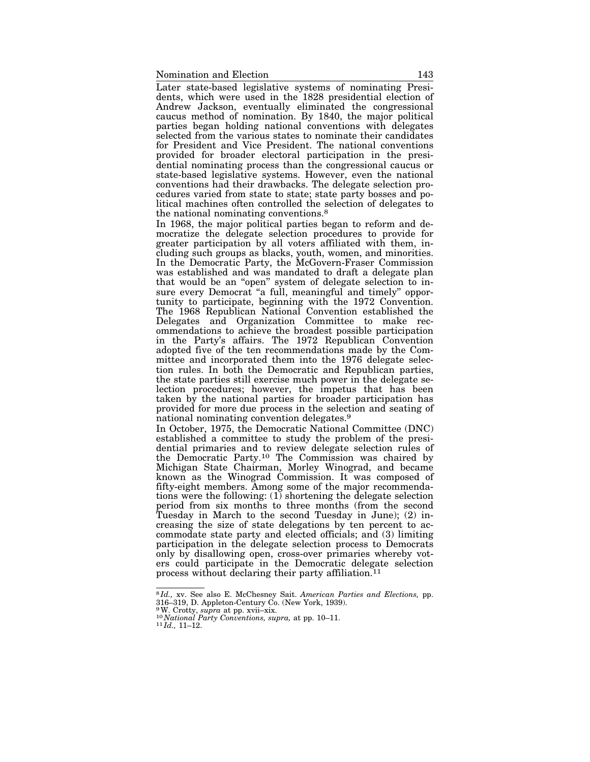Later state-based legislative systems of nominating Presidents, which were used in the 1828 presidential election of Andrew Jackson, eventually eliminated the congressional caucus method of nomination. By 1840, the major political parties began holding national conventions with delegates selected from the various states to nominate their candidates for President and Vice President. The national conventions provided for broader electoral participation in the presidential nominating process than the congressional caucus or state-based legislative systems. However, even the national conventions had their drawbacks. The delegate selection procedures varied from state to state; state party bosses and political machines often controlled the selection of delegates to the national nominating conventions.8

In 1968, the major political parties began to reform and democratize the delegate selection procedures to provide for greater participation by all voters affiliated with them, including such groups as blacks, youth, women, and minorities. In the Democratic Party, the McGovern-Fraser Commission was established and was mandated to draft a delegate plan that would be an ''open'' system of delegate selection to insure every Democrat "a full, meaningful and timely" opportunity to participate, beginning with the 1972 Convention. The 1968 Republican National Convention established the Delegates and Organization Committee to make recommendations to achieve the broadest possible participation in the Party's affairs. The 1972 Republican Convention adopted five of the ten recommendations made by the Committee and incorporated them into the 1976 delegate selection rules. In both the Democratic and Republican parties, the state parties still exercise much power in the delegate selection procedures; however, the impetus that has been taken by the national parties for broader participation has provided for more due process in the selection and seating of national nominating convention delegates.9

In October, 1975, the Democratic National Committee (DNC) established a committee to study the problem of the presidential primaries and to review delegate selection rules of the Democratic Party.10 The Commission was chaired by Michigan State Chairman, Morley Winograd, and became known as the Winograd Commission. It was composed of fifty-eight members. Among some of the major recommendations were the following: (1) shortening the delegate selection period from six months to three months (from the second Tuesday in March to the second Tuesday in June); (2) increasing the size of state delegations by ten percent to accommodate state party and elected officials; and (3) limiting participation in the delegate selection process to Democrats only by disallowing open, cross-over primaries whereby voters could participate in the Democratic delegate selection process without declaring their party affiliation.11

<sup>8</sup> *Id.,* xv. See also E. McChesney Sait. *American Parties and Elections,* pp. 316–319, D. Appleton-Century Co. (New York, 1939).

<sup>9</sup>W. Crotty, *supra* at pp. xvii–xix. <sup>10</sup> *National Party Conventions, supra,* at pp. 10–11. <sup>11</sup> *Id.,* 11–12.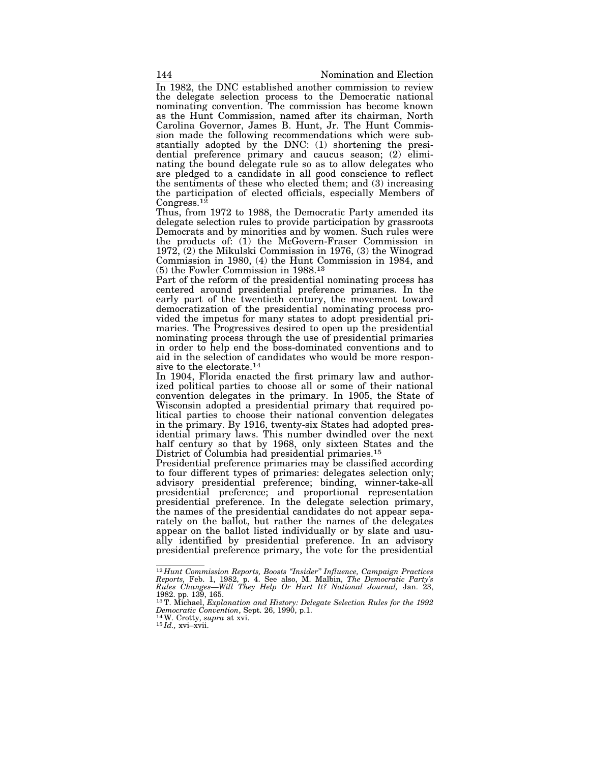In 1982, the DNC established another commission to review the delegate selection process to the Democratic national nominating convention. The commission has become known as the Hunt Commission, named after its chairman, North Carolina Governor, James B. Hunt, Jr. The Hunt Commission made the following recommendations which were substantially adopted by the DNC: (1) shortening the presidential preference primary and caucus season; (2) eliminating the bound delegate rule so as to allow delegates who are pledged to a candidate in all good conscience to reflect the sentiments of these who elected them; and (3) increasing the participation of elected officials, especially Members of Congress.12

Thus, from 1972 to 1988, the Democratic Party amended its delegate selection rules to provide participation by grassroots Democrats and by minorities and by women. Such rules were the products of: (1) the McGovern-Fraser Commission in 1972, (2) the Mikulski Commission in 1976, (3) the Winograd Commission in 1980, (4) the Hunt Commission in 1984, and (5) the Fowler Commission in 1988.13

Part of the reform of the presidential nominating process has centered around presidential preference primaries. In the early part of the twentieth century, the movement toward democratization of the presidential nominating process provided the impetus for many states to adopt presidential primaries. The Progressives desired to open up the presidential nominating process through the use of presidential primaries in order to help end the boss-dominated conventions and to aid in the selection of candidates who would be more responsive to the electorate.14

In 1904, Florida enacted the first primary law and authorized political parties to choose all or some of their national convention delegates in the primary. In 1905, the State of Wisconsin adopted a presidential primary that required political parties to choose their national convention delegates in the primary. By 1916, twenty-six States had adopted presidential primary laws. This number dwindled over the next half century so that by 1968, only sixteen States and the District of Columbia had presidential primaries.15

Presidential preference primaries may be classified according to four different types of primaries: delegates selection only; advisory presidential preference; binding, winner-take-all presidential preference; and proportional representation presidential preference. In the delegate selection primary, the names of the presidential candidates do not appear separately on the ballot, but rather the names of the delegates appear on the ballot listed individually or by slate and usually identified by presidential preference. In an advisory presidential preference primary, the vote for the presidential

<sup>12</sup> *Hunt Commission Reports, Boosts ''Insider'' Influence, Campaign Practices Reports,* Feb. 1, 1982, p. 4. See also, M. Malbin, *The Democratic Party's Rules Changes—Will They Help Or Hurt It? National Journal,* Jan. 23,

<sup>1982.</sup> pp. 139, 165. 13T. Michael, *Explanation and History: Delegate Selection Rules for the 1992 Democratic Convention*, Sept. 26, 1990, p.1. 14W. Crotty, *supra* at xvi. <sup>15</sup> *Id.,* xvi–xvii.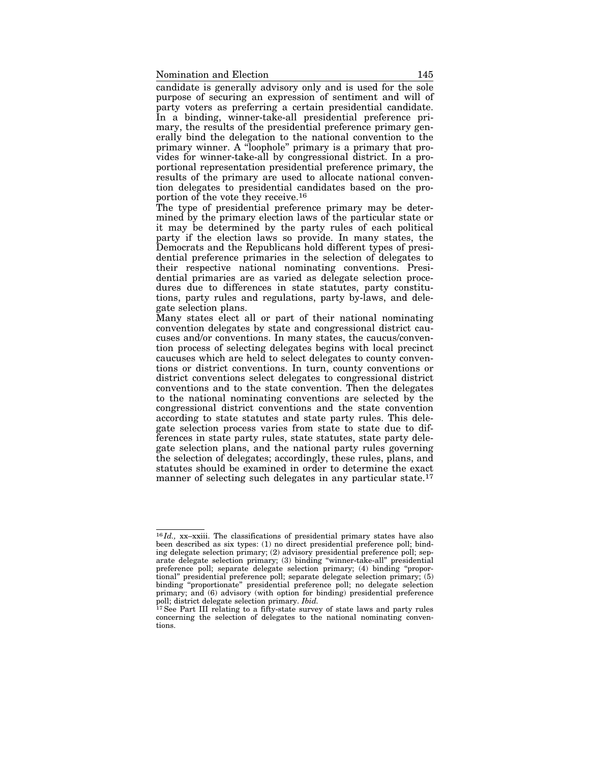Nomination and Election 145

candidate is generally advisory only and is used for the sole purpose of securing an expression of sentiment and will of party voters as preferring a certain presidential candidate. In a binding, winner-take-all presidential preference primary, the results of the presidential preference primary generally bind the delegation to the national convention to the primary winner. A "loophole" primary is a primary that provides for winner-take-all by congressional district. In a proportional representation presidential preference primary, the results of the primary are used to allocate national convention delegates to presidential candidates based on the proportion of the vote they receive.16

The type of presidential preference primary may be determined by the primary election laws of the particular state or it may be determined by the party rules of each political party if the election laws so provide. In many states, the Democrats and the Republicans hold different types of presidential preference primaries in the selection of delegates to their respective national nominating conventions. Presidential primaries are as varied as delegate selection procedures due to differences in state statutes, party constitutions, party rules and regulations, party by-laws, and delegate selection plans.

Many states elect all or part of their national nominating convention delegates by state and congressional district caucuses and/or conventions. In many states, the caucus/convention process of selecting delegates begins with local precinct caucuses which are held to select delegates to county conventions or district conventions. In turn, county conventions or district conventions select delegates to congressional district conventions and to the state convention. Then the delegates to the national nominating conventions are selected by the congressional district conventions and the state convention according to state statutes and state party rules. This delegate selection process varies from state to state due to differences in state party rules, state statutes, state party delegate selection plans, and the national party rules governing the selection of delegates; accordingly, these rules, plans, and statutes should be examined in order to determine the exact manner of selecting such delegates in any particular state.<sup>17</sup>

<sup>16</sup> *Id.,* xx–xxiii. The classifications of presidential primary states have also been described as six types: (1) no direct presidential preference poll; binding delegate selection primary; (2) advisory presidential preference poll; separate delegate selection primary; (3) binding ''winner-take-all'' presidential preference poll; separate delegate selection primary; (4) binding ''proportional'' presidential preference poll; separate delegate selection primary; (5) binding ''proportionate'' presidential preference poll; no delegate selection primary; and (6) advisory (with option for binding) presidential preference poll; district delegate selection primary. *Ibid.*

<sup>&</sup>lt;sup>17</sup> See Part III relating to a fifty-state survey of state laws and party rules concerning the selection of delegates to the national nominating conventions.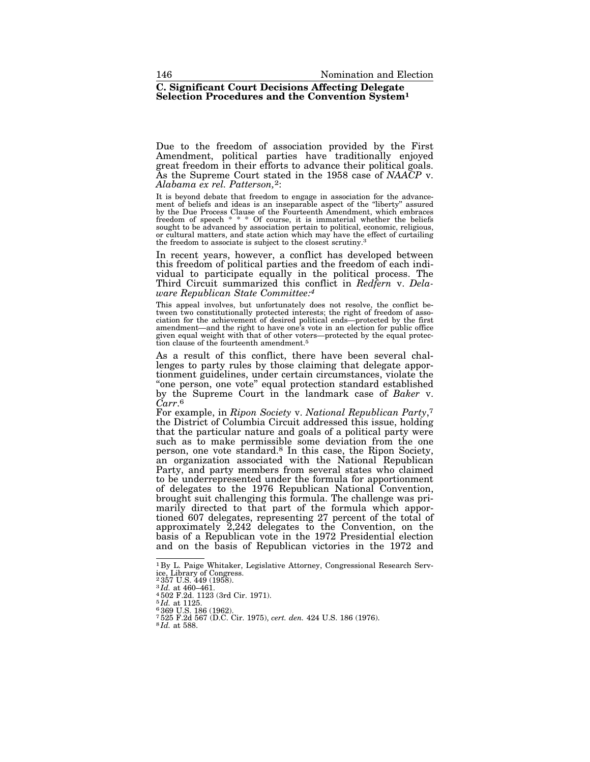# **C. Significant Court Decisions Affecting Delegate Selection Procedures and the Convention System1**

Due to the freedom of association provided by the First Amendment, political parties have traditionally enjoyed great freedom in their efforts to advance their political goals. As the Supreme Court stated in the 1958 case of *NAACP* v. *Alabama ex rel. Patterson,*2:

It is beyond debate that freedom to engage in association for the advancement of beliefs and ideas is an inseparable aspect of the "liberty" assured<br>by the Due Process Clause of the Fourteenth Amendment, which embraces<br>freedom of speech \* \* \* Of course, it is immaterial whether the beliefs<br>soug or cultural matters, and state action which may have the effect of curtailing the freedom to associate is subject to the closest scrutiny.<sup>3</sup>

In recent years, however, a conflict has developed between this freedom of political parties and the freedom of each individual to participate equally in the political process. The Third Circuit summarized this conflict in *Redfern* v. *Delaware Republican State Committee:4*

This appeal involves, but unfortunately does not resolve, the conflict between two constitutionally protected interests; the right of freedom of association for the achievement of desired political ends—protected by the first amendment—and the right to have one's vote in an election for public given equal weight with that of other voters—protected by the equal protection clause of the fourteenth amendment.5

As a result of this conflict, there have been several challenges to party rules by those claiming that delegate apportionment guidelines, under certain circumstances, violate the "one person, one vote" equal protection standard established by the Supreme Court in the landmark case of *Baker* v. *Carr*.6

For example, in *Ripon Society* v. *National Republican Party*,7 the District of Columbia Circuit addressed this issue, holding that the particular nature and goals of a political party were such as to make permissible some deviation from the one person, one vote standard.8 In this case, the Ripon Society, an organization associated with the National Republican Party, and party members from several states who claimed to be underrepresented under the formula for apportionment of delegates to the 1976 Republican National Convention, brought suit challenging this formula. The challenge was primarily directed to that part of the formula which apportioned 607 delegates, representing 27 percent of the total of approximately 2,242 delegates to the Convention, on the basis of a Republican vote in the 1972 Presidential election and on the basis of Republican victories in the 1972 and

- <sup>5</sup>*Id.* at 1125.<br><sup>6</sup>369 U.S. 186 (1962).
- <sup>7</sup> 525 F.2d 567 (D.C. Cir. 1975), *cert. den.* 424 U.S. 186 (1976). <sup>8</sup> *Id.* at 588.
	-

<sup>1</sup> By L. Paige Whitaker, Legislative Attorney, Congressional Research Service, Library of Congress. 2 357 U.S. 449 (1958).

<sup>3</sup> *Id.* at 460–461. <sup>4</sup> 502 F.2d. 1123 (3rd Cir. 1971).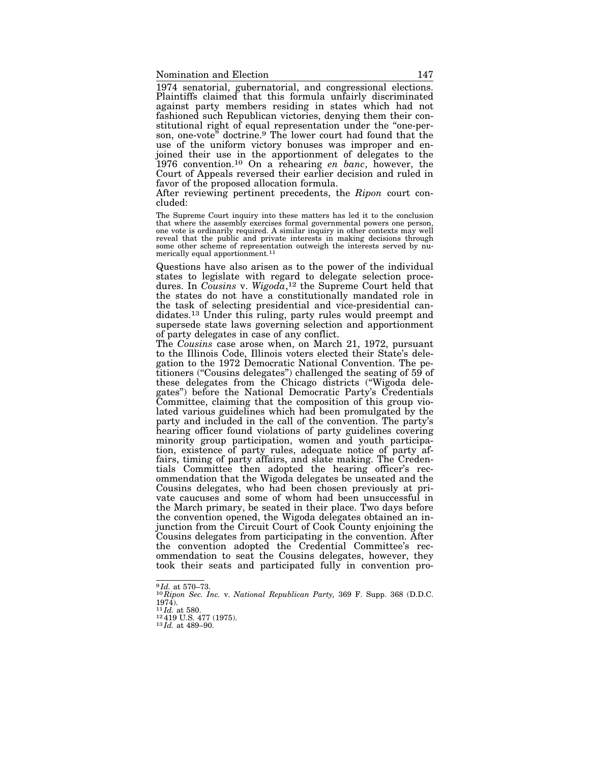1974 senatorial, gubernatorial, and congressional elections. Plaintiffs claimed that this formula unfairly discriminated against party members residing in states which had not fashioned such Republican victories, denying them their constitutional right of equal representation under the ''one-person, one-vote" doctrine.<sup>9</sup> The lower court had found that the use of the uniform victory bonuses was improper and enjoined their use in the apportionment of delegates to the 1976 convention.10 On a rehearing *en banc*, however, the Court of Appeals reversed their earlier decision and ruled in favor of the proposed allocation formula.

After reviewing pertinent precedents, the *Ripon* court concluded:

The Supreme Court inquiry into these matters has led it to the conclusion that where the assembly exercises formal governmental powers one person, one vote is ordinarily required. A similar inquiry in other contexts may well reveal that the public and private interests in making decisions through some other scheme of representation outweigh the interests served by numerically equal apportionment.<sup>11</sup>

Questions have also arisen as to the power of the individual states to legislate with regard to delegate selection procedures. In *Cousins* v. *Wigoda*,12 the Supreme Court held that the states do not have a constitutionally mandated role in the task of selecting presidential and vice-presidential candidates.13 Under this ruling, party rules would preempt and supersede state laws governing selection and apportionment of party delegates in case of any conflict.

The *Cousins* case arose when, on March 21, 1972, pursuant to the Illinois Code, Illinois voters elected their State's delegation to the 1972 Democratic National Convention. The petitioners (''Cousins delegates'') challenged the seating of 59 of these delegates from the Chicago districts (''Wigoda delegates'') before the National Democratic Party's Credentials Committee, claiming that the composition of this group violated various guidelines which had been promulgated by the party and included in the call of the convention. The party's hearing officer found violations of party guidelines covering minority group participation, women and youth participation, existence of party rules, adequate notice of party affairs, timing of party affairs, and slate making. The Credentials Committee then adopted the hearing officer's recommendation that the Wigoda delegates be unseated and the Cousins delegates, who had been chosen previously at private caucuses and some of whom had been unsuccessful in the March primary, be seated in their place. Two days before the convention opened, the Wigoda delegates obtained an injunction from the Circuit Court of Cook County enjoining the Cousins delegates from participating in the convention. After the convention adopted the Credential Committee's recommendation to seat the Cousins delegates, however, they took their seats and participated fully in convention pro-

<sup>9</sup> *Id.* at 570–73. <sup>10</sup> *Ripon Sec. Inc.* v. *National Republican Party,* 369 F. Supp. 368 (D.D.C. 1974).<br><sup>11</sup>*Id.* at 580.

<sup>11</sup> *Id.* at 580. <sup>12</sup> 419 U.S. 477 (1975). <sup>13</sup> *Id.* at 489–90.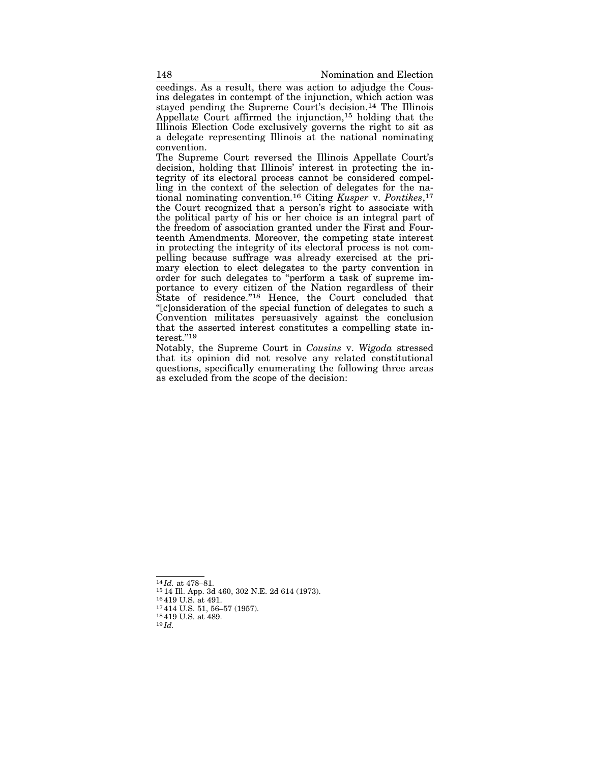ceedings. As a result, there was action to adjudge the Cousins delegates in contempt of the injunction, which action was stayed pending the Supreme Court's decision.14 The Illinois Appellate Court affirmed the injunction,<sup>15</sup> holding that the Illinois Election Code exclusively governs the right to sit as a delegate representing Illinois at the national nominating convention.

The Supreme Court reversed the Illinois Appellate Court's decision, holding that Illinois' interest in protecting the integrity of its electoral process cannot be considered compelling in the context of the selection of delegates for the national nominating convention.16 Citing *Kusper* v. *Pontikes*,17 the Court recognized that a person's right to associate with the political party of his or her choice is an integral part of the freedom of association granted under the First and Fourteenth Amendments. Moreover, the competing state interest in protecting the integrity of its electoral process is not compelling because suffrage was already exercised at the primary election to elect delegates to the party convention in order for such delegates to ''perform a task of supreme importance to every citizen of the Nation regardless of their State of residence."<sup>18</sup> Hence, the Court concluded that ''[c]onsideration of the special function of delegates to such a Convention militates persuasively against the conclusion that the asserted interest constitutes a compelling state interest.''19

Notably, the Supreme Court in *Cousins* v. *Wigoda* stressed that its opinion did not resolve any related constitutional questions, specifically enumerating the following three areas as excluded from the scope of the decision:

<sup>14</sup> *Id.* at 478–81.

<sup>15</sup> 14 Ill. App. 3d 460, 302 N.E. 2d 614 (1973).

<sup>16</sup> 419 U.S. at 491. 17 414 U.S. 51, 56–57 (1957).

<sup>18</sup> 419 U.S. at 489.

<sup>19</sup> *Id.*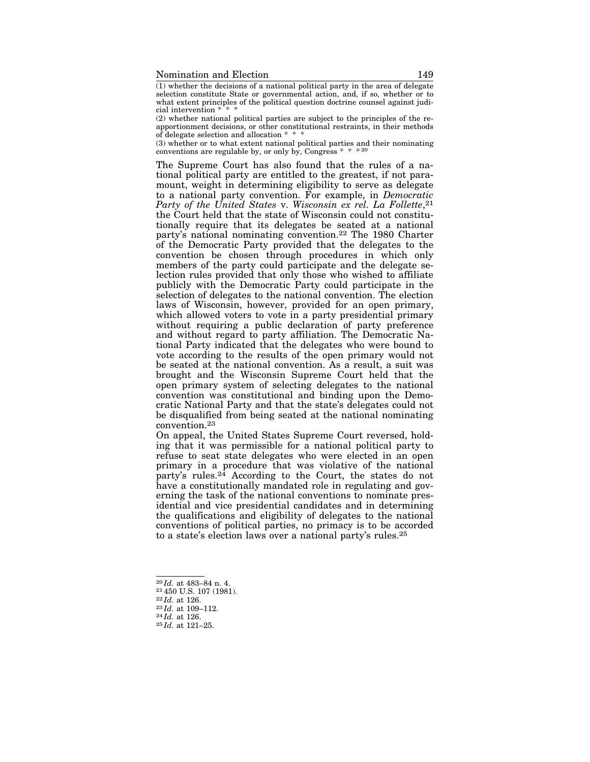(1) whether the decisions of a national political party in the area of delegate selection constitute State or governmental action, and, if so, whether or to what extent principles of the political question doctrine counsel against judicial intervention  $*$ 

(2) whether national political parties are subject to the principles of the reapportionment decisions, or other constitutional restraints, in their methods of delegate selection and allocation \* \* \*

(3) whether or to what extent national political parties and their nominating conventions are regulable by, or only by, Congress  $*$ 

The Supreme Court has also found that the rules of a national political party are entitled to the greatest, if not paramount, weight in determining eligibility to serve as delegate to a national party convention. For example, in *Democratic Party of the United States* v. *Wisconsin ex rel. La Follette*,21 the Court held that the state of Wisconsin could not constitutionally require that its delegates be seated at a national party's national nominating convention.22 The 1980 Charter of the Democratic Party provided that the delegates to the convention be chosen through procedures in which only members of the party could participate and the delegate selection rules provided that only those who wished to affiliate publicly with the Democratic Party could participate in the selection of delegates to the national convention. The election laws of Wisconsin, however, provided for an open primary, which allowed voters to vote in a party presidential primary without requiring a public declaration of party preference and without regard to party affiliation. The Democratic National Party indicated that the delegates who were bound to vote according to the results of the open primary would not be seated at the national convention. As a result, a suit was brought and the Wisconsin Supreme Court held that the open primary system of selecting delegates to the national convention was constitutional and binding upon the Democratic National Party and that the state's delegates could not be disqualified from being seated at the national nominating convention.23

On appeal, the United States Supreme Court reversed, holding that it was permissible for a national political party to refuse to seat state delegates who were elected in an open primary in a procedure that was violative of the national party's rules.24 According to the Court, the states do not have a constitutionally mandated role in regulating and governing the task of the national conventions to nominate presidential and vice presidential candidates and in determining the qualifications and eligibility of delegates to the national conventions of political parties, no primacy is to be accorded to a state's election laws over a national party's rules.25

- 20 *Id.* at 483–84 n. 4.
- 21 450 U.S. 107 (1981).
- 22 *Id.* at 126.
- 23 *Id.* at 109–112.
- 24 *Id.* at 126.
- 25 *Id.* at 121–25.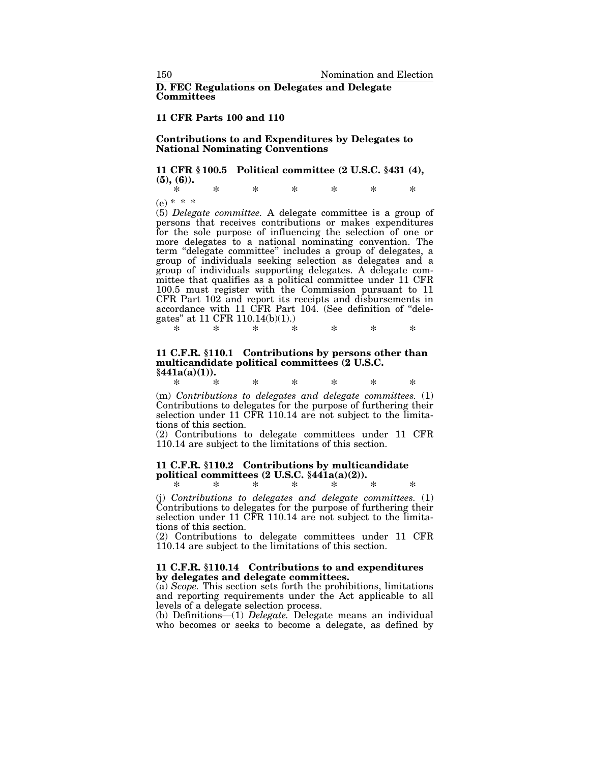**D. FEC Regulations on Delegates and Delegate Committees**

# **11 CFR Parts 100 and 110**

**Contributions to and Expenditures by Delegates to National Nominating Conventions**

# **11 CFR § 100.5 Political committee (2 U.S.C. §431 (4),**  $(5), (6)$ .

\* \* \* \* \* \* \* (e) \* \* \*

(5) *Delegate committee.* A delegate committee is a group of persons that receives contributions or makes expenditures for the sole purpose of influencing the selection of one or more delegates to a national nominating convention. The term ''delegate committee'' includes a group of delegates, a group of individuals seeking selection as delegates and a group of individuals supporting delegates. A delegate committee that qualifies as a political committee under 11 CFR 100.5 must register with the Commission pursuant to 11 CFR Part 102 and report its receipts and disbursements in accordance with 11 CFR Part 104. (See definition of ''delegates" at 11 CFR 110.14(b)(1).)<br>\* \* \* \* \* \*

\* \* \* \* \* \* \*

### **11 C.F.R. §110.1 Contributions by persons other than multicandidate political committees (2 U.S.C. §441a(a)(1)).**

\* \* \* \* \* \* \*

(m) *Contributions to delegates and delegate committees.* (1) Contributions to delegates for the purpose of furthering their selection under 11 CFR 110.14 are not subject to the limitations of this section.

(2) Contributions to delegate committees under 11 CFR 110.14 are subject to the limitations of this section.

# **11 C.F.R. §110.2 Contributions by multicandidate political committees (2 U.S.C. §441a(a)(2)).**

\* \* \* \* \* \* \*

(j) *Contributions to delegates and delegate committees.* (1) Contributions to delegates for the purpose of furthering their selection under 11 CFR 110.14 are not subject to the limitations of this section.

(2) Contributions to delegate committees under 11 CFR 110.14 are subject to the limitations of this section.

# **11 C.F.R. §110.14 Contributions to and expenditures by delegates and delegate committees.**

(a) *Scope.* This section sets forth the prohibitions, limitations and reporting requirements under the Act applicable to all levels of a delegate selection process.

(b) Definitions—(1) *Delegate.* Delegate means an individual who becomes or seeks to become a delegate, as defined by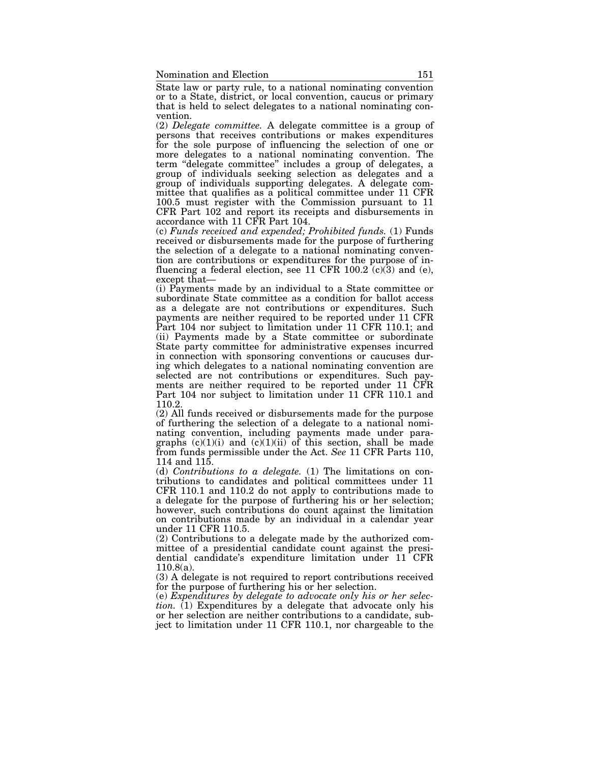State law or party rule, to a national nominating convention or to a State, district, or local convention, caucus or primary that is held to select delegates to a national nominating convention.

(2) *Delegate committee.* A delegate committee is a group of persons that receives contributions or makes expenditures for the sole purpose of influencing the selection of one or more delegates to a national nominating convention. The term ''delegate committee'' includes a group of delegates, a group of individuals seeking selection as delegates and a group of individuals supporting delegates. A delegate committee that qualifies as a political committee under 11 CFR 100.5 must register with the Commission pursuant to 11 CFR Part 102 and report its receipts and disbursements in accordance with 11 CFR Part 104.

(c) *Funds received and expended; Prohibited funds.* (1) Funds received or disbursements made for the purpose of furthering the selection of a delegate to a national nominating convention are contributions or expenditures for the purpose of influencing a federal election, see 11 CFR 100.2  $(c)(3)$  and  $(e)$ , except that—

(i) Payments made by an individual to a State committee or subordinate State committee as a condition for ballot access as a delegate are not contributions or expenditures. Such payments are neither required to be reported under 11 CFR Part 104 nor subject to limitation under 11 CFR 110.1; and (ii) Payments made by a State committee or subordinate State party committee for administrative expenses incurred in connection with sponsoring conventions or caucuses during which delegates to a national nominating convention are selected are not contributions or expenditures. Such payments are neither required to be reported under 11 CFR Part 104 nor subject to limitation under 11 CFR 110.1 and 110.2.

(2) All funds received or disbursements made for the purpose of furthering the selection of a delegate to a national nominating convention, including payments made under paragraphs  $(c)(1)(i)$  and  $(c)(1)(ii)$  of this section, shall be made from funds permissible under the Act. *See* 11 CFR Parts 110, 114 and 115.

(d) *Contributions to a delegate.* (1) The limitations on contributions to candidates and political committees under 11 CFR 110.1 and 110.2 do not apply to contributions made to a delegate for the purpose of furthering his or her selection; however, such contributions do count against the limitation on contributions made by an individual in a calendar year under 11 CFR 110.5.

(2) Contributions to a delegate made by the authorized committee of a presidential candidate count against the presidential candidate's expenditure limitation under 11 CFR 110.8(a).

(3) A delegate is not required to report contributions received for the purpose of furthering his or her selection.

(e) *Expenditures by delegate to advocate only his or her selection.* (1) Expenditures by a delegate that advocate only his or her selection are neither contributions to a candidate, subject to limitation under 11 CFR 110.1, nor chargeable to the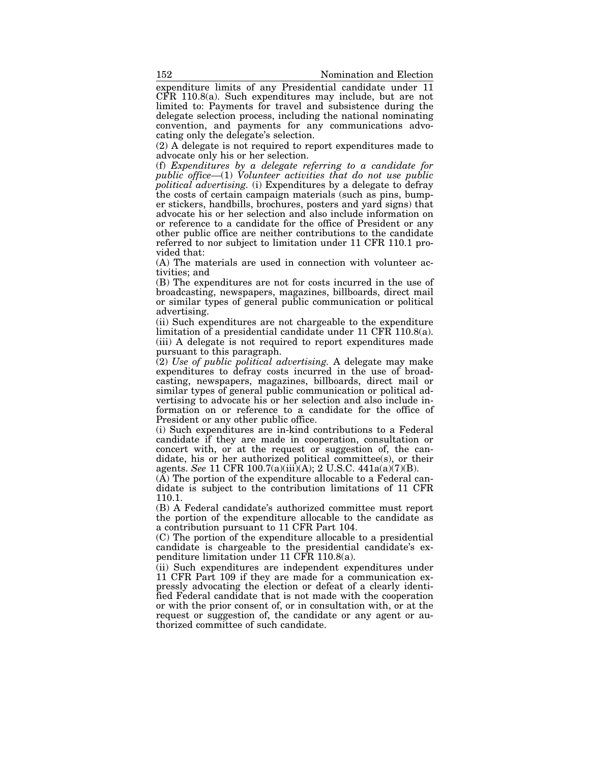expenditure limits of any Presidential candidate under 11 CFR 110.8(a). Such expenditures may include, but are not limited to: Payments for travel and subsistence during the delegate selection process, including the national nominating convention, and payments for any communications advocating only the delegate's selection.

(2) A delegate is not required to report expenditures made to advocate only his or her selection.

(f) *Expenditures by a delegate referring to a candidate for public office—*(1) *Volunteer activities that do not use public political advertising.* (i) Expenditures by a delegate to defray the costs of certain campaign materials (such as pins, bumper stickers, handbills, brochures, posters and yard signs) that advocate his or her selection and also include information on or reference to a candidate for the office of President or any other public office are neither contributions to the candidate referred to nor subject to limitation under 11 CFR 110.1 provided that:

(A) The materials are used in connection with volunteer activities; and

(B) The expenditures are not for costs incurred in the use of broadcasting, newspapers, magazines, billboards, direct mail or similar types of general public communication or political advertising.

(ii) Such expenditures are not chargeable to the expenditure limitation of a presidential candidate under 11 CFR 110.8(a). (iii) A delegate is not required to report expenditures made pursuant to this paragraph.

(2) *Use of public political advertising.* A delegate may make expenditures to defray costs incurred in the use of broadcasting, newspapers, magazines, billboards, direct mail or similar types of general public communication or political advertising to advocate his or her selection and also include information on or reference to a candidate for the office of President or any other public office.

(i) Such expenditures are in-kind contributions to a Federal candidate if they are made in cooperation, consultation or concert with, or at the request or suggestion of, the candidate, his or her authorized political committee(s), or their agents. *See* 11 CFR 100.7(a)(iii)(A); 2 U.S.C. 441a(a)(7)(B).

(A) The portion of the expenditure allocable to a Federal candidate is subject to the contribution limitations of 11 CFR 110.1.

(B) A Federal candidate's authorized committee must report the portion of the expenditure allocable to the candidate as a contribution pursuant to 11 CFR Part 104.

(C) The portion of the expenditure allocable to a presidential candidate is chargeable to the presidential candidate's expenditure limitation under 11 CFR 110.8(a).

(ii) Such expenditures are independent expenditures under 11 CFR Part 109 if they are made for a communication expressly advocating the election or defeat of a clearly identified Federal candidate that is not made with the cooperation or with the prior consent of, or in consultation with, or at the request or suggestion of, the candidate or any agent or authorized committee of such candidate.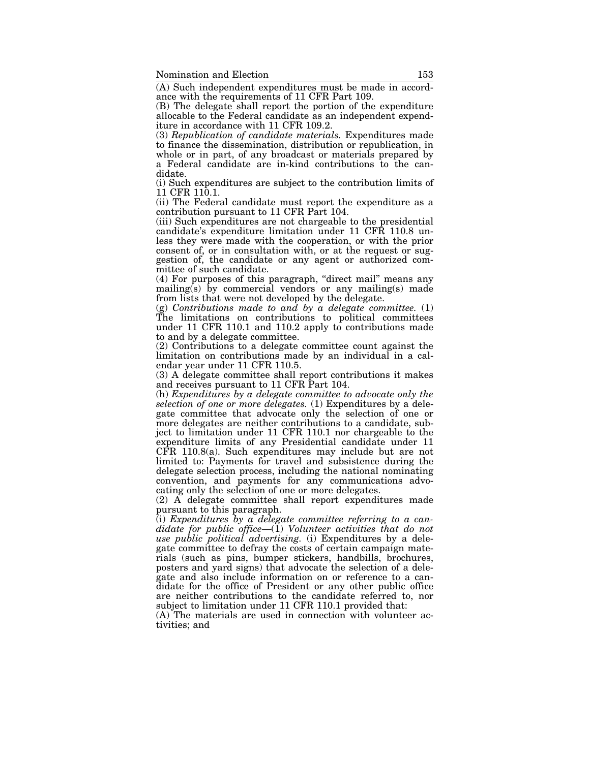(A) Such independent expenditures must be made in accordance with the requirements of 11 CFR Part 109.

(B) The delegate shall report the portion of the expenditure allocable to the Federal candidate as an independent expenditure in accordance with 11 CFR 109.2.

(3) *Republication of candidate materials.* Expenditures made to finance the dissemination, distribution or republication, in whole or in part, of any broadcast or materials prepared by a Federal candidate are in-kind contributions to the candidate.

(i) Such expenditures are subject to the contribution limits of 11 CFR 110.1.

(ii) The Federal candidate must report the expenditure as a contribution pursuant to 11 CFR Part 104.

(iii) Such expenditures are not chargeable to the presidential candidate's expenditure limitation under 11 CFR 110.8 unless they were made with the cooperation, or with the prior consent of, or in consultation with, or at the request or suggestion of, the candidate or any agent or authorized committee of such candidate.

(4) For purposes of this paragraph, "direct mail" means any mailing(s) by commercial vendors or any mailing(s) made from lists that were not developed by the delegate.

(g) *Contributions made to and by a delegate committee.* (1) The limitations on contributions to political committees under 11 CFR 110.1 and 110.2 apply to contributions made to and by a delegate committee.

(2) Contributions to a delegate committee count against the limitation on contributions made by an individual in a calendar year under 11 CFR 110.5.

(3) A delegate committee shall report contributions it makes and receives pursuant to 11 CFR Part 104.

(h) *Expenditures by a delegate committee to advocate only the selection of one or more delegates.* (1) Expenditures by a delegate committee that advocate only the selection of one or more delegates are neither contributions to a candidate, subject to limitation under 11 CFR 110.1 nor chargeable to the expenditure limits of any Presidential candidate under 11 CFR 110.8(a). Such expenditures may include but are not limited to: Payments for travel and subsistence during the delegate selection process, including the national nominating convention, and payments for any communications advocating only the selection of one or more delegates.

(2) A delegate committee shall report expenditures made pursuant to this paragraph.

(i) *Expenditures by a delegate committee referring to a candidate for public office*—(1) *Volunteer activities that do not use public political advertising.* (i) Expenditures by a delegate committee to defray the costs of certain campaign materials (such as pins, bumper stickers, handbills, brochures, posters and yard signs) that advocate the selection of a delegate and also include information on or reference to a candidate for the office of President or any other public office are neither contributions to the candidate referred to, nor subject to limitation under 11 CFR 110.1 provided that:

(A) The materials are used in connection with volunteer activities; and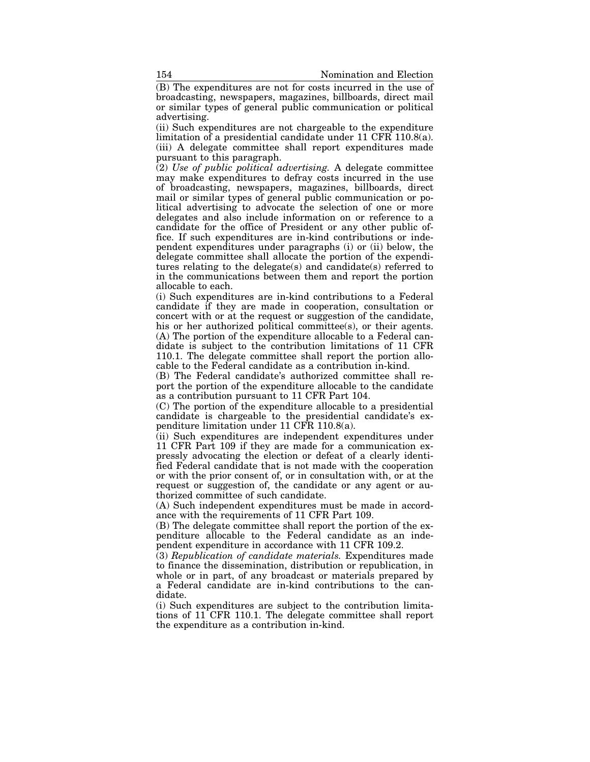(B) The expenditures are not for costs incurred in the use of broadcasting, newspapers, magazines, billboards, direct mail or similar types of general public communication or political advertising.

(ii) Such expenditures are not chargeable to the expenditure limitation of a presidential candidate under 11 CFR 110.8(a). (iii) A delegate committee shall report expenditures made pursuant to this paragraph.

(2) *Use of public political advertising.* A delegate committee may make expenditures to defray costs incurred in the use of broadcasting, newspapers, magazines, billboards, direct mail or similar types of general public communication or political advertising to advocate the selection of one or more delegates and also include information on or reference to a candidate for the office of President or any other public office. If such expenditures are in-kind contributions or independent expenditures under paragraphs (i) or (ii) below, the delegate committee shall allocate the portion of the expenditures relating to the delegate(s) and candidate(s) referred to in the communications between them and report the portion allocable to each.

(i) Such expenditures are in-kind contributions to a Federal candidate if they are made in cooperation, consultation or concert with or at the request or suggestion of the candidate, his or her authorized political committee(s), or their agents. (A) The portion of the expenditure allocable to a Federal candidate is subject to the contribution limitations of 11 CFR 110.1. The delegate committee shall report the portion allocable to the Federal candidate as a contribution in-kind.

(B) The Federal candidate's authorized committee shall report the portion of the expenditure allocable to the candidate as a contribution pursuant to 11 CFR Part 104.

(C) The portion of the expenditure allocable to a presidential candidate is chargeable to the presidential candidate's expenditure limitation under 11 CFR 110.8(a).

(ii) Such expenditures are independent expenditures under 11 CFR Part 109 if they are made for a communication expressly advocating the election or defeat of a clearly identified Federal candidate that is not made with the cooperation or with the prior consent of, or in consultation with, or at the request or suggestion of, the candidate or any agent or authorized committee of such candidate.

(A) Such independent expenditures must be made in accordance with the requirements of 11 CFR Part 109.

(B) The delegate committee shall report the portion of the expenditure allocable to the Federal candidate as an independent expenditure in accordance with 11 CFR 109.2.

(3) *Republication of candidate materials.* Expenditures made to finance the dissemination, distribution or republication, in whole or in part, of any broadcast or materials prepared by a Federal candidate are in-kind contributions to the candidate.

(i) Such expenditures are subject to the contribution limitations of 11 CFR 110.1. The delegate committee shall report the expenditure as a contribution in-kind.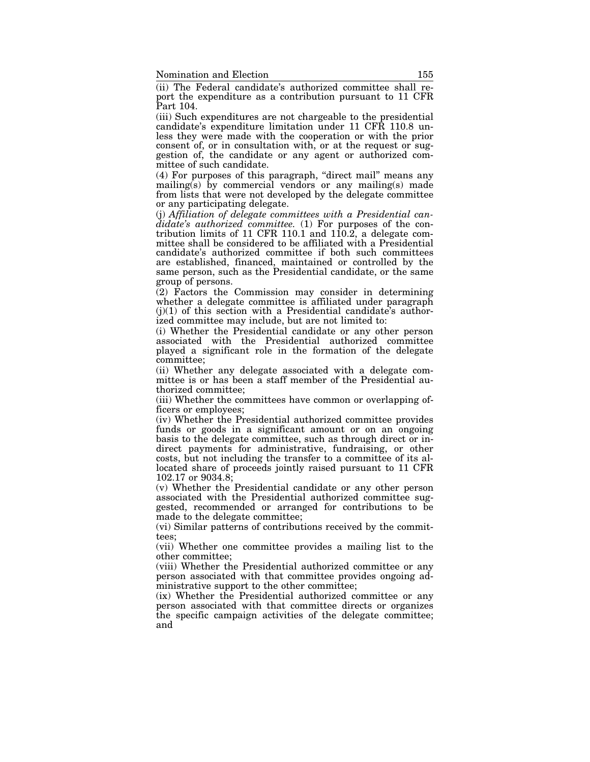(ii) The Federal candidate's authorized committee shall report the expenditure as a contribution pursuant to 11 CFR Part 104.

(iii) Such expenditures are not chargeable to the presidential candidate's expenditure limitation under 11 CFR 110.8 unless they were made with the cooperation or with the prior consent of, or in consultation with, or at the request or suggestion of, the candidate or any agent or authorized committee of such candidate.

(4) For purposes of this paragraph, ''direct mail'' means any mailing(s) by commercial vendors or any mailing(s) made from lists that were not developed by the delegate committee or any participating delegate.

(j) *Affiliation of delegate committees with a Presidential candidate's authorized committee.* (1) For purposes of the contribution limits of 11 CFR 110.1 and 110.2, a delegate committee shall be considered to be affiliated with a Presidential candidate's authorized committee if both such committees are established, financed, maintained or controlled by the same person, such as the Presidential candidate, or the same group of persons.

(2) Factors the Commission may consider in determining whether a delegate committee is affiliated under paragraph  $(j)(1)$  of this section with a Presidential candidate's authorized committee may include, but are not limited to:

(i) Whether the Presidential candidate or any other person associated with the Presidential authorized committee played a significant role in the formation of the delegate committee;

(ii) Whether any delegate associated with a delegate committee is or has been a staff member of the Presidential authorized committee;

(iii) Whether the committees have common or overlapping officers or employees;

(iv) Whether the Presidential authorized committee provides funds or goods in a significant amount or on an ongoing basis to the delegate committee, such as through direct or indirect payments for administrative, fundraising, or other costs, but not including the transfer to a committee of its allocated share of proceeds jointly raised pursuant to 11 CFR 102.17 or 9034.8;

(v) Whether the Presidential candidate or any other person associated with the Presidential authorized committee suggested, recommended or arranged for contributions to be made to the delegate committee;

(vi) Similar patterns of contributions received by the committees;

(vii) Whether one committee provides a mailing list to the other committee;

(viii) Whether the Presidential authorized committee or any person associated with that committee provides ongoing administrative support to the other committee;

(ix) Whether the Presidential authorized committee or any person associated with that committee directs or organizes the specific campaign activities of the delegate committee; and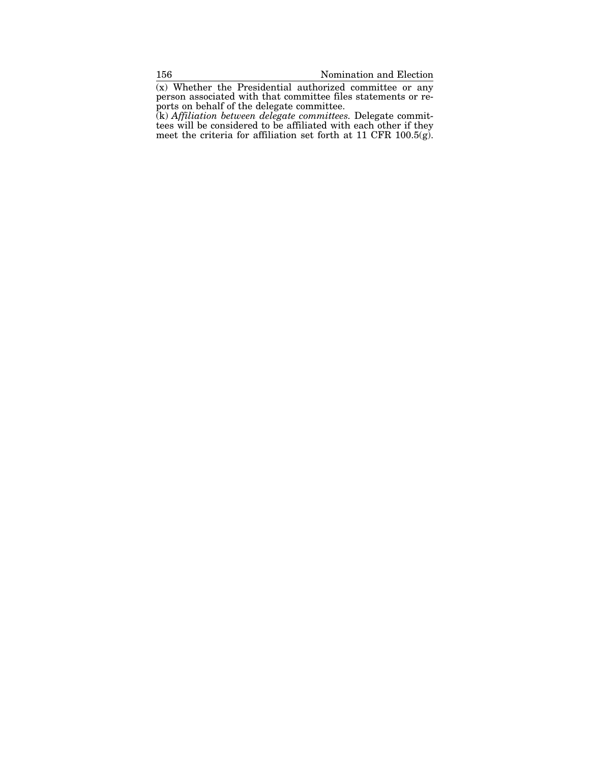(x) Whether the Presidential authorized committee or any person associated with that committee files statements or reports on behalf of the delegate committee.

(k) *Affiliation between delegate committees.* Delegate committees will be considered to be affiliated with each other if they meet the criteria for affiliation set forth at 11 CFR 100.5(g).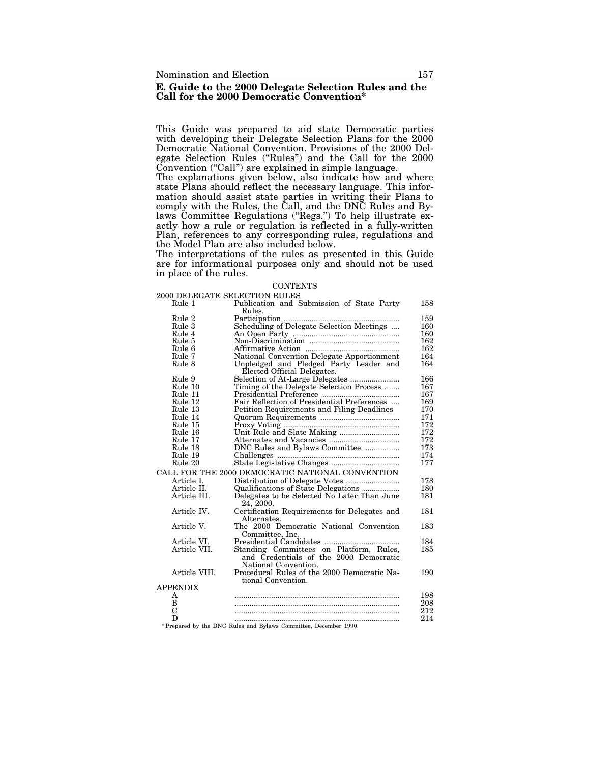# **E. Guide to the 2000 Delegate Selection Rules and the Call for the 2000 Democratic Convention\***

This Guide was prepared to aid state Democratic parties with developing their Delegate Selection Plans for the 2000 Democratic National Convention. Provisions of the 2000 Delegate Selection Rules (''Rules'') and the Call for the 2000 Convention (''Call'') are explained in simple language.

The explanations given below, also indicate how and where state Plans should reflect the necessary language. This information should assist state parties in writing their Plans to comply with the Rules, the Call, and the DNC Rules and Bylaws Committee Regulations ("Regs.") To help illustrate exactly how a rule or regulation is reflected in a fully-written Plan, references to any corresponding rules, regulations and the Model Plan are also included below.

The interpretations of the rules as presented in this Guide are for informational purposes only and should not be used in place of the rules.

# **CONTENTS**

# 2000 DELEGATE SELECTION RULES

| Rule 1          | Publication and Submission of State Party<br>Rules.                   | 158 |
|-----------------|-----------------------------------------------------------------------|-----|
| Rule 2          |                                                                       | 159 |
| Rule 3          | Scheduling of Delegate Selection Meetings                             | 160 |
| Rule 4          |                                                                       | 160 |
| Rule 5          |                                                                       | 162 |
|                 |                                                                       | 162 |
| Rule 6          |                                                                       |     |
| Rule 7          | National Convention Delegate Apportionment                            | 164 |
| Rule 8          | Unpledged and Pledged Party Leader and<br>Elected Official Delegates. | 164 |
| Rule 9          | Selection of At-Large Delegates                                       | 166 |
| Rule 10         | Timing of the Delegate Selection Process                              | 167 |
| Rule 11         |                                                                       | 167 |
| Rule 12         | Fair Reflection of Presidential Preferences                           | 169 |
| Rule 13         | Petition Requirements and Filing Deadlines                            | 170 |
| Rule 14         |                                                                       | 171 |
| Rule 15         |                                                                       | 172 |
| Rule 16         | Unit Rule and Slate Making                                            | 172 |
| Rule 17         |                                                                       | 172 |
| Rule 18         | DNC Rules and Bylaws Committee                                        | 173 |
|                 |                                                                       | 174 |
| Rule 19         |                                                                       |     |
| Rule 20         | State Legislative Changes                                             | 177 |
|                 | CALL FOR THE 2000 DEMOCRATIC NATIONAL CONVENTION                      |     |
| Article I.      |                                                                       | 178 |
| Article II.     | Qualifications of State Delegations                                   | 180 |
| Article III.    | Delegates to be Selected No Later Than June                           | 181 |
|                 | 24, 2000.                                                             |     |
| Article IV.     | Certification Requirements for Delegates and                          | 181 |
|                 | Alternates.                                                           |     |
| Article V.      | The 2000 Democratic National Convention<br>Committee, Inc.            | 183 |
| Article VI.     |                                                                       | 184 |
| Article VII.    | Standing Committees on Platform, Rules,                               | 185 |
|                 | and Credentials of the 2000 Democratic<br>National Convention.        |     |
| Article VIII.   | Procedural Rules of the 2000 Democratic Na-                           | 190 |
|                 | tional Convention.                                                    |     |
| <b>APPENDIX</b> |                                                                       |     |
| A               |                                                                       | 198 |
| B               |                                                                       | 208 |
| C               |                                                                       | 212 |
| D               |                                                                       | 214 |
|                 |                                                                       |     |

\* Prepared by the DNC Rules and Bylaws Committee, December 1990.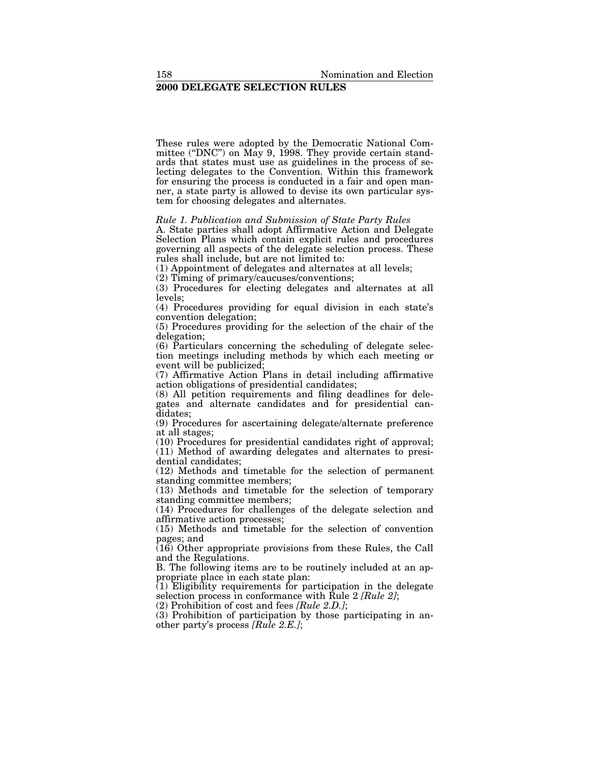# **2000 DELEGATE SELECTION RULES**

These rules were adopted by the Democratic National Committee (''DNC'') on May 9, 1998. They provide certain standards that states must use as guidelines in the process of selecting delegates to the Convention. Within this framework for ensuring the process is conducted in a fair and open manner, a state party is allowed to devise its own particular system for choosing delegates and alternates.

# *Rule 1. Publication and Submission of State Party Rules*

A. State parties shall adopt Affirmative Action and Delegate Selection Plans which contain explicit rules and procedures governing all aspects of the delegate selection process. These rules shall include, but are not limited to:

(1) Appointment of delegates and alternates at all levels;

(2) Timing of primary/caucuses/conventions;

(3) Procedures for electing delegates and alternates at all levels;

(4) Procedures providing for equal division in each state's convention delegation;

(5) Procedures providing for the selection of the chair of the delegation;

(6) Particulars concerning the scheduling of delegate selection meetings including methods by which each meeting or event will be publicized;

(7) Affirmative Action Plans in detail including affirmative action obligations of presidential candidates;

(8) All petition requirements and filing deadlines for delegates and alternate candidates and for presidential candidates;

(9) Procedures for ascertaining delegate/alternate preference at all stages;

(10) Procedures for presidential candidates right of approval; (11) Method of awarding delegates and alternates to presidential candidates;

(12) Methods and timetable for the selection of permanent standing committee members;

(13) Methods and timetable for the selection of temporary standing committee members;

(14) Procedures for challenges of the delegate selection and affirmative action processes;

(15) Methods and timetable for the selection of convention pages; and

(16) Other appropriate provisions from these Rules, the Call and the Regulations.

B. The following items are to be routinely included at an appropriate place in each state plan:

(1) Eligibility requirements for participation in the delegate selection process in conformance with Rule 2 *[Rule 2]*;

(2) Prohibition of cost and fees *[Rule 2.D.]*;

(3) Prohibition of participation by those participating in another party's process *[Rule 2.E.]*;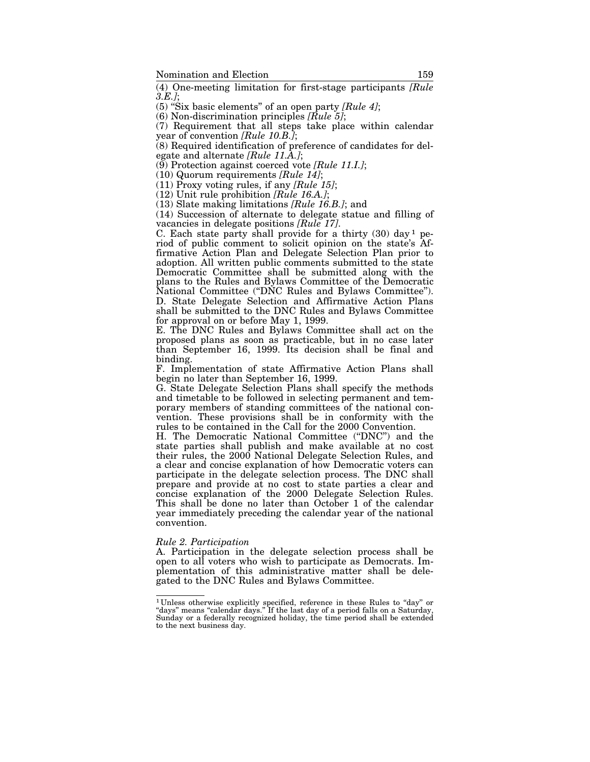(4) One-meeting limitation for first-stage participants *[Rule 3.E.]*;

(5) ''Six basic elements'' of an open party *[Rule 4]*;

(6) Non-discrimination principles *[Rule 5]*;

(7) Requirement that all steps take place within calendar year of convention *[Rule 10.B.]*;

(8) Required identification of preference of candidates for delegate and alternate *[Rule 11.A.]*;

(9) Protection against coerced vote *[Rule 11.I.]*;

(10) Quorum requirements *[Rule 14]*;

(11) Proxy voting rules, if any *[Rule 15]*;

(12) Unit rule prohibition *[Rule 16.A.]*;

(13) Slate making limitations *[Rule 16.B.]*; and

(14) Succession of alternate to delegate statue and filling of vacancies in delegate positions *[Rule 17]*.

C. Each state party shall provide for a thirty  $(30)$  day<sup>1</sup> period of public comment to solicit opinion on the state's Affirmative Action Plan and Delegate Selection Plan prior to adoption. All written public comments submitted to the state Democratic Committee shall be submitted along with the plans to the Rules and Bylaws Committee of the Democratic National Committee ("DNC Rules and Bylaws Committee"). D. State Delegate Selection and Affirmative Action Plans shall be submitted to the DNC Rules and Bylaws Committee for approval on or before May 1, 1999.

E. The DNC Rules and Bylaws Committee shall act on the proposed plans as soon as practicable, but in no case later than September 16, 1999. Its decision shall be final and binding.

F. Implementation of state Affirmative Action Plans shall begin no later than September 16, 1999.

G. State Delegate Selection Plans shall specify the methods and timetable to be followed in selecting permanent and temporary members of standing committees of the national convention. These provisions shall be in conformity with the rules to be contained in the Call for the 2000 Convention.

H. The Democratic National Committee (''DNC'') and the state parties shall publish and make available at no cost their rules, the 2000 National Delegate Selection Rules, and a clear and concise explanation of how Democratic voters can participate in the delegate selection process. The DNC shall prepare and provide at no cost to state parties a clear and concise explanation of the 2000 Delegate Selection Rules. This shall be done no later than October 1 of the calendar year immediately preceding the calendar year of the national convention.

#### *Rule 2. Participation*

A. Participation in the delegate selection process shall be open to all voters who wish to participate as Democrats. Implementation of this administrative matter shall be delegated to the DNC Rules and Bylaws Committee.

<sup>&</sup>lt;sup>1</sup>Unless otherwise explicitly specified, reference in these Rules to "day" or ''days'' means ''calendar days.'' If the last day of a period falls on a Saturday, Sunday or a federally recognized holiday, the time period shall be extended to the next business day.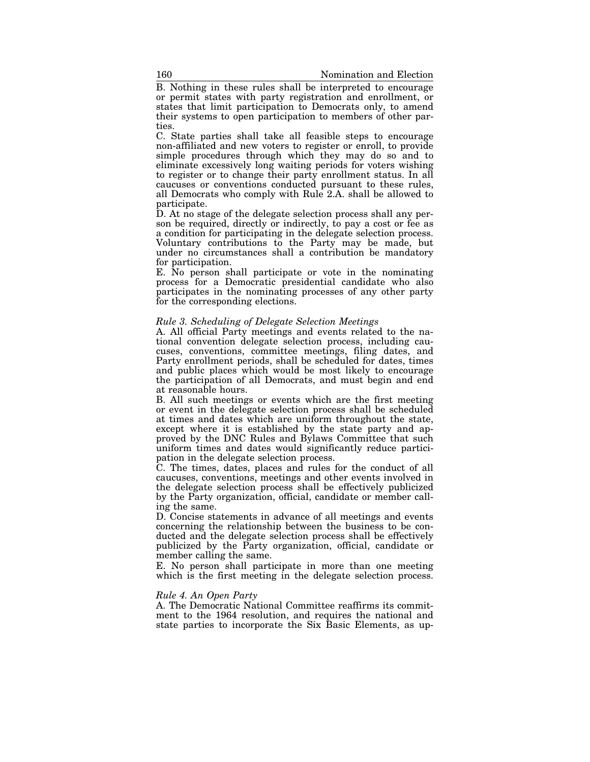B. Nothing in these rules shall be interpreted to encourage or permit states with party registration and enrollment, or states that limit participation to Democrats only, to amend their systems to open participation to members of other parties.

C. State parties shall take all feasible steps to encourage non-affiliated and new voters to register or enroll, to provide simple procedures through which they may do so and to eliminate excessively long waiting periods for voters wishing to register or to change their party enrollment status. In all caucuses or conventions conducted pursuant to these rules, all Democrats who comply with Rule 2.A. shall be allowed to participate.

D. At no stage of the delegate selection process shall any person be required, directly or indirectly, to pay a cost or fee as a condition for participating in the delegate selection process. Voluntary contributions to the Party may be made, but under no circumstances shall a contribution be mandatory for participation.

E. No person shall participate or vote in the nominating process for a Democratic presidential candidate who also participates in the nominating processes of any other party for the corresponding elections.

# *Rule 3. Scheduling of Delegate Selection Meetings*

A. All official Party meetings and events related to the national convention delegate selection process, including caucuses, conventions, committee meetings, filing dates, and Party enrollment periods, shall be scheduled for dates, times and public places which would be most likely to encourage the participation of all Democrats, and must begin and end at reasonable hours.

B. All such meetings or events which are the first meeting or event in the delegate selection process shall be scheduled at times and dates which are uniform throughout the state, except where it is established by the state party and approved by the DNC Rules and Bylaws Committee that such uniform times and dates would significantly reduce participation in the delegate selection process.

C. The times, dates, places and rules for the conduct of all caucuses, conventions, meetings and other events involved in the delegate selection process shall be effectively publicized by the Party organization, official, candidate or member calling the same.

D. Concise statements in advance of all meetings and events concerning the relationship between the business to be conducted and the delegate selection process shall be effectively publicized by the Party organization, official, candidate or member calling the same.

E. No person shall participate in more than one meeting which is the first meeting in the delegate selection process.

#### *Rule 4. An Open Party*

A. The Democratic National Committee reaffirms its commitment to the 1964 resolution, and requires the national and state parties to incorporate the Six Basic Elements, as up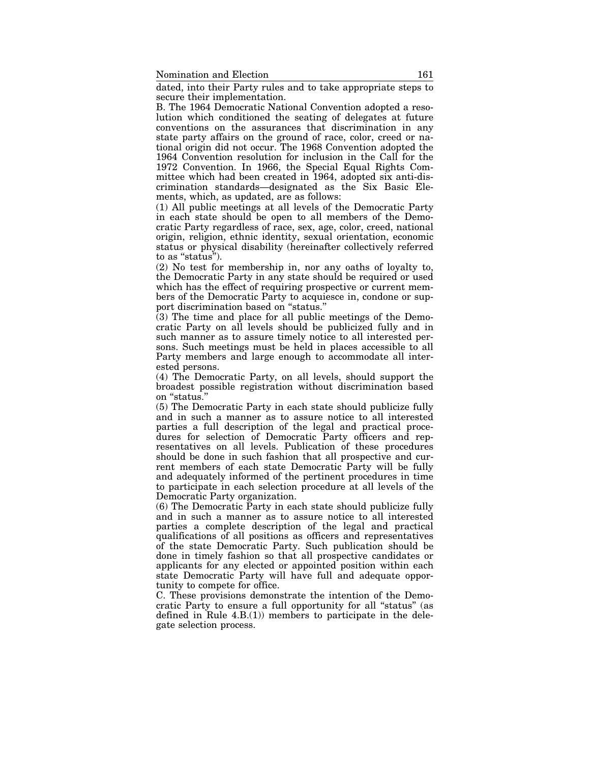Nomination and Election 161

dated, into their Party rules and to take appropriate steps to secure their implementation.

B. The 1964 Democratic National Convention adopted a resolution which conditioned the seating of delegates at future conventions on the assurances that discrimination in any state party affairs on the ground of race, color, creed or national origin did not occur. The 1968 Convention adopted the 1964 Convention resolution for inclusion in the Call for the 1972 Convention. In 1966, the Special Equal Rights Committee which had been created in 1964, adopted six anti-discrimination standards—designated as the Six Basic Elements, which, as updated, are as follows:

(1) All public meetings at all levels of the Democratic Party in each state should be open to all members of the Democratic Party regardless of race, sex, age, color, creed, national origin, religion, ethnic identity, sexual orientation, economic status or physical disability (hereinafter collectively referred to as "status").

(2) No test for membership in, nor any oaths of loyalty to, the Democratic Party in any state should be required or used which has the effect of requiring prospective or current members of the Democratic Party to acquiesce in, condone or support discrimination based on ''status.''

(3) The time and place for all public meetings of the Democratic Party on all levels should be publicized fully and in such manner as to assure timely notice to all interested persons. Such meetings must be held in places accessible to all Party members and large enough to accommodate all interested persons.

(4) The Democratic Party, on all levels, should support the broadest possible registration without discrimination based on "status."

(5) The Democratic Party in each state should publicize fully and in such a manner as to assure notice to all interested parties a full description of the legal and practical procedures for selection of Democratic Party officers and representatives on all levels. Publication of these procedures should be done in such fashion that all prospective and current members of each state Democratic Party will be fully and adequately informed of the pertinent procedures in time to participate in each selection procedure at all levels of the Democratic Party organization.

(6) The Democratic Party in each state should publicize fully and in such a manner as to assure notice to all interested parties a complete description of the legal and practical qualifications of all positions as officers and representatives of the state Democratic Party. Such publication should be done in timely fashion so that all prospective candidates or applicants for any elected or appointed position within each state Democratic Party will have full and adequate opportunity to compete for office.

C. These provisions demonstrate the intention of the Democratic Party to ensure a full opportunity for all "status" (as defined in Rule 4.B.(1)) members to participate in the delegate selection process.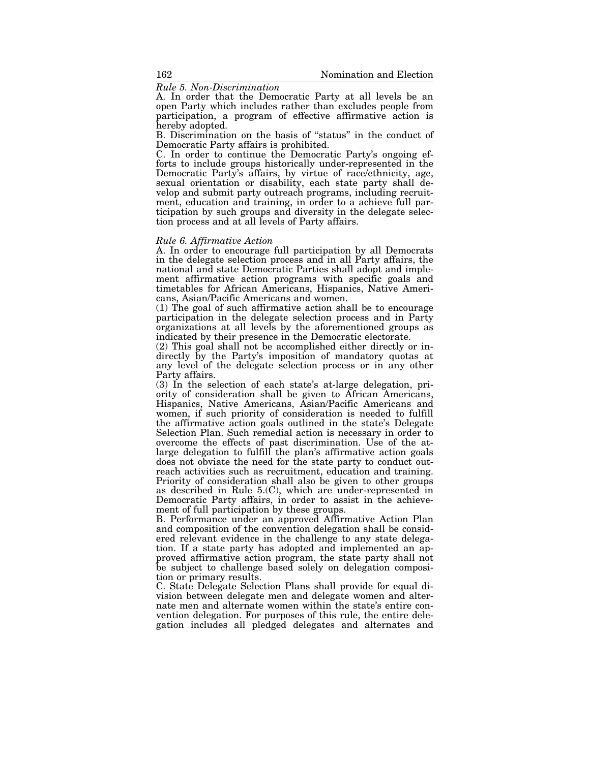*Rule 5. Non-Discrimination*

A. In order that the Democratic Party at all levels be an open Party which includes rather than excludes people from participation, a program of effective affirmative action is hereby adopted.

B. Discrimination on the basis of ''status'' in the conduct of Democratic Party affairs is prohibited.

C. In order to continue the Democratic Party's ongoing efforts to include groups historically under-represented in the Democratic Party's affairs, by virtue of race/ethnicity, age, sexual orientation or disability, each state party shall develop and submit party outreach programs, including recruitment, education and training, in order to a achieve full participation by such groups and diversity in the delegate selection process and at all levels of Party affairs.

#### *Rule 6. Affirmative Action*

A. In order to encourage full participation by all Democrats in the delegate selection process and in all Party affairs, the national and state Democratic Parties shall adopt and implement affirmative action programs with specific goals and timetables for African Americans, Hispanics, Native Americans, Asian/Pacific Americans and women.

(1) The goal of such affirmative action shall be to encourage participation in the delegate selection process and in Party organizations at all levels by the aforementioned groups as indicated by their presence in the Democratic electorate.

(2) This goal shall not be accomplished either directly or indirectly by the Party's imposition of mandatory quotas at any level of the delegate selection process or in any other Party affairs.

(3) In the selection of each state's at-large delegation, priority of consideration shall be given to African Americans, Hispanics, Native Americans, Asian/Pacific Americans and women, if such priority of consideration is needed to fulfill the affirmative action goals outlined in the state's Delegate Selection Plan. Such remedial action is necessary in order to overcome the effects of past discrimination. Use of the atlarge delegation to fulfill the plan's affirmative action goals does not obviate the need for the state party to conduct outreach activities such as recruitment, education and training. Priority of consideration shall also be given to other groups as described in Rule 5.(C), which are under-represented in Democratic Party affairs, in order to assist in the achievement of full participation by these groups.

B. Performance under an approved Affirmative Action Plan and composition of the convention delegation shall be considered relevant evidence in the challenge to any state delegation. If a state party has adopted and implemented an approved affirmative action program, the state party shall not be subject to challenge based solely on delegation composition or primary results.

C. State Delegate Selection Plans shall provide for equal division between delegate men and delegate women and alternate men and alternate women within the state's entire convention delegation. For purposes of this rule, the entire delegation includes all pledged delegates and alternates and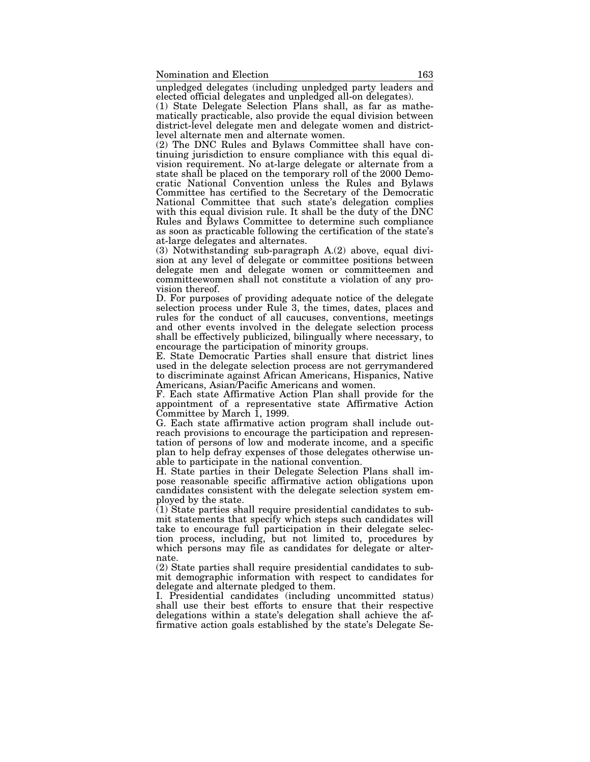unpledged delegates (including unpledged party leaders and elected official delegates and unpledged all-on delegates).

(1) State Delegate Selection Plans shall, as far as mathematically practicable, also provide the equal division between district-level delegate men and delegate women and districtlevel alternate men and alternate women.

(2) The DNC Rules and Bylaws Committee shall have continuing jurisdiction to ensure compliance with this equal division requirement. No at-large delegate or alternate from a state shall be placed on the temporary roll of the 2000 Democratic National Convention unless the Rules and Bylaws Committee has certified to the Secretary of the Democratic National Committee that such state's delegation complies with this equal division rule. It shall be the duty of the DNC Rules and Bylaws Committee to determine such compliance as soon as practicable following the certification of the state's at-large delegates and alternates.

(3) Notwithstanding sub-paragraph A.(2) above, equal division at any level of delegate or committee positions between delegate men and delegate women or committeemen and committeewomen shall not constitute a violation of any provision thereof.

D. For purposes of providing adequate notice of the delegate selection process under Rule 3, the times, dates, places and rules for the conduct of all caucuses, conventions, meetings and other events involved in the delegate selection process shall be effectively publicized, bilingually where necessary, to encourage the participation of minority groups.

E. State Democratic Parties shall ensure that district lines used in the delegate selection process are not gerrymandered to discriminate against African Americans, Hispanics, Native Americans, Asian/Pacific Americans and women.

F. Each state Affirmative Action Plan shall provide for the appointment of a representative state Affirmative Action Committee by March 1, 1999.

G. Each state affirmative action program shall include outreach provisions to encourage the participation and representation of persons of low and moderate income, and a specific plan to help defray expenses of those delegates otherwise unable to participate in the national convention.

H. State parties in their Delegate Selection Plans shall impose reasonable specific affirmative action obligations upon candidates consistent with the delegate selection system employed by the state.

(1) State parties shall require presidential candidates to submit statements that specify which steps such candidates will take to encourage full participation in their delegate selection process, including, but not limited to, procedures by which persons may file as candidates for delegate or alternate.

(2) State parties shall require presidential candidates to submit demographic information with respect to candidates for delegate and alternate pledged to them.

I. Presidential candidates (including uncommitted status) shall use their best efforts to ensure that their respective delegations within a state's delegation shall achieve the affirmative action goals established by the state's Delegate Se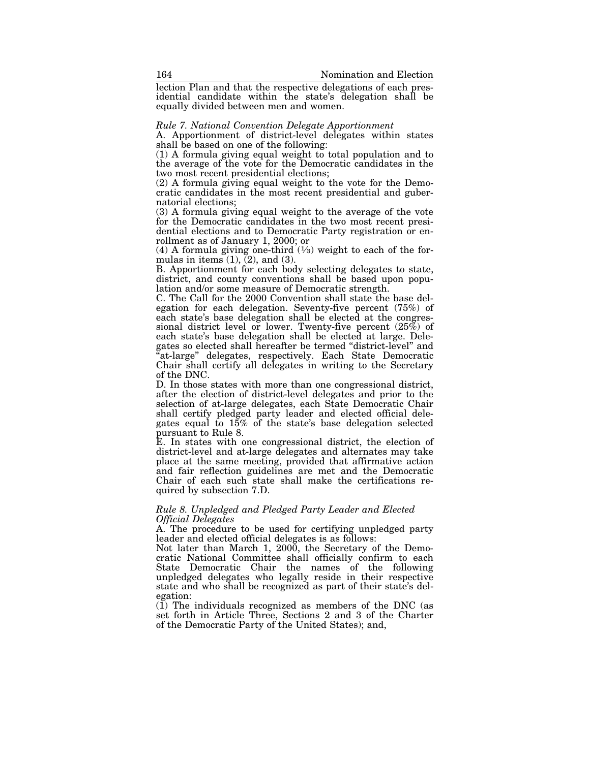lection Plan and that the respective delegations of each presidential candidate within the state's delegation shall be equally divided between men and women.

### *Rule 7. National Convention Delegate Apportionment*

A. Apportionment of district-level delegates within states shall be based on one of the following:

(1) A formula giving equal weight to total population and to the average of the vote for the Democratic candidates in the two most recent presidential elections;

(2) A formula giving equal weight to the vote for the Democratic candidates in the most recent presidential and gubernatorial elections;

(3) A formula giving equal weight to the average of the vote for the Democratic candidates in the two most recent presidential elections and to Democratic Party registration or enrollment as of January 1, 2000; or

(4) A formula giving one-third  $(\frac{1}{3})$  weight to each of the formulas in items  $(1)$ ,  $(2)$ , and  $(3)$ .

B. Apportionment for each body selecting delegates to state, district, and county conventions shall be based upon population and/or some measure of Democratic strength.

C. The Call for the 2000 Convention shall state the base delegation for each delegation. Seventy-five percent (75%) of each state's base delegation shall be elected at the congressional district level or lower. Twenty-five percent (25%) of each state's base delegation shall be elected at large. Delegates so elected shall hereafter be termed ''district-level'' and <sup>2</sup>at-large" delegates, respectively. Each State Democratic Chair shall certify all delegates in writing to the Secretary of the DNC.

D. In those states with more than one congressional district, after the election of district-level delegates and prior to the selection of at-large delegates, each State Democratic Chair shall certify pledged party leader and elected official delegates equal to 15% of the state's base delegation selected pursuant to Rule 8.

E. In states with one congressional district, the election of district-level and at-large delegates and alternates may take place at the same meeting, provided that affirmative action and fair reflection guidelines are met and the Democratic Chair of each such state shall make the certifications required by subsection 7.D.

# *Rule 8. Unpledged and Pledged Party Leader and Elected Official Delegates*

A. The procedure to be used for certifying unpledged party leader and elected official delegates is as follows:

Not later than March 1, 2000, the Secretary of the Democratic National Committee shall officially confirm to each State Democratic Chair the names of the following unpledged delegates who legally reside in their respective state and who shall be recognized as part of their state's delegation:

(1) The individuals recognized as members of the DNC (as set forth in Article Three, Sections 2 and 3 of the Charter of the Democratic Party of the United States); and,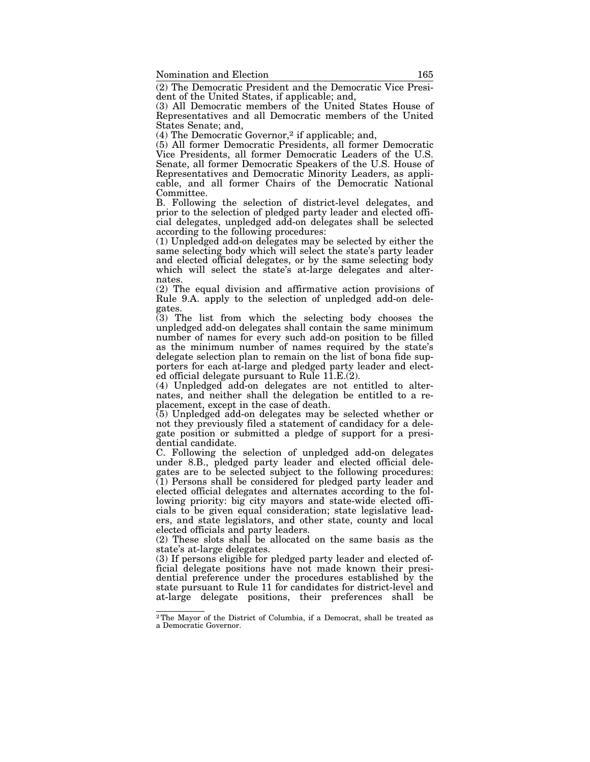(2) The Democratic President and the Democratic Vice President of the United States, if applicable; and,

(3) All Democratic members of the United States House of Representatives and all Democratic members of the United States Senate; and,

(4) The Democratic Governor,2 if applicable; and,

(5) All former Democratic Presidents, all former Democratic Vice Presidents, all former Democratic Leaders of the U.S. Senate, all former Democratic Speakers of the U.S. House of Representatives and Democratic Minority Leaders, as applicable, and all former Chairs of the Democratic National Committee.

B. Following the selection of district-level delegates, and prior to the selection of pledged party leader and elected official delegates, unpledged add-on delegates shall be selected according to the following procedures:

(1) Unpledged add-on delegates may be selected by either the same selecting body which will select the state's party leader and elected official delegates, or by the same selecting body which will select the state's at-large delegates and alternates.

(2) The equal division and affirmative action provisions of Rule 9.A. apply to the selection of unpledged add-on delegates.

 $(3)$  The list from which the selecting body chooses the unpledged add-on delegates shall contain the same minimum number of names for every such add-on position to be filled as the minimum number of names required by the state's delegate selection plan to remain on the list of bona fide supporters for each at-large and pledged party leader and elected official delegate pursuant to Rule 11.E.(2).

(4) Unpledged add-on delegates are not entitled to alternates, and neither shall the delegation be entitled to a replacement, except in the case of death.

(5) Unpledged add-on delegates may be selected whether or not they previously filed a statement of candidacy for a delegate position or submitted a pledge of support for a presidential candidate.

C. Following the selection of unpledged add-on delegates under 8.B., pledged party leader and elected official delegates are to be selected subject to the following procedures: (1) Persons shall be considered for pledged party leader and elected official delegates and alternates according to the following priority: big city mayors and state-wide elected officials to be given equal consideration; state legislative leaders, and state legislators, and other state, county and local elected officials and party leaders.

 $(2)$  These slots shall be allocated on the same basis as the state's at-large delegates.

(3) If persons eligible for pledged party leader and elected official delegate positions have not made known their presidential preference under the procedures established by the state pursuant to Rule 11 for candidates for district-level and at-large delegate positions, their preferences shall be

<sup>2</sup>The Mayor of the District of Columbia, if a Democrat, shall be treated as a Democratic Governor.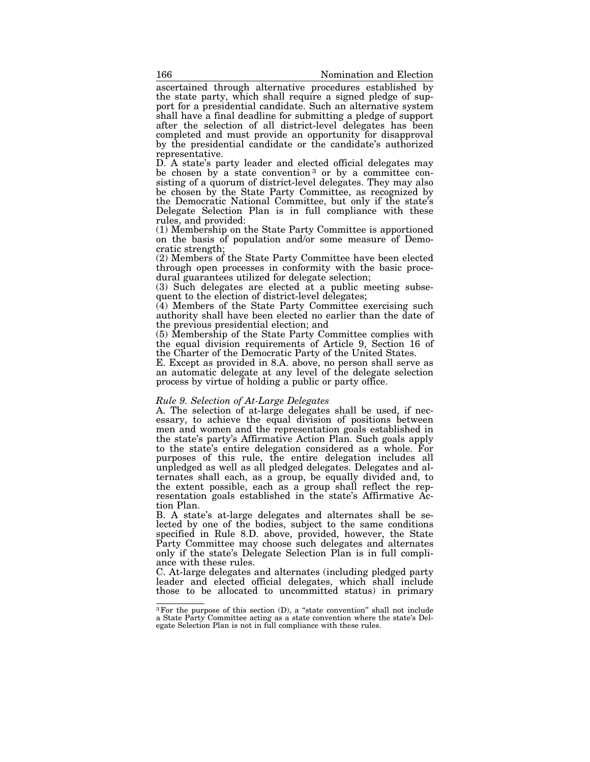ascertained through alternative procedures established by the state party, which shall require a signed pledge of support for a presidential candidate. Such an alternative system shall have a final deadline for submitting a pledge of support after the selection of all district-level delegates has been completed and must provide an opportunity for disapproval by the presidential candidate or the candidate's authorized representative.

D. A state's party leader and elected official delegates may be chosen by a state convention<sup>3</sup> or by a committee consisting of a quorum of district-level delegates. They may also be chosen by the State Party Committee, as recognized by the Democratic National Committee, but only if the state's Delegate Selection Plan is in full compliance with these rules, and provided:

(1) Membership on the State Party Committee is apportioned on the basis of population and/or some measure of Democratic strength;

(2) Members of the State Party Committee have been elected through open processes in conformity with the basic procedural guarantees utilized for delegate selection;

(3) Such delegates are elected at a public meeting subsequent to the election of district-level delegates;

(4) Members of the State Party Committee exercising such authority shall have been elected no earlier than the date of the previous presidential election; and

(5) Membership of the State Party Committee complies with the equal division requirements of Article 9, Section 16 of the Charter of the Democratic Party of the United States.

E. Except as provided in 8.A. above, no person shall serve as an automatic delegate at any level of the delegate selection process by virtue of holding a public or party office.

# *Rule 9. Selection of At-Large Delegates*

A. The selection of at-large delegates shall be used, if necessary, to achieve the equal division of positions between men and women and the representation goals established in the state's party's Affirmative Action Plan. Such goals apply to the state's entire delegation considered as a whole. For purposes of this rule, the entire delegation includes all unpledged as well as all pledged delegates. Delegates and alternates shall each, as a group, be equally divided and, to the extent possible, each as a group shall reflect the representation goals established in the state's Affirmative Action Plan.

B. A state's at-large delegates and alternates shall be selected by one of the bodies, subject to the same conditions specified in Rule 8.D. above, provided, however, the State Party Committee may choose such delegates and alternates only if the state's Delegate Selection Plan is in full compliance with these rules.

C. At-large delegates and alternates (including pledged party leader and elected official delegates, which shall include those to be allocated to uncommitted status) in primary

 ${}^{3}$  For the purpose of this section (D), a "state convention" shall not include a State Party Committee acting as a state convention where the state's Delegate Selection Plan is not in full compliance with these rules.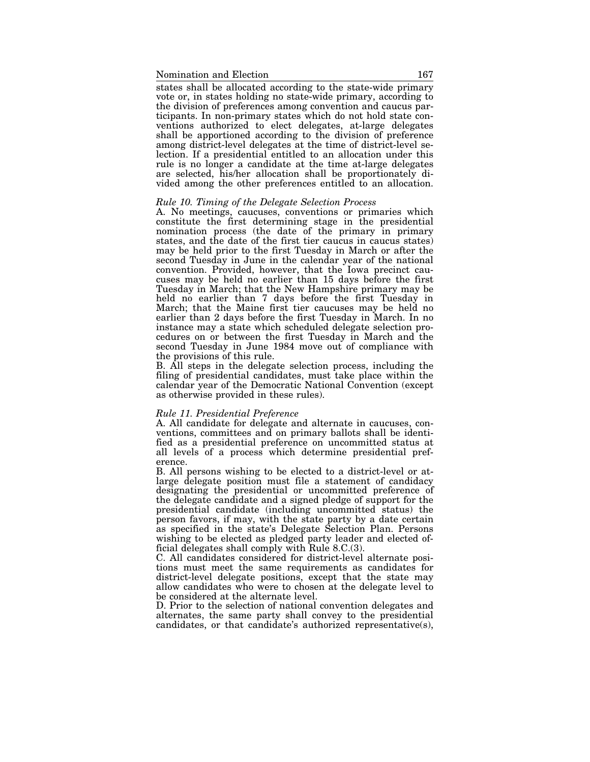states shall be allocated according to the state-wide primary vote or, in states holding no state-wide primary, according to the division of preferences among convention and caucus participants. In non-primary states which do not hold state conventions authorized to elect delegates, at-large delegates shall be apportioned according to the division of preference among district-level delegates at the time of district-level selection. If a presidential entitled to an allocation under this rule is no longer a candidate at the time at-large delegates are selected, his/her allocation shall be proportionately divided among the other preferences entitled to an allocation.

#### *Rule 10. Timing of the Delegate Selection Process*

A. No meetings, caucuses, conventions or primaries which constitute the first determining stage in the presidential nomination process (the date of the primary in primary states, and the date of the first tier caucus in caucus states) may be held prior to the first Tuesday in March or after the second Tuesday in June in the calendar year of the national convention. Provided, however, that the Iowa precinct caucuses may be held no earlier than 15 days before the first Tuesday in March; that the New Hampshire primary may be held no earlier than 7 days before the first Tuesday in March; that the Maine first tier caucuses may be held no earlier than 2 days before the first Tuesday in March. In no instance may a state which scheduled delegate selection procedures on or between the first Tuesday in March and the second Tuesday in June 1984 move out of compliance with the provisions of this rule.

B. All steps in the delegate selection process, including the filing of presidential candidates, must take place within the calendar year of the Democratic National Convention (except as otherwise provided in these rules).

# *Rule 11. Presidential Preference*

A. All candidate for delegate and alternate in caucuses, conventions, committees and on primary ballots shall be identified as a presidential preference on uncommitted status at all levels of a process which determine presidential preference.

B. All persons wishing to be elected to a district-level or atlarge delegate position must file a statement of candidacy designating the presidential or uncommitted preference of the delegate candidate and a signed pledge of support for the presidential candidate (including uncommitted status) the person favors, if may, with the state party by a date certain as specified in the state's Delegate Selection Plan. Persons wishing to be elected as pledged party leader and elected official delegates shall comply with Rule 8.C.(3).

C. All candidates considered for district-level alternate positions must meet the same requirements as candidates for district-level delegate positions, except that the state may allow candidates who were to chosen at the delegate level to be considered at the alternate level.

D. Prior to the selection of national convention delegates and alternates, the same party shall convey to the presidential candidates, or that candidate's authorized representative(s),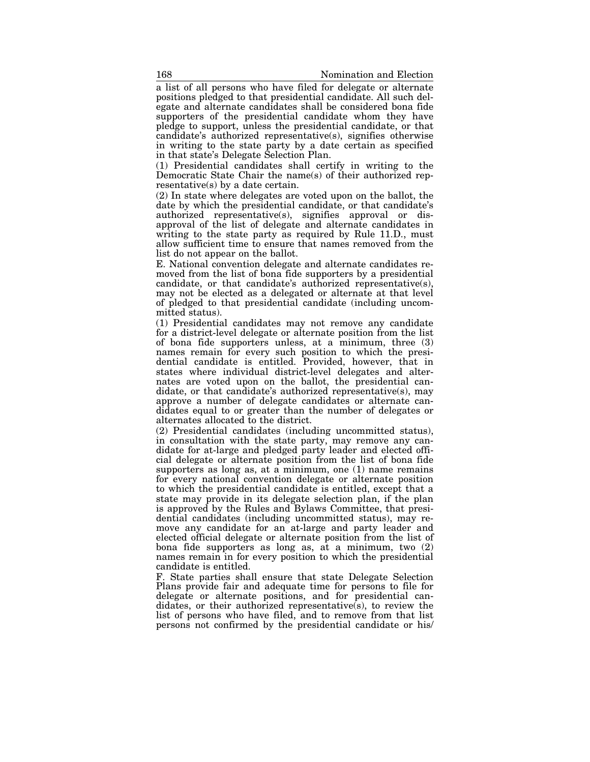a list of all persons who have filed for delegate or alternate positions pledged to that presidential candidate. All such delegate and alternate candidates shall be considered bona fide supporters of the presidential candidate whom they have pledge to support, unless the presidential candidate, or that candidate's authorized representative(s), signifies otherwise in writing to the state party by a date certain as specified in that state's Delegate Selection Plan.

(1) Presidential candidates shall certify in writing to the Democratic State Chair the name(s) of their authorized representative(s) by a date certain.

(2) In state where delegates are voted upon on the ballot, the date by which the presidential candidate, or that candidate's authorized representative(s), signifies approval or disapproval of the list of delegate and alternate candidates in writing to the state party as required by Rule 11.D., must allow sufficient time to ensure that names removed from the list do not appear on the ballot.

E. National convention delegate and alternate candidates removed from the list of bona fide supporters by a presidential candidate, or that candidate's authorized representative(s), may not be elected as a delegated or alternate at that level of pledged to that presidential candidate (including uncommitted status).

(1) Presidential candidates may not remove any candidate for a district-level delegate or alternate position from the list of bona fide supporters unless, at a minimum, three (3) names remain for every such position to which the presidential candidate is entitled. Provided, however, that in states where individual district-level delegates and alternates are voted upon on the ballot, the presidential candidate, or that candidate's authorized representative(s), may approve a number of delegate candidates or alternate candidates equal to or greater than the number of delegates or alternates allocated to the district.

(2) Presidential candidates (including uncommitted status), in consultation with the state party, may remove any candidate for at-large and pledged party leader and elected official delegate or alternate position from the list of bona fide supporters as long as, at a minimum, one (1) name remains for every national convention delegate or alternate position to which the presidential candidate is entitled, except that a state may provide in its delegate selection plan, if the plan is approved by the Rules and Bylaws Committee, that presidential candidates (including uncommitted status), may remove any candidate for an at-large and party leader and elected official delegate or alternate position from the list of bona fide supporters as long as, at a minimum, two (2) names remain in for every position to which the presidential candidate is entitled.

F. State parties shall ensure that state Delegate Selection Plans provide fair and adequate time for persons to file for delegate or alternate positions, and for presidential candidates, or their authorized representative(s), to review the list of persons who have filed, and to remove from that list persons not confirmed by the presidential candidate or his/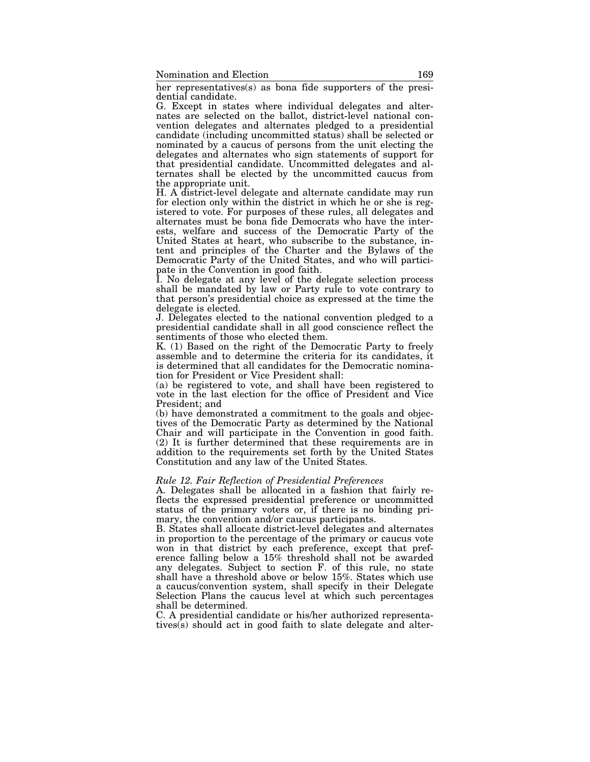her representatives(s) as bona fide supporters of the presidential candidate.

G. Except in states where individual delegates and alternates are selected on the ballot, district-level national convention delegates and alternates pledged to a presidential candidate (including uncommitted status) shall be selected or nominated by a caucus of persons from the unit electing the delegates and alternates who sign statements of support for that presidential candidate. Uncommitted delegates and alternates shall be elected by the uncommitted caucus from the appropriate unit.

H. A district-level delegate and alternate candidate may run for election only within the district in which he or she is registered to vote. For purposes of these rules, all delegates and alternates must be bona fide Democrats who have the interests, welfare and success of the Democratic Party of the United States at heart, who subscribe to the substance, intent and principles of the Charter and the Bylaws of the Democratic Party of the United States, and who will participate in the Convention in good faith.

I. No delegate at any level of the delegate selection process shall be mandated by law or Party rule to vote contrary to that person's presidential choice as expressed at the time the delegate is elected.

J. Delegates elected to the national convention pledged to a presidential candidate shall in all good conscience reflect the sentiments of those who elected them.

K. (1) Based on the right of the Democratic Party to freely assemble and to determine the criteria for its candidates, it is determined that all candidates for the Democratic nomination for President or Vice President shall:

(a) be registered to vote, and shall have been registered to vote in the last election for the office of President and Vice President; and

(b) have demonstrated a commitment to the goals and objectives of the Democratic Party as determined by the National Chair and will participate in the Convention in good faith. (2) It is further determined that these requirements are in addition to the requirements set forth by the United States Constitution and any law of the United States.

# *Rule 12. Fair Reflection of Presidential Preferences*

A. Delegates shall be allocated in a fashion that fairly reflects the expressed presidential preference or uncommitted status of the primary voters or, if there is no binding primary, the convention and/or caucus participants.

B. States shall allocate district-level delegates and alternates in proportion to the percentage of the primary or caucus vote won in that district by each preference, except that preference falling below a 15% threshold shall not be awarded any delegates. Subject to section F. of this rule, no state shall have a threshold above or below 15%. States which use a caucus/convention system, shall specify in their Delegate Selection Plans the caucus level at which such percentages shall be determined.

C. A presidential candidate or his/her authorized representatives(s) should act in good faith to slate delegate and alter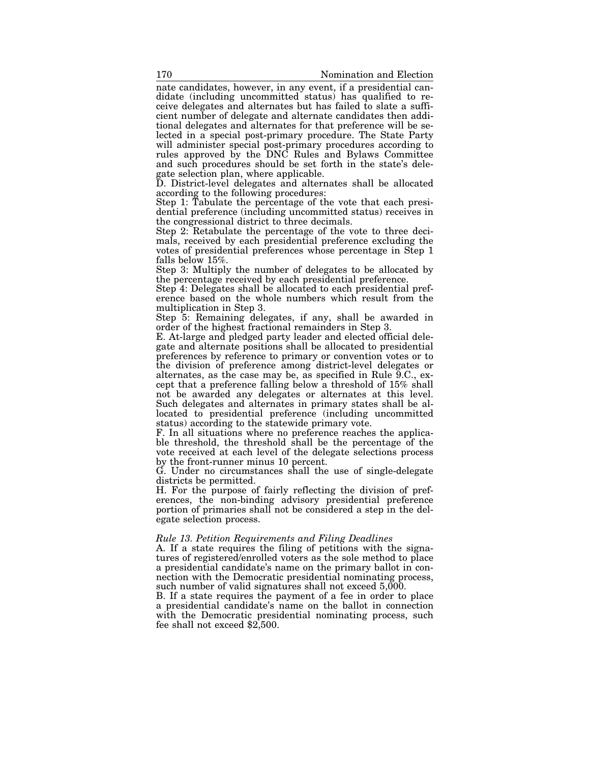nate candidates, however, in any event, if a presidential candidate (including uncommitted status) has qualified to receive delegates and alternates but has failed to slate a sufficient number of delegate and alternate candidates then additional delegates and alternates for that preference will be selected in a special post-primary procedure. The State Party will administer special post-primary procedures according to rules approved by the DNC Rules and Bylaws Committee and such procedures should be set forth in the state's delegate selection plan, where applicable.

D. District-level delegates and alternates shall be allocated according to the following procedures:

Step 1: Tabulate the percentage of the vote that each presidential preference (including uncommitted status) receives in the congressional district to three decimals.

Step 2: Retabulate the percentage of the vote to three decimals, received by each presidential preference excluding the votes of presidential preferences whose percentage in Step 1 falls below 15%.

Step 3: Multiply the number of delegates to be allocated by the percentage received by each presidential preference.

Step 4: Delegates shall be allocated to each presidential preference based on the whole numbers which result from the multiplication in Step 3.

Step 5: Remaining delegates, if any, shall be awarded in order of the highest fractional remainders in Step 3.

E. At-large and pledged party leader and elected official delegate and alternate positions shall be allocated to presidential preferences by reference to primary or convention votes or to the division of preference among district-level delegates or alternates, as the case may be, as specified in Rule  $9C$ , except that a preference falling below a threshold of 15% shall not be awarded any delegates or alternates at this level. Such delegates and alternates in primary states shall be allocated to presidential preference (including uncommitted status) according to the statewide primary vote.

F. In all situations where no preference reaches the applicable threshold, the threshold shall be the percentage of the vote received at each level of the delegate selections process by the front-runner minus 10 percent.

G. Under no circumstances shall the use of single-delegate districts be permitted.

H. For the purpose of fairly reflecting the division of preferences, the non-binding advisory presidential preference portion of primaries shall not be considered a step in the delegate selection process.

#### *Rule 13. Petition Requirements and Filing Deadlines*

A. If a state requires the filing of petitions with the signatures of registered/enrolled voters as the sole method to place a presidential candidate's name on the primary ballot in connection with the Democratic presidential nominating process, such number of valid signatures shall not exceed  $5,000$ .

B. If a state requires the payment of a fee in order to place a presidential candidate's name on the ballot in connection with the Democratic presidential nominating process, such fee shall not exceed \$2,500.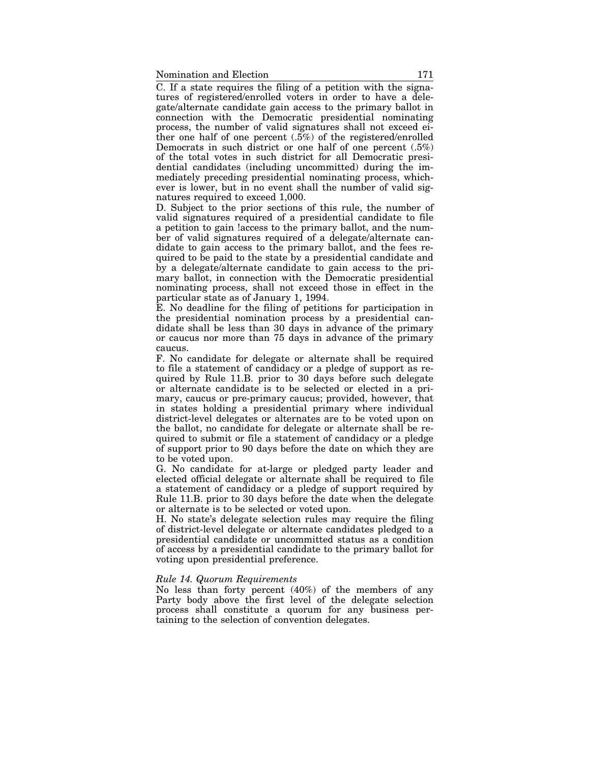C. If a state requires the filing of a petition with the signatures of registered/enrolled voters in order to have a delegate/alternate candidate gain access to the primary ballot in connection with the Democratic presidential nominating process, the number of valid signatures shall not exceed either one half of one percent  $(.5\%)$  of the registered/enrolled Democrats in such district or one half of one percent (.5%) of the total votes in such district for all Democratic presidential candidates (including uncommitted) during the immediately preceding presidential nominating process, whichever is lower, but in no event shall the number of valid signatures required to exceed 1,000.

D. Subject to the prior sections of this rule, the number of valid signatures required of a presidential candidate to file a petition to gain !access to the primary ballot, and the number of valid signatures required of a delegate/alternate candidate to gain access to the primary ballot, and the fees required to be paid to the state by a presidential candidate and by a delegate/alternate candidate to gain access to the primary ballot, in connection with the Democratic presidential nominating process, shall not exceed those in effect in the particular state as of January 1, 1994.

E. No deadline for the filing of petitions for participation in the presidential nomination process by a presidential candidate shall be less than 30 days in advance of the primary or caucus nor more than 75 days in advance of the primary caucus.

F. No candidate for delegate or alternate shall be required to file a statement of candidacy or a pledge of support as required by Rule 11.B. prior to 30 days before such delegate or alternate candidate is to be selected or elected in a primary, caucus or pre-primary caucus; provided, however, that in states holding a presidential primary where individual district-level delegates or alternates are to be voted upon on the ballot, no candidate for delegate or alternate shall be required to submit or file a statement of candidacy or a pledge of support prior to 90 days before the date on which they are to be voted upon.

G. No candidate for at-large or pledged party leader and elected official delegate or alternate shall be required to file a statement of candidacy or a pledge of support required by Rule 11.B. prior to 30 days before the date when the delegate or alternate is to be selected or voted upon.

H. No state's delegate selection rules may require the filing of district-level delegate or alternate candidates pledged to a presidential candidate or uncommitted status as a condition of access by a presidential candidate to the primary ballot for voting upon presidential preference.

## *Rule 14. Quorum Requirements*

No less than forty percent (40%) of the members of any Party body above the first level of the delegate selection process shall constitute a quorum for any business pertaining to the selection of convention delegates.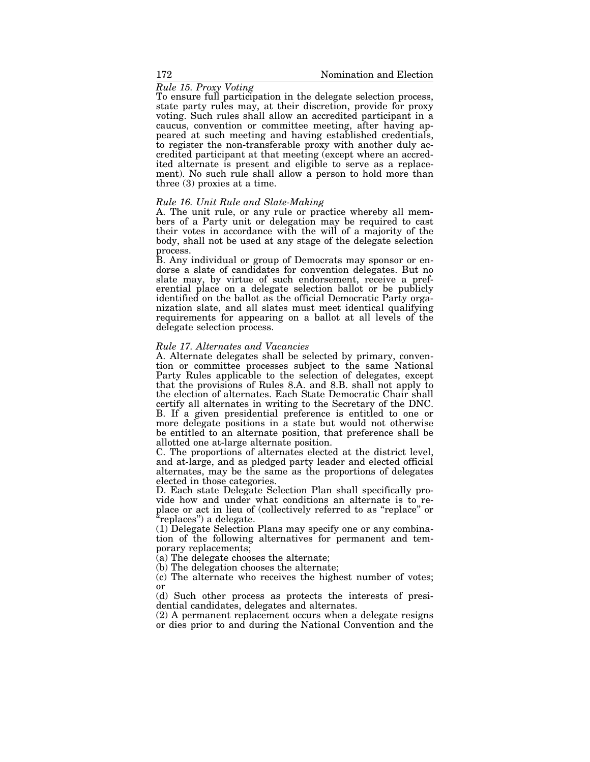# *Rule 15. Proxy Voting*

To ensure full participation in the delegate selection process, state party rules may, at their discretion, provide for proxy voting. Such rules shall allow an accredited participant in a caucus, convention or committee meeting, after having appeared at such meeting and having established credentials, to register the non-transferable proxy with another duly accredited participant at that meeting (except where an accredited alternate is present and eligible to serve as a replacement). No such rule shall allow a person to hold more than three (3) proxies at a time.

## *Rule 16. Unit Rule and Slate-Making*

A. The unit rule, or any rule or practice whereby all members of a Party unit or delegation may be required to cast their votes in accordance with the will of a majority of the body, shall not be used at any stage of the delegate selection process.

B. Any individual or group of Democrats may sponsor or endorse a slate of candidates for convention delegates. But no slate may, by virtue of such endorsement, receive a preferential place on a delegate selection ballot or be publicly identified on the ballot as the official Democratic Party organization slate, and all slates must meet identical qualifying requirements for appearing on a ballot at all levels of the delegate selection process.

#### *Rule 17. Alternates and Vacancies*

A. Alternate delegates shall be selected by primary, convention or committee processes subject to the same National Party Rules applicable to the selection of delegates, except that the provisions of Rules 8.A. and 8.B. shall not apply to the election of alternates. Each State Democratic Chair shall certify all alternates in writing to the Secretary of the DNC. B. If a given presidential preference is entitled to one or more delegate positions in a state but would not otherwise be entitled to an alternate position, that preference shall be allotted one at-large alternate position.

C. The proportions of alternates elected at the district level, and at-large, and as pledged party leader and elected official alternates, may be the same as the proportions of delegates elected in those categories.

D. Each state Delegate Selection Plan shall specifically provide how and under what conditions an alternate is to replace or act in lieu of (collectively referred to as ''replace'' or ''replaces'') a delegate.

(1) Delegate Selection Plans may specify one or any combination of the following alternatives for permanent and temporary replacements;

(a) The delegate chooses the alternate;

(b) The delegation chooses the alternate;

(c) The alternate who receives the highest number of votes; or

(d) Such other process as protects the interests of presidential candidates, delegates and alternates.

(2) A permanent replacement occurs when a delegate resigns or dies prior to and during the National Convention and the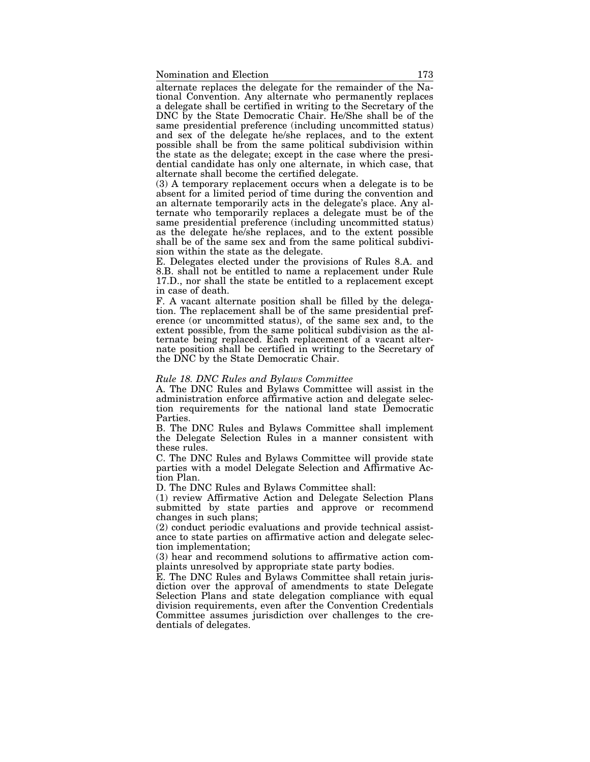alternate replaces the delegate for the remainder of the National Convention. Any alternate who permanently replaces a delegate shall be certified in writing to the Secretary of the DNC by the State Democratic Chair. He/She shall be of the same presidential preference (including uncommitted status) and sex of the delegate he/she replaces, and to the extent possible shall be from the same political subdivision within the state as the delegate; except in the case where the presidential candidate has only one alternate, in which case, that alternate shall become the certified delegate.

(3) A temporary replacement occurs when a delegate is to be absent for a limited period of time during the convention and an alternate temporarily acts in the delegate's place. Any alternate who temporarily replaces a delegate must be of the same presidential preference (including uncommitted status) as the delegate he/she replaces, and to the extent possible shall be of the same sex and from the same political subdivision within the state as the delegate.

E. Delegates elected under the provisions of Rules 8.A. and 8.B. shall not be entitled to name a replacement under Rule 17.D., nor shall the state be entitled to a replacement except in case of death.

F. A vacant alternate position shall be filled by the delegation. The replacement shall be of the same presidential preference (or uncommitted status), of the same sex and, to the extent possible, from the same political subdivision as the alternate being replaced. Each replacement of a vacant alternate position shall be certified in writing to the Secretary of the DNC by the State Democratic Chair.

#### *Rule 18. DNC Rules and Bylaws Committee*

A. The DNC Rules and Bylaws Committee will assist in the administration enforce affirmative action and delegate selection requirements for the national land state Democratic Parties.

B. The DNC Rules and Bylaws Committee shall implement the Delegate Selection Rules in a manner consistent with these rules.

C. The DNC Rules and Bylaws Committee will provide state parties with a model Delegate Selection and Affirmative Action Plan.

D. The DNC Rules and Bylaws Committee shall:

(1) review Affirmative Action and Delegate Selection Plans submitted by state parties and approve or recommend changes in such plans;

(2) conduct periodic evaluations and provide technical assistance to state parties on affirmative action and delegate selection implementation;

(3) hear and recommend solutions to affirmative action complaints unresolved by appropriate state party bodies.

E. The DNC Rules and Bylaws Committee shall retain jurisdiction over the approval of amendments to state Delegate Selection Plans and state delegation compliance with equal division requirements, even after the Convention Credentials Committee assumes jurisdiction over challenges to the credentials of delegates.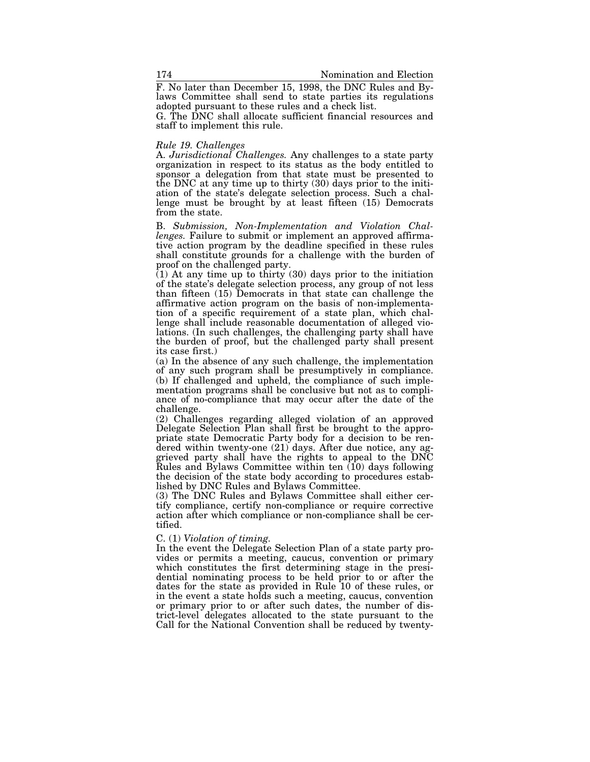F. No later than December 15, 1998, the DNC Rules and Bylaws Committee shall send to state parties its regulations adopted pursuant to these rules and a check list.

G. The DNC shall allocate sufficient financial resources and staff to implement this rule.

## *Rule 19. Challenges*

A. *Jurisdictional Challenges.* Any challenges to a state party organization in respect to its status as the body entitled to sponsor a delegation from that state must be presented to the DNC at any time up to thirty (30) days prior to the initiation of the state's delegate selection process. Such a challenge must be brought by at least fifteen (15) Democrats from the state.

B. *Submission, Non-Implementation and Violation Challenges.* Failure to submit or implement an approved affirmative action program by the deadline specified in these rules shall constitute grounds for a challenge with the burden of proof on the challenged party.

(1) At any time up to thirty (30) days prior to the initiation of the state's delegate selection process, any group of not less than fifteen (15) Democrats in that state can challenge the affirmative action program on the basis of non-implementation of a specific requirement of a state plan, which challenge shall include reasonable documentation of alleged violations. (In such challenges, the challenging party shall have the burden of proof, but the challenged party shall present its case first.)

(a) In the absence of any such challenge, the implementation of any such program shall be presumptively in compliance. (b) If challenged and upheld, the compliance of such implementation programs shall be conclusive but not as to compliance of no-compliance that may occur after the date of the challenge.

(2) Challenges regarding alleged violation of an approved Delegate Selection Plan shall first be brought to the appropriate state Democratic Party body for a decision to be rendered within twenty-one (21) days. After due notice, any aggrieved party shall have the rights to appeal to the DNC Rules and Bylaws Committee within ten  $(10)$  days following the decision of the state body according to procedures established by DNC Rules and Bylaws Committee.

(3) The DNC Rules and Bylaws Committee shall either certify compliance, certify non-compliance or require corrective action after which compliance or non-compliance shall be certified.

#### C. (1) *Violation of timing.*

In the event the Delegate Selection Plan of a state party provides or permits a meeting, caucus, convention or primary which constitutes the first determining stage in the presidential nominating process to be held prior to or after the dates for the state as provided in Rule 10 of these rules, or in the event a state holds such a meeting, caucus, convention or primary prior to or after such dates, the number of district-level delegates allocated to the state pursuant to the Call for the National Convention shall be reduced by twenty-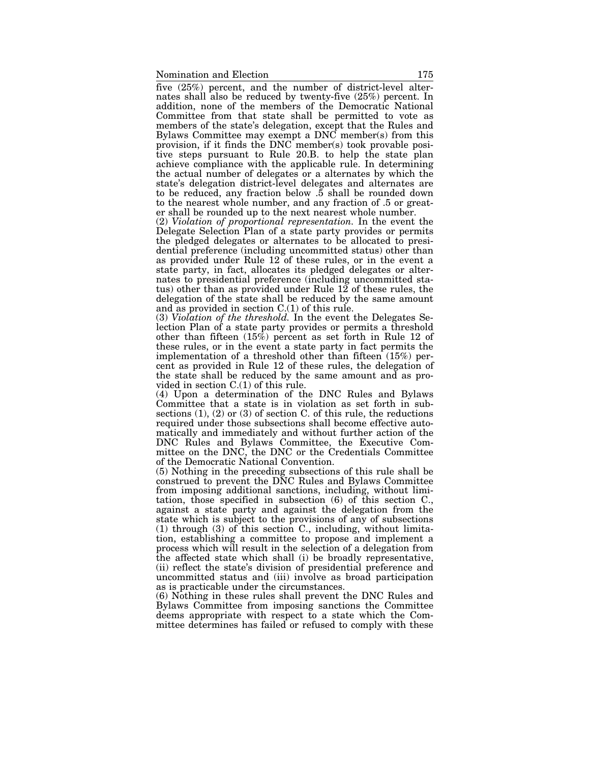five (25%) percent, and the number of district-level alternates shall also be reduced by twenty-five (25%) percent. In addition, none of the members of the Democratic National Committee from that state shall be permitted to vote as members of the state's delegation, except that the Rules and Bylaws Committee may exempt a DNC member(s) from this provision, if it finds the DNC member(s) took provable positive steps pursuant to Rule 20.B. to help the state plan achieve compliance with the applicable rule. In determining the actual number of delegates or a alternates by which the state's delegation district-level delegates and alternates are to be reduced, any fraction below .5 shall be rounded down to the nearest whole number, and any fraction of .5 or greater shall be rounded up to the next nearest whole number.

(2) *Violation of proportional representation.* In the event the Delegate Selection Plan of a state party provides or permits the pledged delegates or alternates to be allocated to presidential preference (including uncommitted status) other than as provided under Rule 12 of these rules, or in the event a state party, in fact, allocates its pledged delegates or alternates to presidential preference (including uncommitted status) other than as provided under Rule 12 of these rules, the delegation of the state shall be reduced by the same amount and as provided in section C.(1) of this rule.

(3) *Violation of the threshold.* In the event the Delegates Selection Plan of a state party provides or permits a threshold other than fifteen (15%) percent as set forth in Rule 12 of these rules, or in the event a state party in fact permits the implementation of a threshold other than fifteen (15%) percent as provided in Rule 12 of these rules, the delegation of the state shall be reduced by the same amount and as provided in section C.(1) of this rule.

(4) Upon a determination of the DNC Rules and Bylaws Committee that a state is in violation as set forth in subsections  $(1)$ ,  $(2)$  or  $(3)$  of section C. of this rule, the reductions required under those subsections shall become effective automatically and immediately and without further action of the DNC Rules and Bylaws Committee, the Executive Committee on the DNC, the DNC or the Credentials Committee of the Democratic National Convention.

(5) Nothing in the preceding subsections of this rule shall be construed to prevent the DNC Rules and Bylaws Committee from imposing additional sanctions, including, without limitation, those specified in subsection (6) of this section C., against a state party and against the delegation from the state which is subject to the provisions of any of subsections (1) through (3) of this section C., including, without limitation, establishing a committee to propose and implement a process which will result in the selection of a delegation from the affected state which shall (i) be broadly representative, (ii) reflect the state's division of presidential preference and uncommitted status and (iii) involve as broad participation as is practicable under the circumstances.

(6) Nothing in these rules shall prevent the DNC Rules and Bylaws Committee from imposing sanctions the Committee deems appropriate with respect to a state which the Committee determines has failed or refused to comply with these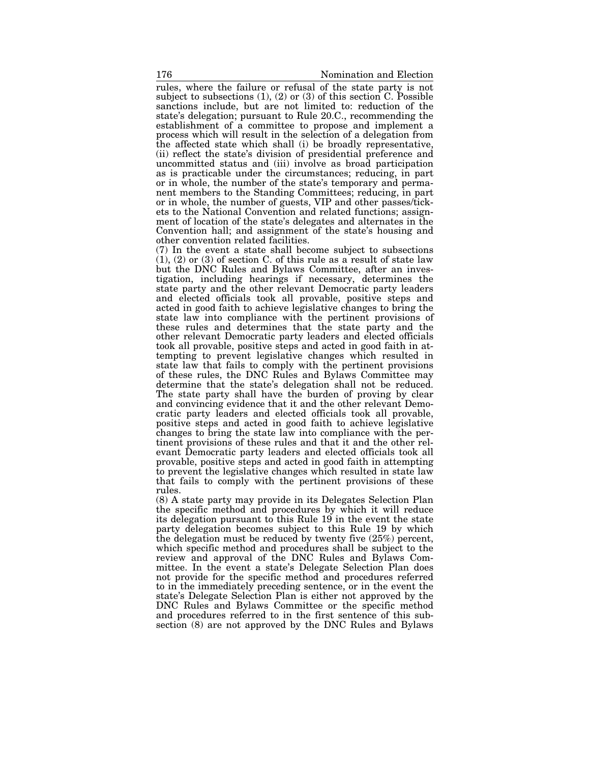rules, where the failure or refusal of the state party is not subject to subsections  $(1)$ ,  $(2)$  or  $(3)$  of this section C. Possible sanctions include, but are not limited to: reduction of the state's delegation; pursuant to Rule 20.C., recommending the establishment of a committee to propose and implement a process which will result in the selection of a delegation from the affected state which shall (i) be broadly representative, (ii) reflect the state's division of presidential preference and uncommitted status and (iii) involve as broad participation as is practicable under the circumstances; reducing, in part or in whole, the number of the state's temporary and permanent members to the Standing Committees; reducing, in part or in whole, the number of guests, VIP and other passes/tickets to the National Convention and related functions; assignment of location of the state's delegates and alternates in the Convention hall; and assignment of the state's housing and other convention related facilities.

(7) In the event a state shall become subject to subsections  $(1)$ ,  $(2)$  or  $(3)$  of section C. of this rule as a result of state law but the DNC Rules and Bylaws Committee, after an investigation, including hearings if necessary, determines the state party and the other relevant Democratic party leaders and elected officials took all provable, positive steps and acted in good faith to achieve legislative changes to bring the state law into compliance with the pertinent provisions of these rules and determines that the state party and the other relevant Democratic party leaders and elected officials took all provable, positive steps and acted in good faith in attempting to prevent legislative changes which resulted in state law that fails to comply with the pertinent provisions of these rules, the DNC Rules and Bylaws Committee may determine that the state's delegation shall not be reduced. The state party shall have the burden of proving by clear and convincing evidence that it and the other relevant Democratic party leaders and elected officials took all provable, positive steps and acted in good faith to achieve legislative changes to bring the state law into compliance with the pertinent provisions of these rules and that it and the other relevant Democratic party leaders and elected officials took all provable, positive steps and acted in good faith in attempting to prevent the legislative changes which resulted in state law that fails to comply with the pertinent provisions of these rules.

(8) A state party may provide in its Delegates Selection Plan the specific method and procedures by which it will reduce its delegation pursuant to this Rule 19 in the event the state party delegation becomes subject to this Rule 19 by which the delegation must be reduced by twenty five (25%) percent, which specific method and procedures shall be subject to the review and approval of the DNC Rules and Bylaws Committee. In the event a state's Delegate Selection Plan does not provide for the specific method and procedures referred to in the immediately preceding sentence, or in the event the state's Delegate Selection Plan is either not approved by the DNC Rules and Bylaws Committee or the specific method and procedures referred to in the first sentence of this subsection (8) are not approved by the DNC Rules and Bylaws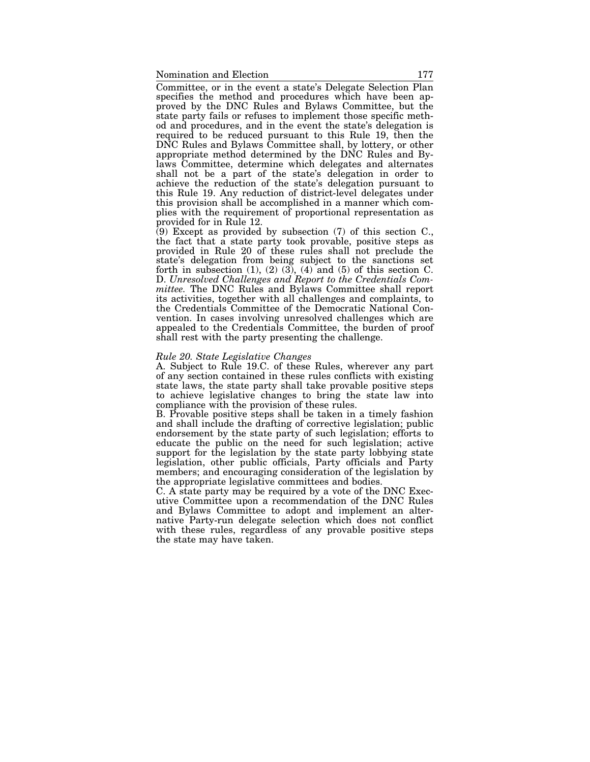Committee, or in the event a state's Delegate Selection Plan specifies the method and procedures which have been approved by the DNC Rules and Bylaws Committee, but the state party fails or refuses to implement those specific method and procedures, and in the event the state's delegation is required to be reduced pursuant to this Rule 19, then the DNC Rules and Bylaws Committee shall, by lottery, or other appropriate method determined by the DNC Rules and Bylaws Committee, determine which delegates and alternates shall not be a part of the state's delegation in order to achieve the reduction of the state's delegation pursuant to this Rule 19. Any reduction of district-level delegates under this provision shall be accomplished in a manner which complies with the requirement of proportional representation as provided for in Rule 12.

 $(9)$  Except as provided by subsection  $(7)$  of this section C., the fact that a state party took provable, positive steps as provided in Rule 20 of these rules shall not preclude the state's delegation from being subject to the sanctions set forth in subsection  $(1)$ ,  $(2)$   $(3)$ ,  $(4)$  and  $(5)$  of this section C. D. *Unresolved Challenges and Report to the Credentials Committee.* The DNC Rules and Bylaws Committee shall report its activities, together with all challenges and complaints, to the Credentials Committee of the Democratic National Convention. In cases involving unresolved challenges which are appealed to the Credentials Committee, the burden of proof shall rest with the party presenting the challenge.

## *Rule 20. State Legislative Changes*

A. Subject to Rule 19.C. of these Rules, wherever any part of any section contained in these rules conflicts with existing state laws, the state party shall take provable positive steps to achieve legislative changes to bring the state law into compliance with the provision of these rules.

B. Provable positive steps shall be taken in a timely fashion and shall include the drafting of corrective legislation; public endorsement by the state party of such legislation; efforts to educate the public on the need for such legislation; active support for the legislation by the state party lobbying state legislation, other public officials, Party officials and Party members; and encouraging consideration of the legislation by the appropriate legislative committees and bodies.

C. A state party may be required by a vote of the DNC Executive Committee upon a recommendation of the DNC Rules and Bylaws Committee to adopt and implement an alternative Party-run delegate selection which does not conflict with these rules, regardless of any provable positive steps the state may have taken.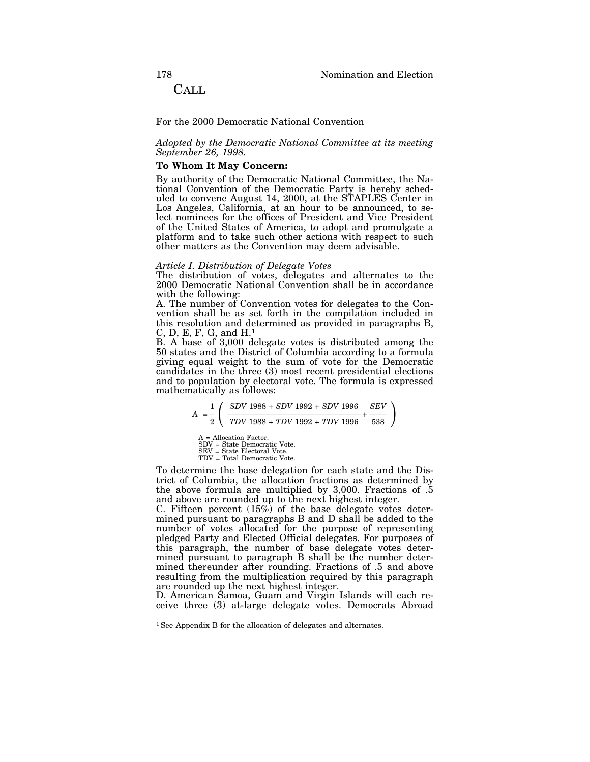CALL

## For the 2000 Democratic National Convention

## *Adopted by the Democratic National Committee at its meeting September 26, 1998.*

## **To Whom It May Concern:**

By authority of the Democratic National Committee, the National Convention of the Democratic Party is hereby scheduled to convene August 14, 2000, at the STAPLES Center in Los Angeles, California, at an hour to be announced, to select nominees for the offices of President and Vice President of the United States of America, to adopt and promulgate a platform and to take such other actions with respect to such other matters as the Convention may deem advisable.

#### *Article I. Distribution of Delegate Votes*

The distribution of votes, delegates and alternates to the 2000 Democratic National Convention shall be in accordance with the following:

A. The number of Convention votes for delegates to the Convention shall be as set forth in the compilation included in this resolution and determined as provided in paragraphs B, C, D, E, F, G, and H.1

B. A base of 3,000 delegate votes is distributed among the 50 states and the District of Columbia according to a formula giving equal weight to the sum of vote for the Democratic candidates in the three (3) most recent presidential elections and to population by electoral vote. The formula is expressed mathematically as follows:

$$
A = \frac{1}{2} \left( \frac{SDV 1988 + SDV 1992 + SDV 1996}{TDV 1988 + TDV 1992 + TDV 1996} + \frac{SEV}{538} \right)
$$
  
\nA = Allocation Factor.  
\nSDV = State Democratic Vote.  
\nSEV = State Electronic Vote.  
\nTDV = Total Democratic Vote.

To determine the base delegation for each state and the District of Columbia, the allocation fractions as determined by the above formula are multiplied by 3,000. Fractions of .5 and above are rounded up to the next highest integer.

C. Fifteen percent  $(15\%)$  of the base delegate votes determined pursuant to paragraphs B and D shall be added to the number of votes allocated for the purpose of representing pledged Party and Elected Official delegates. For purposes of this paragraph, the number of base delegate votes determined pursuant to paragraph B shall be the number determined thereunder after rounding. Fractions of .5 and above resulting from the multiplication required by this paragraph are rounded up the next highest integer.

D. American Samoa, Guam and Virgin Islands will each receive three (3) at-large delegate votes. Democrats Abroad

<sup>1</sup>See Appendix B for the allocation of delegates and alternates.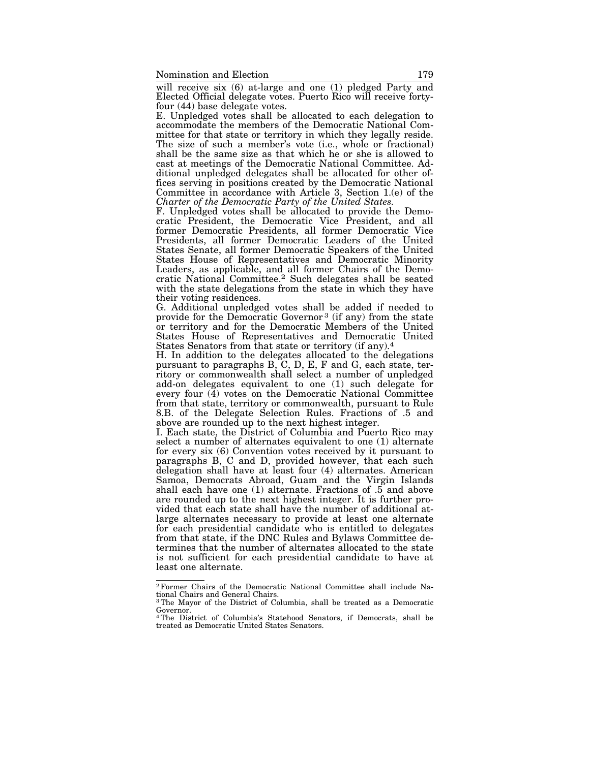will receive six (6) at-large and one (1) pledged Party and Elected Official delegate votes. Puerto Rico will receive fortyfour (44) base delegate votes.

E. Unpledged votes shall be allocated to each delegation to accommodate the members of the Democratic National Committee for that state or territory in which they legally reside. The size of such a member's vote (i.e., whole or fractional) shall be the same size as that which he or she is allowed to cast at meetings of the Democratic National Committee. Additional unpledged delegates shall be allocated for other offices serving in positions created by the Democratic National Committee in accordance with Article 3, Section 1.(e) of the *Charter of the Democratic Party of the United States.*

F. Unpledged votes shall be allocated to provide the Democratic President, the Democratic Vice President, and all former Democratic Presidents, all former Democratic Vice Presidents, all former Democratic Leaders of the United States Senate, all former Democratic Speakers of the United States House of Representatives and Democratic Minority Leaders, as applicable, and all former Chairs of the Democratic National Committee.2 Such delegates shall be seated with the state delegations from the state in which they have their voting residences.

G. Additional unpledged votes shall be added if needed to provide for the Democratic Governor 3 (if any) from the state or territory and for the Democratic Members of the United States House of Representatives and Democratic United States Senators from that state or territory (if any).4

H. In addition to the delegates allocated to the delegations pursuant to paragraphs B, C, D, E, F and G, each state, territory or commonwealth shall select a number of unpledged add-on delegates equivalent to one (1) such delegate for every four  $(4)$  votes on the Democratic National Committee from that state, territory or commonwealth, pursuant to Rule 8.B. of the Delegate Selection Rules. Fractions of .5 and above are rounded up to the next highest integer.

I. Each state, the District of Columbia and Puerto Rico may select a number of alternates equivalent to one (1) alternate for every six (6) Convention votes received by it pursuant to paragraphs B, C and D, provided however, that each such delegation shall have at least four (4) alternates. American Samoa, Democrats Abroad, Guam and the Virgin Islands shall each have one (1) alternate. Fractions of .5 and above are rounded up to the next highest integer. It is further provided that each state shall have the number of additional atlarge alternates necessary to provide at least one alternate for each presidential candidate who is entitled to delegates from that state, if the DNC Rules and Bylaws Committee determines that the number of alternates allocated to the state is not sufficient for each presidential candidate to have at least one alternate.

<sup>2</sup>Former Chairs of the Democratic National Committee shall include National Chairs and General Chairs.

<sup>&</sup>lt;sup>3</sup>The Mayor of the District of Columbia, shall be treated as a Democratic Governor.

<sup>4</sup>The District of Columbia's Statehood Senators, if Democrats, shall be treated as Democratic United States Senators.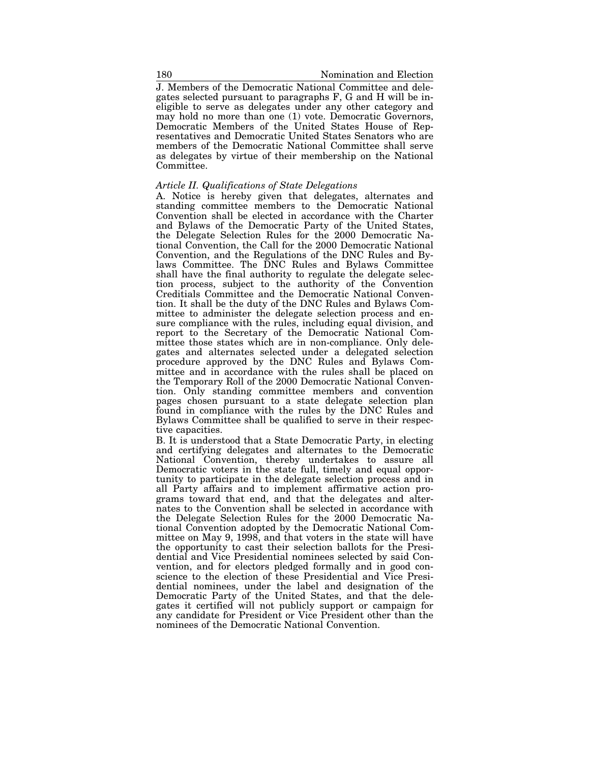J. Members of the Democratic National Committee and delegates selected pursuant to paragraphs F, G and H will be ineligible to serve as delegates under any other category and may hold no more than one (1) vote. Democratic Governors, Democratic Members of the United States House of Representatives and Democratic United States Senators who are members of the Democratic National Committee shall serve as delegates by virtue of their membership on the National Committee.

# *Article II. Qualifications of State Delegations*

A. Notice is hereby given that delegates, alternates and standing committee members to the Democratic National Convention shall be elected in accordance with the Charter and Bylaws of the Democratic Party of the United States, the Delegate Selection Rules for the 2000 Democratic National Convention, the Call for the 2000 Democratic National Convention, and the Regulations of the DNC Rules and Bylaws Committee. The DNC Rules and Bylaws Committee shall have the final authority to regulate the delegate selection process, subject to the authority of the Convention Creditials Committee and the Democratic National Convention. It shall be the duty of the DNC Rules and Bylaws Committee to administer the delegate selection process and ensure compliance with the rules, including equal division, and report to the Secretary of the Democratic National Committee those states which are in non-compliance. Only delegates and alternates selected under a delegated selection procedure approved by the DNC Rules and Bylaws Committee and in accordance with the rules shall be placed on the Temporary Roll of the 2000 Democratic National Convention. Only standing committee members and convention pages chosen pursuant to a state delegate selection plan found in compliance with the rules by the DNC Rules and Bylaws Committee shall be qualified to serve in their respective capacities.

B. It is understood that a State Democratic Party, in electing and certifying delegates and alternates to the Democratic National Convention, thereby undertakes to assure all Democratic voters in the state full, timely and equal opportunity to participate in the delegate selection process and in all Party affairs and to implement affirmative action programs toward that end, and that the delegates and alternates to the Convention shall be selected in accordance with the Delegate Selection Rules for the 2000 Democratic National Convention adopted by the Democratic National Committee on May 9, 1998, and that voters in the state will have the opportunity to cast their selection ballots for the Presidential and Vice Presidential nominees selected by said Convention, and for electors pledged formally and in good conscience to the election of these Presidential and Vice Presidential nominees, under the label and designation of the Democratic Party of the United States, and that the delegates it certified will not publicly support or campaign for any candidate for President or Vice President other than the nominees of the Democratic National Convention.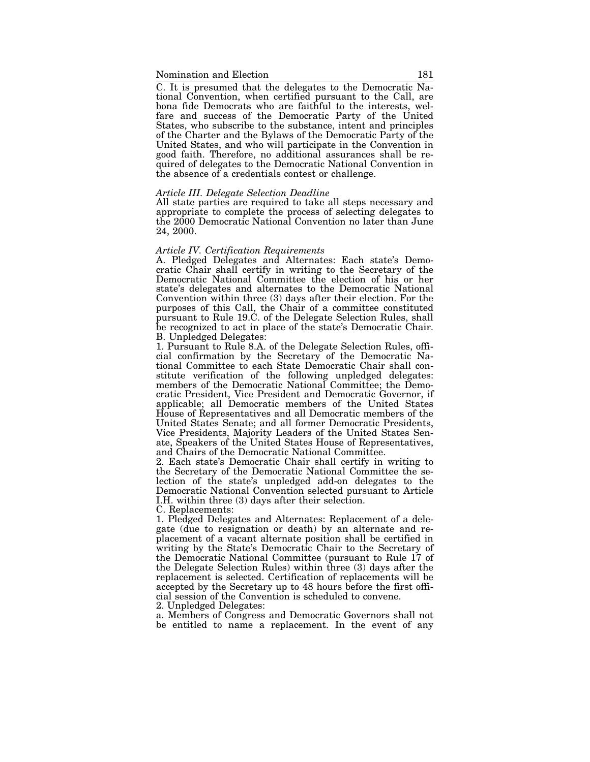C. It is presumed that the delegates to the Democratic National Convention, when certified pursuant to the Call, are bona fide Democrats who are faithful to the interests, welfare and success of the Democratic Party of the United States, who subscribe to the substance, intent and principles of the Charter and the Bylaws of the Democratic Party of the United States, and who will participate in the Convention in good faith. Therefore, no additional assurances shall be required of delegates to the Democratic National Convention in the absence of a credentials contest or challenge.

#### *Article III. Delegate Selection Deadline*

All state parties are required to take all steps necessary and appropriate to complete the process of selecting delegates to the 2000 Democratic National Convention no later than June 24, 2000.

## *Article IV. Certification Requirements*

A. Pledged Delegates and Alternates: Each state's Democratic Chair shall certify in writing to the Secretary of the Democratic National Committee the election of his or her state's delegates and alternates to the Democratic National Convention within three (3) days after their election. For the purposes of this Call, the Chair of a committee constituted pursuant to Rule 19.C. of the Delegate Selection Rules, shall be recognized to act in place of the state's Democratic Chair. B. Unpledged Delegates:

1. Pursuant to Rule 8.A. of the Delegate Selection Rules, official confirmation by the Secretary of the Democratic National Committee to each State Democratic Chair shall constitute verification of the following unpledged delegates: members of the Democratic National Committee; the Democratic President, Vice President and Democratic Governor, if applicable; all Democratic members of the United States House of Representatives and all Democratic members of the United States Senate; and all former Democratic Presidents, Vice Presidents, Majority Leaders of the United States Senate, Speakers of the United States House of Representatives, and Chairs of the Democratic National Committee.

2. Each state's Democratic Chair shall certify in writing to the Secretary of the Democratic National Committee the selection of the state's unpledged add-on delegates to the Democratic National Convention selected pursuant to Article I.H. within three (3) days after their selection.

C. Replacements:

1. Pledged Delegates and Alternates: Replacement of a delegate (due to resignation or death) by an alternate and replacement of a vacant alternate position shall be certified in writing by the State's Democratic Chair to the Secretary of the Democratic National Committee (pursuant to Rule 17 of the Delegate Selection Rules) within three (3) days after the replacement is selected. Certification of replacements will be accepted by the Secretary up to 48 hours before the first official session of the Convention is scheduled to convene.

2. Unpledged Delegates:

a. Members of Congress and Democratic Governors shall not be entitled to name a replacement. In the event of any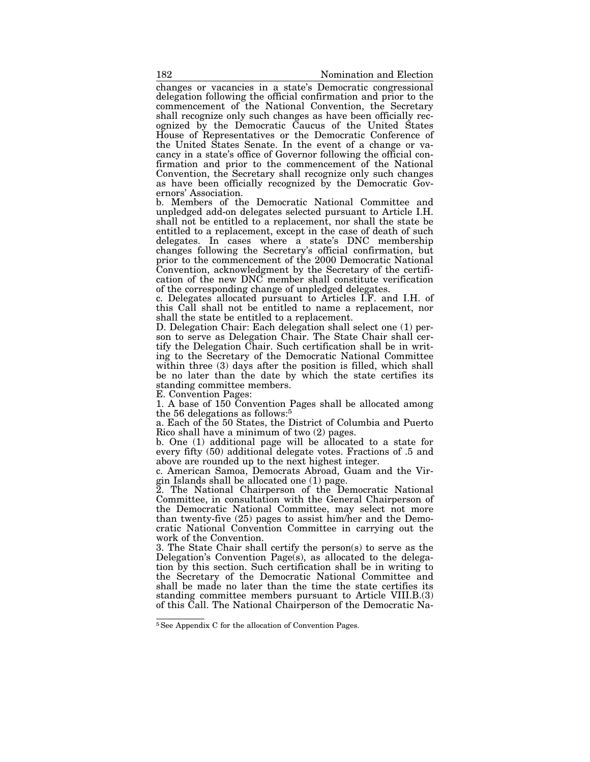changes or vacancies in a state's Democratic congressional delegation following the official confirmation and prior to the commencement of the National Convention, the Secretary shall recognize only such changes as have been officially recognized by the Democratic Caucus of the United States House of Representatives or the Democratic Conference of the United States Senate. In the event of a change or vacancy in a state's office of Governor following the official confirmation and prior to the commencement of the National Convention, the Secretary shall recognize only such changes as have been officially recognized by the Democratic Governors' Association.

b. Members of the Democratic National Committee and unpledged add-on delegates selected pursuant to Article I.H. shall not be entitled to a replacement, nor shall the state be entitled to a replacement, except in the case of death of such delegates. In cases where a state's DNC membership changes following the Secretary's official confirmation, but prior to the commencement of the 2000 Democratic National Convention, acknowledgment by the Secretary of the certification of the new DNC member shall constitute verification of the corresponding change of unpledged delegates.

c. Delegates allocated pursuant to Articles I.F. and I.H. of this Call shall not be entitled to name a replacement, nor shall the state be entitled to a replacement.

D. Delegation Chair: Each delegation shall select one (1) person to serve as Delegation Chair. The State Chair shall certify the Delegation Chair. Such certification shall be in writing to the Secretary of the Democratic National Committee within three  $(3)$  days after the position is filled, which shall be no later than the date by which the state certifies its standing committee members.

E. Convention Pages:

1. A base of 150 Convention Pages shall be allocated among the 56 delegations as follows:5

a. Each of the 50 States, the District of Columbia and Puerto Rico shall have a minimum of two (2) pages.

b. One (1) additional page will be allocated to a state for every fifty (50) additional delegate votes. Fractions of .5 and above are rounded up to the next highest integer.

c. American Samoa, Democrats Abroad, Guam and the Virgin Islands shall be allocated one (1) page.

2. The National Chairperson of the Democratic National Committee, in consultation with the General Chairperson of the Democratic National Committee, may select not more than twenty-five (25) pages to assist him/her and the Democratic National Convention Committee in carrying out the work of the Convention.

3. The State Chair shall certify the person(s) to serve as the Delegation's Convention Page(s), as allocated to the delegation by this section. Such certification shall be in writing to the Secretary of the Democratic National Committee and shall be made no later than the time the state certifies its standing committee members pursuant to Article VIII.B.(3) of this Call. The National Chairperson of the Democratic Na-

<sup>5</sup>See Appendix C for the allocation of Convention Pages.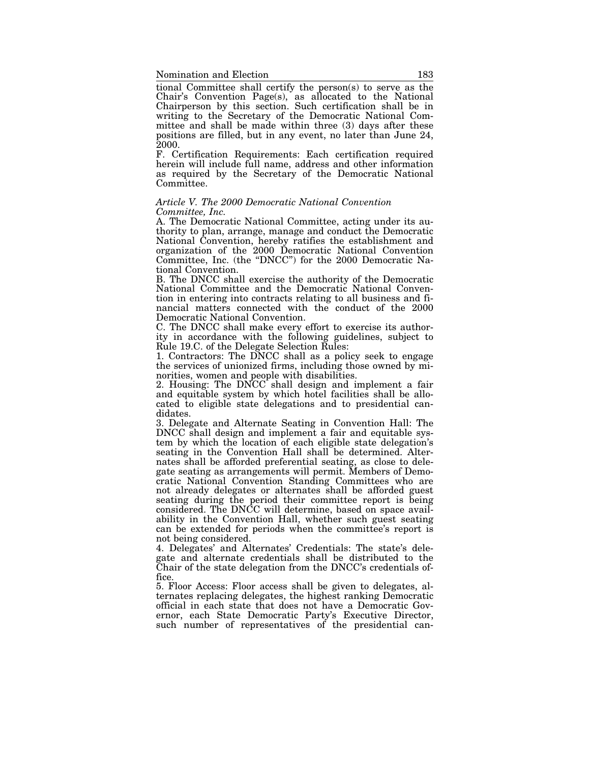tional Committee shall certify the person(s) to serve as the Chair's Convention Page(s), as allocated to the National Chairperson by this section. Such certification shall be in writing to the Secretary of the Democratic National Committee and shall be made within three (3) days after these positions are filled, but in any event, no later than June 24, 2000.

F. Certification Requirements: Each certification required herein will include full name, address and other information as required by the Secretary of the Democratic National Committee.

#### *Article V. The 2000 Democratic National Convention Committee, Inc.*

A. The Democratic National Committee, acting under its authority to plan, arrange, manage and conduct the Democratic National Convention, hereby ratifies the establishment and organization of the 2000 Democratic National Convention Committee, Inc. (the ''DNCC'') for the 2000 Democratic National Convention.

B. The DNCC shall exercise the authority of the Democratic National Committee and the Democratic National Convention in entering into contracts relating to all business and financial matters connected with the conduct of the 2000 Democratic National Convention.

C. The DNCC shall make every effort to exercise its authority in accordance with the following guidelines, subject to Rule 19.C. of the Delegate Selection Rules:

1. Contractors: The DNCC shall as a policy seek to engage the services of unionized firms, including those owned by minorities, women and people with disabilities.

2. Housing: The DNCC shall design and implement a fair and equitable system by which hotel facilities shall be allocated to eligible state delegations and to presidential candidates.

3. Delegate and Alternate Seating in Convention Hall: The DNCC shall design and implement a fair and equitable system by which the location of each eligible state delegation's seating in the Convention Hall shall be determined. Alternates shall be afforded preferential seating, as close to delegate seating as arrangements will permit. Members of Democratic National Convention Standing Committees who are not already delegates or alternates shall be afforded guest seating during the period their committee report is being considered. The DNCC will determine, based on space availability in the Convention Hall, whether such guest seating can be extended for periods when the committee's report is not being considered.

4. Delegates' and Alternates' Credentials: The state's delegate and alternate credentials shall be distributed to the Chair of the state delegation from the DNCC's credentials office.

5. Floor Access: Floor access shall be given to delegates, alternates replacing delegates, the highest ranking Democratic official in each state that does not have a Democratic Governor, each State Democratic Party's Executive Director, such number of representatives of the presidential can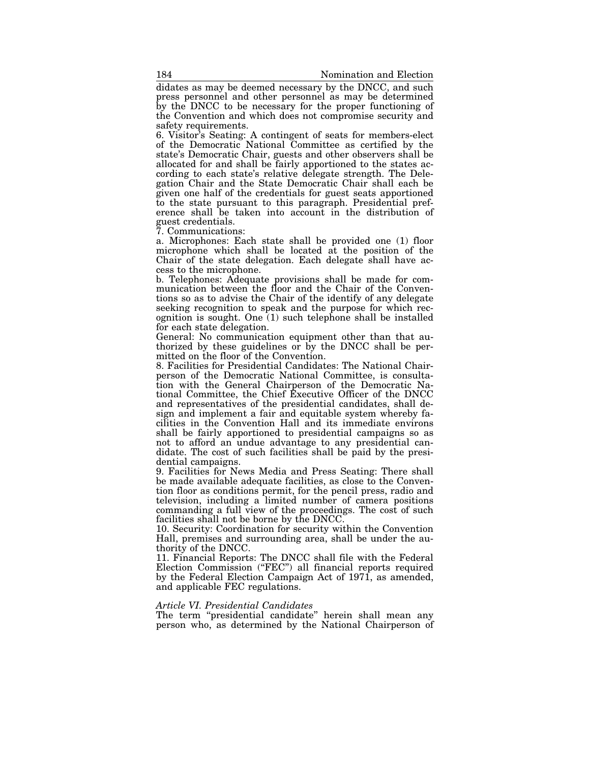didates as may be deemed necessary by the DNCC, and such press personnel and other personnel as may be determined by the DNCC to be necessary for the proper functioning of the Convention and which does not compromise security and safety requirements.

6. Visitor's Seating: A contingent of seats for members-elect of the Democratic National Committee as certified by the state's Democratic Chair, guests and other observers shall be allocated for and shall be fairly apportioned to the states according to each state's relative delegate strength. The Delegation Chair and the State Democratic Chair shall each be given one half of the credentials for guest seats apportioned to the state pursuant to this paragraph. Presidential preference shall be taken into account in the distribution of guest credentials.

7. Communications:

a. Microphones: Each state shall be provided one (1) floor microphone which shall be located at the position of the Chair of the state delegation. Each delegate shall have access to the microphone.

b. Telephones: Adequate provisions shall be made for communication between the floor and the Chair of the Conventions so as to advise the Chair of the identify of any delegate seeking recognition to speak and the purpose for which recognition is sought. One  $(1)$  such telephone shall be installed for each state delegation.

General: No communication equipment other than that authorized by these guidelines or by the DNCC shall be permitted on the floor of the Convention.

8. Facilities for Presidential Candidates: The National Chairperson of the Democratic National Committee, is consultation with the General Chairperson of the Democratic National Committee, the Chief Executive Officer of the DNCC and representatives of the presidential candidates, shall design and implement a fair and equitable system whereby facilities in the Convention Hall and its immediate environs shall be fairly apportioned to presidential campaigns so as not to afford an undue advantage to any presidential candidate. The cost of such facilities shall be paid by the presidential campaigns.

9. Facilities for News Media and Press Seating: There shall be made available adequate facilities, as close to the Convention floor as conditions permit, for the pencil press, radio and television, including a limited number of camera positions commanding a full view of the proceedings. The cost of such facilities shall not be borne by the DNCC.

10. Security: Coordination for security within the Convention Hall, premises and surrounding area, shall be under the authority of the DNCC.

11. Financial Reports: The DNCC shall file with the Federal Election Commission ("FEC") all financial reports required by the Federal Election Campaign Act of 1971, as amended, and applicable FEC regulations.

# *Article VI. Presidential Candidates*

The term "presidential candidate" herein shall mean any person who, as determined by the National Chairperson of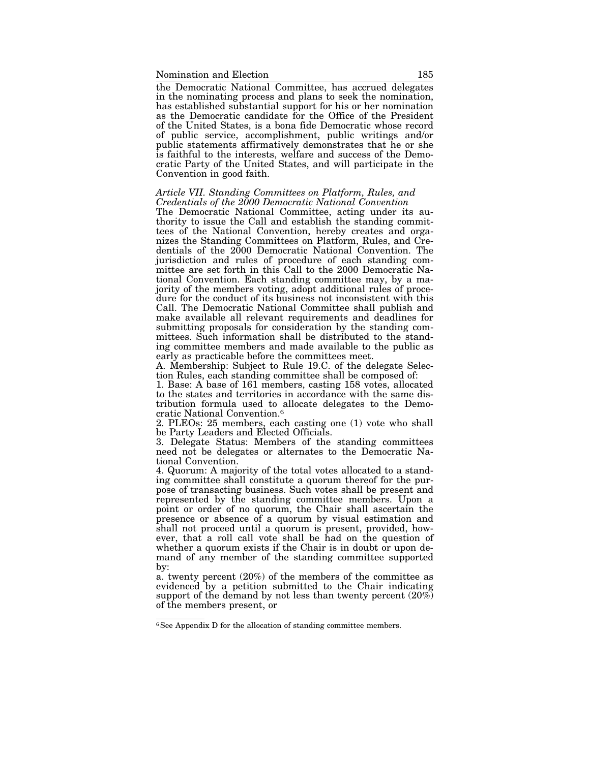the Democratic National Committee, has accrued delegates in the nominating process and plans to seek the nomination, has established substantial support for his or her nomination as the Democratic candidate for the Office of the President of the United States, is a bona fide Democratic whose record of public service, accomplishment, public writings and/or public statements affirmatively demonstrates that he or she is faithful to the interests, welfare and success of the Democratic Party of the United States, and will participate in the Convention in good faith.

#### *Article VII. Standing Committees on Platform, Rules, and Credentials of the 2000 Democratic National Convention*

The Democratic National Committee, acting under its authority to issue the Call and establish the standing committees of the National Convention, hereby creates and organizes the Standing Committees on Platform, Rules, and Credentials of the 2000 Democratic National Convention. The jurisdiction and rules of procedure of each standing committee are set forth in this Call to the 2000 Democratic National Convention. Each standing committee may, by a majority of the members voting, adopt additional rules of procedure for the conduct of its business not inconsistent with this Call. The Democratic National Committee shall publish and make available all relevant requirements and deadlines for submitting proposals for consideration by the standing committees. Such information shall be distributed to the standing committee members and made available to the public as early as practicable before the committees meet.

A. Membership: Subject to Rule 19.C. of the delegate Selection Rules, each standing committee shall be composed of:

1. Base: A base of 161 members, casting 158 votes, allocated to the states and territories in accordance with the same distribution formula used to allocate delegates to the Democratic National Convention.6

2. PLEOs: 25 members, each casting one (1) vote who shall be Party Leaders and Elected Officials.

3. Delegate Status: Members of the standing committees need not be delegates or alternates to the Democratic National Convention.

4. Quorum: A majority of the total votes allocated to a standing committee shall constitute a quorum thereof for the purpose of transacting business. Such votes shall be present and represented by the standing committee members. Upon a point or order of no quorum, the Chair shall ascertain the presence or absence of a quorum by visual estimation and shall not proceed until a quorum is present, provided, however, that a roll call vote shall be had on the question of whether a quorum exists if the Chair is in doubt or upon demand of any member of the standing committee supported by:

a. twenty percent (20%) of the members of the committee as evidenced by a petition submitted to the Chair indicating support of the demand by not less than twenty percent (20%) of the members present, or

<sup>6</sup>See Appendix D for the allocation of standing committee members.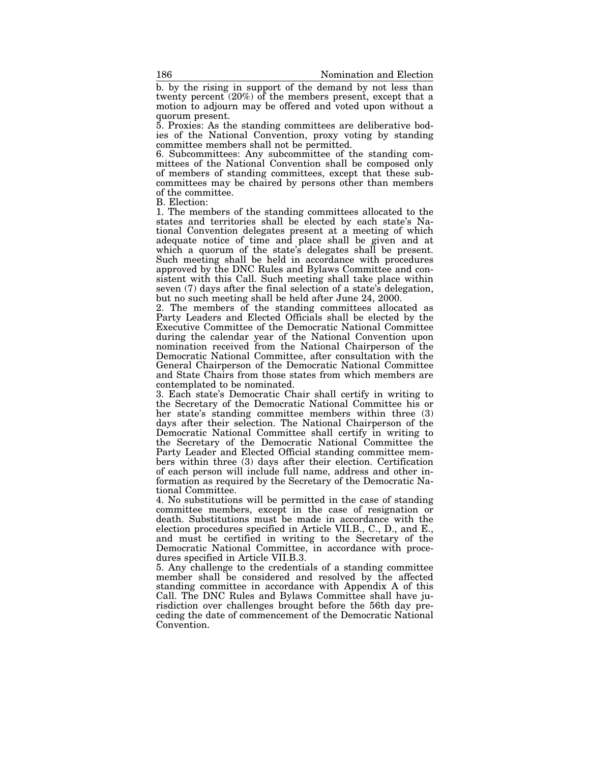b. by the rising in support of the demand by not less than twenty percent (20%) of the members present, except that a motion to adjourn may be offered and voted upon without a quorum present.

5. Proxies: As the standing committees are deliberative bodies of the National Convention, proxy voting by standing committee members shall not be permitted.

6. Subcommittees: Any subcommittee of the standing committees of the National Convention shall be composed only of members of standing committees, except that these subcommittees may be chaired by persons other than members of the committee.

B. Election:

1. The members of the standing committees allocated to the states and territories shall be elected by each state's National Convention delegates present at a meeting of which adequate notice of time and place shall be given and at which a quorum of the state's delegates shall be present. Such meeting shall be held in accordance with procedures approved by the DNC Rules and Bylaws Committee and consistent with this Call. Such meeting shall take place within seven (7) days after the final selection of a state's delegation, but no such meeting shall be held after June 24, 2000.

2. The members of the standing committees allocated as Party Leaders and Elected Officials shall be elected by the Executive Committee of the Democratic National Committee during the calendar year of the National Convention upon nomination received from the National Chairperson of the Democratic National Committee, after consultation with the General Chairperson of the Democratic National Committee and State Chairs from those states from which members are contemplated to be nominated.

3. Each state's Democratic Chair shall certify in writing to the Secretary of the Democratic National Committee his or her state's standing committee members within three (3) days after their selection. The National Chairperson of the Democratic National Committee shall certify in writing to the Secretary of the Democratic National Committee the Party Leader and Elected Official standing committee members within three (3) days after their election. Certification of each person will include full name, address and other information as required by the Secretary of the Democratic National Committee.

4. No substitutions will be permitted in the case of standing committee members, except in the case of resignation or death. Substitutions must be made in accordance with the election procedures specified in Article VII.B., C., D., and E., and must be certified in writing to the Secretary of the Democratic National Committee, in accordance with procedures specified in Article VII.B.3.

5. Any challenge to the credentials of a standing committee member shall be considered and resolved by the affected standing committee in accordance with Appendix A of this Call. The DNC Rules and Bylaws Committee shall have jurisdiction over challenges brought before the 56th day preceding the date of commencement of the Democratic National Convention.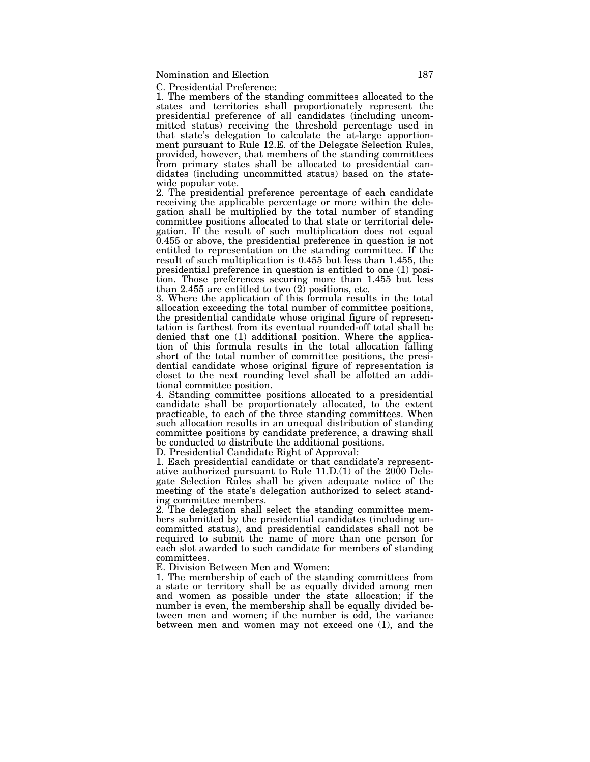C. Presidential Preference:

1. The members of the standing committees allocated to the states and territories shall proportionately represent the presidential preference of all candidates (including uncommitted status) receiving the threshold percentage used in that state's delegation to calculate the at-large apportionment pursuant to Rule 12.E. of the Delegate Selection Rules, provided, however, that members of the standing committees from primary states shall be allocated to presidential candidates (including uncommitted status) based on the statewide popular vote.

2. The presidential preference percentage of each candidate receiving the applicable percentage or more within the delegation shall be multiplied by the total number of standing committee positions allocated to that state or territorial delegation. If the result of such multiplication does not equal 0.455 or above, the presidential preference in question is not entitled to representation on the standing committee. If the result of such multiplication is 0.455 but less than 1.455, the presidential preference in question is entitled to one (1) position. Those preferences securing more than 1.455 but less than 2.455 are entitled to two (2) positions, etc.

3. Where the application of this formula results in the total allocation exceeding the total number of committee positions, the presidential candidate whose original figure of representation is farthest from its eventual rounded-off total shall be denied that one (1) additional position. Where the application of this formula results in the total allocation falling short of the total number of committee positions, the presidential candidate whose original figure of representation is closet to the next rounding level shall be allotted an additional committee position.

4. Standing committee positions allocated to a presidential candidate shall be proportionately allocated, to the extent practicable, to each of the three standing committees. When such allocation results in an unequal distribution of standing committee positions by candidate preference, a drawing shall be conducted to distribute the additional positions.

D. Presidential Candidate Right of Approval:

1. Each presidential candidate or that candidate's representative authorized pursuant to Rule 11.D.(1) of the 2000 Delegate Selection Rules shall be given adequate notice of the meeting of the state's delegation authorized to select standing committee members.

2. The delegation shall select the standing committee members submitted by the presidential candidates (including uncommitted status), and presidential candidates shall not be required to submit the name of more than one person for each slot awarded to such candidate for members of standing committees.

E. Division Between Men and Women:

1. The membership of each of the standing committees from a state or territory shall be as equally divided among men and women as possible under the state allocation; if the number is even, the membership shall be equally divided between men and women; if the number is odd, the variance between men and women may not exceed one (1), and the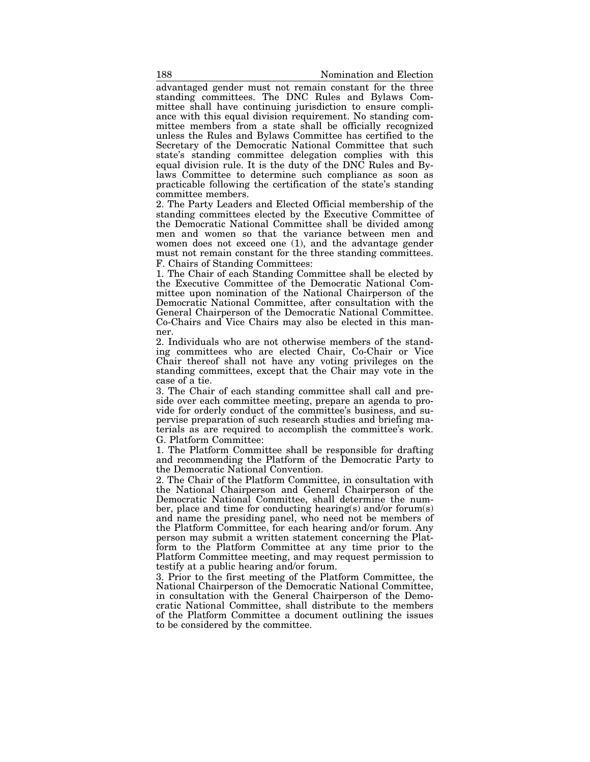advantaged gender must not remain constant for the three standing committees. The DNC Rules and Bylaws Committee shall have continuing jurisdiction to ensure compliance with this equal division requirement. No standing committee members from a state shall be officially recognized unless the Rules and Bylaws Committee has certified to the Secretary of the Democratic National Committee that such state's standing committee delegation complies with this equal division rule. It is the duty of the DNC Rules and Bylaws Committee to determine such compliance as soon as practicable following the certification of the state's standing committee members.

2. The Party Leaders and Elected Official membership of the standing committees elected by the Executive Committee of the Democratic National Committee shall be divided among men and women so that the variance between men and women does not exceed one (1), and the advantage gender must not remain constant for the three standing committees. F. Chairs of Standing Committees:

1. The Chair of each Standing Committee shall be elected by the Executive Committee of the Democratic National Committee upon nomination of the National Chairperson of the Democratic National Committee, after consultation with the General Chairperson of the Democratic National Committee. Co-Chairs and Vice Chairs may also be elected in this manner.

2. Individuals who are not otherwise members of the standing committees who are elected Chair, Co-Chair or Vice Chair thereof shall not have any voting privileges on the standing committees, except that the Chair may vote in the case of a tie.

3. The Chair of each standing committee shall call and preside over each committee meeting, prepare an agenda to provide for orderly conduct of the committee's business, and supervise preparation of such research studies and briefing materials as are required to accomplish the committee's work. G. Platform Committee:

1. The Platform Committee shall be responsible for drafting and recommending the Platform of the Democratic Party to the Democratic National Convention.

2. The Chair of the Platform Committee, in consultation with the National Chairperson and General Chairperson of the Democratic National Committee, shall determine the number, place and time for conducting hearing(s) and/or forum(s) and name the presiding panel, who need not be members of the Platform Committee, for each hearing and/or forum. Any person may submit a written statement concerning the Platform to the Platform Committee at any time prior to the Platform Committee meeting, and may request permission to testify at a public hearing and/or forum.

3. Prior to the first meeting of the Platform Committee, the National Chairperson of the Democratic National Committee, in consultation with the General Chairperson of the Democratic National Committee, shall distribute to the members of the Platform Committee a document outlining the issues to be considered by the committee.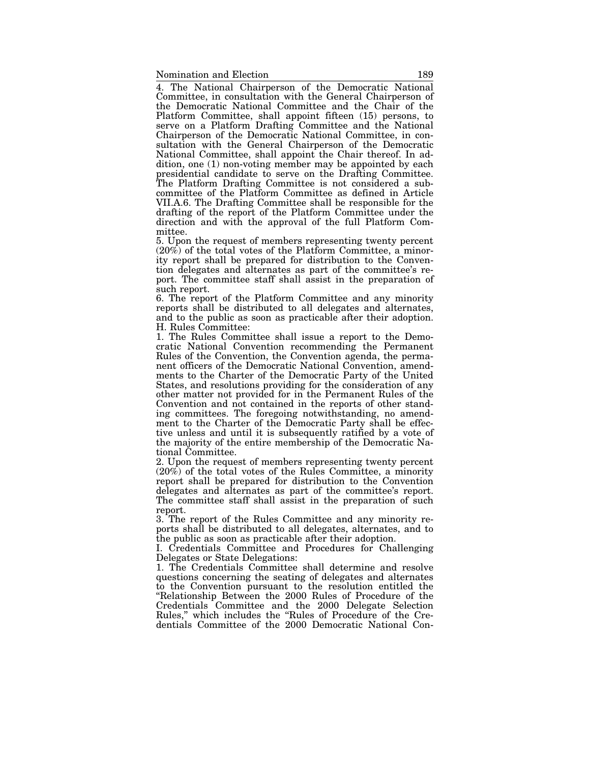4. The National Chairperson of the Democratic National Committee, in consultation with the General Chairperson of the Democratic National Committee and the Chair of the Platform Committee, shall appoint fifteen (15) persons, to serve on a Platform Drafting Committee and the National Chairperson of the Democratic National Committee, in consultation with the General Chairperson of the Democratic National Committee, shall appoint the Chair thereof. In addition, one (1) non-voting member may be appointed by each presidential candidate to serve on the Drafting Committee. The Platform Drafting Committee is not considered a subcommittee of the Platform Committee as defined in Article VII.A.6. The Drafting Committee shall be responsible for the drafting of the report of the Platform Committee under the direction and with the approval of the full Platform Committee.

5. Upon the request of members representing twenty percent (20%) of the total votes of the Platform Committee, a minority report shall be prepared for distribution to the Convention delegates and alternates as part of the committee's report. The committee staff shall assist in the preparation of such report.

6. The report of the Platform Committee and any minority reports shall be distributed to all delegates and alternates, and to the public as soon as practicable after their adoption. H. Rules Committee:

1. The Rules Committee shall issue a report to the Democratic National Convention recommending the Permanent Rules of the Convention, the Convention agenda, the permanent officers of the Democratic National Convention, amendments to the Charter of the Democratic Party of the United States, and resolutions providing for the consideration of any other matter not provided for in the Permanent Rules of the Convention and not contained in the reports of other standing committees. The foregoing notwithstanding, no amendment to the Charter of the Democratic Party shall be effective unless and until it is subsequently ratified by a vote of the majority of the entire membership of the Democratic National Committee.

2. Upon the request of members representing twenty percent (20%) of the total votes of the Rules Committee, a minority report shall be prepared for distribution to the Convention delegates and alternates as part of the committee's report. The committee staff shall assist in the preparation of such report.

3. The report of the Rules Committee and any minority reports shall be distributed to all delegates, alternates, and to the public as soon as practicable after their adoption.

I. Credentials Committee and Procedures for Challenging Delegates or State Delegations:

1. The Credentials Committee shall determine and resolve questions concerning the seating of delegates and alternates to the Convention pursuant to the resolution entitled the ''Relationship Between the 2000 Rules of Procedure of the Credentials Committee and the 2000 Delegate Selection Rules,'' which includes the ''Rules of Procedure of the Credentials Committee of the 2000 Democratic National Con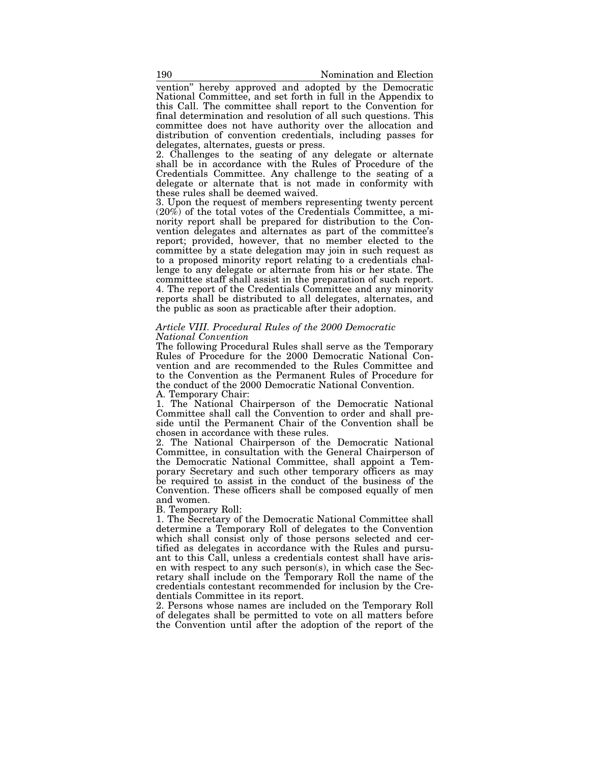vention'' hereby approved and adopted by the Democratic National Committee, and set forth in full in the Appendix to this Call. The committee shall report to the Convention for final determination and resolution of all such questions. This committee does not have authority over the allocation and distribution of convention credentials, including passes for delegates, alternates, guests or press.

2. Challenges to the seating of any delegate or alternate shall be in accordance with the Rules of Procedure of the Credentials Committee. Any challenge to the seating of a delegate or alternate that is not made in conformity with these rules shall be deemed waived.

3. Upon the request of members representing twenty percent  $(20\%)$  of the total votes of the Credentials Committee, a minority report shall be prepared for distribution to the Convention delegates and alternates as part of the committee's report; provided, however, that no member elected to the committee by a state delegation may join in such request as to a proposed minority report relating to a credentials challenge to any delegate or alternate from his or her state. The committee staff shall assist in the preparation of such report. 4. The report of the Credentials Committee and any minority reports shall be distributed to all delegates, alternates, and the public as soon as practicable after their adoption.

#### *Article VIII. Procedural Rules of the 2000 Democratic National Convention*

The following Procedural Rules shall serve as the Temporary Rules of Procedure for the 2000 Democratic National Convention and are recommended to the Rules Committee and to the Convention as the Permanent Rules of Procedure for the conduct of the 2000 Democratic National Convention. A. Temporary Chair:

1. The National Chairperson of the Democratic National Committee shall call the Convention to order and shall preside until the Permanent Chair of the Convention shall be chosen in accordance with these rules.

2. The National Chairperson of the Democratic National Committee, in consultation with the General Chairperson of the Democratic National Committee, shall appoint a Temporary Secretary and such other temporary officers as may be required to assist in the conduct of the business of the Convention. These officers shall be composed equally of men and women.

B. Temporary Roll:

1. The Secretary of the Democratic National Committee shall determine a Temporary Roll of delegates to the Convention which shall consist only of those persons selected and certified as delegates in accordance with the Rules and pursuant to this Call, unless a credentials contest shall have arisen with respect to any such person(s), in which case the Secretary shall include on the Temporary Roll the name of the credentials contestant recommended for inclusion by the Credentials Committee in its report.

2. Persons whose names are included on the Temporary Roll of delegates shall be permitted to vote on all matters before the Convention until after the adoption of the report of the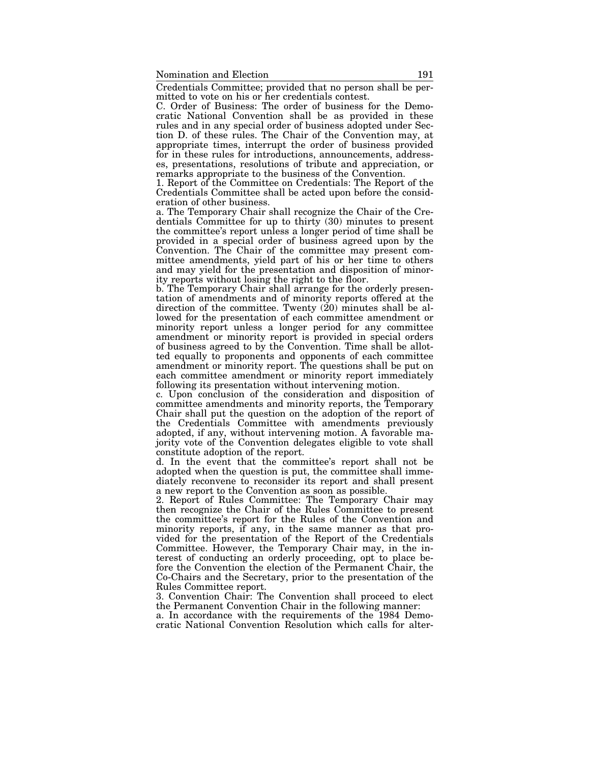Credentials Committee; provided that no person shall be permitted to vote on his or her credentials contest.

C. Order of Business: The order of business for the Democratic National Convention shall be as provided in these rules and in any special order of business adopted under Section D. of these rules. The Chair of the Convention may, at appropriate times, interrupt the order of business provided for in these rules for introductions, announcements, addresses, presentations, resolutions of tribute and appreciation, or remarks appropriate to the business of the Convention.

1. Report of the Committee on Credentials: The Report of the Credentials Committee shall be acted upon before the consideration of other business.

a. The Temporary Chair shall recognize the Chair of the Credentials Committee for up to thirty (30) minutes to present the committee's report unless a longer period of time shall be provided in a special order of business agreed upon by the Convention. The Chair of the committee may present committee amendments, yield part of his or her time to others and may yield for the presentation and disposition of minority reports without losing the right to the floor.

b. The Temporary Chair shall arrange for the orderly presentation of amendments and of minority reports offered at the direction of the committee. Twenty  $(20)$  minutes shall be allowed for the presentation of each committee amendment or minority report unless a longer period for any committee amendment or minority report is provided in special orders of business agreed to by the Convention. Time shall be allotted equally to proponents and opponents of each committee amendment or minority report. The questions shall be put on each committee amendment or minority report immediately following its presentation without intervening motion.

c. Upon conclusion of the consideration and disposition of committee amendments and minority reports, the Temporary Chair shall put the question on the adoption of the report of the Credentials Committee with amendments previously adopted, if any, without intervening motion. A favorable majority vote of the Convention delegates eligible to vote shall constitute adoption of the report.

d. In the event that the committee's report shall not be adopted when the question is put, the committee shall immediately reconvene to reconsider its report and shall present a new report to the Convention as soon as possible.

2. Report of Rules Committee: The Temporary Chair may then recognize the Chair of the Rules Committee to present the committee's report for the Rules of the Convention and minority reports, if any, in the same manner as that provided for the presentation of the Report of the Credentials Committee. However, the Temporary Chair may, in the interest of conducting an orderly proceeding, opt to place before the Convention the election of the Permanent Chair, the Co-Chairs and the Secretary, prior to the presentation of the Rules Committee report.

3. Convention Chair: The Convention shall proceed to elect the Permanent Convention Chair in the following manner:

a. In accordance with the requirements of the 1984 Democratic National Convention Resolution which calls for alter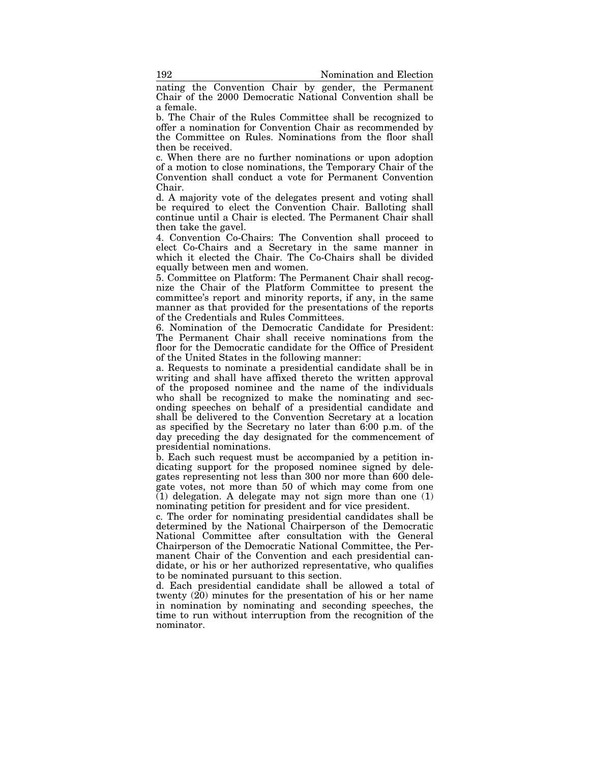nating the Convention Chair by gender, the Permanent Chair of the 2000 Democratic National Convention shall be a female.

b. The Chair of the Rules Committee shall be recognized to offer a nomination for Convention Chair as recommended by the Committee on Rules. Nominations from the floor shall then be received.

c. When there are no further nominations or upon adoption of a motion to close nominations, the Temporary Chair of the Convention shall conduct a vote for Permanent Convention Chair.

d. A majority vote of the delegates present and voting shall be required to elect the Convention Chair. Balloting shall continue until a Chair is elected. The Permanent Chair shall then take the gavel.

4. Convention Co-Chairs: The Convention shall proceed to elect Co-Chairs and a Secretary in the same manner in which it elected the Chair. The Co-Chairs shall be divided equally between men and women.

5. Committee on Platform: The Permanent Chair shall recognize the Chair of the Platform Committee to present the committee's report and minority reports, if any, in the same manner as that provided for the presentations of the reports of the Credentials and Rules Committees.

6. Nomination of the Democratic Candidate for President: The Permanent Chair shall receive nominations from the floor for the Democratic candidate for the Office of President of the United States in the following manner:

a. Requests to nominate a presidential candidate shall be in writing and shall have affixed thereto the written approval of the proposed nominee and the name of the individuals who shall be recognized to make the nominating and seconding speeches on behalf of a presidential candidate and shall be delivered to the Convention Secretary at a location as specified by the Secretary no later than 6:00 p.m. of the day preceding the day designated for the commencement of presidential nominations.

b. Each such request must be accompanied by a petition indicating support for the proposed nominee signed by delegates representing not less than 300 nor more than 600 delegate votes, not more than 50 of which may come from one  $(1)$  delegation. A delegate may not sign more than one  $(1)$ nominating petition for president and for vice president.

c. The order for nominating presidential candidates shall be determined by the National Chairperson of the Democratic National Committee after consultation with the General Chairperson of the Democratic National Committee, the Permanent Chair of the Convention and each presidential candidate, or his or her authorized representative, who qualifies to be nominated pursuant to this section.

d. Each presidential candidate shall be allowed a total of twenty (20) minutes for the presentation of his or her name in nomination by nominating and seconding speeches, the time to run without interruption from the recognition of the nominator.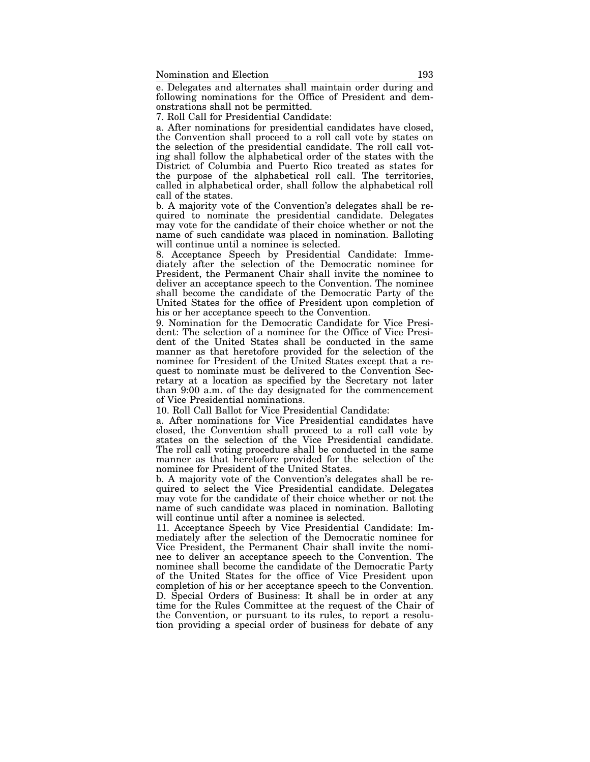e. Delegates and alternates shall maintain order during and following nominations for the Office of President and demonstrations shall not be permitted.

7. Roll Call for Presidential Candidate:

a. After nominations for presidential candidates have closed, the Convention shall proceed to a roll call vote by states on the selection of the presidential candidate. The roll call voting shall follow the alphabetical order of the states with the District of Columbia and Puerto Rico treated as states for the purpose of the alphabetical roll call. The territories, called in alphabetical order, shall follow the alphabetical roll call of the states.

b. A majority vote of the Convention's delegates shall be required to nominate the presidential candidate. Delegates may vote for the candidate of their choice whether or not the name of such candidate was placed in nomination. Balloting will continue until a nominee is selected.

8. Acceptance Speech by Presidential Candidate: Immediately after the selection of the Democratic nominee for President, the Permanent Chair shall invite the nominee to deliver an acceptance speech to the Convention. The nominee shall become the candidate of the Democratic Party of the United States for the office of President upon completion of his or her acceptance speech to the Convention.

9. Nomination for the Democratic Candidate for Vice President: The selection of a nominee for the Office of Vice President of the United States shall be conducted in the same manner as that heretofore provided for the selection of the nominee for President of the United States except that a request to nominate must be delivered to the Convention Secretary at a location as specified by the Secretary not later than 9:00 a.m. of the day designated for the commencement of Vice Presidential nominations.

10. Roll Call Ballot for Vice Presidential Candidate:

a. After nominations for Vice Presidential candidates have closed, the Convention shall proceed to a roll call vote by states on the selection of the Vice Presidential candidate. The roll call voting procedure shall be conducted in the same manner as that heretofore provided for the selection of the nominee for President of the United States.

b. A majority vote of the Convention's delegates shall be required to select the Vice Presidential candidate. Delegates may vote for the candidate of their choice whether or not the name of such candidate was placed in nomination. Balloting will continue until after a nominee is selected.

11. Acceptance Speech by Vice Presidential Candidate: Immediately after the selection of the Democratic nominee for Vice President, the Permanent Chair shall invite the nominee to deliver an acceptance speech to the Convention. The nominee shall become the candidate of the Democratic Party of the United States for the office of Vice President upon completion of his or her acceptance speech to the Convention. D. Special Orders of Business: It shall be in order at any time for the Rules Committee at the request of the Chair of the Convention, or pursuant to its rules, to report a resolution providing a special order of business for debate of any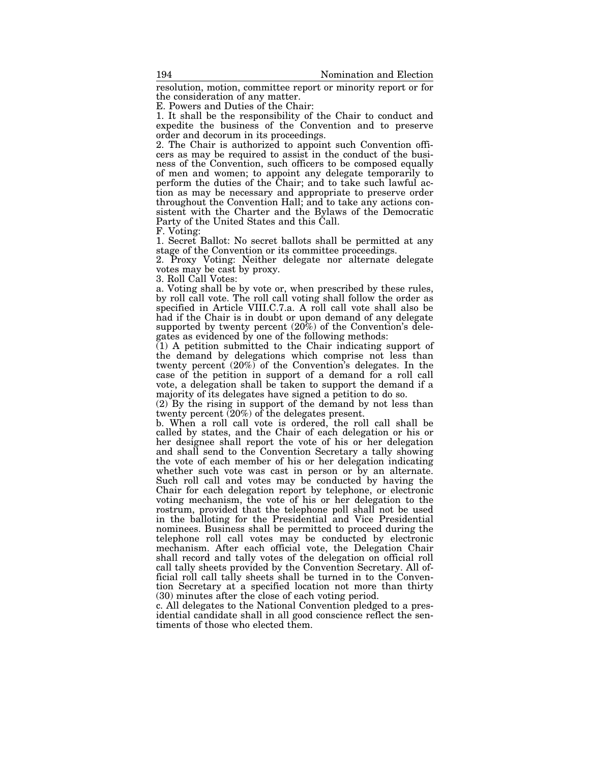resolution, motion, committee report or minority report or for the consideration of any matter.

E. Powers and Duties of the Chair:

1. It shall be the responsibility of the Chair to conduct and expedite the business of the Convention and to preserve order and decorum in its proceedings.

2. The Chair is authorized to appoint such Convention officers as may be required to assist in the conduct of the business of the Convention, such officers to be composed equally of men and women; to appoint any delegate temporarily to perform the duties of the Chair; and to take such lawful action as may be necessary and appropriate to preserve order throughout the Convention Hall; and to take any actions consistent with the Charter and the Bylaws of the Democratic Party of the United States and this Call.

F. Voting:

1. Secret Ballot: No secret ballots shall be permitted at any stage of the Convention or its committee proceedings.

2. Proxy Voting: Neither delegate nor alternate delegate votes may be cast by proxy.

3. Roll Call Votes:

a. Voting shall be by vote or, when prescribed by these rules, by roll call vote. The roll call voting shall follow the order as specified in Article VIII.C.7.a. A roll call vote shall also be had if the Chair is in doubt or upon demand of any delegate supported by twenty percent (20%) of the Convention's delegates as evidenced by one of the following methods:

 $(1)$  A petition submitted to the Chair indicating support of the demand by delegations which comprise not less than twenty percent (20%) of the Convention's delegates. In the case of the petition in support of a demand for a roll call vote, a delegation shall be taken to support the demand if a majority of its delegates have signed a petition to do so.

(2) By the rising in support of the demand by not less than twenty percent  $(20%)$  of the delegates present.

b. When a roll call vote is ordered, the roll call shall be called by states, and the Chair of each delegation or his or her designee shall report the vote of his or her delegation and shall send to the Convention Secretary a tally showing the vote of each member of his or her delegation indicating whether such vote was cast in person or by an alternate. Such roll call and votes may be conducted by having the Chair for each delegation report by telephone, or electronic voting mechanism, the vote of his or her delegation to the rostrum, provided that the telephone poll shall not be used in the balloting for the Presidential and Vice Presidential nominees. Business shall be permitted to proceed during the telephone roll call votes may be conducted by electronic mechanism. After each official vote, the Delegation Chair shall record and tally votes of the delegation on official roll call tally sheets provided by the Convention Secretary. All official roll call tally sheets shall be turned in to the Convention Secretary at a specified location not more than thirty (30) minutes after the close of each voting period.

c. All delegates to the National Convention pledged to a presidential candidate shall in all good conscience reflect the sentiments of those who elected them.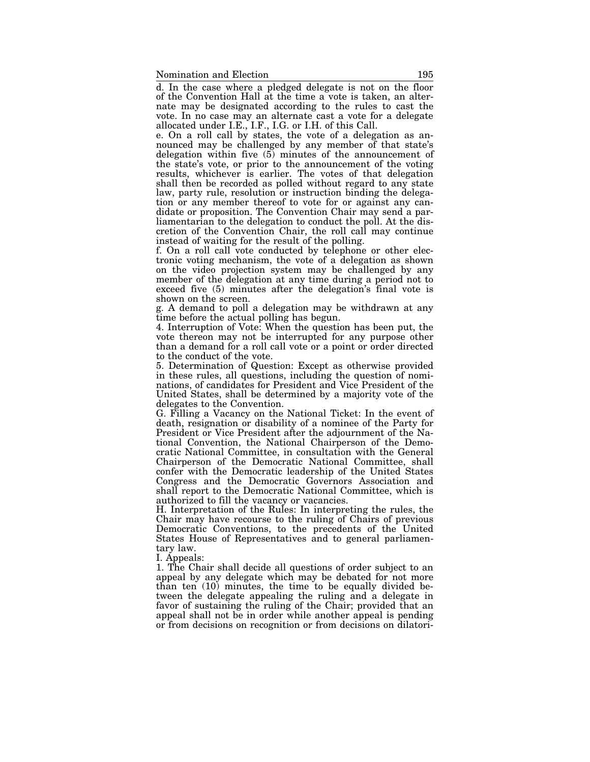d. In the case where a pledged delegate is not on the floor of the Convention Hall at the time a vote is taken, an alternate may be designated according to the rules to cast the vote. In no case may an alternate cast a vote for a delegate allocated under I.E., I.F., I.G. or I.H. of this Call.

e. On a roll call by states, the vote of a delegation as announced may be challenged by any member of that state's delegation within five (5) minutes of the announcement of the state's vote, or prior to the announcement of the voting results, whichever is earlier. The votes of that delegation shall then be recorded as polled without regard to any state law, party rule, resolution or instruction binding the delegation or any member thereof to vote for or against any candidate or proposition. The Convention Chair may send a parliamentarian to the delegation to conduct the poll. At the discretion of the Convention Chair, the roll call may continue instead of waiting for the result of the polling.

f. On a roll call vote conducted by telephone or other electronic voting mechanism, the vote of a delegation as shown on the video projection system may be challenged by any member of the delegation at any time during a period not to exceed five (5) minutes after the delegation's final vote is shown on the screen.

g. A demand to poll a delegation may be withdrawn at any time before the actual polling has begun.

4. Interruption of Vote: When the question has been put, the vote thereon may not be interrupted for any purpose other than a demand for a roll call vote or a point or order directed to the conduct of the vote.

5. Determination of Question: Except as otherwise provided in these rules, all questions, including the question of nominations, of candidates for President and Vice President of the United States, shall be determined by a majority vote of the delegates to the Convention.

G. Filling a Vacancy on the National Ticket: In the event of death, resignation or disability of a nominee of the Party for President or Vice President after the adjournment of the National Convention, the National Chairperson of the Democratic National Committee, in consultation with the General Chairperson of the Democratic National Committee, shall confer with the Democratic leadership of the United States Congress and the Democratic Governors Association and shall report to the Democratic National Committee, which is authorized to fill the vacancy or vacancies.

H. Interpretation of the Rules: In interpreting the rules, the Chair may have recourse to the ruling of Chairs of previous Democratic Conventions, to the precedents of the United States House of Representatives and to general parliamentary law.

I. Appeals:

1. The Chair shall decide all questions of order subject to an appeal by any delegate which may be debated for not more than ten (10) minutes, the time to be equally divided between the delegate appealing the ruling and a delegate in favor of sustaining the ruling of the Chair; provided that an appeal shall not be in order while another appeal is pending or from decisions on recognition or from decisions on dilatori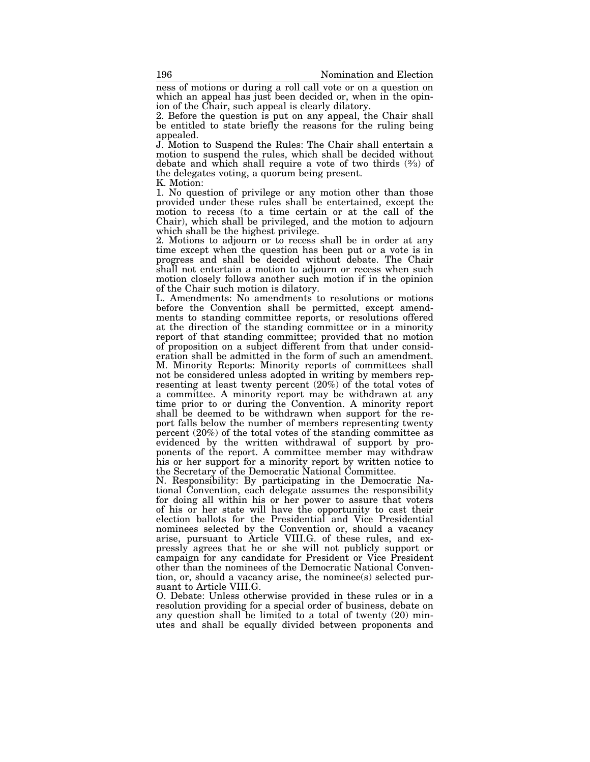ness of motions or during a roll call vote or on a question on which an appeal has just been decided or, when in the opinion of the Chair, such appeal is clearly dilatory.

2. Before the question is put on any appeal, the Chair shall be entitled to state briefly the reasons for the ruling being appealed.

J. Motion to Suspend the Rules: The Chair shall entertain a motion to suspend the rules, which shall be decided without debate and which shall require a vote of two thirds  $(2/3)$  of the delegates voting, a quorum being present.

K. Motion:

1. No question of privilege or any motion other than those provided under these rules shall be entertained, except the motion to recess (to a time certain or at the call of the Chair), which shall be privileged, and the motion to adjourn which shall be the highest privilege.

2. Motions to adjourn or to recess shall be in order at any time except when the question has been put or a vote is in progress and shall be decided without debate. The Chair shall not entertain a motion to adjourn or recess when such motion closely follows another such motion if in the opinion of the Chair such motion is dilatory.

L. Amendments: No amendments to resolutions or motions before the Convention shall be permitted, except amendments to standing committee reports, or resolutions offered at the direction of the standing committee or in a minority report of that standing committee; provided that no motion of proposition on a subject different from that under consideration shall be admitted in the form of such an amendment. M. Minority Reports: Minority reports of committees shall not be considered unless adopted in writing by members representing at least twenty percent (20%) of the total votes of a committee. A minority report may be withdrawn at any time prior to or during the Convention. A minority report shall be deemed to be withdrawn when support for the report falls below the number of members representing twenty percent (20%) of the total votes of the standing committee as evidenced by the written withdrawal of support by proponents of the report. A committee member may withdraw his or her support for a minority report by written notice to the Secretary of the Democratic National Committee.

N. Responsibility: By participating in the Democratic National Convention, each delegate assumes the responsibility for doing all within his or her power to assure that voters of his or her state will have the opportunity to cast their election ballots for the Presidential and Vice Presidential nominees selected by the Convention or, should a vacancy arise, pursuant to Article VIII.G. of these rules, and expressly agrees that he or she will not publicly support or campaign for any candidate for President or Vice President other than the nominees of the Democratic National Convention, or, should a vacancy arise, the nominee(s) selected pursuant to Article VIII.G.

O. Debate: Unless otherwise provided in these rules or in a resolution providing for a special order of business, debate on any question shall be limited to a total of twenty (20) minutes and shall be equally divided between proponents and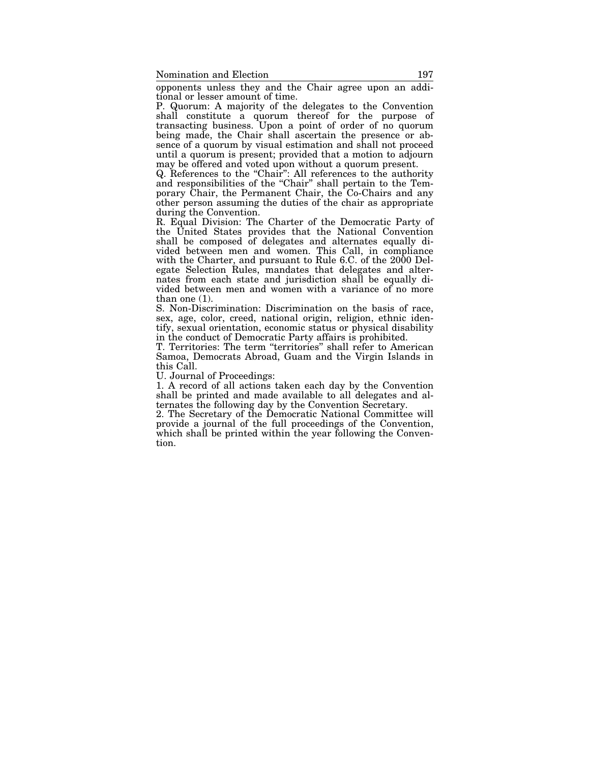opponents unless they and the Chair agree upon an additional or lesser amount of time.

P. Quorum: A majority of the delegates to the Convention shall constitute a quorum thereof for the purpose of transacting business. Upon a point of order of no quorum being made, the Chair shall ascertain the presence or absence of a quorum by visual estimation and shall not proceed until a quorum is present; provided that a motion to adjourn may be offered and voted upon without a quorum present.

Q. References to the ''Chair'': All references to the authority and responsibilities of the "Chair" shall pertain to the Temporary Chair, the Permanent Chair, the Co-Chairs and any other person assuming the duties of the chair as appropriate during the Convention.

R. Equal Division: The Charter of the Democratic Party of the United States provides that the National Convention shall be composed of delegates and alternates equally divided between men and women. This Call, in compliance with the Charter, and pursuant to Rule 6.C. of the 2000 Delegate Selection Rules, mandates that delegates and alternates from each state and jurisdiction shall be equally divided between men and women with a variance of no more than one (1).

S. Non-Discrimination: Discrimination on the basis of race, sex, age, color, creed, national origin, religion, ethnic identify, sexual orientation, economic status or physical disability in the conduct of Democratic Party affairs is prohibited.

T. Territories: The term ''territories'' shall refer to American Samoa, Democrats Abroad, Guam and the Virgin Islands in this Call.

U. Journal of Proceedings:

1. A record of all actions taken each day by the Convention shall be printed and made available to all delegates and alternates the following day by the Convention Secretary.

2. The Secretary of the Democratic National Committee will provide a journal of the full proceedings of the Convention, which shall be printed within the year following the Convention.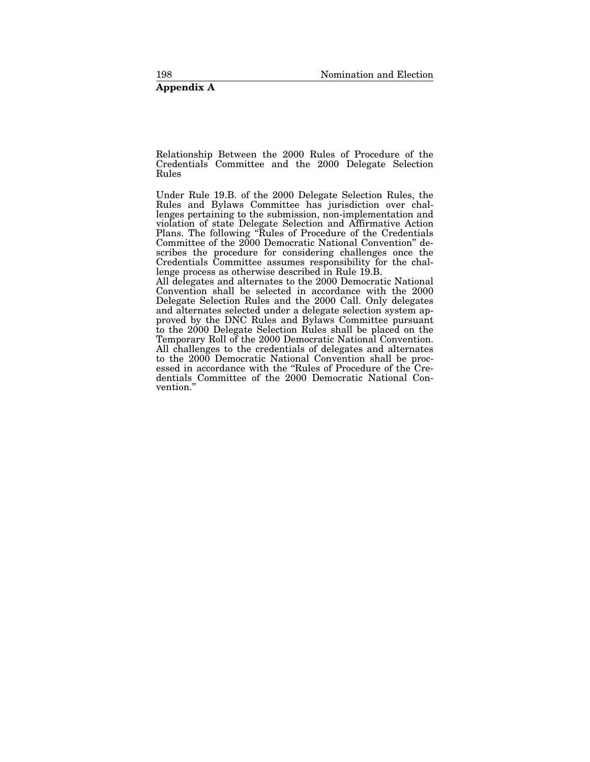**Appendix A**

Relationship Between the 2000 Rules of Procedure of the Credentials Committee and the 2000 Delegate Selection Rules

Under Rule 19.B. of the 2000 Delegate Selection Rules, the Rules and Bylaws Committee has jurisdiction over challenges pertaining to the submission, non-implementation and violation of state Delegate Selection and Affirmative Action Plans. The following ''Rules of Procedure of the Credentials Committee of the 2000 Democratic National Convention'' describes the procedure for considering challenges once the Credentials Committee assumes responsibility for the challenge process as otherwise described in Rule 19.B.

All delegates and alternates to the 2000 Democratic National Convention shall be selected in accordance with the 2000 Delegate Selection Rules and the 2000 Call. Only delegates and alternates selected under a delegate selection system approved by the DNC Rules and Bylaws Committee pursuant to the 2000 Delegate Selection Rules shall be placed on the Temporary Roll of the 2000 Democratic National Convention. All challenges to the credentials of delegates and alternates to the 2000 Democratic National Convention shall be processed in accordance with the ''Rules of Procedure of the Credentials Committee of the 2000 Democratic National Convention.''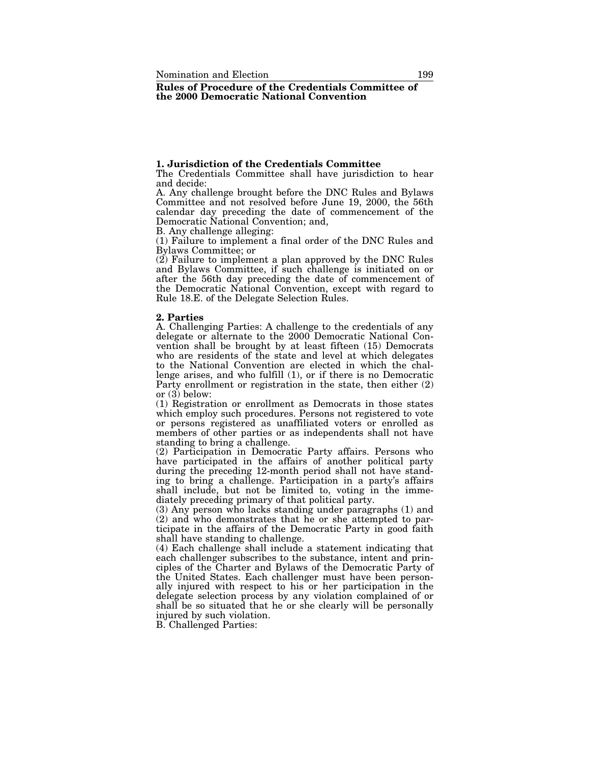#### **1. Jurisdiction of the Credentials Committee**

The Credentials Committee shall have jurisdiction to hear and decide:

A. Any challenge brought before the DNC Rules and Bylaws Committee and not resolved before June 19, 2000, the 56th calendar day preceding the date of commencement of the Democratic National Convention; and,

B. Any challenge alleging:

(1) Failure to implement a final order of the DNC Rules and Bylaws Committee; or

(2) Failure to implement a plan approved by the DNC Rules and Bylaws Committee, if such challenge is initiated on or after the 56th day preceding the date of commencement of the Democratic National Convention, except with regard to Rule 18.E. of the Delegate Selection Rules.

#### **2. Parties**

A. Challenging Parties: A challenge to the credentials of any delegate or alternate to the 2000 Democratic National Convention shall be brought by at least fifteen (15) Democrats who are residents of the state and level at which delegates to the National Convention are elected in which the challenge arises, and who fulfill (1), or if there is no Democratic Party enrollment or registration in the state, then either (2) or  $(3)$  below:

(1) Registration or enrollment as Democrats in those states which employ such procedures. Persons not registered to vote or persons registered as unaffiliated voters or enrolled as members of other parties or as independents shall not have standing to bring a challenge.

(2) Participation in Democratic Party affairs. Persons who have participated in the affairs of another political party during the preceding 12-month period shall not have standing to bring a challenge. Participation in a party's affairs shall include, but not be limited to, voting in the immediately preceding primary of that political party.

(3) Any person who lacks standing under paragraphs (1) and (2) and who demonstrates that he or she attempted to participate in the affairs of the Democratic Party in good faith shall have standing to challenge.

(4) Each challenge shall include a statement indicating that each challenger subscribes to the substance, intent and principles of the Charter and Bylaws of the Democratic Party of the United States. Each challenger must have been personally injured with respect to his or her participation in the delegate selection process by any violation complained of or shall be so situated that he or she clearly will be personally injured by such violation.

B. Challenged Parties: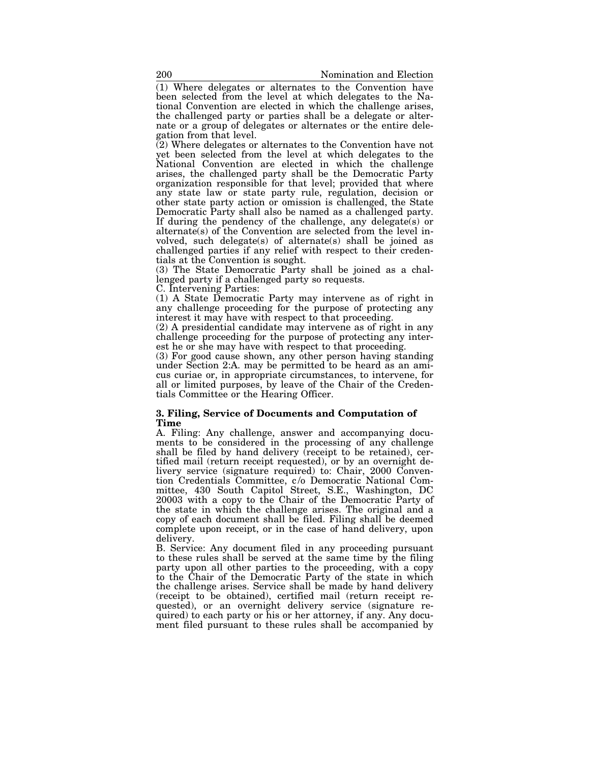(1) Where delegates or alternates to the Convention have been selected from the level at which delegates to the National Convention are elected in which the challenge arises, the challenged party or parties shall be a delegate or alternate or a group of delegates or alternates or the entire delegation from that level.

(2) Where delegates or alternates to the Convention have not yet been selected from the level at which delegates to the National Convention are elected in which the challenge arises, the challenged party shall be the Democratic Party organization responsible for that level; provided that where any state law or state party rule, regulation, decision or other state party action or omission is challenged, the State Democratic Party shall also be named as a challenged party. If during the pendency of the challenge, any delegate(s) or alternate(s) of the Convention are selected from the level involved, such delegate(s) of alternate(s) shall be joined as challenged parties if any relief with respect to their credentials at the Convention is sought.

(3) The State Democratic Party shall be joined as a challenged party if a challenged party so requests.

C. Intervening Parties:

(1) A State Democratic Party may intervene as of right in any challenge proceeding for the purpose of protecting any interest it may have with respect to that proceeding.

(2) A presidential candidate may intervene as of right in any challenge proceeding for the purpose of protecting any interest he or she may have with respect to that proceeding.

(3) For good cause shown, any other person having standing under Section 2:A. may be permitted to be heard as an amicus curiae or, in appropriate circumstances, to intervene, for all or limited purposes, by leave of the Chair of the Credentials Committee or the Hearing Officer.

## **3. Filing, Service of Documents and Computation of Time**

A. Filing: Any challenge, answer and accompanying documents to be considered in the processing of any challenge shall be filed by hand delivery (receipt to be retained), certified mail (return receipt requested), or by an overnight delivery service (signature required) to: Chair, 2000 Convention Credentials Committee, c /o Democratic National Committee, 430 South Capitol Street, S.E., Washington, DC 20003 with a copy to the Chair of the Democratic Party of the state in which the challenge arises. The original and a copy of each document shall be filed. Filing shall be deemed complete upon receipt, or in the case of hand delivery, upon delivery.

B. Service: Any document filed in any proceeding pursuant to these rules shall be served at the same time by the filing party upon all other parties to the proceeding, with a copy to the Chair of the Democratic Party of the state in which the challenge arises. Service shall be made by hand delivery (receipt to be obtained), certified mail (return receipt requested), or an overnight delivery service (signature required) to each party or his or her attorney, if any. Any document filed pursuant to these rules shall be accompanied by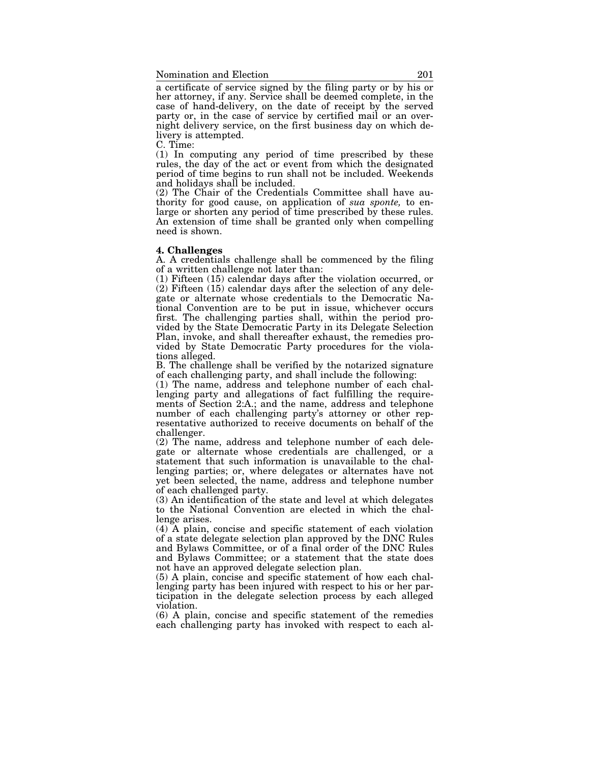a certificate of service signed by the filing party or by his or her attorney, if any. Service shall be deemed complete, in the case of hand-delivery, on the date of receipt by the served party or, in the case of service by certified mail or an overnight delivery service, on the first business day on which delivery is attempted.

C. Time:

(1) In computing any period of time prescribed by these rules, the day of the act or event from which the designated period of time begins to run shall not be included. Weekends and holidays shall be included.

(2) The Chair of the Credentials Committee shall have authority for good cause, on application of *sua sponte,* to enlarge or shorten any period of time prescribed by these rules. An extension of time shall be granted only when compelling need is shown.

#### **4. Challenges**

A. A credentials challenge shall be commenced by the filing of a written challenge not later than:

(1) Fifteen (15) calendar days after the violation occurred, or (2) Fifteen (15) calendar days after the selection of any delegate or alternate whose credentials to the Democratic National Convention are to be put in issue, whichever occurs first. The challenging parties shall, within the period provided by the State Democratic Party in its Delegate Selection Plan, invoke, and shall thereafter exhaust, the remedies provided by State Democratic Party procedures for the violations alleged.

B. The challenge shall be verified by the notarized signature of each challenging party, and shall include the following:

(1) The name, address and telephone number of each challenging party and allegations of fact fulfilling the requirements of Section 2:A.; and the name, address and telephone number of each challenging party's attorney or other representative authorized to receive documents on behalf of the challenger.

(2) The name, address and telephone number of each delegate or alternate whose credentials are challenged, or a statement that such information is unavailable to the challenging parties; or, where delegates or alternates have not yet been selected, the name, address and telephone number of each challenged party.

(3) An identification of the state and level at which delegates to the National Convention are elected in which the challenge arises.

(4) A plain, concise and specific statement of each violation of a state delegate selection plan approved by the DNC Rules and Bylaws Committee, or of a final order of the DNC Rules and Bylaws Committee; or a statement that the state does not have an approved delegate selection plan.

(5) A plain, concise and specific statement of how each challenging party has been injured with respect to his or her participation in the delegate selection process by each alleged violation.

(6) A plain, concise and specific statement of the remedies each challenging party has invoked with respect to each al-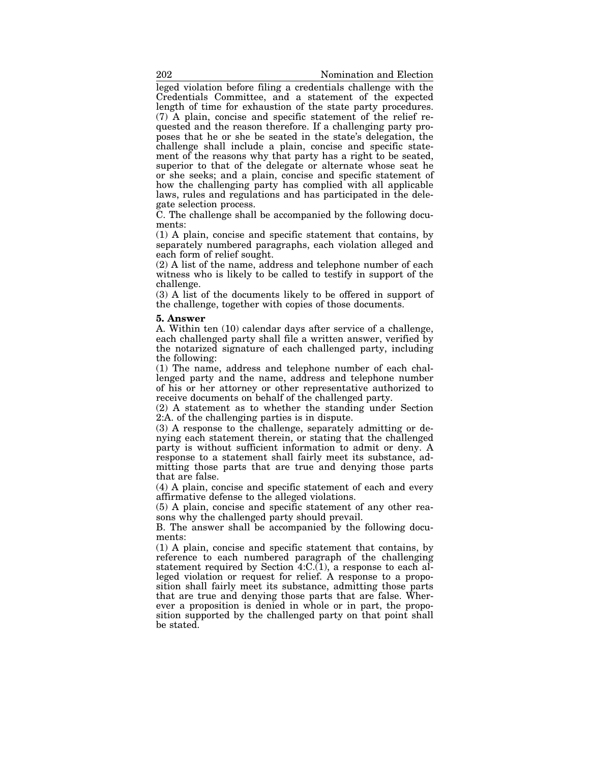leged violation before filing a credentials challenge with the Credentials Committee, and a statement of the expected length of time for exhaustion of the state party procedures. (7) A plain, concise and specific statement of the relief requested and the reason therefore. If a challenging party proposes that he or she be seated in the state's delegation, the challenge shall include a plain, concise and specific statement of the reasons why that party has a right to be seated, superior to that of the delegate or alternate whose seat he or she seeks; and a plain, concise and specific statement of how the challenging party has complied with all applicable laws, rules and regulations and has participated in the delegate selection process.

C. The challenge shall be accompanied by the following documents:

(1) A plain, concise and specific statement that contains, by separately numbered paragraphs, each violation alleged and each form of relief sought.

(2) A list of the name, address and telephone number of each witness who is likely to be called to testify in support of the challenge.

(3) A list of the documents likely to be offered in support of the challenge, together with copies of those documents.

#### **5. Answer**

A. Within ten (10) calendar days after service of a challenge, each challenged party shall file a written answer, verified by the notarized signature of each challenged party, including the following:

(1) The name, address and telephone number of each challenged party and the name, address and telephone number of his or her attorney or other representative authorized to receive documents on behalf of the challenged party.

(2) A statement as to whether the standing under Section 2:A. of the challenging parties is in dispute.

(3) A response to the challenge, separately admitting or denying each statement therein, or stating that the challenged party is without sufficient information to admit or deny. A response to a statement shall fairly meet its substance, admitting those parts that are true and denying those parts that are false.

(4) A plain, concise and specific statement of each and every affirmative defense to the alleged violations.

(5) A plain, concise and specific statement of any other reasons why the challenged party should prevail.

B. The answer shall be accompanied by the following documents:

(1) A plain, concise and specific statement that contains, by reference to each numbered paragraph of the challenging statement required by Section 4:C.(1), a response to each alleged violation or request for relief. A response to a proposition shall fairly meet its substance, admitting those parts that are true and denying those parts that are false. Wherever a proposition is denied in whole or in part, the proposition supported by the challenged party on that point shall be stated.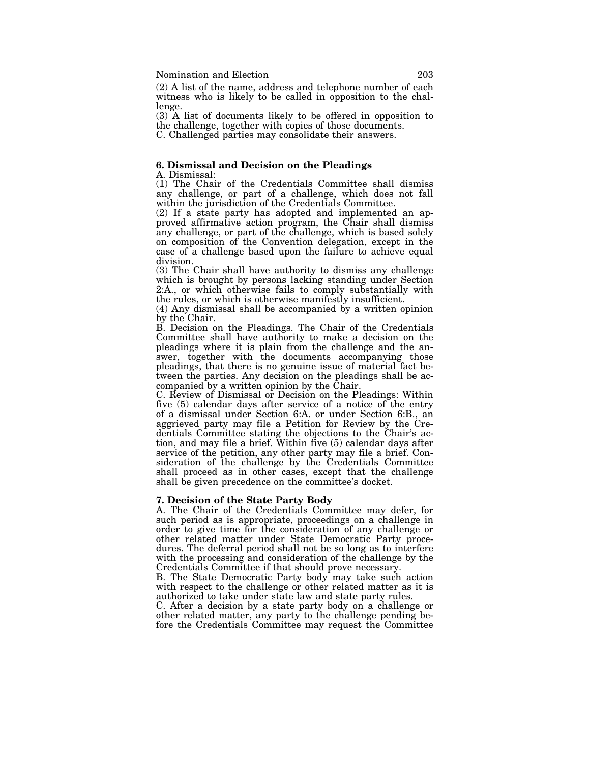(2) A list of the name, address and telephone number of each witness who is likely to be called in opposition to the challenge.

(3) A list of documents likely to be offered in opposition to the challenge, together with copies of those documents. C. Challenged parties may consolidate their answers.

# **6. Dismissal and Decision on the Pleadings**

A. Dismissal:

(1) The Chair of the Credentials Committee shall dismiss any challenge, or part of a challenge, which does not fall within the jurisdiction of the Credentials Committee.

(2) If a state party has adopted and implemented an approved affirmative action program, the Chair shall dismiss any challenge, or part of the challenge, which is based solely on composition of the Convention delegation, except in the case of a challenge based upon the failure to achieve equal division.

(3) The Chair shall have authority to dismiss any challenge which is brought by persons lacking standing under Section 2:A., or which otherwise fails to comply substantially with the rules, or which is otherwise manifestly insufficient.

(4) Any dismissal shall be accompanied by a written opinion by the Chair.

B. Decision on the Pleadings. The Chair of the Credentials Committee shall have authority to make a decision on the pleadings where it is plain from the challenge and the answer, together with the documents accompanying those pleadings, that there is no genuine issue of material fact between the parties. Any decision on the pleadings shall be accompanied by a written opinion by the Chair.

C. Review of Dismissal or Decision on the Pleadings: Within five (5) calendar days after service of a notice of the entry of a dismissal under Section 6:A. or under Section 6:B., an aggrieved party may file a Petition for Review by the Credentials Committee stating the objections to the Chair's action, and may file a brief. Within five (5) calendar days after service of the petition, any other party may file a brief. Consideration of the challenge by the Credentials Committee shall proceed as in other cases, except that the challenge shall be given precedence on the committee's docket.

## **7. Decision of the State Party Body**

A. The Chair of the Credentials Committee may defer, for such period as is appropriate, proceedings on a challenge in order to give time for the consideration of any challenge or other related matter under State Democratic Party procedures. The deferral period shall not be so long as to interfere with the processing and consideration of the challenge by the Credentials Committee if that should prove necessary.

B. The State Democratic Party body may take such action with respect to the challenge or other related matter as it is authorized to take under state law and state party rules.

C. After a decision by a state party body on a challenge or other related matter, any party to the challenge pending before the Credentials Committee may request the Committee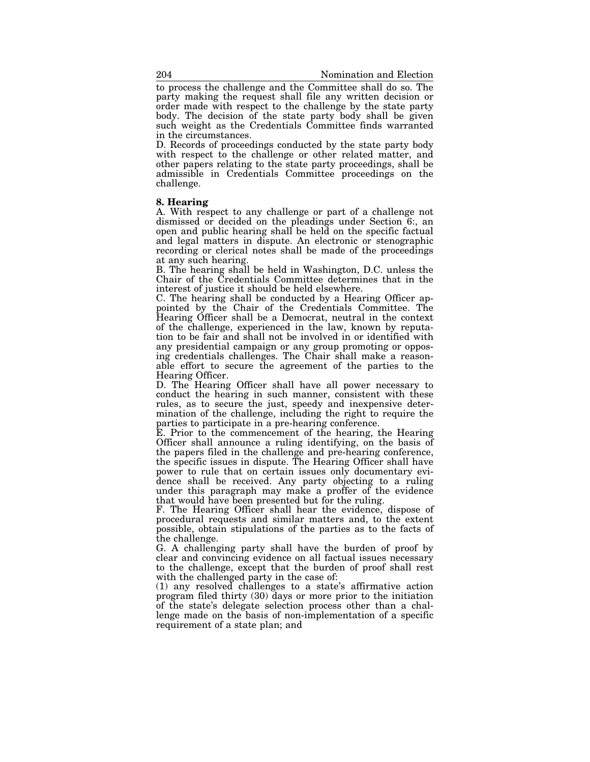to process the challenge and the Committee shall do so. The party making the request shall file any written decision or order made with respect to the challenge by the state party body. The decision of the state party body shall be given such weight as the Credentials Committee finds warranted in the circumstances.

D. Records of proceedings conducted by the state party body with respect to the challenge or other related matter, and other papers relating to the state party proceedings, shall be admissible in Credentials Committee proceedings on the challenge.

## **8. Hearing**

A. With respect to any challenge or part of a challenge not dismissed or decided on the pleadings under Section 6:, an open and public hearing shall be held on the specific factual and legal matters in dispute. An electronic or stenographic recording or clerical notes shall be made of the proceedings at any such hearing.

B. The hearing shall be held in Washington, D.C. unless the Chair of the Credentials Committee determines that in the interest of justice it should be held elsewhere.

C. The hearing shall be conducted by a Hearing Officer appointed by the Chair of the Credentials Committee. The Hearing Officer shall be a Democrat, neutral in the context of the challenge, experienced in the law, known by reputation to be fair and shall not be involved in or identified with any presidential campaign or any group promoting or opposing credentials challenges. The Chair shall make a reasonable effort to secure the agreement of the parties to the Hearing Officer.

D. The Hearing Officer shall have all power necessary to conduct the hearing in such manner, consistent with these rules, as to secure the just, speedy and inexpensive determination of the challenge, including the right to require the parties to participate in a pre-hearing conference.

E. Prior to the commencement of the hearing, the Hearing Officer shall announce a ruling identifying, on the basis of the papers filed in the challenge and pre-hearing conference, the specific issues in dispute. The Hearing Officer shall have power to rule that on certain issues only documentary evidence shall be received. Any party objecting to a ruling under this paragraph may make a proffer of the evidence that would have been presented but for the ruling.

F. The Hearing Officer shall hear the evidence, dispose of procedural requests and similar matters and, to the extent possible, obtain stipulations of the parties as to the facts of the challenge.

G. A challenging party shall have the burden of proof by clear and convincing evidence on all factual issues necessary to the challenge, except that the burden of proof shall rest with the challenged party in the case of:

(1) any resolved challenges to a state's affirmative action program filed thirty (30) days or more prior to the initiation of the state's delegate selection process other than a challenge made on the basis of non-implementation of a specific requirement of a state plan; and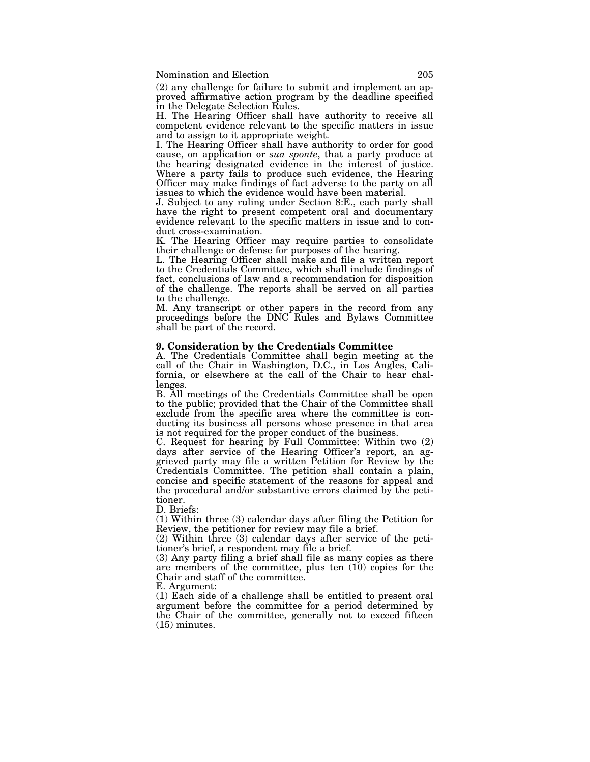(2) any challenge for failure to submit and implement an approved affirmative action program by the deadline specified in the Delegate Selection Rules.

H. The Hearing Officer shall have authority to receive all competent evidence relevant to the specific matters in issue and to assign to it appropriate weight.

I. The Hearing Officer shall have authority to order for good cause, on application or *sua sponte*, that a party produce at the hearing designated evidence in the interest of justice. Where a party fails to produce such evidence, the Hearing Officer may make findings of fact adverse to the party on all issues to which the evidence would have been material.

J. Subject to any ruling under Section 8:E., each party shall have the right to present competent oral and documentary evidence relevant to the specific matters in issue and to conduct cross-examination.

K. The Hearing Officer may require parties to consolidate their challenge or defense for purposes of the hearing.

L. The Hearing Officer shall make and file a written report to the Credentials Committee, which shall include findings of fact, conclusions of law and a recommendation for disposition of the challenge. The reports shall be served on all parties to the challenge.

M. Any transcript or other papers in the record from any proceedings before the DNC Rules and Bylaws Committee shall be part of the record.

# **9. Consideration by the Credentials Committee**

A. The Credentials Committee shall begin meeting at the call of the Chair in Washington, D.C., in Los Angles, California, or elsewhere at the call of the Chair to hear challenges.

B. All meetings of the Credentials Committee shall be open to the public; provided that the Chair of the Committee shall exclude from the specific area where the committee is conducting its business all persons whose presence in that area is not required for the proper conduct of the business.

C. Request for hearing by Full Committee: Within two (2) days after service of the Hearing Officer's report, an aggrieved party may file a written Petition for Review by the Credentials Committee. The petition shall contain a plain, concise and specific statement of the reasons for appeal and the procedural and/or substantive errors claimed by the petitioner.

D. Briefs:

(1) Within three (3) calendar days after filing the Petition for Review, the petitioner for review may file a brief.

(2) Within three (3) calendar days after service of the petitioner's brief, a respondent may file a brief.

(3) Any party filing a brief shall file as many copies as there are members of the committee, plus ten (10) copies for the Chair and staff of the committee.

E. Argument:

(1) Each side of a challenge shall be entitled to present oral argument before the committee for a period determined by the Chair of the committee, generally not to exceed fifteen (15) minutes.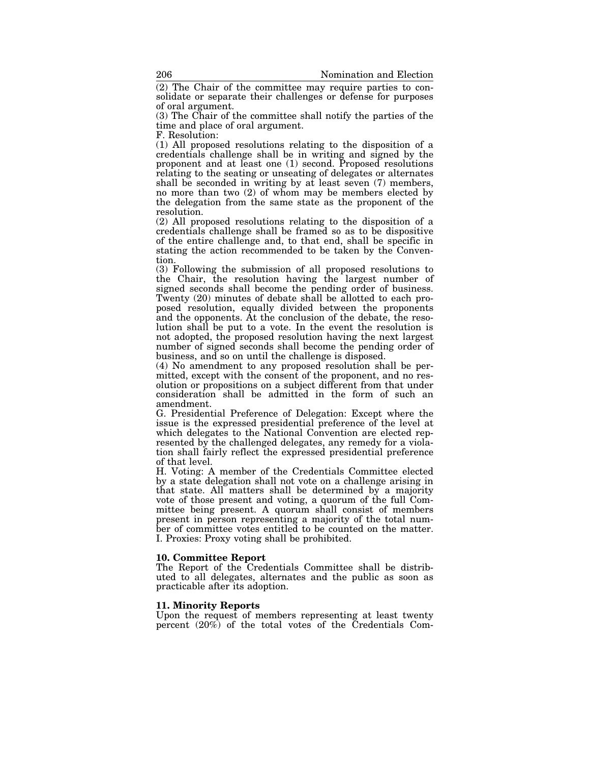(2) The Chair of the committee may require parties to consolidate or separate their challenges or defense for purposes of oral argument.

(3) The Chair of the committee shall notify the parties of the time and place of oral argument.

F. Resolution:

(1) All proposed resolutions relating to the disposition of a credentials challenge shall be in writing and signed by the proponent and at least one (1) second. Proposed resolutions relating to the seating or unseating of delegates or alternates shall be seconded in writing by at least seven (7) members, no more than two (2) of whom may be members elected by the delegation from the same state as the proponent of the resolution.

(2) All proposed resolutions relating to the disposition of a credentials challenge shall be framed so as to be dispositive of the entire challenge and, to that end, shall be specific in stating the action recommended to be taken by the Convention.

(3) Following the submission of all proposed resolutions to the Chair, the resolution having the largest number of signed seconds shall become the pending order of business. Twenty (20) minutes of debate shall be allotted to each proposed resolution, equally divided between the proponents and the opponents. At the conclusion of the debate, the resolution shall be put to a vote. In the event the resolution is not adopted, the proposed resolution having the next largest number of signed seconds shall become the pending order of business, and so on until the challenge is disposed.

(4) No amendment to any proposed resolution shall be permitted, except with the consent of the proponent, and no resolution or propositions on a subject different from that under consideration shall be admitted in the form of such an amendment.

G. Presidential Preference of Delegation: Except where the issue is the expressed presidential preference of the level at which delegates to the National Convention are elected represented by the challenged delegates, any remedy for a violation shall fairly reflect the expressed presidential preference of that level.

H. Voting: A member of the Credentials Committee elected by a state delegation shall not vote on a challenge arising in that state. All matters shall be determined by a majority vote of those present and voting, a quorum of the full Committee being present. A quorum shall consist of members present in person representing a majority of the total number of committee votes entitled to be counted on the matter. I. Proxies: Proxy voting shall be prohibited.

# **10. Committee Report**

The Report of the Credentials Committee shall be distributed to all delegates, alternates and the public as soon as practicable after its adoption.

# **11. Minority Reports**

Upon the request of members representing at least twenty percent (20%) of the total votes of the Credentials Com-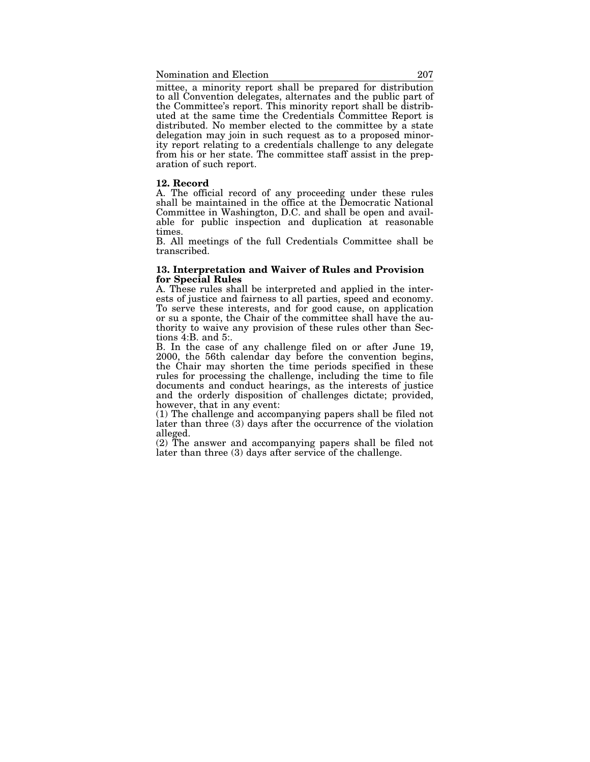mittee, a minority report shall be prepared for distribution to all Convention delegates, alternates and the public part of the Committee's report. This minority report shall be distributed at the same time the Credentials Committee Report is distributed. No member elected to the committee by a state delegation may join in such request as to a proposed minority report relating to a credentials challenge to any delegate from his or her state. The committee staff assist in the preparation of such report.

# **12. Record**

A. The official record of any proceeding under these rules shall be maintained in the office at the Democratic National Committee in Washington, D.C. and shall be open and available for public inspection and duplication at reasonable times.

B. All meetings of the full Credentials Committee shall be transcribed.

# **13. Interpretation and Waiver of Rules and Provision for Special Rules**

A. These rules shall be interpreted and applied in the interests of justice and fairness to all parties, speed and economy. To serve these interests, and for good cause, on application or su a sponte, the Chair of the committee shall have the authority to waive any provision of these rules other than Sections 4:B. and 5:.

B. In the case of any challenge filed on or after June 19, 2000, the 56th calendar day before the convention begins, the Chair may shorten the time periods specified in these rules for processing the challenge, including the time to file documents and conduct hearings, as the interests of justice and the orderly disposition of challenges dictate; provided, however, that in any event:

(1) The challenge and accompanying papers shall be filed not later than three (3) days after the occurrence of the violation alleged.

(2) The answer and accompanying papers shall be filed not later than three (3) days after service of the challenge.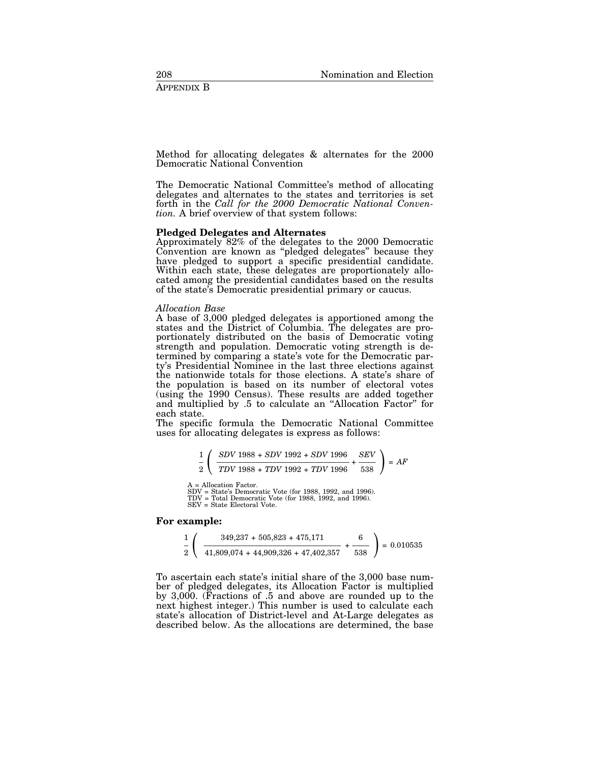APPENDIX B

Method for allocating delegates & alternates for the 2000 Democratic National Convention

The Democratic National Committee's method of allocating delegates and alternates to the states and territories is set forth in the *Call for the 2000 Democratic National Convention.* A brief overview of that system follows:

## **Pledged Delegates and Alternates**

Approximately 82% of the delegates to the 2000 Democratic Convention are known as ''pledged delegates'' because they have pledged to support a specific presidential candidate. Within each state, these delegates are proportionately allocated among the presidential candidates based on the results of the state's Democratic presidential primary or caucus.

#### *Allocation Base*

A base of 3,000 pledged delegates is apportioned among the states and the District of Columbia. The delegates are proportionately distributed on the basis of Democratic voting strength and population. Democratic voting strength is determined by comparing a state's vote for the Democratic party's Presidential Nominee in the last three elections against the nationwide totals for those elections. A state's share of the population is based on its number of electoral votes (using the 1990 Census). These results are added together and multiplied by .5 to calculate an ''Allocation Factor'' for each state.

The specific formula the Democratic National Committee uses for allocating delegates is express as follows:

$$
\frac{1}{2}\left(\ \frac{SDV~1988 + SDV~1992 + SDV~1996}{TDV~1988 + TDV~1992 + TDV~1996} + \frac{SEV}{538}\ \right) = AF
$$

A = Allocation Factor.

SDV = State's Democratic Vote (for 1988, 1992, and 1996). TDV = Total Democratic Vote (for 1988, 1992, and 1996). SEV = State Electoral Vote.

#### **For example:**

$$
\frac{1}{2} \left(\begin{array}{c} \frac{349,237 + 505,823 + 475,171}{41,809,074 + 44,909,326 + 47,402,357} + \frac{6}{538} \end{array}\right) = 0.010535
$$

To ascertain each state's initial share of the 3,000 base number of pledged delegates, its Allocation Factor is multiplied by 3,000. (Fractions of .5 and above are rounded up to the next highest integer.) This number is used to calculate each state's allocation of District-level and At-Large delegates as described below. As the allocations are determined, the base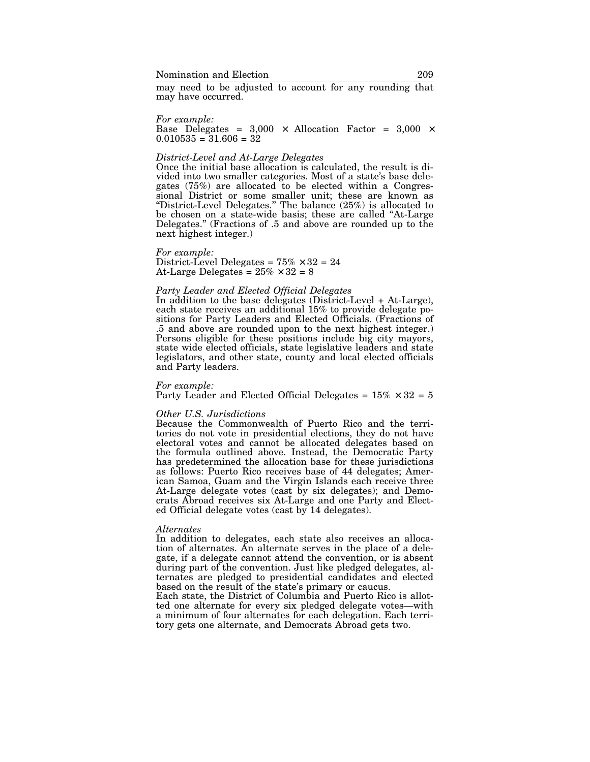may need to be adjusted to account for any rounding that may have occurred.

#### *For example:*

Base Delegates =  $3,000 \times$  Allocation Factor =  $3,000 \times$  $0.010535 = 31.606 = 32$ 

# *District-Level and At-Large Delegates*

Once the initial base allocation is calculated, the result is divided into two smaller categories. Most of a state's base delegates (75%) are allocated to be elected within a Congressional District or some smaller unit; these are known as "District-Level Delegates." The balance (25%) is allocated to be chosen on a state-wide basis; these are called ''At-Large Delegates.'' (Fractions of .5 and above are rounded up to the next highest integer.)

*For example:* District-Level Delegates =  $75\% \times 32 = 24$ At-Large Delegates =  $25\% \times 32 = 8$ 

# *Party Leader and Elected Official Delegates*

In addition to the base delegates (District-Level + At-Large), each state receives an additional 15% to provide delegate positions for Party Leaders and Elected Officials. (Fractions of .5 and above are rounded upon to the next highest integer.) Persons eligible for these positions include big city mayors, state wide elected officials, state legislative leaders and state legislators, and other state, county and local elected officials and Party leaders.

#### *For example:*

Party Leader and Elected Official Delegates =  $15\% \times 32 = 5$ 

#### *Other U.S. Jurisdictions*

Because the Commonwealth of Puerto Rico and the territories do not vote in presidential elections, they do not have electoral votes and cannot be allocated delegates based on the formula outlined above. Instead, the Democratic Party has predetermined the allocation base for these jurisdictions as follows: Puerto Rico receives base of 44 delegates; American Samoa, Guam and the Virgin Islands each receive three At-Large delegate votes (cast by six delegates); and Democrats Abroad receives six At-Large and one Party and Elected Official delegate votes (cast by 14 delegates).

#### *Alternates*

In addition to delegates, each state also receives an allocation of alternates. An alternate serves in the place of a delegate, if a delegate cannot attend the convention, or is absent during part of the convention. Just like pledged delegates, alternates are pledged to presidential candidates and elected based on the result of the state's primary or caucus.

Each state, the District of Columbia and Puerto Rico is allotted one alternate for every six pledged delegate votes—with a minimum of four alternates for each delegation. Each territory gets one alternate, and Democrats Abroad gets two.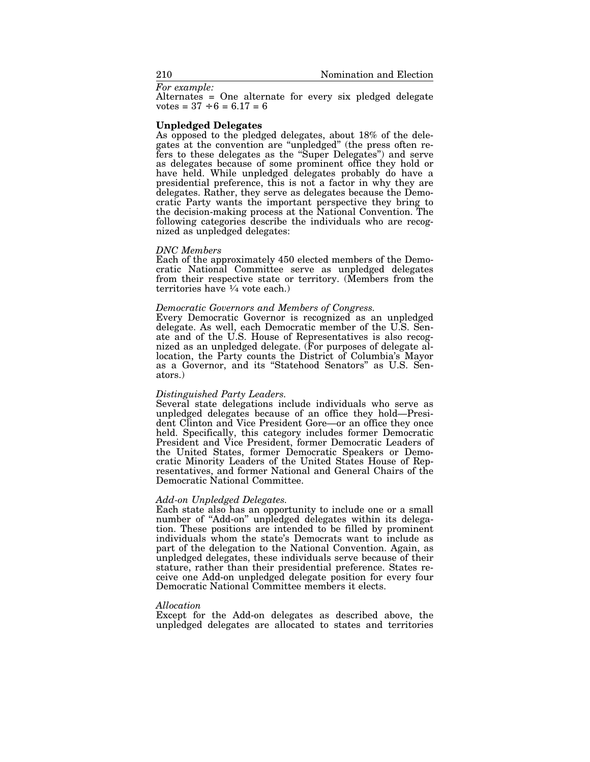*For example:*

Alternates = One alternate for every six pledged delegate  $votes = 37 \div 6 = 6.17 = 6$ 

# **Unpledged Delegates**

As opposed to the pledged delegates, about 18% of the delegates at the convention are ''unpledged'' (the press often refers to these delegates as the ''Super Delegates'') and serve as delegates because of some prominent office they hold or have held. While unpledged delegates probably do have a presidential preference, this is not a factor in why they are delegates. Rather, they serve as delegates because the Democratic Party wants the important perspective they bring to the decision-making process at the National Convention. The following categories describe the individuals who are recognized as unpledged delegates:

#### *DNC Members*

Each of the approximately 450 elected members of the Democratic National Committee serve as unpledged delegates from their respective state or territory. (Members from the territories have 1⁄4 vote each.)

# *Democratic Governors and Members of Congress.*

Every Democratic Governor is recognized as an unpledged delegate. As well, each Democratic member of the U.S. Senate and of the U.S. House of Representatives is also recognized as an unpledged delegate. (For purposes of delegate allocation, the Party counts the District of Columbia's Mayor as a Governor, and its ''Statehood Senators'' as U.S. Senators.)

# *Distinguished Party Leaders.*

Several state delegations include individuals who serve as unpledged delegates because of an office they hold—President Clinton and Vice President Gore—or an office they once held. Specifically, this category includes former Democratic President and Vice President, former Democratic Leaders of the United States, former Democratic Speakers or Democratic Minority Leaders of the United States House of Representatives, and former National and General Chairs of the Democratic National Committee.

#### *Add-on Unpledged Delegates.*

Each state also has an opportunity to include one or a small number of "Add-on" unpledged delegates within its delegation. These positions are intended to be filled by prominent individuals whom the state's Democrats want to include as part of the delegation to the National Convention. Again, as unpledged delegates, these individuals serve because of their stature, rather than their presidential preference. States receive one Add-on unpledged delegate position for every four Democratic National Committee members it elects.

#### *Allocation*

Except for the Add-on delegates as described above, the unpledged delegates are allocated to states and territories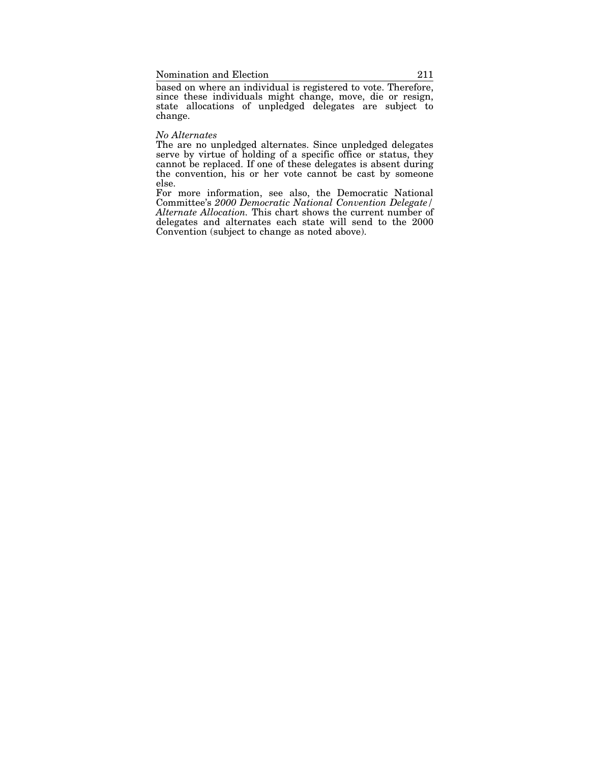based on where an individual is registered to vote. Therefore, since these individuals might change, move, die or resign, state allocations of unpledged delegates are subject to change.

# *No Alternates*

The are no unpledged alternates. Since unpledged delegates serve by virtue of holding of a specific office or status, they cannot be replaced. If one of these delegates is absent during the convention, his or her vote cannot be cast by someone else.

For more information, see also, the Democratic National Committee's *2000 Democratic National Convention Delegate/ Alternate Allocation.* This chart shows the current number of delegates and alternates each state will send to the 2000 Convention (subject to change as noted above).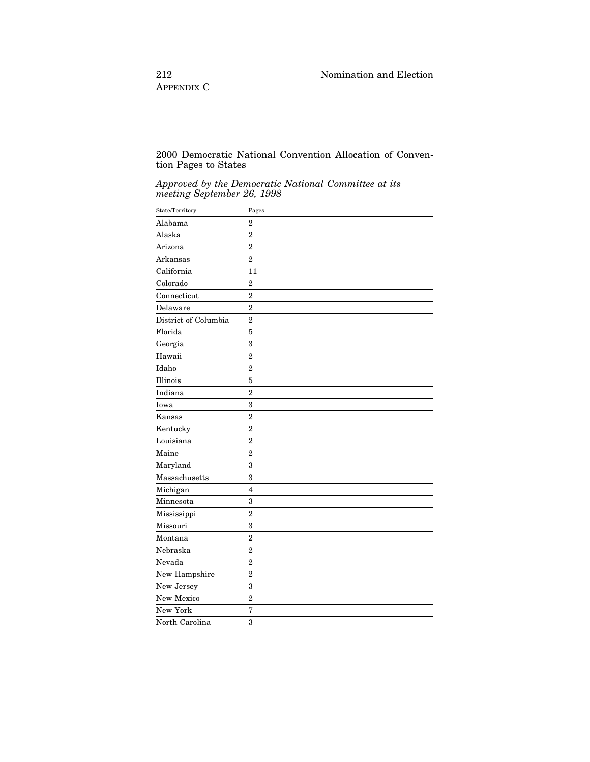APPENDIX C

# 2000 Democratic National Convention Allocation of Convention Pages to States

*Approved by the Democratic National Committee at its meeting September 26, 1998*

| State/Territory      | Pages          |
|----------------------|----------------|
| Alabama              | $\overline{2}$ |
| Alaska               | $\overline{2}$ |
| Arizona              | $\overline{2}$ |
| Arkansas             | $\overline{2}$ |
| California           | 11             |
| Colorado             | $\overline{2}$ |
| Connecticut          | $\overline{2}$ |
| Delaware             | $\overline{2}$ |
| District of Columbia | $\overline{2}$ |
| Florida              | 5              |
| Georgia              | 3              |
| Hawaii               | $\overline{2}$ |
| Idaho                | $\overline{2}$ |
| Illinois             | 5              |
| Indiana              | $\overline{2}$ |
| Iowa                 | 3              |
| Kansas               | $\overline{2}$ |
| Kentucky             | $\overline{2}$ |
| Louisiana            | $\overline{2}$ |
| Maine                | $\overline{2}$ |
| Maryland             | 3              |
| Massachusetts        | 3              |
| Michigan             | 4              |
| Minnesota            | 3              |
| Mississippi          | $\overline{2}$ |
| Missouri             | 3              |
| Montana              | $\overline{2}$ |
| Nebraska             | $\overline{2}$ |
| Nevada               | $\overline{2}$ |
| New Hampshire        | 2              |
| New Jersey           | 3              |
| New Mexico           | $\overline{2}$ |
| New York             | 7              |
| North Carolina       | 3              |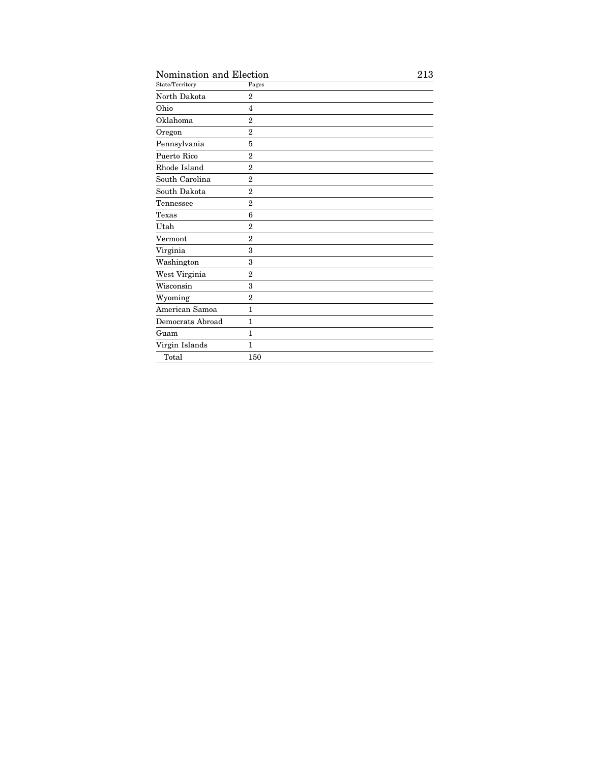| Nomination and Election |                             | 213 |
|-------------------------|-----------------------------|-----|
| State/Territory         | Pages                       |     |
| North Dakota            | $\overline{2}$              |     |
| Ohio                    | $\overline{4}$              |     |
| Oklahoma                | $\overline{2}$              |     |
| Oregon                  | $\overline{2}$              |     |
| Pennsylvania            | $\overline{5}$              |     |
| Puerto Rico             | $\overline{2}$              |     |
| Rhode Island            | $\overline{2}$              |     |
| South Carolina          | $\overline{2}$              |     |
| South Dakota            | $\overline{2}$              |     |
| Tennessee               | $\overline{2}$              |     |
| Texas                   | 6                           |     |
| Utah                    | $\mathcal{D}_{\mathcal{L}}$ |     |
| Vermont                 | $\overline{2}$              |     |
| Virginia                | 3                           |     |
| Washington              | 3                           |     |
| West Virginia           | $\overline{2}$              |     |
| Wisconsin               | 3                           |     |
| Wyoming                 | $\overline{2}$              |     |
| American Samoa          | 1                           |     |
| Democrats Abroad        | 1                           |     |
| Guam                    | 1                           |     |
| Virgin Islands          | 1                           |     |
| Total                   | 150                         |     |
|                         |                             |     |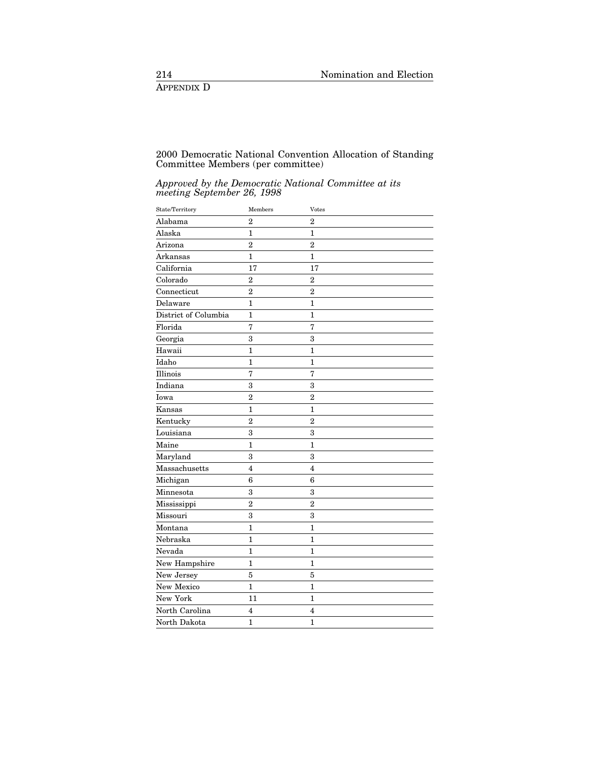APPENDIX D

# 2000 Democratic National Convention Allocation of Standing Committee Members (per committee)

# *Approved by the Democratic National Committee at its meeting September 26, 1998*

| State/Territory      | Members                 | <b>Votes</b>     |  |
|----------------------|-------------------------|------------------|--|
| Alabama              | 2                       | $\overline{2}$   |  |
| Alaska               | $\mathbf{1}$            | 1                |  |
| Arizona              | $\overline{2}$          | $\overline{2}$   |  |
| Arkansas             | 1                       | 1                |  |
| California           | 17                      | 17               |  |
| Colorado             | 2                       | 2                |  |
| Connecticut          | $\overline{2}$          | $\boldsymbol{2}$ |  |
| Delaware             | 1                       | 1                |  |
| District of Columbia | 1                       | 1                |  |
| Florida              | 7                       | 7                |  |
| Georgia              | 3                       | 3                |  |
| Hawaii               | 1                       | 1                |  |
| Idaho                | 1                       | 1                |  |
| Illinois             | 7                       | 7                |  |
| Indiana              | 3                       | 3                |  |
| Iowa                 | $\overline{2}$          | $\overline{2}$   |  |
| Kansas               | 1                       | 1                |  |
| Kentucky             | 2                       | 2                |  |
| Louisiana            | 3                       | 3                |  |
| Maine                | 1                       | 1                |  |
| Maryland             | 3                       | 3                |  |
| Massachusetts        | $\overline{\mathbf{4}}$ | $\overline{4}$   |  |
| Michigan             | 6                       | 6                |  |
| Minnesota            | 3                       | 3                |  |
| Mississippi          | $\overline{2}$          | $\overline{2}$   |  |
| Missouri             | 3                       | 3                |  |
| Montana              | 1                       | 1                |  |
| Nebraska             | 1                       | 1                |  |
| Nevada               | 1                       | 1                |  |
| New Hampshire        | 1                       | 1                |  |
| New Jersey           | 5                       | 5                |  |
| New Mexico           | 1                       | 1                |  |
| New York             | 11                      | 1                |  |
| North Carolina       | 4                       | 4                |  |
| North Dakota         | 1                       | 1                |  |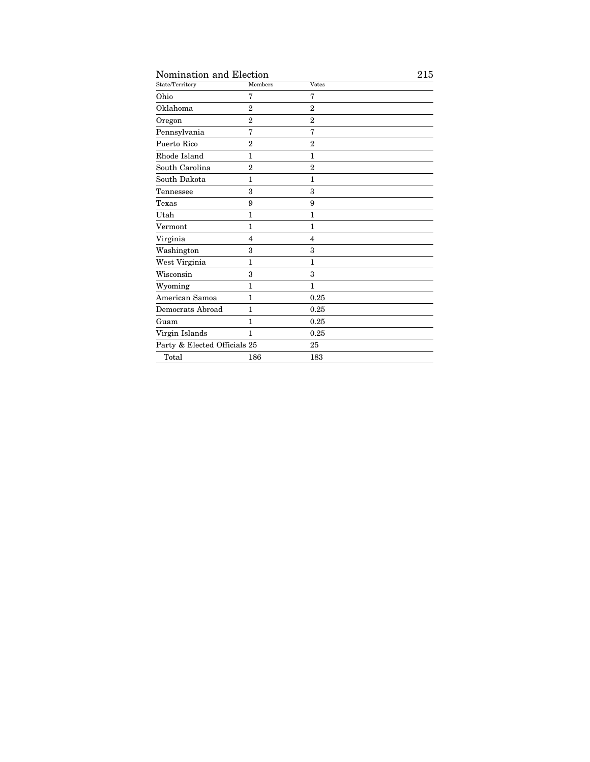| Nomination and Election      |                |                | 215 |
|------------------------------|----------------|----------------|-----|
| State/Territory              | Members        | <b>Votes</b>   |     |
| Ohio                         | 7              | 7              |     |
| Oklahoma                     | $\overline{2}$ | $\overline{2}$ |     |
| Oregon                       | $\overline{2}$ | $\overline{2}$ |     |
| Pennsylvania                 | 7              | 7              |     |
| Puerto Rico                  | $\overline{2}$ | $\overline{2}$ |     |
| Rhode Island                 | $\mathbf{1}$   | $\mathbf{1}$   |     |
| South Carolina               | $\overline{2}$ | $\overline{2}$ |     |
| South Dakota                 | $\mathbf{1}$   | $\mathbf{1}$   |     |
| Tennessee                    | 3              | 3              |     |
| Texas                        | 9              | 9              |     |
| Utah                         | $\mathbf{1}$   | $\mathbf{1}$   |     |
| Vermont                      | 1              | 1              |     |
| Virginia                     | $\overline{4}$ | 4              |     |
| Washington                   | 3              | 3              |     |
| West Virginia                | 1              | 1              |     |
| Wisconsin                    | 3              | 3              |     |
| Wyoming                      | $\mathbf{1}$   | $\mathbf{1}$   |     |
| American Samoa               | 1              | 0.25           |     |
| Democrats Abroad             | 1              | 0.25           |     |
| Guam                         | 1              | 0.25           |     |
| Virgin Islands               | 1              | 0.25           |     |
| Party & Elected Officials 25 |                | 25             |     |
| Total                        | 186            | 183            |     |
|                              |                |                |     |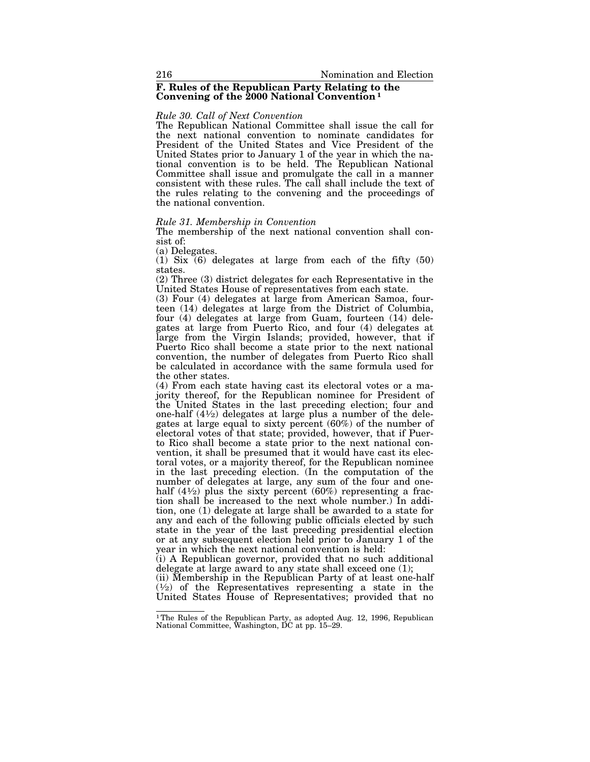# **F. Rules of the Republican Party Relating to the Convening of the 2000 National Convention1**

## *Rule 30. Call of Next Convention*

The Republican National Committee shall issue the call for the next national convention to nominate candidates for President of the United States and Vice President of the United States prior to January 1 of the year in which the national convention is to be held. The Republican National Committee shall issue and promulgate the call in a manner consistent with these rules. The call shall include the text of the rules relating to the convening and the proceedings of the national convention.

# *Rule 31. Membership in Convention*

The membership of the next national convention shall consist of:

(a) Delegates.

(1) Six (6) delegates at large from each of the fifty (50) states.

(2) Three (3) district delegates for each Representative in the United States House of representatives from each state.

(3) Four (4) delegates at large from American Samoa, fourteen (14) delegates at large from the District of Columbia, four (4) delegates at large from Guam, fourteen (14) delegates at large from Puerto Rico, and four (4) delegates at large from the Virgin Islands; provided, however, that if Puerto Rico shall become a state prior to the next national convention, the number of delegates from Puerto Rico shall be calculated in accordance with the same formula used for the other states.

(4) From each state having cast its electoral votes or a majority thereof, for the Republican nominee for President of the United States in the last preceding election; four and one-half  $(4\frac{1}{2})$  delegates at large plus a number of the delegates at large equal to sixty percent (60%) of the number of electoral votes of that state; provided, however, that if Puerto Rico shall become a state prior to the next national convention, it shall be presumed that it would have cast its electoral votes, or a majority thereof, for the Republican nominee in the last preceding election. (In the computation of the number of delegates at large, any sum of the four and onehalf  $(4\frac{1}{2})$  plus the sixty percent  $(60\%)$  representing a fraction shall be increased to the next whole number.) In addition, one (1) delegate at large shall be awarded to a state for any and each of the following public officials elected by such state in the year of the last preceding presidential election or at any subsequent election held prior to January 1 of the year in which the next national convention is held:

(i) A Republican governor, provided that no such additional delegate at large award to any state shall exceed one (1);

(ii) Membership in the Republican Party of at least one-half  $(1/2)$  of the Representatives representing a state in the United States House of Representatives; provided that no

<sup>&</sup>lt;sup>1</sup>The Rules of the Republican Party, as adopted Aug. 12, 1996, Republican National Committee, Washington, DC at pp. 15–29.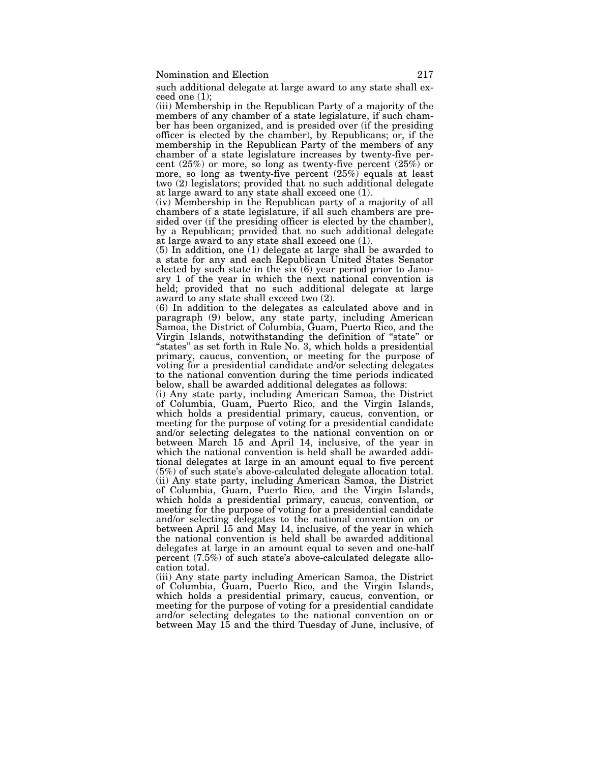such additional delegate at large award to any state shall exceed one (1);

(iii) Membership in the Republican Party of a majority of the members of any chamber of a state legislature, if such chamber has been organized, and is presided over (if the presiding officer is elected by the chamber), by Republicans; or, if the membership in the Republican Party of the members of any chamber of a state legislature increases by twenty-five percent (25%) or more, so long as twenty-five percent (25%) or more, so long as twenty-five percent (25%) equals at least two (2) legislators; provided that no such additional delegate at large award to any state shall exceed one (1).

(iv) Membership in the Republican party of a majority of all chambers of a state legislature, if all such chambers are presided over (if the presiding officer is elected by the chamber), by a Republican; provided that no such additional delegate at large award to any state shall exceed one (1).

(5) In addition, one (1) delegate at large shall be awarded to a state for any and each Republican United States Senator elected by such state in the six (6) year period prior to January 1 of the year in which the next national convention is held; provided that no such additional delegate at large award to any state shall exceed two (2).

(6) In addition to the delegates as calculated above and in paragraph (9) below, any state party, including American Samoa, the District of Columbia, Guam, Puerto Rico, and the Virgin Islands, notwithstanding the definition of ''state'' or "states" as set forth in Rule No. 3, which holds a presidential primary, caucus, convention, or meeting for the purpose of voting for a presidential candidate and/or selecting delegates to the national convention during the time periods indicated below, shall be awarded additional delegates as follows:

(i) Any state party, including American Samoa, the District of Columbia, Guam, Puerto Rico, and the Virgin Islands, which holds a presidential primary, caucus, convention, or meeting for the purpose of voting for a presidential candidate and/or selecting delegates to the national convention on or between March 15 and April 14, inclusive, of the year in which the national convention is held shall be awarded additional delegates at large in an amount equal to five percent (5%) of such state's above-calculated delegate allocation total. (ii) Any state party, including American Samoa, the District of Columbia, Guam, Puerto Rico, and the Virgin Islands, which holds a presidential primary, caucus, convention, or meeting for the purpose of voting for a presidential candidate and/or selecting delegates to the national convention on or between April 15 and May 14, inclusive, of the year in which the national convention is held shall be awarded additional delegates at large in an amount equal to seven and one-half percent (7.5%) of such state's above-calculated delegate allocation total.

(iii) Any state party including American Samoa, the District of Columbia, Guam, Puerto Rico, and the Virgin Islands, which holds a presidential primary, caucus, convention, or meeting for the purpose of voting for a presidential candidate and/or selecting delegates to the national convention on or between May 15 and the third Tuesday of June, inclusive, of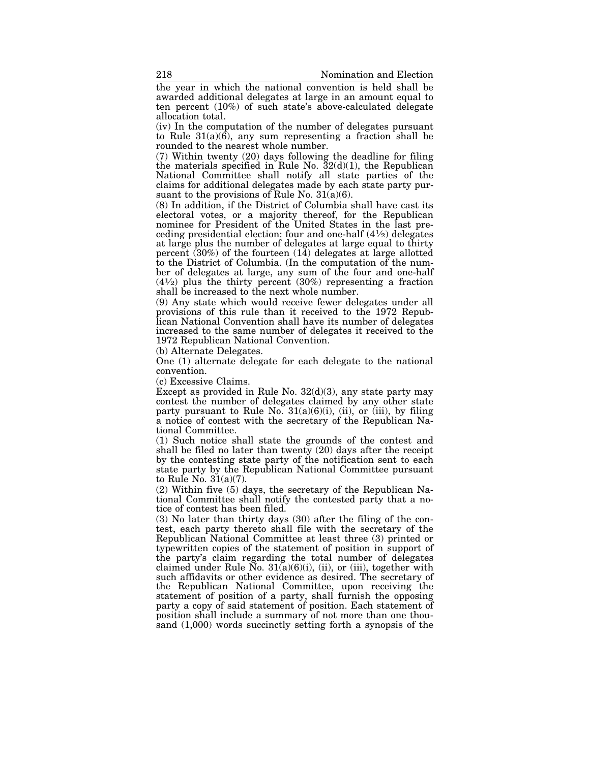the year in which the national convention is held shall be awarded additional delegates at large in an amount equal to ten percent (10%) of such state's above-calculated delegate allocation total.

(iv) In the computation of the number of delegates pursuant to Rule  $31(a)(6)$ , any sum representing a fraction shall be rounded to the nearest whole number.

(7) Within twenty (20) days following the deadline for filing the materials specified in Rule No.  $32(d)(1)$ , the Republican National Committee shall notify all state parties of the claims for additional delegates made by each state party pursuant to the provisions of Rule No.  $31(a)(6)$ .

(8) In addition, if the District of Columbia shall have cast its electoral votes, or a majority thereof, for the Republican nominee for President of the United States in the last preceding presidential election: four and one-half  $(4\frac{1}{2})$  delegates at large plus the number of delegates at large equal to thirty percent (30%) of the fourteen (14) delegates at large allotted to the District of Columbia. (In the computation of the number of delegates at large, any sum of the four and one-half  $(4\frac{1}{2})$  plus the thirty percent  $(30\%)$  representing a fraction shall be increased to the next whole number.

(9) Any state which would receive fewer delegates under all provisions of this rule than it received to the 1972 Republican National Convention shall have its number of delegates increased to the same number of delegates it received to the 1972 Republican National Convention.

(b) Alternate Delegates.

One (1) alternate delegate for each delegate to the national convention.

(c) Excessive Claims.

Except as provided in Rule No.  $32(d)(3)$ , any state party may contest the number of delegates claimed by any other state party pursuant to Rule No.  $31(a)(6)(i)$ , (ii), or (iii), by filing a notice of contest with the secretary of the Republican National Committee.

(1) Such notice shall state the grounds of the contest and shall be filed no later than twenty (20) days after the receipt by the contesting state party of the notification sent to each state party by the Republican National Committee pursuant to Rule No. 31(a)(7).

(2) Within five (5) days, the secretary of the Republican National Committee shall notify the contested party that a notice of contest has been filed.

(3) No later than thirty days (30) after the filing of the contest, each party thereto shall file with the secretary of the Republican National Committee at least three (3) printed or typewritten copies of the statement of position in support of the party's claim regarding the total number of delegates claimed under Rule No.  $31(a)(6)(i)$ , (ii), or (iii), together with such affidavits or other evidence as desired. The secretary of the Republican National Committee, upon receiving the statement of position of a party, shall furnish the opposing party a copy of said statement of position. Each statement of position shall include a summary of not more than one thousand (1,000) words succinctly setting forth a synopsis of the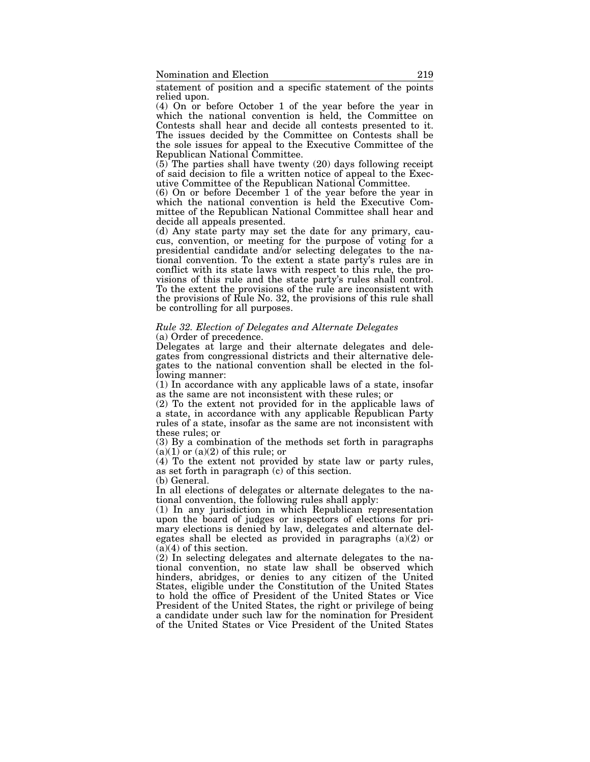statement of position and a specific statement of the points relied upon.

(4) On or before October 1 of the year before the year in which the national convention is held, the Committee on Contests shall hear and decide all contests presented to it. The issues decided by the Committee on Contests shall be the sole issues for appeal to the Executive Committee of the Republican National Committee.

(5) The parties shall have twenty (20) days following receipt of said decision to file a written notice of appeal to the Executive Committee of the Republican National Committee.

(6) On or before December 1 of the year before the year in which the national convention is held the Executive Committee of the Republican National Committee shall hear and decide all appeals presented.

(d) Any state party may set the date for any primary, caucus, convention, or meeting for the purpose of voting for a presidential candidate and/or selecting delegates to the national convention. To the extent a state party's rules are in conflict with its state laws with respect to this rule, the provisions of this rule and the state party's rules shall control. To the extent the provisions of the rule are inconsistent with the provisions of Rule No. 32, the provisions of this rule shall be controlling for all purposes.

# *Rule 32. Election of Delegates and Alternate Delegates* (a) Order of precedence.

Delegates at large and their alternate delegates and delegates from congressional districts and their alternative delegates to the national convention shall be elected in the following manner:

(1) In accordance with any applicable laws of a state, insofar as the same are not inconsistent with these rules; or

(2) To the extent not provided for in the applicable laws of a state, in accordance with any applicable Republican Party rules of a state, insofar as the same are not inconsistent with these rules; or

(3) By a combination of the methods set forth in paragraphs  $(a)(1)$  or  $(a)(2)$  of this rule; or

(4) To the extent not provided by state law or party rules, as set forth in paragraph (c) of this section.

(b) General.

In all elections of delegates or alternate delegates to the national convention, the following rules shall apply:

(1) In any jurisdiction in which Republican representation upon the board of judges or inspectors of elections for primary elections is denied by law, delegates and alternate delegates shall be elected as provided in paragraphs (a)(2) or  $(a)(4)$  of this section.

(2) In selecting delegates and alternate delegates to the national convention, no state law shall be observed which hinders, abridges, or denies to any citizen of the United States, eligible under the Constitution of the United States to hold the office of President of the United States or Vice President of the United States, the right or privilege of being a candidate under such law for the nomination for President of the United States or Vice President of the United States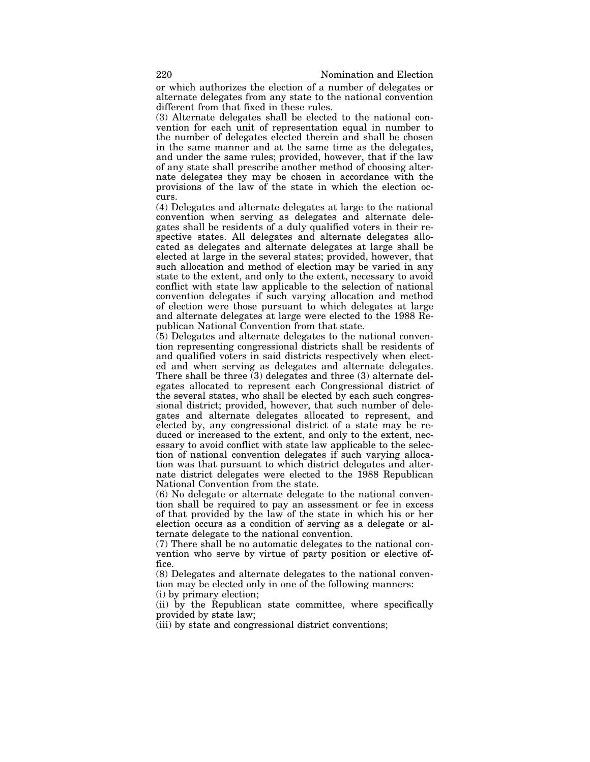or which authorizes the election of a number of delegates or alternate delegates from any state to the national convention different from that fixed in these rules.

(3) Alternate delegates shall be elected to the national convention for each unit of representation equal in number to the number of delegates elected therein and shall be chosen in the same manner and at the same time as the delegates, and under the same rules; provided, however, that if the law of any state shall prescribe another method of choosing alternate delegates they may be chosen in accordance with the provisions of the law of the state in which the election occurs.

(4) Delegates and alternate delegates at large to the national convention when serving as delegates and alternate delegates shall be residents of a duly qualified voters in their respective states. All delegates and alternate delegates allocated as delegates and alternate delegates at large shall be elected at large in the several states; provided, however, that such allocation and method of election may be varied in any state to the extent, and only to the extent, necessary to avoid conflict with state law applicable to the selection of national convention delegates if such varying allocation and method of election were those pursuant to which delegates at large and alternate delegates at large were elected to the 1988 Republican National Convention from that state.

(5) Delegates and alternate delegates to the national convention representing congressional districts shall be residents of and qualified voters in said districts respectively when elected and when serving as delegates and alternate delegates. There shall be three  $(3)$  delegates and three  $(3)$  alternate delegates allocated to represent each Congressional district of the several states, who shall be elected by each such congressional district; provided, however, that such number of delegates and alternate delegates allocated to represent, and elected by, any congressional district of a state may be reduced or increased to the extent, and only to the extent, necessary to avoid conflict with state law applicable to the selection of national convention delegates if such varying allocation was that pursuant to which district delegates and alternate district delegates were elected to the 1988 Republican National Convention from the state.

(6) No delegate or alternate delegate to the national convention shall be required to pay an assessment or fee in excess of that provided by the law of the state in which his or her election occurs as a condition of serving as a delegate or alternate delegate to the national convention.

(7) There shall be no automatic delegates to the national convention who serve by virtue of party position or elective office.

(8) Delegates and alternate delegates to the national convention may be elected only in one of the following manners:

(i) by primary election;

(ii) by the Republican state committee, where specifically provided by state law;

(iii) by state and congressional district conventions;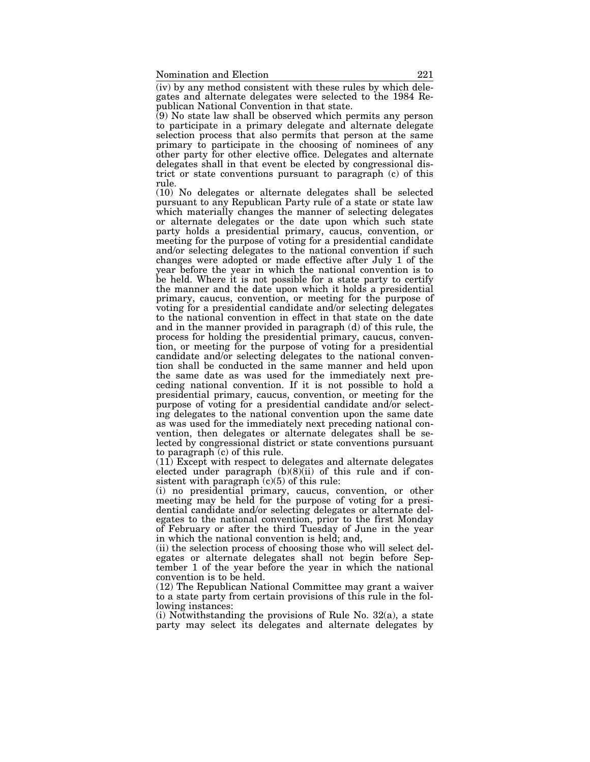(iv) by any method consistent with these rules by which delegates and alternate delegates were selected to the 1984 Republican National Convention in that state.

(9) No state law shall be observed which permits any person to participate in a primary delegate and alternate delegate selection process that also permits that person at the same primary to participate in the choosing of nominees of any other party for other elective office. Delegates and alternate delegates shall in that event be elected by congressional district or state conventions pursuant to paragraph (c) of this rule.

(10) No delegates or alternate delegates shall be selected pursuant to any Republican Party rule of a state or state law which materially changes the manner of selecting delegates or alternate delegates or the date upon which such state party holds a presidential primary, caucus, convention, or meeting for the purpose of voting for a presidential candidate and/or selecting delegates to the national convention if such changes were adopted or made effective after July 1 of the year before the year in which the national convention is to be held. Where it is not possible for a state party to certify the manner and the date upon which it holds a presidential primary, caucus, convention, or meeting for the purpose of voting for a presidential candidate and/or selecting delegates to the national convention in effect in that state on the date and in the manner provided in paragraph (d) of this rule, the process for holding the presidential primary, caucus, convention, or meeting for the purpose of voting for a presidential candidate and/or selecting delegates to the national convention shall be conducted in the same manner and held upon the same date as was used for the immediately next preceding national convention. If it is not possible to hold a presidential primary, caucus, convention, or meeting for the purpose of voting for a presidential candidate and/or selecting delegates to the national convention upon the same date as was used for the immediately next preceding national convention, then delegates or alternate delegates shall be selected by congressional district or state conventions pursuant to paragraph (c) of this rule.

(11) Except with respect to delegates and alternate delegates elected under paragraph  $(b)(8)(ii)$  of this rule and if consistent with paragraph  $(c)(5)$  of this rule:

(i) no presidential primary, caucus, convention, or other meeting may be held for the purpose of voting for a presidential candidate and/or selecting delegates or alternate delegates to the national convention, prior to the first Monday of February or after the third Tuesday of June in the year in which the national convention is held; and,

(ii) the selection process of choosing those who will select delegates or alternate delegates shall not begin before September 1 of the year before the year in which the national convention is to be held.

(12) The Republican National Committee may grant a waiver to a state party from certain provisions of this rule in the following instances:

(i) Notwithstanding the provisions of Rule No. 32(a), a state party may select its delegates and alternate delegates by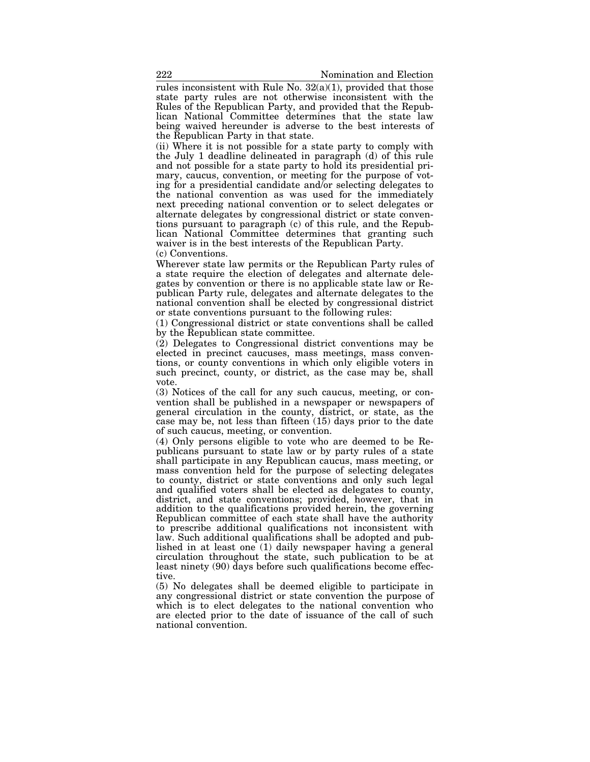rules inconsistent with Rule No. 32(a)(1), provided that those state party rules are not otherwise inconsistent with the Rules of the Republican Party, and provided that the Republican National Committee determines that the state law being waived hereunder is adverse to the best interests of the Republican Party in that state.

(ii) Where it is not possible for a state party to comply with the July 1 deadline delineated in paragraph (d) of this rule and not possible for a state party to hold its presidential primary, caucus, convention, or meeting for the purpose of voting for a presidential candidate and/or selecting delegates to the national convention as was used for the immediately next preceding national convention or to select delegates or alternate delegates by congressional district or state conventions pursuant to paragraph (c) of this rule, and the Republican National Committee determines that granting such waiver is in the best interests of the Republican Party. (c) Conventions.

Wherever state law permits or the Republican Party rules of a state require the election of delegates and alternate delegates by convention or there is no applicable state law or Republican Party rule, delegates and alternate delegates to the national convention shall be elected by congressional district or state conventions pursuant to the following rules:

(1) Congressional district or state conventions shall be called by the Republican state committee.

(2) Delegates to Congressional district conventions may be elected in precinct caucuses, mass meetings, mass conventions, or county conventions in which only eligible voters in such precinct, county, or district, as the case may be, shall vote.

(3) Notices of the call for any such caucus, meeting, or convention shall be published in a newspaper or newspapers of general circulation in the county, district, or state, as the case may be, not less than fifteen (15) days prior to the date of such caucus, meeting, or convention.

(4) Only persons eligible to vote who are deemed to be Republicans pursuant to state law or by party rules of a state shall participate in any Republican caucus, mass meeting, or mass convention held for the purpose of selecting delegates to county, district or state conventions and only such legal and qualified voters shall be elected as delegates to county, district, and state conventions; provided, however, that in addition to the qualifications provided herein, the governing Republican committee of each state shall have the authority to prescribe additional qualifications not inconsistent with law. Such additional qualifications shall be adopted and published in at least one (1) daily newspaper having a general circulation throughout the state, such publication to be at least ninety (90) days before such qualifications become effective.

(5) No delegates shall be deemed eligible to participate in any congressional district or state convention the purpose of which is to elect delegates to the national convention who are elected prior to the date of issuance of the call of such national convention.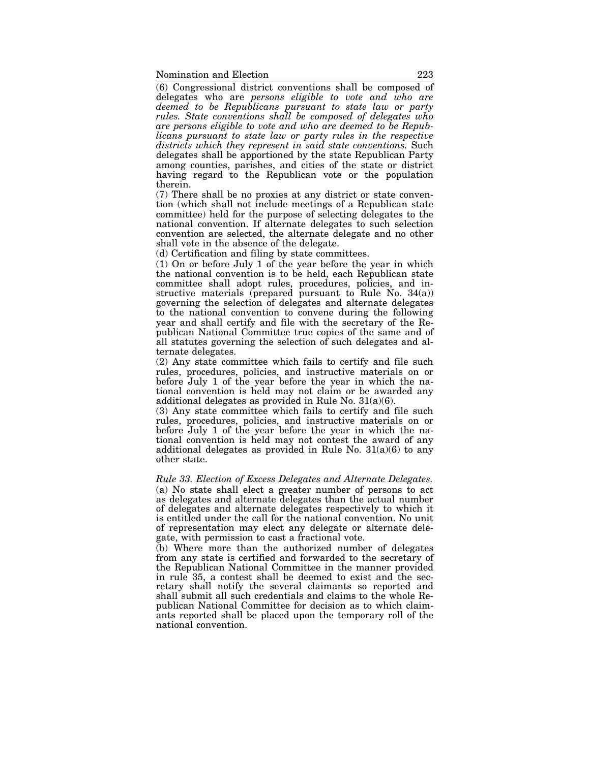(6) Congressional district conventions shall be composed of delegates who are *persons eligible to vote and who are deemed to be Republicans pursuant to state law or party rules. State conventions shall be composed of delegates who are persons eligible to vote and who are deemed to be Republicans pursuant to state law or party rules in the respective districts which they represent in said state conventions.* Such delegates shall be apportioned by the state Republican Party among counties, parishes, and cities of the state or district having regard to the Republican vote or the population therein.

(7) There shall be no proxies at any district or state convention (which shall not include meetings of a Republican state committee) held for the purpose of selecting delegates to the national convention. If alternate delegates to such selection convention are selected, the alternate delegate and no other shall vote in the absence of the delegate.

(d) Certification and filing by state committees.

(1) On or before July 1 of the year before the year in which the national convention is to be held, each Republican state committee shall adopt rules, procedures, policies, and instructive materials (prepared pursuant to Rule No. 34(a)) governing the selection of delegates and alternate delegates to the national convention to convene during the following year and shall certify and file with the secretary of the Republican National Committee true copies of the same and of all statutes governing the selection of such delegates and alternate delegates.

(2) Any state committee which fails to certify and file such rules, procedures, policies, and instructive materials on or before July 1 of the year before the year in which the national convention is held may not claim or be awarded any additional delegates as provided in Rule No. 31(a)(6).

(3) Any state committee which fails to certify and file such rules, procedures, policies, and instructive materials on or before July 1 of the year before the year in which the national convention is held may not contest the award of any additional delegates as provided in Rule No.  $31(a)(6)$  to any other state.

*Rule 33. Election of Excess Delegates and Alternate Delegates.* (a) No state shall elect a greater number of persons to act as delegates and alternate delegates than the actual number of delegates and alternate delegates respectively to which it is entitled under the call for the national convention. No unit of representation may elect any delegate or alternate delegate, with permission to cast a fractional vote.

(b) Where more than the authorized number of delegates from any state is certified and forwarded to the secretary of the Republican National Committee in the manner provided in rule 35, a contest shall be deemed to exist and the secretary shall notify the several claimants so reported and shall submit all such credentials and claims to the whole Republican National Committee for decision as to which claimants reported shall be placed upon the temporary roll of the national convention.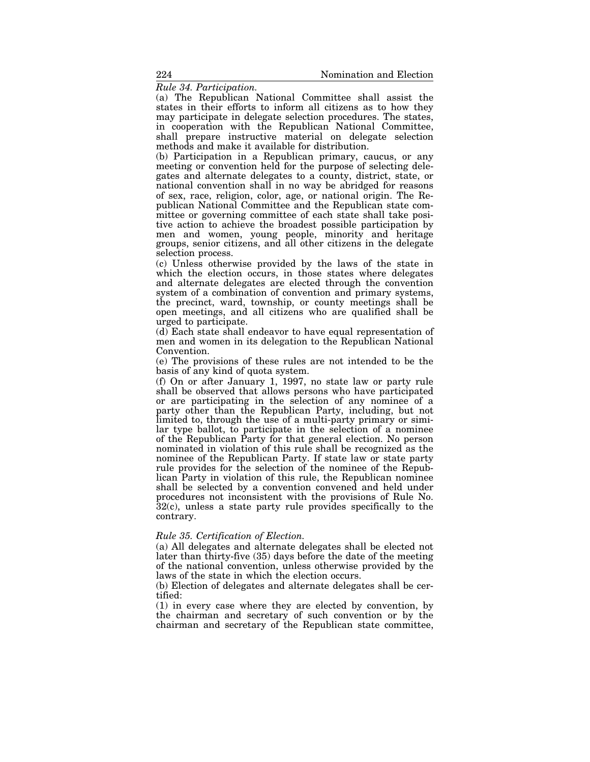*Rule 34. Participation.*

(a) The Republican National Committee shall assist the states in their efforts to inform all citizens as to how they may participate in delegate selection procedures. The states, in cooperation with the Republican National Committee, shall prepare instructive material on delegate selection methods and make it available for distribution.

(b) Participation in a Republican primary, caucus, or any meeting or convention held for the purpose of selecting delegates and alternate delegates to a county, district, state, or national convention shall in no way be abridged for reasons of sex, race, religion, color, age, or national origin. The Republican National Committee and the Republican state committee or governing committee of each state shall take positive action to achieve the broadest possible participation by men and women, young people, minority and heritage groups, senior citizens, and all other citizens in the delegate selection process.

(c) Unless otherwise provided by the laws of the state in which the election occurs, in those states where delegates and alternate delegates are elected through the convention system of a combination of convention and primary systems, the precinct, ward, township, or county meetings shall be open meetings, and all citizens who are qualified shall be urged to participate.

(d) Each state shall endeavor to have equal representation of men and women in its delegation to the Republican National Convention.

(e) The provisions of these rules are not intended to be the basis of any kind of quota system.

(f) On or after January 1, 1997, no state law or party rule shall be observed that allows persons who have participated or are participating in the selection of any nominee of a party other than the Republican Party, including, but not limited to, through the use of a multi-party primary or similar type ballot, to participate in the selection of a nominee of the Republican Party for that general election. No person nominated in violation of this rule shall be recognized as the nominee of the Republican Party. If state law or state party rule provides for the selection of the nominee of the Republican Party in violation of this rule, the Republican nominee shall be selected by a convention convened and held under procedures not inconsistent with the provisions of Rule No.  $32(c)$ , unless a state party rule provides specifically to the contrary.

# *Rule 35. Certification of Election.*

(a) All delegates and alternate delegates shall be elected not later than thirty-five (35) days before the date of the meeting of the national convention, unless otherwise provided by the laws of the state in which the election occurs.

(b) Election of delegates and alternate delegates shall be certified:

(1) in every case where they are elected by convention, by the chairman and secretary of such convention or by the chairman and secretary of the Republican state committee,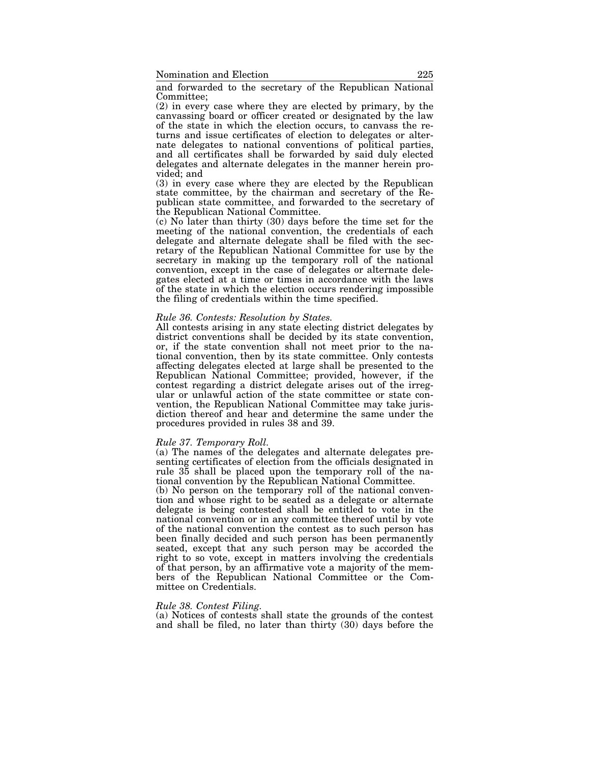and forwarded to the secretary of the Republican National Committee;

(2) in every case where they are elected by primary, by the canvassing board or officer created or designated by the law of the state in which the election occurs, to canvass the returns and issue certificates of election to delegates or alternate delegates to national conventions of political parties, and all certificates shall be forwarded by said duly elected delegates and alternate delegates in the manner herein provided; and

(3) in every case where they are elected by the Republican state committee, by the chairman and secretary of the Republican state committee, and forwarded to the secretary of the Republican National Committee.

(c) No later than thirty (30) days before the time set for the meeting of the national convention, the credentials of each delegate and alternate delegate shall be filed with the secretary of the Republican National Committee for use by the secretary in making up the temporary roll of the national convention, except in the case of delegates or alternate delegates elected at a time or times in accordance with the laws of the state in which the election occurs rendering impossible the filing of credentials within the time specified.

# *Rule 36. Contests: Resolution by States.*

All contests arising in any state electing district delegates by district conventions shall be decided by its state convention, or, if the state convention shall not meet prior to the national convention, then by its state committee. Only contests affecting delegates elected at large shall be presented to the Republican National Committee; provided, however, if the contest regarding a district delegate arises out of the irregular or unlawful action of the state committee or state convention, the Republican National Committee may take jurisdiction thereof and hear and determine the same under the procedures provided in rules 38 and 39.

# *Rule 37. Temporary Roll.*

(a) The names of the delegates and alternate delegates presenting certificates of election from the officials designated in rule 35 shall be placed upon the temporary roll of the national convention by the Republican National Committee.

(b) No person on the temporary roll of the national convention and whose right to be seated as a delegate or alternate delegate is being contested shall be entitled to vote in the national convention or in any committee thereof until by vote of the national convention the contest as to such person has been finally decided and such person has been permanently seated, except that any such person may be accorded the right to so vote, except in matters involving the credentials of that person, by an affirmative vote a majority of the members of the Republican National Committee or the Committee on Credentials.

#### *Rule 38. Contest Filing.*

(a) Notices of contests shall state the grounds of the contest and shall be filed, no later than thirty (30) days before the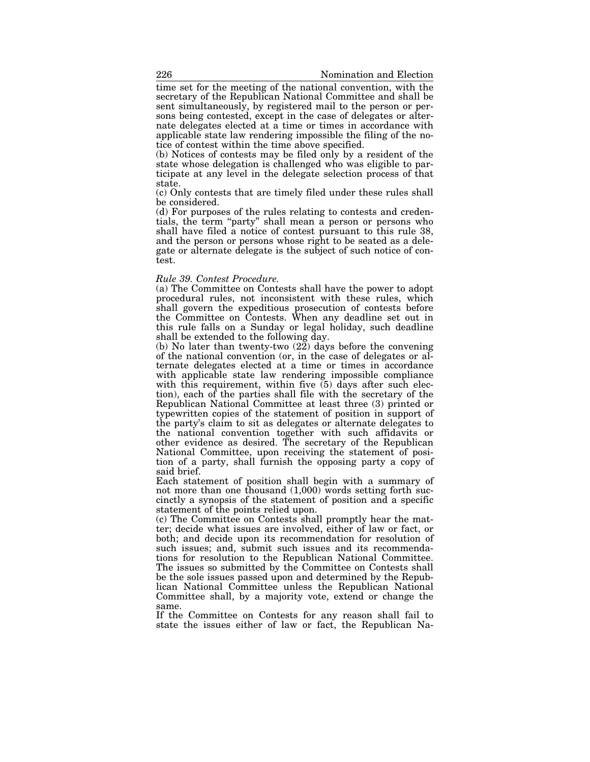time set for the meeting of the national convention, with the secretary of the Republican National Committee and shall be sent simultaneously, by registered mail to the person or persons being contested, except in the case of delegates or alternate delegates elected at a time or times in accordance with applicable state law rendering impossible the filing of the notice of contest within the time above specified.

(b) Notices of contests may be filed only by a resident of the state whose delegation is challenged who was eligible to participate at any level in the delegate selection process of that state.

(c) Only contests that are timely filed under these rules shall be considered.

(d) For purposes of the rules relating to contests and credentials, the term "party" shall mean a person or persons who shall have filed a notice of contest pursuant to this rule 38, and the person or persons whose right to be seated as a delegate or alternate delegate is the subject of such notice of contest.

### *Rule 39. Contest Procedure.*

(a) The Committee on Contests shall have the power to adopt procedural rules, not inconsistent with these rules, which shall govern the expeditious prosecution of contests before the Committee on Contests. When any deadline set out in this rule falls on a Sunday or legal holiday, such deadline shall be extended to the following day.

(b) No later than twenty-two (22) days before the convening of the national convention (or, in the case of delegates or alternate delegates elected at a time or times in accordance with applicable state law rendering impossible compliance with this requirement, within five (5) days after such election), each of the parties shall file with the secretary of the Republican National Committee at least three (3) printed or typewritten copies of the statement of position in support of the party's claim to sit as delegates or alternate delegates to the national convention together with such affidavits or other evidence as desired. The secretary of the Republican National Committee, upon receiving the statement of position of a party, shall furnish the opposing party a copy of said brief.

Each statement of position shall begin with a summary of not more than one thousand (1,000) words setting forth succinctly a synopsis of the statement of position and a specific statement of the points relied upon.

(c) The Committee on Contests shall promptly hear the matter; decide what issues are involved, either of law or fact, or both; and decide upon its recommendation for resolution of such issues; and, submit such issues and its recommendations for resolution to the Republican National Committee. The issues so submitted by the Committee on Contests shall be the sole issues passed upon and determined by the Republican National Committee unless the Republican National Committee shall, by a majority vote, extend or change the same.

If the Committee on Contests for any reason shall fail to state the issues either of law or fact, the Republican Na-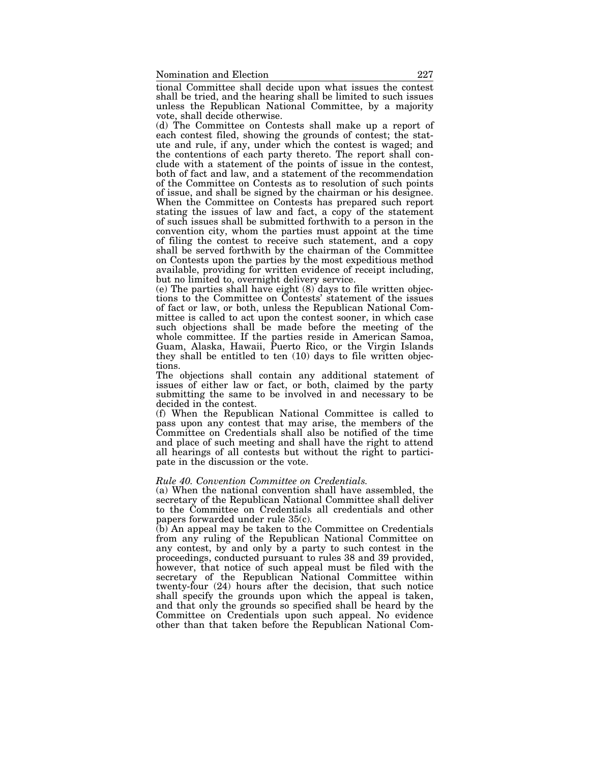tional Committee shall decide upon what issues the contest shall be tried, and the hearing shall be limited to such issues unless the Republican National Committee, by a majority vote, shall decide otherwise.

(d) The Committee on Contests shall make up a report of each contest filed, showing the grounds of contest; the statute and rule, if any, under which the contest is waged; and the contentions of each party thereto. The report shall conclude with a statement of the points of issue in the contest, both of fact and law, and a statement of the recommendation of the Committee on Contests as to resolution of such points of issue, and shall be signed by the chairman or his designee. When the Committee on Contests has prepared such report stating the issues of law and fact, a copy of the statement of such issues shall be submitted forthwith to a person in the convention city, whom the parties must appoint at the time of filing the contest to receive such statement, and a copy shall be served forthwith by the chairman of the Committee on Contests upon the parties by the most expeditious method available, providing for written evidence of receipt including, but no limited to, overnight delivery service.

(e) The parties shall have eight (8) days to file written objections to the Committee on Contests' statement of the issues of fact or law, or both, unless the Republican National Committee is called to act upon the contest sooner, in which case such objections shall be made before the meeting of the whole committee. If the parties reside in American Samoa, Guam, Alaska, Hawaii, Puerto Rico, or the Virgin Islands they shall be entitled to ten (10) days to file written objections.

The objections shall contain any additional statement of issues of either law or fact, or both, claimed by the party submitting the same to be involved in and necessary to be decided in the contest.

(f) When the Republican National Committee is called to pass upon any contest that may arise, the members of the Committee on Credentials shall also be notified of the time and place of such meeting and shall have the right to attend all hearings of all contests but without the right to participate in the discussion or the vote.

## *Rule 40. Convention Committee on Credentials.*

(a) When the national convention shall have assembled, the secretary of the Republican National Committee shall deliver to the Committee on Credentials all credentials and other papers forwarded under rule 35(c).

(b) An appeal may be taken to the Committee on Credentials from any ruling of the Republican National Committee on any contest, by and only by a party to such contest in the proceedings, conducted pursuant to rules 38 and 39 provided, however, that notice of such appeal must be filed with the secretary of the Republican National Committee within twenty-four (24) hours after the decision, that such notice shall specify the grounds upon which the appeal is taken, and that only the grounds so specified shall be heard by the Committee on Credentials upon such appeal. No evidence other than that taken before the Republican National Com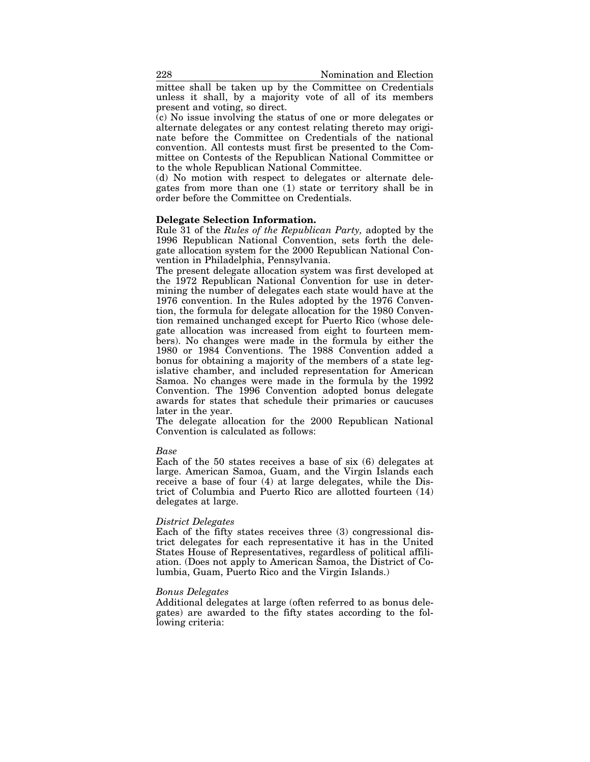mittee shall be taken up by the Committee on Credentials unless it shall, by a majority vote of all of its members present and voting, so direct.

(c) No issue involving the status of one or more delegates or alternate delegates or any contest relating thereto may originate before the Committee on Credentials of the national convention. All contests must first be presented to the Committee on Contests of the Republican National Committee or to the whole Republican National Committee.

(d) No motion with respect to delegates or alternate delegates from more than one (1) state or territory shall be in order before the Committee on Credentials.

### **Delegate Selection Information.**

Rule 31 of the *Rules of the Republican Party,* adopted by the 1996 Republican National Convention, sets forth the delegate allocation system for the 2000 Republican National Convention in Philadelphia, Pennsylvania.

The present delegate allocation system was first developed at the 1972 Republican National Convention for use in determining the number of delegates each state would have at the 1976 convention. In the Rules adopted by the 1976 Convention, the formula for delegate allocation for the 1980 Convention remained unchanged except for Puerto Rico (whose delegate allocation was increased from eight to fourteen members). No changes were made in the formula by either the 1980 or 1984 Conventions. The 1988 Convention added a bonus for obtaining a majority of the members of a state legislative chamber, and included representation for American Samoa. No changes were made in the formula by the 1992 Convention. The 1996 Convention adopted bonus delegate awards for states that schedule their primaries or caucuses later in the year.

The delegate allocation for the 2000 Republican National Convention is calculated as follows:

#### *Base*

Each of the 50 states receives a base of six (6) delegates at large. American Samoa, Guam, and the Virgin Islands each receive a base of four (4) at large delegates, while the District of Columbia and Puerto Rico are allotted fourteen (14) delegates at large.

#### *District Delegates*

Each of the fifty states receives three (3) congressional district delegates for each representative it has in the United States House of Representatives, regardless of political affiliation. (Does not apply to American Samoa, the District of Columbia, Guam, Puerto Rico and the Virgin Islands.)

# *Bonus Delegates*

Additional delegates at large (often referred to as bonus delegates) are awarded to the fifty states according to the following criteria: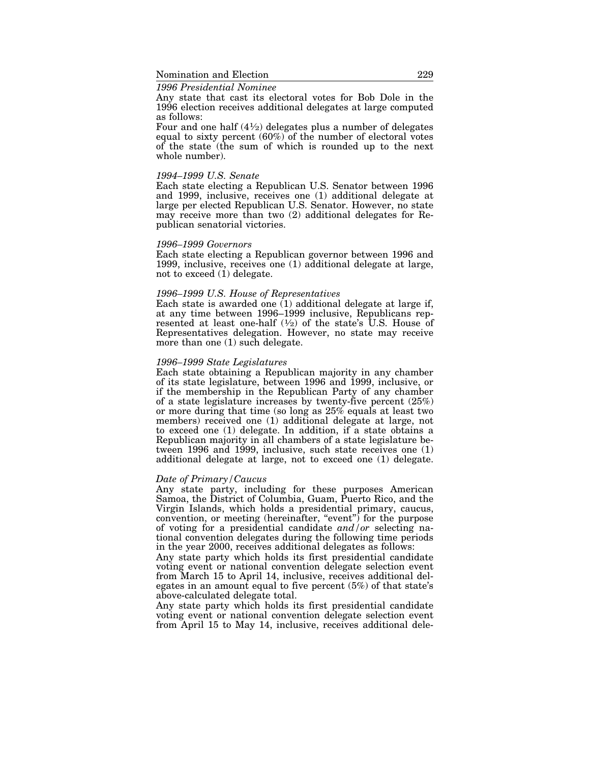#### *1996 Presidential Nominee*

Any state that cast its electoral votes for Bob Dole in the 1996 election receives additional delegates at large computed as follows:

Four and one half  $(4\frac{1}{2})$  delegates plus a number of delegates equal to sixty percent (60%) of the number of electoral votes of the state (the sum of which is rounded up to the next whole number).

# *1994–1999 U.S. Senate*

Each state electing a Republican U.S. Senator between 1996 and 1999, inclusive, receives one (1) additional delegate at large per elected Republican U.S. Senator. However, no state may receive more than two (2) additional delegates for Republican senatorial victories.

#### *1996–1999 Governors*

Each state electing a Republican governor between 1996 and 1999, inclusive, receives one (1) additional delegate at large, not to exceed (1) delegate.

#### *1996–1999 U.S. House of Representatives*

Each state is awarded one (1) additional delegate at large if, at any time between 1996–1999 inclusive, Republicans represented at least one-half  $(1/2)$  of the state's U.S. House of Representatives delegation. However, no state may receive more than one (1) such delegate.

#### *1996–1999 State Legislatures*

Each state obtaining a Republican majority in any chamber of its state legislature, between 1996 and 1999, inclusive, or if the membership in the Republican Party of any chamber of a state legislature increases by twenty-five percent (25%) or more during that time (so long as 25% equals at least two members) received one (1) additional delegate at large, not to exceed one (1) delegate. In addition, if a state obtains a Republican majority in all chambers of a state legislature between 1996 and 1999, inclusive, such state receives one (1) additional delegate at large, not to exceed one (1) delegate.

#### *Date of Primary/Caucus*

Any state party, including for these purposes American Samoa, the District of Columbia, Guam, Puerto Rico, and the Virgin Islands, which holds a presidential primary, caucus, convention, or meeting (hereinafter, "event") for the purpose of voting for a presidential candidate *and/or* selecting national convention delegates during the following time periods in the year 2000, receives additional delegates as follows:

Any state party which holds its first presidential candidate voting event or national convention delegate selection event from March 15 to April 14, inclusive, receives additional delegates in an amount equal to five percent (5%) of that state's above-calculated delegate total.

Any state party which holds its first presidential candidate voting event or national convention delegate selection event from April 15 to May 14, inclusive, receives additional dele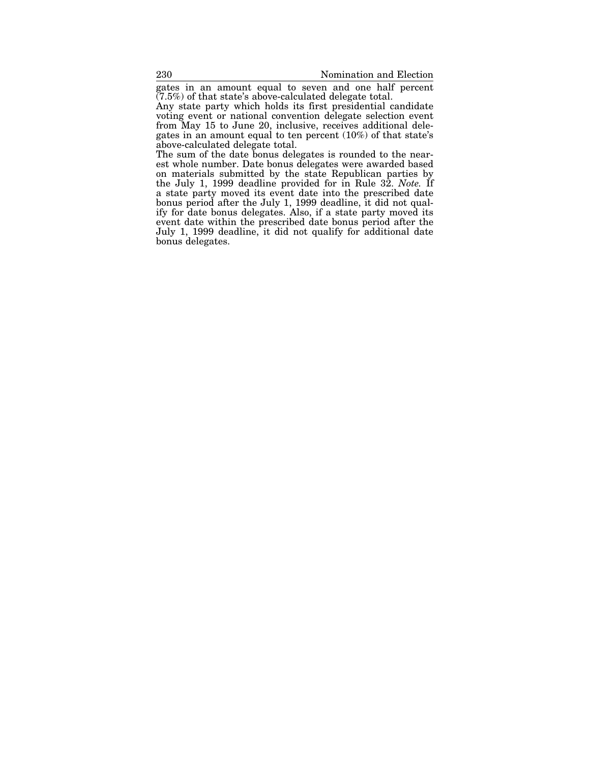gates in an amount equal to seven and one half percent (7.5%) of that state's above-calculated delegate total.

Any state party which holds its first presidential candidate voting event or national convention delegate selection event from May 15 to June 20, inclusive, receives additional delegates in an amount equal to ten percent (10%) of that state's above-calculated delegate total.

The sum of the date bonus delegates is rounded to the nearest whole number. Date bonus delegates were awarded based on materials submitted by the state Republican parties by the July 1, 1999 deadline provided for in Rule 32. *Note.* If a state party moved its event date into the prescribed date bonus period after the July 1, 1999 deadline, it did not qualify for date bonus delegates. Also, if a state party moved its event date within the prescribed date bonus period after the July 1, 1999 deadline, it did not qualify for additional date bonus delegates.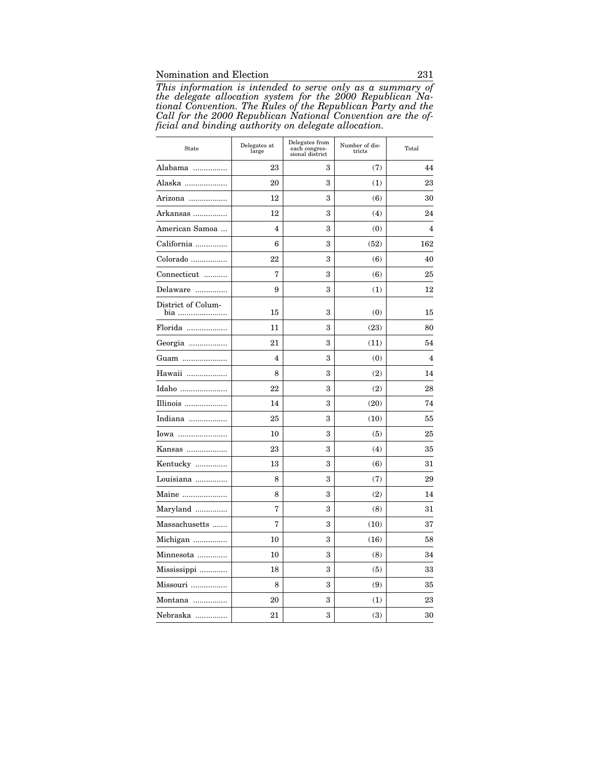*This information is intended to serve only as a summary of the delegate allocation system for the 2000 Republican National Convention. The Rules of the Republican Party and the Call for the 2000 Republican National Convention are the official and binding authority on delegate allocation.*

| State                     | Delegates at<br>large | Delegates from<br>each congres-<br>sional district | Number of dis-<br>tricts | Total |
|---------------------------|-----------------------|----------------------------------------------------|--------------------------|-------|
| Alabama                   | 23                    | з                                                  | (7)                      | 44    |
| Alaska                    | 20                    | 3                                                  | (1)                      | 23    |
| Arizona                   | 12                    | 3                                                  | (6)                      | 30    |
| Arkansas                  | 12                    | 3                                                  | (4)                      | 24    |
| American Samoa            | 4                     | 3                                                  | (0)                      | 4     |
| California                | 6                     | 3                                                  | (52)                     | 162   |
| Colorado                  | 22                    | 3                                                  | (6)                      | 40    |
| Connecticut               | 7                     | 3                                                  | (6)                      | 25    |
| Delaware                  | 9                     | 3                                                  | (1)                      | 12    |
| District of Colum-<br>bia | 15                    | 3                                                  | (0)                      | 15    |
|                           | 11                    | 3                                                  | (23)                     | 80    |
| Georgia                   | 21                    | 3                                                  | (11)                     | 54    |
| Guam                      | 4                     | 3                                                  | (0)                      | 4     |
| Hawaii                    | 8                     | 3                                                  | (2)                      | 14    |
| Idaho                     | 22                    | 3                                                  | (2)                      | 28    |
| Illinois                  | 14                    | 3                                                  | (20)                     | 74    |
| Indiana                   | 25                    | 3                                                  | (10)                     | 55    |
| Iowa                      | 10                    | 3                                                  | (5)                      | 25    |
| Kansas                    | 23                    | 3                                                  | (4)                      | 35    |
| Kentucky                  | 13                    | 3                                                  | (6)                      | 31    |
| Louisiana                 | 8                     | 3                                                  | (7)                      | 29    |
| Maine                     | 8                     | 3                                                  | (2)                      | 14    |
| Maryland                  | 7                     | 3                                                  | (8)                      | 31    |
| Massachusetts             | 7                     | 3                                                  | (10)                     | 37    |
| Michigan                  | 10                    | 3                                                  | (16)                     | 58    |
| Minnesota                 | 10                    | 3                                                  | (8)                      | 34    |
| Mississippi               | 18                    | 3                                                  | (5)                      | 33    |
| Missouri                  | 8                     | 3                                                  | (9)                      | 35    |
| Montana                   | 20                    | 3                                                  | (1)                      | 23    |
| Nebraska                  | 21                    | 3                                                  | (3)                      | 30    |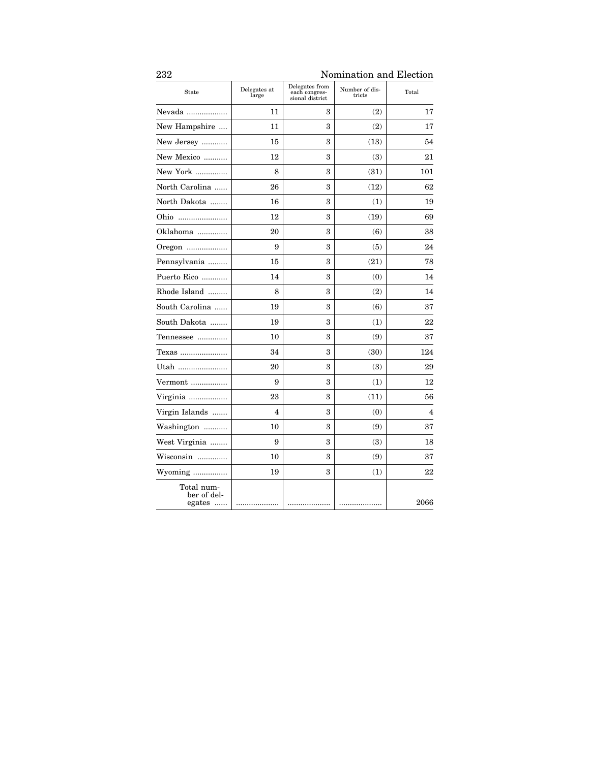| 232                                 | Nomination and Election |                                                    |                          |                         |
|-------------------------------------|-------------------------|----------------------------------------------------|--------------------------|-------------------------|
| State                               | Delegates at<br>large   | Delegates from<br>each congres-<br>sional district | Number of dis-<br>tricts | Total                   |
| Nevada                              | 11                      | з                                                  | (2)                      | 17                      |
| New Hampshire                       | 11                      | 3                                                  | (2)                      | 17                      |
| New Jersey                          | 15                      | 3                                                  | (13)                     | 54                      |
| New Mexico                          | 12                      | 3                                                  | (3)                      | 21                      |
| New York                            | 8                       | 3                                                  | (31)                     | 101                     |
| North Carolina                      | 26                      | 3                                                  | (12)                     | 62                      |
| North Dakota                        | 16                      | 3                                                  | (1)                      | 19                      |
| Ohio                                | 12                      | 3                                                  | (19)                     | 69                      |
| Oklahoma                            | 20                      | 3                                                  | (6)                      | 38                      |
|                                     | 9                       | 3                                                  | (5)                      | 24                      |
| Pennsylvania                        | 15                      | 3                                                  | (21)                     | 78                      |
| Puerto Rico                         | 14                      | 3                                                  | (0)                      | 14                      |
| Rhode Island                        | 8                       | 3                                                  | (2)                      | 14                      |
| South Carolina                      | 19                      | 3                                                  | (6)                      | 37                      |
| South Dakota                        | 19                      | 3                                                  | (1)                      | 22                      |
| Tennessee                           | 10                      | 3                                                  | (9)                      | 37                      |
| Texas                               | 34                      | 3                                                  | (30)                     | 124                     |
| Utah                                | 20                      | 3                                                  | (3)                      | 29                      |
| Vermont                             | 9                       | 3                                                  | (1)                      | 12                      |
| Virginia                            | 23                      | 3                                                  | (11)                     | 56                      |
| Virgin Islands                      | $\overline{\mathbf{4}}$ | 3                                                  | (0)                      | $\overline{\mathbf{4}}$ |
| Washington                          | 10                      | 3                                                  | (9)                      | 37                      |
| West Virginia                       | 9                       | 3                                                  | (3)                      | 18                      |
| Wisconsin                           | 10                      | 3                                                  | (9)                      | 37                      |
| Wyoming                             | 19                      | 3                                                  | (1)                      | 22                      |
| Total num-<br>ber of del-<br>egates | .                       | .                                                  | .                        | 2066                    |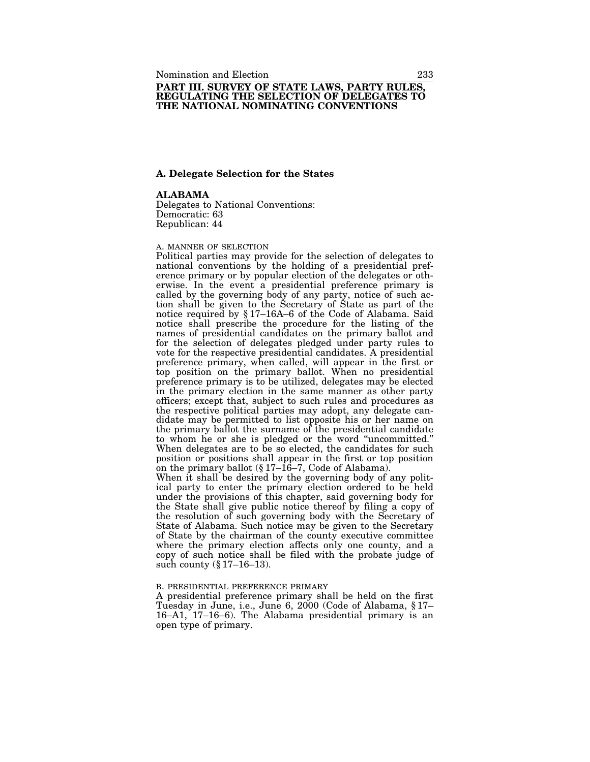**PART III. SURVEY OF STATE LAWS, PARTY RULES, REGULATING THE SELECTION OF DELEGATES TO THE NATIONAL NOMINATING CONVENTIONS**

# **A. Delegate Selection for the States**

# **ALABAMA**

Delegates to National Conventions: Democratic: 63 Republican: 44

A. MANNER OF SELECTION

Political parties may provide for the selection of delegates to national conventions by the holding of a presidential preference primary or by popular election of the delegates or otherwise. In the event a presidential preference primary is called by the governing body of any party, notice of such action shall be given to the Secretary of State as part of the notice required by § 17–16A–6 of the Code of Alabama. Said notice shall prescribe the procedure for the listing of the names of presidential candidates on the primary ballot and for the selection of delegates pledged under party rules to vote for the respective presidential candidates. A presidential preference primary, when called, will appear in the first or top position on the primary ballot. When no presidential preference primary is to be utilized, delegates may be elected in the primary election in the same manner as other party officers; except that, subject to such rules and procedures as the respective political parties may adopt, any delegate candidate may be permitted to list opposite his or her name on the primary ballot the surname of the presidential candidate to whom he or she is pledged or the word ''uncommitted.'' When delegates are to be so elected, the candidates for such position or positions shall appear in the first or top position on the primary ballot  $(\S 17-\hat{16}-7, \text{Code of Alabama})$ .

When it shall be desired by the governing body of any political party to enter the primary election ordered to be held under the provisions of this chapter, said governing body for the State shall give public notice thereof by filing a copy of the resolution of such governing body with the Secretary of State of Alabama. Such notice may be given to the Secretary of State by the chairman of the county executive committee where the primary election affects only one county, and a copy of such notice shall be filed with the probate judge of such county (§ 17–16–13).

B. PRESIDENTIAL PREFERENCE PRIMARY

A presidential preference primary shall be held on the first Tuesday in June, i.e., June 6, 2000 (Code of Alabama, § 17– 16–A1, 17–16–6). The Alabama presidential primary is an open type of primary.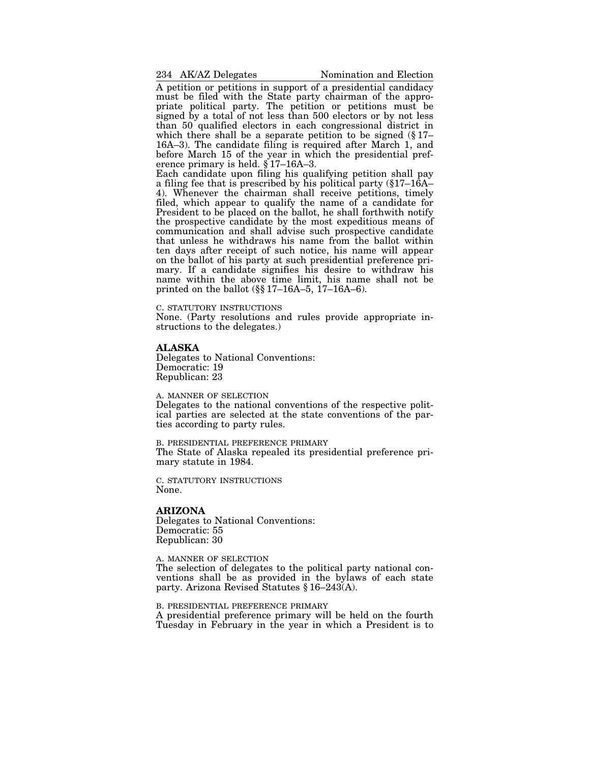234 AK/AZ Delegates Nomination and Election

A petition or petitions in support of a presidential candidacy must be filed with the State party chairman of the appropriate political party. The petition or petitions must be signed by a total of not less than 500 electors or by not less than 50 qualified electors in each congressional district in which there shall be a separate petition to be signed  $(\S 17-$ 16A–3). The candidate filing is required after March 1, and before March 15 of the year in which the presidential preference primary is held. § 17–16A–3.

Each candidate upon filing his qualifying petition shall pay a filing fee that is prescribed by his political party (§17–16A– 4). Whenever the chairman shall receive petitions, timely filed, which appear to qualify the name of a candidate for President to be placed on the ballot, he shall forthwith notify the prospective candidate by the most expeditious means of communication and shall advise such prospective candidate that unless he withdraws his name from the ballot within ten days after receipt of such notice, his name will appear on the ballot of his party at such presidential preference primary. If a candidate signifies his desire to withdraw his name within the above time limit, his name shall not be printed on the ballot (§§ 17–16A–5, 17–16A–6).

C. STATUTORY INSTRUCTIONS

None. (Party resolutions and rules provide appropriate instructions to the delegates.)

#### **ALASKA**

Delegates to National Conventions: Democratic: 19 Republican: 23

A. MANNER OF SELECTION

Delegates to the national conventions of the respective political parties are selected at the state conventions of the parties according to party rules.

B. PRESIDENTIAL PREFERENCE PRIMARY

The State of Alaska repealed its presidential preference primary statute in 1984.

C. STATUTORY INSTRUCTIONS None.

# **ARIZONA**

Delegates to National Conventions: Democratic: 55 Republican: 30

A. MANNER OF SELECTION

The selection of delegates to the political party national conventions shall be as provided in the bylaws of each state party. Arizona Revised Statutes § 16–243(A).

B. PRESIDENTIAL PREFERENCE PRIMARY

A presidential preference primary will be held on the fourth Tuesday in February in the year in which a President is to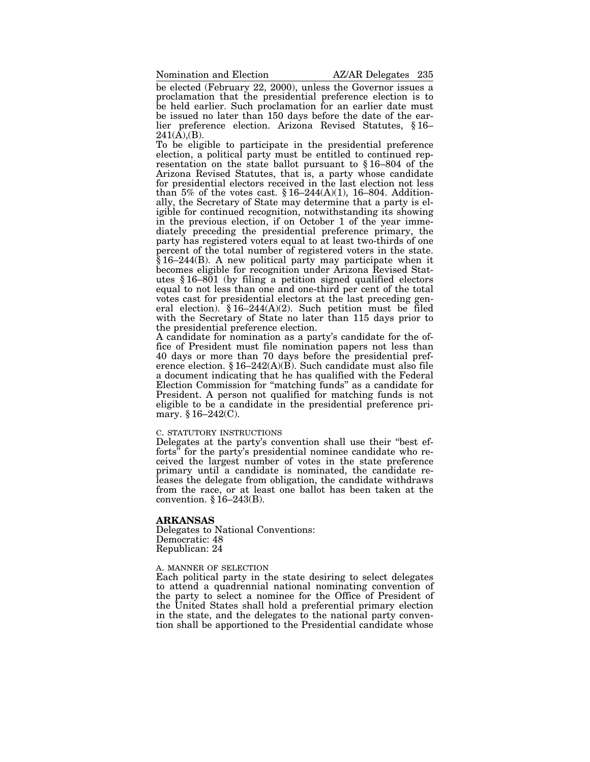Nomination and Election AZ/AR Delegates 235

be elected (February 22, 2000), unless the Governor issues a proclamation that the presidential preference election is to be held earlier. Such proclamation for an earlier date must be issued no later than 150 days before the date of the earlier preference election. Arizona Revised Statutes, § 16–  $241(\overline{A})$ , (B).

To be eligible to participate in the presidential preference election, a political party must be entitled to continued representation on the state ballot pursuant to § 16–804 of the Arizona Revised Statutes, that is, a party whose candidate for presidential electors received in the last election not less than 5% of the votes cast.  $$16-244(A)(1), 16-804$ . Additionally, the Secretary of State may determine that a party is eligible for continued recognition, notwithstanding its showing in the previous election, if on October 1 of the year immediately preceding the presidential preference primary, the party has registered voters equal to at least two-thirds of one percent of the total number of registered voters in the state. § 16–244(B). A new political party may participate when it becomes eligible for recognition under Arizona Revised Statutes  $§ 16-801$  (by filing a petition signed qualified electors equal to not less than one and one-third per cent of the total votes cast for presidential electors at the last preceding general election).  $$16-244(A)(2)$ . Such petition must be filed with the Secretary of State no later than 115 days prior to the presidential preference election.

A candidate for nomination as a party's candidate for the office of President must file nomination papers not less than 40 days or more than 70 days before the presidential preference election. § 16–242(A)(B). Such candidate must also file a document indicating that he has qualified with the Federal Election Commission for ''matching funds'' as a candidate for President. A person not qualified for matching funds is not eligible to be a candidate in the presidential preference primary. § 16–242(C).

# C. STATUTORY INSTRUCTIONS

Delegates at the party's convention shall use their ''best efforts'' for the party's presidential nominee candidate who received the largest number of votes in the state preference primary until a candidate is nominated, the candidate releases the delegate from obligation, the candidate withdraws from the race, or at least one ballot has been taken at the convention.  $§ 16-243(B)$ .

# **ARKANSAS**

Delegates to National Conventions: Democratic: 48 Republican: 24

# A. MANNER OF SELECTION

Each political party in the state desiring to select delegates to attend a quadrennial national nominating convention of the party to select a nominee for the Office of President of the United States shall hold a preferential primary election in the state, and the delegates to the national party convention shall be apportioned to the Presidential candidate whose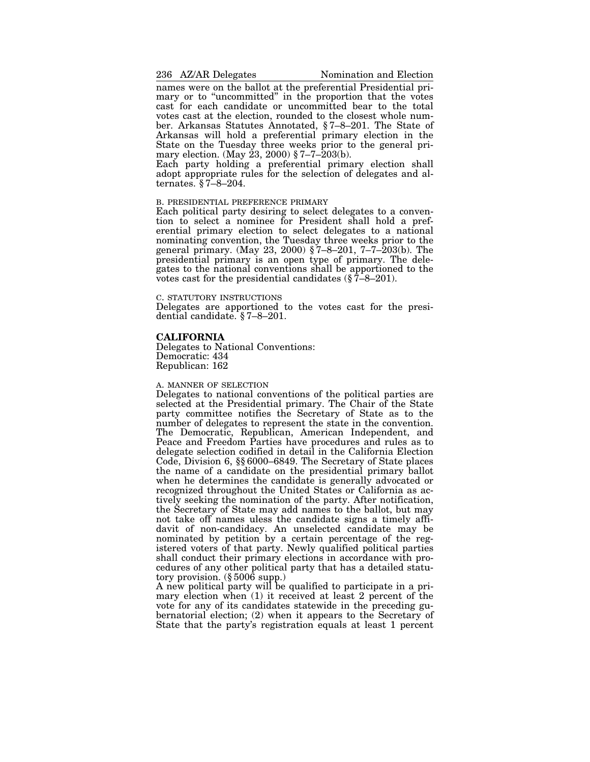236 AZ/AR Delegates Nomination and Election

names were on the ballot at the preferential Presidential primary or to "uncommitted" in the proportion that the votes cast for each candidate or uncommitted bear to the total votes cast at the election, rounded to the closest whole number. Arkansas Statutes Annotated, § 7–8–201. The State of Arkansas will hold a preferential primary election in the State on the Tuesday three weeks prior to the general primary election. (May 23, 2000) § 7–7–203(b).

Each party holding a preferential primary election shall adopt appropriate rules for the selection of delegates and alternates. § 7–8–204.

# B. PRESIDENTIAL PREFERENCE PRIMARY

Each political party desiring to select delegates to a convention to select a nominee for President shall hold a preferential primary election to select delegates to a national nominating convention, the Tuesday three weeks prior to the general primary. (May 23, 2000) § 7–8–201, 7–7–203(b). The presidential primary is an open type of primary. The delegates to the national conventions shall be apportioned to the votes cast for the presidential candidates  $(\frac{6}{5}7-8-201)$ .

#### C. STATUTORY INSTRUCTIONS

Delegates are apportioned to the votes cast for the presidential candidate. § 7–8–201.

#### **CALIFORNIA**

Delegates to National Conventions: Democratic: 434 Republican: 162

# A. MANNER OF SELECTION

Delegates to national conventions of the political parties are selected at the Presidential primary. The Chair of the State party committee notifies the Secretary of State as to the number of delegates to represent the state in the convention. The Democratic, Republican, American Independent, and Peace and Freedom Parties have procedures and rules as to delegate selection codified in detail in the California Election Code, Division 6, §§ 6000–6849. The Secretary of State places the name of a candidate on the presidential primary ballot when he determines the candidate is generally advocated or recognized throughout the United States or California as actively seeking the nomination of the party. After notification, the Secretary of State may add names to the ballot, but may not take off names uless the candidate signs a timely affidavit of non-candidacy. An unselected candidate may be nominated by petition by a certain percentage of the registered voters of that party. Newly qualified political parties shall conduct their primary elections in accordance with procedures of any other political party that has a detailed statutory provision. (§ 5006 supp.)

A new political party will be qualified to participate in a primary election when (1) it received at least 2 percent of the vote for any of its candidates statewide in the preceding gubernatorial election; (2) when it appears to the Secretary of State that the party's registration equals at least 1 percent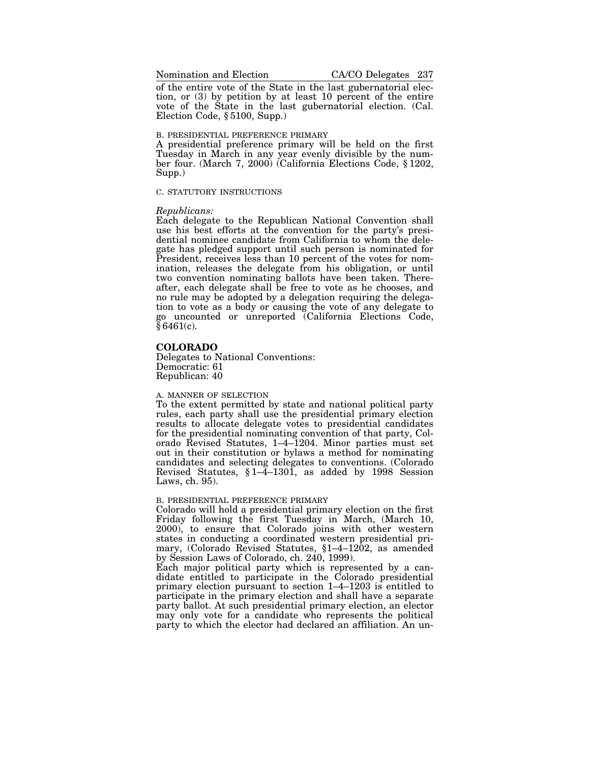Nomination and Election CA/CO Delegates 237

of the entire vote of the State in the last gubernatorial election, or (3) by petition by at least 10 percent of the entire vote of the State in the last gubernatorial election. (Cal. Election Code, § 5100, Supp.)

B. PRESIDENTIAL PREFERENCE PRIMARY

A presidential preference primary will be held on the first Tuesday in March in any year evenly divisible by the number four. (March 7, 2000) (California Elections Code, § 1202, Supp.)

#### C. STATUTORY INSTRUCTIONS

# *Republicans:*

Each delegate to the Republican National Convention shall use his best efforts at the convention for the party's presidential nominee candidate from California to whom the delegate has pledged support until such person is nominated for President, receives less than 10 percent of the votes for nomination, releases the delegate from his obligation, or until two convention nominating ballots have been taken. Thereafter, each delegate shall be free to vote as he chooses, and no rule may be adopted by a delegation requiring the delegation to vote as a body or causing the vote of any delegate to go uncounted or unreported (California Elections Code,  $§6461(c).$ 

#### **COLORADO**

Delegates to National Conventions: Democratic: 61 Republican: 40

# A. MANNER OF SELECTION

To the extent permitted by state and national political party rules, each party shall use the presidential primary election results to allocate delegate votes to presidential candidates for the presidential nominating convention of that party, Colorado Revised Statutes, 1–4–1204. Minor parties must set out in their constitution or bylaws a method for nominating candidates and selecting delegates to conventions. (Colorado Revised Statutes, § 1–4–1301, as added by 1998 Session Laws, ch. 95).

#### B. PRESIDENTIAL PREFERENCE PRIMARY

Colorado will hold a presidential primary election on the first Friday following the first Tuesday in March, (March 10, 2000), to ensure that Colorado joins with other western states in conducting a coordinated western presidential primary, (Colorado Revised Statutes, §1–4–1202, as amended by Session Laws of Colorado, ch. 240, 1999).

Each major political party which is represented by a candidate entitled to participate in the Colorado presidential primary election pursuant to section 1–4–1203 is entitled to participate in the primary election and shall have a separate party ballot. At such presidential primary election, an elector may only vote for a candidate who represents the political party to which the elector had declared an affiliation. An un-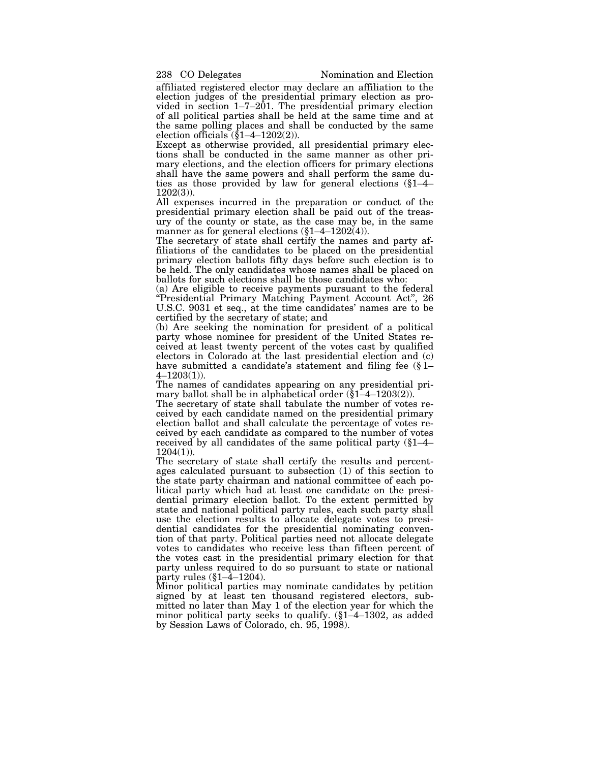238 CO Delegates Nomination and Election

affiliated registered elector may declare an affiliation to the election judges of the presidential primary election as provided in section 1–7–201. The presidential primary election of all political parties shall be held at the same time and at the same polling places and shall be conducted by the same election officials (§1–4–1202(2)).

Except as otherwise provided, all presidential primary elections shall be conducted in the same manner as other primary elections, and the election officers for primary elections shall have the same powers and shall perform the same duties as those provided by law for general elections (§1–4– 1202(3)).

All expenses incurred in the preparation or conduct of the presidential primary election shall be paid out of the treasury of the county or state, as the case may be, in the same manner as for general elections  $(\S1-4-1202(4))$ .

The secretary of state shall certify the names and party affiliations of the candidates to be placed on the presidential primary election ballots fifty days before such election is to be held. The only candidates whose names shall be placed on ballots for such elections shall be those candidates who:

(a) Are eligible to receive payments pursuant to the federal ''Presidential Primary Matching Payment Account Act'', 26 U.S.C. 9031 et seq., at the time candidates' names are to be certified by the secretary of state; and

(b) Are seeking the nomination for president of a political party whose nominee for president of the United States received at least twenty percent of the votes cast by qualified electors in Colorado at the last presidential election and (c) have submitted a candidate's statement and filing fee  $(\S 1$ – 4–1203(1)).

The names of candidates appearing on any presidential primary ballot shall be in alphabetical order  $(\S1-4-1203(2))$ .

The secretary of state shall tabulate the number of votes received by each candidate named on the presidential primary election ballot and shall calculate the percentage of votes received by each candidate as compared to the number of votes received by all candidates of the same political party (§1–4–  $1204(1)$ ).

The secretary of state shall certify the results and percentages calculated pursuant to subsection (1) of this section to the state party chairman and national committee of each political party which had at least one candidate on the presidential primary election ballot. To the extent permitted by state and national political party rules, each such party shall use the election results to allocate delegate votes to presidential candidates for the presidential nominating convention of that party. Political parties need not allocate delegate votes to candidates who receive less than fifteen percent of the votes cast in the presidential primary election for that party unless required to do so pursuant to state or national party rules (§1–4–1204).

Minor political parties may nominate candidates by petition signed by at least ten thousand registered electors, submitted no later than May 1 of the election year for which the minor political party seeks to qualify. (§1–4–1302, as added by Session Laws of Colorado, ch. 95, 1998).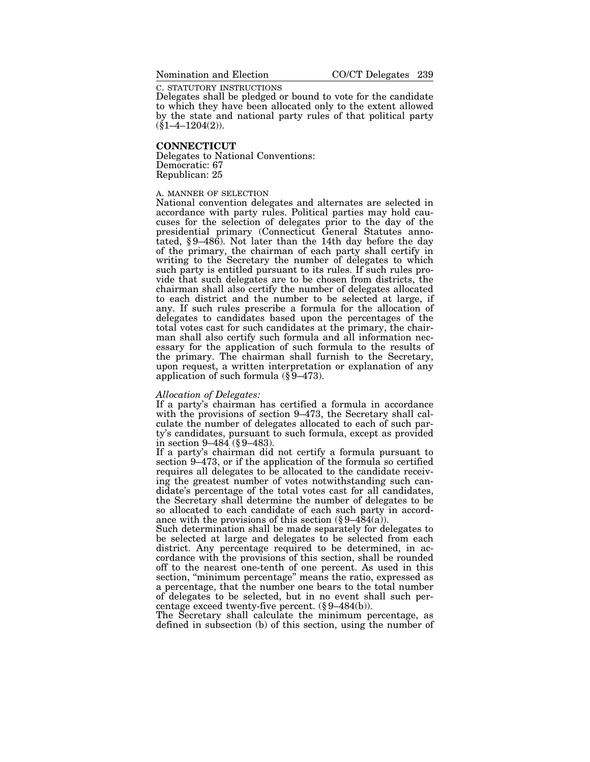Nomination and Election CO/CT Delegates 239

C. STATUTORY INSTRUCTIONS

Delegates shall be pledged or bound to vote for the candidate to which they have been allocated only to the extent allowed by the state and national party rules of that political party  $(\$1-4-1204(2)).$ 

#### **CONNECTICUT**

Delegates to National Conventions: Democratic: 67 Republican: 25

A. MANNER OF SELECTION

National convention delegates and alternates are selected in accordance with party rules. Political parties may hold caucuses for the selection of delegates prior to the day of the presidential primary (Connecticut General Statutes annotated, § 9–486). Not later than the 14th day before the day of the primary, the chairman of each party shall certify in writing to the Secretary the number of delegates to which such party is entitled pursuant to its rules. If such rules provide that such delegates are to be chosen from districts, the chairman shall also certify the number of delegates allocated to each district and the number to be selected at large, if any. If such rules prescribe a formula for the allocation of delegates to candidates based upon the percentages of the total votes cast for such candidates at the primary, the chairman shall also certify such formula and all information necessary for the application of such formula to the results of the primary. The chairman shall furnish to the Secretary, upon request, a written interpretation or explanation of any application of such formula  $(\S 9-473)$ .

# *Allocation of Delegates:*

If a party's chairman has certified a formula in accordance with the provisions of section 9–473, the Secretary shall calculate the number of delegates allocated to each of such party's candidates, pursuant to such formula, except as provided in section  $9-484$  (§  $9-483$ ).

If a party's chairman did not certify a formula pursuant to section 9–473, or if the application of the formula so certified requires all delegates to be allocated to the candidate receiving the greatest number of votes notwithstanding such candidate's percentage of the total votes cast for all candidates, the Secretary shall determine the number of delegates to be so allocated to each candidate of each such party in accordance with the provisions of this section  $(\S 9 - 484(a))$ .

Such determination shall be made separately for delegates to be selected at large and delegates to be selected from each district. Any percentage required to be determined, in accordance with the provisions of this section, shall be rounded off to the nearest one-tenth of one percent. As used in this section, "minimum percentage" means the ratio, expressed as a percentage, that the number one bears to the total number of delegates to be selected, but in no event shall such percentage exceed twenty-five percent. (§ 9–484(b)).

The Secretary shall calculate the minimum percentage, as defined in subsection (b) of this section, using the number of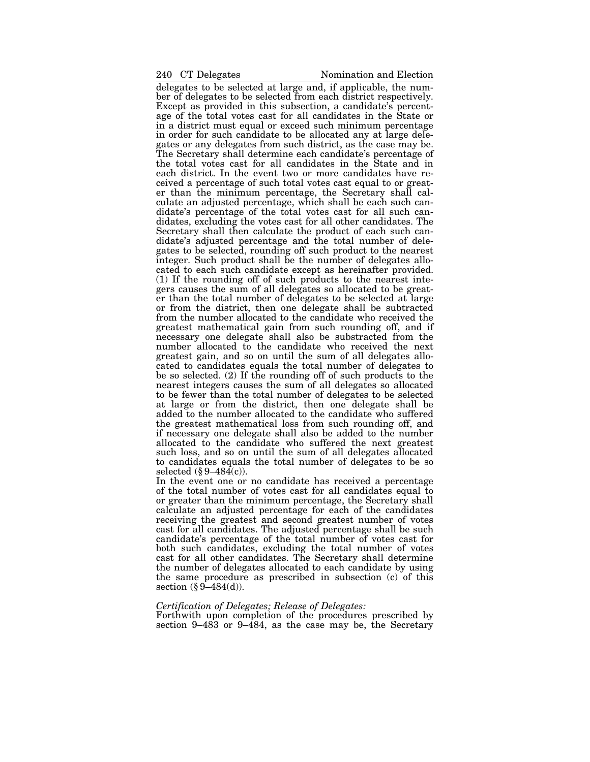240 CT Delegates Nomination and Election

delegates to be selected at large and, if applicable, the number of delegates to be selected from each district respectively. Except as provided in this subsection, a candidate's percentage of the total votes cast for all candidates in the State or in a district must equal or exceed such minimum percentage in order for such candidate to be allocated any at large delegates or any delegates from such district, as the case may be. The Secretary shall determine each candidate's percentage of the total votes cast for all candidates in the State and in each district. In the event two or more candidates have received a percentage of such total votes cast equal to or greater than the minimum percentage, the Secretary shall calculate an adjusted percentage, which shall be each such candidate's percentage of the total votes cast for all such candidates, excluding the votes cast for all other candidates. The Secretary shall then calculate the product of each such candidate's adjusted percentage and the total number of delegates to be selected, rounding off such product to the nearest integer. Such product shall be the number of delegates allocated to each such candidate except as hereinafter provided. (1) If the rounding off of such products to the nearest integers causes the sum of all delegates so allocated to be greater than the total number of delegates to be selected at large or from the district, then one delegate shall be subtracted from the number allocated to the candidate who received the greatest mathematical gain from such rounding off, and if necessary one delegate shall also be substracted from the number allocated to the candidate who received the next greatest gain, and so on until the sum of all delegates allocated to candidates equals the total number of delegates to be so selected. (2) If the rounding off of such products to the nearest integers causes the sum of all delegates so allocated to be fewer than the total number of delegates to be selected at large or from the district, then one delegate shall be added to the number allocated to the candidate who suffered the greatest mathematical loss from such rounding off, and if necessary one delegate shall also be added to the number allocated to the candidate who suffered the next greatest such loss, and so on until the sum of all delegates allocated to candidates equals the total number of delegates to be so selected  $(\S 9 - 484(c))$ .

In the event one or no candidate has received a percentage of the total number of votes cast for all candidates equal to or greater than the minimum percentage, the Secretary shall calculate an adjusted percentage for each of the candidates receiving the greatest and second greatest number of votes cast for all candidates. The adjusted percentage shall be such candidate's percentage of the total number of votes cast for both such candidates, excluding the total number of votes cast for all other candidates. The Secretary shall determine the number of delegates allocated to each candidate by using the same procedure as prescribed in subsection (c) of this section  $(\S 9 - 484(d))$ .

# *Certification of Delegates; Release of Delegates:*

Forthwith upon completion of the procedures prescribed by section  $9-483$  or  $9-484$ , as the case may be, the Secretary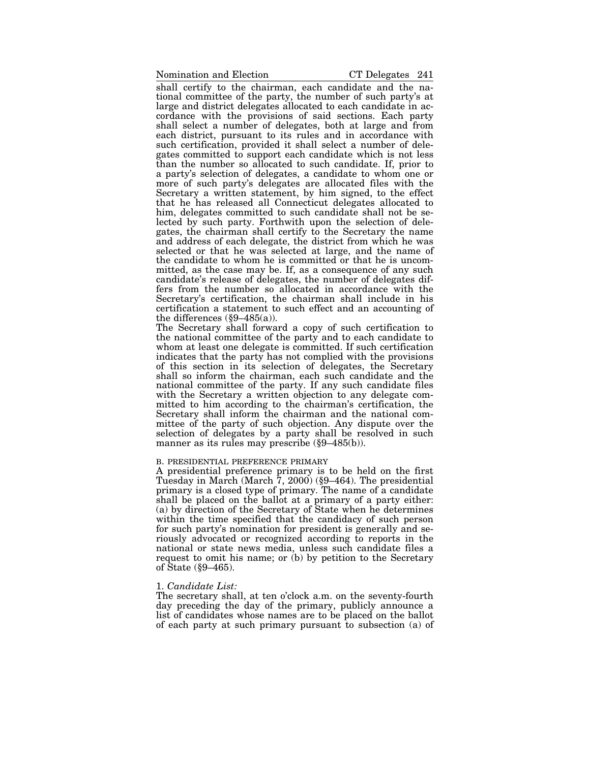Nomination and Election CT Delegates 241

shall certify to the chairman, each candidate and the national committee of the party, the number of such party's at large and district delegates allocated to each candidate in accordance with the provisions of said sections. Each party shall select a number of delegates, both at large and from each district, pursuant to its rules and in accordance with such certification, provided it shall select a number of delegates committed to support each candidate which is not less than the number so allocated to such candidate. If, prior to a party's selection of delegates, a candidate to whom one or more of such party's delegates are allocated files with the Secretary a written statement, by him signed, to the effect that he has released all Connecticut delegates allocated to him, delegates committed to such candidate shall not be selected by such party. Forthwith upon the selection of delegates, the chairman shall certify to the Secretary the name and address of each delegate, the district from which he was selected or that he was selected at large, and the name of the candidate to whom he is committed or that he is uncommitted, as the case may be. If, as a consequence of any such candidate's release of delegates, the number of delegates differs from the number so allocated in accordance with the Secretary's certification, the chairman shall include in his certification a statement to such effect and an accounting of the differences  $(\S 9 - 485(a))$ .

The Secretary shall forward a copy of such certification to the national committee of the party and to each candidate to whom at least one delegate is committed. If such certification indicates that the party has not complied with the provisions of this section in its selection of delegates, the Secretary shall so inform the chairman, each such candidate and the national committee of the party. If any such candidate files with the Secretary a written objection to any delegate committed to him according to the chairman's certification, the Secretary shall inform the chairman and the national committee of the party of such objection. Any dispute over the selection of delegates by a party shall be resolved in such manner as its rules may prescribe (§9–485(b)).

### B. PRESIDENTIAL PREFERENCE PRIMARY

A presidential preference primary is to be held on the first Tuesday in March (March  $7, 2000$ ) (§9–464). The presidential primary is a closed type of primary. The name of a candidate shall be placed on the ballot at a primary of a party either: (a) by direction of the Secretary of State when he determines within the time specified that the candidacy of such person for such party's nomination for president is generally and seriously advocated or recognized according to reports in the national or state news media, unless such candidate files a request to omit his name; or (b) by petition to the Secretary of State (§9–465).

# 1. *Candidate List:*

The secretary shall, at ten o'clock a.m. on the seventy-fourth day preceding the day of the primary, publicly announce a list of candidates whose names are to be placed on the ballot of each party at such primary pursuant to subsection (a) of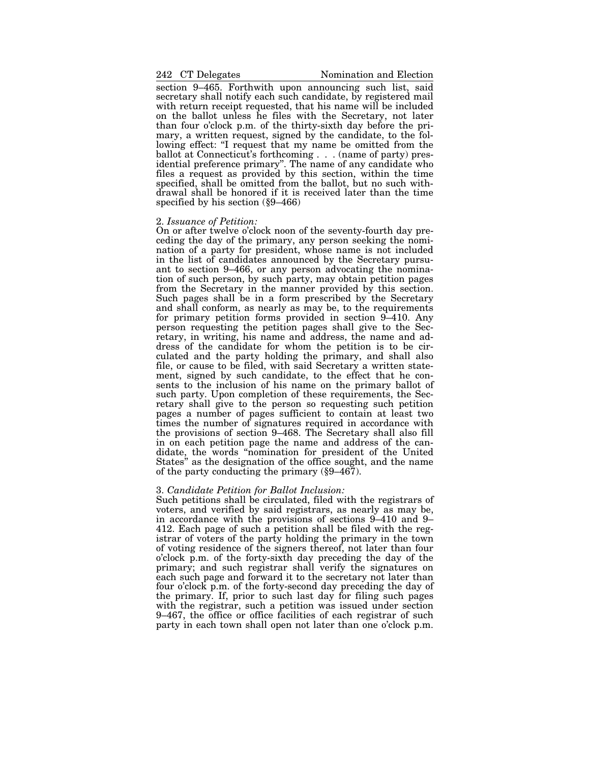242 CT Delegates Nomination and Election

section 9–465. Forthwith upon announcing such list, said secretary shall notify each such candidate, by registered mail with return receipt requested, that his name will be included on the ballot unless he files with the Secretary, not later than four o'clock p.m. of the thirty-sixth day before the primary, a written request, signed by the candidate, to the following effect: "I request that my name be omitted from the ballot at Connecticut's forthcoming . . . (name of party) presidential preference primary''. The name of any candidate who files a request as provided by this section, within the time specified, shall be omitted from the ballot, but no such withdrawal shall be honored if it is received later than the time specified by his section (§9–466)

## 2. *Issuance of Petition:*

On or after twelve o'clock noon of the seventy-fourth day preceding the day of the primary, any person seeking the nomination of a party for president, whose name is not included in the list of candidates announced by the Secretary pursuant to section 9–466, or any person advocating the nomination of such person, by such party, may obtain petition pages from the Secretary in the manner provided by this section. Such pages shall be in a form prescribed by the Secretary and shall conform, as nearly as may be, to the requirements for primary petition forms provided in section 9–410. Any person requesting the petition pages shall give to the Secretary, in writing, his name and address, the name and address of the candidate for whom the petition is to be circulated and the party holding the primary, and shall also file, or cause to be filed, with said Secretary a written statement, signed by such candidate, to the effect that he consents to the inclusion of his name on the primary ballot of such party. Upon completion of these requirements, the Secretary shall give to the person so requesting such petition pages a number of pages sufficient to contain at least two times the number of signatures required in accordance with the provisions of section 9–468. The Secretary shall also fill in on each petition page the name and address of the candidate, the words ''nomination for president of the United States'' as the designation of the office sought, and the name of the party conducting the primary (§9–467).

# 3. *Candidate Petition for Ballot Inclusion:*

Such petitions shall be circulated, filed with the registrars of voters, and verified by said registrars, as nearly as may be, in accordance with the provisions of sections 9–410 and 9– 412. Each page of such a petition shall be filed with the registrar of voters of the party holding the primary in the town of voting residence of the signers thereof, not later than four o'clock p.m. of the forty-sixth day preceding the day of the primary; and such registrar shall verify the signatures on each such page and forward it to the secretary not later than four o'clock p.m. of the forty-second day preceding the day of the primary. If, prior to such last day for filing such pages with the registrar, such a petition was issued under section 9–467, the office or office facilities of each registrar of such party in each town shall open not later than one o'clock p.m.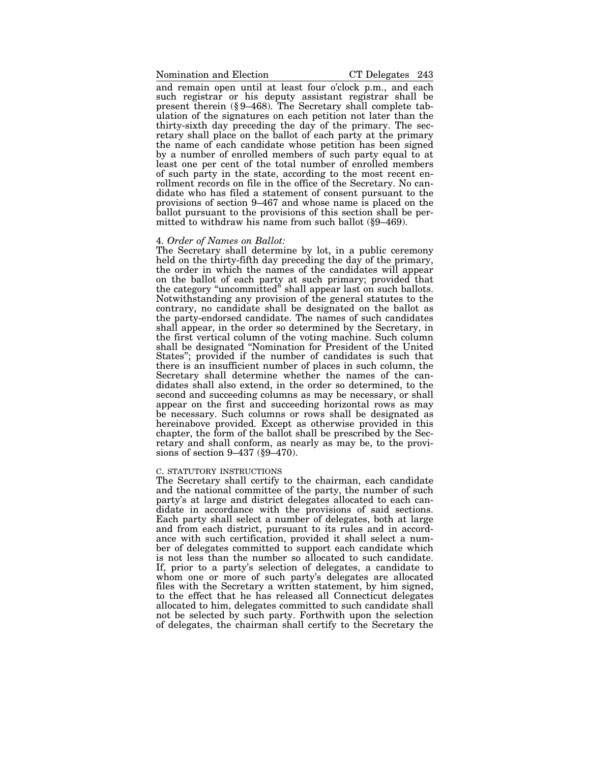Nomination and Election CT Delegates 243

and remain open until at least four o'clock p.m., and each such registrar or his deputy assistant registrar shall be present therein (§ 9–468). The Secretary shall complete tabulation of the signatures on each petition not later than the thirty-sixth day preceding the day of the primary. The secretary shall place on the ballot of each party at the primary the name of each candidate whose petition has been signed by a number of enrolled members of such party equal to at least one per cent of the total number of enrolled members of such party in the state, according to the most recent enrollment records on file in the office of the Secretary. No candidate who has filed a statement of consent pursuant to the provisions of section 9–467 and whose name is placed on the ballot pursuant to the provisions of this section shall be permitted to withdraw his name from such ballot  $(\$9-469)$ .

# 4. *Order of Names on Ballot:*

The Secretary shall determine by lot, in a public ceremony held on the thirty-fifth day preceding the day of the primary, the order in which the names of the candidates will appear on the ballot of each party at such primary; provided that the category ''uncommitted'' shall appear last on such ballots. Notwithstanding any provision of the general statutes to the contrary, no candidate shall be designated on the ballot as the party-endorsed candidate. The names of such candidates shall appear, in the order so determined by the Secretary, in the first vertical column of the voting machine. Such column shall be designated ''Nomination for President of the United States''; provided if the number of candidates is such that there is an insufficient number of places in such column, the Secretary shall determine whether the names of the candidates shall also extend, in the order so determined, to the second and succeeding columns as may be necessary, or shall appear on the first and succeeding horizontal rows as may be necessary. Such columns or rows shall be designated as hereinabove provided. Except as otherwise provided in this chapter, the form of the ballot shall be prescribed by the Secretary and shall conform, as nearly as may be, to the provisions of section 9–437 (§9–470).

# C. STATUTORY INSTRUCTIONS

The Secretary shall certify to the chairman, each candidate and the national committee of the party, the number of such party's at large and district delegates allocated to each candidate in accordance with the provisions of said sections. Each party shall select a number of delegates, both at large and from each district, pursuant to its rules and in accordance with such certification, provided it shall select a number of delegates committed to support each candidate which is not less than the number so allocated to such candidate. If, prior to a party's selection of delegates, a candidate to whom one or more of such party's delegates are allocated files with the Secretary a written statement, by him signed, to the effect that he has released all Connecticut delegates allocated to him, delegates committed to such candidate shall not be selected by such party. Forthwith upon the selection of delegates, the chairman shall certify to the Secretary the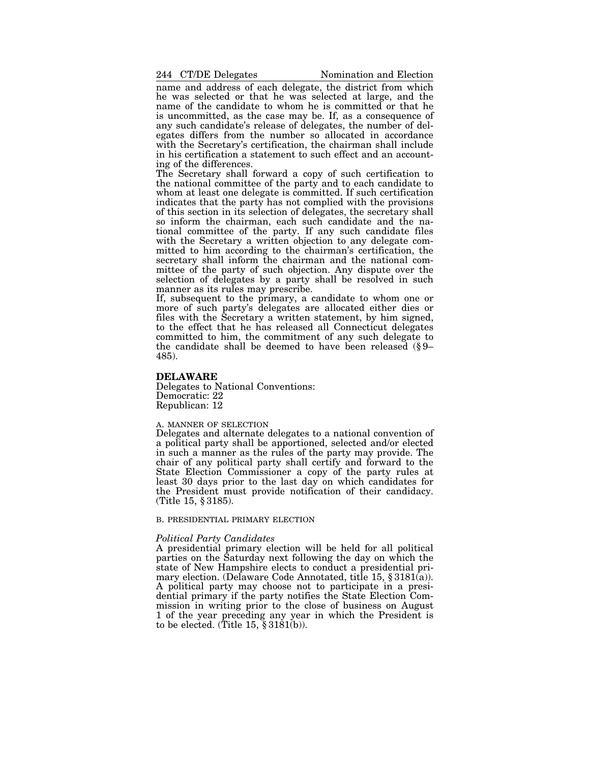name and address of each delegate, the district from which he was selected or that he was selected at large, and the name of the candidate to whom he is committed or that he is uncommitted, as the case may be. If, as a consequence of any such candidate's release of delegates, the number of delegates differs from the number so allocated in accordance with the Secretary's certification, the chairman shall include in his certification a statement to such effect and an accounting of the differences.

The Secretary shall forward a copy of such certification to the national committee of the party and to each candidate to whom at least one delegate is committed. If such certification indicates that the party has not complied with the provisions of this section in its selection of delegates, the secretary shall so inform the chairman, each such candidate and the national committee of the party. If any such candidate files with the Secretary a written objection to any delegate committed to him according to the chairman's certification, the secretary shall inform the chairman and the national committee of the party of such objection. Any dispute over the selection of delegates by a party shall be resolved in such manner as its rules may prescribe.

If, subsequent to the primary, a candidate to whom one or more of such party's delegates are allocated either dies or files with the Secretary a written statement, by him signed, to the effect that he has released all Connecticut delegates committed to him, the commitment of any such delegate to the candidate shall be deemed to have been released (§ 9– 485).

# **DELAWARE**

Delegates to National Conventions: Democratic: 22 Republican: 12

# A. MANNER OF SELECTION

Delegates and alternate delegates to a national convention of a political party shall be apportioned, selected and/or elected in such a manner as the rules of the party may provide. The chair of any political party shall certify and forward to the State Election Commissioner a copy of the party rules at least 30 days prior to the last day on which candidates for the President must provide notification of their candidacy. (Title 15, § 3185).

## B. PRESIDENTIAL PRIMARY ELECTION

### *Political Party Candidates*

A presidential primary election will be held for all political parties on the Saturday next following the day on which the state of New Hampshire elects to conduct a presidential primary election. (Delaware Code Annotated, title 15, § 3181(a)). A political party may choose not to participate in a presidential primary if the party notifies the State Election Commission in writing prior to the close of business on August 1 of the year preceding any year in which the President is to be elected. (Title  $15$ ,  $\S 3181(b)$ ).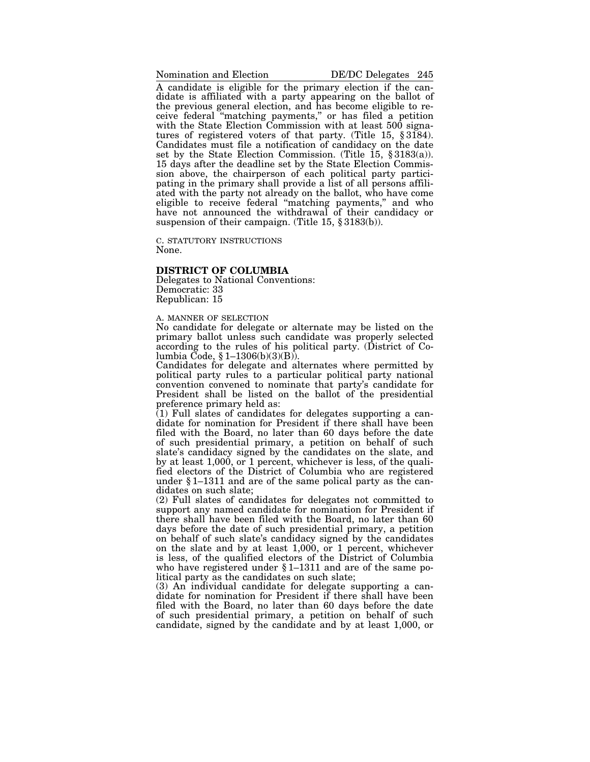Nomination and Election DE/DC Delegates 245

A candidate is eligible for the primary election if the candidate is affiliated with a party appearing on the ballot of the previous general election, and has become eligible to receive federal ''matching payments,'' or has filed a petition with the State Election Commission with at least 500 signatures of registered voters of that party. (Title 15, § 3184). Candidates must file a notification of candidacy on the date set by the State Election Commission. (Title 15, § 3183(a)). 15 days after the deadline set by the State Election Commission above, the chairperson of each political party participating in the primary shall provide a list of all persons affiliated with the party not already on the ballot, who have come eligible to receive federal ''matching payments,'' and who have not announced the withdrawal of their candidacy or suspension of their campaign. (Title 15, § 3183(b)).

C. STATUTORY INSTRUCTIONS None.

# **DISTRICT OF COLUMBIA**

Delegates to National Conventions: Democratic: 33 Republican: 15

A. MANNER OF SELECTION

No candidate for delegate or alternate may be listed on the primary ballot unless such candidate was properly selected according to the rules of his political party. (District of Columbia Code, § 1–1306(b)(3)(B)).

Candidates for delegate and alternates where permitted by political party rules to a particular political party national convention convened to nominate that party's candidate for President shall be listed on the ballot of the presidential preference primary held as:

(1) Full slates of candidates for delegates supporting a candidate for nomination for President if there shall have been filed with the Board, no later than 60 days before the date of such presidential primary, a petition on behalf of such slate's candidacy signed by the candidates on the slate, and by at least 1,000, or 1 percent, whichever is less, of the qualified electors of the District of Columbia who are registered under § 1–1311 and are of the same polical party as the candidates on such slate;

(2) Full slates of candidates for delegates not committed to support any named candidate for nomination for President if there shall have been filed with the Board, no later than 60 days before the date of such presidential primary, a petition on behalf of such slate's candidacy signed by the candidates on the slate and by at least 1,000, or 1 percent, whichever is less, of the qualified electors of the District of Columbia who have registered under § 1–1311 and are of the same political party as the candidates on such slate;

(3) An individual candidate for delegate supporting a candidate for nomination for President if there shall have been filed with the Board, no later than 60 days before the date of such presidential primary, a petition on behalf of such candidate, signed by the candidate and by at least 1,000, or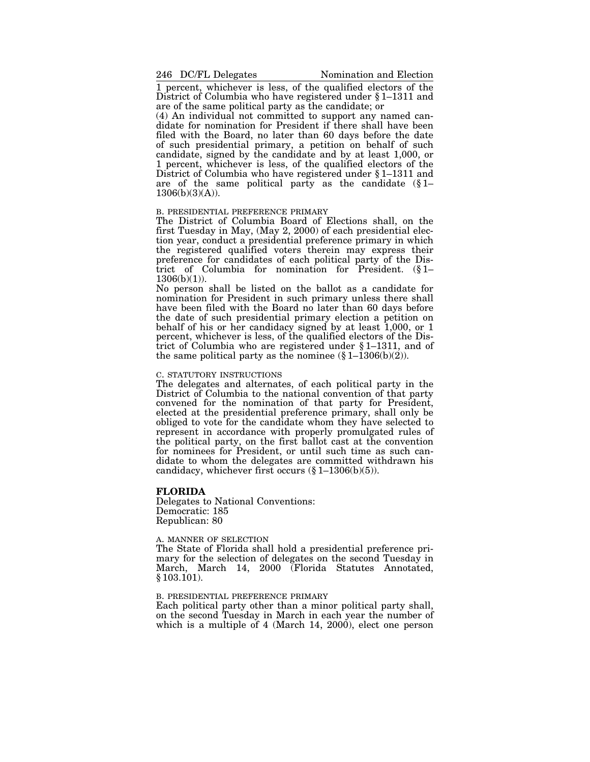1 percent, whichever is less, of the qualified electors of the District of Columbia who have registered under § 1–1311 and are of the same political party as the candidate; or

(4) An individual not committed to support any named candidate for nomination for President if there shall have been filed with the Board, no later than 60 days before the date of such presidential primary, a petition on behalf of such candidate, signed by the candidate and by at least 1,000, or 1 percent, whichever is less, of the qualified electors of the District of Columbia who have registered under § 1–1311 and are of the same political party as the candidate  $(\S 1 1306(b)(3)(A)$ .

## B. PRESIDENTIAL PREFERENCE PRIMARY

The District of Columbia Board of Elections shall, on the first Tuesday in May, (May 2, 2000) of each presidential election year, conduct a presidential preference primary in which the registered qualified voters therein may express their preference for candidates of each political party of the District of Columbia for nomination for President. (§ 1– 1306(b)(1)).

No person shall be listed on the ballot as a candidate for nomination for President in such primary unless there shall have been filed with the Board no later than 60 days before the date of such presidential primary election a petition on behalf of his or her candidacy signed by at least 1,000, or 1 percent, whichever is less, of the qualified electors of the District of Columbia who are registered under § 1–1311, and of the same political party as the nominee  $(\S 1-1306(b)(2))$ .

## C. STATUTORY INSTRUCTIONS

The delegates and alternates, of each political party in the District of Columbia to the national convention of that party convened for the nomination of that party for President, elected at the presidential preference primary, shall only be obliged to vote for the candidate whom they have selected to represent in accordance with properly promulgated rules of the political party, on the first ballot cast at the convention for nominees for President, or until such time as such candidate to whom the delegates are committed withdrawn his candidacy, whichever first occurs  $(\S 1-1306(b)(5))$ .

## **FLORIDA**

Delegates to National Conventions: Democratic: 185 Republican: 80

## A. MANNER OF SELECTION

The State of Florida shall hold a presidential preference primary for the selection of delegates on the second Tuesday in March, March 14, 2000 (Florida Statutes Annotated, § 103.101).

## B. PRESIDENTIAL PREFERENCE PRIMARY

Each political party other than a minor political party shall, on the second Tuesday in March in each year the number of which is a multiple of 4 (March 14, 2000), elect one person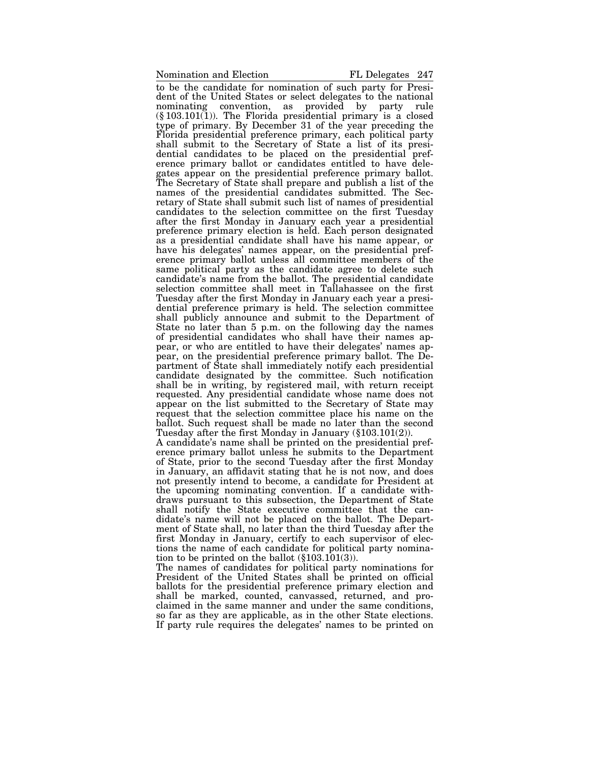Nomination and Election FL Delegates 247

to be the candidate for nomination of such party for President of the United States or select delegates to the national nominating convention, as provided by party rule (§ 103.101(1)). The Florida presidential primary is a closed type of primary. By December 31 of the year preceding the Florida presidential preference primary, each political party shall submit to the Secretary of State a list of its presidential candidates to be placed on the presidential preference primary ballot or candidates entitled to have delegates appear on the presidential preference primary ballot. The Secretary of State shall prepare and publish a list of the names of the presidential candidates submitted. The Secretary of State shall submit such list of names of presidential candidates to the selection committee on the first Tuesday after the first Monday in January each year a presidential preference primary election is held. Each person designated as a presidential candidate shall have his name appear, or have his delegates' names appear, on the presidential preference primary ballot unless all committee members of the same political party as the candidate agree to delete such candidate's name from the ballot. The presidential candidate selection committee shall meet in Tallahassee on the first Tuesday after the first Monday in January each year a presidential preference primary is held. The selection committee shall publicly announce and submit to the Department of State no later than 5 p.m. on the following day the names of presidential candidates who shall have their names appear, or who are entitled to have their delegates' names appear, on the presidential preference primary ballot. The Department of State shall immediately notify each presidential candidate designated by the committee. Such notification shall be in writing, by registered mail, with return receipt requested. Any presidential candidate whose name does not appear on the list submitted to the Secretary of State may request that the selection committee place his name on the ballot. Such request shall be made no later than the second Tuesday after the first Monday in January (§103.101(2)).

A candidate's name shall be printed on the presidential preference primary ballot unless he submits to the Department of State, prior to the second Tuesday after the first Monday in January, an affidavit stating that he is not now, and does not presently intend to become, a candidate for President at the upcoming nominating convention. If a candidate withdraws pursuant to this subsection, the Department of State shall notify the State executive committee that the candidate's name will not be placed on the ballot. The Department of State shall, no later than the third Tuesday after the first Monday in January, certify to each supervisor of elections the name of each candidate for political party nomination to be printed on the ballot (§103.101(3)).

The names of candidates for political party nominations for President of the United States shall be printed on official ballots for the presidential preference primary election and shall be marked, counted, canvassed, returned, and proclaimed in the same manner and under the same conditions, so far as they are applicable, as in the other State elections. If party rule requires the delegates' names to be printed on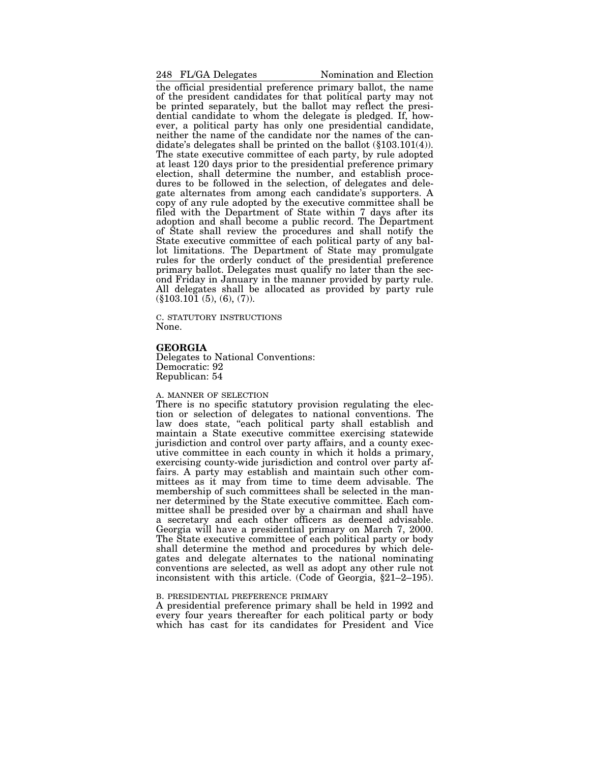248 FL/GA Delegates Nomination and Election

the official presidential preference primary ballot, the name of the president candidates for that political party may not be printed separately, but the ballot may reflect the presidential candidate to whom the delegate is pledged. If, however, a political party has only one presidential candidate, neither the name of the candidate nor the names of the candidate's delegates shall be printed on the ballot (§103.101(4)). The state executive committee of each party, by rule adopted at least 120 days prior to the presidential preference primary election, shall determine the number, and establish procedures to be followed in the selection, of delegates and delegate alternates from among each candidate's supporters. A copy of any rule adopted by the executive committee shall be filed with the Department of State within 7 days after its adoption and shall become a public record. The Department of State shall review the procedures and shall notify the State executive committee of each political party of any ballot limitations. The Department of State may promulgate rules for the orderly conduct of the presidential preference primary ballot. Delegates must qualify no later than the second Friday in January in the manner provided by party rule. All delegates shall be allocated as provided by party rule  $(\S 103.101(5), (6), (7)).$ 

C. STATUTORY INSTRUCTIONS None.

# **GEORGIA**

Delegates to National Conventions: Democratic: 92 Republican: 54

## A. MANNER OF SELECTION

There is no specific statutory provision regulating the election or selection of delegates to national conventions. The law does state, "each political party shall establish and maintain a State executive committee exercising statewide jurisdiction and control over party affairs, and a county executive committee in each county in which it holds a primary, exercising county-wide jurisdiction and control over party affairs. A party may establish and maintain such other committees as it may from time to time deem advisable. The membership of such committees shall be selected in the manner determined by the State executive committee. Each committee shall be presided over by a chairman and shall have a secretary and each other officers as deemed advisable. Georgia will have a presidential primary on March 7, 2000. The State executive committee of each political party or body shall determine the method and procedures by which delegates and delegate alternates to the national nominating conventions are selected, as well as adopt any other rule not inconsistent with this article. (Code of Georgia, §21–2–195).

#### B. PRESIDENTIAL PREFERENCE PRIMARY

A presidential preference primary shall be held in 1992 and every four years thereafter for each political party or body which has cast for its candidates for President and Vice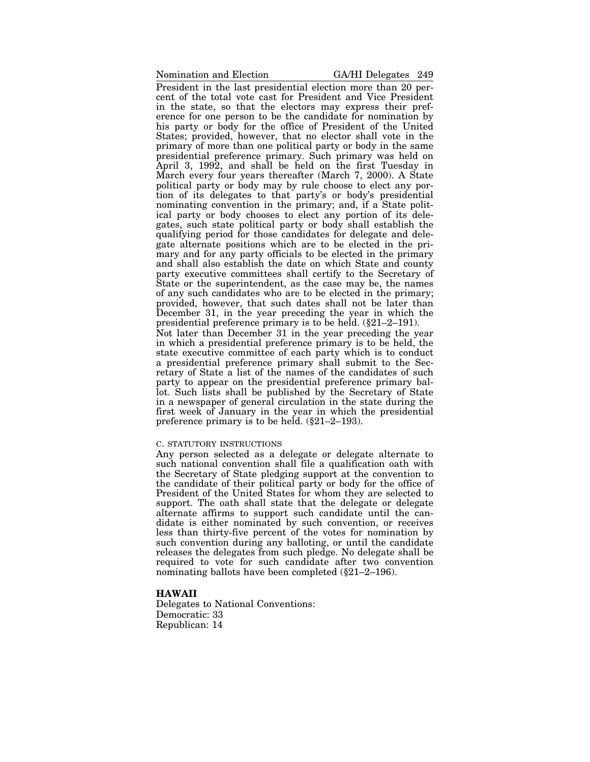Nomination and Election GA/HI Delegates 249

President in the last presidential election more than 20 percent of the total vote cast for President and Vice President in the state, so that the electors may express their preference for one person to be the candidate for nomination by his party or body for the office of President of the United States; provided, however, that no elector shall vote in the primary of more than one political party or body in the same presidential preference primary. Such primary was held on April 3, 1992, and shall be held on the first Tuesday in March every four years thereafter (March 7, 2000). A State political party or body may by rule choose to elect any portion of its delegates to that party's or body's presidential nominating convention in the primary; and, if a State political party or body chooses to elect any portion of its delegates, such state political party or body shall establish the qualifying period for those candidates for delegate and delegate alternate positions which are to be elected in the primary and for any party officials to be elected in the primary and shall also establish the date on which State and county party executive committees shall certify to the Secretary of State or the superintendent, as the case may be, the names of any such candidates who are to be elected in the primary; provided, however, that such dates shall not be later than December 31, in the year preceding the year in which the presidential preference primary is to be held. (§21–2–191). Not later than December 31 in the year preceding the year in which a presidential preference primary is to be held, the state executive committee of each party which is to conduct a presidential preference primary shall submit to the Secretary of State a list of the names of the candidates of such party to appear on the presidential preference primary ballot. Such lists shall be published by the Secretary of State in a newspaper of general circulation in the state during the

first week of January in the year in which the presidential preference primary is to be held. (§21–2–193).

# C. STATUTORY INSTRUCTIONS

Any person selected as a delegate or delegate alternate to such national convention shall file a qualification oath with the Secretary of State pledging support at the convention to the candidate of their political party or body for the office of President of the United States for whom they are selected to support. The oath shall state that the delegate or delegate alternate affirms to support such candidate until the candidate is either nominated by such convention, or receives less than thirty-five percent of the votes for nomination by such convention during any balloting, or until the candidate releases the delegates from such pledge. No delegate shall be required to vote for such candidate after two convention nominating ballots have been completed (§21–2–196).

## **HAWAII**

Delegates to National Conventions: Democratic: 33 Republican: 14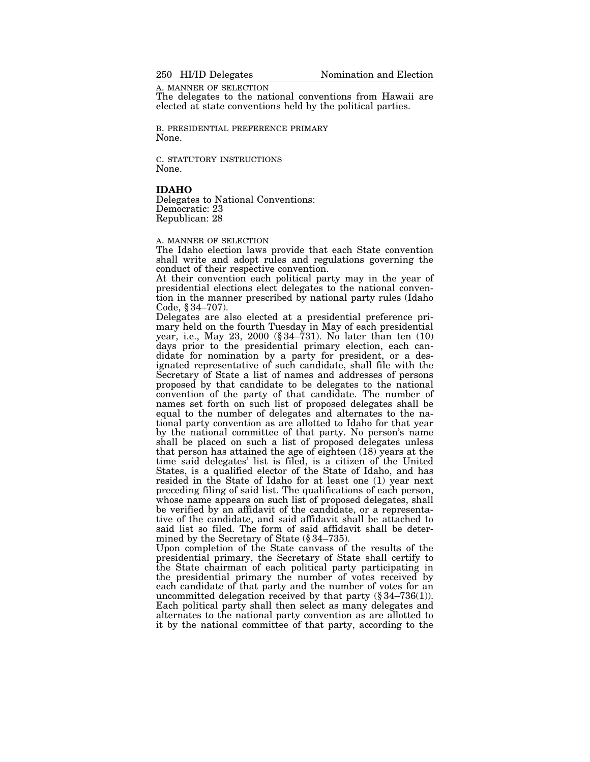A. MANNER OF SELECTION

The delegates to the national conventions from Hawaii are elected at state conventions held by the political parties.

B. PRESIDENTIAL PREFERENCE PRIMARY None.

C. STATUTORY INSTRUCTIONS None.

# **IDAHO**

Delegates to National Conventions: Democratic: 23 Republican: 28

A. MANNER OF SELECTION

The Idaho election laws provide that each State convention shall write and adopt rules and regulations governing the conduct of their respective convention.

At their convention each political party may in the year of presidential elections elect delegates to the national convention in the manner prescribed by national party rules (Idaho Code, § 34–707).

Delegates are also elected at a presidential preference primary held on the fourth Tuesday in May of each presidential year, i.e., May 23, 2000 (§ 34–731). No later than ten (10) days prior to the presidential primary election, each candidate for nomination by a party for president, or a designated representative of such candidate, shall file with the Secretary of State a list of names and addresses of persons proposed by that candidate to be delegates to the national convention of the party of that candidate. The number of names set forth on such list of proposed delegates shall be equal to the number of delegates and alternates to the national party convention as are allotted to Idaho for that year by the national committee of that party. No person's name shall be placed on such a list of proposed delegates unless that person has attained the age of eighteen (18) years at the time said delegates' list is filed, is a citizen of the United States, is a qualified elector of the State of Idaho, and has resided in the State of Idaho for at least one (1) year next preceding filing of said list. The qualifications of each person, whose name appears on such list of proposed delegates, shall be verified by an affidavit of the candidate, or a representative of the candidate, and said affidavit shall be attached to said list so filed. The form of said affidavit shall be determined by the Secretary of State (§ 34–735).

Upon completion of the State canvass of the results of the presidential primary, the Secretary of State shall certify to the State chairman of each political party participating in the presidential primary the number of votes received by each candidate of that party and the number of votes for an uncommitted delegation received by that party  $(\S 34 - 736(1))$ . Each political party shall then select as many delegates and alternates to the national party convention as are allotted to it by the national committee of that party, according to the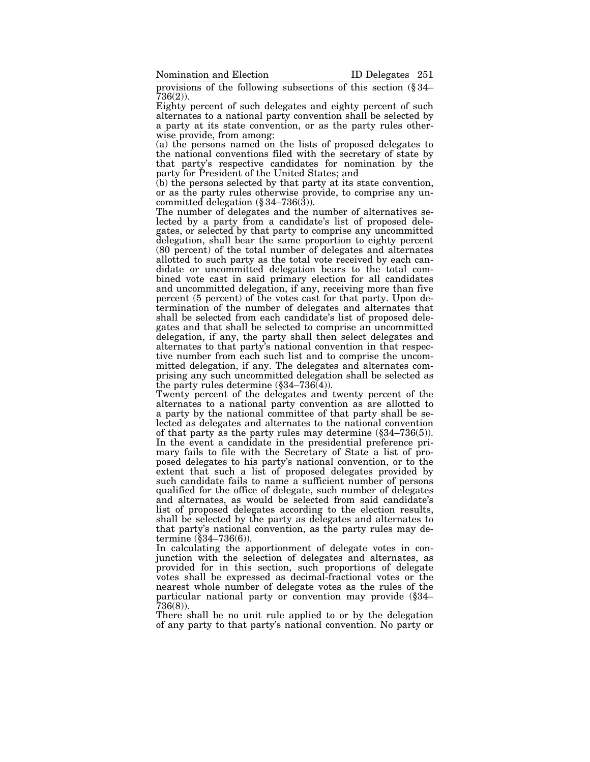provisions of the following subsections of this section (§ 34– 736(2)).

Eighty percent of such delegates and eighty percent of such alternates to a national party convention shall be selected by a party at its state convention, or as the party rules otherwise provide, from among:

(a) the persons named on the lists of proposed delegates to the national conventions filed with the secretary of state by that party's respective candidates for nomination by the party for President of the United States; and

(b) the persons selected by that party at its state convention, or as the party rules otherwise provide, to comprise any uncommitted delegation  $(\S 34 - 736(\S))$ .

The number of delegates and the number of alternatives selected by a party from a candidate's list of proposed delegates, or selected by that party to comprise any uncommitted delegation, shall bear the same proportion to eighty percent (80 percent) of the total number of delegates and alternates allotted to such party as the total vote received by each candidate or uncommitted delegation bears to the total combined vote cast in said primary election for all candidates and uncommitted delegation, if any, receiving more than five percent (5 percent) of the votes cast for that party. Upon determination of the number of delegates and alternates that shall be selected from each candidate's list of proposed delegates and that shall be selected to comprise an uncommitted delegation, if any, the party shall then select delegates and alternates to that party's national convention in that respective number from each such list and to comprise the uncommitted delegation, if any. The delegates and alternates comprising any such uncommitted delegation shall be selected as the party rules determine  $(\$34-736(4))$ .

Twenty percent of the delegates and twenty percent of the alternates to a national party convention as are allotted to a party by the national committee of that party shall be selected as delegates and alternates to the national convention of that party as the party rules may determine (§34–736(5)). In the event a candidate in the presidential preference primary fails to file with the Secretary of State a list of proposed delegates to his party's national convention, or to the extent that such a list of proposed delegates provided by such candidate fails to name a sufficient number of persons qualified for the office of delegate, such number of delegates and alternates, as would be selected from said candidate's list of proposed delegates according to the election results, shall be selected by the party as delegates and alternates to that party's national convention, as the party rules may determine (§34–736(6)).

In calculating the apportionment of delegate votes in conjunction with the selection of delegates and alternates, as provided for in this section, such proportions of delegate votes shall be expressed as decimal-fractional votes or the nearest whole number of delegate votes as the rules of the particular national party or convention may provide (§34– 736(8)).

There shall be no unit rule applied to or by the delegation of any party to that party's national convention. No party or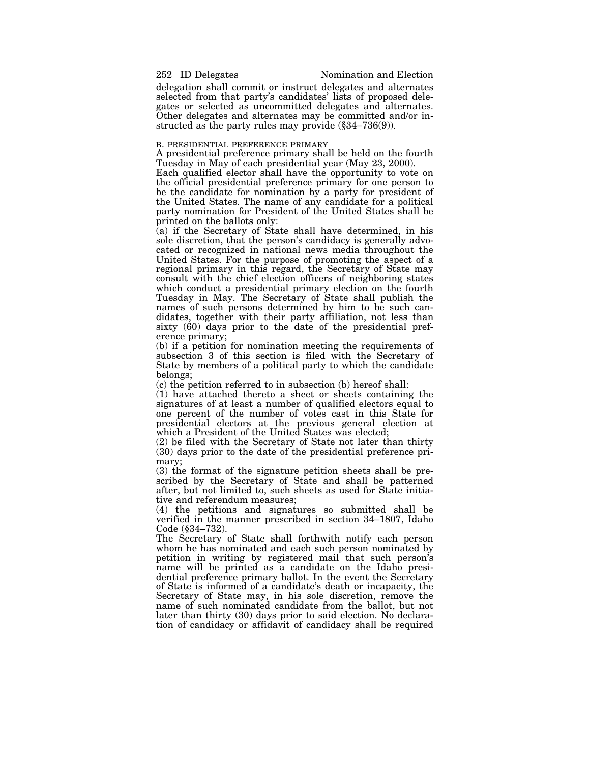252 ID Delegates Nomination and Election

delegation shall commit or instruct delegates and alternates selected from that party's candidates' lists of proposed delegates or selected as uncommitted delegates and alternates. Other delegates and alternates may be committed and/or instructed as the party rules may provide (§34–736(9)).

B. PRESIDENTIAL PREFERENCE PRIMARY

A presidential preference primary shall be held on the fourth Tuesday in May of each presidential year (May 23, 2000).

Each qualified elector shall have the opportunity to vote on the official presidential preference primary for one person to be the candidate for nomination by a party for president of the United States. The name of any candidate for a political party nomination for President of the United States shall be printed on the ballots only:

(a) if the Secretary of State shall have determined, in his sole discretion, that the person's candidacy is generally advocated or recognized in national news media throughout the United States. For the purpose of promoting the aspect of a regional primary in this regard, the Secretary of State may consult with the chief election officers of neighboring states which conduct a presidential primary election on the fourth Tuesday in May. The Secretary of State shall publish the names of such persons determined by him to be such candidates, together with their party affiliation, not less than sixty (60) days prior to the date of the presidential preference primary;

(b) if a petition for nomination meeting the requirements of subsection 3 of this section is filed with the Secretary of State by members of a political party to which the candidate belongs;

(c) the petition referred to in subsection (b) hereof shall:

(1) have attached thereto a sheet or sheets containing the signatures of at least a number of qualified electors equal to one percent of the number of votes cast in this State for presidential electors at the previous general election at which a President of the United States was elected;

(2) be filed with the Secretary of State not later than thirty (30) days prior to the date of the presidential preference primary;

(3) the format of the signature petition sheets shall be prescribed by the Secretary of State and shall be patterned after, but not limited to, such sheets as used for State initiative and referendum measures;

(4) the petitions and signatures so submitted shall be verified in the manner prescribed in section 34–1807, Idaho Code (§34–732).

The Secretary of State shall forthwith notify each person whom he has nominated and each such person nominated by petition in writing by registered mail that such person's name will be printed as a candidate on the Idaho presidential preference primary ballot. In the event the Secretary of State is informed of a candidate's death or incapacity, the Secretary of State may, in his sole discretion, remove the name of such nominated candidate from the ballot, but not later than thirty (30) days prior to said election. No declaration of candidacy or affidavit of candidacy shall be required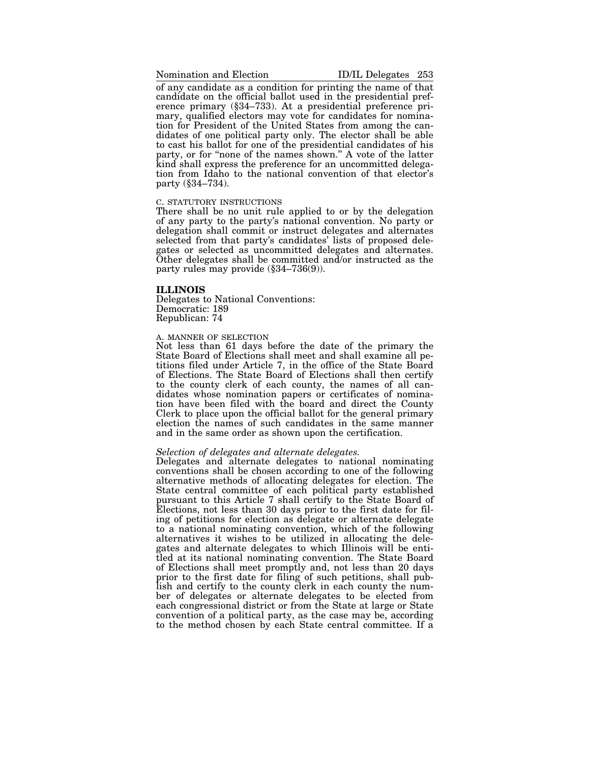Nomination and Election ID/IL Delegates 253

of any candidate as a condition for printing the name of that candidate on the official ballot used in the presidential preference primary (§34–733). At a presidential preference primary, qualified electors may vote for candidates for nomination for President of the United States from among the candidates of one political party only. The elector shall be able to cast his ballot for one of the presidential candidates of his party, or for "none of the names shown." A vote of the latter kind shall express the preference for an uncommitted delegation from Idaho to the national convention of that elector's party (§34–734).

## C. STATUTORY INSTRUCTIONS

There shall be no unit rule applied to or by the delegation of any party to the party's national convention. No party or delegation shall commit or instruct delegates and alternates selected from that party's candidates' lists of proposed delegates or selected as uncommitted delegates and alternates. Other delegates shall be committed and/or instructed as the party rules may provide (§34–736(9)).

### **ILLINOIS**

Delegates to National Conventions: Democratic: 189 Republican: 74

### A. MANNER OF SELECTION

Not less than 61 days before the date of the primary the State Board of Elections shall meet and shall examine all petitions filed under Article 7, in the office of the State Board of Elections. The State Board of Elections shall then certify to the county clerk of each county, the names of all candidates whose nomination papers or certificates of nomination have been filed with the board and direct the County Clerk to place upon the official ballot for the general primary election the names of such candidates in the same manner and in the same order as shown upon the certification.

# *Selection of delegates and alternate delegates.*

Delegates and alternate delegates to national nominating conventions shall be chosen according to one of the following alternative methods of allocating delegates for election. The State central committee of each political party established pursuant to this Article 7 shall certify to the State Board of Elections, not less than 30 days prior to the first date for filing of petitions for election as delegate or alternate delegate to a national nominating convention, which of the following alternatives it wishes to be utilized in allocating the delegates and alternate delegates to which Illinois will be entitled at its national nominating convention. The State Board of Elections shall meet promptly and, not less than 20 days prior to the first date for filing of such petitions, shall publish and certify to the county clerk in each county the number of delegates or alternate delegates to be elected from each congressional district or from the State at large or State convention of a political party, as the case may be, according to the method chosen by each State central committee. If a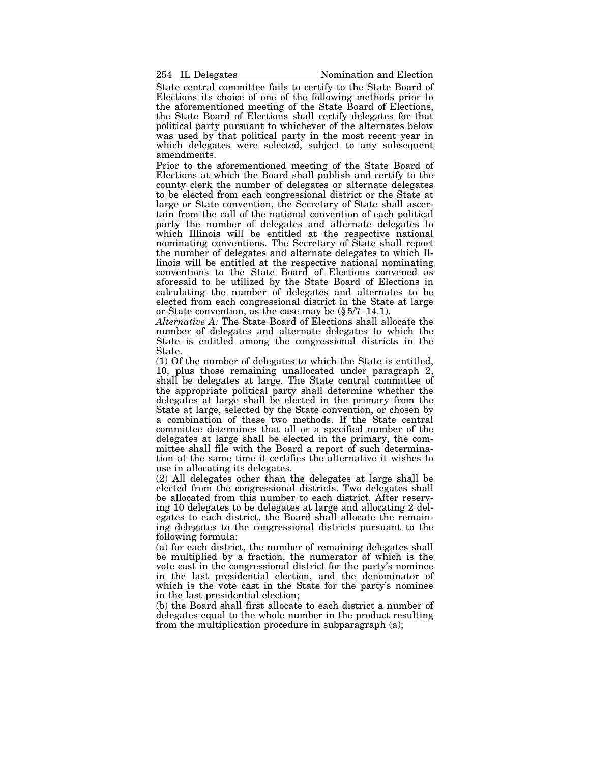254 IL Delegates Nomination and Election

State central committee fails to certify to the State Board of Elections its choice of one of the following methods prior to the aforementioned meeting of the State Board of Elections, the State Board of Elections shall certify delegates for that political party pursuant to whichever of the alternates below was used by that political party in the most recent year in which delegates were selected, subject to any subsequent amendments.

Prior to the aforementioned meeting of the State Board of Elections at which the Board shall publish and certify to the county clerk the number of delegates or alternate delegates to be elected from each congressional district or the State at large or State convention, the Secretary of State shall ascertain from the call of the national convention of each political party the number of delegates and alternate delegates to which Illinois will be entitled at the respective national nominating conventions. The Secretary of State shall report the number of delegates and alternate delegates to which Illinois will be entitled at the respective national nominating conventions to the State Board of Elections convened as aforesaid to be utilized by the State Board of Elections in calculating the number of delegates and alternates to be elected from each congressional district in the State at large or State convention, as the case may be (§ 5/7–14.1).

*Alternative A:* The State Board of Elections shall allocate the number of delegates and alternate delegates to which the State is entitled among the congressional districts in the State.

(1) Of the number of delegates to which the State is entitled, 10, plus those remaining unallocated under paragraph 2, shall be delegates at large. The State central committee of the appropriate political party shall determine whether the delegates at large shall be elected in the primary from the State at large, selected by the State convention, or chosen by a combination of these two methods. If the State central committee determines that all or a specified number of the delegates at large shall be elected in the primary, the committee shall file with the Board a report of such determination at the same time it certifies the alternative it wishes to use in allocating its delegates.

(2) All delegates other than the delegates at large shall be elected from the congressional districts. Two delegates shall be allocated from this number to each district. After reserving 10 delegates to be delegates at large and allocating 2 delegates to each district, the Board shall allocate the remaining delegates to the congressional districts pursuant to the following formula:

(a) for each district, the number of remaining delegates shall be multiplied by a fraction, the numerator of which is the vote cast in the congressional district for the party's nominee in the last presidential election, and the denominator of which is the vote cast in the State for the party's nominee in the last presidential election;

(b) the Board shall first allocate to each district a number of delegates equal to the whole number in the product resulting from the multiplication procedure in subparagraph (a);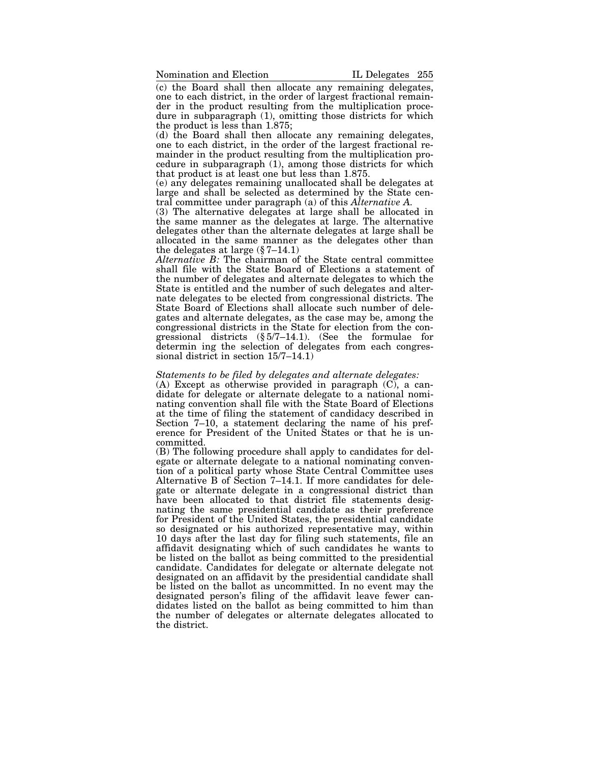(c) the Board shall then allocate any remaining delegates, one to each district, in the order of largest fractional remainder in the product resulting from the multiplication procedure in subparagraph (1), omitting those districts for which the product is less than 1.875;

(d) the Board shall then allocate any remaining delegates, one to each district, in the order of the largest fractional remainder in the product resulting from the multiplication procedure in subparagraph (1), among those districts for which that product is at least one but less than 1.875.

(e) any delegates remaining unallocated shall be delegates at large and shall be selected as determined by the State central committee under paragraph (a) of this *Alternative A.*

(3) The alternative delegates at large shall be allocated in the same manner as the delegates at large. The alternative delegates other than the alternate delegates at large shall be allocated in the same manner as the delegates other than the delegates at large  $(\S 7-14.1)$ 

*Alternative B:* The chairman of the State central committee shall file with the State Board of Elections a statement of the number of delegates and alternate delegates to which the State is entitled and the number of such delegates and alternate delegates to be elected from congressional districts. The State Board of Elections shall allocate such number of delegates and alternate delegates, as the case may be, among the congressional districts in the State for election from the congressional districts (§ 5/7–14.1). (See the formulae for determin ing the selection of delegates from each congressional district in section 15/7–14.1)

# *Statements to be filed by delegates and alternate delegates:*

(A) Except as otherwise provided in paragraph (C), a candidate for delegate or alternate delegate to a national nominating convention shall file with the State Board of Elections at the time of filing the statement of candidacy described in Section 7–10, a statement declaring the name of his preference for President of the United States or that he is uncommitted.

(B) The following procedure shall apply to candidates for delegate or alternate delegate to a national nominating convention of a political party whose State Central Committee uses Alternative B of Section 7–14.1. If more candidates for delegate or alternate delegate in a congressional district than have been allocated to that district file statements designating the same presidential candidate as their preference for President of the United States, the presidential candidate so designated or his authorized representative may, within 10 days after the last day for filing such statements, file an affidavit designating which of such candidates he wants to be listed on the ballot as being committed to the presidential candidate. Candidates for delegate or alternate delegate not designated on an affidavit by the presidential candidate shall be listed on the ballot as uncommitted. In no event may the designated person's filing of the affidavit leave fewer candidates listed on the ballot as being committed to him than the number of delegates or alternate delegates allocated to the district.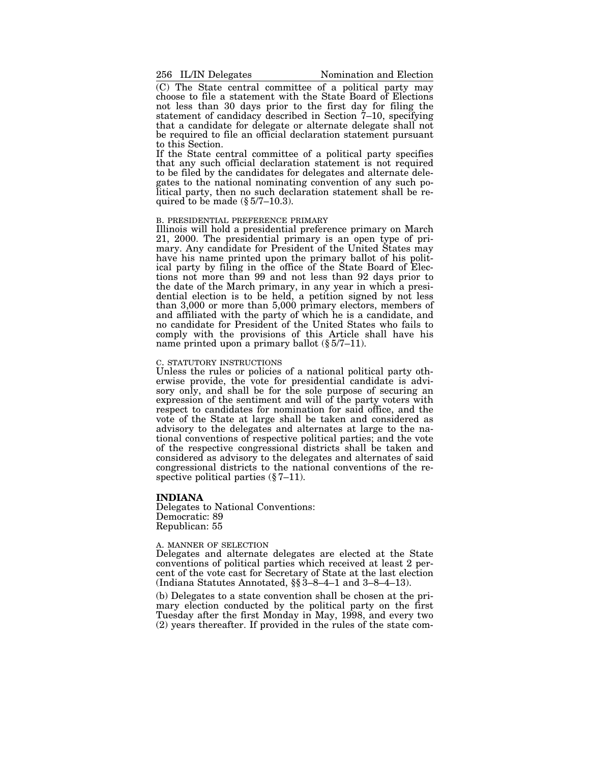256 IL/IN Delegates Nomination and Election

(C) The State central committee of a political party may choose to file a statement with the State Board of Elections not less than 30 days prior to the first day for filing the statement of candidacy described in Section 7–10, specifying that a candidate for delegate or alternate delegate shall not be required to file an official declaration statement pursuant to this Section.

If the State central committee of a political party specifies that any such official declaration statement is not required to be filed by the candidates for delegates and alternate delegates to the national nominating convention of any such political party, then no such declaration statement shall be required to be made  $(\S 5/7-10.3)$ .

#### B. PRESIDENTIAL PREFERENCE PRIMARY

Illinois will hold a presidential preference primary on March 21, 2000. The presidential primary is an open type of primary. Any candidate for President of the United States may have his name printed upon the primary ballot of his political party by filing in the office of the State Board of Elections not more than 99 and not less than 92 days prior to the date of the March primary, in any year in which a presidential election is to be held, a petition signed by not less than 3,000 or more than 5,000 primary electors, members of and affiliated with the party of which he is a candidate, and no candidate for President of the United States who fails to comply with the provisions of this Article shall have his name printed upon a primary ballot (§ 5/7–11).

#### C. STATUTORY INSTRUCTIONS

Unless the rules or policies of a national political party otherwise provide, the vote for presidential candidate is advisory only, and shall be for the sole purpose of securing an expression of the sentiment and will of the party voters with respect to candidates for nomination for said office, and the vote of the State at large shall be taken and considered as advisory to the delegates and alternates at large to the national conventions of respective political parties; and the vote of the respective congressional districts shall be taken and considered as advisory to the delegates and alternates of said congressional districts to the national conventions of the respective political parties  $(\S 7-11)$ .

### **INDIANA**

Delegates to National Conventions: Democratic: 89 Republican: 55

## A. MANNER OF SELECTION

Delegates and alternate delegates are elected at the State conventions of political parties which received at least 2 percent of the vote cast for Secretary of State at the last election (Indiana Statutes Annotated, §§ 3–8–4–1 and 3–8–4–13).

(b) Delegates to a state convention shall be chosen at the primary election conducted by the political party on the first Tuesday after the first Monday in May, 1998, and every two (2) years thereafter. If provided in the rules of the state com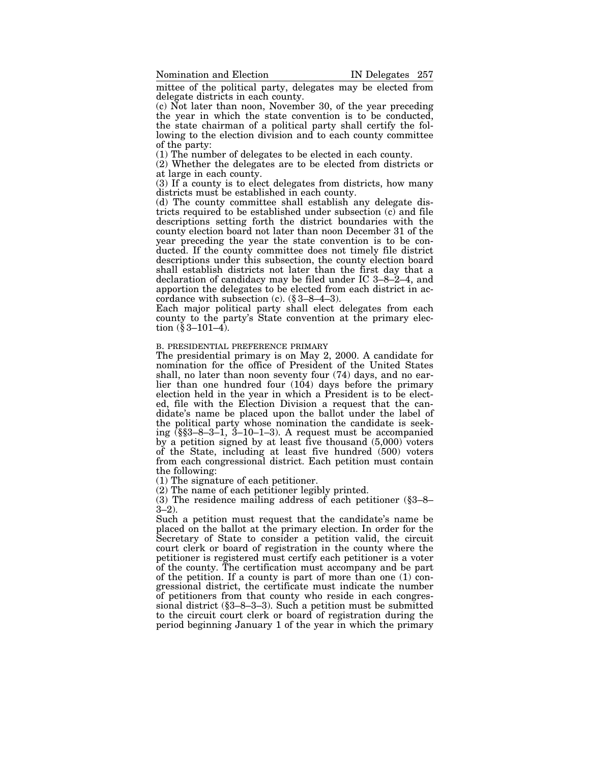mittee of the political party, delegates may be elected from delegate districts in each county.

(c) Not later than noon, November 30, of the year preceding the year in which the state convention is to be conducted, the state chairman of a political party shall certify the following to the election division and to each county committee of the party:

(1) The number of delegates to be elected in each county.

(2) Whether the delegates are to be elected from districts or at large in each county.

(3) If a county is to elect delegates from districts, how many districts must be established in each county.

(d) The county committee shall establish any delegate districts required to be established under subsection (c) and file descriptions setting forth the district boundaries with the county election board not later than noon December 31 of the year preceding the year the state convention is to be conducted. If the county committee does not timely file district descriptions under this subsection, the county election board shall establish districts not later than the first day that a declaration of candidacy may be filed under IC 3–8–2–4, and apportion the delegates to be elected from each district in accordance with subsection (c). (§ 3–8–4–3).

Each major political party shall elect delegates from each county to the party's State convention at the primary election  $(\S 3 - 101 - 4)$ .

# B. PRESIDENTIAL PREFERENCE PRIMARY

The presidential primary is on May 2, 2000. A candidate for nomination for the office of President of the United States shall, no later than noon seventy four (74) days, and no earlier than one hundred four  $(104)$  days before the primary election held in the year in which a President is to be elected, file with the Election Division a request that the candidate's name be placed upon the ballot under the label of the political party whose nomination the candidate is seeking  $(\S$ §3-8-3-1, 3-10-1-3). A request must be accompanied by a petition signed by at least five thousand (5,000) voters of the State, including at least five hundred (500) voters from each congressional district. Each petition must contain the following:

(1) The signature of each petitioner.

(2) The name of each petitioner legibly printed.

(3) The residence mailing address of each petitioner (§3–8–  $3-2$ ).

Such a petition must request that the candidate's name be placed on the ballot at the primary election. In order for the Secretary of State to consider a petition valid, the circuit court clerk or board of registration in the county where the petitioner is registered must certify each petitioner is a voter of the county. The certification must accompany and be part of the petition. If a county is part of more than one (1) congressional district, the certificate must indicate the number of petitioners from that county who reside in each congressional district (§3–8–3–3). Such a petition must be submitted to the circuit court clerk or board of registration during the period beginning January 1 of the year in which the primary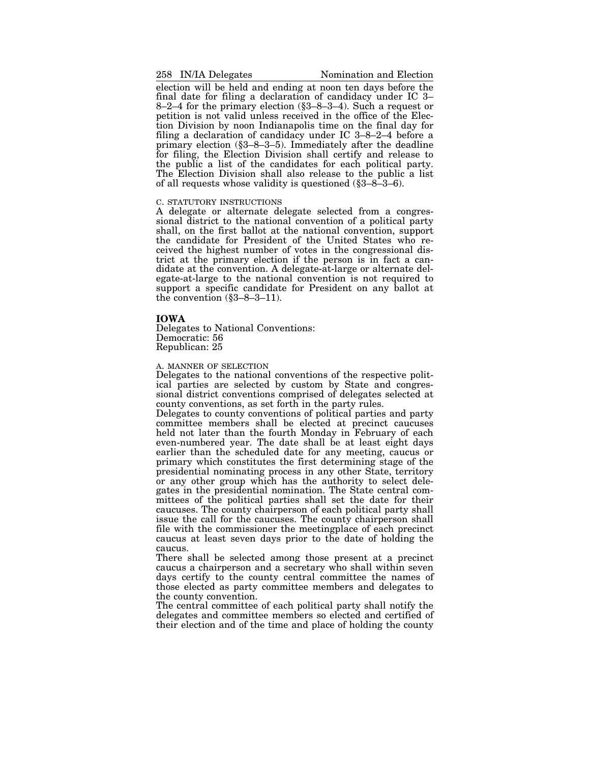election will be held and ending at noon ten days before the final date for filing a declaration of candidacy under IC 3– 8–2–4 for the primary election (§3–8–3–4). Such a request or petition is not valid unless received in the office of the Election Division by noon Indianapolis time on the final day for filing a declaration of candidacy under IC 3-8-2-4 before a primary election (§3–8–3–5). Immediately after the deadline for filing, the Election Division shall certify and release to the public a list of the candidates for each political party. The Election Division shall also release to the public a list of all requests whose validity is questioned (§3–8–3–6).

## C. STATUTORY INSTRUCTIONS

A delegate or alternate delegate selected from a congressional district to the national convention of a political party shall, on the first ballot at the national convention, support the candidate for President of the United States who received the highest number of votes in the congressional district at the primary election if the person is in fact a candidate at the convention. A delegate-at-large or alternate delegate-at-large to the national convention is not required to support a specific candidate for President on any ballot at the convention (§3–8–3–11).

## **IOWA**

Delegates to National Conventions: Democratic: 56 Republican: 25

A. MANNER OF SELECTION

Delegates to the national conventions of the respective political parties are selected by custom by State and congressional district conventions comprised of delegates selected at county conventions, as set forth in the party rules.

Delegates to county conventions of political parties and party committee members shall be elected at precinct caucuses held not later than the fourth Monday in February of each even-numbered year. The date shall be at least eight days earlier than the scheduled date for any meeting, caucus or primary which constitutes the first determining stage of the presidential nominating process in any other State, territory or any other group which has the authority to select delegates in the presidential nomination. The State central committees of the political parties shall set the date for their caucuses. The county chairperson of each political party shall issue the call for the caucuses. The county chairperson shall file with the commissioner the meetingplace of each precinct caucus at least seven days prior to the date of holding the caucus.

There shall be selected among those present at a precinct caucus a chairperson and a secretary who shall within seven days certify to the county central committee the names of those elected as party committee members and delegates to the county convention.

The central committee of each political party shall notify the delegates and committee members so elected and certified of their election and of the time and place of holding the county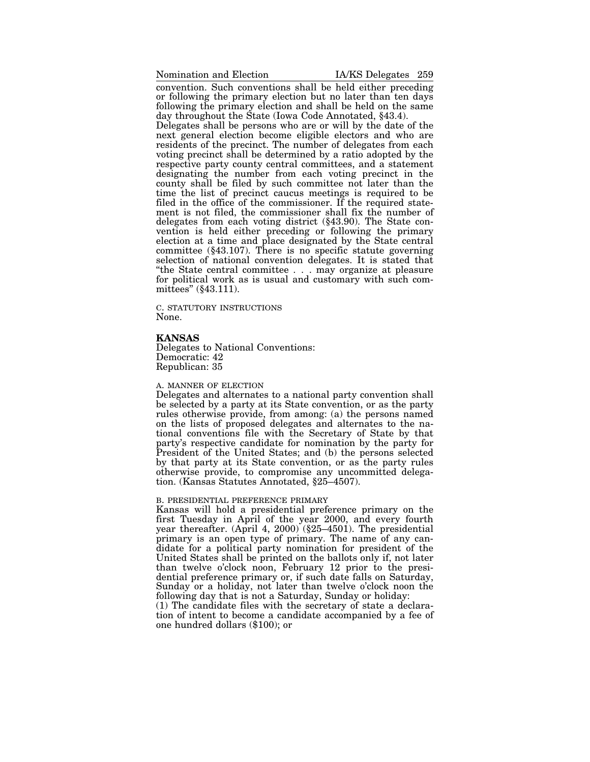Nomination and Election IA/KS Delegates 259

convention. Such conventions shall be held either preceding or following the primary election but no later than ten days following the primary election and shall be held on the same day throughout the State (Iowa Code Annotated, §43.4).

Delegates shall be persons who are or will by the date of the next general election become eligible electors and who are residents of the precinct. The number of delegates from each voting precinct shall be determined by a ratio adopted by the respective party county central committees, and a statement designating the number from each voting precinct in the county shall be filed by such committee not later than the time the list of precinct caucus meetings is required to be filed in the office of the commissioner. If the required statement is not filed, the commissioner shall fix the number of delegates from each voting district (§43.90). The State convention is held either preceding or following the primary election at a time and place designated by the State central committee (§43.107). There is no specific statute governing selection of national convention delegates. It is stated that ''the State central committee . . . may organize at pleasure for political work as is usual and customary with such committees'' (§43.111).

C. STATUTORY INSTRUCTIONS None.

# **KANSAS**

Delegates to National Conventions: Democratic: 42 Republican: 35

### A. MANNER OF ELECTION

Delegates and alternates to a national party convention shall be selected by a party at its State convention, or as the party rules otherwise provide, from among: (a) the persons named on the lists of proposed delegates and alternates to the national conventions file with the Secretary of State by that party's respective candidate for nomination by the party for President of the United States; and (b) the persons selected by that party at its State convention, or as the party rules otherwise provide, to compromise any uncommitted delegation. (Kansas Statutes Annotated, §25–4507).

#### B. PRESIDENTIAL PREFERENCE PRIMARY

Kansas will hold a presidential preference primary on the first Tuesday in April of the year 2000, and every fourth year thereafter. (April 4, 2000) (§25–4501). The presidential primary is an open type of primary. The name of any candidate for a political party nomination for president of the United States shall be printed on the ballots only if, not later than twelve o'clock noon, February 12 prior to the presidential preference primary or, if such date falls on Saturday, Sunday or a holiday, not later than twelve o'clock noon the following day that is not a Saturday, Sunday or holiday:

(1) The candidate files with the secretary of state a declaration of intent to become a candidate accompanied by a fee of one hundred dollars (\$100); or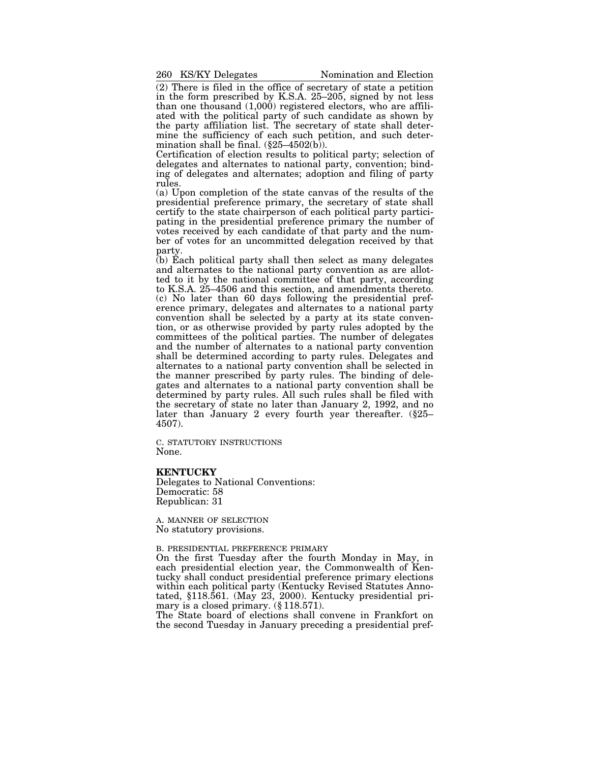(2) There is filed in the office of secretary of state a petition in the form prescribed by K.S.A. 25–205, signed by not less than one thousand (1,000) registered electors, who are affiliated with the political party of such candidate as shown by the party affiliation list. The secretary of state shall determine the sufficiency of each such petition, and such determination shall be final.  $(\S 25 - 4502(b))$ .

Certification of election results to political party; selection of delegates and alternates to national party, convention; binding of delegates and alternates; adoption and filing of party rules.

(a) Upon completion of the state canvas of the results of the presidential preference primary, the secretary of state shall certify to the state chairperson of each political party participating in the presidential preference primary the number of votes received by each candidate of that party and the number of votes for an uncommitted delegation received by that party.

(b) Each political party shall then select as many delegates and alternates to the national party convention as are allotted to it by the national committee of that party, according to K.S.A. 25–4506 and this section, and amendments thereto. (c) No later than 60 days following the presidential preference primary, delegates and alternates to a national party convention shall be selected by a party at its state convention, or as otherwise provided by party rules adopted by the committees of the political parties. The number of delegates and the number of alternates to a national party convention shall be determined according to party rules. Delegates and alternates to a national party convention shall be selected in the manner prescribed by party rules. The binding of delegates and alternates to a national party convention shall be determined by party rules. All such rules shall be filed with the secretary of state no later than January 2, 1992, and no later than January 2 every fourth year thereafter. (§25– 4507).

C. STATUTORY INSTRUCTIONS None.

## **KENTUCKY**

Delegates to National Conventions: Democratic: 58 Republican: 31

A. MANNER OF SELECTION No statutory provisions.

#### B. PRESIDENTIAL PREFERENCE PRIMARY

On the first Tuesday after the fourth Monday in May, in each presidential election year, the Commonwealth of Kentucky shall conduct presidential preference primary elections within each political party (Kentucky Revised Statutes Annotated, §118.561. (May 23, 2000). Kentucky presidential primary is a closed primary.  $(\S 118.571)$ .

The State board of elections shall convene in Frankfort on the second Tuesday in January preceding a presidential pref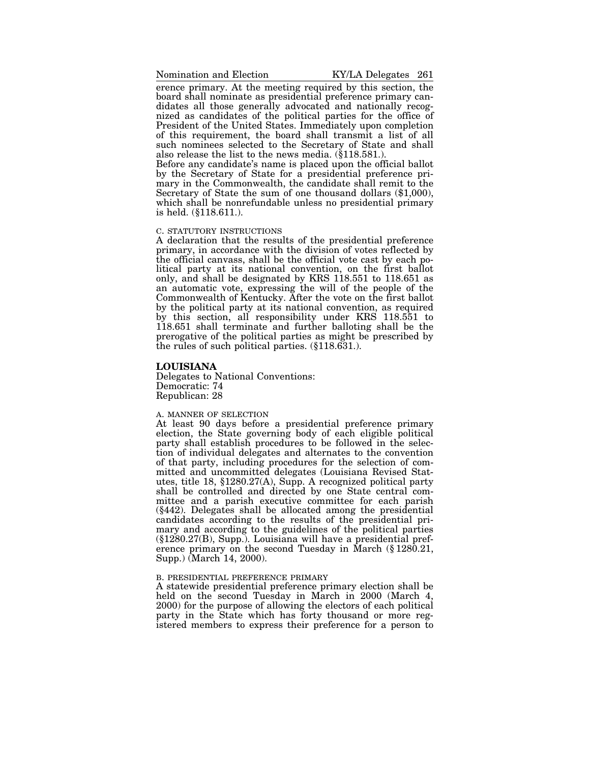Nomination and Election KY/LA Delegates 261

erence primary. At the meeting required by this section, the board shall nominate as presidential preference primary candidates all those generally advocated and nationally recognized as candidates of the political parties for the office of President of the United States. Immediately upon completion of this requirement, the board shall transmit a list of all such nominees selected to the Secretary of State and shall also release the list to the news media. (§118.581.).

Before any candidate's name is placed upon the official ballot by the Secretary of State for a presidential preference primary in the Commonwealth, the candidate shall remit to the Secretary of State the sum of one thousand dollars (\$1,000), which shall be nonrefundable unless no presidential primary is held. (§118.611.).

#### C. STATUTORY INSTRUCTIONS

A declaration that the results of the presidential preference primary, in accordance with the division of votes reflected by the official canvass, shall be the official vote cast by each political party at its national convention, on the first ballot only, and shall be designated by KRS 118.551 to 118.651 as an automatic vote, expressing the will of the people of the Commonwealth of Kentucky. After the vote on the first ballot by the political party at its national convention, as required by this section, all responsibility under KRS 118.551 to 118.651 shall terminate and further balloting shall be the prerogative of the political parties as might be prescribed by the rules of such political parties. (§118.631.).

# **LOUISIANA**

Delegates to National Conventions: Democratic: 74 Republican: 28

## A. MANNER OF SELECTION

At least 90 days before a presidential preference primary election, the State governing body of each eligible political party shall establish procedures to be followed in the selection of individual delegates and alternates to the convention of that party, including procedures for the selection of committed and uncommitted delegates (Louisiana Revised Statutes, title 18, §1280.27(A), Supp. A recognized political party shall be controlled and directed by one State central committee and a parish executive committee for each parish (§442). Delegates shall be allocated among the presidential candidates according to the results of the presidential primary and according to the guidelines of the political parties (§1280.27(B), Supp.). Louisiana will have a presidential preference primary on the second Tuesday in March (§ 1280.21, Supp.) (March 14, 2000).

# B. PRESIDENTIAL PREFERENCE PRIMARY

A statewide presidential preference primary election shall be held on the second Tuesday in March in 2000 (March 4, 2000) for the purpose of allowing the electors of each political party in the State which has forty thousand or more registered members to express their preference for a person to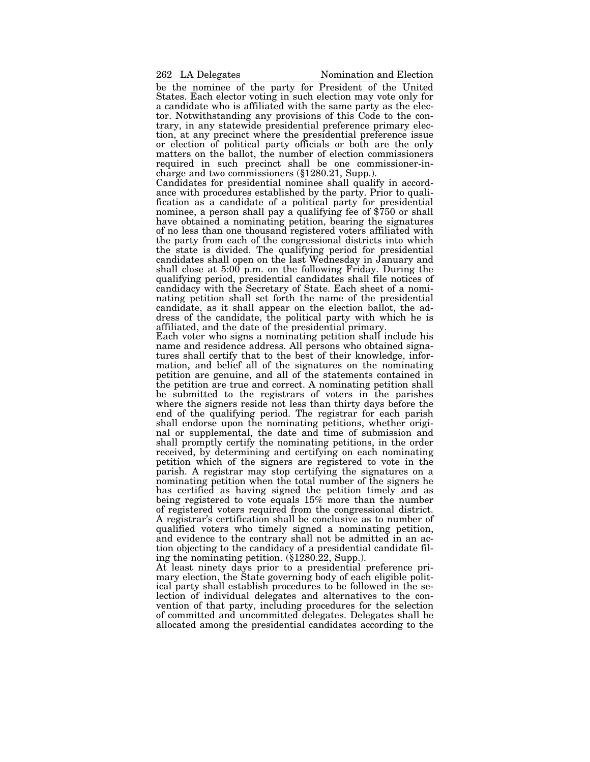262 LA Delegates Nomination and Election

be the nominee of the party for President of the United States. Each elector voting in such election may vote only for a candidate who is affiliated with the same party as the elector. Notwithstanding any provisions of this Code to the contrary, in any statewide presidential preference primary election, at any precinct where the presidential preference issue or election of political party officials or both are the only matters on the ballot, the number of election commissioners required in such precinct shall be one commissioner-incharge and two commissioners (§1280.21, Supp.).

Candidates for presidential nominee shall qualify in accordance with procedures established by the party. Prior to qualification as a candidate of a political party for presidential nominee, a person shall pay a qualifying fee of \$750 or shall have obtained a nominating petition, bearing the signatures of no less than one thousand registered voters affiliated with the party from each of the congressional districts into which the state is divided. The qualifying period for presidential candidates shall open on the last Wednesday in January and shall close at 5:00 p.m. on the following Friday. During the qualifying period, presidential candidates shall file notices of candidacy with the Secretary of State. Each sheet of a nominating petition shall set forth the name of the presidential candidate, as it shall appear on the election ballot, the address of the candidate, the political party with which he is affiliated, and the date of the presidential primary.

Each voter who signs a nominating petition shall include his name and residence address. All persons who obtained signatures shall certify that to the best of their knowledge, information, and belief all of the signatures on the nominating petition are genuine, and all of the statements contained in the petition are true and correct. A nominating petition shall be submitted to the registrars of voters in the parishes where the signers reside not less than thirty days before the end of the qualifying period. The registrar for each parish shall endorse upon the nominating petitions, whether original or supplemental, the date and time of submission and shall promptly certify the nominating petitions, in the order received, by determining and certifying on each nominating petition which of the signers are registered to vote in the parish. A registrar may stop certifying the signatures on a nominating petition when the total number of the signers he has certified as having signed the petition timely and as being registered to vote equals 15% more than the number of registered voters required from the congressional district. A registrar's certification shall be conclusive as to number of qualified voters who timely signed a nominating petition, and evidence to the contrary shall not be admitted in an action objecting to the candidacy of a presidential candidate filing the nominating petition. (§1280.22, Supp.).

At least ninety days prior to a presidential preference primary election, the State governing body of each eligible political party shall establish procedures to be followed in the selection of individual delegates and alternatives to the convention of that party, including procedures for the selection of committed and uncommitted delegates. Delegates shall be allocated among the presidential candidates according to the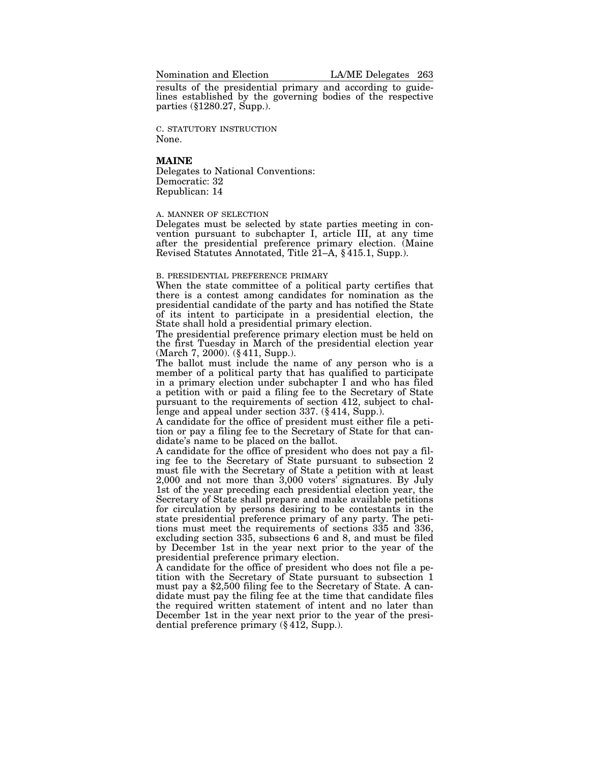Nomination and Election LA/ME Delegates 263

results of the presidential primary and according to guidelines established by the governing bodies of the respective parties (§1280.27, Supp.).

C. STATUTORY INSTRUCTION None.

# **MAINE**

Delegates to National Conventions: Democratic: 32 Republican: 14

A. MANNER OF SELECTION

Delegates must be selected by state parties meeting in convention pursuant to subchapter I, article III, at any time after the presidential preference primary election. (Maine Revised Statutes Annotated, Title 21–A, § 415.1, Supp.).

### B. PRESIDENTIAL PREFERENCE PRIMARY

When the state committee of a political party certifies that there is a contest among candidates for nomination as the presidential candidate of the party and has notified the State of its intent to participate in a presidential election, the State shall hold a presidential primary election.

The presidential preference primary election must be held on the first Tuesday in March of the presidential election year (March 7, 2000). (§ 411, Supp.).

The ballot must include the name of any person who is a member of a political party that has qualified to participate in a primary election under subchapter I and who has filed a petition with or paid a filing fee to the Secretary of State pursuant to the requirements of section 412, subject to challenge and appeal under section 337. (§ 414, Supp.).

A candidate for the office of president must either file a petition or pay a filing fee to the Secretary of State for that candidate's name to be placed on the ballot.

A candidate for the office of president who does not pay a filing fee to the Secretary of State pursuant to subsection 2 must file with the Secretary of State a petition with at least 2,000 and not more than 3,000 voters' signatures. By July 1st of the year preceding each presidential election year, the Secretary of State shall prepare and make available petitions for circulation by persons desiring to be contestants in the state presidential preference primary of any party. The petitions must meet the requirements of sections 335 and 336, excluding section 335, subsections 6 and 8, and must be filed by December 1st in the year next prior to the year of the presidential preference primary election.

A candidate for the office of president who does not file a petition with the Secretary of State pursuant to subsection 1 must pay a \$2,500 filing fee to the Secretary of State. A candidate must pay the filing fee at the time that candidate files the required written statement of intent and no later than December 1st in the year next prior to the year of the presidential preference primary (§ 412, Supp.).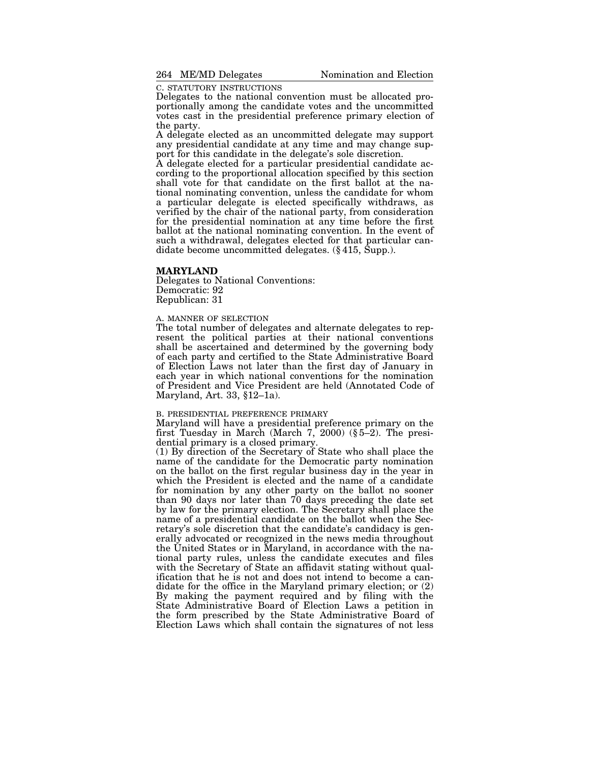C. STATUTORY INSTRUCTIONS

Delegates to the national convention must be allocated proportionally among the candidate votes and the uncommitted votes cast in the presidential preference primary election of the party.

A delegate elected as an uncommitted delegate may support any presidential candidate at any time and may change support for this candidate in the delegate's sole discretion.

A delegate elected for a particular presidential candidate according to the proportional allocation specified by this section shall vote for that candidate on the first ballot at the national nominating convention, unless the candidate for whom a particular delegate is elected specifically withdraws, as verified by the chair of the national party, from consideration for the presidential nomination at any time before the first ballot at the national nominating convention. In the event of such a withdrawal, delegates elected for that particular candidate become uncommitted delegates. (§ 415, Supp.).

#### **MARYLAND**

Delegates to National Conventions: Democratic: 92 Republican: 31

# A. MANNER OF SELECTION

The total number of delegates and alternate delegates to represent the political parties at their national conventions shall be ascertained and determined by the governing body of each party and certified to the State Administrative Board of Election Laws not later than the first day of January in each year in which national conventions for the nomination of President and Vice President are held (Annotated Code of Maryland, Art. 33, §12–1a).

## B. PRESIDENTIAL PREFERENCE PRIMARY

Maryland will have a presidential preference primary on the first Tuesday in March (March 7, 2000) ( $\S 5-2$ ). The presidential primary is a closed primary.

(1) By direction of the Secretary of State who shall place the name of the candidate for the Democratic party nomination on the ballot on the first regular business day in the year in which the President is elected and the name of a candidate for nomination by any other party on the ballot no sooner than 90 days nor later than 70 days preceding the date set by law for the primary election. The Secretary shall place the name of a presidential candidate on the ballot when the Secretary's sole discretion that the candidate's candidacy is generally advocated or recognized in the news media throughout the United States or in Maryland, in accordance with the national party rules, unless the candidate executes and files with the Secretary of State an affidavit stating without qualification that he is not and does not intend to become a candidate for the office in the Maryland primary election; or (2) By making the payment required and by filing with the State Administrative Board of Election Laws a petition in the form prescribed by the State Administrative Board of Election Laws which shall contain the signatures of not less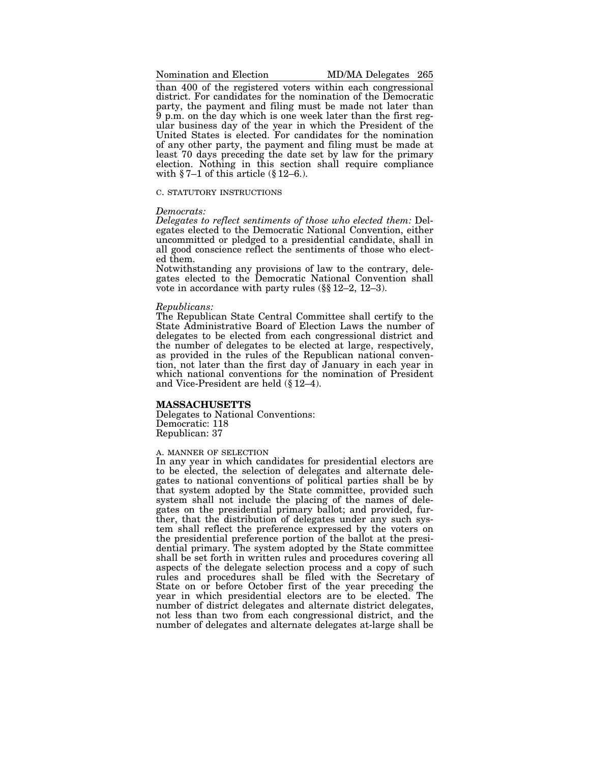Nomination and Election MD/MA Delegates 265

than 400 of the registered voters within each congressional district. For candidates for the nomination of the Democratic party, the payment and filing must be made not later than 9 p.m. on the day which is one week later than the first regular business day of the year in which the President of the United States is elected. For candidates for the nomination of any other party, the payment and filing must be made at least 70 days preceding the date set by law for the primary election. Nothing in this section shall require compliance with  $\S 7-1$  of this article ( $\S 12-6$ .).

C. STATUTORY INSTRUCTIONS

# *Democrats:*

*Delegates to reflect sentiments of those who elected them:* Delegates elected to the Democratic National Convention, either uncommitted or pledged to a presidential candidate, shall in all good conscience reflect the sentiments of those who elected them.

Notwithstanding any provisions of law to the contrary, delegates elected to the Democratic National Convention shall vote in accordance with party rules (§§ 12–2, 12–3).

### *Republicans:*

The Republican State Central Committee shall certify to the State Administrative Board of Election Laws the number of delegates to be elected from each congressional district and the number of delegates to be elected at large, respectively, as provided in the rules of the Republican national convention, not later than the first day of January in each year in which national conventions for the nomination of President and Vice-President are held (§ 12–4).

## **MASSACHUSETTS**

Delegates to National Conventions: Democratic: 118 Republican: 37

A. MANNER OF SELECTION

In any year in which candidates for presidential electors are to be elected, the selection of delegates and alternate delegates to national conventions of political parties shall be by that system adopted by the State committee, provided such system shall not include the placing of the names of delegates on the presidential primary ballot; and provided, further, that the distribution of delegates under any such system shall reflect the preference expressed by the voters on the presidential preference portion of the ballot at the presidential primary. The system adopted by the State committee shall be set forth in written rules and procedures covering all aspects of the delegate selection process and a copy of such rules and procedures shall be filed with the Secretary of State on or before October first of the year preceding the year in which presidential electors are to be elected. The number of district delegates and alternate district delegates, not less than two from each congressional district, and the number of delegates and alternate delegates at-large shall be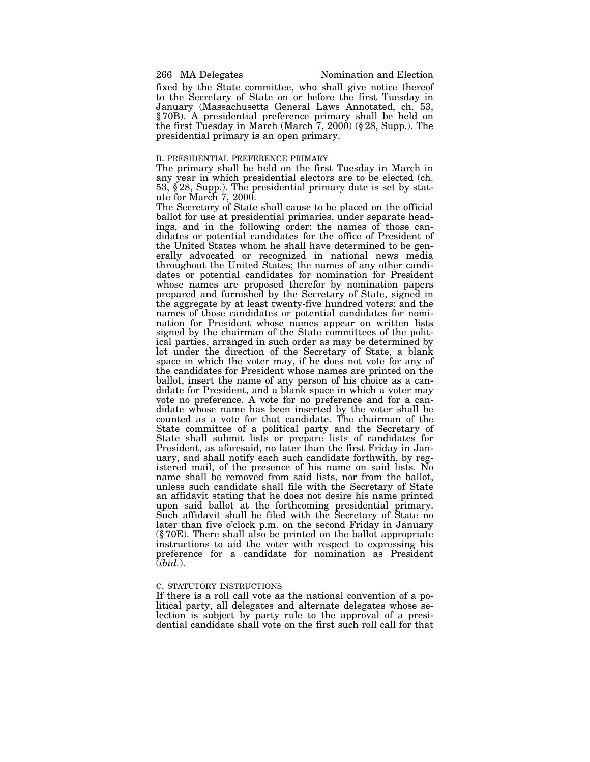266 MA Delegates Nomination and Election

fixed by the State committee, who shall give notice thereof to the Secretary of State on or before the first Tuesday in January (Massachusetts General Laws Annotated, ch. 53, § 70B). A presidential preference primary shall be held on the first Tuesday in March (March 7, 2000) (§ 28, Supp.). The presidential primary is an open primary.

# B. PRESIDENTIAL PREFERENCE PRIMARY

The primary shall be held on the first Tuesday in March in any year in which presidential electors are to be elected (ch. 53, § 28, Supp.). The presidential primary date is set by statute for March 7, 2000.

The Secretary of State shall cause to be placed on the official ballot for use at presidential primaries, under separate headings, and in the following order: the names of those candidates or potential candidates for the office of President of the United States whom he shall have determined to be generally advocated or recognized in national news media throughout the United States; the names of any other candidates or potential candidates for nomination for President whose names are proposed therefor by nomination papers prepared and furnished by the Secretary of State, signed in the aggregate by at least twenty-five hundred voters; and the names of those candidates or potential candidates for nomination for President whose names appear on written lists signed by the chairman of the State committees of the political parties, arranged in such order as may be determined by lot under the direction of the Secretary of State, a blank space in which the voter may, if he does not vote for any of the candidates for President whose names are printed on the ballot, insert the name of any person of his choice as a candidate for President, and a blank space in which a voter may vote no preference. A vote for no preference and for a candidate whose name has been inserted by the voter shall be counted as a vote for that candidate. The chairman of the State committee of a political party and the Secretary of State shall submit lists or prepare lists of candidates for President, as aforesaid, no later than the first Friday in January, and shall notify each such candidate forthwith, by registered mail, of the presence of his name on said lists. No name shall be removed from said lists, nor from the ballot, unless such candidate shall file with the Secretary of State an affidavit stating that he does not desire his name printed upon said ballot at the forthcoming presidential primary. Such affidavit shall be filed with the Secretary of State no later than five o'clock p.m. on the second Friday in January (§ 70E). There shall also be printed on the ballot appropriate instructions to aid the voter with respect to expressing his preference for a candidate for nomination as President (*ibid.*).

# C. STATUTORY INSTRUCTIONS

If there is a roll call vote as the national convention of a political party, all delegates and alternate delegates whose selection is subject by party rule to the approval of a presidential candidate shall vote on the first such roll call for that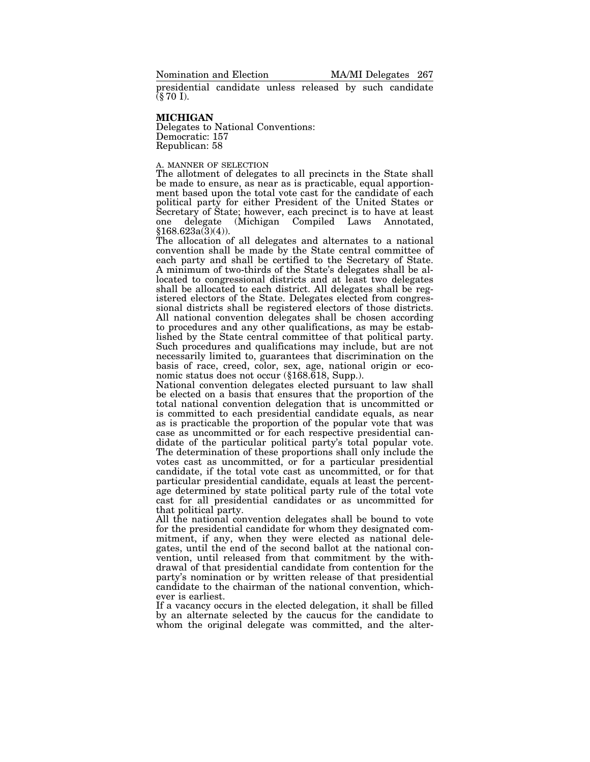Nomination and Election MA/MI Delegates 267

presidential candidate unless released by such candidate  $(§ 70 I).$ 

### **MICHIGAN**

Delegates to National Conventions: Democratic: 157 Republican: 58

A. MANNER OF SELECTION

The allotment of delegates to all precincts in the State shall be made to ensure, as near as is practicable, equal apportionment based upon the total vote cast for the candidate of each political party for either President of the United States or Secretary of State; however, each precinct is to have at least one delegate (Michigan Compiled Laws Annotated, §168.623a(3)(4)).

The allocation of all delegates and alternates to a national convention shall be made by the State central committee of each party and shall be certified to the Secretary of State. A minimum of two-thirds of the State's delegates shall be allocated to congressional districts and at least two delegates shall be allocated to each district. All delegates shall be registered electors of the State. Delegates elected from congressional districts shall be registered electors of those districts. All national convention delegates shall be chosen according to procedures and any other qualifications, as may be established by the State central committee of that political party. Such procedures and qualifications may include, but are not necessarily limited to, guarantees that discrimination on the basis of race, creed, color, sex, age, national origin or economic status does not occur (§168.618, Supp.).

National convention delegates elected pursuant to law shall be elected on a basis that ensures that the proportion of the total national convention delegation that is uncommitted or is committed to each presidential candidate equals, as near as is practicable the proportion of the popular vote that was case as uncommitted or for each respective presidential candidate of the particular political party's total popular vote. The determination of these proportions shall only include the votes cast as uncommitted, or for a particular presidential candidate, if the total vote cast as uncommitted, or for that particular presidential candidate, equals at least the percentage determined by state political party rule of the total vote cast for all presidential candidates or as uncommitted for that political party.

All the national convention delegates shall be bound to vote for the presidential candidate for whom they designated commitment, if any, when they were elected as national delegates, until the end of the second ballot at the national convention, until released from that commitment by the withdrawal of that presidential candidate from contention for the party's nomination or by written release of that presidential candidate to the chairman of the national convention, whichever is earliest.

If a vacancy occurs in the elected delegation, it shall be filled by an alternate selected by the caucus for the candidate to whom the original delegate was committed, and the alter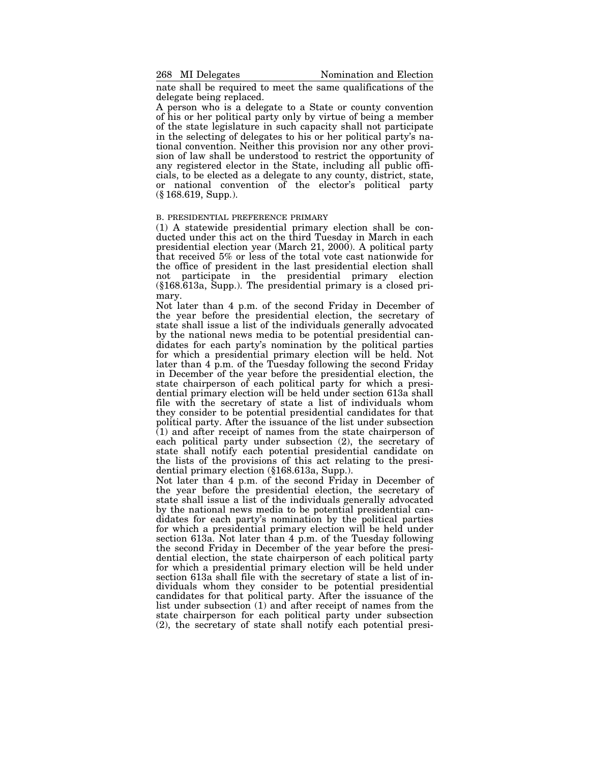nate shall be required to meet the same qualifications of the delegate being replaced.

A person who is a delegate to a State or county convention of his or her political party only by virtue of being a member of the state legislature in such capacity shall not participate in the selecting of delegates to his or her political party's national convention. Neither this provision nor any other provision of law shall be understood to restrict the opportunity of any registered elector in the State, including all public officials, to be elected as a delegate to any county, district, state, or national convention of the elector's political party (§ 168.619, Supp.).

#### B. PRESIDENTIAL PREFERENCE PRIMARY

(1) A statewide presidential primary election shall be conducted under this act on the third Tuesday in March in each presidential election year (March 21, 2000). A political party that received 5% or less of the total vote cast nationwide for the office of president in the last presidential election shall not participate in the presidential primary election (§168.613a, Supp.). The presidential primary is a closed primary.

Not later than 4 p.m. of the second Friday in December of the year before the presidential election, the secretary of state shall issue a list of the individuals generally advocated by the national news media to be potential presidential candidates for each party's nomination by the political parties for which a presidential primary election will be held. Not later than 4 p.m. of the Tuesday following the second Friday in December of the year before the presidential election, the state chairperson of each political party for which a presidential primary election will be held under section 613a shall file with the secretary of state a list of individuals whom they consider to be potential presidential candidates for that political party. After the issuance of the list under subsection  $(1)$  and after receipt of names from the state chairperson of each political party under subsection (2), the secretary of state shall notify each potential presidential candidate on the lists of the provisions of this act relating to the presidential primary election (§168.613a, Supp.).

Not later than 4 p.m. of the second Friday in December of the year before the presidential election, the secretary of state shall issue a list of the individuals generally advocated by the national news media to be potential presidential candidates for each party's nomination by the political parties for which a presidential primary election will be held under section 613a. Not later than 4 p.m. of the Tuesday following the second Friday in December of the year before the presidential election, the state chairperson of each political party for which a presidential primary election will be held under section 613a shall file with the secretary of state a list of individuals whom they consider to be potential presidential candidates for that political party. After the issuance of the list under subsection (1) and after receipt of names from the state chairperson for each political party under subsection (2), the secretary of state shall notify each potential presi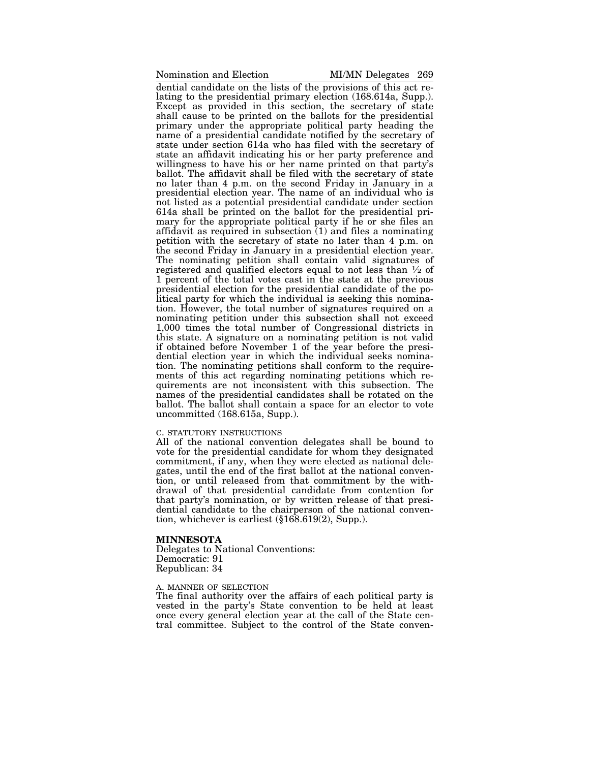Nomination and Election MI/MN Delegates 269

dential candidate on the lists of the provisions of this act relating to the presidential primary election (168.614a, Supp.). Except as provided in this section, the secretary of state shall cause to be printed on the ballots for the presidential primary under the appropriate political party heading the name of a presidential candidate notified by the secretary of state under section 614a who has filed with the secretary of state an affidavit indicating his or her party preference and willingness to have his or her name printed on that party's ballot. The affidavit shall be filed with the secretary of state no later than 4 p.m. on the second Friday in January in a presidential election year. The name of an individual who is not listed as a potential presidential candidate under section 614a shall be printed on the ballot for the presidential primary for the appropriate political party if he or she files an affidavit as required in subsection  $(1)$  and files a nominating petition with the secretary of state no later than 4 p.m. on the second Friday in January in a presidential election year. The nominating petition shall contain valid signatures of registered and qualified electors equal to not less than 1⁄2 of 1 percent of the total votes cast in the state at the previous presidential election for the presidential candidate of the political party for which the individual is seeking this nomination. However, the total number of signatures required on a nominating petition under this subsection shall not exceed 1,000 times the total number of Congressional districts in this state. A signature on a nominating petition is not valid if obtained before November 1 of the year before the presidential election year in which the individual seeks nomination. The nominating petitions shall conform to the requirements of this act regarding nominating petitions which requirements are not inconsistent with this subsection. The names of the presidential candidates shall be rotated on the ballot. The ballot shall contain a space for an elector to vote uncommitted (168.615a, Supp.).

### C. STATUTORY INSTRUCTIONS

All of the national convention delegates shall be bound to vote for the presidential candidate for whom they designated commitment, if any, when they were elected as national delegates, until the end of the first ballot at the national convention, or until released from that commitment by the withdrawal of that presidential candidate from contention for that party's nomination, or by written release of that presidential candidate to the chairperson of the national convention, whichever is earliest (§168.619(2), Supp.).

## **MINNESOTA**

Delegates to National Conventions: Democratic: 91 Republican: 34

# A. MANNER OF SELECTION

The final authority over the affairs of each political party is vested in the party's State convention to be held at least once every general election year at the call of the State central committee. Subject to the control of the State conven-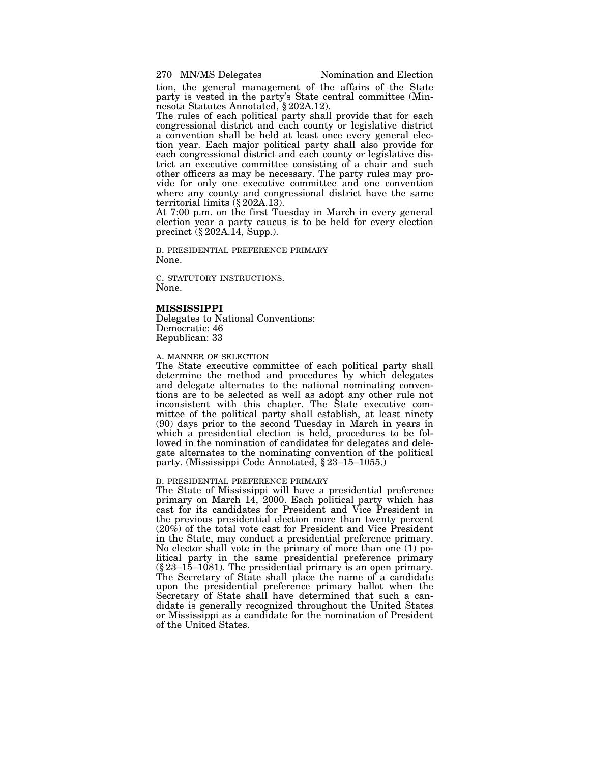tion, the general management of the affairs of the State party is vested in the party's State central committee (Minnesota Statutes Annotated, § 202A.12).

The rules of each political party shall provide that for each congressional district and each county or legislative district a convention shall be held at least once every general election year. Each major political party shall also provide for each congressional district and each county or legislative district an executive committee consisting of a chair and such other officers as may be necessary. The party rules may provide for only one executive committee and one convention where any county and congressional district have the same territorial limits (§ 202A.13).

At 7:00 p.m. on the first Tuesday in March in every general election year a party caucus is to be held for every election precinct  $\S 202A.14$ , Supp.).

B. PRESIDENTIAL PREFERENCE PRIMARY None.

C. STATUTORY INSTRUCTIONS. None.

#### **MISSISSIPPI**

Delegates to National Conventions: Democratic: 46 Republican: 33

## A. MANNER OF SELECTION

The State executive committee of each political party shall determine the method and procedures by which delegates and delegate alternates to the national nominating conventions are to be selected as well as adopt any other rule not inconsistent with this chapter. The State executive committee of the political party shall establish, at least ninety (90) days prior to the second Tuesday in March in years in which a presidential election is held, procedures to be followed in the nomination of candidates for delegates and delegate alternates to the nominating convention of the political party. (Mississippi Code Annotated, § 23–15–1055.)

## B. PRESIDENTIAL PREFERENCE PRIMARY

The State of Mississippi will have a presidential preference primary on March 14, 2000. Each political party which has cast for its candidates for President and Vice President in the previous presidential election more than twenty percent (20%) of the total vote cast for President and Vice President in the State, may conduct a presidential preference primary. No elector shall vote in the primary of more than one (1) political party in the same presidential preference primary  $(\S 23 - 15 - 1081)$ . The presidential primary is an open primary. The Secretary of State shall place the name of a candidate upon the presidential preference primary ballot when the Secretary of State shall have determined that such a candidate is generally recognized throughout the United States or Mississippi as a candidate for the nomination of President of the United States.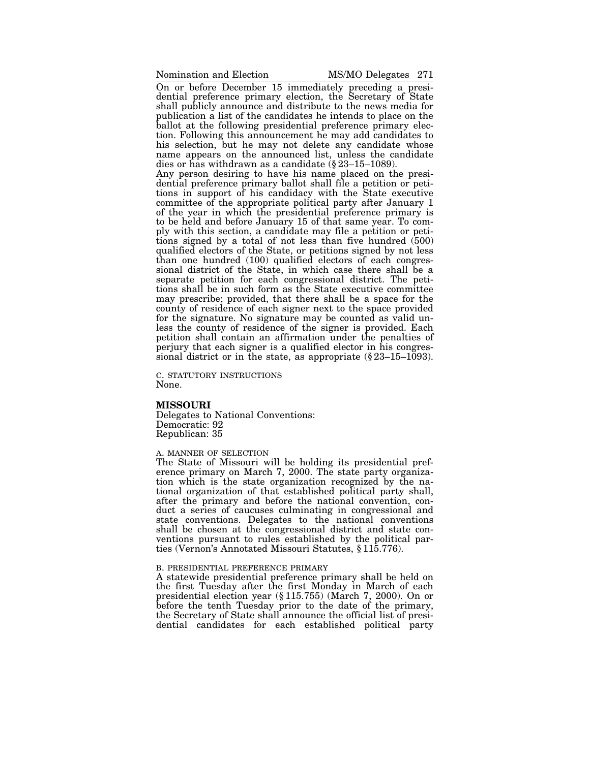Nomination and Election MS/MO Delegates 271

On or before December 15 immediately preceding a presidential preference primary election, the Secretary of State shall publicly announce and distribute to the news media for publication a list of the candidates he intends to place on the ballot at the following presidential preference primary election. Following this announcement he may add candidates to his selection, but he may not delete any candidate whose name appears on the announced list, unless the candidate dies or has withdrawn as a candidate (§ 23–15–1089).

Any person desiring to have his name placed on the presidential preference primary ballot shall file a petition or petitions in support of his candidacy with the State executive committee of the appropriate political party after January 1 of the year in which the presidential preference primary is to be held and before January 15 of that same year. To comply with this section, a candidate may file a petition or petitions signed by a total of not less than five hundred (500) qualified electors of the State, or petitions signed by not less than one hundred (100) qualified electors of each congressional district of the State, in which case there shall be a separate petition for each congressional district. The petitions shall be in such form as the State executive committee may prescribe; provided, that there shall be a space for the county of residence of each signer next to the space provided for the signature. No signature may be counted as valid unless the county of residence of the signer is provided. Each petition shall contain an affirmation under the penalties of perjury that each signer is a qualified elector in his congressional district or in the state, as appropriate  $(\S 23 - 15 - 1093)$ .

C. STATUTORY INSTRUCTIONS None.

### **MISSOURI**

Delegates to National Conventions: Democratic: 92 Republican: 35

# A. MANNER OF SELECTION

The State of Missouri will be holding its presidential preference primary on March 7, 2000. The state party organization which is the state organization recognized by the national organization of that established political party shall, after the primary and before the national convention, conduct a series of caucuses culminating in congressional and state conventions. Delegates to the national conventions shall be chosen at the congressional district and state conventions pursuant to rules established by the political parties (Vernon's Annotated Missouri Statutes, § 115.776).

## B. PRESIDENTIAL PREFERENCE PRIMARY

A statewide presidential preference primary shall be held on the first Tuesday after the first Monday in March of each presidential election year (§ 115.755) (March 7, 2000). On or before the tenth Tuesday prior to the date of the primary, the Secretary of State shall announce the official list of presidential candidates for each established political party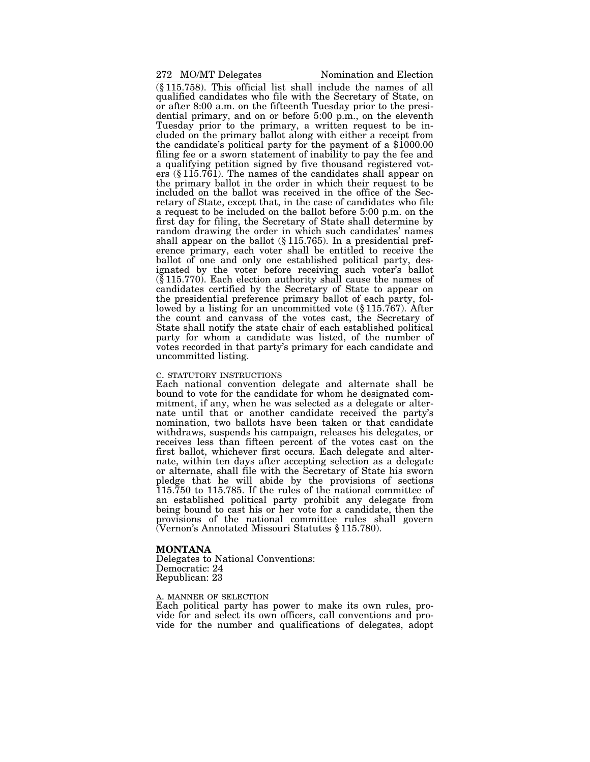(§ 115.758). This official list shall include the names of all qualified candidates who file with the Secretary of State, on or after 8:00 a.m. on the fifteenth Tuesday prior to the presidential primary, and on or before 5:00 p.m., on the eleventh Tuesday prior to the primary, a written request to be included on the primary ballot along with either a receipt from the candidate's political party for the payment of a \$1000.00 filing fee or a sworn statement of inability to pay the fee and a qualifying petition signed by five thousand registered voters (§ 115.761). The names of the candidates shall appear on the primary ballot in the order in which their request to be included on the ballot was received in the office of the Secretary of State, except that, in the case of candidates who file a request to be included on the ballot before 5:00 p.m. on the first day for filing, the Secretary of State shall determine by random drawing the order in which such candidates' names shall appear on the ballot  $(\S 115.765)$ . In a presidential preference primary, each voter shall be entitled to receive the ballot of one and only one established political party, designated by the voter before receiving such voter's ballot (§ 115.770). Each election authority shall cause the names of candidates certified by the Secretary of State to appear on the presidential preference primary ballot of each party, followed by a listing for an uncommitted vote (§115.767). After the count and canvass of the votes cast, the Secretary of State shall notify the state chair of each established political party for whom a candidate was listed, of the number of votes recorded in that party's primary for each candidate and uncommitted listing.

### C. STATUTORY INSTRUCTIONS

Each national convention delegate and alternate shall be bound to vote for the candidate for whom he designated commitment, if any, when he was selected as a delegate or alternate until that or another candidate received the party's nomination, two ballots have been taken or that candidate withdraws, suspends his campaign, releases his delegates, or receives less than fifteen percent of the votes cast on the first ballot, whichever first occurs. Each delegate and alternate, within ten days after accepting selection as a delegate or alternate, shall file with the Secretary of State his sworn pledge that he will abide by the provisions of sections 115.750 to 115.785. If the rules of the national committee of an established political party prohibit any delegate from being bound to cast his or her vote for a candidate, then the provisions of the national committee rules shall govern (Vernon's Annotated Missouri Statutes § 115.780).

### **MONTANA**

Delegates to National Conventions: Democratic: 24 Republican: 23

## A. MANNER OF SELECTION

Each political party has power to make its own rules, provide for and select its own officers, call conventions and provide for the number and qualifications of delegates, adopt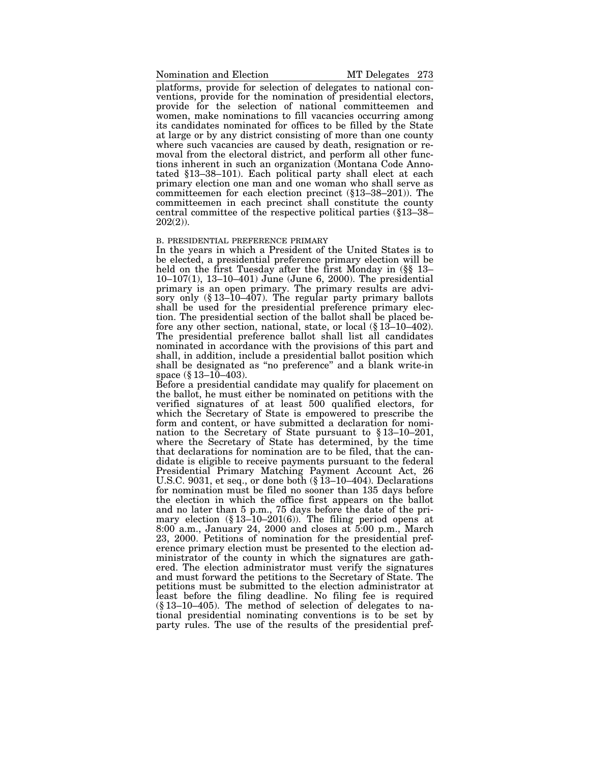Nomination and Election MT Delegates 273

platforms, provide for selection of delegates to national conventions, provide for the nomination of presidential electors, provide for the selection of national committeemen and women, make nominations to fill vacancies occurring among its candidates nominated for offices to be filled by the State at large or by any district consisting of more than one county where such vacancies are caused by death, resignation or removal from the electoral district, and perform all other functions inherent in such an organization (Montana Code Annotated §13–38–101). Each political party shall elect at each primary election one man and one woman who shall serve as committeemen for each election precinct (§13–38–201)). The committeemen in each precinct shall constitute the county central committee of the respective political parties (§13–38– 202(2)).

### B. PRESIDENTIAL PREFERENCE PRIMARY

In the years in which a President of the United States is to be elected, a presidential preference primary election will be held on the first Tuesday after the first Monday in (§§ 13– 10–107(1), 13–10–401) June (June 6, 2000). The presidential primary is an open primary. The primary results are advisory only (§13–10–407). The regular party primary ballots shall be used for the presidential preference primary election. The presidential section of the ballot shall be placed before any other section, national, state, or local (§ 13–10–402). The presidential preference ballot shall list all candidates nominated in accordance with the provisions of this part and shall, in addition, include a presidential ballot position which shall be designated as ''no preference'' and a blank write-in space  $(\S 13 - 10 - 403)$ .

Before a presidential candidate may qualify for placement on the ballot, he must either be nominated on petitions with the verified signatures of at least 500 qualified electors, for which the Secretary of State is empowered to prescribe the form and content, or have submitted a declaration for nomination to the Secretary of State pursuant to § 13–10–201, where the Secretary of State has determined, by the time that declarations for nomination are to be filed, that the candidate is eligible to receive payments pursuant to the federal Presidential Primary Matching Payment Account Act, 26 U.S.C. 9031, et seq., or done both (§ 13–10–404). Declarations for nomination must be filed no sooner than 135 days before the election in which the office first appears on the ballot and no later than 5 p.m., 75 days before the date of the primary election  $(\S 13-10-201(6))$ . The filing period opens at 8:00 a.m., January 24, 2000 and closes at 5:00 p.m., March 23, 2000. Petitions of nomination for the presidential preference primary election must be presented to the election administrator of the county in which the signatures are gathered. The election administrator must verify the signatures and must forward the petitions to the Secretary of State. The petitions must be submitted to the election administrator at least before the filing deadline. No filing fee is required (§ 13–10–405). The method of selection of delegates to national presidential nominating conventions is to be set by party rules. The use of the results of the presidential pref-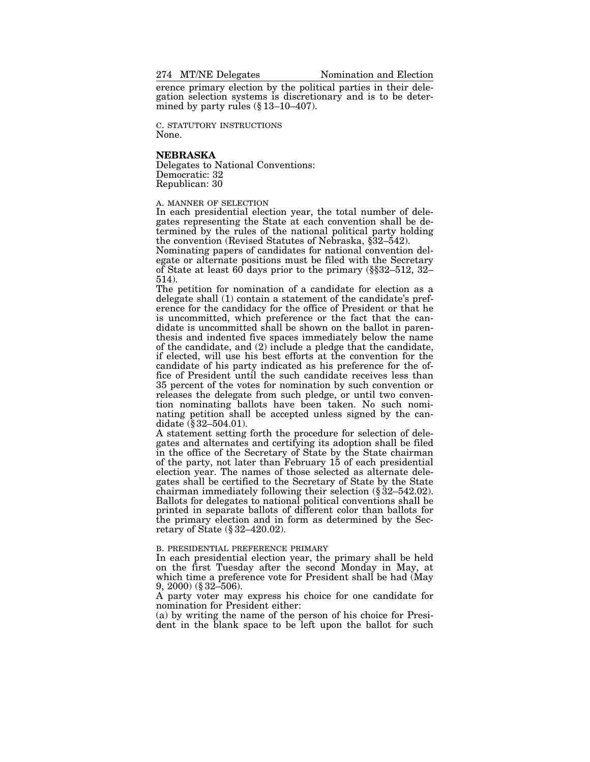274 MT/NE Delegates Nomination and Election

erence primary election by the political parties in their delegation selection systems is discretionary and is to be determined by party rules (§ 13–10–407).

C. STATUTORY INSTRUCTIONS None.

## **NEBRASKA**

Delegates to National Conventions: Democratic: 32 Republican: 30

## A. MANNER OF SELECTION

In each presidential election year, the total number of delegates representing the State at each convention shall be determined by the rules of the national political party holding the convention (Revised Statutes of Nebraska, §32–542).

Nominating papers of candidates for national convention delegate or alternate positions must be filed with the Secretary of State at least 60 days prior to the primary  $(\frac{8}{5}32 - 512, 32 -$ 514).

The petition for nomination of a candidate for election as a delegate shall (1) contain a statement of the candidate's preference for the candidacy for the office of President or that he is uncommitted, which preference or the fact that the candidate is uncommitted shall be shown on the ballot in parenthesis and indented five spaces immediately below the name of the candidate, and (2) include a pledge that the candidate, if elected, will use his best efforts at the convention for the candidate of his party indicated as his preference for the office of President until the such candidate receives less than 35 percent of the votes for nomination by such convention or releases the delegate from such pledge, or until two convention nominating ballots have been taken. No such nominating petition shall be accepted unless signed by the candidate (§32–504.01).

A statement setting forth the procedure for selection of delegates and alternates and certifying its adoption shall be filed in the office of the Secretary of State by the State chairman of the party, not later than February 15 of each presidential election year. The names of those selected as alternate delegates shall be certified to the Secretary of State by the State chairman immediately following their selection (§ 32–542.02). Ballots for delegates to national political conventions shall be printed in separate ballots of different color than ballots for the primary election and in form as determined by the Secretary of State (§ 32–420.02).

#### B. PRESIDENTIAL PREFERENCE PRIMARY

In each presidential election year, the primary shall be held on the first Tuesday after the second Monday in May, at which time a preference vote for President shall be had (May 9, 2000) (§ 32–506).

A party voter may express his choice for one candidate for nomination for President either:

(a) by writing the name of the person of his choice for President in the blank space to be left upon the ballot for such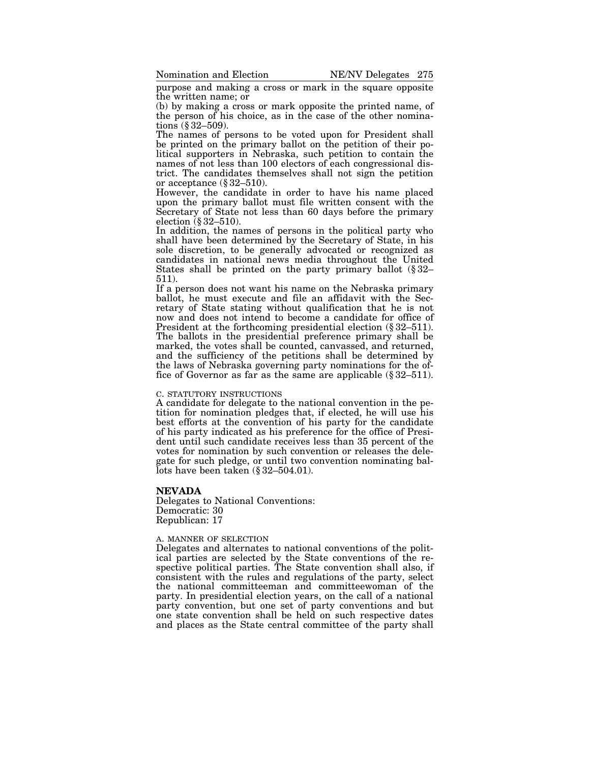purpose and making a cross or mark in the square opposite the written name; or

(b) by making a cross or mark opposite the printed name, of the person of his choice, as in the case of the other nominations (§ 32–509).

The names of persons to be voted upon for President shall be printed on the primary ballot on the petition of their political supporters in Nebraska, such petition to contain the names of not less than 100 electors of each congressional district. The candidates themselves shall not sign the petition or acceptance  $(\S 32 - 510)$ .

However, the candidate in order to have his name placed upon the primary ballot must file written consent with the Secretary of State not less than 60 days before the primary election (§ 32–510).

In addition, the names of persons in the political party who shall have been determined by the Secretary of State, in his sole discretion, to be generally advocated or recognized as candidates in national news media throughout the United States shall be printed on the party primary ballot  $(\S 32 -$ 511).

If a person does not want his name on the Nebraska primary ballot, he must execute and file an affidavit with the Secretary of State stating without qualification that he is not now and does not intend to become a candidate for office of President at the forthcoming presidential election (§ 32–511). The ballots in the presidential preference primary shall be marked, the votes shall be counted, canvassed, and returned, and the sufficiency of the petitions shall be determined by the laws of Nebraska governing party nominations for the office of Governor as far as the same are applicable  $(\S 32 - 511)$ .

# C. STATUTORY INSTRUCTIONS

A candidate for delegate to the national convention in the petition for nomination pledges that, if elected, he will use his best efforts at the convention of his party for the candidate of his party indicated as his preference for the office of President until such candidate receives less than 35 percent of the votes for nomination by such convention or releases the delegate for such pledge, or until two convention nominating ballots have been taken (§ 32–504.01).

#### **NEVADA**

Delegates to National Conventions: Democratic: 30 Republican: 17

## A. MANNER OF SELECTION

Delegates and alternates to national conventions of the political parties are selected by the State conventions of the respective political parties. The State convention shall also, if consistent with the rules and regulations of the party, select the national committeeman and committeewoman of the party. In presidential election years, on the call of a national party convention, but one set of party conventions and but one state convention shall be held on such respective dates and places as the State central committee of the party shall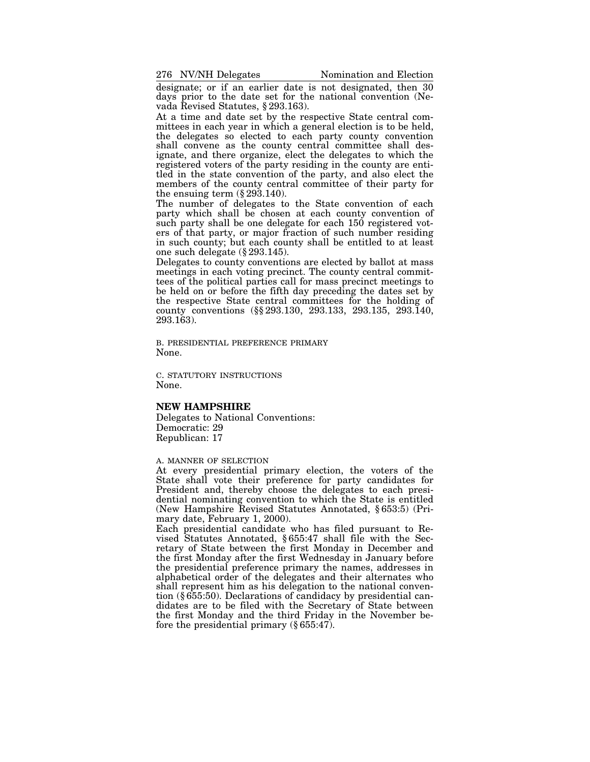designate; or if an earlier date is not designated, then 30 days prior to the date set for the national convention (Nevada Revised Statutes, § 293.163).

At a time and date set by the respective State central committees in each year in which a general election is to be held, the delegates so elected to each party county convention shall convene as the county central committee shall designate, and there organize, elect the delegates to which the registered voters of the party residing in the county are entitled in the state convention of the party, and also elect the members of the county central committee of their party for the ensuing term (§ 293.140).

The number of delegates to the State convention of each party which shall be chosen at each county convention of such party shall be one delegate for each 150 registered voters of that party, or major fraction of such number residing in such county; but each county shall be entitled to at least one such delegate (§ 293.145).

Delegates to county conventions are elected by ballot at mass meetings in each voting precinct. The county central committees of the political parties call for mass precinct meetings to be held on or before the fifth day preceding the dates set by the respective State central committees for the holding of county conventions (§§ 293.130, 293.133, 293.135, 293.140, 293.163).

B. PRESIDENTIAL PREFERENCE PRIMARY None.

C. STATUTORY INSTRUCTIONS None.

# **NEW HAMPSHIRE**

Delegates to National Conventions: Democratic: 29 Republican: 17

# A. MANNER OF SELECTION

At every presidential primary election, the voters of the State shall vote their preference for party candidates for President and, thereby choose the delegates to each presidential nominating convention to which the State is entitled (New Hampshire Revised Statutes Annotated, § 653:5) (Primary date, February 1, 2000).

Each presidential candidate who has filed pursuant to Revised Statutes Annotated, § 655:47 shall file with the Secretary of State between the first Monday in December and the first Monday after the first Wednesday in January before the presidential preference primary the names, addresses in alphabetical order of the delegates and their alternates who shall represent him as his delegation to the national convention (§ 655:50). Declarations of candidacy by presidential candidates are to be filed with the Secretary of State between the first Monday and the third Friday in the November before the presidential primary  $(\S 655:47)$ .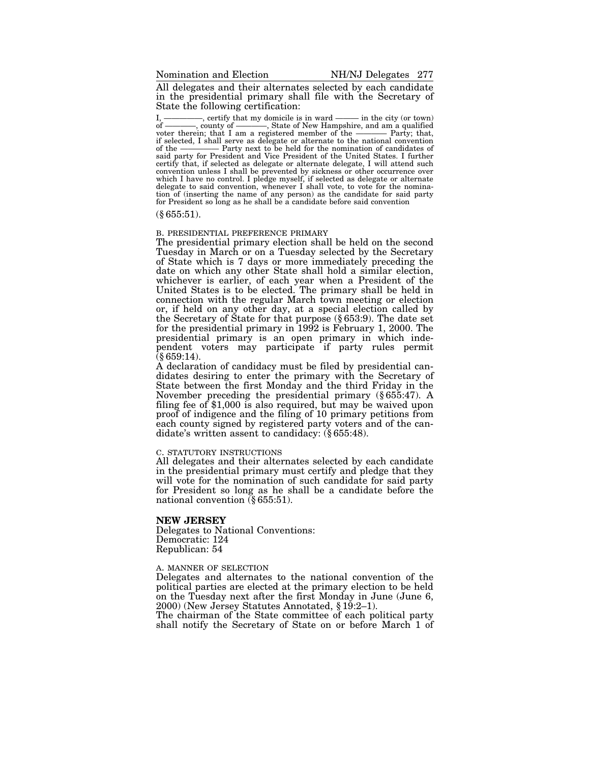All delegates and their alternates selected by each candidate in the presidential primary shall file with the Secretary of State the following certification:

I, \_\_\_\_\_\_\_, certify that my domicile is in ward \_\_\_\_\_ in the city (or town) of \_\_\_\_\_, county of \_\_\_\_\_, State of New Hampshire, and am a qualified -, State of New Hampshire, and am a qualified<br>gistered member of the ————— Party; that, voter therein; that  $I$  am a registered member of the  $$ if selected, I shall serve as delegate or alternate to the national convention of the ————— Party next to be held for the nomination of candidates of said party for President and Vice President of the United States. I further certify that, if selected as delegate or alternate delegate, I will attend such convention unless I shall be prevented by sickness or other occurrence over which I have no control. I pledge myself, if selected as delegate or alternate delegate to said convention, whenever I shall vote, to vote for the nomination of (inserting the name of any person) as the candidate for said party for President so long as he shall be a candidate before said convention

 $(\$655:51).$ 

#### B. PRESIDENTIAL PREFERENCE PRIMARY

The presidential primary election shall be held on the second Tuesday in March or on a Tuesday selected by the Secretary of State which is 7 days or more immediately preceding the date on which any other State shall hold a similar election, whichever is earlier, of each year when a President of the United States is to be elected. The primary shall be held in connection with the regular March town meeting or election or, if held on any other day, at a special election called by the Secretary of State for that purpose (§ 653:9). The date set for the presidential primary in 1992 is February 1, 2000. The presidential primary is an open primary in which independent voters may participate if party rules permit  $(\S 659:14)$ .

A declaration of candidacy must be filed by presidential candidates desiring to enter the primary with the Secretary of State between the first Monday and the third Friday in the November preceding the presidential primary (§ 655:47). A filing fee of \$1,000 is also required, but may be waived upon proof of indigence and the filing of 10 primary petitions from each county signed by registered party voters and of the candidate's written assent to candidacy: (§ 655:48).

### C. STATUTORY INSTRUCTIONS

All delegates and their alternates selected by each candidate in the presidential primary must certify and pledge that they will vote for the nomination of such candidate for said party for President so long as he shall be a candidate before the national convention (§ 655:51).

### **NEW JERSEY**

Delegates to National Conventions: Democratic: 124 Republican: 54

### A. MANNER OF SELECTION

Delegates and alternates to the national convention of the political parties are elected at the primary election to be held on the Tuesday next after the first Monday in June (June 6, 2000) (New Jersey Statutes Annotated, § 19:2–1).

The chairman of the State committee of each political party shall notify the Secretary of State on or before March 1 of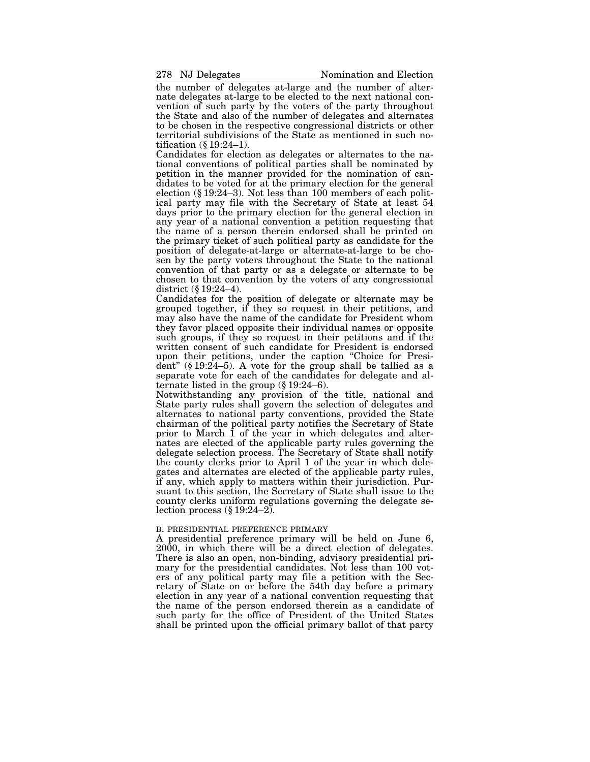the number of delegates at-large and the number of alternate delegates at-large to be elected to the next national convention of such party by the voters of the party throughout the State and also of the number of delegates and alternates to be chosen in the respective congressional districts or other territorial subdivisions of the State as mentioned in such notification (§ 19:24–1).

Candidates for election as delegates or alternates to the national conventions of political parties shall be nominated by petition in the manner provided for the nomination of candidates to be voted for at the primary election for the general election (§ 19:24–3). Not less than 100 members of each political party may file with the Secretary of State at least 54 days prior to the primary election for the general election in any year of a national convention a petition requesting that the name of a person therein endorsed shall be printed on the primary ticket of such political party as candidate for the position of delegate-at-large or alternate-at-large to be chosen by the party voters throughout the State to the national convention of that party or as a delegate or alternate to be chosen to that convention by the voters of any congressional district (§ 19:24–4).

Candidates for the position of delegate or alternate may be grouped together, if they so request in their petitions, and may also have the name of the candidate for President whom they favor placed opposite their individual names or opposite such groups, if they so request in their petitions and if the written consent of such candidate for President is endorsed upon their petitions, under the caption ''Choice for President'' (§ 19:24–5). A vote for the group shall be tallied as a separate vote for each of the candidates for delegate and alternate listed in the group (§ 19:24–6).

Notwithstanding any provision of the title, national and State party rules shall govern the selection of delegates and alternates to national party conventions, provided the State chairman of the political party notifies the Secretary of State prior to March 1 of the year in which delegates and alternates are elected of the applicable party rules governing the delegate selection process. The Secretary of State shall notify the county clerks prior to April 1 of the year in which delegates and alternates are elected of the applicable party rules, if any, which apply to matters within their jurisdiction. Pursuant to this section, the Secretary of State shall issue to the county clerks uniform regulations governing the delegate selection process (§ 19:24–2).

# B. PRESIDENTIAL PREFERENCE PRIMARY

A presidential preference primary will be held on June 6, 2000, in which there will be a direct election of delegates. There is also an open, non-binding, advisory presidential primary for the presidential candidates. Not less than 100 voters of any political party may file a petition with the Secretary of State on or before the 54th day before a primary election in any year of a national convention requesting that the name of the person endorsed therein as a candidate of such party for the office of President of the United States shall be printed upon the official primary ballot of that party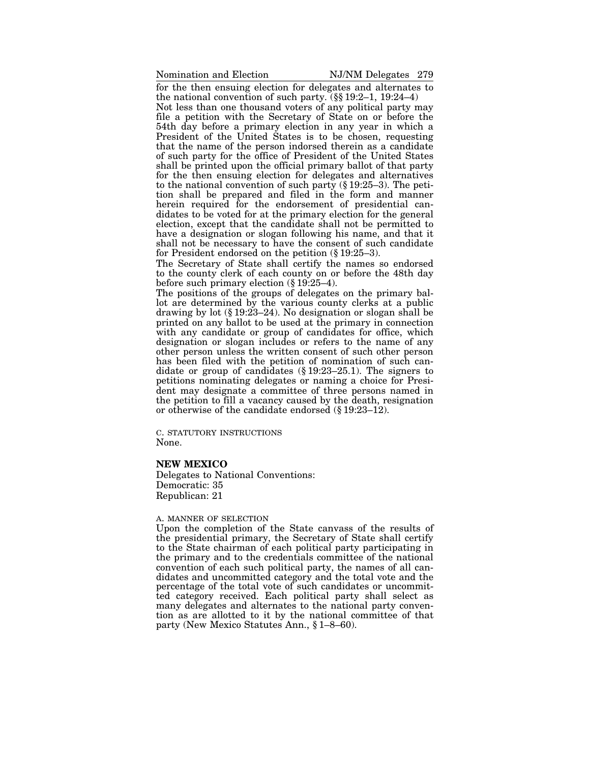Nomination and Election NJ/NM Delegates 279

for the then ensuing election for delegates and alternates to the national convention of such party. (§§ 19:2–1, 19:24–4)

Not less than one thousand voters of any political party may file a petition with the Secretary of State on or before the 54th day before a primary election in any year in which a President of the United States is to be chosen, requesting that the name of the person indorsed therein as a candidate of such party for the office of President of the United States shall be printed upon the official primary ballot of that party for the then ensuing election for delegates and alternatives to the national convention of such party (§ 19:25–3). The petition shall be prepared and filed in the form and manner herein required for the endorsement of presidential candidates to be voted for at the primary election for the general election, except that the candidate shall not be permitted to have a designation or slogan following his name, and that it shall not be necessary to have the consent of such candidate for President endorsed on the petition (§ 19:25–3).

The Secretary of State shall certify the names so endorsed to the county clerk of each county on or before the 48th day before such primary election (§ 19:25–4).

The positions of the groups of delegates on the primary ballot are determined by the various county clerks at a public drawing by lot (§ 19:23–24). No designation or slogan shall be printed on any ballot to be used at the primary in connection with any candidate or group of candidates for office, which designation or slogan includes or refers to the name of any other person unless the written consent of such other person has been filed with the petition of nomination of such candidate or group of candidates (§ 19:23–25.1). The signers to petitions nominating delegates or naming a choice for President may designate a committee of three persons named in the petition to fill a vacancy caused by the death, resignation or otherwise of the candidate endorsed (§ 19:23–12).

C. STATUTORY INSTRUCTIONS None.

# **NEW MEXICO**

Delegates to National Conventions: Democratic: 35 Republican: 21

## A. MANNER OF SELECTION

Upon the completion of the State canvass of the results of the presidential primary, the Secretary of State shall certify to the State chairman of each political party participating in the primary and to the credentials committee of the national convention of each such political party, the names of all candidates and uncommitted category and the total vote and the percentage of the total vote of such candidates or uncommitted category received. Each political party shall select as many delegates and alternates to the national party convention as are allotted to it by the national committee of that party (New Mexico Statutes Ann., § 1–8–60).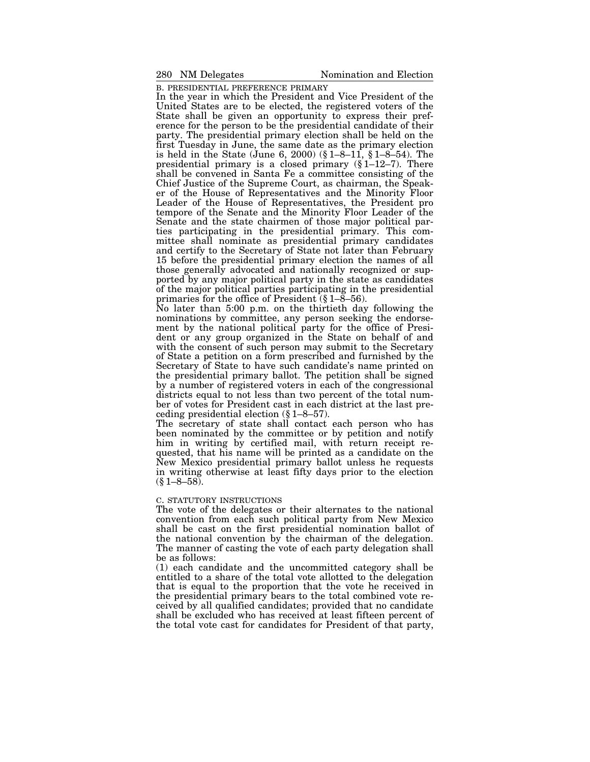B. PRESIDENTIAL PREFERENCE PRIMARY

In the year in which the President and Vice President of the United States are to be elected, the registered voters of the State shall be given an opportunity to express their preference for the person to be the presidential candidate of their party. The presidential primary election shall be held on the first Tuesday in June, the same date as the primary election is held in the State (June 6, 2000) (§ 1–8–11, § 1–8–54). The presidential primary is a closed primary  $(\S 1-12-7)$ . There shall be convened in Santa Fe a committee consisting of the Chief Justice of the Supreme Court, as chairman, the Speaker of the House of Representatives and the Minority Floor Leader of the House of Representatives, the President pro tempore of the Senate and the Minority Floor Leader of the Senate and the state chairmen of those major political parties participating in the presidential primary. This committee shall nominate as presidential primary candidates and certify to the Secretary of State not later than February 15 before the presidential primary election the names of all those generally advocated and nationally recognized or supported by any major political party in the state as candidates of the major political parties participating in the presidential primaries for the office of President (§ 1–8–56).

No later than 5:00 p.m. on the thirtieth day following the nominations by committee, any person seeking the endorsement by the national political party for the office of President or any group organized in the State on behalf of and with the consent of such person may submit to the Secretary of State a petition on a form prescribed and furnished by the Secretary of State to have such candidate's name printed on the presidential primary ballot. The petition shall be signed by a number of registered voters in each of the congressional districts equal to not less than two percent of the total number of votes for President cast in each district at the last preceding presidential election (§ 1–8–57).

The secretary of state shall contact each person who has been nominated by the committee or by petition and notify him in writing by certified mail, with return receipt requested, that his name will be printed as a candidate on the New Mexico presidential primary ballot unless he requests in writing otherwise at least fifty days prior to the election  $(\S 1 - 8 - 58)$ .

#### C. STATUTORY INSTRUCTIONS

The vote of the delegates or their alternates to the national convention from each such political party from New Mexico shall be cast on the first presidential nomination ballot of the national convention by the chairman of the delegation. The manner of casting the vote of each party delegation shall be as follows:

(1) each candidate and the uncommitted category shall be entitled to a share of the total vote allotted to the delegation that is equal to the proportion that the vote he received in the presidential primary bears to the total combined vote received by all qualified candidates; provided that no candidate shall be excluded who has received at least fifteen percent of the total vote cast for candidates for President of that party,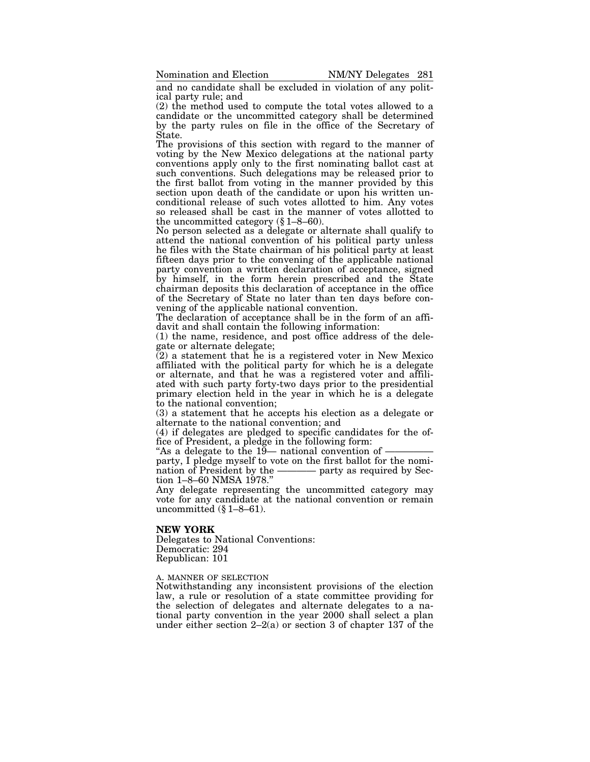and no candidate shall be excluded in violation of any political party rule; and

(2) the method used to compute the total votes allowed to a candidate or the uncommitted category shall be determined by the party rules on file in the office of the Secretary of State.

The provisions of this section with regard to the manner of voting by the New Mexico delegations at the national party conventions apply only to the first nominating ballot cast at such conventions. Such delegations may be released prior to the first ballot from voting in the manner provided by this section upon death of the candidate or upon his written unconditional release of such votes allotted to him. Any votes so released shall be cast in the manner of votes allotted to the uncommitted category (§ 1–8–60).

No person selected as a delegate or alternate shall qualify to attend the national convention of his political party unless he files with the State chairman of his political party at least fifteen days prior to the convening of the applicable national party convention a written declaration of acceptance, signed by himself, in the form herein prescribed and the State chairman deposits this declaration of acceptance in the office of the Secretary of State no later than ten days before convening of the applicable national convention.

The declaration of acceptance shall be in the form of an affidavit and shall contain the following information:

(1) the name, residence, and post office address of the delegate or alternate delegate;

(2) a statement that he is a registered voter in New Mexico affiliated with the political party for which he is a delegate or alternate, and that he was a registered voter and affiliated with such party forty-two days prior to the presidential primary election held in the year in which he is a delegate to the national convention;

(3) a statement that he accepts his election as a delegate or alternate to the national convention; and

(4) if delegates are pledged to specific candidates for the office of President, a pledge in the following form:

"As a delegate to the  $19-$  national convention of  $\cdot$ 

party, I pledge myself to vote on the first ballot for the nomination of President by the ——— party as required by Secmatrix as required by Section 1–8–60 NMSA 1978.''

Any delegate representing the uncommitted category may vote for any candidate at the national convention or remain uncommitted  $(\S 1-8-61)$ .

# **NEW YORK**

Delegates to National Conventions: Democratic: 294 Republican: 101

# A. MANNER OF SELECTION

Notwithstanding any inconsistent provisions of the election law, a rule or resolution of a state committee providing for the selection of delegates and alternate delegates to a national party convention in the year 2000 shall select a plan under either section 2–2(a) or section 3 of chapter 137 of the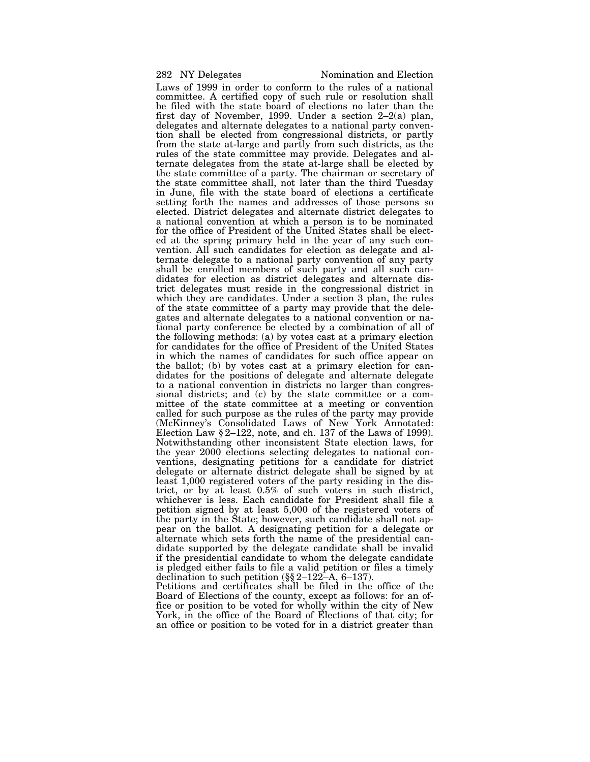282 NY Delegates Nomination and Election

Laws of 1999 in order to conform to the rules of a national committee. A certified copy of such rule or resolution shall be filed with the state board of elections no later than the first day of November, 1999. Under a section 2–2(a) plan, delegates and alternate delegates to a national party convention shall be elected from congressional districts, or partly from the state at-large and partly from such districts, as the rules of the state committee may provide. Delegates and alternate delegates from the state at-large shall be elected by the state committee of a party. The chairman or secretary of the state committee shall, not later than the third Tuesday in June, file with the state board of elections a certificate setting forth the names and addresses of those persons so elected. District delegates and alternate district delegates to a national convention at which a person is to be nominated for the office of President of the United States shall be elected at the spring primary held in the year of any such convention. All such candidates for election as delegate and alternate delegate to a national party convention of any party shall be enrolled members of such party and all such candidates for election as district delegates and alternate district delegates must reside in the congressional district in which they are candidates. Under a section 3 plan, the rules of the state committee of a party may provide that the delegates and alternate delegates to a national convention or national party conference be elected by a combination of all of the following methods: (a) by votes cast at a primary election for candidates for the office of President of the United States in which the names of candidates for such office appear on the ballot; (b) by votes cast at a primary election for candidates for the positions of delegate and alternate delegate to a national convention in districts no larger than congressional districts; and (c) by the state committee or a committee of the state committee at a meeting or convention called for such purpose as the rules of the party may provide (McKinney's Consolidated Laws of New York Annotated: Election Law § 2–122, note, and ch. 137 of the Laws of 1999). Notwithstanding other inconsistent State election laws, for the year 2000 elections selecting delegates to national conventions, designating petitions for a candidate for district delegate or alternate district delegate shall be signed by at least 1,000 registered voters of the party residing in the district, or by at least 0.5% of such voters in such district, whichever is less. Each candidate for President shall file a petition signed by at least 5,000 of the registered voters of the party in the State; however, such candidate shall not appear on the ballot. A designating petition for a delegate or alternate which sets forth the name of the presidential candidate supported by the delegate candidate shall be invalid if the presidential candidate to whom the delegate candidate is pledged either fails to file a valid petition or files a timely declination to such petition (§§ 2–122–A, 6–137).

Petitions and certificates shall be filed in the office of the Board of Elections of the county, except as follows: for an office or position to be voted for wholly within the city of New York, in the office of the Board of Elections of that city; for an office or position to be voted for in a district greater than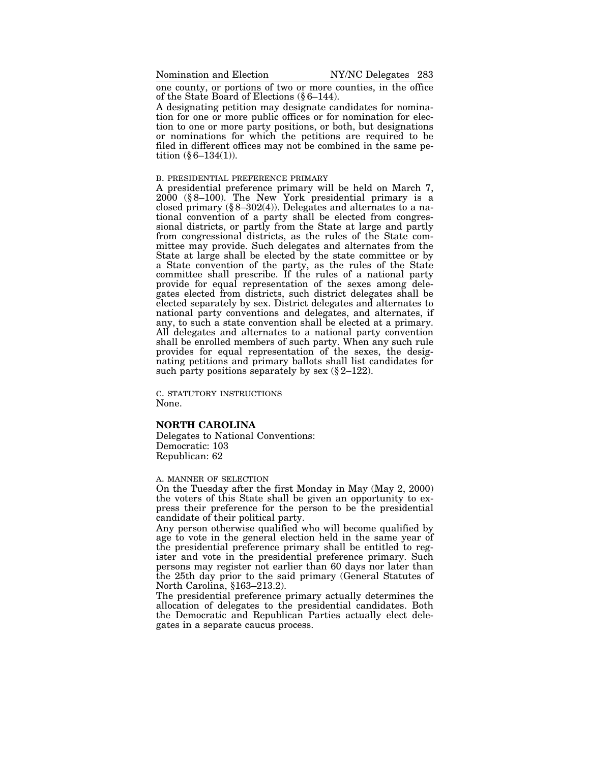Nomination and Election NY/NC Delegates 283

one county, or portions of two or more counties, in the office of the State Board of Elections (§ 6–144).

A designating petition may designate candidates for nomination for one or more public offices or for nomination for election to one or more party positions, or both, but designations or nominations for which the petitions are required to be filed in different offices may not be combined in the same petition  $(\S 6 - 134(1))$ .

B. PRESIDENTIAL PREFERENCE PRIMARY

A presidential preference primary will be held on March 7, 2000 (§ 8–100). The New York presidential primary is a closed primary (§ 8–302(4)). Delegates and alternates to a national convention of a party shall be elected from congressional districts, or partly from the State at large and partly from congressional districts, as the rules of the State committee may provide. Such delegates and alternates from the State at large shall be elected by the state committee or by a State convention of the party, as the rules of the State committee shall prescribe. If the rules of a national party provide for equal representation of the sexes among delegates elected from districts, such district delegates shall be elected separately by sex. District delegates and alternates to national party conventions and delegates, and alternates, if any, to such a state convention shall be elected at a primary. All delegates and alternates to a national party convention shall be enrolled members of such party. When any such rule provides for equal representation of the sexes, the designating petitions and primary ballots shall list candidates for such party positions separately by sex  $(\S 2-122)$ .

C. STATUTORY INSTRUCTIONS None.

## **NORTH CAROLINA**

Delegates to National Conventions: Democratic: 103 Republican: 62

#### A. MANNER OF SELECTION

On the Tuesday after the first Monday in May (May 2, 2000) the voters of this State shall be given an opportunity to express their preference for the person to be the presidential candidate of their political party.

Any person otherwise qualified who will become qualified by age to vote in the general election held in the same year of the presidential preference primary shall be entitled to register and vote in the presidential preference primary. Such persons may register not earlier than 60 days nor later than the 25th day prior to the said primary (General Statutes of North Carolina, §163–213.2).

The presidential preference primary actually determines the allocation of delegates to the presidential candidates. Both the Democratic and Republican Parties actually elect delegates in a separate caucus process.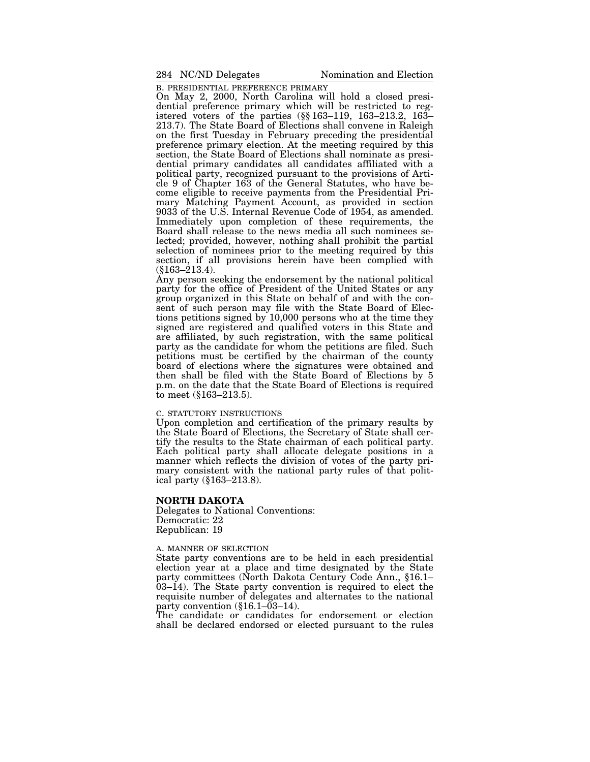B. PRESIDENTIAL PREFERENCE PRIMARY

On May 2, 2000, North Carolina will hold a closed presidential preference primary which will be restricted to registered voters of the parties (§§ 163–119, 163–213.2, 163– 213.7). The State Board of Elections shall convene in Raleigh on the first Tuesday in February preceding the presidential preference primary election. At the meeting required by this section, the State Board of Elections shall nominate as presidential primary candidates all candidates affiliated with a political party, recognized pursuant to the provisions of Article 9 of Chapter 163 of the General Statutes, who have become eligible to receive payments from the Presidential Primary Matching Payment Account, as provided in section 9033 of the U.S. Internal Revenue Code of 1954, as amended. Immediately upon completion of these requirements, the Board shall release to the news media all such nominees selected; provided, however, nothing shall prohibit the partial selection of nominees prior to the meeting required by this section, if all provisions herein have been complied with (§163–213.4).

Any person seeking the endorsement by the national political party for the office of President of the United States or any group organized in this State on behalf of and with the consent of such person may file with the State Board of Elections petitions signed by 10,000 persons who at the time they signed are registered and qualified voters in this State and are affiliated, by such registration, with the same political party as the candidate for whom the petitions are filed. Such petitions must be certified by the chairman of the county board of elections where the signatures were obtained and then shall be filed with the State Board of Elections by 5 p.m. on the date that the State Board of Elections is required to meet (§163–213.5).

# C. STATUTORY INSTRUCTIONS

Upon completion and certification of the primary results by the State Board of Elections, the Secretary of State shall certify the results to the State chairman of each political party. Each political party shall allocate delegate positions in a manner which reflects the division of votes of the party primary consistent with the national party rules of that political party (§163–213.8).

#### **NORTH DAKOTA**

Delegates to National Conventions: Democratic: 22 Republican: 19

#### A. MANNER OF SELECTION

State party conventions are to be held in each presidential election year at a place and time designated by the State party committees (North Dakota Century Code Ann., §16.1– 03–14). The State party convention is required to elect the requisite number of delegates and alternates to the national party convention (§16.1–03–14).

The candidate or candidates for endorsement or election shall be declared endorsed or elected pursuant to the rules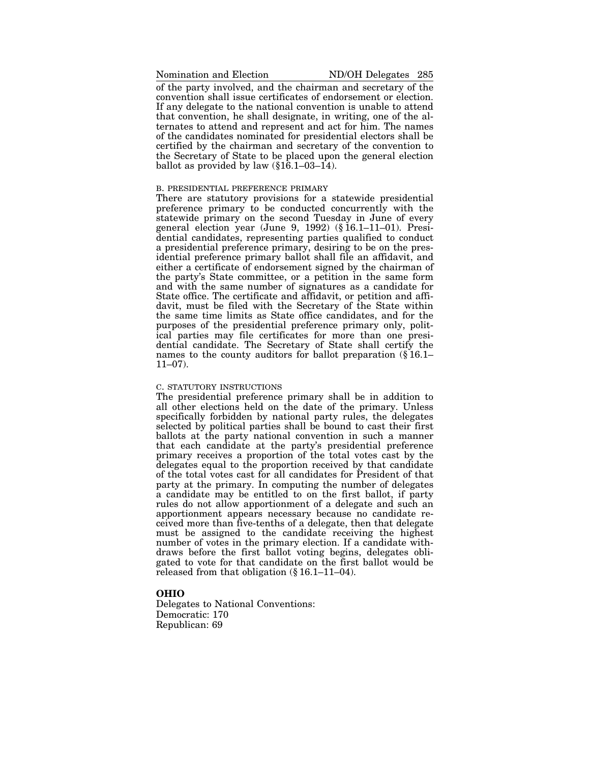Nomination and Election ND/OH Delegates 285

of the party involved, and the chairman and secretary of the convention shall issue certificates of endorsement or election. If any delegate to the national convention is unable to attend that convention, he shall designate, in writing, one of the alternates to attend and represent and act for him. The names of the candidates nominated for presidential electors shall be certified by the chairman and secretary of the convention to the Secretary of State to be placed upon the general election ballot as provided by law  $(\S1\hat{6}.1-03-\hat{14})$ .

# B. PRESIDENTIAL PREFERENCE PRIMARY

There are statutory provisions for a statewide presidential preference primary to be conducted concurrently with the statewide primary on the second Tuesday in June of every general election year (June 9, 1992) (§ 16.1–11–01). Presidential candidates, representing parties qualified to conduct a presidential preference primary, desiring to be on the presidential preference primary ballot shall file an affidavit, and either a certificate of endorsement signed by the chairman of the party's State committee, or a petition in the same form and with the same number of signatures as a candidate for State office. The certificate and affidavit, or petition and affidavit, must be filed with the Secretary of the State within the same time limits as State office candidates, and for the purposes of the presidential preference primary only, political parties may file certificates for more than one presidential candidate. The Secretary of State shall certify the names to the county auditors for ballot preparation (§ 16.1– 11–07).

# C. STATUTORY INSTRUCTIONS

The presidential preference primary shall be in addition to all other elections held on the date of the primary. Unless specifically forbidden by national party rules, the delegates selected by political parties shall be bound to cast their first ballots at the party national convention in such a manner that each candidate at the party's presidential preference primary receives a proportion of the total votes cast by the delegates equal to the proportion received by that candidate of the total votes cast for all candidates for President of that party at the primary. In computing the number of delegates a candidate may be entitled to on the first ballot, if party rules do not allow apportionment of a delegate and such an apportionment appears necessary because no candidate received more than five-tenths of a delegate, then that delegate must be assigned to the candidate receiving the highest number of votes in the primary election. If a candidate withdraws before the first ballot voting begins, delegates obligated to vote for that candidate on the first ballot would be released from that obligation (§ 16.1–11–04).

# **OHIO**

Delegates to National Conventions: Democratic: 170 Republican: 69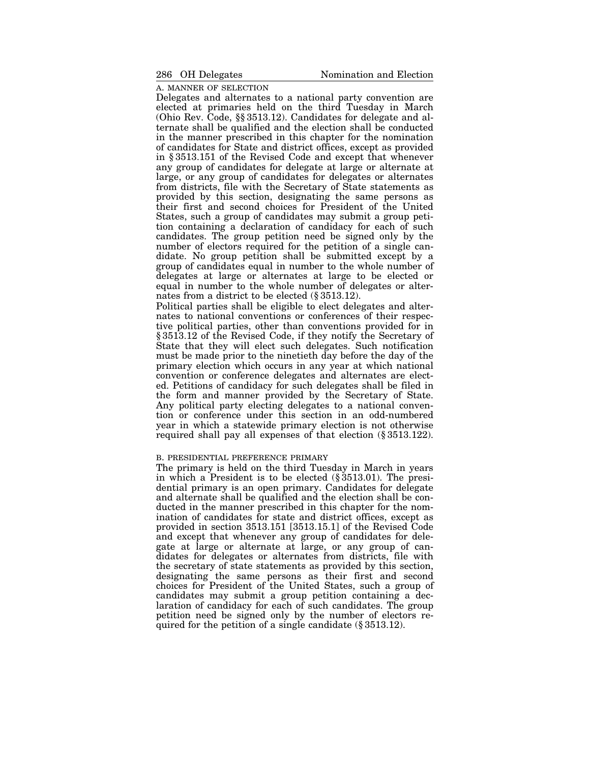A. MANNER OF SELECTION

Delegates and alternates to a national party convention are elected at primaries held on the third Tuesday in March (Ohio Rev. Code, §§ 3513.12). Candidates for delegate and alternate shall be qualified and the election shall be conducted in the manner prescribed in this chapter for the nomination of candidates for State and district offices, except as provided in § 3513.151 of the Revised Code and except that whenever any group of candidates for delegate at large or alternate at large, or any group of candidates for delegates or alternates from districts, file with the Secretary of State statements as provided by this section, designating the same persons as their first and second choices for President of the United States, such a group of candidates may submit a group petition containing a declaration of candidacy for each of such candidates. The group petition need be signed only by the number of electors required for the petition of a single candidate. No group petition shall be submitted except by a group of candidates equal in number to the whole number of delegates at large or alternates at large to be elected or equal in number to the whole number of delegates or alternates from a district to be elected (§ 3513.12).

Political parties shall be eligible to elect delegates and alternates to national conventions or conferences of their respective political parties, other than conventions provided for in § 3513.12 of the Revised Code, if they notify the Secretary of State that they will elect such delegates. Such notification must be made prior to the ninetieth day before the day of the primary election which occurs in any year at which national convention or conference delegates and alternates are elected. Petitions of candidacy for such delegates shall be filed in the form and manner provided by the Secretary of State. Any political party electing delegates to a national convention or conference under this section in an odd-numbered year in which a statewide primary election is not otherwise required shall pay all expenses of that election (§ 3513.122).

#### B. PRESIDENTIAL PREFERENCE PRIMARY

The primary is held on the third Tuesday in March in years in which a President is to be elected (§ 3513.01). The presidential primary is an open primary. Candidates for delegate and alternate shall be qualified and the election shall be conducted in the manner prescribed in this chapter for the nomination of candidates for state and district offices, except as provided in section 3513.151 [3513.15.1] of the Revised Code and except that whenever any group of candidates for delegate at large or alternate at large, or any group of candidates for delegates or alternates from districts, file with the secretary of state statements as provided by this section, designating the same persons as their first and second choices for President of the United States, such a group of candidates may submit a group petition containing a declaration of candidacy for each of such candidates. The group petition need be signed only by the number of electors required for the petition of a single candidate (§ 3513.12).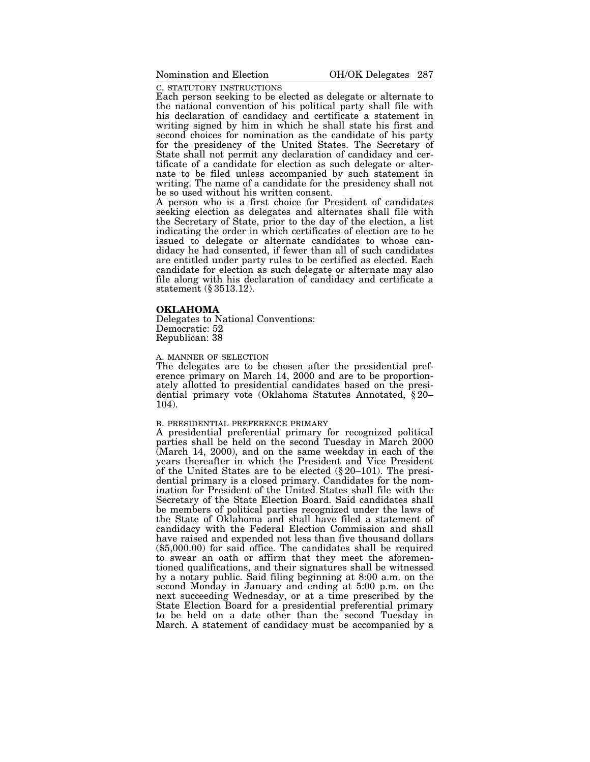Nomination and Election OH/OK Delegates 287

C. STATUTORY INSTRUCTIONS

Each person seeking to be elected as delegate or alternate to the national convention of his political party shall file with his declaration of candidacy and certificate a statement in writing signed by him in which he shall state his first and second choices for nomination as the candidate of his party for the presidency of the United States. The Secretary of State shall not permit any declaration of candidacy and certificate of a candidate for election as such delegate or alternate to be filed unless accompanied by such statement in writing. The name of a candidate for the presidency shall not be so used without his written consent.

A person who is a first choice for President of candidates seeking election as delegates and alternates shall file with the Secretary of State, prior to the day of the election, a list indicating the order in which certificates of election are to be issued to delegate or alternate candidates to whose candidacy he had consented, if fewer than all of such candidates are entitled under party rules to be certified as elected. Each candidate for election as such delegate or alternate may also file along with his declaration of candidacy and certificate a statement (§ 3513.12).

## **OKLAHOMA**

Delegates to National Conventions: Democratic: 52 Republican: 38

#### A. MANNER OF SELECTION

The delegates are to be chosen after the presidential preference primary on March 14, 2000 and are to be proportionately allotted to presidential candidates based on the presidential primary vote (Oklahoma Statutes Annotated, § 20– 104).

## B. PRESIDENTIAL PREFERENCE PRIMARY

A presidential preferential primary for recognized political parties shall be held on the second Tuesday in March 2000 (March 14, 2000), and on the same weekday in each of the years thereafter in which the President and Vice President of the United States are to be elected  $(\S 20-101)$ . The presidential primary is a closed primary. Candidates for the nomination for President of the United States shall file with the Secretary of the State Election Board. Said candidates shall be members of political parties recognized under the laws of the State of Oklahoma and shall have filed a statement of candidacy with the Federal Election Commission and shall have raised and expended not less than five thousand dollars (\$5,000.00) for said office. The candidates shall be required to swear an oath or affirm that they meet the aforementioned qualifications, and their signatures shall be witnessed by a notary public. Said filing beginning at 8:00 a.m. on the second Monday in January and ending at 5:00 p.m. on the next succeeding Wednesday, or at a time prescribed by the State Election Board for a presidential preferential primary to be held on a date other than the second Tuesday in March. A statement of candidacy must be accompanied by a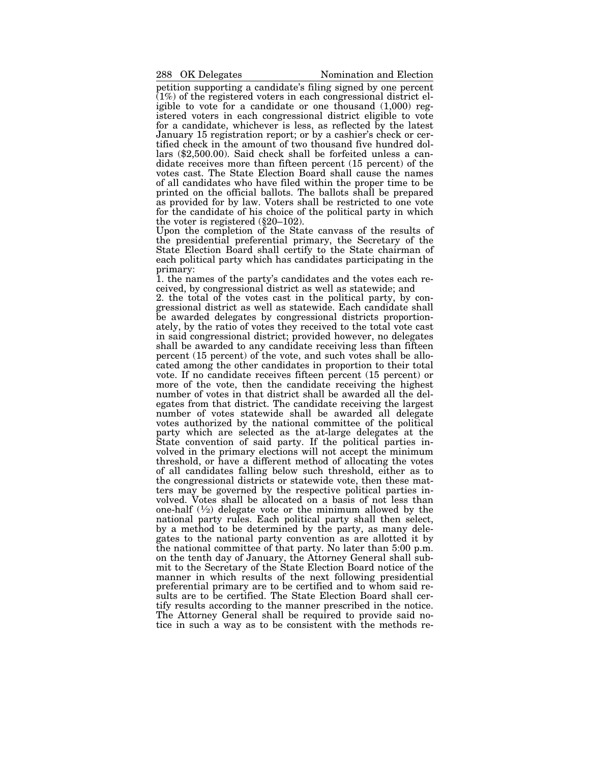petition supporting a candidate's filing signed by one percent  $(1%)$  of the registered voters in each congressional district eligible to vote for a candidate or one thousand (1,000) registered voters in each congressional district eligible to vote for a candidate, whichever is less, as reflected by the latest January 15 registration report; or by a cashier's check or certified check in the amount of two thousand five hundred dollars (\$2,500.00). Said check shall be forfeited unless a candidate receives more than fifteen percent (15 percent) of the votes cast. The State Election Board shall cause the names of all candidates who have filed within the proper time to be printed on the official ballots. The ballots shall be prepared as provided for by law. Voters shall be restricted to one vote for the candidate of his choice of the political party in which the voter is registered (§20–102).

Upon the completion of the State canvass of the results of the presidential preferential primary, the Secretary of the State Election Board shall certify to the State chairman of each political party which has candidates participating in the primary:

1. the names of the party's candidates and the votes each received, by congressional district as well as statewide; and

2. the total of the votes cast in the political party, by congressional district as well as statewide. Each candidate shall be awarded delegates by congressional districts proportionately, by the ratio of votes they received to the total vote cast in said congressional district; provided however, no delegates shall be awarded to any candidate receiving less than fifteen percent (15 percent) of the vote, and such votes shall be allocated among the other candidates in proportion to their total vote. If no candidate receives fifteen percent (15 percent) or more of the vote, then the candidate receiving the highest number of votes in that district shall be awarded all the delegates from that district. The candidate receiving the largest number of votes statewide shall be awarded all delegate votes authorized by the national committee of the political party which are selected as the at-large delegates at the State convention of said party. If the political parties involved in the primary elections will not accept the minimum threshold, or have a different method of allocating the votes of all candidates falling below such threshold, either as to the congressional districts or statewide vote, then these matters may be governed by the respective political parties involved. Votes shall be allocated on a basis of not less than one-half  $(1/2)$  delegate vote or the minimum allowed by the national party rules. Each political party shall then select, by a method to be determined by the party, as many delegates to the national party convention as are allotted it by the national committee of that party. No later than 5:00 p.m. on the tenth day of January, the Attorney General shall submit to the Secretary of the State Election Board notice of the manner in which results of the next following presidential preferential primary are to be certified and to whom said results are to be certified. The State Election Board shall certify results according to the manner prescribed in the notice. The Attorney General shall be required to provide said notice in such a way as to be consistent with the methods re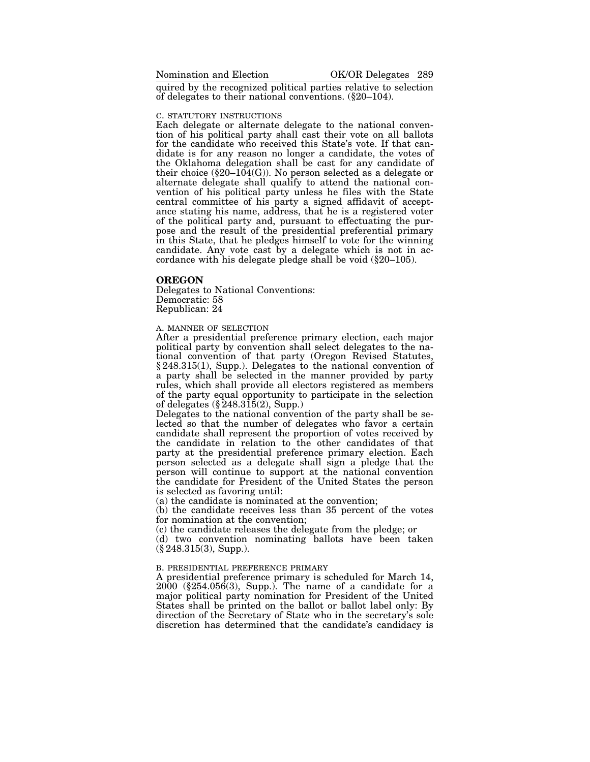Nomination and Election OK/OR Delegates 289

quired by the recognized political parties relative to selection of delegates to their national conventions. (§20–104).

#### C. STATUTORY INSTRUCTIONS

Each delegate or alternate delegate to the national convention of his political party shall cast their vote on all ballots for the candidate who received this State's vote. If that candidate is for any reason no longer a candidate, the votes of the Oklahoma delegation shall be cast for any candidate of their choice ( $\S20-104(G)$ ). No person selected as a delegate or alternate delegate shall qualify to attend the national convention of his political party unless he files with the State central committee of his party a signed affidavit of acceptance stating his name, address, that he is a registered voter of the political party and, pursuant to effectuating the purpose and the result of the presidential preferential primary in this State, that he pledges himself to vote for the winning candidate. Any vote cast by a delegate which is not in accordance with his delegate pledge shall be void (§20–105).

#### **OREGON**

Delegates to National Conventions: Democratic: 58 Republican: 24

A. MANNER OF SELECTION

After a presidential preference primary election, each major political party by convention shall select delegates to the national convention of that party (Oregon Revised Statutes, § 248.315(1), Supp.). Delegates to the national convention of a party shall be selected in the manner provided by party rules, which shall provide all electors registered as members of the party equal opportunity to participate in the selection of delegates  $(\S$  248.315(2), Supp.)

Delegates to the national convention of the party shall be selected so that the number of delegates who favor a certain candidate shall represent the proportion of votes received by the candidate in relation to the other candidates of that party at the presidential preference primary election. Each person selected as a delegate shall sign a pledge that the person will continue to support at the national convention the candidate for President of the United States the person is selected as favoring until:

(a) the candidate is nominated at the convention;

(b) the candidate receives less than 35 percent of the votes for nomination at the convention;

(c) the candidate releases the delegate from the pledge; or

(d) two convention nominating ballots have been taken (§ 248.315(3), Supp.).

B. PRESIDENTIAL PREFERENCE PRIMARY

A presidential preference primary is scheduled for March 14,  $2000$  ( $\S 254.056(3)$ , Supp.). The name of a candidate for a major political party nomination for President of the United States shall be printed on the ballot or ballot label only: By direction of the Secretary of State who in the secretary's sole discretion has determined that the candidate's candidacy is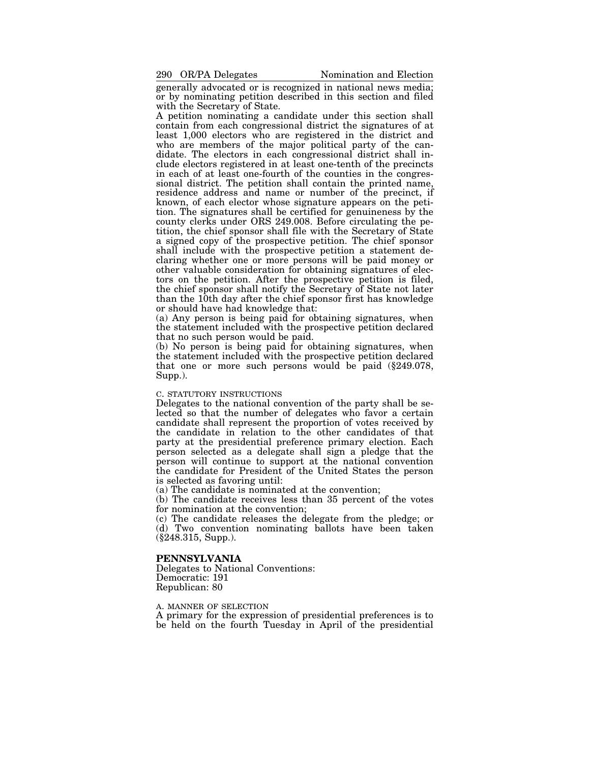generally advocated or is recognized in national news media; or by nominating petition described in this section and filed with the Secretary of State.

A petition nominating a candidate under this section shall contain from each congressional district the signatures of at least 1,000 electors who are registered in the district and who are members of the major political party of the candidate. The electors in each congressional district shall include electors registered in at least one-tenth of the precincts in each of at least one-fourth of the counties in the congressional district. The petition shall contain the printed name, residence address and name or number of the precinct, if known, of each elector whose signature appears on the petition. The signatures shall be certified for genuineness by the county clerks under ORS 249.008. Before circulating the petition, the chief sponsor shall file with the Secretary of State a signed copy of the prospective petition. The chief sponsor shall include with the prospective petition a statement declaring whether one or more persons will be paid money or other valuable consideration for obtaining signatures of electors on the petition. After the prospective petition is filed, the chief sponsor shall notify the Secretary of State not later than the 10th day after the chief sponsor first has knowledge or should have had knowledge that:

(a) Any person is being paid for obtaining signatures, when the statement included with the prospective petition declared that no such person would be paid.

(b) No person is being paid for obtaining signatures, when the statement included with the prospective petition declared that one or more such persons would be paid (§249.078, Supp.).

# C. STATUTORY INSTRUCTIONS

Delegates to the national convention of the party shall be selected so that the number of delegates who favor a certain candidate shall represent the proportion of votes received by the candidate in relation to the other candidates of that party at the presidential preference primary election. Each person selected as a delegate shall sign a pledge that the person will continue to support at the national convention the candidate for President of the United States the person is selected as favoring until:

(a) The candidate is nominated at the convention;

(b) The candidate receives less than 35 percent of the votes for nomination at the convention;

(c) The candidate releases the delegate from the pledge; or (d) Two convention nominating ballots have been taken (§248.315, Supp.).

### **PENNSYLVANIA**

Delegates to National Conventions: Democratic: 191 Republican: 80

A. MANNER OF SELECTION

A primary for the expression of presidential preferences is to be held on the fourth Tuesday in April of the presidential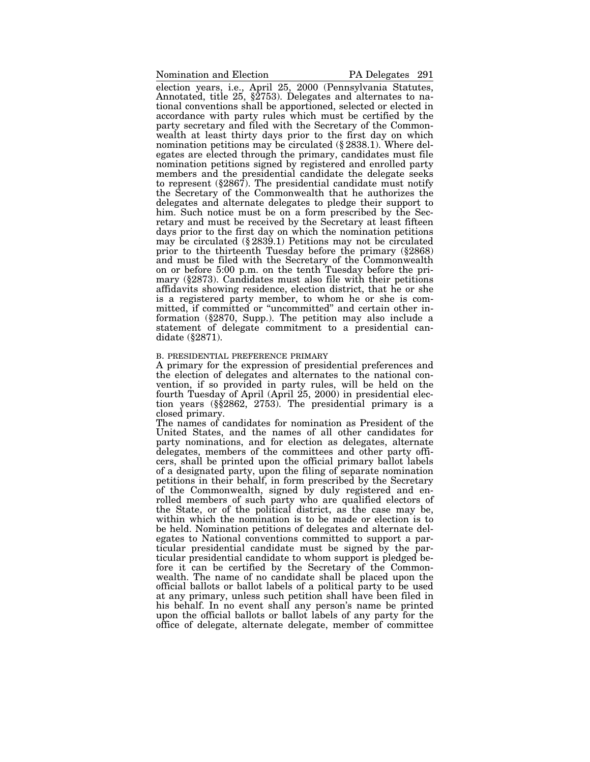Nomination and Election PA Delegates 291

election years, i.e., April 25, 2000 (Pennsylvania Statutes, Annotated, title 25, §2753). Delegates and alternates to national conventions shall be apportioned, selected or elected in accordance with party rules which must be certified by the party secretary and filed with the Secretary of the Commonwealth at least thirty days prior to the first day on which nomination petitions may be circulated (§ 2838.1). Where delegates are elected through the primary, candidates must file nomination petitions signed by registered and enrolled party members and the presidential candidate the delegate seeks to represent (§2867). The presidential candidate must notify the Secretary of the Commonwealth that he authorizes the delegates and alternate delegates to pledge their support to him. Such notice must be on a form prescribed by the Secretary and must be received by the Secretary at least fifteen days prior to the first day on which the nomination petitions may be circulated (§ 2839.1) Petitions may not be circulated prior to the thirteenth Tuesday before the primary (§2868) and must be filed with the Secretary of the Commonwealth on or before 5:00 p.m. on the tenth Tuesday before the primary (§2873). Candidates must also file with their petitions affidavits showing residence, election district, that he or she is a registered party member, to whom he or she is committed, if committed or "uncommitted" and certain other information (§2870, Supp.). The petition may also include a statement of delegate commitment to a presidential candidate (§2871).

## B. PRESIDENTIAL PREFERENCE PRIMARY

A primary for the expression of presidential preferences and the election of delegates and alternates to the national convention, if so provided in party rules, will be held on the fourth Tuesday of April (April  $25, 2000$ ) in presidential election years (§§2862, 2753). The presidential primary is a closed primary.

The names of candidates for nomination as President of the United States, and the names of all other candidates for party nominations, and for election as delegates, alternate delegates, members of the committees and other party officers, shall be printed upon the official primary ballot labels of a designated party, upon the filing of separate nomination petitions in their behalf, in form prescribed by the Secretary of the Commonwealth, signed by duly registered and enrolled members of such party who are qualified electors of the State, or of the political district, as the case may be, within which the nomination is to be made or election is to be held. Nomination petitions of delegates and alternate delegates to National conventions committed to support a particular presidential candidate must be signed by the particular presidential candidate to whom support is pledged before it can be certified by the Secretary of the Commonwealth. The name of no candidate shall be placed upon the official ballots or ballot labels of a political party to be used at any primary, unless such petition shall have been filed in his behalf. In no event shall any person's name be printed upon the official ballots or ballot labels of any party for the office of delegate, alternate delegate, member of committee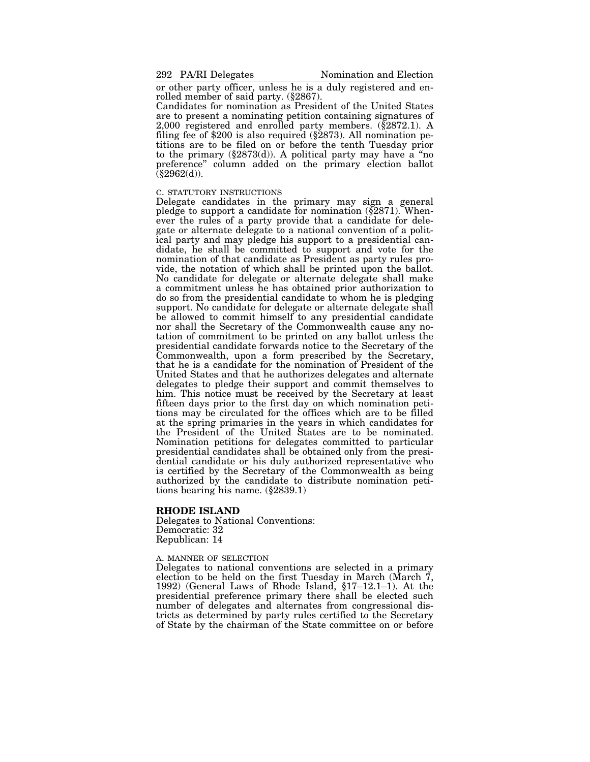or other party officer, unless he is a duly registered and enrolled member of said party. (§2867).

Candidates for nomination as President of the United States are to present a nominating petition containing signatures of 2,000 registered and enrolled party members. (§2872.1). A filing fee of \$200 is also required (§2873). All nomination petitions are to be filed on or before the tenth Tuesday prior to the primary  $(\S 2873(d))$ . A political party may have a "no preference'' column added on the primary election ballot  $(S2962(d)).$ 

### C. STATUTORY INSTRUCTIONS

Delegate candidates in the primary may sign a general pledge to support a candidate for nomination (§2871). Whenever the rules of a party provide that a candidate for delegate or alternate delegate to a national convention of a political party and may pledge his support to a presidential candidate, he shall be committed to support and vote for the nomination of that candidate as President as party rules provide, the notation of which shall be printed upon the ballot. No candidate for delegate or alternate delegate shall make a commitment unless he has obtained prior authorization to do so from the presidential candidate to whom he is pledging support. No candidate for delegate or alternate delegate shall be allowed to commit himself to any presidential candidate nor shall the Secretary of the Commonwealth cause any notation of commitment to be printed on any ballot unless the presidential candidate forwards notice to the Secretary of the Commonwealth, upon a form prescribed by the Secretary, that he is a candidate for the nomination of President of the United States and that he authorizes delegates and alternate delegates to pledge their support and commit themselves to him. This notice must be received by the Secretary at least fifteen days prior to the first day on which nomination petitions may be circulated for the offices which are to be filled at the spring primaries in the years in which candidates for the President of the United States are to be nominated. Nomination petitions for delegates committed to particular presidential candidates shall be obtained only from the presidential candidate or his duly authorized representative who is certified by the Secretary of the Commonwealth as being authorized by the candidate to distribute nomination petitions bearing his name. (§2839.1)

#### **RHODE ISLAND**

Delegates to National Conventions: Democratic: 32 Republican: 14

#### A. MANNER OF SELECTION

Delegates to national conventions are selected in a primary election to be held on the first Tuesday in March (March  $\tilde{7}$ , 1992) (General Laws of Rhode Island, §17–12.1–1). At the presidential preference primary there shall be elected such number of delegates and alternates from congressional districts as determined by party rules certified to the Secretary of State by the chairman of the State committee on or before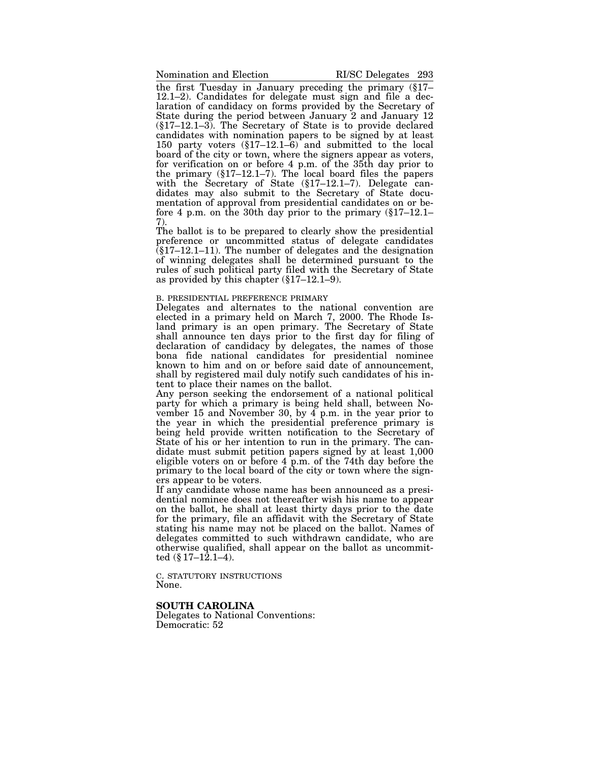Nomination and Election RI/SC Delegates 293

the first Tuesday in January preceding the primary (§17– 12.1–2). Candidates for delegate must sign and file a declaration of candidacy on forms provided by the Secretary of State during the period between January 2 and January 12 (§17–12.1–3). The Secretary of State is to provide declared candidates with nomination papers to be signed by at least 150 party voters (§17–12.1–6) and submitted to the local board of the city or town, where the signers appear as voters, for verification on or before 4 p.m. of the 35th day prior to the primary  $(\S17-12.1-7)$ . The local board files the papers with the Secretary of State (§17-12.1-7). Delegate candidates may also submit to the Secretary of State documentation of approval from presidential candidates on or before 4 p.m. on the 30th day prior to the primary (§17–12.1– 7).

The ballot is to be prepared to clearly show the presidential preference or uncommitted status of delegate candidates  $(S17-12.1-11)$ . The number of delegates and the designation of winning delegates shall be determined pursuant to the rules of such political party filed with the Secretary of State as provided by this chapter (§17–12.1–9).

## B. PRESIDENTIAL PREFERENCE PRIMARY

Delegates and alternates to the national convention are elected in a primary held on March 7, 2000. The Rhode Island primary is an open primary. The Secretary of State shall announce ten days prior to the first day for filing of declaration of candidacy by delegates, the names of those bona fide national candidates for presidential nominee known to him and on or before said date of announcement, shall by registered mail duly notify such candidates of his intent to place their names on the ballot.

Any person seeking the endorsement of a national political party for which a primary is being held shall, between November 15 and November 30, by 4 p.m. in the year prior to the year in which the presidential preference primary is being held provide written notification to the Secretary of State of his or her intention to run in the primary. The candidate must submit petition papers signed by at least 1,000 eligible voters on or before 4 p.m. of the 74th day before the primary to the local board of the city or town where the signers appear to be voters.

If any candidate whose name has been announced as a presidential nominee does not thereafter wish his name to appear on the ballot, he shall at least thirty days prior to the date for the primary, file an affidavit with the Secretary of State stating his name may not be placed on the ballot. Names of delegates committed to such withdrawn candidate, who are otherwise qualified, shall appear on the ballot as uncommitted  $(\S 17 - 12.1 - 4)$ .

C. STATUTORY INSTRUCTIONS None.

## **SOUTH CAROLINA**

Delegates to National Conventions: Democratic: 52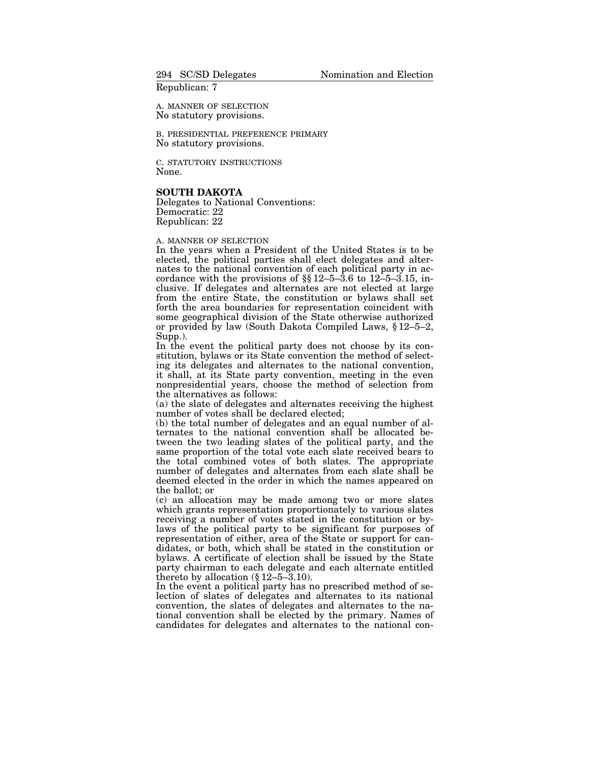Republican: 7

### A. MANNER OF SELECTION No statutory provisions.

B. PRESIDENTIAL PREFERENCE PRIMARY No statutory provisions.

C. STATUTORY INSTRUCTIONS None.

## **SOUTH DAKOTA**

Delegates to National Conventions: Democratic: 22 Republican: 22

### A. MANNER OF SELECTION

In the years when a President of the United States is to be elected, the political parties shall elect delegates and alternates to the national convention of each political party in accordance with the provisions of  $\S$  12–5–3.6 to 12–5–3.15, inclusive. If delegates and alternates are not elected at large from the entire State, the constitution or bylaws shall set forth the area boundaries for representation coincident with some geographical division of the State otherwise authorized or provided by law (South Dakota Compiled Laws, § 12–5–2, Supp.).

In the event the political party does not choose by its constitution, bylaws or its State convention the method of selecting its delegates and alternates to the national convention, it shall, at its State party convention, meeting in the even nonpresidential years, choose the method of selection from the alternatives as follows:

(a) the slate of delegates and alternates receiving the highest number of votes shall be declared elected;

(b) the total number of delegates and an equal number of alternates to the national convention shall be allocated between the two leading slates of the political party, and the same proportion of the total vote each slate received bears to the total combined votes of both slates. The appropriate number of delegates and alternates from each slate shall be deemed elected in the order in which the names appeared on the ballot; or

(c) an allocation may be made among two or more slates which grants representation proportionately to various slates receiving a number of votes stated in the constitution or bylaws of the political party to be significant for purposes of representation of either, area of the State or support for candidates, or both, which shall be stated in the constitution or bylaws. A certificate of election shall be issued by the State party chairman to each delegate and each alternate entitled thereto by allocation  $(\S 12 - 5 - 3.10)$ .

In the event a political party has no prescribed method of selection of slates of delegates and alternates to its national convention, the slates of delegates and alternates to the national convention shall be elected by the primary. Names of candidates for delegates and alternates to the national con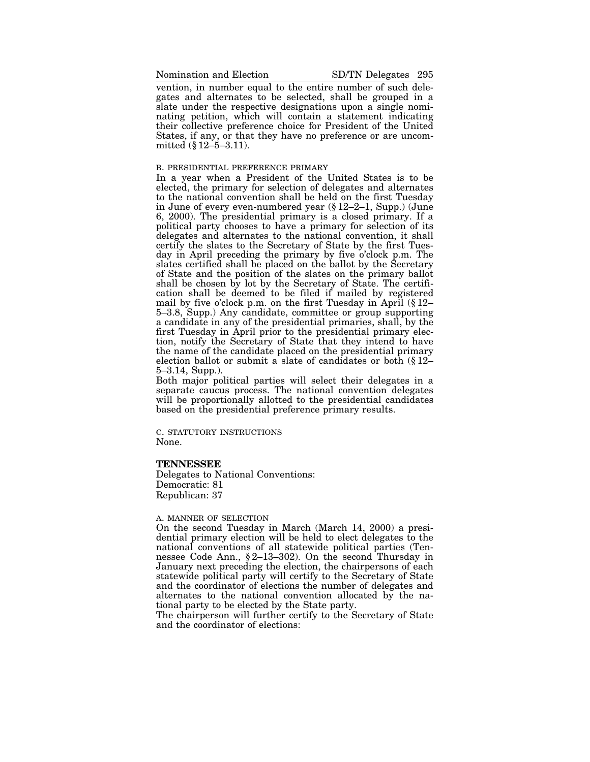Nomination and Election SD/TN Delegates 295

vention, in number equal to the entire number of such delegates and alternates to be selected, shall be grouped in a slate under the respective designations upon a single nominating petition, which will contain a statement indicating their collective preference choice for President of the United States, if any, or that they have no preference or are uncommitted (§ 12–5–3.11).

#### B. PRESIDENTIAL PREFERENCE PRIMARY

In a year when a President of the United States is to be elected, the primary for selection of delegates and alternates to the national convention shall be held on the first Tuesday in June of every even-numbered year (§ 12–2–1, Supp.) (June 6, 2000). The presidential primary is a closed primary. If a political party chooses to have a primary for selection of its delegates and alternates to the national convention, it shall certify the slates to the Secretary of State by the first Tuesday in April preceding the primary by five o'clock p.m. The slates certified shall be placed on the ballot by the Secretary of State and the position of the slates on the primary ballot shall be chosen by lot by the Secretary of State. The certification shall be deemed to be filed if mailed by registered mail by five o'clock p.m. on the first Tuesday in April (§ 12– 5–3.8, Supp.) Any candidate, committee or group supporting a candidate in any of the presidential primaries, shall, by the first Tuesday in April prior to the presidential primary election, notify the Secretary of State that they intend to have the name of the candidate placed on the presidential primary election ballot or submit a slate of candidates or both  $(\S 12 -$ 5–3.14, Supp.).

Both major political parties will select their delegates in a separate caucus process. The national convention delegates will be proportionally allotted to the presidential candidates based on the presidential preference primary results.

C. STATUTORY INSTRUCTIONS None.

# **TENNESSEE**

Delegates to National Conventions: Democratic: 81 Republican: 37

## A. MANNER OF SELECTION

On the second Tuesday in March (March 14, 2000) a presidential primary election will be held to elect delegates to the national conventions of all statewide political parties (Tennessee Code Ann., § 2–13–302). On the second Thursday in January next preceding the election, the chairpersons of each statewide political party will certify to the Secretary of State and the coordinator of elections the number of delegates and alternates to the national convention allocated by the national party to be elected by the State party.

The chairperson will further certify to the Secretary of State and the coordinator of elections: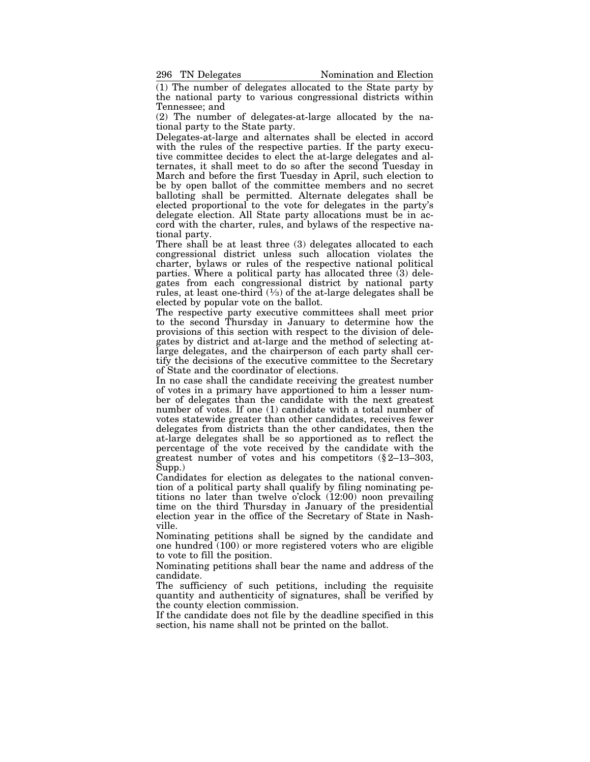(1) The number of delegates allocated to the State party by the national party to various congressional districts within Tennessee; and

(2) The number of delegates-at-large allocated by the national party to the State party.

Delegates-at-large and alternates shall be elected in accord with the rules of the respective parties. If the party executive committee decides to elect the at-large delegates and alternates, it shall meet to do so after the second Tuesday in March and before the first Tuesday in April, such election to be by open ballot of the committee members and no secret balloting shall be permitted. Alternate delegates shall be elected proportional to the vote for delegates in the party's delegate election. All State party allocations must be in accord with the charter, rules, and bylaws of the respective national party.

There shall be at least three (3) delegates allocated to each congressional district unless such allocation violates the charter, bylaws or rules of the respective national political parties. Where a political party has allocated three (3) delegates from each congressional district by national party rules, at least one-third  $(\frac{1}{3})$  of the at-large delegates shall be elected by popular vote on the ballot.

The respective party executive committees shall meet prior to the second Thursday in January to determine how the provisions of this section with respect to the division of delegates by district and at-large and the method of selecting atlarge delegates, and the chairperson of each party shall certify the decisions of the executive committee to the Secretary of State and the coordinator of elections.

In no case shall the candidate receiving the greatest number of votes in a primary have apportioned to him a lesser number of delegates than the candidate with the next greatest number of votes. If one (1) candidate with a total number of votes statewide greater than other candidates, receives fewer delegates from districts than the other candidates, then the at-large delegates shall be so apportioned as to reflect the percentage of the vote received by the candidate with the greatest number of votes and his competitors (§ 2–13–303, Supp.)

Candidates for election as delegates to the national convention of a political party shall qualify by filing nominating petitions no later than twelve o'clock (12:00) noon prevailing time on the third Thursday in January of the presidential election year in the office of the Secretary of State in Nashville.

Nominating petitions shall be signed by the candidate and one hundred (100) or more registered voters who are eligible to vote to fill the position.

Nominating petitions shall bear the name and address of the candidate.

The sufficiency of such petitions, including the requisite quantity and authenticity of signatures, shall be verified by the county election commission.

If the candidate does not file by the deadline specified in this section, his name shall not be printed on the ballot.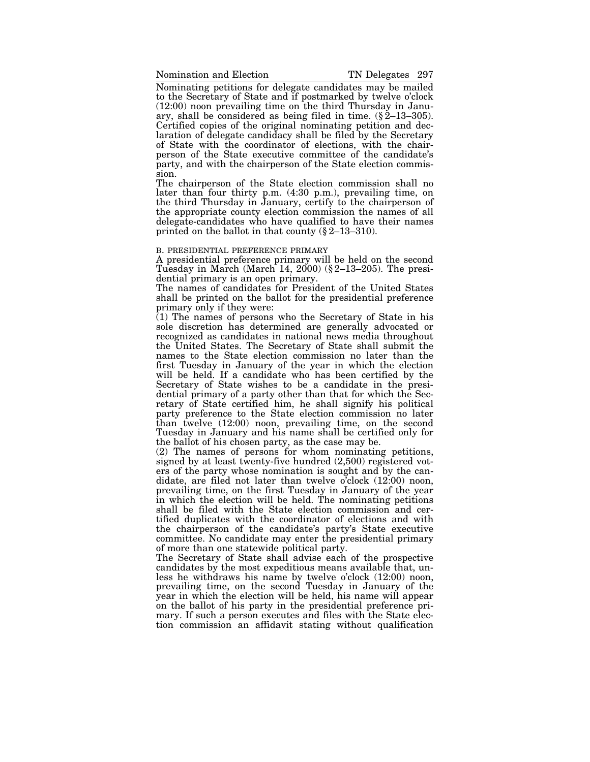Nomination and Election TN Delegates 297

Nominating petitions for delegate candidates may be mailed to the Secretary of State and if postmarked by twelve o'clock (12:00) noon prevailing time on the third Thursday in January, shall be considered as being filed in time.  $(\S$ 2-13-305). Certified copies of the original nominating petition and declaration of delegate candidacy shall be filed by the Secretary of State with the coordinator of elections, with the chairperson of the State executive committee of the candidate's party, and with the chairperson of the State election commission.

The chairperson of the State election commission shall no later than four thirty p.m. (4:30 p.m.), prevailing time, on the third Thursday in January, certify to the chairperson of the appropriate county election commission the names of all delegate-candidates who have qualified to have their names printed on the ballot in that county (§ 2–13–310).

B. PRESIDENTIAL PREFERENCE PRIMARY

A presidential preference primary will be held on the second Tuesday in March (March 14, 2000) (§ 2–13–205). The presidential primary is an open primary.

The names of candidates for President of the United States shall be printed on the ballot for the presidential preference primary only if they were:

(1) The names of persons who the Secretary of State in his sole discretion has determined are generally advocated or recognized as candidates in national news media throughout the United States. The Secretary of State shall submit the names to the State election commission no later than the first Tuesday in January of the year in which the election will be held. If a candidate who has been certified by the Secretary of State wishes to be a candidate in the presidential primary of a party other than that for which the Secretary of State certified him, he shall signify his political party preference to the State election commission no later than twelve (12:00) noon, prevailing time, on the second Tuesday in January and his name shall be certified only for the ballot of his chosen party, as the case may be.

(2) The names of persons for whom nominating petitions, signed by at least twenty-five hundred (2,500) registered voters of the party whose nomination is sought and by the candidate, are filed not later than twelve o'clock (12:00) noon, prevailing time, on the first Tuesday in January of the year in which the election will be held. The nominating petitions shall be filed with the State election commission and certified duplicates with the coordinator of elections and with the chairperson of the candidate's party's State executive committee. No candidate may enter the presidential primary of more than one statewide political party.

The Secretary of State shall advise each of the prospective candidates by the most expeditious means available that, unless he withdraws his name by twelve o'clock (12:00) noon, prevailing time, on the second Tuesday in January of the year in which the election will be held, his name will appear on the ballot of his party in the presidential preference primary. If such a person executes and files with the State election commission an affidavit stating without qualification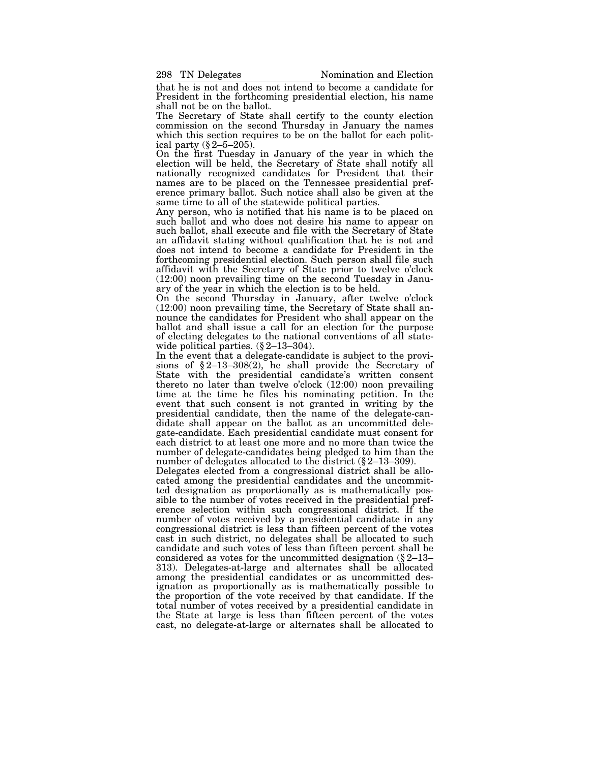that he is not and does not intend to become a candidate for President in the forthcoming presidential election, his name shall not be on the ballot.

The Secretary of State shall certify to the county election commission on the second Thursday in January the names which this section requires to be on the ballot for each political party (§ 2–5–205).

On the first Tuesday in January of the year in which the election will be held, the Secretary of State shall notify all nationally recognized candidates for President that their names are to be placed on the Tennessee presidential preference primary ballot. Such notice shall also be given at the same time to all of the statewide political parties.

Any person, who is notified that his name is to be placed on such ballot and who does not desire his name to appear on such ballot, shall execute and file with the Secretary of State an affidavit stating without qualification that he is not and does not intend to become a candidate for President in the forthcoming presidential election. Such person shall file such affidavit with the Secretary of State prior to twelve o'clock (12:00) noon prevailing time on the second Tuesday in January of the year in which the election is to be held.

On the second Thursday in January, after twelve o'clock (12:00) noon prevailing time, the Secretary of State shall announce the candidates for President who shall appear on the ballot and shall issue a call for an election for the purpose of electing delegates to the national conventions of all statewide political parties.  $(\S 2 - 13 - 304)$ .

In the event that a delegate-candidate is subject to the provisions of § 2–13–308(2), he shall provide the Secretary of State with the presidential candidate's written consent thereto no later than twelve o'clock (12:00) noon prevailing time at the time he files his nominating petition. In the event that such consent is not granted in writing by the presidential candidate, then the name of the delegate-candidate shall appear on the ballot as an uncommitted delegate-candidate. Each presidential candidate must consent for each district to at least one more and no more than twice the number of delegate-candidates being pledged to him than the number of delegates allocated to the district (§ 2–13–309).

Delegates elected from a congressional district shall be allocated among the presidential candidates and the uncommitted designation as proportionally as is mathematically possible to the number of votes received in the presidential preference selection within such congressional district. If the number of votes received by a presidential candidate in any congressional district is less than fifteen percent of the votes cast in such district, no delegates shall be allocated to such candidate and such votes of less than fifteen percent shall be considered as votes for the uncommitted designation (§ 2–13– 313). Delegates-at-large and alternates shall be allocated among the presidential candidates or as uncommitted designation as proportionally as is mathematically possible to the proportion of the vote received by that candidate. If the total number of votes received by a presidential candidate in the State at large is less than fifteen percent of the votes cast, no delegate-at-large or alternates shall be allocated to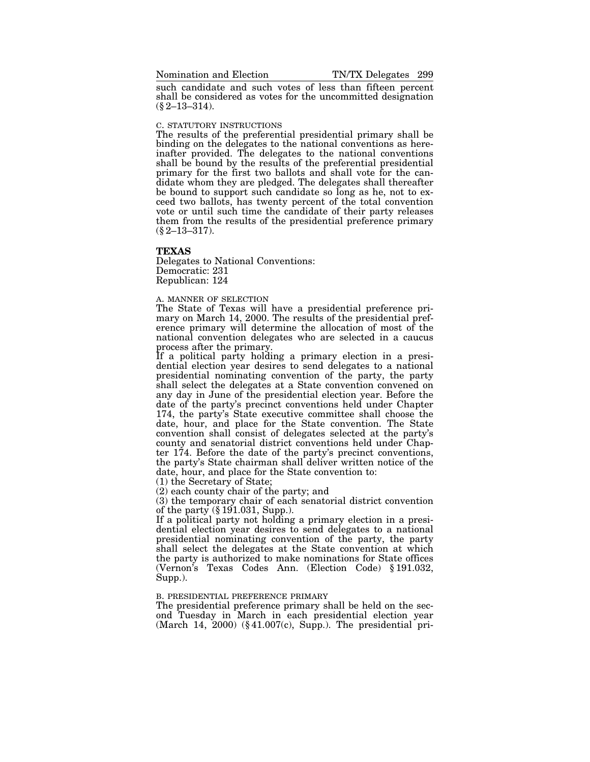Nomination and Election TN/TX Delegates 299

such candidate and such votes of less than fifteen percent shall be considered as votes for the uncommitted designation (§ 2–13–314).

### C. STATUTORY INSTRUCTIONS

The results of the preferential presidential primary shall be binding on the delegates to the national conventions as hereinafter provided. The delegates to the national conventions shall be bound by the results of the preferential presidential primary for the first two ballots and shall vote for the candidate whom they are pledged. The delegates shall thereafter be bound to support such candidate so long as he, not to exceed two ballots, has twenty percent of the total convention vote or until such time the candidate of their party releases them from the results of the presidential preference primary  $(§ 2 - 13 - 317).$ 

#### **TEXAS**

Delegates to National Conventions: Democratic: 231 Republican: 124

## A. MANNER OF SELECTION

The State of Texas will have a presidential preference primary on March 14, 2000. The results of the presidential preference primary will determine the allocation of most of the national convention delegates who are selected in a caucus process after the primary.

If a political party holding a primary election in a presidential election year desires to send delegates to a national presidential nominating convention of the party, the party shall select the delegates at a State convention convened on any day in June of the presidential election year. Before the date of the party's precinct conventions held under Chapter 174, the party's State executive committee shall choose the date, hour, and place for the State convention. The State convention shall consist of delegates selected at the party's county and senatorial district conventions held under Chapter 174. Before the date of the party's precinct conventions, the party's State chairman shall deliver written notice of the date, hour, and place for the State convention to:

(1) the Secretary of State;

(2) each county chair of the party; and

(3) the temporary chair of each senatorial district convention of the party (§ 191.031, Supp.).

If a political party not holding a primary election in a presidential election year desires to send delegates to a national presidential nominating convention of the party, the party shall select the delegates at the State convention at which the party is authorized to make nominations for State offices (Vernon's Texas Codes Ann. (Election Code) § 191.032, Supp.).

### B. PRESIDENTIAL PREFERENCE PRIMARY

The presidential preference primary shall be held on the second Tuesday in March in each presidential election year (March 14, 2000) (§ 41.007(c), Supp.). The presidential pri-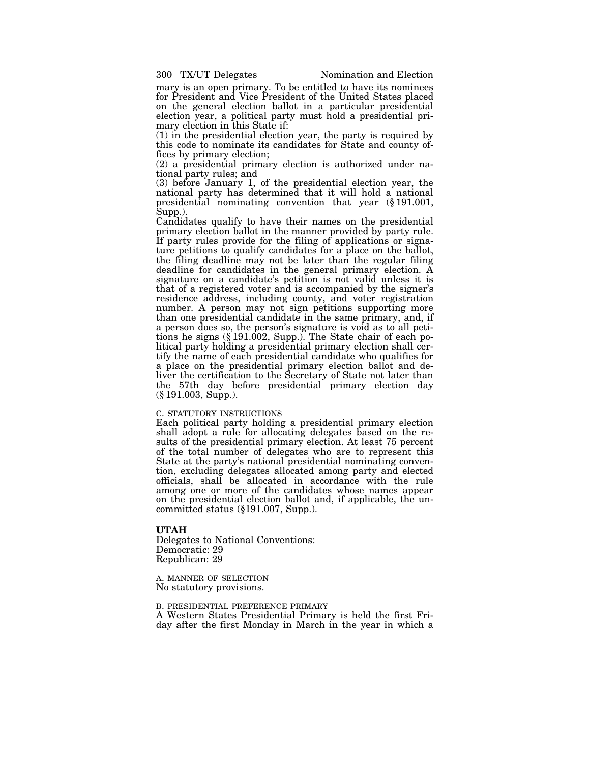mary is an open primary. To be entitled to have its nominees for President and Vice President of the United States placed on the general election ballot in a particular presidential election year, a political party must hold a presidential primary election in this State if:

(1) in the presidential election year, the party is required by this code to nominate its candidates for State and county offices by primary election;

(2) a presidential primary election is authorized under national party rules; and

(3) before January 1, of the presidential election year, the national party has determined that it will hold a national presidential nominating convention that year (§ 191.001, Supp.).

Candidates qualify to have their names on the presidential primary election ballot in the manner provided by party rule. If party rules provide for the filing of applications or signature petitions to qualify candidates for a place on the ballot, the filing deadline may not be later than the regular filing deadline for candidates in the general primary election. A signature on a candidate's petition is not valid unless it is that of a registered voter and is accompanied by the signer's residence address, including county, and voter registration number. A person may not sign petitions supporting more than one presidential candidate in the same primary, and, if a person does so, the person's signature is void as to all petitions he signs (§ 191.002, Supp.). The State chair of each political party holding a presidential primary election shall certify the name of each presidential candidate who qualifies for a place on the presidential primary election ballot and deliver the certification to the Secretary of State not later than the 57th day before presidential primary election day (§ 191.003, Supp.).

#### C. STATUTORY INSTRUCTIONS

Each political party holding a presidential primary election shall adopt a rule for allocating delegates based on the results of the presidential primary election. At least 75 percent of the total number of delegates who are to represent this State at the party's national presidential nominating convention, excluding delegates allocated among party and elected officials, shall be allocated in accordance with the rule among one or more of the candidates whose names appear on the presidential election ballot and, if applicable, the uncommitted status (§191.007, Supp.).

#### **UTAH**

Delegates to National Conventions: Democratic: 29 Republican: 29

A. MANNER OF SELECTION No statutory provisions.

B. PRESIDENTIAL PREFERENCE PRIMARY A Western States Presidential Primary is held the first Friday after the first Monday in March in the year in which a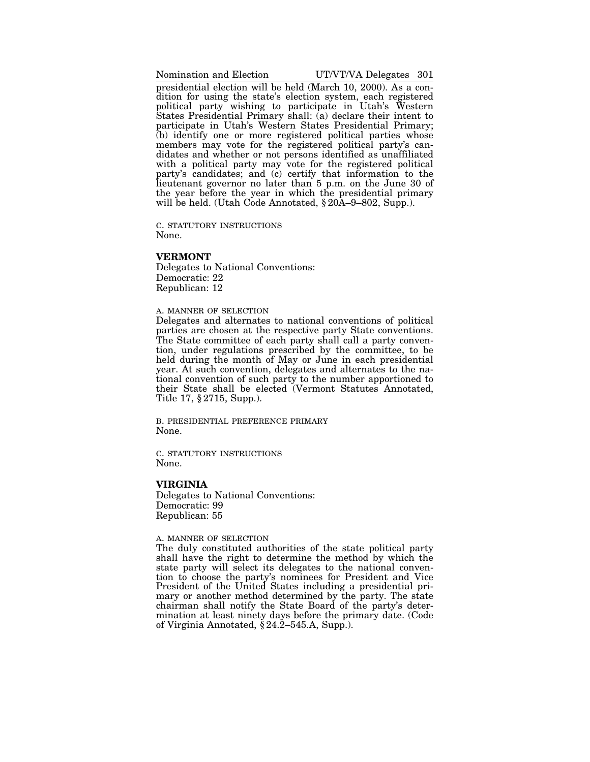Nomination and Election UT/VT/VA Delegates 301

presidential election will be held (March 10, 2000). As a condition for using the state's election system, each registered political party wishing to participate in Utah's Western States Presidential Primary shall: (a) declare their intent to participate in Utah's Western States Presidential Primary; (b) identify one or more registered political parties whose members may vote for the registered political party's candidates and whether or not persons identified as unaffiliated with a political party may vote for the registered political party's candidates; and (c) certify that information to the lieutenant governor no later than 5 p.m. on the June 30 of the year before the year in which the presidential primary will be held. (Utah Code Annotated,  $\S 20A-9-802$ , Supp.).

C. STATUTORY INSTRUCTIONS None.

## **VERMONT**

Delegates to National Conventions: Democratic: 22 Republican: 12

# A. MANNER OF SELECTION

Delegates and alternates to national conventions of political parties are chosen at the respective party State conventions. The State committee of each party shall call a party convention, under regulations prescribed by the committee, to be held during the month of May or June in each presidential year. At such convention, delegates and alternates to the national convention of such party to the number apportioned to their State shall be elected (Vermont Statutes Annotated, Title 17, § 2715, Supp.).

B. PRESIDENTIAL PREFERENCE PRIMARY None.

C. STATUTORY INSTRUCTIONS None.

### **VIRGINIA**

Delegates to National Conventions: Democratic: 99 Republican: 55

# A. MANNER OF SELECTION

The duly constituted authorities of the state political party shall have the right to determine the method by which the state party will select its delegates to the national convention to choose the party's nominees for President and Vice President of the United States including a presidential primary or another method determined by the party. The state chairman shall notify the State Board of the party's determination at least ninety days before the primary date. (Code of Virginia Annotated, § 24.2–545.A, Supp.).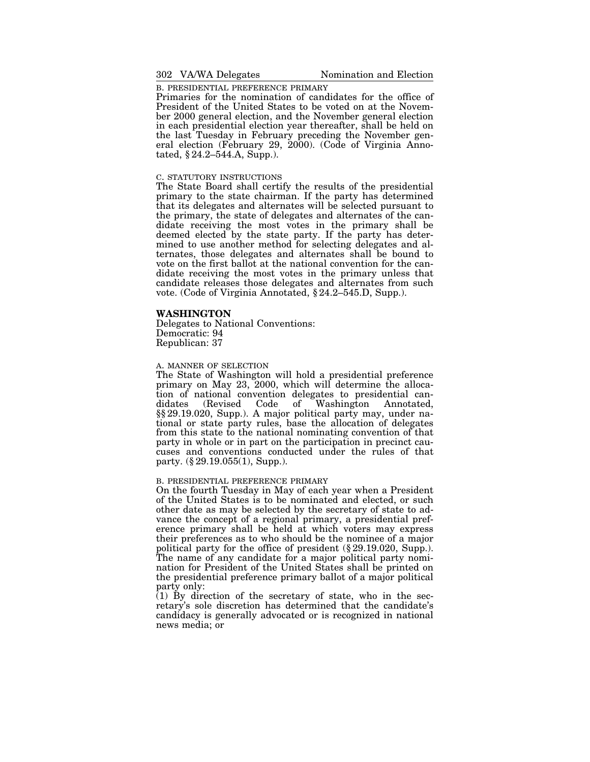### B. PRESIDENTIAL PREFERENCE PRIMARY

Primaries for the nomination of candidates for the office of President of the United States to be voted on at the November 2000 general election, and the November general election in each presidential election year thereafter, shall be held on the last Tuesday in February preceding the November general election (February 29, 2000). (Code of Virginia Annotated, § 24.2–544.A, Supp.).

### C. STATUTORY INSTRUCTIONS

The State Board shall certify the results of the presidential primary to the state chairman. If the party has determined that its delegates and alternates will be selected pursuant to the primary, the state of delegates and alternates of the candidate receiving the most votes in the primary shall be deemed elected by the state party. If the party has determined to use another method for selecting delegates and alternates, those delegates and alternates shall be bound to vote on the first ballot at the national convention for the candidate receiving the most votes in the primary unless that candidate releases those delegates and alternates from such vote. (Code of Virginia Annotated, § 24.2–545.D, Supp.).

# **WASHINGTON**

Delegates to National Conventions: Democratic: 94 Republican: 37

## A. MANNER OF SELECTION

The State of Washington will hold a presidential preference primary on May 23, 2000, which will determine the allocation of national convention delegates to presidential candidates (Revised Code of Washington Annotated, §§ 29.19.020, Supp.). A major political party may, under national or state party rules, base the allocation of delegates from this state to the national nominating convention of that party in whole or in part on the participation in precinct caucuses and conventions conducted under the rules of that party. (§ 29.19.055(1), Supp.).

## B. PRESIDENTIAL PREFERENCE PRIMARY

On the fourth Tuesday in May of each year when a President of the United States is to be nominated and elected, or such other date as may be selected by the secretary of state to advance the concept of a regional primary, a presidential preference primary shall be held at which voters may express their preferences as to who should be the nominee of a major political party for the office of president (§ 29.19.020, Supp.). The name of any candidate for a major political party nomination for President of the United States shall be printed on the presidential preference primary ballot of a major political party only:

(1) By direction of the secretary of state, who in the secretary's sole discretion has determined that the candidate's candidacy is generally advocated or is recognized in national news media; or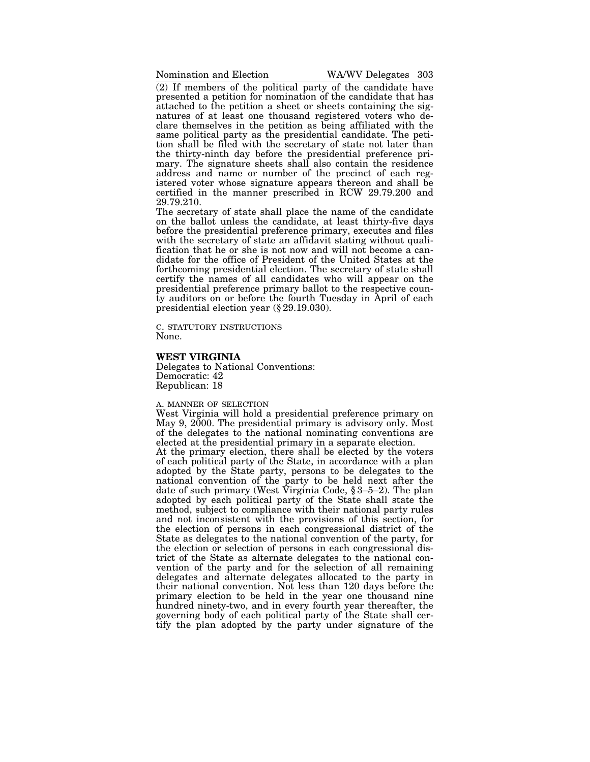Nomination and Election WA/WV Delegates 303

(2) If members of the political party of the candidate have presented a petition for nomination of the candidate that has attached to the petition a sheet or sheets containing the signatures of at least one thousand registered voters who declare themselves in the petition as being affiliated with the same political party as the presidential candidate. The petition shall be filed with the secretary of state not later than the thirty-ninth day before the presidential preference primary. The signature sheets shall also contain the residence address and name or number of the precinct of each registered voter whose signature appears thereon and shall be certified in the manner prescribed in RCW 29.79.200 and 29.79.210.

The secretary of state shall place the name of the candidate on the ballot unless the candidate, at least thirty-five days before the presidential preference primary, executes and files with the secretary of state an affidavit stating without qualification that he or she is not now and will not become a candidate for the office of President of the United States at the forthcoming presidential election. The secretary of state shall certify the names of all candidates who will appear on the presidential preference primary ballot to the respective county auditors on or before the fourth Tuesday in April of each presidential election year (§ 29.19.030).

C. STATUTORY INSTRUCTIONS None.

## **WEST VIRGINIA**

Delegates to National Conventions: Democratic: 42 Republican: 18

## A. MANNER OF SELECTION

West Virginia will hold a presidential preference primary on May 9, 2000. The presidential primary is advisory only. Most of the delegates to the national nominating conventions are elected at the presidential primary in a separate election.

At the primary election, there shall be elected by the voters of each political party of the State, in accordance with a plan adopted by the State party, persons to be delegates to the national convention of the party to be held next after the date of such primary (West Virginia Code, § 3–5–2). The plan adopted by each political party of the State shall state the method, subject to compliance with their national party rules and not inconsistent with the provisions of this section, for the election of persons in each congressional district of the State as delegates to the national convention of the party, for the election or selection of persons in each congressional district of the State as alternate delegates to the national convention of the party and for the selection of all remaining delegates and alternate delegates allocated to the party in their national convention. Not less than 120 days before the primary election to be held in the year one thousand nine hundred ninety-two, and in every fourth year thereafter, the governing body of each political party of the State shall certify the plan adopted by the party under signature of the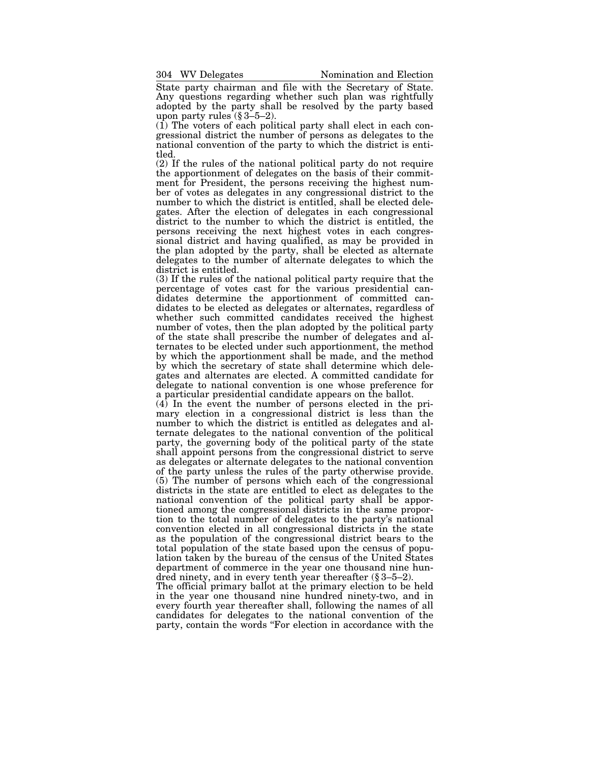State party chairman and file with the Secretary of State. Any questions regarding whether such plan was rightfully adopted by the party shall be resolved by the party based upon party rules  $(\S 3 - 5 - 2)$ .

(1) The voters of each political party shall elect in each congressional district the number of persons as delegates to the national convention of the party to which the district is entitled.

(2) If the rules of the national political party do not require the apportionment of delegates on the basis of their commitment for President, the persons receiving the highest number of votes as delegates in any congressional district to the number to which the district is entitled, shall be elected delegates. After the election of delegates in each congressional district to the number to which the district is entitled, the persons receiving the next highest votes in each congressional district and having qualified, as may be provided in the plan adopted by the party, shall be elected as alternate delegates to the number of alternate delegates to which the district is entitled.

(3) If the rules of the national political party require that the percentage of votes cast for the various presidential candidates determine the apportionment of committed candidates to be elected as delegates or alternates, regardless of whether such committed candidates received the highest number of votes, then the plan adopted by the political party of the state shall prescribe the number of delegates and alternates to be elected under such apportionment, the method by which the apportionment shall be made, and the method by which the secretary of state shall determine which delegates and alternates are elected. A committed candidate for delegate to national convention is one whose preference for a particular presidential candidate appears on the ballot.

(4) In the event the number of persons elected in the primary election in a congressional district is less than the number to which the district is entitled as delegates and alternate delegates to the national convention of the political party, the governing body of the political party of the state shall appoint persons from the congressional district to serve as delegates or alternate delegates to the national convention of the party unless the rules of the party otherwise provide. (5) The number of persons which each of the congressional districts in the state are entitled to elect as delegates to the national convention of the political party shall be apportioned among the congressional districts in the same proportion to the total number of delegates to the party's national convention elected in all congressional districts in the state as the population of the congressional district bears to the total population of the state based upon the census of population taken by the bureau of the census of the United States department of commerce in the year one thousand nine hundred ninety, and in every tenth year thereafter (§ 3–5–2).

The official primary ballot at the primary election to be held in the year one thousand nine hundred ninety-two, and in every fourth year thereafter shall, following the names of all candidates for delegates to the national convention of the party, contain the words "For election in accordance with the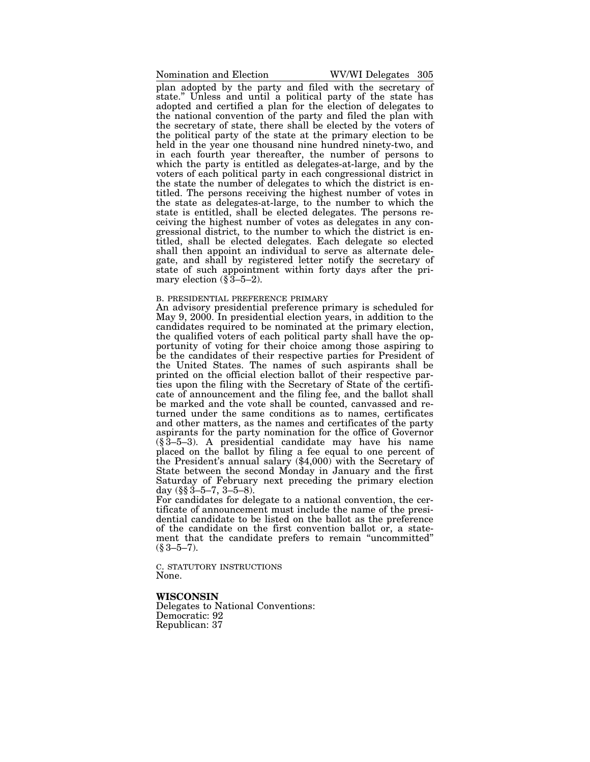Nomination and Election WV/WI Delegates 305

plan adopted by the party and filed with the secretary of state.'' Unless and until a political party of the state has adopted and certified a plan for the election of delegates to the national convention of the party and filed the plan with the secretary of state, there shall be elected by the voters of the political party of the state at the primary election to be held in the year one thousand nine hundred ninety-two, and in each fourth year thereafter, the number of persons to which the party is entitled as delegates-at-large, and by the voters of each political party in each congressional district in the state the number of delegates to which the district is entitled. The persons receiving the highest number of votes in the state as delegates-at-large, to the number to which the state is entitled, shall be elected delegates. The persons receiving the highest number of votes as delegates in any congressional district, to the number to which the district is entitled, shall be elected delegates. Each delegate so elected shall then appoint an individual to serve as alternate delegate, and shall by registered letter notify the secretary of state of such appointment within forty days after the primary election  $(\S\overline{3}-5-2)$ .

## B. PRESIDENTIAL PREFERENCE PRIMARY

An advisory presidential preference primary is scheduled for May 9, 2000. In presidential election years, in addition to the candidates required to be nominated at the primary election, the qualified voters of each political party shall have the opportunity of voting for their choice among those aspiring to be the candidates of their respective parties for President of the United States. The names of such aspirants shall be printed on the official election ballot of their respective parties upon the filing with the Secretary of State of the certificate of announcement and the filing fee, and the ballot shall be marked and the vote shall be counted, canvassed and returned under the same conditions as to names, certificates and other matters, as the names and certificates of the party aspirants for the party nomination for the office of Governor (§ 3–5–3). A presidential candidate may have his name placed on the ballot by filing a fee equal to one percent of the President's annual salary (\$4,000) with the Secretary of State between the second Monday in January and the first Saturday of February next preceding the primary election day  $(\S \S 3 - 5 - 7, 3 - 5 - 8)$ .

For candidates for delegate to a national convention, the certificate of announcement must include the name of the presidential candidate to be listed on the ballot as the preference of the candidate on the first convention ballot or, a statement that the candidate prefers to remain "uncommitted"  $(\S 3 - 5 - 7)$ .

C. STATUTORY INSTRUCTIONS None.

#### **WISCONSIN**

Delegates to National Conventions: Democratic: 92 Republican: 37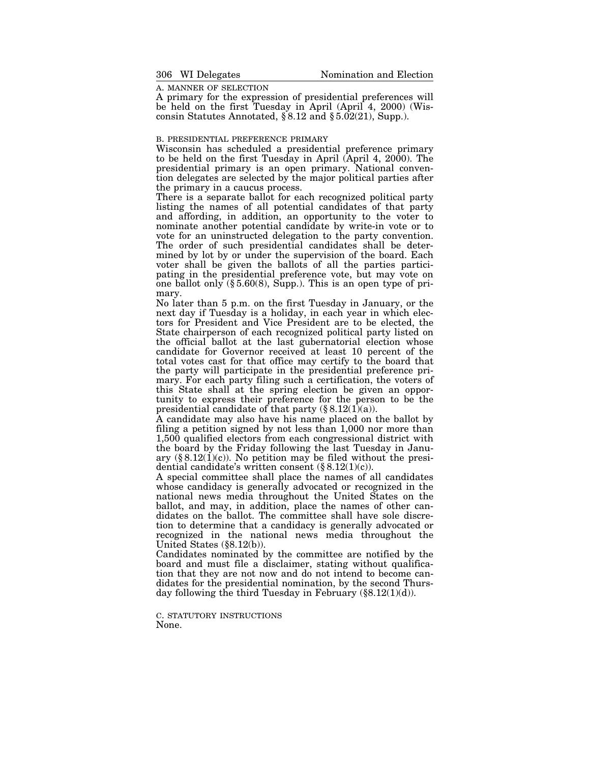A. MANNER OF SELECTION

A primary for the expression of presidential preferences will be held on the first Tuesday in April (April 4, 2000) (Wisconsin Statutes Annotated, § 8.12 and § 5.02(21), Supp.).

B. PRESIDENTIAL PREFERENCE PRIMARY

Wisconsin has scheduled a presidential preference primary to be held on the first Tuesday in April (April 4, 2000). The presidential primary is an open primary. National convention delegates are selected by the major political parties after the primary in a caucus process.

There is a separate ballot for each recognized political party listing the names of all potential candidates of that party and affording, in addition, an opportunity to the voter to nominate another potential candidate by write-in vote or to vote for an uninstructed delegation to the party convention. The order of such presidential candidates shall be determined by lot by or under the supervision of the board. Each voter shall be given the ballots of all the parties participating in the presidential preference vote, but may vote on one ballot only  $(\S 5.60(8), \text{Supp.})$ . This is an open type of primary.

No later than 5 p.m. on the first Tuesday in January, or the next day if Tuesday is a holiday, in each year in which electors for President and Vice President are to be elected, the State chairperson of each recognized political party listed on the official ballot at the last gubernatorial election whose candidate for Governor received at least 10 percent of the total votes cast for that office may certify to the board that the party will participate in the presidential preference primary. For each party filing such a certification, the voters of this State shall at the spring election be given an opportunity to express their preference for the person to be the presidential candidate of that party  $(\S 8.12(1))$ .

A candidate may also have his name placed on the ballot by filing a petition signed by not less than 1,000 nor more than 1,500 qualified electors from each congressional district with the board by the Friday following the last Tuesday in January  $(\S 8.12(1)(c))$ . No petition may be filed without the presidential candidate's written consent  $(\S 8.12(1)(c))$ .

A special committee shall place the names of all candidates whose candidacy is generally advocated or recognized in the national news media throughout the United States on the ballot, and may, in addition, place the names of other candidates on the ballot. The committee shall have sole discretion to determine that a candidacy is generally advocated or recognized in the national news media throughout the United States (§8.12(b)).

Candidates nominated by the committee are notified by the board and must file a disclaimer, stating without qualification that they are not now and do not intend to become candidates for the presidential nomination, by the second Thursday following the third Tuesday in February  $(\$8.12(1)(d))$ .

C. STATUTORY INSTRUCTIONS None.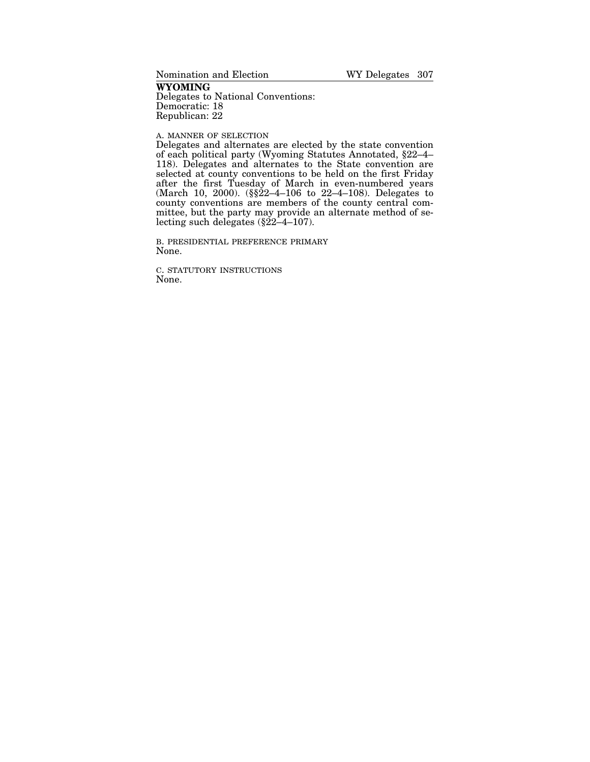Nomination and Election WY Delegates 307

**WYOMING**

Delegates to National Conventions: Democratic: 18 Republican: 22

A. MANNER OF SELECTION

Delegates and alternates are elected by the state convention of each political party (Wyoming Statutes Annotated, §22–4– 118). Delegates and alternates to the State convention are selected at county conventions to be held on the first Friday after the first Tuesday of March in even-numbered years (March 10, 2000). (§§22–4–106 to 22–4–108). Delegates to county conventions are members of the county central committee, but the party may provide an alternate method of selecting such delegates  $(\S_{22}^{\sim} - 4 - 107)$ .

B. PRESIDENTIAL PREFERENCE PRIMARY None.

C. STATUTORY INSTRUCTIONS None.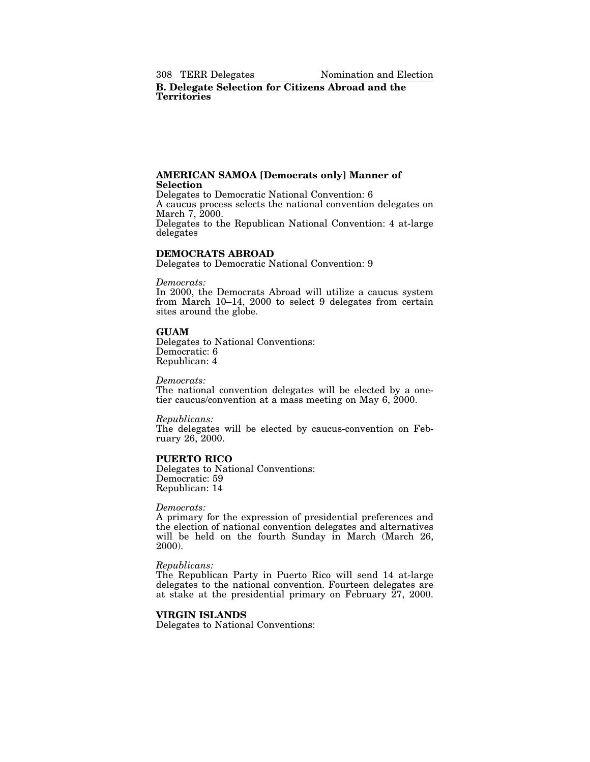**B. Delegate Selection for Citizens Abroad and the Territories**

# **AMERICAN SAMOA [Democrats only] Manner of Selection**

Delegates to Democratic National Convention: 6 A caucus process selects the national convention delegates on March 7, 2000. Delegates to the Republican National Convention: 4 at-large delegates

## **DEMOCRATS ABROAD**

Delegates to Democratic National Convention: 9

#### *Democrats:*

In 2000, the Democrats Abroad will utilize a caucus system from March 10–14, 2000 to select 9 delegates from certain sites around the globe.

# **GUAM**

Delegates to National Conventions: Democratic: 6 Republican: 4

*Democrats:*

The national convention delegates will be elected by a onetier caucus/convention at a mass meeting on May 6, 2000.

# *Republicans:*

The delegates will be elected by caucus-convention on February 26, 2000.

# **PUERTO RICO**

Delegates to National Conventions: Democratic: 59 Republican: 14

### *Democrats:*

A primary for the expression of presidential preferences and the election of national convention delegates and alternatives will be held on the fourth Sunday in March (March 26, 2000).

# *Republicans:*

The Republican Party in Puerto Rico will send 14 at-large delegates to the national convention. Fourteen delegates are at stake at the presidential primary on February 27, 2000.

# **VIRGIN ISLANDS**

Delegates to National Conventions: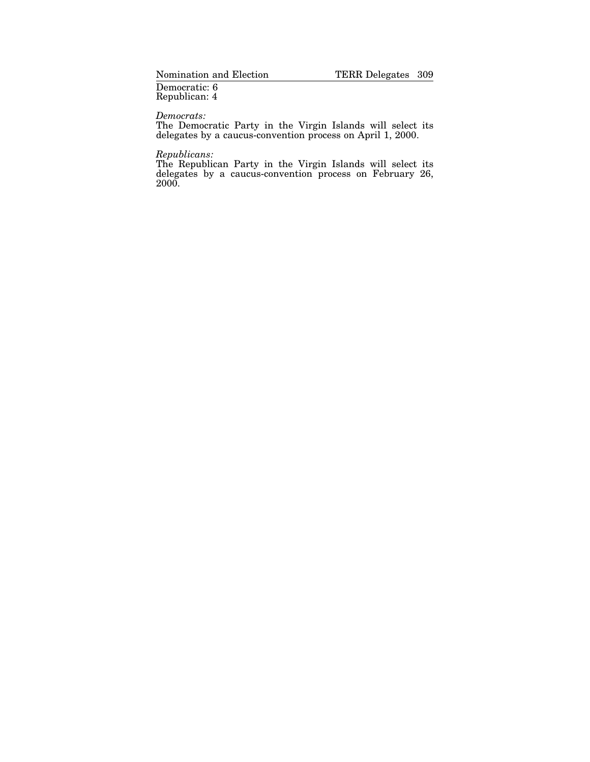Democratic: 6 Republican: 4

# *Democrats:*

The Democratic Party in the Virgin Islands will select its delegates by a caucus-convention process on April 1, 2000.

# *Republicans:*

The Republican Party in the Virgin Islands will select its delegates by a caucus-convention process on February 26, 2000.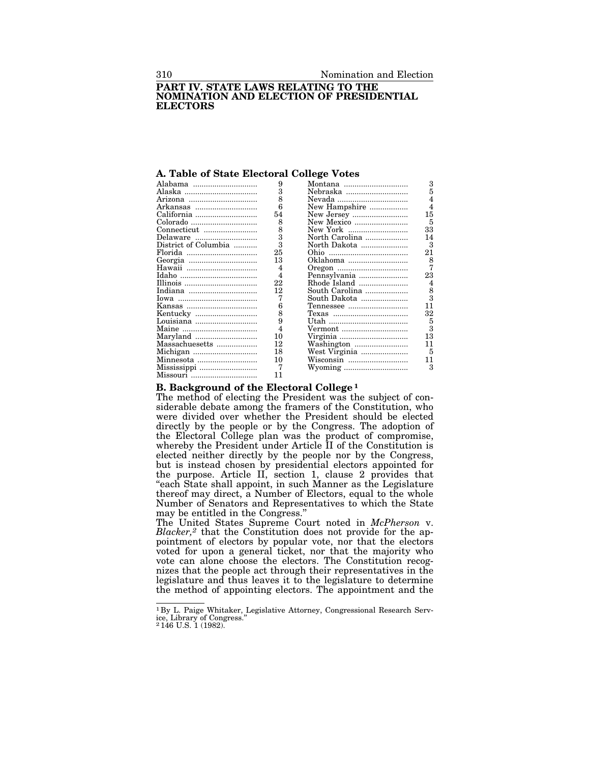310 Nomination and Election

# **PART IV. STATE LAWS RELATING TO THE NOMINATION AND ELECTION OF PRESIDENTIAL ELECTORS**

# **A. Table of State Electoral College Votes**

| Alabama              | 9  | Montana        | 3                       |
|----------------------|----|----------------|-------------------------|
|                      | 3  | Nebraska       | 5                       |
| Arizona              | 8  |                | $\overline{\mathbf{4}}$ |
| Arkansas             | 6  | New Hampshire  | $\overline{4}$          |
| California           | 54 |                | 15                      |
| Colorado             | 8  |                | 5                       |
| Connecticut          | 8  |                | 33                      |
| Delaware             | 3  | North Carolina | 14                      |
| District of Columbia |    | North Dakota   | 3                       |
| Florida              | 25 |                | 21                      |
| Georgia              | 13 | Oklahoma       | 8                       |
|                      | 4  |                | 7                       |
|                      | 4  | Pennsylvania   | 23                      |
|                      | 22 | Rhode Island   | 4                       |
| Indiana              | 12 | South Carolina | 8                       |
|                      |    | South Dakota   | 3                       |
|                      | 6  |                | 11                      |
| Kentucky             | 8  |                | 32                      |
| Louisiana            | 9  |                | 5                       |
|                      | 4  | Vermont        | 3                       |
| Maryland             | 10 | Virginia       | 13                      |
| Massachuesetts       | 12 | Washington     | 11                      |
| Michigan             | 18 | West Virginia  | 5                       |
| Minnesota            | 10 | Wisconsin      | 11                      |
| Mississippi          |    |                | 3                       |
| Missouri             | 11 |                |                         |
|                      |    |                |                         |

# **B. Background of the Electoral College 1**

The method of electing the President was the subject of considerable debate among the framers of the Constitution, who were divided over whether the President should be elected directly by the people or by the Congress. The adoption of the Electoral College plan was the product of compromise, whereby the President under Article II of the Constitution is elected neither directly by the people nor by the Congress, but is instead chosen by presidential electors appointed for the purpose. Article II, section 1, clause 2 provides that ''each State shall appoint, in such Manner as the Legislature thereof may direct, a Number of Electors, equal to the whole Number of Senators and Representatives to which the State may be entitled in the Congress.''

The United States Supreme Court noted in *McPherson* v. *Blacker,2* that the Constitution does not provide for the appointment of electors by popular vote, nor that the electors voted for upon a general ticket, nor that the majority who vote can alone choose the electors. The Constitution recognizes that the people act through their representatives in the legislature and thus leaves it to the legislature to determine the method of appointing electors. The appointment and the

<sup>1</sup> By L. Paige Whitaker, Legislative Attorney, Congressional Research Service, Library of Congress.'' 2 146 U.S. 1 (1982).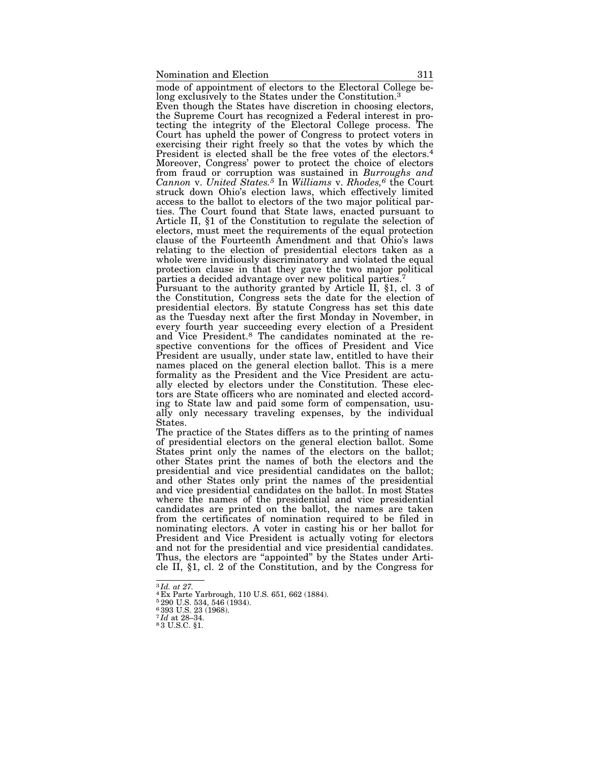mode of appointment of electors to the Electoral College belong exclusively to the States under the Constitution.<sup>3</sup>

Even though the States have discretion in choosing electors, the Supreme Court has recognized a Federal interest in protecting the integrity of the Electoral College process. The Court has upheld the power of Congress to protect voters in exercising their right freely so that the votes by which the President is elected shall be the free votes of the electors.4 Moreover, Congress' power to protect the choice of electors from fraud or corruption was sustained in *Burroughs and Cannon* v. *United States.5* In *Williams* v. *Rhodes,6* the Court struck down Ohio's election laws, which effectively limited access to the ballot to electors of the two major political parties. The Court found that State laws, enacted pursuant to Article II, §1 of the Constitution to regulate the selection of electors, must meet the requirements of the equal protection clause of the Fourteenth Amendment and that Ohio's laws relating to the election of presidential electors taken as a whole were invidiously discriminatory and violated the equal protection clause in that they gave the two major political parties a decided advantage over new political parties.<sup>7</sup>

Pursuant to the authority granted by Article II, §1, cl. 3 of the Constitution, Congress sets the date for the election of presidential electors. By statute Congress has set this date as the Tuesday next after the first Monday in November, in every fourth year succeeding every election of a President and Vice President.8 The candidates nominated at the respective conventions for the offices of President and Vice President are usually, under state law, entitled to have their names placed on the general election ballot. This is a mere formality as the President and the Vice President are actually elected by electors under the Constitution. These electors are State officers who are nominated and elected according to State law and paid some form of compensation, usually only necessary traveling expenses, by the individual States.

The practice of the States differs as to the printing of names of presidential electors on the general election ballot. Some States print only the names of the electors on the ballot; other States print the names of both the electors and the presidential and vice presidential candidates on the ballot; and other States only print the names of the presidential and vice presidential candidates on the ballot. In most States where the names of the presidential and vice presidential candidates are printed on the ballot, the names are taken from the certificates of nomination required to be filed in nominating electors. A voter in casting his or her ballot for President and Vice President is actually voting for electors and not for the presidential and vice presidential candidates. Thus, the electors are ''appointed'' by the States under Article II, §1, cl. 2 of the Constitution, and by the Congress for

<sup>3</sup> *Id. at 27.*

<sup>4</sup> Ex Parte Yarbrough, 110 U.S. 651, 662 (1884).

<sup>5</sup> 290 U.S. 534, 546 (1934).

<sup>6</sup> 393 U.S. 23 (1968).

 $83$  U.S.C.  $$1.$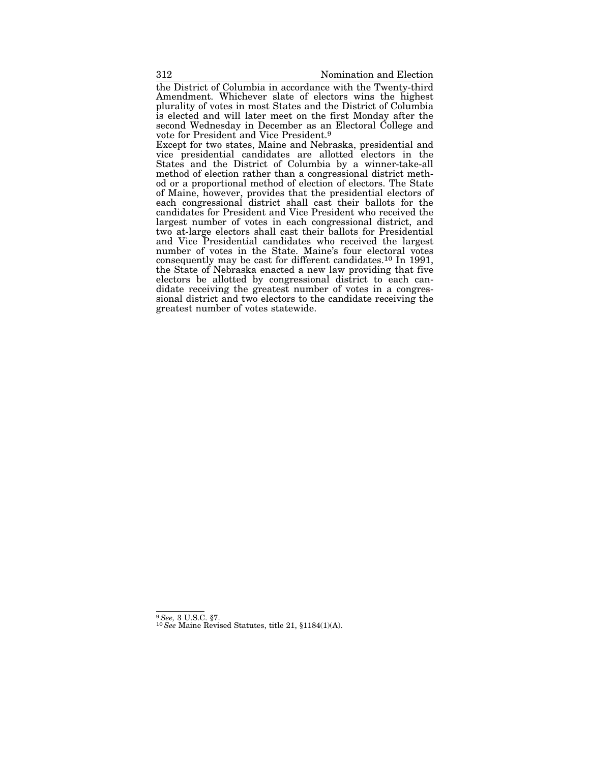the District of Columbia in accordance with the Twenty-third Amendment. Whichever slate of electors wins the highest plurality of votes in most States and the District of Columbia is elected and will later meet on the first Monday after the second Wednesday in December as an Electoral College and vote for President and Vice President.9

Except for two states, Maine and Nebraska, presidential and vice presidential candidates are allotted electors in the States and the District of Columbia by a winner-take-all method of election rather than a congressional district method or a proportional method of election of electors. The State of Maine, however, provides that the presidential electors of each congressional district shall cast their ballots for the candidates for President and Vice President who received the largest number of votes in each congressional district, and two at-large electors shall cast their ballots for Presidential and Vice Presidential candidates who received the largest number of votes in the State. Maine's four electoral votes consequently may be cast for different candidates.10 In 1991, the State of Nebraska enacted a new law providing that five electors be allotted by congressional district to each candidate receiving the greatest number of votes in a congressional district and two electors to the candidate receiving the greatest number of votes statewide.

<sup>9</sup>*See,* 3 U.S.C. §7. <sup>10</sup>*See* Maine Revised Statutes, title 21, §1184(1)(A).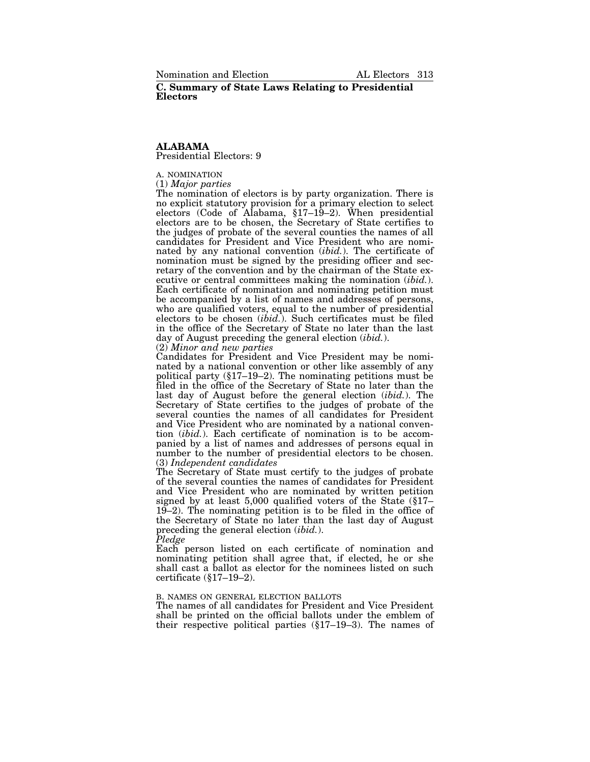Nomination and Election AL Electors 313

**C. Summary of State Laws Relating to Presidential Electors**

# **ALABAMA**

Presidential Electors: 9

A. NOMINATION

(1) *Major parties*

The nomination of electors is by party organization. There is no explicit statutory provision for a primary election to select electors (Code of Alabama, §17-19-2). When presidential electors are to be chosen, the Secretary of State certifies to the judges of probate of the several counties the names of all candidates for President and Vice President who are nominated by any national convention (*ibid.*). The certificate of nomination must be signed by the presiding officer and secretary of the convention and by the chairman of the State executive or central committees making the nomination (*ibid.*). Each certificate of nomination and nominating petition must be accompanied by a list of names and addresses of persons, who are qualified voters, equal to the number of presidential electors to be chosen (*ibid.*). Such certificates must be filed in the office of the Secretary of State no later than the last day of August preceding the general election (*ibid.*).

(2) *Minor and new parties*

Candidates for President and Vice President may be nominated by a national convention or other like assembly of any political party (§17–19–2). The nominating petitions must be filed in the office of the Secretary of State no later than the last day of August before the general election (*ibid.*). The Secretary of State certifies to the judges of probate of the several counties the names of all candidates for President and Vice President who are nominated by a national convention (*ibid.*). Each certificate of nomination is to be accompanied by a list of names and addresses of persons equal in number to the number of presidential electors to be chosen. (3) *Independent candidates*

The Secretary of State must certify to the judges of probate of the several counties the names of candidates for President and Vice President who are nominated by written petition signed by at least 5,000 qualified voters of the State (§17– 19–2). The nominating petition is to be filed in the office of the Secretary of State no later than the last day of August preceding the general election (*ibid.*).

*Pledge*

Each person listed on each certificate of nomination and nominating petition shall agree that, if elected, he or she shall cast a ballot as elector for the nominees listed on such certificate (§17–19–2).

# B. NAMES ON GENERAL ELECTION BALLOTS

The names of all candidates for President and Vice President shall be printed on the official ballots under the emblem of their respective political parties (§17–19–3). The names of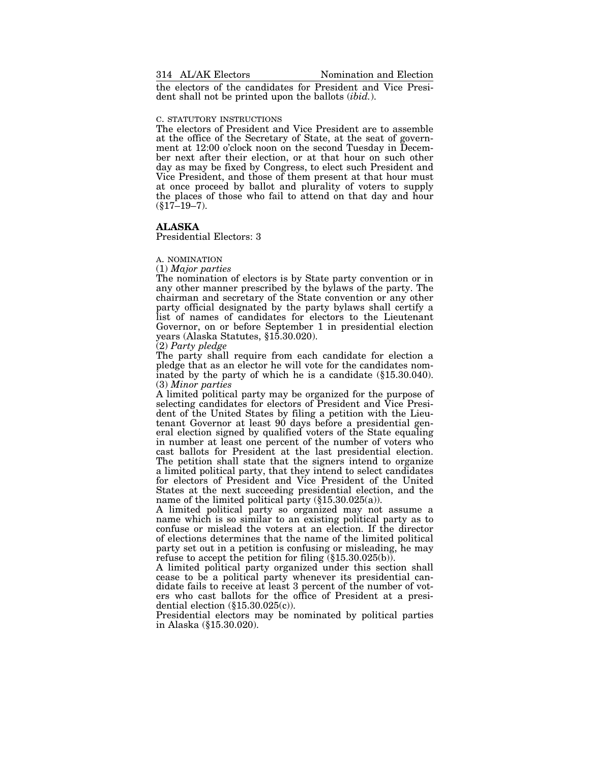the electors of the candidates for President and Vice President shall not be printed upon the ballots (*ibid.*).

### C. STATUTORY INSTRUCTIONS

The electors of President and Vice President are to assemble at the office of the Secretary of State, at the seat of government at 12:00 o'clock noon on the second Tuesday in December next after their election, or at that hour on such other day as may be fixed by Congress, to elect such President and Vice President, and those of them present at that hour must at once proceed by ballot and plurality of voters to supply the places of those who fail to attend on that day and hour  $(\$17-19-7)$ .

# **ALASKA**

Presidential Electors: 3

A. NOMINATION

(1) *Major parties*

The nomination of electors is by State party convention or in any other manner prescribed by the bylaws of the party. The chairman and secretary of the State convention or any other party official designated by the party bylaws shall certify a list of names of candidates for electors to the Lieutenant Governor, on or before September 1 in presidential election years (Alaska Statutes, §15.30.020).

(2) *Party pledge*

The party shall require from each candidate for election a pledge that as an elector he will vote for the candidates nominated by the party of which he is a candidate (§15.30.040). (3) *Minor parties*

A limited political party may be organized for the purpose of selecting candidates for electors of President and Vice President of the United States by filing a petition with the Lieutenant Governor at least 90 days before a presidential general election signed by qualified voters of the State equaling in number at least one percent of the number of voters who cast ballots for President at the last presidential election. The petition shall state that the signers intend to organize a limited political party, that they intend to select candidates for electors of President and Vice President of the United States at the next succeeding presidential election, and the name of the limited political party (§15.30.025(a)).

A limited political party so organized may not assume a name which is so similar to an existing political party as to confuse or mislead the voters at an election. If the director of elections determines that the name of the limited political party set out in a petition is confusing or misleading, he may refuse to accept the petition for filing  $(\S15.30.025(b))$ .

A limited political party organized under this section shall cease to be a political party whenever its presidential candidate fails to receive at least 3 percent of the number of voters who cast ballots for the office of President at a presidential election (§15.30.025(c)).

Presidential electors may be nominated by political parties in Alaska (§15.30.020).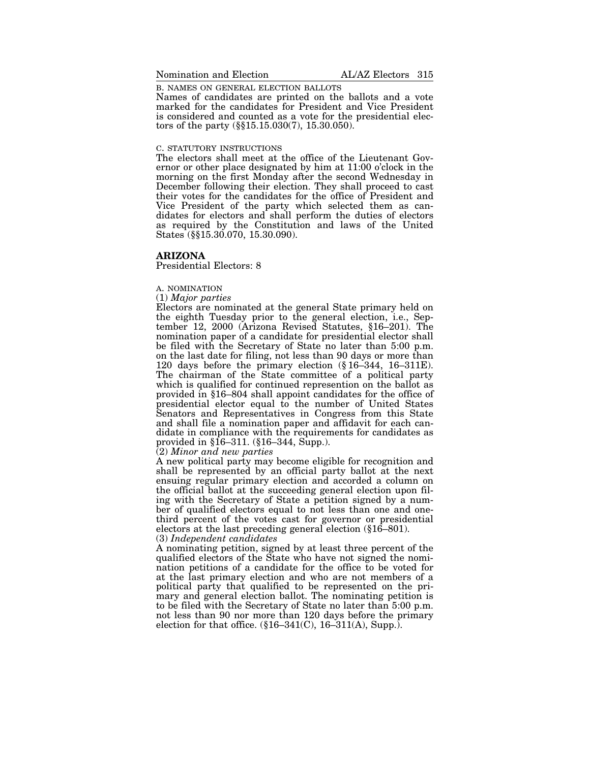Nomination and Election AL/AZ Electors 315

B. NAMES ON GENERAL ELECTION BALLOTS

Names of candidates are printed on the ballots and a vote marked for the candidates for President and Vice President is considered and counted as a vote for the presidential electors of the party (§§15.15.030(7), 15.30.050).

# C. STATUTORY INSTRUCTIONS

The electors shall meet at the office of the Lieutenant Governor or other place designated by him at 11:00 o'clock in the morning on the first Monday after the second Wednesday in December following their election. They shall proceed to cast their votes for the candidates for the office of President and Vice President of the party which selected them as candidates for electors and shall perform the duties of electors as required by the Constitution and laws of the United States (§§15.30.070, 15.30.090).

### **ARIZONA**

Presidential Electors: 8

A. NOMINATION

(1) *Major parties*

Electors are nominated at the general State primary held on the eighth Tuesday prior to the general election, i.e., September 12, 2000 (Arizona Revised Statutes, §16–201). The nomination paper of a candidate for presidential elector shall be filed with the Secretary of State no later than 5:00 p.m. on the last date for filing, not less than 90 days or more than 120 days before the primary election (§ 16–344, 16–311E). The chairman of the State committee of a political party which is qualified for continued represention on the ballot as provided in §16–804 shall appoint candidates for the office of presidential elector equal to the number of United States Senators and Representatives in Congress from this State and shall file a nomination paper and affidavit for each candidate in compliance with the requirements for candidates as provided in §16–311. (§16–344, Supp.).

(2) *Minor and new parties*

A new political party may become eligible for recognition and shall be represented by an official party ballot at the next ensuing regular primary election and accorded a column on the official ballot at the succeeding general election upon filing with the Secretary of State a petition signed by a number of qualified electors equal to not less than one and onethird percent of the votes cast for governor or presidential electors at the last preceding general election (§16–801). (3) *Independent candidates*

A nominating petition, signed by at least three percent of the qualified electors of the State who have not signed the nomination petitions of a candidate for the office to be voted for at the last primary election and who are not members of a political party that qualified to be represented on the primary and general election ballot. The nominating petition is to be filed with the Secretary of State no later than 5:00 p.m. not less than 90 nor more than 120 days before the primary election for that office.  $(\$16–341(C), 16–311(A), Supp.)$ .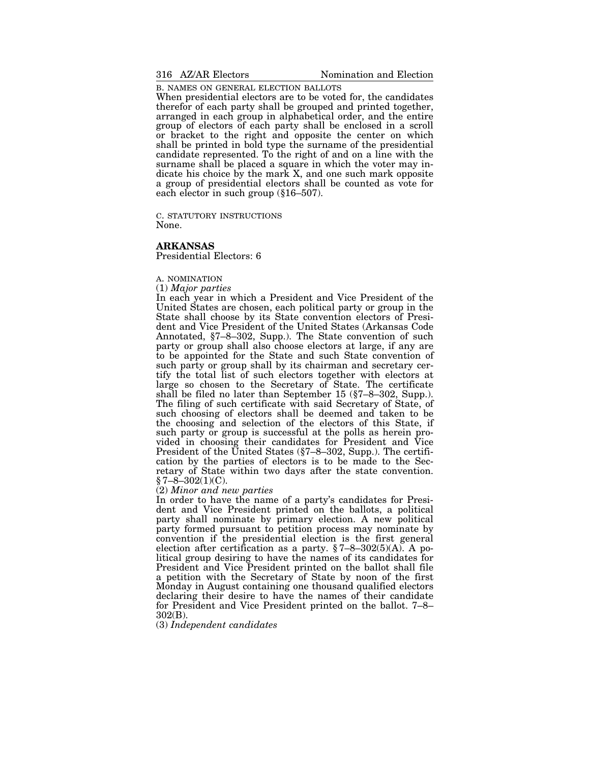B. NAMES ON GENERAL ELECTION BALLOTS

When presidential electors are to be voted for, the candidates therefor of each party shall be grouped and printed together, arranged in each group in alphabetical order, and the entire group of electors of each party shall be enclosed in a scroll or bracket to the right and opposite the center on which shall be printed in bold type the surname of the presidential candidate represented. To the right of and on a line with the surname shall be placed a square in which the voter may indicate his choice by the mark X, and one such mark opposite a group of presidential electors shall be counted as vote for each elector in such group (§16–507).

C. STATUTORY INSTRUCTIONS None.

# **ARKANSAS**

Presidential Electors: 6

A. NOMINATION

(1) *Major parties*

In each year in which a President and Vice President of the United States are chosen, each political party or group in the State shall choose by its State convention electors of President and Vice President of the United States (Arkansas Code Annotated, §7–8–302, Supp.). The State convention of such party or group shall also choose electors at large, if any are to be appointed for the State and such State convention of such party or group shall by its chairman and secretary certify the total list of such electors together with electors at large so chosen to the Secretary of State. The certificate shall be filed no later than September 15 (§7–8–302, Supp.). The filing of such certificate with said Secretary of State, of such choosing of electors shall be deemed and taken to be the choosing and selection of the electors of this State, if such party or group is successful at the polls as herein provided in choosing their candidates for President and Vice President of the United States (§7–8–302, Supp.). The certification by the parties of electors is to be made to the Secretary of State within two days after the state convention.  $§ 7 - 8 - 302(1)(C)$ .

(2) *Minor and new parties*

In order to have the name of a party's candidates for President and Vice President printed on the ballots, a political party shall nominate by primary election. A new political party formed pursuant to petition process may nominate by convention if the presidential election is the first general election after certification as a party. § 7–8–302(5)(A). A political group desiring to have the names of its candidates for President and Vice President printed on the ballot shall file a petition with the Secretary of State by noon of the first Monday in August containing one thousand qualified electors declaring their desire to have the names of their candidate for President and Vice President printed on the ballot. 7–8– 302(B).

(3) *Independent candidates*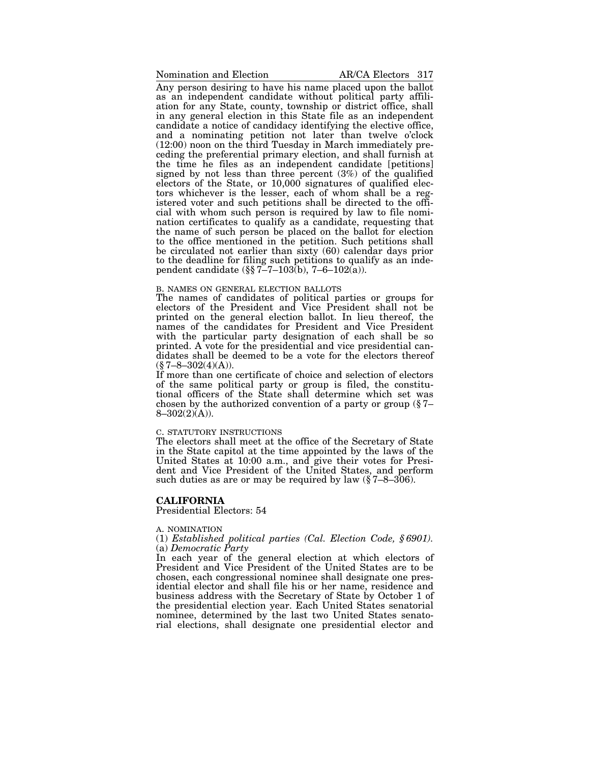Nomination and Election AR/CA Electors 317

Any person desiring to have his name placed upon the ballot as an independent candidate without political party affiliation for any State, county, township or district office, shall in any general election in this State file as an independent candidate a notice of candidacy identifying the elective office, and a nominating petition not later than twelve o'clock (12:00) noon on the third Tuesday in March immediately preceding the preferential primary election, and shall furnish at the time he files as an independent candidate [petitions] signed by not less than three percent (3%) of the qualified electors of the State, or 10,000 signatures of qualified electors whichever is the lesser, each of whom shall be a registered voter and such petitions shall be directed to the official with whom such person is required by law to file nomination certificates to qualify as a candidate, requesting that the name of such person be placed on the ballot for election to the office mentioned in the petition. Such petitions shall be circulated not earlier than sixty (60) calendar days prior to the deadline for filing such petitions to qualify as an independent candidate (§§ 7–7–103(b), 7–6–102(a)).

# B. NAMES ON GENERAL ELECTION BALLOTS

The names of candidates of political parties or groups for electors of the President and Vice President shall not be printed on the general election ballot. In lieu thereof, the names of the candidates for President and Vice President with the particular party designation of each shall be so printed. A vote for the presidential and vice presidential candidates shall be deemed to be a vote for the electors thereof  $(\S$  7–8–302(4)(A)).

If more than one certificate of choice and selection of electors of the same political party or group is filed, the constitutional officers of the State shall determine which set was chosen by the authorized convention of a party or group (§ 7–  $8 - 302(2)(A)$ .

## C. STATUTORY INSTRUCTIONS

The electors shall meet at the office of the Secretary of State in the State capitol at the time appointed by the laws of the United States at 10:00 a.m., and give their votes for President and Vice President of the United States, and perform such duties as are or may be required by law  $(\S 7 - 8 - 306)$ .

# **CALIFORNIA**

Presidential Electors: 54

# A. NOMINATION

(1) *Established political parties (Cal. Election Code, § 6901).* (a) *Democratic Party*

In each year of the general election at which electors of President and Vice President of the United States are to be chosen, each congressional nominee shall designate one presidential elector and shall file his or her name, residence and business address with the Secretary of State by October 1 of the presidential election year. Each United States senatorial nominee, determined by the last two United States senatorial elections, shall designate one presidential elector and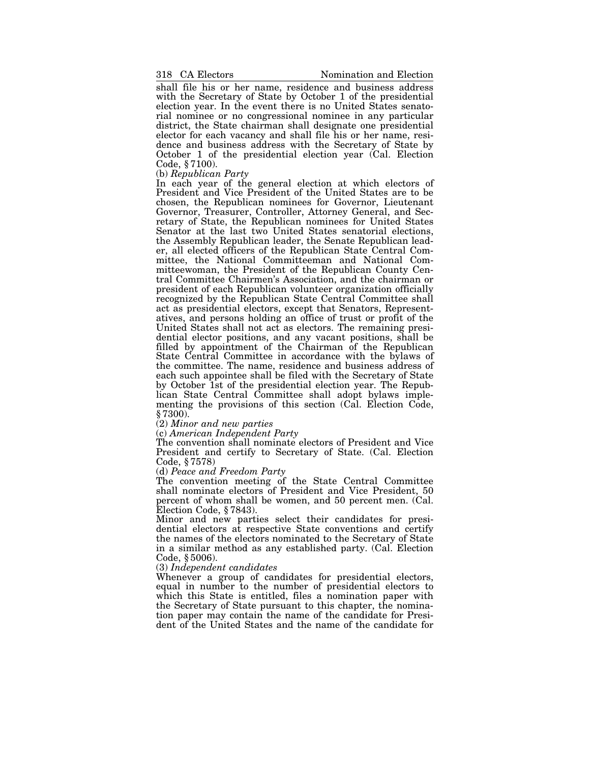318 CA Electors Nomination and Election

shall file his or her name, residence and business address with the Secretary of State by October 1 of the presidential election year. In the event there is no United States senatorial nominee or no congressional nominee in any particular district, the State chairman shall designate one presidential elector for each vacancy and shall file his or her name, residence and business address with the Secretary of State by October 1 of the presidential election year (Cal. Election Code, § 7100).

(b) *Republican Party*

In each year of the general election at which electors of President and Vice President of the United States are to be chosen, the Republican nominees for Governor, Lieutenant Governor, Treasurer, Controller, Attorney General, and Secretary of State, the Republican nominees for United States Senator at the last two United States senatorial elections, the Assembly Republican leader, the Senate Republican leader, all elected officers of the Republican State Central Committee, the National Committeeman and National Committeewoman, the President of the Republican County Central Committee Chairmen's Association, and the chairman or president of each Republican volunteer organization officially recognized by the Republican State Central Committee shall act as presidential electors, except that Senators, Representatives, and persons holding an office of trust or profit of the United States shall not act as electors. The remaining presidential elector positions, and any vacant positions, shall be filled by appointment of the Chairman of the Republican State Central Committee in accordance with the bylaws of the committee. The name, residence and business address of each such appointee shall be filed with the Secretary of State by October 1st of the presidential election year. The Republican State Central Committee shall adopt bylaws implementing the provisions of this section (Cal. Election Code, § 7300).

(2) *Minor and new parties*

(c) *American Independent Party*

The convention shall nominate electors of President and Vice President and certify to Secretary of State. (Cal. Election Code, § 7578)

(d) *Peace and Freedom Party*

The convention meeting of the State Central Committee shall nominate electors of President and Vice President, 50 percent of whom shall be women, and 50 percent men. (Cal. Election Code, § 7843).

Minor and new parties select their candidates for presidential electors at respective State conventions and certify the names of the electors nominated to the Secretary of State in a similar method as any established party. (Cal. Election Code, § 5006).

(3) *Independent candidates*

Whenever a group of candidates for presidential electors, equal in number to the number of presidential electors to which this State is entitled, files a nomination paper with the Secretary of State pursuant to this chapter, the nomination paper may contain the name of the candidate for President of the United States and the name of the candidate for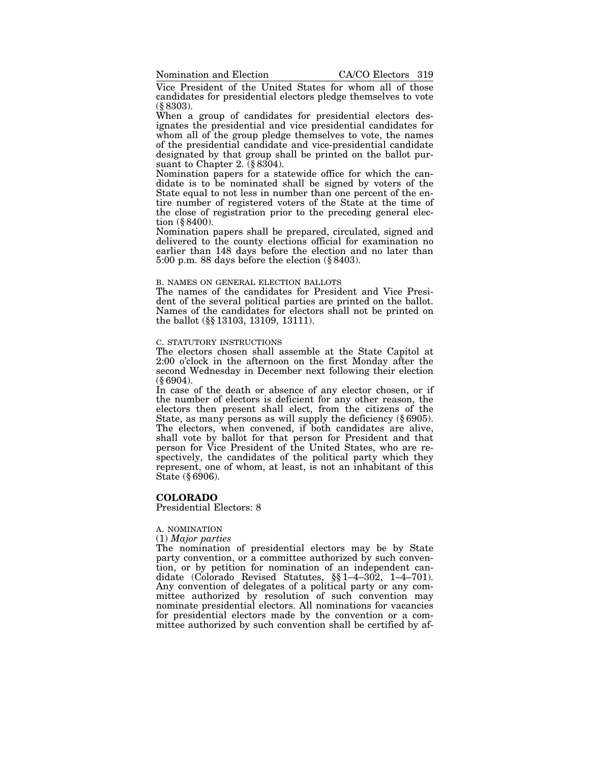Nomination and Election CA/CO Electors 319

Vice President of the United States for whom all of those candidates for presidential electors pledge themselves to vote (§ 8303).

When a group of candidates for presidential electors designates the presidential and vice presidential candidates for whom all of the group pledge themselves to vote, the names of the presidential candidate and vice-presidential candidate designated by that group shall be printed on the ballot pursuant to Chapter 2. (§ 8304).

Nomination papers for a statewide office for which the candidate is to be nominated shall be signed by voters of the State equal to not less in number than one percent of the entire number of registered voters of the State at the time of the close of registration prior to the preceding general election (§ 8400).

Nomination papers shall be prepared, circulated, signed and delivered to the county elections official for examination no earlier than 148 days before the election and no later than 5:00 p.m. 88 days before the election (§ 8403).

# B. NAMES ON GENERAL ELECTION BALLOTS

The names of the candidates for President and Vice President of the several political parties are printed on the ballot. Names of the candidates for electors shall not be printed on the ballot (§§ 13103, 13109, 13111).

### C. STATUTORY INSTRUCTIONS

The electors chosen shall assemble at the State Capitol at 2:00 o'clock in the afternoon on the first Monday after the second Wednesday in December next following their election  $(86904)$ .

In case of the death or absence of any elector chosen, or if the number of electors is deficient for any other reason, the electors then present shall elect, from the citizens of the State, as many persons as will supply the deficiency (§ 6905). The electors, when convened, if both candidates are alive, shall vote by ballot for that person for President and that person for Vice President of the United States, who are respectively, the candidates of the political party which they represent, one of whom, at least, is not an inhabitant of this State (§ 6906).

### **COLORADO**

Presidential Electors: 8

# A. NOMINATION

(1) *Major parties*

The nomination of presidential electors may be by State party convention, or a committee authorized by such convention, or by petition for nomination of an independent candidate (Colorado Revised Statutes, §§ 1–4–302, 1–4–701). Any convention of delegates of a political party or any committee authorized by resolution of such convention may nominate presidential electors. All nominations for vacancies for presidential electors made by the convention or a committee authorized by such convention shall be certified by af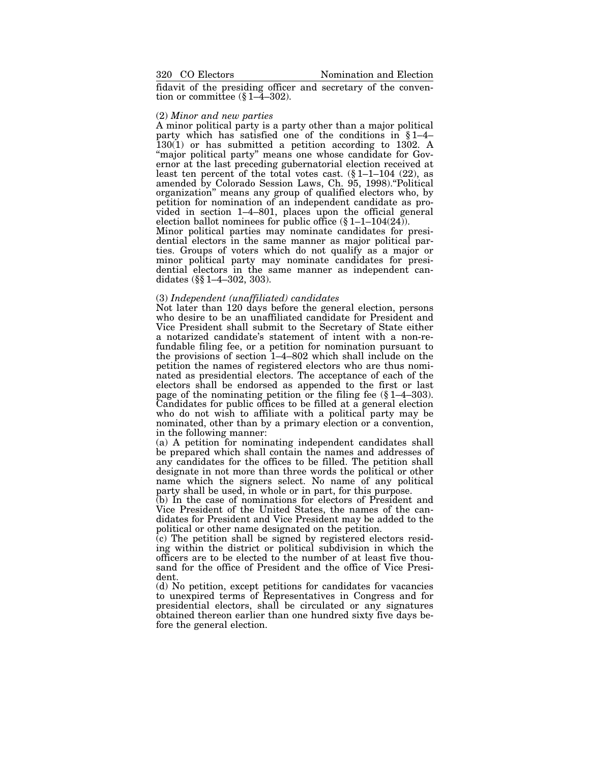fidavit of the presiding officer and secretary of the convention or committee  $(\S 1-\overline{4}-302)$ .

# (2) *Minor and new parties*

A minor political party is a party other than a major political party which has satisfied one of the conditions in § 1–4– 130(1) or has submitted a petition according to 1302. A "major political party" means one whose candidate for Governor at the last preceding gubernatorial election received at least ten percent of the total votes cast. (§ 1–1–104 (22), as amended by Colorado Session Laws, Ch. 95, 1998).''Political organization'' means any group of qualified electors who, by petition for nomination of an independent candidate as provided in section 1-4-801, places upon the official general election ballot nominees for public office  $(\S 1 - 1 - 104(24))$ .

Minor political parties may nominate candidates for presidential electors in the same manner as major political parties. Groups of voters which do not qualify as a major or minor political party may nominate candidates for presidential electors in the same manner as independent candidates (§§ 1–4–302, 303).

# (3) *Independent (unaffiliated) candidates*

Not later than 120 days before the general election, persons who desire to be an unaffiliated candidate for President and Vice President shall submit to the Secretary of State either a notarized candidate's statement of intent with a non-refundable filing fee, or a petition for nomination pursuant to the provisions of section 1–4–802 which shall include on the petition the names of registered electors who are thus nominated as presidential electors. The acceptance of each of the electors shall be endorsed as appended to the first or last page of the nominating petition or the filing fee (§ 1–4–303). Candidates for public offices to be filled at a general election who do not wish to affiliate with a political party may be nominated, other than by a primary election or a convention, in the following manner:

(a) A petition for nominating independent candidates shall be prepared which shall contain the names and addresses of any candidates for the offices to be filled. The petition shall designate in not more than three words the political or other name which the signers select. No name of any political party shall be used, in whole or in part, for this purpose.

(b) In the case of nominations for electors of President and Vice President of the United States, the names of the candidates for President and Vice President may be added to the political or other name designated on the petition.

(c) The petition shall be signed by registered electors residing within the district or political subdivision in which the officers are to be elected to the number of at least five thousand for the office of President and the office of Vice President.

(d) No petition, except petitions for candidates for vacancies to unexpired terms of Representatives in Congress and for presidential electors, shall be circulated or any signatures obtained thereon earlier than one hundred sixty five days before the general election.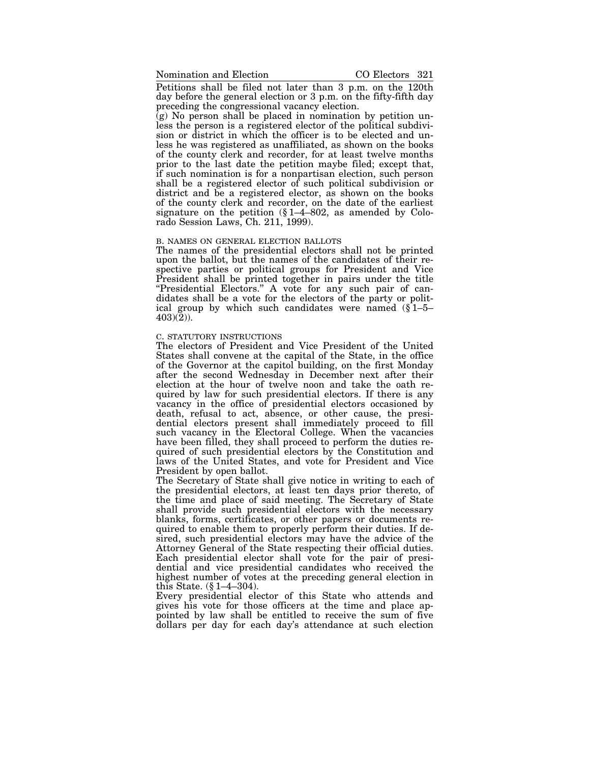Nomination and Election CO Electors 321

Petitions shall be filed not later than 3 p.m. on the 120th day before the general election or 3 p.m. on the fifty-fifth day preceding the congressional vacancy election.

 $\overline{g}$ ) No person shall be placed in nomination by petition unless the person is a registered elector of the political subdivision or district in which the officer is to be elected and unless he was registered as unaffiliated, as shown on the books of the county clerk and recorder, for at least twelve months prior to the last date the petition maybe filed; except that, if such nomination is for a nonpartisan election, such person shall be a registered elector of such political subdivision or district and be a registered elector, as shown on the books of the county clerk and recorder, on the date of the earliest signature on the petition (§ 1–4–802, as amended by Colorado Session Laws, Ch. 211, 1999).

#### B. NAMES ON GENERAL ELECTION BALLOTS

The names of the presidential electors shall not be printed upon the ballot, but the names of the candidates of their respective parties or political groups for President and Vice President shall be printed together in pairs under the title ''Presidential Electors.'' A vote for any such pair of candidates shall be a vote for the electors of the party or political group by which such candidates were named  $(\S 1-5 403)(\bar{2})$ ).

## C. STATUTORY INSTRUCTIONS

The electors of President and Vice President of the United States shall convene at the capital of the State, in the office of the Governor at the capitol building, on the first Monday after the second Wednesday in December next after their election at the hour of twelve noon and take the oath required by law for such presidential electors. If there is any vacancy in the office of presidential electors occasioned by death, refusal to act, absence, or other cause, the presidential electors present shall immediately proceed to fill such vacancy in the Electoral College. When the vacancies have been filled, they shall proceed to perform the duties required of such presidential electors by the Constitution and laws of the United States, and vote for President and Vice President by open ballot.

The Secretary of State shall give notice in writing to each of the presidential electors, at least ten days prior thereto, of the time and place of said meeting. The Secretary of State shall provide such presidential electors with the necessary blanks, forms, certificates, or other papers or documents required to enable them to properly perform their duties. If desired, such presidential electors may have the advice of the Attorney General of the State respecting their official duties. Each presidential elector shall vote for the pair of presidential and vice presidential candidates who received the highest number of votes at the preceding general election in this State. (§ 1–4–304).

Every presidential elector of this State who attends and gives his vote for those officers at the time and place appointed by law shall be entitled to receive the sum of five dollars per day for each day's attendance at such election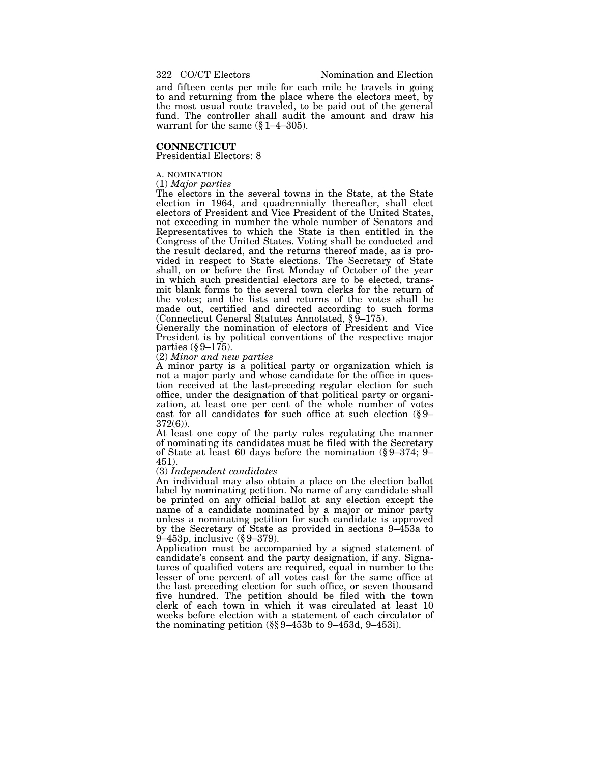and fifteen cents per mile for each mile he travels in going to and returning from the place where the electors meet, by the most usual route traveled, to be paid out of the general fund. The controller shall audit the amount and draw his warrant for the same  $(\S 1-4-305)$ .

# **CONNECTICUT**

Presidential Electors: 8

A. NOMINATION

(1) *Major parties*

The electors in the several towns in the State, at the State election in 1964, and quadrennially thereafter, shall elect electors of President and Vice President of the United States, not exceeding in number the whole number of Senators and Representatives to which the State is then entitled in the Congress of the United States. Voting shall be conducted and the result declared, and the returns thereof made, as is provided in respect to State elections. The Secretary of State shall, on or before the first Monday of October of the year in which such presidential electors are to be elected, transmit blank forms to the several town clerks for the return of the votes; and the lists and returns of the votes shall be made out, certified and directed according to such forms (Connecticut General Statutes Annotated, § 9–175).

Generally the nomination of electors of President and Vice President is by political conventions of the respective major parties (§ 9–175).

(2) *Minor and new parties*

A minor party is a political party or organization which is not a major party and whose candidate for the office in question received at the last-preceding regular election for such office, under the designation of that political party or organization, at least one per cent of the whole number of votes cast for all candidates for such office at such election (§ 9– 372(6)).

At least one copy of the party rules regulating the manner of nominating its candidates must be filed with the Secretary of State at least 60 days before the nomination (§ 9–374; 9– 451).

(3) *Independent candidates*

An individual may also obtain a place on the election ballot label by nominating petition. No name of any candidate shall be printed on any official ballot at any election except the name of a candidate nominated by a major or minor party unless a nominating petition for such candidate is approved by the Secretary of State as provided in sections 9–453a to 9–453p, inclusive (§ 9–379).

Application must be accompanied by a signed statement of candidate's consent and the party designation, if any. Signatures of qualified voters are required, equal in number to the lesser of one percent of all votes cast for the same office at the last preceding election for such office, or seven thousand five hundred. The petition should be filed with the town clerk of each town in which it was circulated at least 10 weeks before election with a statement of each circulator of the nominating petition  $(\S\S 9-453b)$  to 9-453d, 9-453i).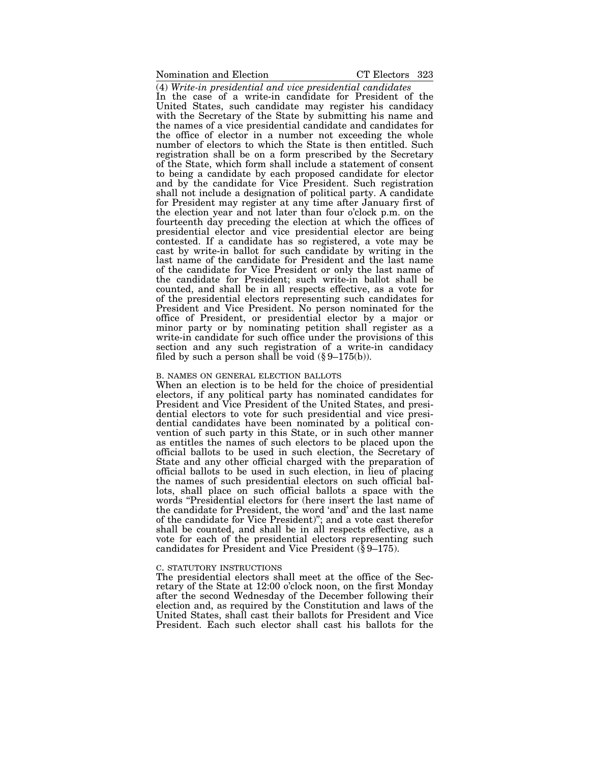Nomination and Election CT Electors 323

(4) *Write-in presidential and vice presidential candidates* In the case of a write-in candidate for President of the United States, such candidate may register his candidacy with the Secretary of the State by submitting his name and the names of a vice presidential candidate and candidates for the office of elector in a number not exceeding the whole number of electors to which the State is then entitled. Such registration shall be on a form prescribed by the Secretary of the State, which form shall include a statement of consent to being a candidate by each proposed candidate for elector and by the candidate for Vice President. Such registration shall not include a designation of political party. A candidate for President may register at any time after January first of the election year and not later than four o'clock p.m. on the fourteenth day preceding the election at which the offices of presidential elector and vice presidential elector are being contested. If a candidate has so registered, a vote may be cast by write-in ballot for such candidate by writing in the last name of the candidate for President and the last name of the candidate for Vice President or only the last name of the candidate for President; such write-in ballot shall be counted, and shall be in all respects effective, as a vote for of the presidential electors representing such candidates for President and Vice President. No person nominated for the office of President, or presidential elector by a major or minor party or by nominating petition shall register as a write-in candidate for such office under the provisions of this section and any such registration of a write-in candidacy filed by such a person shall be void  $(\S 9-175(b))$ .

# B. NAMES ON GENERAL ELECTION BALLOTS

When an election is to be held for the choice of presidential electors, if any political party has nominated candidates for President and Vice President of the United States, and presidential electors to vote for such presidential and vice presidential candidates have been nominated by a political convention of such party in this State, or in such other manner as entitles the names of such electors to be placed upon the official ballots to be used in such election, the Secretary of State and any other official charged with the preparation of official ballots to be used in such election, in lieu of placing the names of such presidential electors on such official ballots, shall place on such official ballots a space with the words "Presidential electors for (here insert the last name of the candidate for President, the word 'and' and the last name of the candidate for Vice President)''; and a vote cast therefor shall be counted, and shall be in all respects effective, as a vote for each of the presidential electors representing such candidates for President and Vice President (§ 9–175).

#### C. STATUTORY INSTRUCTIONS

The presidential electors shall meet at the office of the Secretary of the State at 12:00 o'clock noon, on the first Monday after the second Wednesday of the December following their election and, as required by the Constitution and laws of the United States, shall cast their ballots for President and Vice President. Each such elector shall cast his ballots for the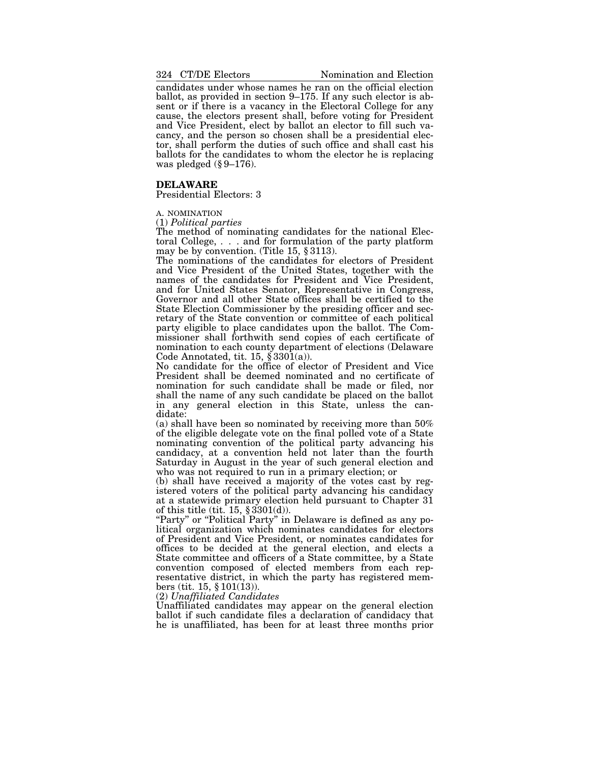candidates under whose names he ran on the official election ballot, as provided in section 9–175. If any such elector is absent or if there is a vacancy in the Electoral College for any cause, the electors present shall, before voting for President and Vice President, elect by ballot an elector to fill such vacancy, and the person so chosen shall be a presidential elector, shall perform the duties of such office and shall cast his ballots for the candidates to whom the elector he is replacing was pledged  $(\S 9 - 176)$ .

# **DELAWARE**

Presidential Electors: 3

A. NOMINATION

(1) *Political parties*

The method of nominating candidates for the national Electoral College, . . . and for formulation of the party platform may be by convention. (Title 15, § 3113).

The nominations of the candidates for electors of President and Vice President of the United States, together with the names of the candidates for President and Vice President, and for United States Senator, Representative in Congress, Governor and all other State offices shall be certified to the State Election Commissioner by the presiding officer and secretary of the State convention or committee of each political party eligible to place candidates upon the ballot. The Commissioner shall forthwith send copies of each certificate of nomination to each county department of elections (Delaware Code Annotated, tit. 15,  $\S 3301(a)$ .

No candidate for the office of elector of President and Vice President shall be deemed nominated and no certificate of nomination for such candidate shall be made or filed, nor shall the name of any such candidate be placed on the ballot in any general election in this State, unless the candidate:

(a) shall have been so nominated by receiving more than 50% of the eligible delegate vote on the final polled vote of a State nominating convention of the political party advancing his candidacy, at a convention held not later than the fourth Saturday in August in the year of such general election and who was not required to run in a primary election; or

(b) shall have received a majority of the votes cast by registered voters of the political party advancing his candidacy at a statewide primary election held pursuant to Chapter 31 of this title (tit.  $15, \S 3301(d)$ ).

"Party" or "Political Party" in Delaware is defined as any political organization which nominates candidates for electors of President and Vice President, or nominates candidates for offices to be decided at the general election, and elects a State committee and officers of a State committee, by a State convention composed of elected members from each representative district, in which the party has registered members (tit. 15, § 101(13)).

(2) *Unaffiliated Candidates*

Unaffiliated candidates may appear on the general election ballot if such candidate files a declaration of candidacy that he is unaffiliated, has been for at least three months prior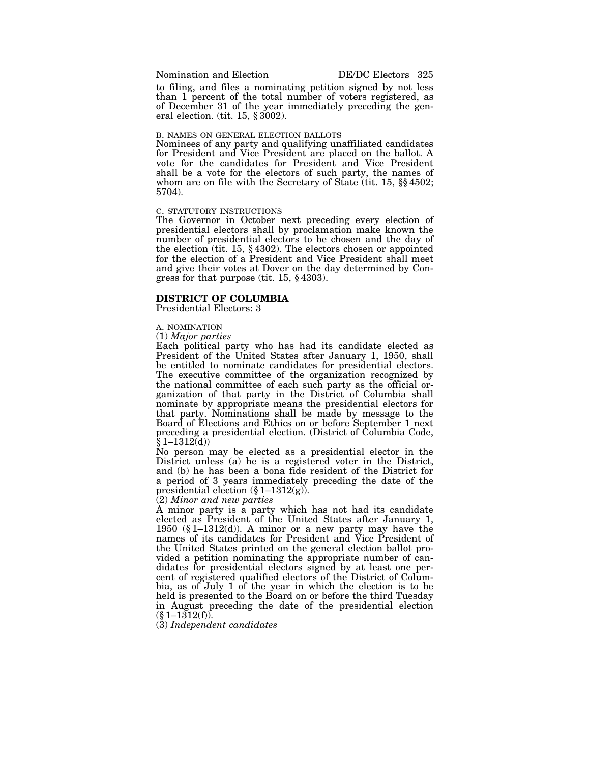Nomination and Election DE/DC Electors 325

to filing, and files a nominating petition signed by not less than 1 percent of the total number of voters registered, as of December 31 of the year immediately preceding the general election. (tit. 15, § 3002).

#### B. NAMES ON GENERAL ELECTION BALLOTS

Nominees of any party and qualifying unaffiliated candidates for President and Vice President are placed on the ballot. A vote for the candidates for President and Vice President shall be a vote for the electors of such party, the names of whom are on file with the Secretary of State (tit. 15,  $\S$  $\S$ 4502; 5704).

# C. STATUTORY INSTRUCTIONS

The Governor in October next preceding every election of presidential electors shall by proclamation make known the number of presidential electors to be chosen and the day of the election (tit. 15, § 4302). The electors chosen or appointed for the election of a President and Vice President shall meet and give their votes at Dover on the day determined by Congress for that purpose (tit. 15, § 4303).

# **DISTRICT OF COLUMBIA**

Presidential Electors: 3

A. NOMINATION

(1) *Major parties*

Each political party who has had its candidate elected as President of the United States after January 1, 1950, shall be entitled to nominate candidates for presidential electors. The executive committee of the organization recognized by the national committee of each such party as the official organization of that party in the District of Columbia shall nominate by appropriate means the presidential electors for that party. Nominations shall be made by message to the Board of Elections and Ethics on or before September 1 next preceding a presidential election. (District of Columbia Code,  $§ 1 - 1312(d)$ 

No person may be elected as a presidential elector in the District unless (a) he is a registered voter in the District, and (b) he has been a bona fide resident of the District for a period of 3 years immediately preceding the date of the presidential election (§ 1–1312(g)).

(2) *Minor and new parties*

A minor party is a party which has not had its candidate elected as President of the United States after January 1, 1950 (§ 1–1312(d)). A minor or a new party may have the names of its candidates for President and Vice President of the United States printed on the general election ballot provided a petition nominating the appropriate number of candidates for presidential electors signed by at least one percent of registered qualified electors of the District of Columbia, as of July 1 of the year in which the election is to be held is presented to the Board on or before the third Tuesday in August preceding the date of the presidential election  $(\S 1 - 1312(f)).$ 

(3) *Independent candidates*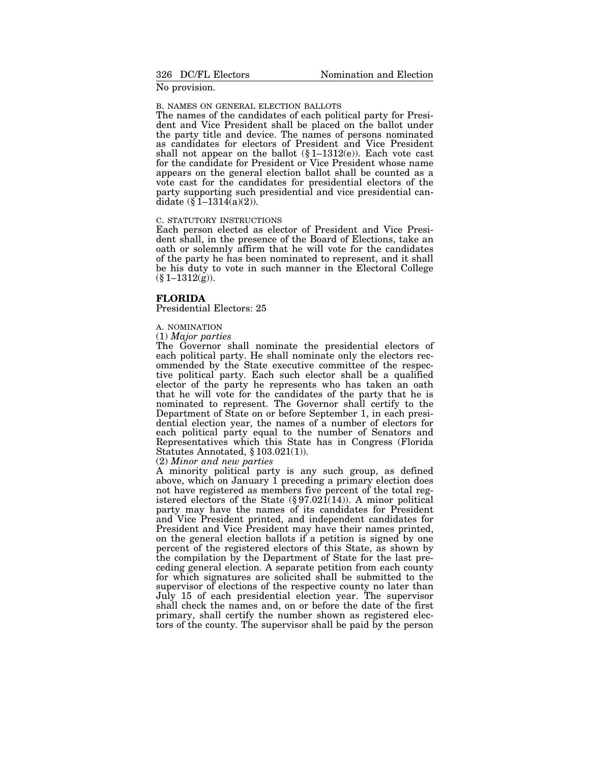# No provision.

# B. NAMES ON GENERAL ELECTION BALLOTS

The names of the candidates of each political party for President and Vice President shall be placed on the ballot under the party title and device. The names of persons nominated as candidates for electors of President and Vice President shall not appear on the ballot  $(\S 1-1312(e))$ . Each vote cast for the candidate for President or Vice President whose name appears on the general election ballot shall be counted as a vote cast for the candidates for presidential electors of the party supporting such presidential and vice presidential candidate  $(\S 1 - 1314(a)(2))$ .

### C. STATUTORY INSTRUCTIONS

Each person elected as elector of President and Vice President shall, in the presence of the Board of Elections, take an oath or solemnly affirm that he will vote for the candidates of the party he has been nominated to represent, and it shall be his duty to vote in such manner in the Electoral College  $(\S 1 - 1312(g))$ .

### **FLORIDA**

Presidential Electors: 25

A. NOMINATION

(1) *Major parties*

The Governor shall nominate the presidential electors of each political party. He shall nominate only the electors recommended by the State executive committee of the respective political party. Each such elector shall be a qualified elector of the party he represents who has taken an oath that he will vote for the candidates of the party that he is nominated to represent. The Governor shall certify to the Department of State on or before September 1, in each presidential election year, the names of a number of electors for each political party equal to the number of Senators and Representatives which this State has in Congress (Florida Statutes Annotated, § 103.021(1)).

#### (2) *Minor and new parties*

A minority political party is any such group, as defined above, which on January 1 preceding a primary election does not have registered as members five percent of the total registered electors of the State  $(\S 97.021(14))$ . A minor political party may have the names of its candidates for President and Vice President printed, and independent candidates for President and Vice President may have their names printed, on the general election ballots if a petition is signed by one percent of the registered electors of this State, as shown by the compilation by the Department of State for the last preceding general election. A separate petition from each county for which signatures are solicited shall be submitted to the supervisor of elections of the respective county no later than July 15 of each presidential election year. The supervisor shall check the names and, on or before the date of the first primary, shall certify the number shown as registered electors of the county. The supervisor shall be paid by the person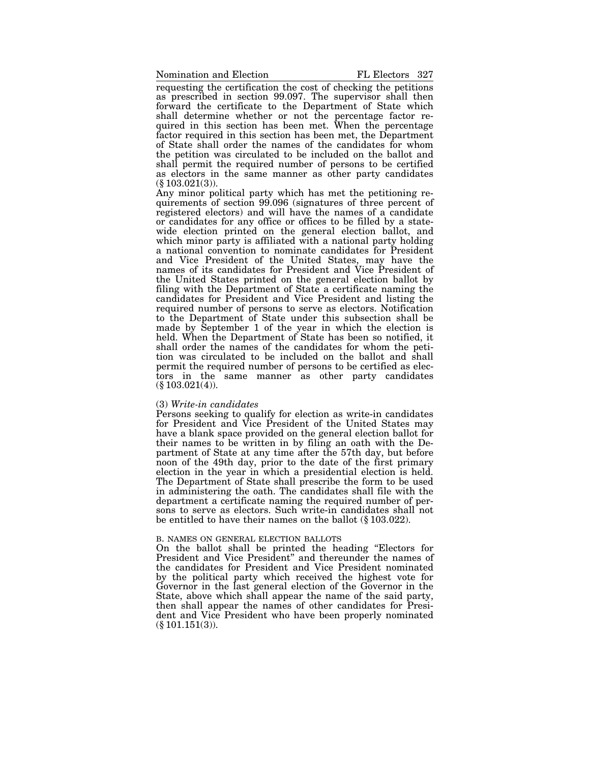Nomination and Election FL Electors 327

requesting the certification the cost of checking the petitions as prescribed in section 99.097. The supervisor shall then forward the certificate to the Department of State which shall determine whether or not the percentage factor required in this section has been met. When the percentage factor required in this section has been met, the Department of State shall order the names of the candidates for whom the petition was circulated to be included on the ballot and shall permit the required number of persons to be certified as electors in the same manner as other party candidates (§ 103.021(3)).

Any minor political party which has met the petitioning requirements of section 99.096 (signatures of three percent of registered electors) and will have the names of a candidate or candidates for any office or offices to be filled by a statewide election printed on the general election ballot, and which minor party is affiliated with a national party holding a national convention to nominate candidates for President and Vice President of the United States, may have the names of its candidates for President and Vice President of the United States printed on the general election ballot by filing with the Department of State a certificate naming the candidates for President and Vice President and listing the required number of persons to serve as electors. Notification to the Department of State under this subsection shall be made by September 1 of the year in which the election is held. When the Department of State has been so notified, it shall order the names of the candidates for whom the petition was circulated to be included on the ballot and shall permit the required number of persons to be certified as electors in the same manner as other party candidates  $(\$103.021(4)).$ 

# (3) *Write-in candidates*

Persons seeking to qualify for election as write-in candidates for President and Vice President of the United States may have a blank space provided on the general election ballot for their names to be written in by filing an oath with the Department of State at any time after the 57th day, but before noon of the 49th day, prior to the date of the first primary election in the year in which a presidential election is held. The Department of State shall prescribe the form to be used in administering the oath. The candidates shall file with the department a certificate naming the required number of persons to serve as electors. Such write-in candidates shall not be entitled to have their names on the ballot (§ 103.022).

# B. NAMES ON GENERAL ELECTION BALLOTS

On the ballot shall be printed the heading ''Electors for President and Vice President" and thereunder the names of the candidates for President and Vice President nominated by the political party which received the highest vote for Governor in the last general election of the Governor in the State, above which shall appear the name of the said party, then shall appear the names of other candidates for President and Vice President who have been properly nominated (§ 101.151(3)).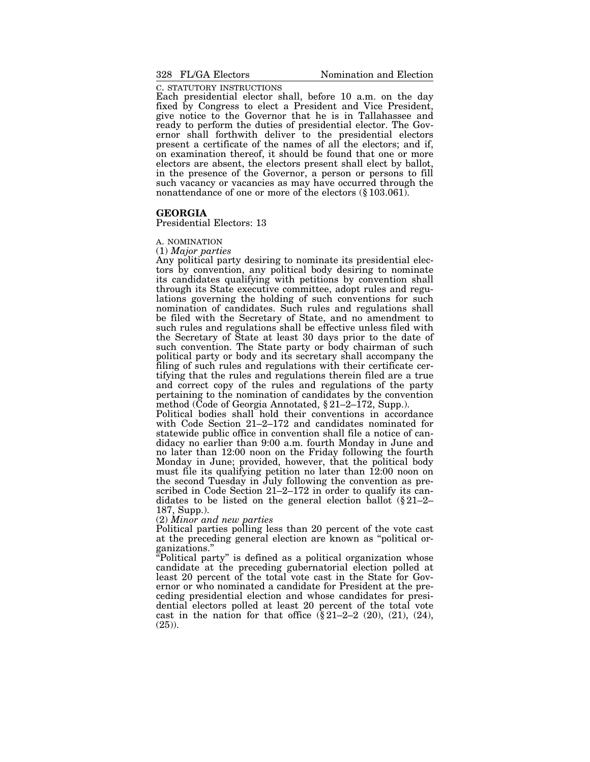C. STATUTORY INSTRUCTIONS Each presidential elector shall, before 10 a.m. on the day fixed by Congress to elect a President and Vice President, give notice to the Governor that he is in Tallahassee and ready to perform the duties of presidential elector. The Governor shall forthwith deliver to the presidential electors present a certificate of the names of all the electors; and if, on examination thereof, it should be found that one or more electors are absent, the electors present shall elect by ballot, in the presence of the Governor, a person or persons to fill such vacancy or vacancies as may have occurred through the nonattendance of one or more of the electors  $(\S 103.061)$ .

### **GEORGIA**

Presidential Electors: 13

A. NOMINATION

(1) *Major parties*

Any political party desiring to nominate its presidential electors by convention, any political body desiring to nominate its candidates qualifying with petitions by convention shall through its State executive committee, adopt rules and regulations governing the holding of such conventions for such nomination of candidates. Such rules and regulations shall be filed with the Secretary of State, and no amendment to such rules and regulations shall be effective unless filed with the Secretary of State at least 30 days prior to the date of such convention. The State party or body chairman of such political party or body and its secretary shall accompany the filing of such rules and regulations with their certificate certifying that the rules and regulations therein filed are a true and correct copy of the rules and regulations of the party pertaining to the nomination of candidates by the convention method (Code of Georgia Annotated, §21-2-172, Supp.).

Political bodies shall hold their conventions in accordance with Code Section 21–2–172 and candidates nominated for statewide public office in convention shall file a notice of candidacy no earlier than 9:00 a.m. fourth Monday in June and no later than 12:00 noon on the Friday following the fourth Monday in June; provided, however, that the political body must file its qualifying petition no later than 12:00 noon on the second Tuesday in July following the convention as prescribed in Code Section 21–2–172 in order to qualify its candidates to be listed on the general election ballot (§ 21–2– 187, Supp.).

(2) *Minor and new parties*

Political parties polling less than 20 percent of the vote cast at the preceding general election are known as ''political organizations.''

"Political party" is defined as a political organization whose candidate at the preceding gubernatorial election polled at least 20 percent of the total vote cast in the State for Governor or who nominated a candidate for President at the preceding presidential election and whose candidates for presidential electors polled at least 20 percent of the total vote cast in the nation for that office  $(\S 21 - 2 - 2 \ (20), \ (21), \ (24),$ (25)).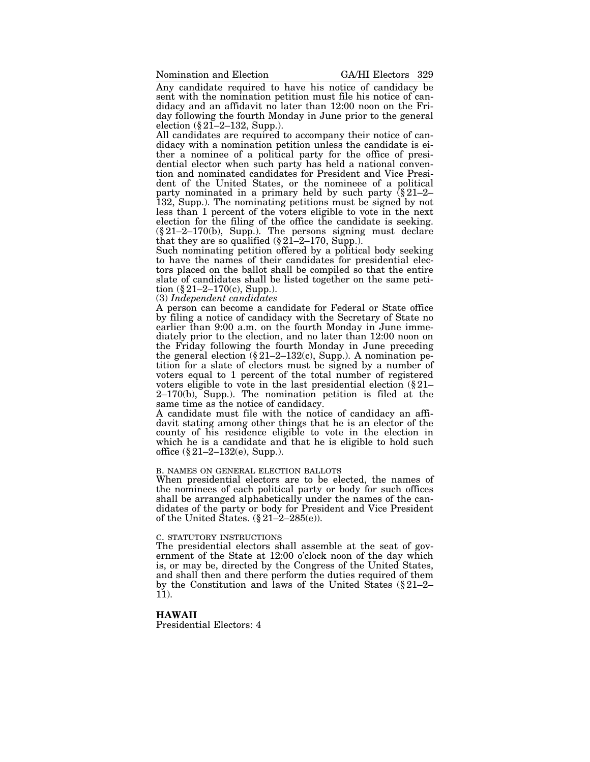Nomination and Election GA/HI Electors 329

Any candidate required to have his notice of candidacy be sent with the nomination petition must file his notice of candidacy and an affidavit no later than 12:00 noon on the Friday following the fourth Monday in June prior to the general election  $(\S 2I - 2 - 132, \text{Supp.}).$ 

All candidates are required to accompany their notice of candidacy with a nomination petition unless the candidate is either a nominee of a political party for the office of presidential elector when such party has held a national convention and nominated candidates for President and Vice President of the United States, or the nomineee of a political party nominated in a primary held by such party  $\S 21-2-$ 132, Supp.). The nominating petitions must be signed by not less than 1 percent of the voters eligible to vote in the next election for the filing of the office the candidate is seeking. (§ 21–2–170(b), Supp.). The persons signing must declare that they are so qualified  $(\S 21 - 2 - 170, \text{Supp.})$ .

Such nominating petition offered by a political body seeking to have the names of their candidates for presidential electors placed on the ballot shall be compiled so that the entire slate of candidates shall be listed together on the same petition  $(\S 21 - 2 - 170(c), \text{Supp.}).$ 

(3) *Independent candidates*

A person can become a candidate for Federal or State office by filing a notice of candidacy with the Secretary of State no earlier than 9:00 a.m. on the fourth Monday in June immediately prior to the election, and no later than 12:00 noon on the Friday following the fourth Monday in June preceding the general election  $(\S 21 - 2 - 132)$ (c), Supp.). A nomination petition for a slate of electors must be signed by a number of voters equal to 1 percent of the total number of registered voters eligible to vote in the last presidential election (§ 21–  $2-170(b)$ , Supp.). The nomination petition is filed at the same time as the notice of candidacy.

A candidate must file with the notice of candidacy an affidavit stating among other things that he is an elector of the county of his residence eligible to vote in the election in which he is a candidate and that he is eligible to hold such office  $(\S 21 - 2 - 132(e), \text{Supp.}).$ 

# B. NAMES ON GENERAL ELECTION BALLOTS

When presidential electors are to be elected, the names of the nominees of each political party or body for such offices shall be arranged alphabetically under the names of the candidates of the party or body for President and Vice President of the United States.  $(\S 21 - 2 - 285(e))$ .

# C. STATUTORY INSTRUCTIONS

The presidential electors shall assemble at the seat of government of the State at 12:00 o'clock noon of the day which is, or may be, directed by the Congress of the United States, and shall then and there perform the duties required of them by the Constitution and laws of the United States  $(\S 21-2-$ 11).

# **HAWAII**

Presidential Electors: 4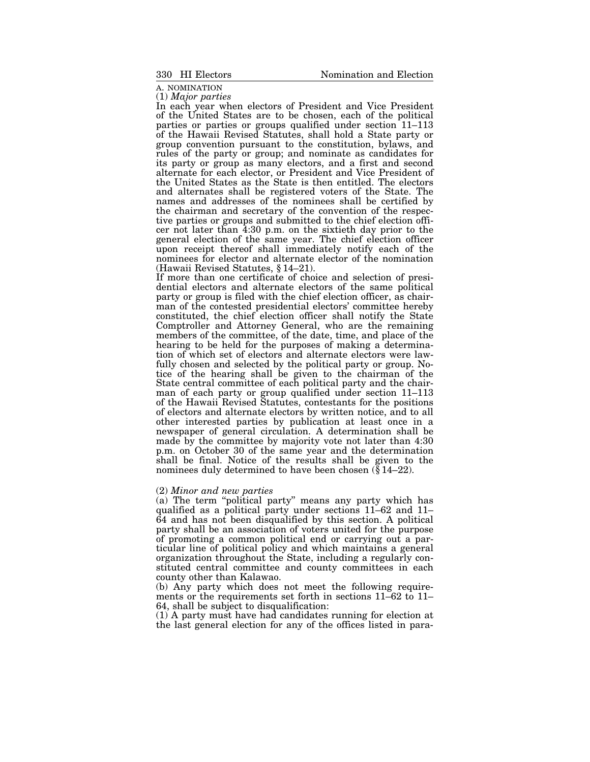A. NOMINATION (1) *Major parties*

In each year when electors of President and Vice President of the United States are to be chosen, each of the political parties or parties or groups qualified under section 11–113 of the Hawaii Revised Statutes, shall hold a State party or group convention pursuant to the constitution, bylaws, and rules of the party or group; and nominate as candidates for its party or group as many electors, and a first and second alternate for each elector, or President and Vice President of the United States as the State is then entitled. The electors and alternates shall be registered voters of the State. The names and addresses of the nominees shall be certified by the chairman and secretary of the convention of the respective parties or groups and submitted to the chief election officer not later than 4:30 p.m. on the sixtieth day prior to the general election of the same year. The chief election officer upon receipt thereof shall immediately notify each of the nominees for elector and alternate elector of the nomination (Hawaii Revised Statutes, § 14–21).

If more than one certificate of choice and selection of presidential electors and alternate electors of the same political party or group is filed with the chief election officer, as chairman of the contested presidential electors' committee hereby constituted, the chief election officer shall notify the State Comptroller and Attorney General, who are the remaining members of the committee, of the date, time, and place of the hearing to be held for the purposes of making a determination of which set of electors and alternate electors were lawfully chosen and selected by the political party or group. Notice of the hearing shall be given to the chairman of the State central committee of each political party and the chairman of each party or group qualified under section 11–113 of the Hawaii Revised Statutes, contestants for the positions of electors and alternate electors by written notice, and to all other interested parties by publication at least once in a newspaper of general circulation. A determination shall be made by the committee by majority vote not later than 4:30 p.m. on October 30 of the same year and the determination shall be final. Notice of the results shall be given to the nominees duly determined to have been chosen (§ 14–22).

# (2) *Minor and new parties*

(a) The term ''political party'' means any party which has qualified as a political party under sections 11–62 and 11– 64 and has not been disqualified by this section. A political party shall be an association of voters united for the purpose of promoting a common political end or carrying out a particular line of political policy and which maintains a general organization throughout the State, including a regularly constituted central committee and county committees in each county other than Kalawao.

(b) Any party which does not meet the following requirements or the requirements set forth in sections 11–62 to 11– 64, shall be subject to disqualification:

(1) A party must have had candidates running for election at the last general election for any of the offices listed in para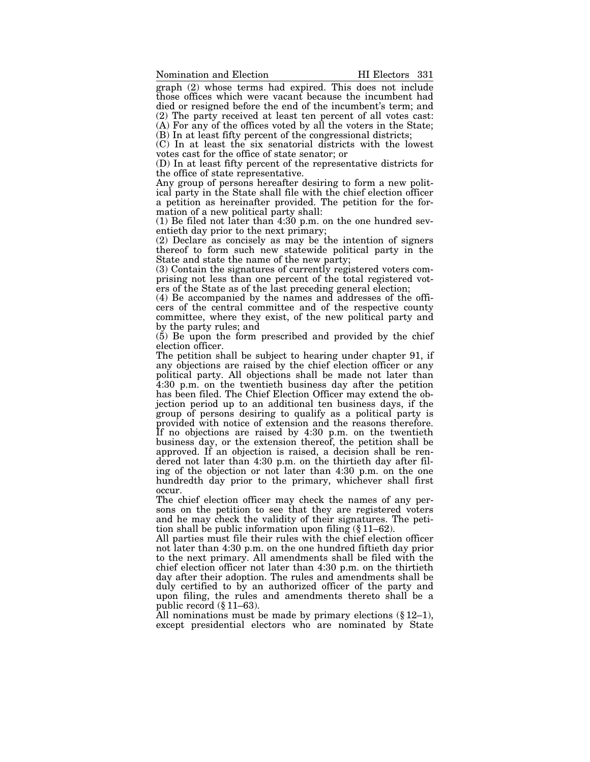Nomination and Election HI Electors 331

graph (2) whose terms had expired. This does not include those offices which were vacant because the incumbent had died or resigned before the end of the incumbent's term; and (2) The party received at least ten percent of all votes cast: (A) For any of the offices voted by all the voters in the State;

(B) In at least fifty percent of the congressional districts;

(C) In at least the six senatorial districts with the lowest votes cast for the office of state senator; or

(D) In at least fifty percent of the representative districts for the office of state representative.

Any group of persons hereafter desiring to form a new political party in the State shall file with the chief election officer a petition as hereinafter provided. The petition for the formation of a new political party shall:

(1) Be filed not later than 4:30 p.m. on the one hundred seventieth day prior to the next primary;

(2) Declare as concisely as may be the intention of signers thereof to form such new statewide political party in the State and state the name of the new party;

(3) Contain the signatures of currently registered voters comprising not less than one percent of the total registered voters of the State as of the last preceding general election;

(4) Be accompanied by the names and addresses of the officers of the central committee and of the respective county committee, where they exist, of the new political party and by the party rules; and

(5) Be upon the form prescribed and provided by the chief election officer.

The petition shall be subject to hearing under chapter 91, if any objections are raised by the chief election officer or any political party. All objections shall be made not later than 4:30 p.m. on the twentieth business day after the petition has been filed. The Chief Election Officer may extend the objection period up to an additional ten business days, if the group of persons desiring to qualify as a political party is provided with notice of extension and the reasons therefore. If no objections are raised by 4:30 p.m. on the twentieth business day, or the extension thereof, the petition shall be approved. If an objection is raised, a decision shall be rendered not later than 4:30 p.m. on the thirtieth day after filing of the objection or not later than 4:30 p.m. on the one hundredth day prior to the primary, whichever shall first occur.

The chief election officer may check the names of any persons on the petition to see that they are registered voters and he may check the validity of their signatures. The petition shall be public information upon filing (§ 11–62).

All parties must file their rules with the chief election officer not later than 4:30 p.m. on the one hundred fiftieth day prior to the next primary. All amendments shall be filed with the chief election officer not later than 4:30 p.m. on the thirtieth day after their adoption. The rules and amendments shall be duly certified to by an authorized officer of the party and upon filing, the rules and amendments thereto shall be a public record (§ 11–63).

All nominations must be made by primary elections  $(\S 12-1)$ , except presidential electors who are nominated by State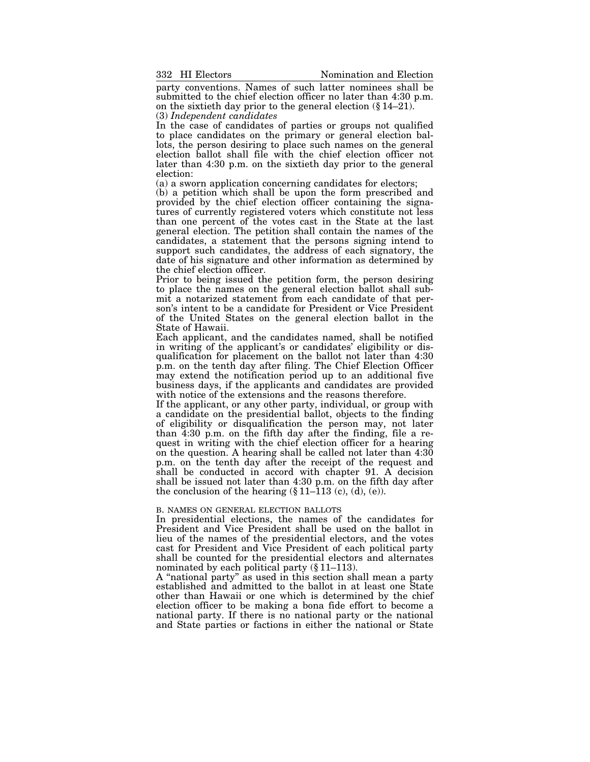party conventions. Names of such latter nominees shall be submitted to the chief election officer no later than 4:30 p.m. on the sixtieth day prior to the general election (§ 14–21).

(3) *Independent candidates*

In the case of candidates of parties or groups not qualified to place candidates on the primary or general election ballots, the person desiring to place such names on the general election ballot shall file with the chief election officer not later than 4:30 p.m. on the sixtieth day prior to the general election:

(a) a sworn application concerning candidates for electors;

(b) a petition which shall be upon the form prescribed and provided by the chief election officer containing the signatures of currently registered voters which constitute not less than one percent of the votes cast in the State at the last general election. The petition shall contain the names of the candidates, a statement that the persons signing intend to support such candidates, the address of each signatory, the date of his signature and other information as determined by the chief election officer.

Prior to being issued the petition form, the person desiring to place the names on the general election ballot shall submit a notarized statement from each candidate of that person's intent to be a candidate for President or Vice President of the United States on the general election ballot in the State of Hawaii.

Each applicant, and the candidates named, shall be notified in writing of the applicant's or candidates' eligibility or disqualification for placement on the ballot not later than 4:30 p.m. on the tenth day after filing. The Chief Election Officer may extend the notification period up to an additional five business days, if the applicants and candidates are provided with notice of the extensions and the reasons therefore.

If the applicant, or any other party, individual, or group with a candidate on the presidential ballot, objects to the finding of eligibility or disqualification the person may, not later than 4:30 p.m. on the fifth day after the finding, file a request in writing with the chief election officer for a hearing on the question. A hearing shall be called not later than 4:30 p.m. on the tenth day after the receipt of the request and shall be conducted in accord with chapter 91. A decision shall be issued not later than 4:30 p.m. on the fifth day after the conclusion of the hearing  $(\S 11-113$  (c), (d), (e)).

#### B. NAMES ON GENERAL ELECTION BALLOTS

In presidential elections, the names of the candidates for President and Vice President shall be used on the ballot in lieu of the names of the presidential electors, and the votes cast for President and Vice President of each political party shall be counted for the presidential electors and alternates nominated by each political party (§ 11–113).

A ''national party'' as used in this section shall mean a party established and admitted to the ballot in at least one State other than Hawaii or one which is determined by the chief election officer to be making a bona fide effort to become a national party. If there is no national party or the national and State parties or factions in either the national or State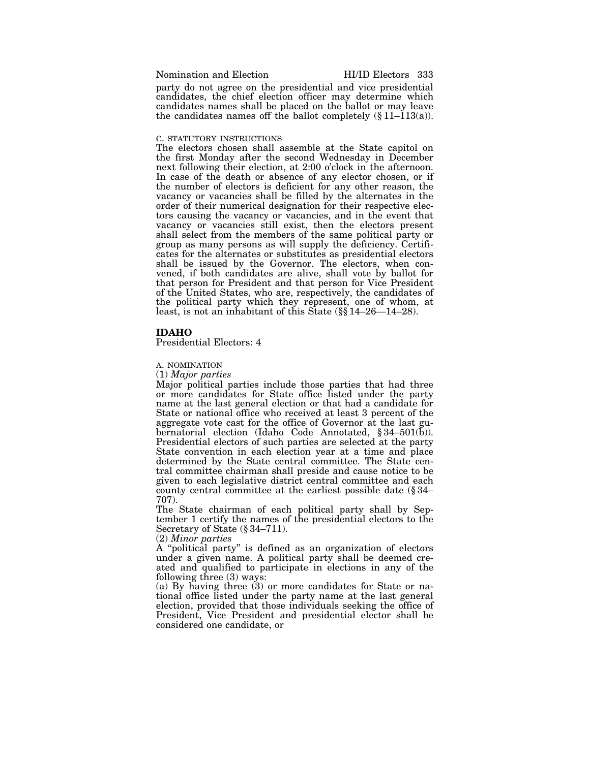Nomination and Election HI/ID Electors 333

party do not agree on the presidential and vice presidential candidates, the chief election officer may determine which candidates names shall be placed on the ballot or may leave the candidates names off the ballot completely  $(\S 11-\r13(a))$ .

# C. STATUTORY INSTRUCTIONS

The electors chosen shall assemble at the State capitol on the first Monday after the second Wednesday in December next following their election, at 2:00 o'clock in the afternoon. In case of the death or absence of any elector chosen, or if the number of electors is deficient for any other reason, the vacancy or vacancies shall be filled by the alternates in the order of their numerical designation for their respective electors causing the vacancy or vacancies, and in the event that vacancy or vacancies still exist, then the electors present shall select from the members of the same political party or group as many persons as will supply the deficiency. Certificates for the alternates or substitutes as presidential electors shall be issued by the Governor. The electors, when convened, if both candidates are alive, shall vote by ballot for that person for President and that person for Vice President of the United States, who are, respectively, the candidates of the political party which they represent, one of whom, at least, is not an inhabitant of this State (§§ 14–26—14–28).

### **IDAHO**

Presidential Electors: 4

A. NOMINATION

(1) *Major parties*

Major political parties include those parties that had three or more candidates for State office listed under the party name at the last general election or that had a candidate for State or national office who received at least 3 percent of the aggregate vote cast for the office of Governor at the last gubernatorial election (Idaho Code Annotated, § 34–501(b)). Presidential electors of such parties are selected at the party State convention in each election year at a time and place determined by the State central committee. The State central committee chairman shall preside and cause notice to be given to each legislative district central committee and each county central committee at the earliest possible date (§ 34– 707).

The State chairman of each political party shall by September 1 certify the names of the presidential electors to the Secretary of State (§ 34–711).

(2) *Minor parties*

A ''political party'' is defined as an organization of electors under a given name. A political party shall be deemed created and qualified to participate in elections in any of the following three (3) ways:

(a) By having three (3) or more candidates for State or national office listed under the party name at the last general election, provided that those individuals seeking the office of President, Vice President and presidential elector shall be considered one candidate, or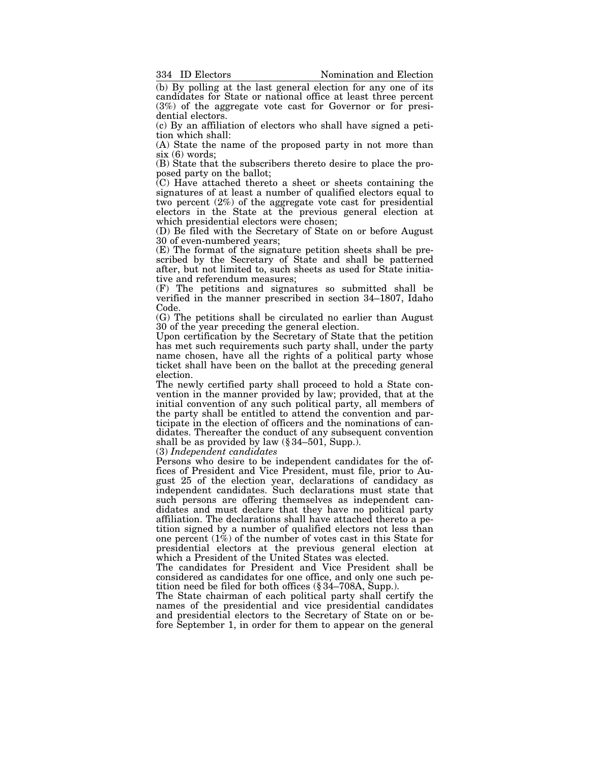(b) By polling at the last general election for any one of its candidates for State or national office at least three percent (3%) of the aggregate vote cast for Governor or for presidential electors.

(c) By an affiliation of electors who shall have signed a petition which shall:

(A) State the name of the proposed party in not more than six (6) words;

(B) State that the subscribers thereto desire to place the proposed party on the ballot;

(C) Have attached thereto a sheet or sheets containing the signatures of at least a number of qualified electors equal to two percent (2%) of the aggregate vote cast for presidential electors in the State at the previous general election at which presidential electors were chosen;

(D) Be filed with the Secretary of State on or before August 30 of even-numbered years;

(E) The format of the signature petition sheets shall be prescribed by the Secretary of State and shall be patterned after, but not limited to, such sheets as used for State initiative and referendum measures;

(F) The petitions and signatures so submitted shall be verified in the manner prescribed in section 34–1807, Idaho Code.

(G) The petitions shall be circulated no earlier than August 30 of the year preceding the general election.

Upon certification by the Secretary of State that the petition has met such requirements such party shall, under the party name chosen, have all the rights of a political party whose ticket shall have been on the ballot at the preceding general election.

The newly certified party shall proceed to hold a State convention in the manner provided by law; provided, that at the initial convention of any such political party, all members of the party shall be entitled to attend the convention and participate in the election of officers and the nominations of candidates. Thereafter the conduct of any subsequent convention shall be as provided by law (§ 34–501, Supp.).

(3) *Independent candidates*

Persons who desire to be independent candidates for the offices of President and Vice President, must file, prior to August 25 of the election year, declarations of candidacy as independent candidates. Such declarations must state that such persons are offering themselves as independent candidates and must declare that they have no political party affiliation. The declarations shall have attached thereto a petition signed by a number of qualified electors not less than one percent  $(1\%)$  of the number of votes cast in this State for presidential electors at the previous general election at which a President of the United States was elected.

The candidates for President and Vice President shall be considered as candidates for one office, and only one such petition need be filed for both offices (§ 34–708A, Supp.).

The State chairman of each political party shall certify the names of the presidential and vice presidential candidates and presidential electors to the Secretary of State on or before September 1, in order for them to appear on the general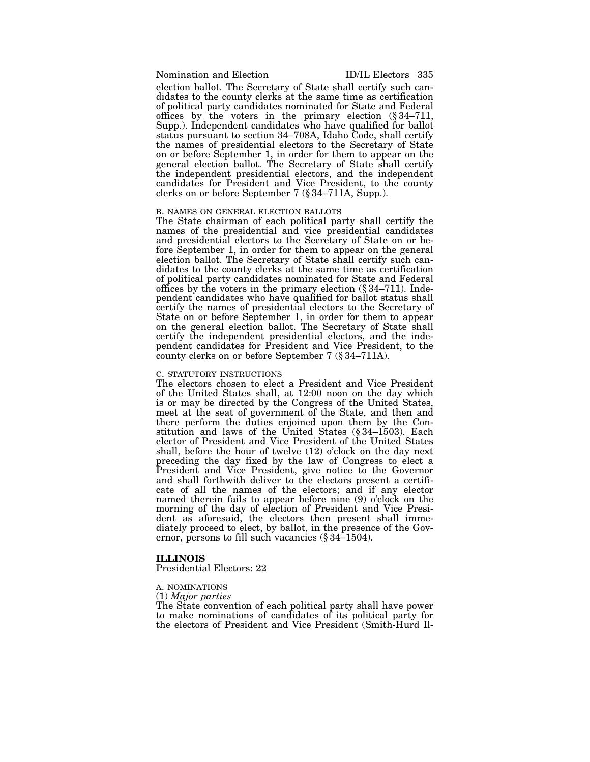Nomination and Election ID/IL Electors 335

election ballot. The Secretary of State shall certify such candidates to the county clerks at the same time as certification of political party candidates nominated for State and Federal offices by the voters in the primary election (§ 34–711, Supp.). Independent candidates who have qualified for ballot status pursuant to section 34–708A, Idaho Code, shall certify the names of presidential electors to the Secretary of State on or before September 1, in order for them to appear on the general election ballot. The Secretary of State shall certify the independent presidential electors, and the independent candidates for President and Vice President, to the county clerks on or before September 7 (§ 34–711A, Supp.).

# B. NAMES ON GENERAL ELECTION BALLOTS

The State chairman of each political party shall certify the names of the presidential and vice presidential candidates and presidential electors to the Secretary of State on or before September 1, in order for them to appear on the general election ballot. The Secretary of State shall certify such candidates to the county clerks at the same time as certification of political party candidates nominated for State and Federal offices by the voters in the primary election  $(\S 34-711)$ . Independent candidates who have qualified for ballot status shall certify the names of presidential electors to the Secretary of State on or before September 1, in order for them to appear on the general election ballot. The Secretary of State shall certify the independent presidential electors, and the independent candidates for President and Vice President, to the county clerks on or before September 7 (§ 34–711A).

### C. STATUTORY INSTRUCTIONS

The electors chosen to elect a President and Vice President of the United States shall, at 12:00 noon on the day which is or may be directed by the Congress of the United States, meet at the seat of government of the State, and then and there perform the duties enjoined upon them by the Constitution and laws of the United States (§ 34–1503). Each elector of President and Vice President of the United States shall, before the hour of twelve (12) o'clock on the day next preceding the day fixed by the law of Congress to elect a President and Vice President, give notice to the Governor and shall forthwith deliver to the electors present a certificate of all the names of the electors; and if any elector named therein fails to appear before nine (9) o'clock on the morning of the day of election of President and Vice President as aforesaid, the electors then present shall immediately proceed to elect, by ballot, in the presence of the Governor, persons to fill such vacancies (§ 34–1504).

### **ILLINOIS**

Presidential Electors: 22

# A. NOMINATIONS

(1) *Major parties*

The State convention of each political party shall have power to make nominations of candidates of its political party for the electors of President and Vice President (Smith-Hurd Il-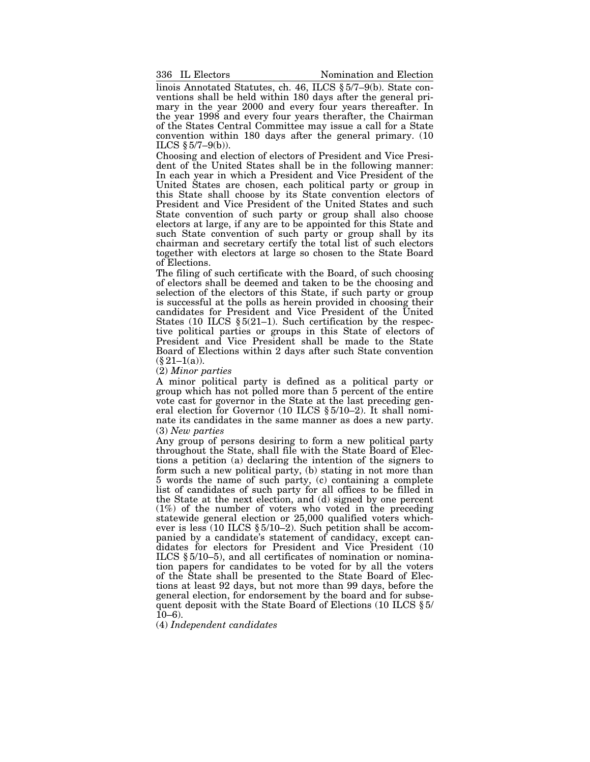336 IL Electors Nomination and Election

linois Annotated Statutes, ch. 46, ILCS § 5/7–9(b). State conventions shall be held within 180 days after the general primary in the year 2000 and every four years thereafter. In the year 1998 and every four years therafter, the Chairman of the States Central Committee may issue a call for a State convention within 180 days after the general primary. (10 ILCS  $§\frac{5}{7}-9(b)$ .

Choosing and election of electors of President and Vice President of the United States shall be in the following manner: In each year in which a President and Vice President of the United States are chosen, each political party or group in this State shall choose by its State convention electors of President and Vice President of the United States and such State convention of such party or group shall also choose electors at large, if any are to be appointed for this State and such State convention of such party or group shall by its chairman and secretary certify the total list of such electors together with electors at large so chosen to the State Board of Elections.

The filing of such certificate with the Board, of such choosing of electors shall be deemed and taken to be the choosing and selection of the electors of this State, if such party or group is successful at the polls as herein provided in choosing their candidates for President and Vice President of the United States (10 ILCS  $\S 5(21-1)$ . Such certification by the respective political parties or groups in this State of electors of President and Vice President shall be made to the State Board of Elections within 2 days after such State convention  $(\S 21 - 1(a)).$ 

(2) *Minor parties*

A minor political party is defined as a political party or group which has not polled more than 5 percent of the entire vote cast for governor in the State at the last preceding general election for Governor (10 ILCS § 5/10–2). It shall nominate its candidates in the same manner as does a new party. (3) *New parties*

Any group of persons desiring to form a new political party throughout the State, shall file with the State Board of Elections a petition (a) declaring the intention of the signers to form such a new political party, (b) stating in not more than 5 words the name of such party, (c) containing a complete list of candidates of such party for all offices to be filled in the State at the next election, and (d) signed by one percent (1%) of the number of voters who voted in the preceding statewide general election or 25,000 qualified voters whichever is less (10 ILCS § 5/10–2). Such petition shall be accompanied by a candidate's statement of candidacy, except candidates for electors for President and Vice President (10 ILCS § 5/10–5), and all certificates of nomination or nomination papers for candidates to be voted for by all the voters of the State shall be presented to the State Board of Elections at least 92 days, but not more than 99 days, before the general election, for endorsement by the board and for subsequent deposit with the State Board of Elections (10 ILCS § 5/  $10-6$ ).

(4) *Independent candidates*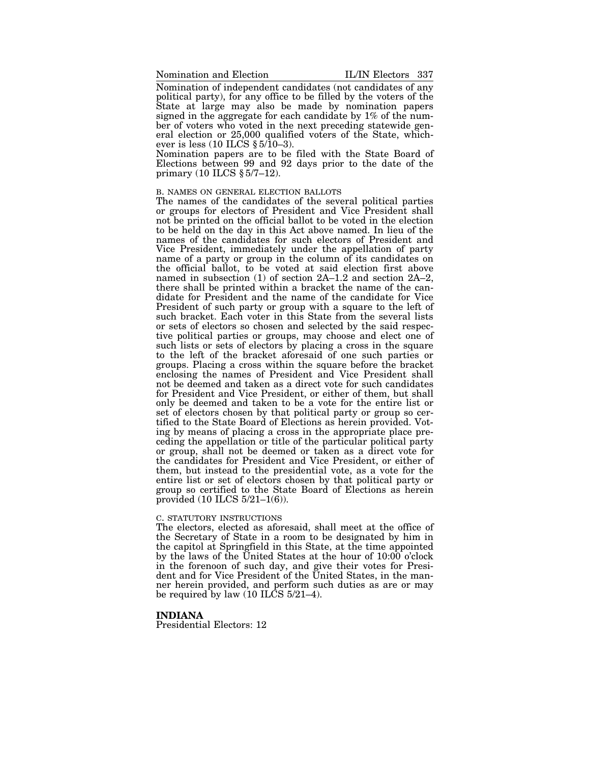Nomination and Election IL/IN Electors 337

Nomination of independent candidates (not candidates of any political party), for any office to be filled by the voters of the State at large may also be made by nomination papers signed in the aggregate for each candidate by 1% of the number of voters who voted in the next preceding statewide general election or 25,000 qualified voters of the State, whichever is less  $(10 \text{ ILCS } \, \frac{85}{10} - 3)$ .

Nomination papers are to be filed with the State Board of Elections between 99 and 92 days prior to the date of the primary (10 ILCS § 5/7–12).

B. NAMES ON GENERAL ELECTION BALLOTS

The names of the candidates of the several political parties or groups for electors of President and Vice President shall not be printed on the official ballot to be voted in the election to be held on the day in this Act above named. In lieu of the names of the candidates for such electors of President and Vice President, immediately under the appellation of party name of a party or group in the column of its candidates on the official ballot, to be voted at said election first above named in subsection (1) of section 2A–1.2 and section 2A–2, there shall be printed within a bracket the name of the candidate for President and the name of the candidate for Vice President of such party or group with a square to the left of such bracket. Each voter in this State from the several lists or sets of electors so chosen and selected by the said respective political parties or groups, may choose and elect one of such lists or sets of electors by placing a cross in the square to the left of the bracket aforesaid of one such parties or groups. Placing a cross within the square before the bracket enclosing the names of President and Vice President shall not be deemed and taken as a direct vote for such candidates for President and Vice President, or either of them, but shall only be deemed and taken to be a vote for the entire list or set of electors chosen by that political party or group so certified to the State Board of Elections as herein provided. Voting by means of placing a cross in the appropriate place preceding the appellation or title of the particular political party or group, shall not be deemed or taken as a direct vote for the candidates for President and Vice President, or either of them, but instead to the presidential vote, as a vote for the entire list or set of electors chosen by that political party or group so certified to the State Board of Elections as herein provided (10 ILCS 5/21–1(6)).

# C. STATUTORY INSTRUCTIONS

The electors, elected as aforesaid, shall meet at the office of the Secretary of State in a room to be designated by him in the capitol at Springfield in this State, at the time appointed by the laws of the United States at the hour of 10:00 o'clock in the forenoon of such day, and give their votes for President and for Vice President of the United States, in the manner herein provided, and perform such duties as are or may be required by law (10 ILCS 5/21–4).

# **INDIANA**

Presidential Electors: 12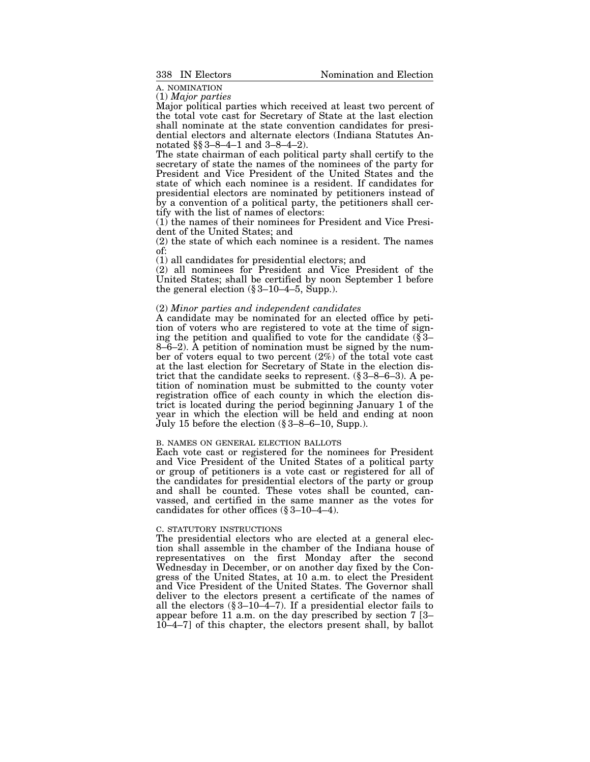A. NOMINATION (1) *Major parties*

Major political parties which received at least two percent of the total vote cast for Secretary of State at the last election shall nominate at the state convention candidates for presidential electors and alternate electors (Indiana Statutes Annotated §§ 3–8–4–1 and 3–8–4–2).

The state chairman of each political party shall certify to the secretary of state the names of the nominees of the party for President and Vice President of the United States and the state of which each nominee is a resident. If candidates for presidential electors are nominated by petitioners instead of by a convention of a political party, the petitioners shall certify with the list of names of electors:

(1) the names of their nominees for President and Vice President of the United States; and

(2) the state of which each nominee is a resident. The names of:

(1) all candidates for presidential electors; and

(2) all nominees for President and Vice President of the United States; shall be certified by noon September 1 before the general election  $(\S 3-10-4-5, \text{Supp.})$ .

### (2) *Minor parties and independent candidates*

A candidate may be nominated for an elected office by petition of voters who are registered to vote at the time of signing the petition and qualified to vote for the candidate  $(\S$ 3– 8–6–2). A petition of nomination must be signed by the number of voters equal to two percent (2%) of the total vote cast at the last election for Secretary of State in the election district that the candidate seeks to represent. (§ 3–8–6–3). A petition of nomination must be submitted to the county voter registration office of each county in which the election district is located during the period beginning January 1 of the year in which the election will be held and ending at noon July 15 before the election (§ 3–8–6–10, Supp.).

## B. NAMES ON GENERAL ELECTION BALLOTS

Each vote cast or registered for the nominees for President and Vice President of the United States of a political party or group of petitioners is a vote cast or registered for all of the candidates for presidential electors of the party or group and shall be counted. These votes shall be counted, canvassed, and certified in the same manner as the votes for candidates for other offices (§ 3–10–4–4).

# C. STATUTORY INSTRUCTIONS

The presidential electors who are elected at a general election shall assemble in the chamber of the Indiana house of representatives on the first Monday after the second Wednesday in December, or on another day fixed by the Congress of the United States, at 10 a.m. to elect the President and Vice President of the United States. The Governor shall deliver to the electors present a certificate of the names of all the electors  $(\S 3-10-4-7)$ . If a presidential elector fails to appear before 11 a.m. on the day prescribed by section 7 [3– 10–4–7] of this chapter, the electors present shall, by ballot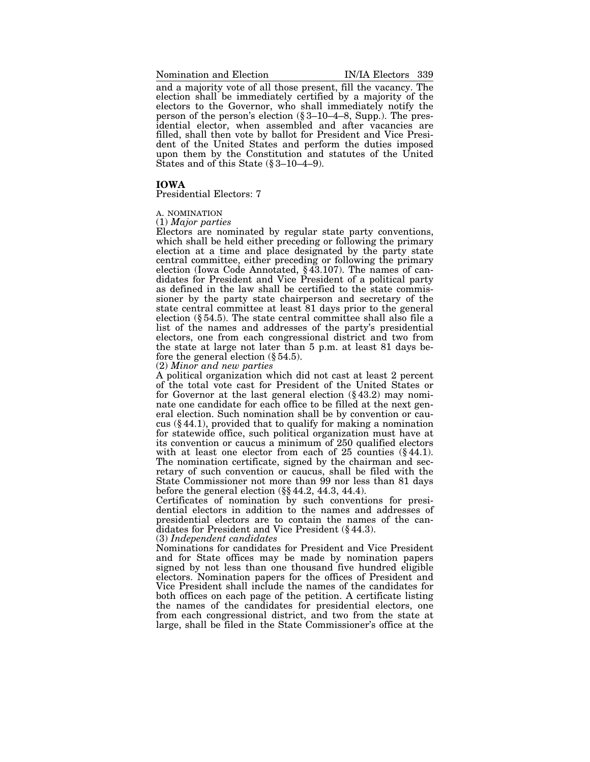Nomination and Election IN/IA Electors 339

and a majority vote of all those present, fill the vacancy. The election shall be immediately certified by a majority of the electors to the Governor, who shall immediately notify the person of the person's election (§ 3–10–4–8, Supp.). The presidential elector, when assembled and after vacancies are filled, shall then vote by ballot for President and Vice President of the United States and perform the duties imposed upon them by the Constitution and statutes of the United States and of this State (§ 3–10–4–9).

# **IOWA**

Presidential Electors: 7

A. NOMINATION

(1) *Major parties*

Electors are nominated by regular state party conventions, which shall be held either preceding or following the primary election at a time and place designated by the party state central committee, either preceding or following the primary election (Iowa Code Annotated, § 43.107). The names of candidates for President and Vice President of a political party as defined in the law shall be certified to the state commissioner by the party state chairperson and secretary of the state central committee at least 81 days prior to the general election (§ 54.5). The state central committee shall also file a list of the names and addresses of the party's presidential electors, one from each congressional district and two from the state at large not later than 5 p.m. at least 81 days before the general election  $(\S 54.5)$ .

(2) *Minor and new parties*

A political organization which did not cast at least 2 percent of the total vote cast for President of the United States or for Governor at the last general election  $(\S 43.2)$  may nominate one candidate for each office to be filled at the next general election. Such nomination shall be by convention or caucus  $(\S 44.1)$ , provided that to qualify for making a nomination for statewide office, such political organization must have at its convention or caucus a minimum of 250 qualified electors with at least one elector from each of 25 counties  $(\S 44.1)$ . The nomination certificate, signed by the chairman and secretary of such convention or caucus, shall be filed with the State Commissioner not more than 99 nor less than 81 days before the general election (§§ 44.2, 44.3, 44.4).

Certificates of nomination by such conventions for presidential electors in addition to the names and addresses of presidential electors are to contain the names of the candidates for President and Vice President (§ 44.3).

(3) *Independent candidates*

Nominations for candidates for President and Vice President and for State offices may be made by nomination papers signed by not less than one thousand five hundred eligible electors. Nomination papers for the offices of President and Vice President shall include the names of the candidates for both offices on each page of the petition. A certificate listing the names of the candidates for presidential electors, one from each congressional district, and two from the state at large, shall be filed in the State Commissioner's office at the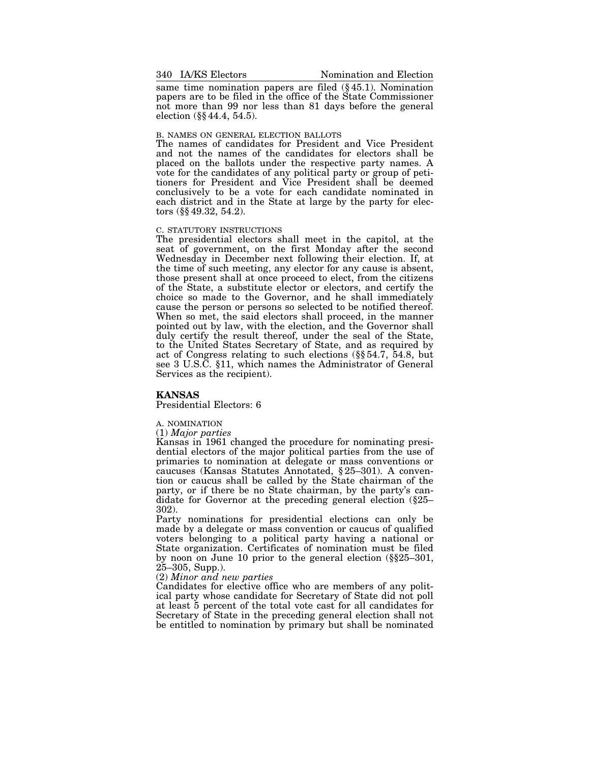340 IA/KS Electors Nomination and Election

same time nomination papers are filed  $(\S 45.1)$ . Nomination papers are to be filed in the office of the State Commissioner not more than 99 nor less than 81 days before the general election (§§ 44.4, 54.5).

#### B. NAMES ON GENERAL ELECTION BALLOTS

The names of candidates for President and Vice President and not the names of the candidates for electors shall be placed on the ballots under the respective party names. A vote for the candidates of any political party or group of petitioners for President and Vice President shall be deemed conclusively to be a vote for each candidate nominated in each district and in the State at large by the party for electors (§§ 49.32, 54.2).

#### C. STATUTORY INSTRUCTIONS

The presidential electors shall meet in the capitol, at the seat of government, on the first Monday after the second Wednesday in December next following their election. If, at the time of such meeting, any elector for any cause is absent, those present shall at once proceed to elect, from the citizens of the State, a substitute elector or electors, and certify the choice so made to the Governor, and he shall immediately cause the person or persons so selected to be notified thereof. When so met, the said electors shall proceed, in the manner pointed out by law, with the election, and the Governor shall duly certify the result thereof, under the seal of the State, to the United States Secretary of State, and as required by act of Congress relating to such elections (§§ 54.7, 54.8, but see 3 U.S.C. §11, which names the Administrator of General Services as the recipient).

### **KANSAS**

Presidential Electors: 6

A. NOMINATION

(1) *Major parties*

Kansas in 1961 changed the procedure for nominating presidential electors of the major political parties from the use of primaries to nomination at delegate or mass conventions or caucuses (Kansas Statutes Annotated, § 25–301). A convention or caucus shall be called by the State chairman of the party, or if there be no State chairman, by the party's candidate for Governor at the preceding general election (§25– 302).

Party nominations for presidential elections can only be made by a delegate or mass convention or caucus of qualified voters belonging to a political party having a national or State organization. Certificates of nomination must be filed by noon on June 10 prior to the general election (§§25–301, 25–305, Supp.).

(2) *Minor and new parties*

Candidates for elective office who are members of any political party whose candidate for Secretary of State did not poll at least 5 percent of the total vote cast for all candidates for Secretary of State in the preceding general election shall not be entitled to nomination by primary but shall be nominated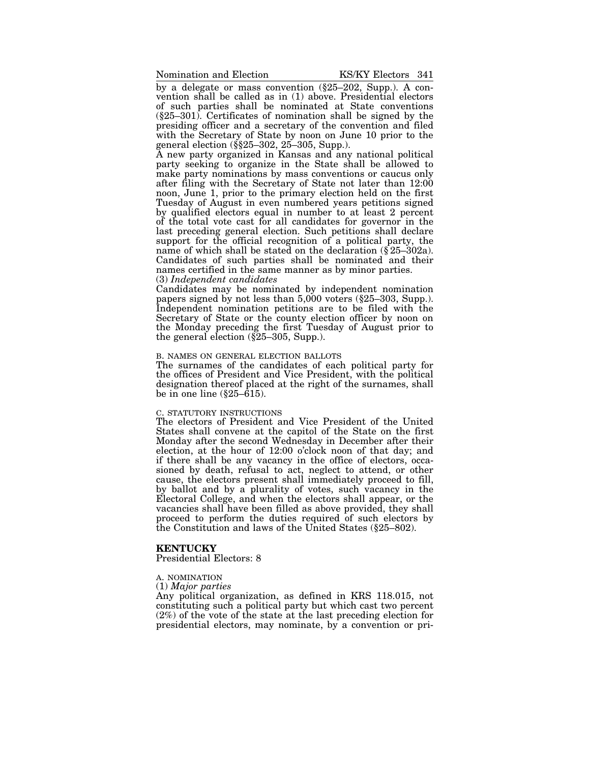Nomination and Election KS/KY Electors 341

by a delegate or mass convention (§25–202, Supp.). A convention shall be called as in (1) above. Presidential electors of such parties shall be nominated at State conventions (§25–301). Certificates of nomination shall be signed by the presiding officer and a secretary of the convention and filed with the Secretary of State by noon on June 10 prior to the general election (§§25–302, 25–305, Supp.).

A new party organized in Kansas and any national political party seeking to organize in the State shall be allowed to make party nominations by mass conventions or caucus only after filing with the Secretary of State not later than 12:00 noon, June 1, prior to the primary election held on the first Tuesday of August in even numbered years petitions signed by qualified electors equal in number to at least 2 percent of the total vote cast for all candidates for governor in the last preceding general election. Such petitions shall declare support for the official recognition of a political party, the name of which shall be stated on the declaration (§ 25–302a). Candidates of such parties shall be nominated and their names certified in the same manner as by minor parties. (3) *Independent candidates*

Candidates may be nominated by independent nomination papers signed by not less than 5,000 voters (§25–303, Supp.). Independent nomination petitions are to be filed with the Secretary of State or the county election officer by noon on the Monday preceding the first Tuesday of August prior to the general election (§25–305, Supp.).

### B. NAMES ON GENERAL ELECTION BALLOTS

The surnames of the candidates of each political party for the offices of President and Vice President, with the political designation thereof placed at the right of the surnames, shall be in one line  $(\S 25-\overline{6}15)$ .

# C. STATUTORY INSTRUCTIONS

The electors of President and Vice President of the United States shall convene at the capitol of the State on the first Monday after the second Wednesday in December after their election, at the hour of 12:00 o'clock noon of that day; and if there shall be any vacancy in the office of electors, occasioned by death, refusal to act, neglect to attend, or other cause, the electors present shall immediately proceed to fill, by ballot and by a plurality of votes, such vacancy in the Electoral College, and when the electors shall appear, or the vacancies shall have been filled as above provided, they shall proceed to perform the duties required of such electors by the Constitution and laws of the United States (§25–802).

## **KENTUCKY**

Presidential Electors: 8

# A. NOMINATION

(1) *Major parties*

Any political organization, as defined in KRS 118.015, not constituting such a political party but which cast two percent (2%) of the vote of the state at the last preceding election for presidential electors, may nominate, by a convention or pri-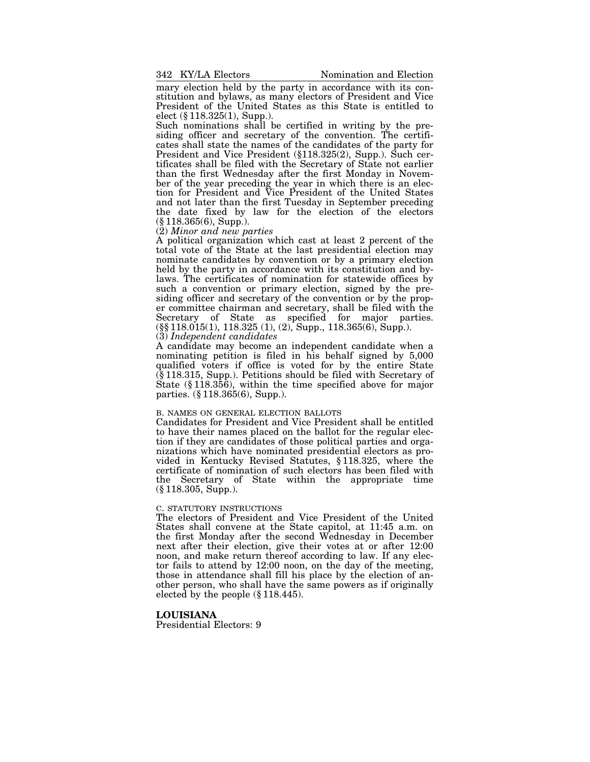mary election held by the party in accordance with its constitution and bylaws, as many electors of President and Vice President of the United States as this State is entitled to elect (§ 118.325(1), Supp.).

Such nominations shall be certified in writing by the presiding officer and secretary of the convention. The certificates shall state the names of the candidates of the party for President and Vice President (§118.325(2), Supp.). Such certificates shall be filed with the Secretary of State not earlier than the first Wednesday after the first Monday in November of the year preceding the year in which there is an election for President and Vice President of the United States and not later than the first Tuesday in September preceding the date fixed by law for the election of the electors (§ 118.365(6), Supp.).

(2) *Minor and new parties*

A political organization which cast at least 2 percent of the total vote of the State at the last presidential election may nominate candidates by convention or by a primary election held by the party in accordance with its constitution and bylaws. The certificates of nomination for statewide offices by such a convention or primary election, signed by the presiding officer and secretary of the convention or by the proper committee chairman and secretary, shall be filed with the Secretary of State as specified for major parties. (§§ 118.015(1), 118.325 (1), (2), Supp., 118.365(6), Supp.).

(3) *Independent candidates*

A candidate may become an independent candidate when a nominating petition is filed in his behalf signed by 5,000 qualified voters if office is voted for by the entire State (§ 118.315, Supp.). Petitions should be filed with Secretary of State (§ 118.356), within the time specified above for major parties. (§ 118.365(6), Supp.).

# B. NAMES ON GENERAL ELECTION BALLOTS

Candidates for President and Vice President shall be entitled to have their names placed on the ballot for the regular election if they are candidates of those political parties and organizations which have nominated presidential electors as provided in Kentucky Revised Statutes, § 118.325, where the certificate of nomination of such electors has been filed with the Secretary of State within the appropriate time (§ 118.305, Supp.).

# C. STATUTORY INSTRUCTIONS

The electors of President and Vice President of the United States shall convene at the State capitol, at 11:45 a.m. on the first Monday after the second Wednesday in December next after their election, give their votes at or after 12:00 noon, and make return thereof according to law. If any elector fails to attend by 12:00 noon, on the day of the meeting, those in attendance shall fill his place by the election of another person, who shall have the same powers as if originally elected by the people (§ 118.445).

# **LOUISIANA**

Presidential Electors: 9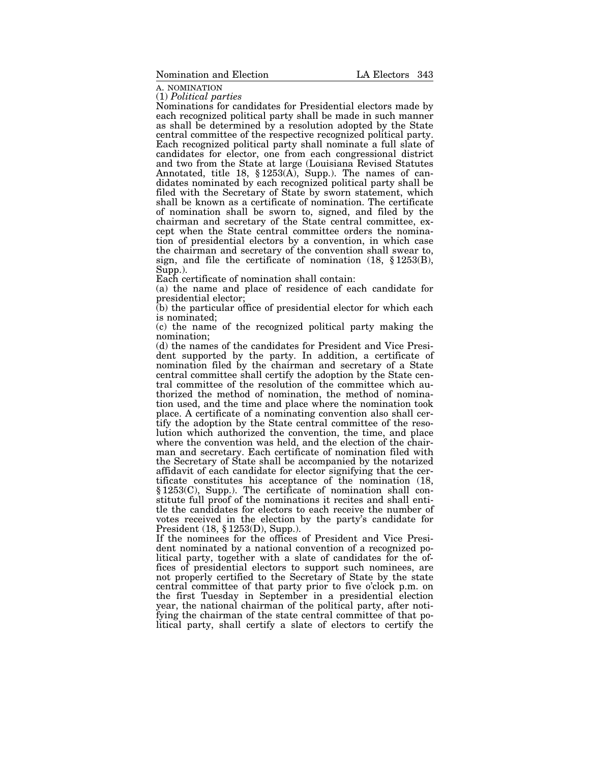A. NOMINATION (1) *Political parties*

Nominations for candidates for Presidential electors made by each recognized political party shall be made in such manner as shall be determined by a resolution adopted by the State central committee of the respective recognized political party. Each recognized political party shall nominate a full slate of candidates for elector, one from each congressional district and two from the State at large (Louisiana Revised Statutes Annotated, title 18, § 1253(A), Supp.). The names of candidates nominated by each recognized political party shall be filed with the Secretary of State by sworn statement, which shall be known as a certificate of nomination. The certificate of nomination shall be sworn to, signed, and filed by the chairman and secretary of the State central committee, except when the State central committee orders the nomination of presidential electors by a convention, in which case the chairman and secretary of the convention shall swear to, sign, and file the certificate of nomination (18, § 1253(B), Supp.).

Each certificate of nomination shall contain:

(a) the name and place of residence of each candidate for presidential elector;

(b) the particular office of presidential elector for which each is nominated;

(c) the name of the recognized political party making the nomination;

(d) the names of the candidates for President and Vice President supported by the party. In addition, a certificate of nomination filed by the chairman and secretary of a State central committee shall certify the adoption by the State central committee of the resolution of the committee which authorized the method of nomination, the method of nomination used, and the time and place where the nomination took place. A certificate of a nominating convention also shall certify the adoption by the State central committee of the resolution which authorized the convention, the time, and place where the convention was held, and the election of the chairman and secretary. Each certificate of nomination filed with the Secretary of State shall be accompanied by the notarized affidavit of each candidate for elector signifying that the certificate constitutes his acceptance of the nomination (18, § 1253(C), Supp.). The certificate of nomination shall constitute full proof of the nominations it recites and shall entitle the candidates for electors to each receive the number of votes received in the election by the party's candidate for President (18, § 1253(D), Supp.).

If the nominees for the offices of President and Vice President nominated by a national convention of a recognized political party, together with a slate of candidates for the offices of presidential electors to support such nominees, are not properly certified to the Secretary of State by the state central committee of that party prior to five o'clock p.m. on the first Tuesday in September in a presidential election year, the national chairman of the political party, after notifying the chairman of the state central committee of that political party, shall certify a slate of electors to certify the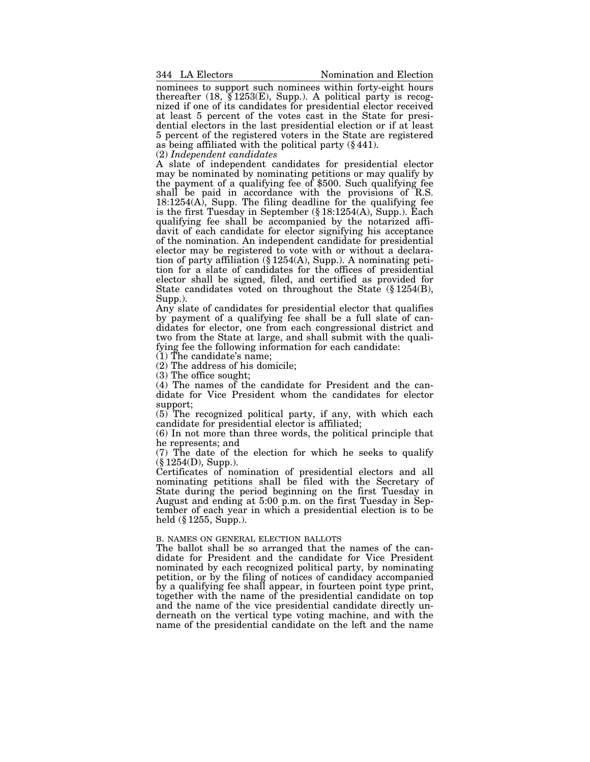344 LA Electors Nomination and Election

nominees to support such nominees within forty-eight hours thereafter (18, § 1253(E), Supp.). A political party is recognized if one of its candidates for presidential elector received at least 5 percent of the votes cast in the State for presidential electors in the last presidential election or if at least 5 percent of the registered voters in the State are registered as being affiliated with the political party  $(\S 441)$ .

(2) *Independent candidates*

A slate of independent candidates for presidential elector may be nominated by nominating petitions or may qualify by the payment of a qualifying fee of \$500. Such qualifying fee shall be paid in accordance with the provisions of R.S. 18:1254(A), Supp. The filing deadline for the qualifying fee is the first Tuesday in September (§ 18:1254(A), Supp.). Each qualifying fee shall be accompanied by the notarized affidavit of each candidate for elector signifying his acceptance of the nomination. An independent candidate for presidential elector may be registered to vote with or without a declaration of party affiliation (§ 1254(A), Supp.). A nominating petition for a slate of candidates for the offices of presidential elector shall be signed, filed, and certified as provided for State candidates voted on throughout the State (§ 1254(B), Supp.).

Any slate of candidates for presidential elector that qualifies by payment of a qualifying fee shall be a full slate of candidates for elector, one from each congressional district and two from the State at large, and shall submit with the qualifying fee the following information for each candidate:

(1) The candidate's name;

(2) The address of his domicile;

(3) The office sought;

(4) The names of the candidate for President and the candidate for Vice President whom the candidates for elector support;

(5) The recognized political party, if any, with which each candidate for presidential elector is affiliated;

(6) In not more than three words, the political principle that he represents; and

(7) The date of the election for which he seeks to qualify (§ 1254(D), Supp.).

Certificates of nomination of presidential electors and all nominating petitions shall be filed with the Secretary of State during the period beginning on the first Tuesday in August and ending at 5:00 p.m. on the first Tuesday in September of each year in which a presidential election is to be held (§ 1255, Supp.).

# B. NAMES ON GENERAL ELECTION BALLOTS

The ballot shall be so arranged that the names of the candidate for President and the candidate for Vice President nominated by each recognized political party, by nominating petition, or by the filing of notices of candidacy accompanied by a qualifying fee shall appear, in fourteen point type print, together with the name of the presidential candidate on top and the name of the vice presidential candidate directly underneath on the vertical type voting machine, and with the name of the presidential candidate on the left and the name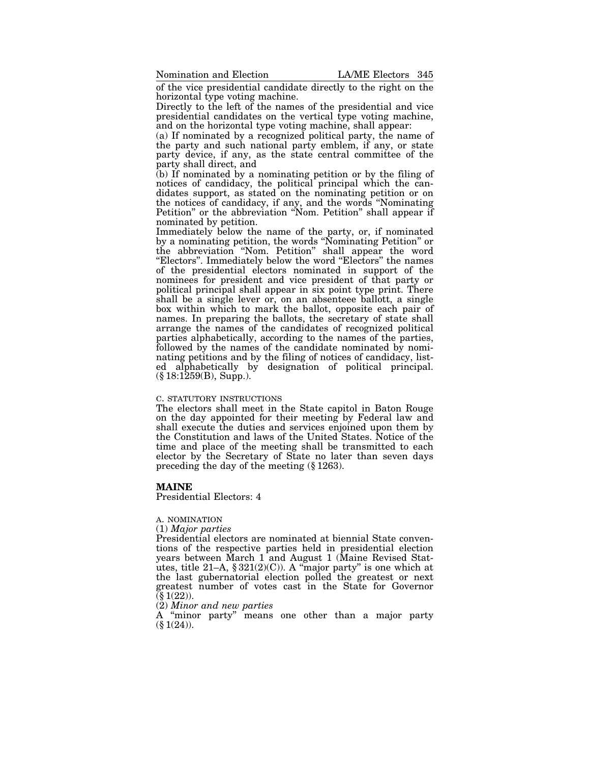Nomination and Election LA/ME Electors 345

of the vice presidential candidate directly to the right on the horizontal type voting machine.

Directly to the left of the names of the presidential and vice presidential candidates on the vertical type voting machine, and on the horizontal type voting machine, shall appear:

(a) If nominated by a recognized political party, the name of the party and such national party emblem, if any, or state party device, if any, as the state central committee of the party shall direct, and

(b) If nominated by a nominating petition or by the filing of notices of candidacy, the political principal which the candidates support, as stated on the nominating petition or on the notices of candidacy, if any, and the words ''Nominating Petition'' or the abbreviation ''Nom. Petition'' shall appear if nominated by petition.

Immediately below the name of the party, or, if nominated by a nominating petition, the words ''Nominating Petition'' or the abbreviation ''Nom. Petition'' shall appear the word ''Electors''. Immediately below the word ''Electors'' the names of the presidential electors nominated in support of the nominees for president and vice president of that party or political principal shall appear in six point type print. There shall be a single lever or, on an absenteee ballott, a single box within which to mark the ballot, opposite each pair of names. In preparing the ballots, the secretary of state shall arrange the names of the candidates of recognized political parties alphabetically, according to the names of the parties, followed by the names of the candidate nominated by nominating petitions and by the filing of notices of candidacy, listed alphabetically by designation of political principal.  $(\S 18:1259(B), Supp.).$ 

# C. STATUTORY INSTRUCTIONS

The electors shall meet in the State capitol in Baton Rouge on the day appointed for their meeting by Federal law and shall execute the duties and services enjoined upon them by the Constitution and laws of the United States. Notice of the time and place of the meeting shall be transmitted to each elector by the Secretary of State no later than seven days preceding the day of the meeting (§ 1263).

# **MAINE**

Presidential Electors: 4

A. NOMINATION

(1) *Major parties*

Presidential electors are nominated at biennial State conventions of the respective parties held in presidential election years between March 1 and August 1 (Maine Revised Statutes, title 21–A, § 321(2)(C)). A ''major party'' is one which at the last gubernatorial election polled the greatest or next greatest number of votes cast in the State for Governor  $(\S 1(22)).$ 

(2) *Minor and new parties*

A ''minor party'' means one other than a major party  $(\S 1(24))$ .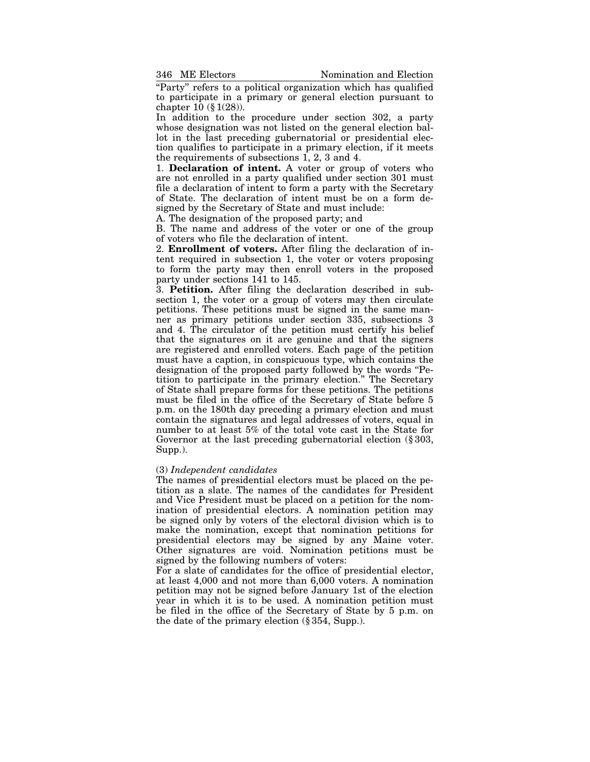"Party" refers to a political organization which has qualified to participate in a primary or general election pursuant to chapter 10 (§ 1(28)).

In addition to the procedure under section 302, a party whose designation was not listed on the general election ballot in the last preceding gubernatorial or presidential election qualifies to participate in a primary election, if it meets the requirements of subsections 1, 2, 3 and 4.

1. **Declaration of intent.** A voter or group of voters who are not enrolled in a party qualified under section 301 must file a declaration of intent to form a party with the Secretary of State. The declaration of intent must be on a form designed by the Secretary of State and must include:

A. The designation of the proposed party; and

B. The name and address of the voter or one of the group of voters who file the declaration of intent.

2. **Enrollment of voters.** After filing the declaration of intent required in subsection 1, the voter or voters proposing to form the party may then enroll voters in the proposed party under sections 141 to 145.

3. **Petition.** After filing the declaration described in subsection 1, the voter or a group of voters may then circulate petitions. These petitions must be signed in the same manner as primary petitions under section 335, subsections 3 and 4. The circulator of the petition must certify his belief that the signatures on it are genuine and that the signers are registered and enrolled voters. Each page of the petition must have a caption, in conspicuous type, which contains the designation of the proposed party followed by the words ''Petition to participate in the primary election.'' The Secretary of State shall prepare forms for these petitions. The petitions must be filed in the office of the Secretary of State before 5 p.m. on the 180th day preceding a primary election and must contain the signatures and legal addresses of voters, equal in number to at least 5% of the total vote cast in the State for Governor at the last preceding gubernatorial election (§ 303, Supp.).

# (3) *Independent candidates*

The names of presidential electors must be placed on the petition as a slate. The names of the candidates for President and Vice President must be placed on a petition for the nomination of presidential electors. A nomination petition may be signed only by voters of the electoral division which is to make the nomination, except that nomination petitions for presidential electors may be signed by any Maine voter. Other signatures are void. Nomination petitions must be signed by the following numbers of voters:

For a slate of candidates for the office of presidential elector, at least 4,000 and not more than 6,000 voters. A nomination petition may not be signed before January 1st of the election year in which it is to be used. A nomination petition must be filed in the office of the Secretary of State by 5 p.m. on the date of the primary election (§ 354, Supp.).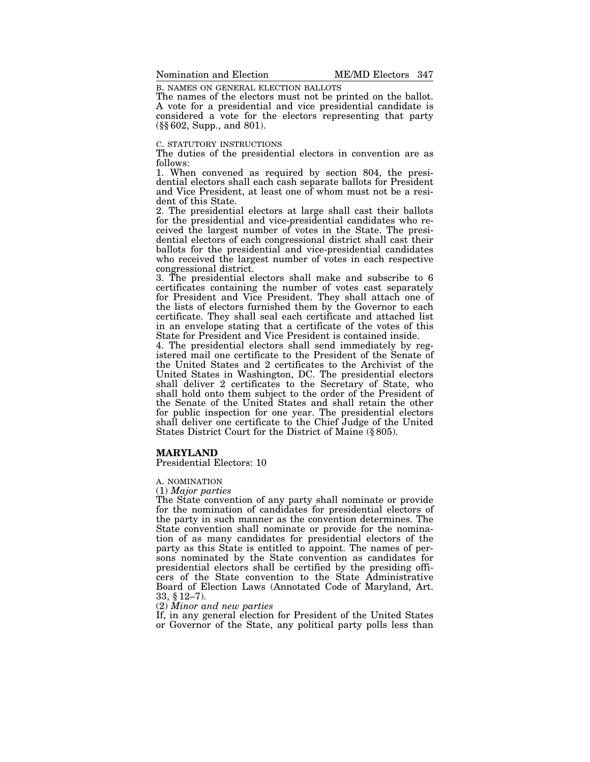B. NAMES ON GENERAL ELECTION BALLOTS

The names of the electors must not be printed on the ballot. A vote for a presidential and vice presidential candidate is considered a vote for the electors representing that party (§§ 602, Supp., and 801).

C. STATUTORY INSTRUCTIONS

The duties of the presidential electors in convention are as follows:

1. When convened as required by section 804, the presidential electors shall each cash separate ballots for President and Vice President, at least one of whom must not be a resident of this State.

2. The presidential electors at large shall cast their ballots for the presidential and vice-presidential candidates who received the largest number of votes in the State. The presidential electors of each congressional district shall cast their ballots for the presidential and vice-presidential candidates who received the largest number of votes in each respective congressional district.

3. The presidential electors shall make and subscribe to 6 certificates containing the number of votes cast separately for President and Vice President. They shall attach one of the lists of electors furnished them by the Governor to each certificate. They shall seal each certificate and attached list in an envelope stating that a certificate of the votes of this State for President and Vice President is contained inside.

4. The presidential electors shall send immediately by registered mail one certificate to the President of the Senate of the United States and 2 certificates to the Archivist of the United States in Washington, DC. The presidential electors shall deliver 2 certificates to the Secretary of State, who shall hold onto them subject to the order of the President of the Senate of the United States and shall retain the other for public inspection for one year. The presidential electors shall deliver one certificate to the Chief Judge of the United States District Court for the District of Maine (§ 805).

## **MARYLAND**

Presidential Electors: 10

A. NOMINATION

(1) *Major parties*

The State convention of any party shall nominate or provide for the nomination of candidates for presidential electors of the party in such manner as the convention determines. The State convention shall nominate or provide for the nomination of as many candidates for presidential electors of the party as this State is entitled to appoint. The names of persons nominated by the State convention as candidates for presidential electors shall be certified by the presiding officers of the State convention to the State Administrative Board of Election Laws (Annotated Code of Maryland, Art. 33, § 12–7).

(2) *Minor and new parties*

If, in any general election for President of the United States or Governor of the State, any political party polls less than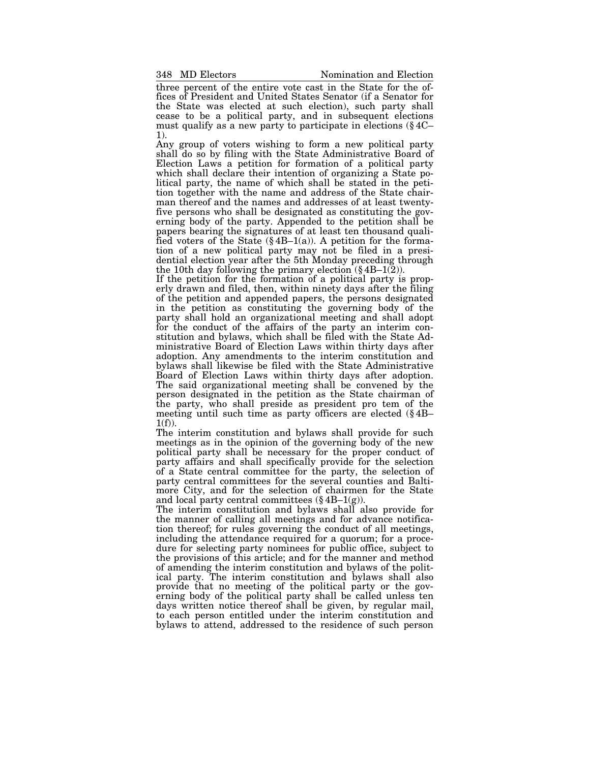three percent of the entire vote cast in the State for the offices of President and United States Senator (if a Senator for the State was elected at such election), such party shall cease to be a political party, and in subsequent elections must qualify as a new party to participate in elections (§ 4C– 1).

Any group of voters wishing to form a new political party shall do so by filing with the State Administrative Board of Election Laws a petition for formation of a political party which shall declare their intention of organizing a State political party, the name of which shall be stated in the petition together with the name and address of the State chairman thereof and the names and addresses of at least twentyfive persons who shall be designated as constituting the governing body of the party. Appended to the petition shall be papers bearing the signatures of at least ten thousand qualified voters of the State  $(\S 4B-1(a))$ . A petition for the formation of a new political party may not be filed in a presidential election year after the 5th Monday preceding through the 10th day following the primary election  $(\S 4B-1\tilde{2})$ .

If the petition for the formation of a political party is properly drawn and filed, then, within ninety days after the filing of the petition and appended papers, the persons designated in the petition as constituting the governing body of the party shall hold an organizational meeting and shall adopt for the conduct of the affairs of the party an interim constitution and bylaws, which shall be filed with the State Administrative Board of Election Laws within thirty days after adoption. Any amendments to the interim constitution and bylaws shall likewise be filed with the State Administrative Board of Election Laws within thirty days after adoption. The said organizational meeting shall be convened by the person designated in the petition as the State chairman of the party, who shall preside as president pro tem of the meeting until such time as party officers are elected (§ 4B–  $1(f)$ ).

The interim constitution and bylaws shall provide for such meetings as in the opinion of the governing body of the new political party shall be necessary for the proper conduct of party affairs and shall specifically provide for the selection of a State central committee for the party, the selection of party central committees for the several counties and Baltimore City, and for the selection of chairmen for the State and local party central committees  $(\S 4B-1(g))$ .

The interim constitution and bylaws shall also provide for the manner of calling all meetings and for advance notification thereof; for rules governing the conduct of all meetings, including the attendance required for a quorum; for a procedure for selecting party nominees for public office, subject to the provisions of this article; and for the manner and method of amending the interim constitution and bylaws of the political party. The interim constitution and bylaws shall also provide that no meeting of the political party or the governing body of the political party shall be called unless ten days written notice thereof shall be given, by regular mail, to each person entitled under the interim constitution and bylaws to attend, addressed to the residence of such person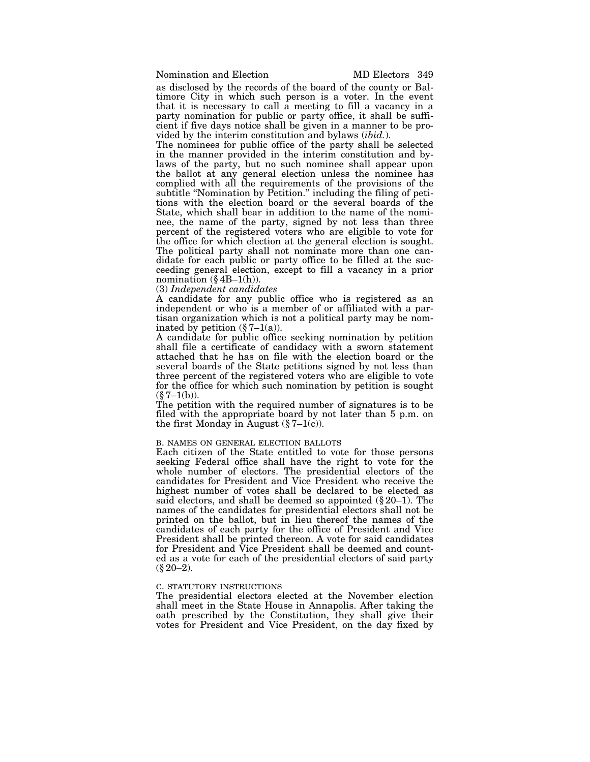Nomination and Election MD Electors 349

as disclosed by the records of the board of the county or Baltimore City in which such person is a voter. In the event that it is necessary to call a meeting to fill a vacancy in a party nomination for public or party office, it shall be sufficient if five days notice shall be given in a manner to be provided by the interim constitution and bylaws (*ibid.*).

The nominees for public office of the party shall be selected in the manner provided in the interim constitution and bylaws of the party, but no such nominee shall appear upon the ballot at any general election unless the nominee has complied with all the requirements of the provisions of the subtitle ''Nomination by Petition.'' including the filing of petitions with the election board or the several boards of the State, which shall bear in addition to the name of the nominee, the name of the party, signed by not less than three percent of the registered voters who are eligible to vote for the office for which election at the general election is sought. The political party shall not nominate more than one candidate for each public or party office to be filled at the succeeding general election, except to fill a vacancy in a prior nomination (§ 4B–1(h)).

(3) *Independent candidates*

A candidate for any public office who is registered as an independent or who is a member of or affiliated with a partisan organization which is not a political party may be nominated by petition  $(\S 7-1(a))$ .

A candidate for public office seeking nomination by petition shall file a certificate of candidacy with a sworn statement attached that he has on file with the election board or the several boards of the State petitions signed by not less than three percent of the registered voters who are eligible to vote for the office for which such nomination by petition is sought  $(\S 7 - 1(b)).$ 

The petition with the required number of signatures is to be filed with the appropriate board by not later than 5 p.m. on the first Monday in August  $(\S 7-1(c))$ .

# B. NAMES ON GENERAL ELECTION BALLOTS

Each citizen of the State entitled to vote for those persons seeking Federal office shall have the right to vote for the whole number of electors. The presidential electors of the candidates for President and Vice President who receive the highest number of votes shall be declared to be elected as said electors, and shall be deemed so appointed  $(\S 20-1)$ . The names of the candidates for presidential electors shall not be printed on the ballot, but in lieu thereof the names of the candidates of each party for the office of President and Vice President shall be printed thereon. A vote for said candidates for President and Vice President shall be deemed and counted as a vote for each of the presidential electors of said party  $(\S 20 - 2)$ .

# C. STATUTORY INSTRUCTIONS

The presidential electors elected at the November election shall meet in the State House in Annapolis. After taking the oath prescribed by the Constitution, they shall give their votes for President and Vice President, on the day fixed by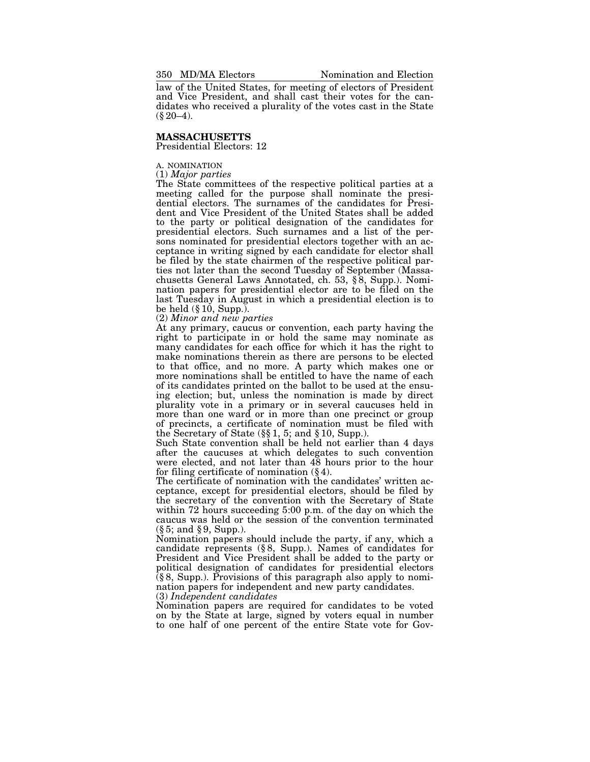law of the United States, for meeting of electors of President and Vice President, and shall cast their votes for the candidates who received a plurality of the votes cast in the State  $(\S 20 - 4)$ .

# **MASSACHUSETTS**

Presidential Electors: 12

A. NOMINATION

(1) *Major parties*

The State committees of the respective political parties at a meeting called for the purpose shall nominate the presidential electors. The surnames of the candidates for President and Vice President of the United States shall be added to the party or political designation of the candidates for presidential electors. Such surnames and a list of the persons nominated for presidential electors together with an acceptance in writing signed by each candidate for elector shall be filed by the state chairmen of the respective political parties not later than the second Tuesday of September (Massachusetts General Laws Annotated, ch. 53, § 8, Supp.). Nomination papers for presidential elector are to be filed on the last Tuesday in August in which a presidential election is to be held  $(\S 10, \text{Supp.}).$ 

(2) *Minor and new parties*

At any primary, caucus or convention, each party having the right to participate in or hold the same may nominate as many candidates for each office for which it has the right to make nominations therein as there are persons to be elected to that office, and no more. A party which makes one or more nominations shall be entitled to have the name of each of its candidates printed on the ballot to be used at the ensuing election; but, unless the nomination is made by direct plurality vote in a primary or in several caucuses held in more than one ward or in more than one precinct or group of precincts, a certificate of nomination must be filed with the Secretary of State (§§ 1, 5; and § 10, Supp.).

Such State convention shall be held not earlier than 4 days after the caucuses at which delegates to such convention were elected, and not later than 48 hours prior to the hour for filing certificate of nomination  $(\S 4)$ .

The certificate of nomination with the candidates' written acceptance, except for presidential electors, should be filed by the secretary of the convention with the Secretary of State within 72 hours succeeding 5:00 p.m. of the day on which the caucus was held or the session of the convention terminated (§ 5; and § 9, Supp.).

Nomination papers should include the party, if any, which a candidate represents (§ 8, Supp.). Names of candidates for President and Vice President shall be added to the party or political designation of candidates for presidential electors (§ 8, Supp.). Provisions of this paragraph also apply to nomination papers for independent and new party candidates. (3) *Independent candidates*

Nomination papers are required for candidates to be voted on by the State at large, signed by voters equal in number to one half of one percent of the entire State vote for Gov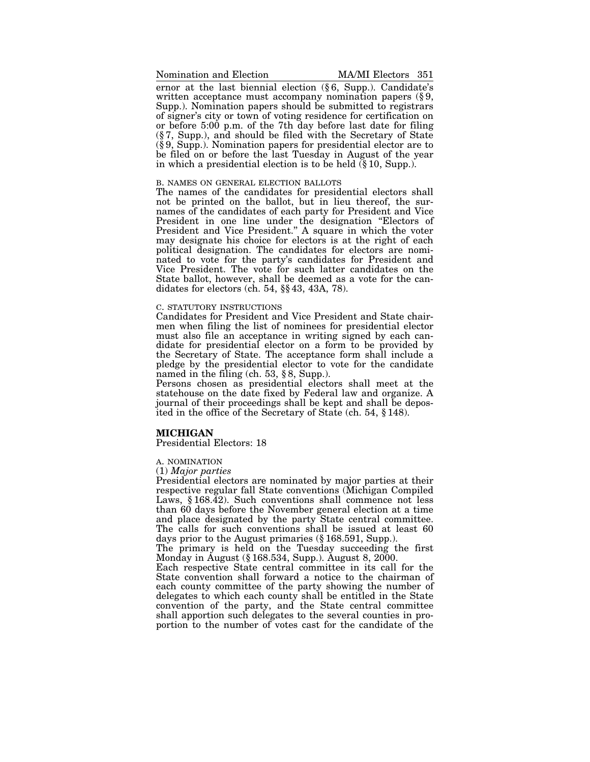Nomination and Election MA/MI Electors 351

ernor at the last biennial election (§ 6, Supp.). Candidate's written acceptance must accompany nomination papers (§9, Supp.). Nomination papers should be submitted to registrars of signer's city or town of voting residence for certification on or before 5:00 p.m. of the 7th day before last date for filing (§ 7, Supp.), and should be filed with the Secretary of State (§ 9, Supp.). Nomination papers for presidential elector are to be filed on or before the last Tuesday in August of the year in which a presidential election is to be held (§ 10, Supp.).

B. NAMES ON GENERAL ELECTION BALLOTS

The names of the candidates for presidential electors shall not be printed on the ballot, but in lieu thereof, the surnames of the candidates of each party for President and Vice President in one line under the designation ''Electors of President and Vice President.'' A square in which the voter may designate his choice for electors is at the right of each political designation. The candidates for electors are nominated to vote for the party's candidates for President and Vice President. The vote for such latter candidates on the State ballot, however, shall be deemed as a vote for the candidates for electors (ch. 54, §§ 43, 43A, 78).

## C. STATUTORY INSTRUCTIONS

Candidates for President and Vice President and State chairmen when filing the list of nominees for presidential elector must also file an acceptance in writing signed by each candidate for presidential elector on a form to be provided by the Secretary of State. The acceptance form shall include a pledge by the presidential elector to vote for the candidate named in the filing (ch. 53, § 8, Supp.).

Persons chosen as presidential electors shall meet at the statehouse on the date fixed by Federal law and organize. A journal of their proceedings shall be kept and shall be deposited in the office of the Secretary of State (ch. 54, § 148).

## **MICHIGAN**

Presidential Electors: 18

### A. NOMINATION

(1) *Major parties*

Presidential electors are nominated by major parties at their respective regular fall State conventions (Michigan Compiled Laws, § 168.42). Such conventions shall commence not less than 60 days before the November general election at a time and place designated by the party State central committee. The calls for such conventions shall be issued at least 60 days prior to the August primaries (§ 168.591, Supp.).

The primary is held on the Tuesday succeeding the first Monday in August (§ 168.534, Supp.). August 8, 2000.

Each respective State central committee in its call for the State convention shall forward a notice to the chairman of each county committee of the party showing the number of delegates to which each county shall be entitled in the State convention of the party, and the State central committee shall apportion such delegates to the several counties in proportion to the number of votes cast for the candidate of the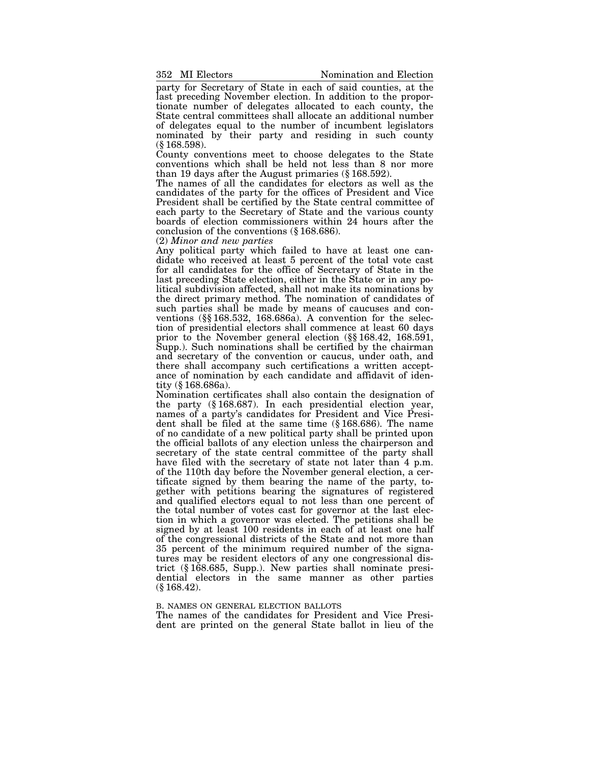party for Secretary of State in each of said counties, at the last preceding November election. In addition to the proportionate number of delegates allocated to each county, the State central committees shall allocate an additional number of delegates equal to the number of incumbent legislators nominated by their party and residing in such county (§ 168.598).

County conventions meet to choose delegates to the State conventions which shall be held not less than 8 nor more than 19 days after the August primaries (§ 168.592).

The names of all the candidates for electors as well as the candidates of the party for the offices of President and Vice President shall be certified by the State central committee of each party to the Secretary of State and the various county boards of election commissioners within 24 hours after the conclusion of the conventions (§ 168.686).

(2) *Minor and new parties*

Any political party which failed to have at least one candidate who received at least 5 percent of the total vote cast for all candidates for the office of Secretary of State in the last preceding State election, either in the State or in any political subdivision affected, shall not make its nominations by the direct primary method. The nomination of candidates of such parties shall be made by means of caucuses and conventions (§§ 168.532, 168.686a). A convention for the selection of presidential electors shall commence at least 60 days prior to the November general election (§§ 168.42, 168.591, Supp.). Such nominations shall be certified by the chairman and secretary of the convention or caucus, under oath, and there shall accompany such certifications a written acceptance of nomination by each candidate and affidavit of identity (§ 168.686a).

Nomination certificates shall also contain the designation of the party (§ 168.687). In each presidential election year, names of a party's candidates for President and Vice President shall be filed at the same time (§ 168.686). The name of no candidate of a new political party shall be printed upon the official ballots of any election unless the chairperson and secretary of the state central committee of the party shall have filed with the secretary of state not later than 4 p.m. of the 110th day before the November general election, a certificate signed by them bearing the name of the party, together with petitions bearing the signatures of registered and qualified electors equal to not less than one percent of the total number of votes cast for governor at the last election in which a governor was elected. The petitions shall be signed by at least 100 residents in each of at least one half of the congressional districts of the State and not more than 35 percent of the minimum required number of the signatures may be resident electors of any one congressional district (§ 168.685, Supp.). New parties shall nominate presidential electors in the same manner as other parties (§ 168.42).

B. NAMES ON GENERAL ELECTION BALLOTS

The names of the candidates for President and Vice President are printed on the general State ballot in lieu of the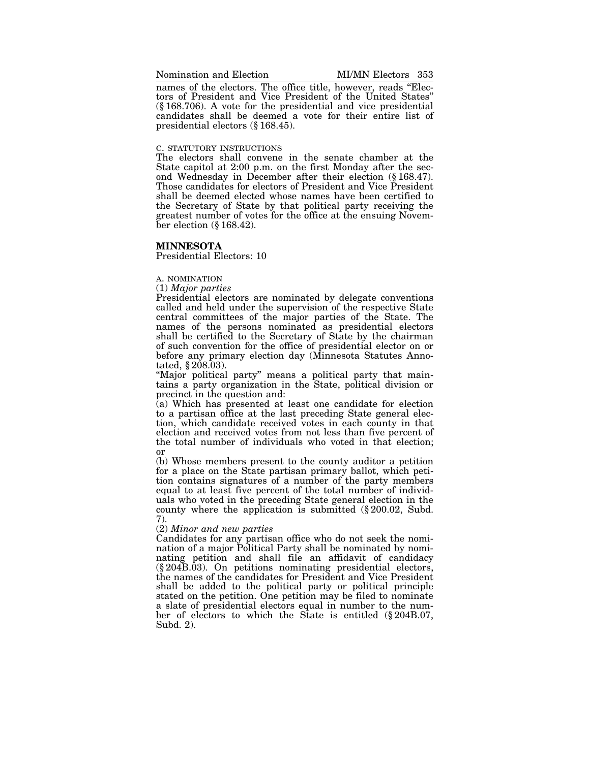Nomination and Election MI/MN Electors 353

names of the electors. The office title, however, reads ''Electors of President and Vice President of the United States'' (§ 168.706). A vote for the presidential and vice presidential candidates shall be deemed a vote for their entire list of presidential electors (§ 168.45).

# C. STATUTORY INSTRUCTIONS

The electors shall convene in the senate chamber at the State capitol at 2:00 p.m. on the first Monday after the second Wednesday in December after their election (§ 168.47). Those candidates for electors of President and Vice President shall be deemed elected whose names have been certified to the Secretary of State by that political party receiving the greatest number of votes for the office at the ensuing November election (§ 168.42).

## **MINNESOTA**

Presidential Electors: 10

A. NOMINATION

(1) *Major parties*

Presidential electors are nominated by delegate conventions called and held under the supervision of the respective State central committees of the major parties of the State. The names of the persons nominated as presidential electors shall be certified to the Secretary of State by the chairman of such convention for the office of presidential elector on or before any primary election day (Minnesota Statutes Annotated, § 208.03).

"Major political party" means a political party that maintains a party organization in the State, political division or precinct in the question and:

(a) Which has presented at least one candidate for election to a partisan office at the last preceding State general election, which candidate received votes in each county in that election and received votes from not less than five percent of the total number of individuals who voted in that election; or

(b) Whose members present to the county auditor a petition for a place on the State partisan primary ballot, which petition contains signatures of a number of the party members equal to at least five percent of the total number of individuals who voted in the preceding State general election in the county where the application is submitted (§ 200.02, Subd. 7).

# (2) *Minor and new parties*

Candidates for any partisan office who do not seek the nomination of a major Political Party shall be nominated by nominating petition and shall file an affidavit of candidacy (§ 204B.03). On petitions nominating presidential electors, the names of the candidates for President and Vice President shall be added to the political party or political principle stated on the petition. One petition may be filed to nominate a slate of presidential electors equal in number to the number of electors to which the State is entitled (§ 204B.07, Subd. 2).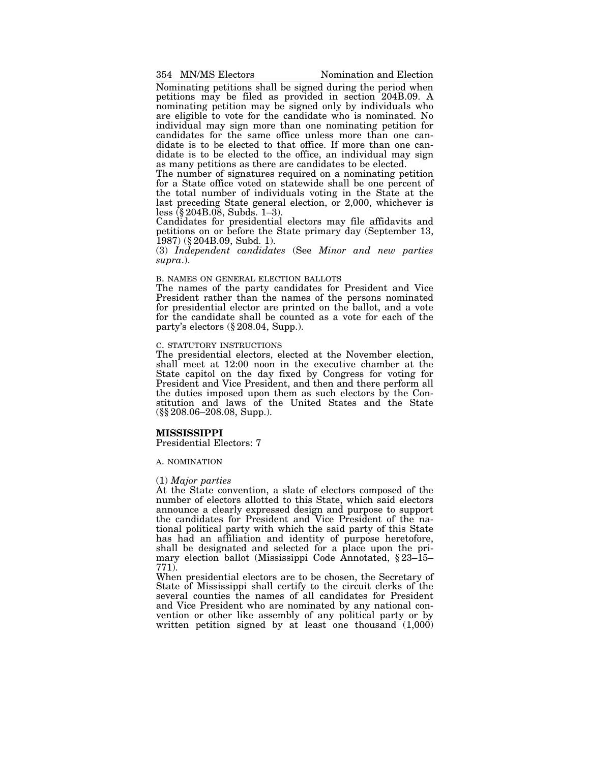Nominating petitions shall be signed during the period when petitions may be filed as provided in section 204B.09. A nominating petition may be signed only by individuals who are eligible to vote for the candidate who is nominated. No individual may sign more than one nominating petition for candidates for the same office unless more than one candidate is to be elected to that office. If more than one candidate is to be elected to the office, an individual may sign as many petitions as there are candidates to be elected.

The number of signatures required on a nominating petition for a State office voted on statewide shall be one percent of the total number of individuals voting in the State at the last preceding State general election, or 2,000, whichever is less (§ 204B.08, Subds. 1–3).

Candidates for presidential electors may file affidavits and petitions on or before the State primary day (September 13, 1987) (§ 204B.09, Subd. 1).

(3) *Independent candidates* (See *Minor and new parties supra*.).

## B. NAMES ON GENERAL ELECTION BALLOTS

The names of the party candidates for President and Vice President rather than the names of the persons nominated for presidential elector are printed on the ballot, and a vote for the candidate shall be counted as a vote for each of the party's electors (§ 208.04, Supp.).

### C. STATUTORY INSTRUCTIONS

The presidential electors, elected at the November election, shall meet at 12:00 noon in the executive chamber at the State capitol on the day fixed by Congress for voting for President and Vice President, and then and there perform all the duties imposed upon them as such electors by the Constitution and laws of the United States and the State (§§ 208.06–208.08, Supp.).

## **MISSISSIPPI**

Presidential Electors: 7

A. NOMINATION

### (1) *Major parties*

At the State convention, a slate of electors composed of the number of electors allotted to this State, which said electors announce a clearly expressed design and purpose to support the candidates for President and Vice President of the national political party with which the said party of this State has had an affiliation and identity of purpose heretofore, shall be designated and selected for a place upon the primary election ballot (Mississippi Code Annotated, § 23–15– 771).

When presidential electors are to be chosen, the Secretary of State of Mississippi shall certify to the circuit clerks of the several counties the names of all candidates for President and Vice President who are nominated by any national convention or other like assembly of any political party or by written petition signed by at least one thousand  $(1,000)$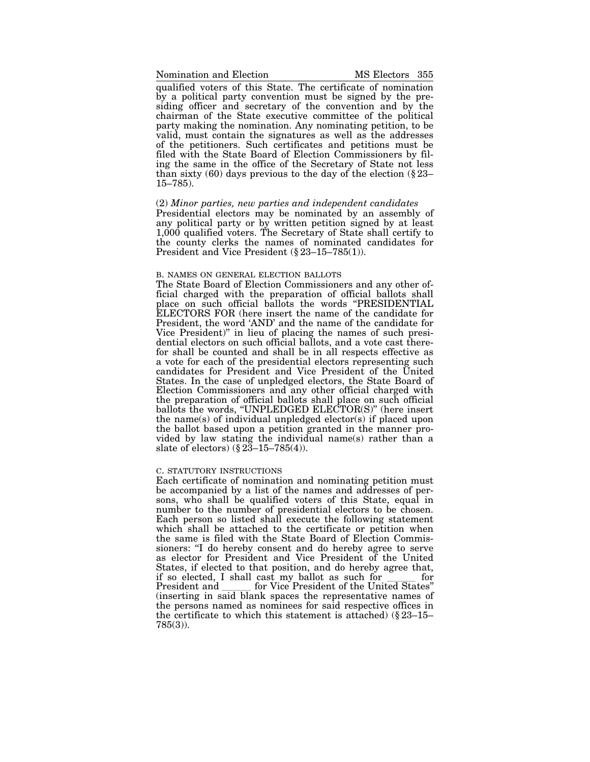Nomination and Election MS Electors 355

qualified voters of this State. The certificate of nomination by a political party convention must be signed by the presiding officer and secretary of the convention and by the chairman of the State executive committee of the political party making the nomination. Any nominating petition, to be valid, must contain the signatures as well as the addresses of the petitioners. Such certificates and petitions must be filed with the State Board of Election Commissioners by filing the same in the office of the Secretary of State not less than sixty (60) days previous to the day of the election  $(\S 23-$ 15–785).

### (2) *Minor parties, new parties and independent candidates*

Presidential electors may be nominated by an assembly of any political party or by written petition signed by at least 1,000 qualified voters. The Secretary of State shall certify to the county clerks the names of nominated candidates for President and Vice President (§ 23-15-785(1)).

# B. NAMES ON GENERAL ELECTION BALLOTS

The State Board of Election Commissioners and any other official charged with the preparation of official ballots shall place on such official ballots the words ''PRESIDENTIAL ELECTORS FOR (here insert the name of the candidate for President, the word 'AND' and the name of the candidate for Vice President)'' in lieu of placing the names of such presidential electors on such official ballots, and a vote cast therefor shall be counted and shall be in all respects effective as a vote for each of the presidential electors representing such candidates for President and Vice President of the United States. In the case of unpledged electors, the State Board of Election Commissioners and any other official charged with the preparation of official ballots shall place on such official ballots the words, ''UNPLEDGED ELECTOR(S)'' (here insert the name(s) of individual unpledged elector(s) if placed upon the ballot based upon a petition granted in the manner provided by law stating the individual name(s) rather than a slate of electors)  $(\S 23 - 15 - 785(4))$ .

### C. STATUTORY INSTRUCTIONS

Each certificate of nomination and nominating petition must be accompanied by a list of the names and addresses of persons, who shall be qualified voters of this State, equal in number to the number of presidential electors to be chosen. Each person so listed shall execute the following statement which shall be attached to the certificate or petition when the same is filed with the State Board of Election Commissioners: ''I do hereby consent and do hereby agree to serve as elector for President and Vice President of the United States, if elected to that position, and do hereby agree that, if so elected, I shall cast my ballot as such for  $\frac{1}{\sqrt{1-\frac{1}{n}}}$  for President and for Vice President of the United States" for Vice President of the United States" (inserting in said blank spaces the representative names of the persons named as nominees for said respective offices in the certificate to which this statement is attached) (§ 23–15– 785(3)).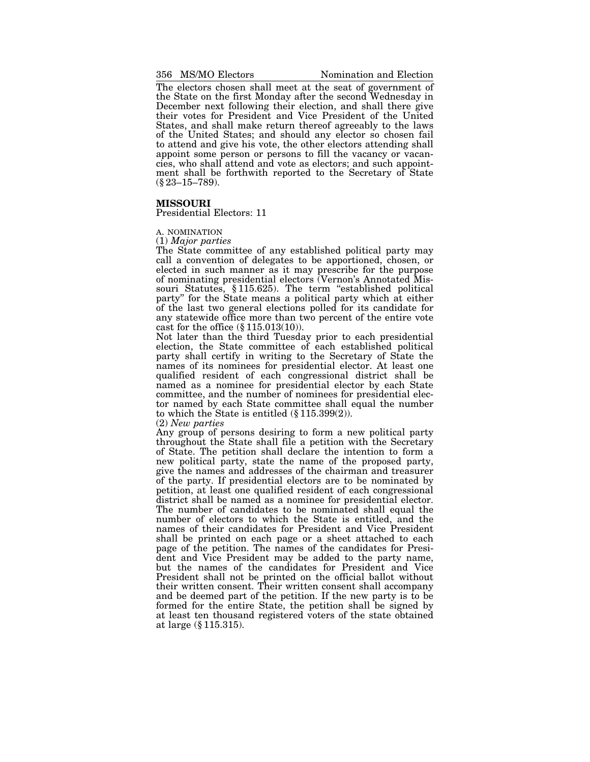356 MS/MO Electors Nomination and Election

The electors chosen shall meet at the seat of government of the State on the first Monday after the second Wednesday in December next following their election, and shall there give their votes for President and Vice President of the United States, and shall make return thereof agreeably to the laws of the United States; and should any elector so chosen fail to attend and give his vote, the other electors attending shall appoint some person or persons to fill the vacancy or vacancies, who shall attend and vote as electors; and such appointment shall be forthwith reported to the Secretary of State  $(\$23-15-789).$ 

## **MISSOURI**

Presidential Electors: 11

A. NOMINATION

(1) *Major parties*

The State committee of any established political party may call a convention of delegates to be apportioned, chosen, or elected in such manner as it may prescribe for the purpose of nominating presidential electors (Vernon's Annotated Missouri Statutes, §115.625). The term "established political party'' for the State means a political party which at either of the last two general elections polled for its candidate for any statewide office more than two percent of the entire vote cast for the office  $(\S 115.013(10))$ .

Not later than the third Tuesday prior to each presidential election, the State committee of each established political party shall certify in writing to the Secretary of State the names of its nominees for presidential elector. At least one qualified resident of each congressional district shall be named as a nominee for presidential elector by each State committee, and the number of nominees for presidential elector named by each State committee shall equal the number to which the State is entitled (§ 115.399(2)).

(2) *New parties*

Any group of persons desiring to form a new political party throughout the State shall file a petition with the Secretary of State. The petition shall declare the intention to form a new political party, state the name of the proposed party, give the names and addresses of the chairman and treasurer of the party. If presidential electors are to be nominated by petition, at least one qualified resident of each congressional district shall be named as a nominee for presidential elector. The number of candidates to be nominated shall equal the number of electors to which the State is entitled, and the names of their candidates for President and Vice President shall be printed on each page or a sheet attached to each page of the petition. The names of the candidates for President and Vice President may be added to the party name, but the names of the candidates for President and Vice President shall not be printed on the official ballot without their written consent. Their written consent shall accompany and be deemed part of the petition. If the new party is to be formed for the entire State, the petition shall be signed by at least ten thousand registered voters of the state obtained at large (§ 115.315).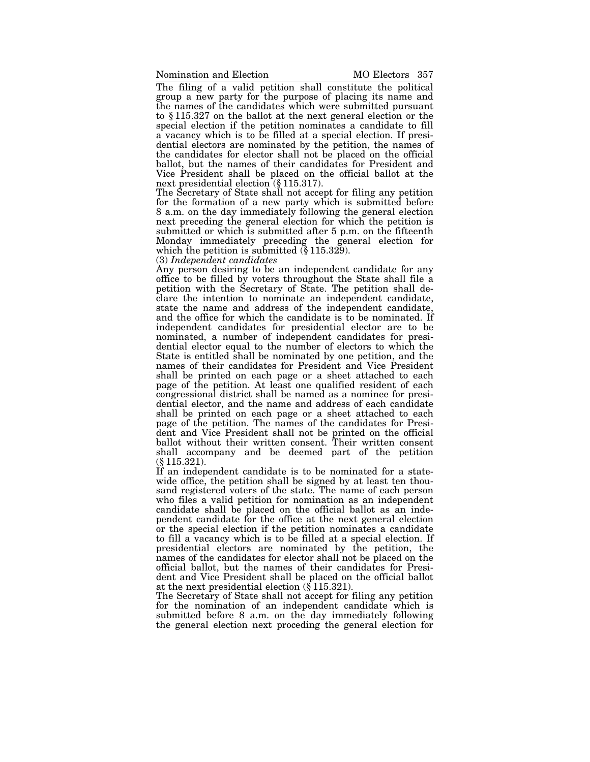Nomination and Election MO Electors 357

The filing of a valid petition shall constitute the political group a new party for the purpose of placing its name and the names of the candidates which were submitted pursuant to § 115.327 on the ballot at the next general election or the special election if the petition nominates a candidate to fill a vacancy which is to be filled at a special election. If presidential electors are nominated by the petition, the names of the candidates for elector shall not be placed on the official ballot, but the names of their candidates for President and Vice President shall be placed on the official ballot at the next presidential election (§ 115.317).

The Secretary of State shall not accept for filing any petition for the formation of a new party which is submitted before 8 a.m. on the day immediately following the general election next preceding the general election for which the petition is submitted or which is submitted after 5 p.m. on the fifteenth Monday immediately preceding the general election for which the petition is submitted  $(\S 115.329)$ .

(3) *Independent candidates*

Any person desiring to be an independent candidate for any office to be filled by voters throughout the State shall file a petition with the Secretary of State. The petition shall declare the intention to nominate an independent candidate, state the name and address of the independent candidate, and the office for which the candidate is to be nominated. If independent candidates for presidential elector are to be nominated, a number of independent candidates for presidential elector equal to the number of electors to which the State is entitled shall be nominated by one petition, and the names of their candidates for President and Vice President shall be printed on each page or a sheet attached to each page of the petition. At least one qualified resident of each congressional district shall be named as a nominee for presidential elector, and the name and address of each candidate shall be printed on each page or a sheet attached to each page of the petition. The names of the candidates for President and Vice President shall not be printed on the official ballot without their written consent. Their written consent shall accompany and be deemed part of the petition (§ 115.321).

If an independent candidate is to be nominated for a statewide office, the petition shall be signed by at least ten thousand registered voters of the state. The name of each person who files a valid petition for nomination as an independent candidate shall be placed on the official ballot as an independent candidate for the office at the next general election or the special election if the petition nominates a candidate to fill a vacancy which is to be filled at a special election. If presidential electors are nominated by the petition, the names of the candidates for elector shall not be placed on the official ballot, but the names of their candidates for President and Vice President shall be placed on the official ballot at the next presidential election  $(\S 115.321)$ .

The Secretary of State shall not accept for filing any petition for the nomination of an independent candidate which is submitted before 8 a.m. on the day immediately following the general election next proceding the general election for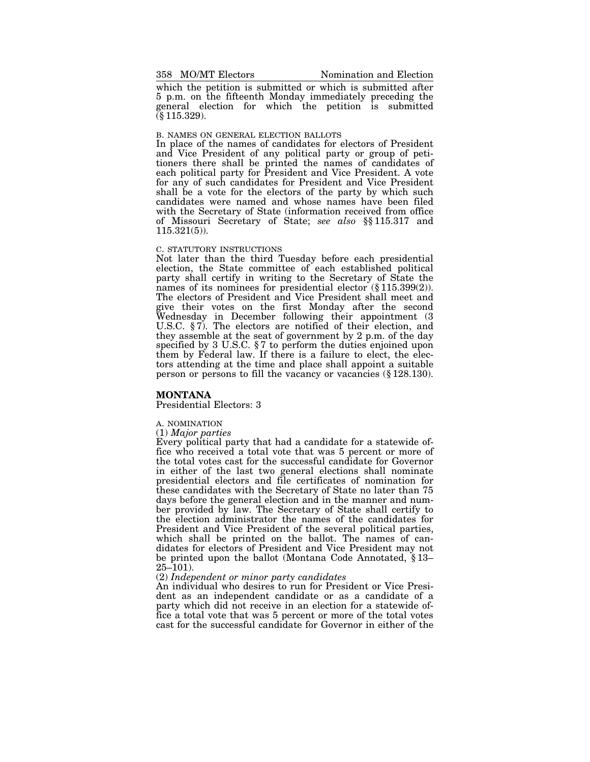which the petition is submitted or which is submitted after 5 p.m. on the fifteenth Monday immediately preceding the general election for which the petition is submitted (§ 115.329).

## B. NAMES ON GENERAL ELECTION BALLOTS

In place of the names of candidates for electors of President and Vice President of any political party or group of petitioners there shall be printed the names of candidates of each political party for President and Vice President. A vote for any of such candidates for President and Vice President shall be a vote for the electors of the party by which such candidates were named and whose names have been filed with the Secretary of State (information received from office of Missouri Secretary of State; *see also* §§ 115.317 and 115.321(5)).

### C. STATUTORY INSTRUCTIONS

Not later than the third Tuesday before each presidential election, the State committee of each established political party shall certify in writing to the Secretary of State the names of its nominees for presidential elector (§ 115.399(2)). The electors of President and Vice President shall meet and give their votes on the first Monday after the second Wednesday in December following their appointment (3 U.S.C. § 7). The electors are notified of their election, and they assemble at the seat of government by 2 p.m. of the day specified by 3 U.S.C. § 7 to perform the duties enjoined upon them by Federal law. If there is a failure to elect, the electors attending at the time and place shall appoint a suitable person or persons to fill the vacancy or vacancies (§ 128.130).

### **MONTANA**

Presidential Electors: 3

A. NOMINATION

(1) *Major parties*

Every political party that had a candidate for a statewide office who received a total vote that was 5 percent or more of the total votes cast for the successful candidate for Governor in either of the last two general elections shall nominate presidential electors and file certificates of nomination for these candidates with the Secretary of State no later than 75 days before the general election and in the manner and number provided by law. The Secretary of State shall certify to the election administrator the names of the candidates for President and Vice President of the several political parties, which shall be printed on the ballot. The names of candidates for electors of President and Vice President may not be printed upon the ballot (Montana Code Annotated, § 13–  $25 - 101$ ).

(2) *Independent or minor party candidates*

An individual who desires to run for President or Vice President as an independent candidate or as a candidate of a party which did not receive in an election for a statewide office a total vote that was 5 percent or more of the total votes cast for the successful candidate for Governor in either of the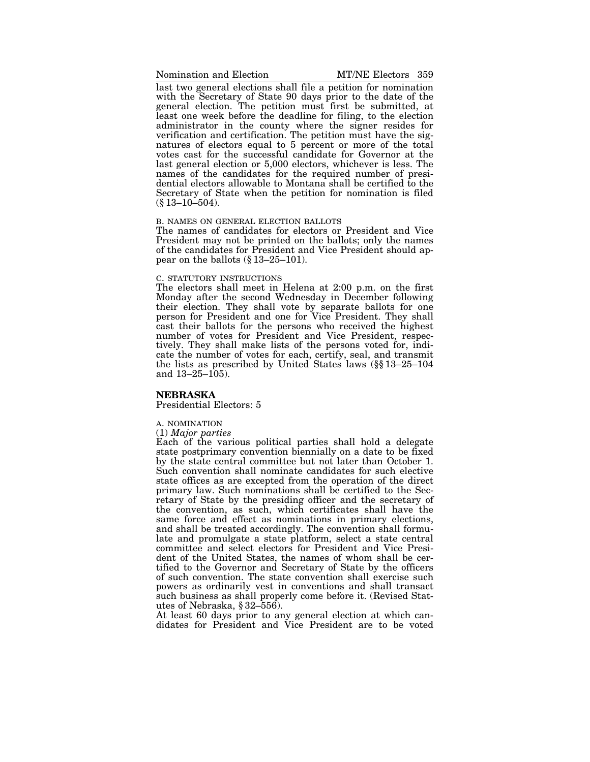Nomination and Election MT/NE Electors 359

last two general elections shall file a petition for nomination with the Secretary of State 90 days prior to the date of the general election. The petition must first be submitted, at least one week before the deadline for filing, to the election administrator in the county where the signer resides for verification and certification. The petition must have the signatures of electors equal to 5 percent or more of the total votes cast for the successful candidate for Governor at the last general election or 5,000 electors, whichever is less. The names of the candidates for the required number of presidential electors allowable to Montana shall be certified to the Secretary of State when the petition for nomination is filed  $(\$13-10-504).$ 

# B. NAMES ON GENERAL ELECTION BALLOTS

The names of candidates for electors or President and Vice President may not be printed on the ballots; only the names of the candidates for President and Vice President should appear on the ballots (§ 13–25–101).

#### C. STATUTORY INSTRUCTIONS

The electors shall meet in Helena at 2:00 p.m. on the first Monday after the second Wednesday in December following their election. They shall vote by separate ballots for one person for President and one for Vice President. They shall cast their ballots for the persons who received the highest number of votes for President and Vice President, respectively. They shall make lists of the persons voted for, indicate the number of votes for each, certify, seal, and transmit the lists as prescribed by United States laws (§§ 13–25–104 and 13–25–105).

### **NEBRASKA**

Presidential Electors: 5

A. NOMINATION

(1) *Major parties*

Each of the various political parties shall hold a delegate state postprimary convention biennially on a date to be fixed by the state central committee but not later than October 1. Such convention shall nominate candidates for such elective state offices as are excepted from the operation of the direct primary law. Such nominations shall be certified to the Secretary of State by the presiding officer and the secretary of the convention, as such, which certificates shall have the same force and effect as nominations in primary elections, and shall be treated accordingly. The convention shall formulate and promulgate a state platform, select a state central committee and select electors for President and Vice President of the United States, the names of whom shall be certified to the Governor and Secretary of State by the officers of such convention. The state convention shall exercise such powers as ordinarily vest in conventions and shall transact such business as shall properly come before it. (Revised Statutes of Nebraska, § 32–556).

At least 60 days prior to any general election at which candidates for President and Vice President are to be voted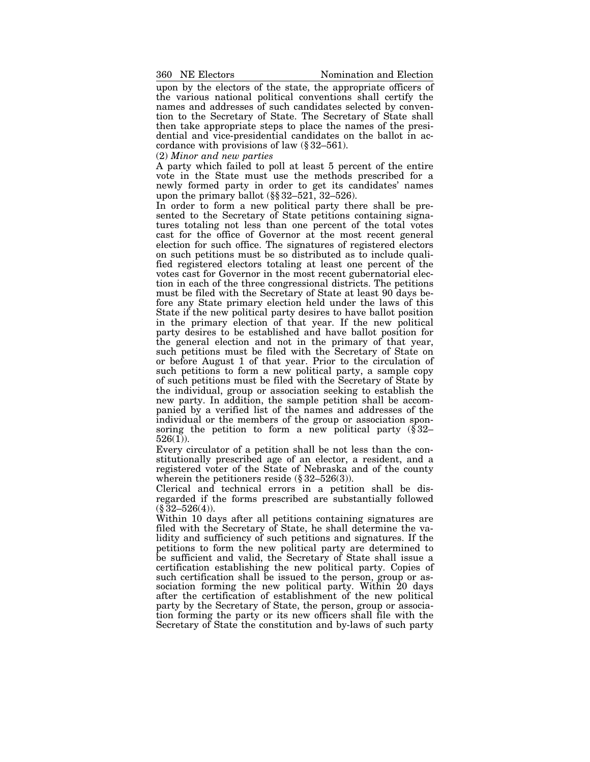360 NE Electors Nomination and Election

upon by the electors of the state, the appropriate officers of the various national political conventions shall certify the names and addresses of such candidates selected by convention to the Secretary of State. The Secretary of State shall then take appropriate steps to place the names of the presidential and vice-presidential candidates on the ballot in accordance with provisions of law (§ 32–561).

(2) *Minor and new parties*

A party which failed to poll at least 5 percent of the entire vote in the State must use the methods prescribed for a newly formed party in order to get its candidates' names upon the primary ballot (§§ 32–521, 32–526).

In order to form a new political party there shall be presented to the Secretary of State petitions containing signatures totaling not less than one percent of the total votes cast for the office of Governor at the most recent general election for such office. The signatures of registered electors on such petitions must be so distributed as to include qualified registered electors totaling at least one percent of the votes cast for Governor in the most recent gubernatorial election in each of the three congressional districts. The petitions must be filed with the Secretary of State at least 90 days before any State primary election held under the laws of this State if the new political party desires to have ballot position in the primary election of that year. If the new political party desires to be established and have ballot position for the general election and not in the primary of that year, such petitions must be filed with the Secretary of State on or before August 1 of that year. Prior to the circulation of such petitions to form a new political party, a sample copy of such petitions must be filed with the Secretary of State by the individual, group or association seeking to establish the new party. In addition, the sample petition shall be accompanied by a verified list of the names and addresses of the individual or the members of the group or association sponsoring the petition to form a new political party  $(\S 32 -$ 526(1)).

Every circulator of a petition shall be not less than the constitutionally prescribed age of an elector, a resident, and a registered voter of the State of Nebraska and of the county wherein the petitioners reside  $(\S 32 - 526(3))$ .

Clerical and technical errors in a petition shall be disregarded if the forms prescribed are substantially followed  $(\S$  32–526(4)).

Within 10 days after all petitions containing signatures are filed with the Secretary of State, he shall determine the validity and sufficiency of such petitions and signatures. If the petitions to form the new political party are determined to be sufficient and valid, the Secretary of State shall issue a certification establishing the new political party. Copies of such certification shall be issued to the person, group or association forming the new political party. Within 20 days after the certification of establishment of the new political party by the Secretary of State, the person, group or association forming the party or its new officers shall file with the Secretary of State the constitution and by-laws of such party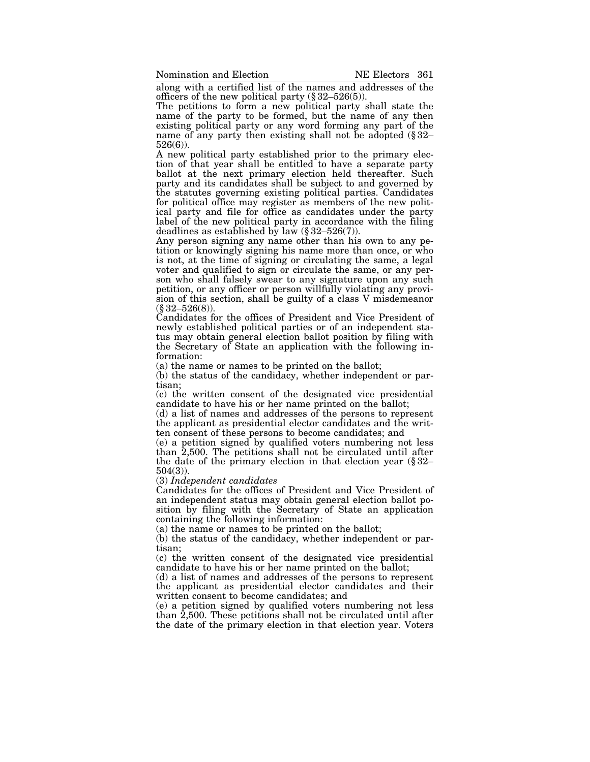along with a certified list of the names and addresses of the officers of the new political party  $(\S 32 - 526(5))$ .

The petitions to form a new political party shall state the name of the party to be formed, but the name of any then existing political party or any word forming any part of the name of any party then existing shall not be adopted (§ 32– 526(6)).

A new political party established prior to the primary election of that year shall be entitled to have a separate party ballot at the next primary election held thereafter. Such party and its candidates shall be subject to and governed by the statutes governing existing political parties. Candidates for political office may register as members of the new political party and file for office as candidates under the party label of the new political party in accordance with the filing deadlines as established by law  $(\S 32 - 526(7))$ .

Any person signing any name other than his own to any petition or knowingly signing his name more than once, or who is not, at the time of signing or circulating the same, a legal voter and qualified to sign or circulate the same, or any person who shall falsely swear to any signature upon any such petition, or any officer or person willfully violating any provision of this section, shall be guilty of a class V misdemeanor  $(\S 32 - 526(8))$ .

Candidates for the offices of President and Vice President of newly established political parties or of an independent status may obtain general election ballot position by filing with the Secretary of State an application with the following information:

(a) the name or names to be printed on the ballot;

(b) the status of the candidacy, whether independent or partisan;

(c) the written consent of the designated vice presidential candidate to have his or her name printed on the ballot;

(d) a list of names and addresses of the persons to represent the applicant as presidential elector candidates and the written consent of these persons to become candidates; and

(e) a petition signed by qualified voters numbering not less than 2,500. The petitions shall not be circulated until after the date of the primary election in that election year (§ 32– 504(3)).

(3) *Independent candidates*

Candidates for the offices of President and Vice President of an independent status may obtain general election ballot position by filing with the Secretary of State an application containing the following information:

(a) the name or names to be printed on the ballot;

(b) the status of the candidacy, whether independent or partisan;

(c) the written consent of the designated vice presidential candidate to have his or her name printed on the ballot;

(d) a list of names and addresses of the persons to represent the applicant as presidential elector candidates and their written consent to become candidates; and

(e) a petition signed by qualified voters numbering not less than 2,500. These petitions shall not be circulated until after the date of the primary election in that election year. Voters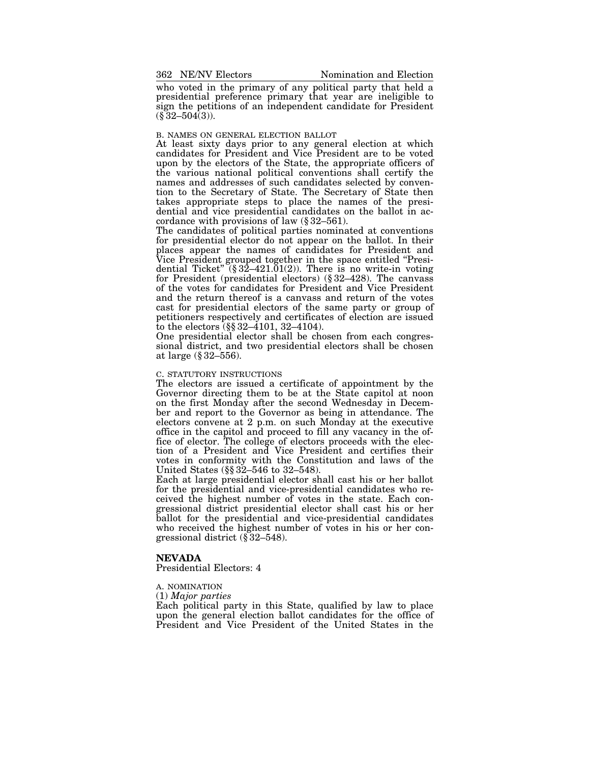who voted in the primary of any political party that held a presidential preference primary that year are ineligible to sign the petitions of an independent candidate for President  $(\S 32 - 504(3))$ .

### B. NAMES ON GENERAL ELECTION BALLOT

At least sixty days prior to any general election at which candidates for President and Vice President are to be voted upon by the electors of the State, the appropriate officers of the various national political conventions shall certify the names and addresses of such candidates selected by convention to the Secretary of State. The Secretary of State then takes appropriate steps to place the names of the presidential and vice presidential candidates on the ballot in accordance with provisions of law (§ 32–561).

The candidates of political parties nominated at conventions for presidential elector do not appear on the ballot. In their places appear the names of candidates for President and Vice President grouped together in the space entitled ''Presidential Ticket" ( $\S 32-421.01(2)$ ). There is no write-in voting for President (presidential electors) (§ 32–428). The canvass of the votes for candidates for President and Vice President and the return thereof is a canvass and return of the votes cast for presidential electors of the same party or group of petitioners respectively and certificates of election are issued to the electors (§§ 32–4101, 32–4104).

One presidential elector shall be chosen from each congressional district, and two presidential electors shall be chosen at large (§ 32–556).

### C. STATUTORY INSTRUCTIONS

The electors are issued a certificate of appointment by the Governor directing them to be at the State capitol at noon on the first Monday after the second Wednesday in December and report to the Governor as being in attendance. The electors convene at 2 p.m. on such Monday at the executive office in the capitol and proceed to fill any vacancy in the office of elector. The college of electors proceeds with the election of a President and Vice President and certifies their votes in conformity with the Constitution and laws of the United States (§§ 32–546 to 32–548).

Each at large presidential elector shall cast his or her ballot for the presidential and vice-presidential candidates who received the highest number of votes in the state. Each congressional district presidential elector shall cast his or her ballot for the presidential and vice-presidential candidates who received the highest number of votes in his or her congressional district (§ 32–548).

### **NEVADA**

Presidential Electors: 4

# A. NOMINATION

(1) *Major parties*

Each political party in this State, qualified by law to place upon the general election ballot candidates for the office of President and Vice President of the United States in the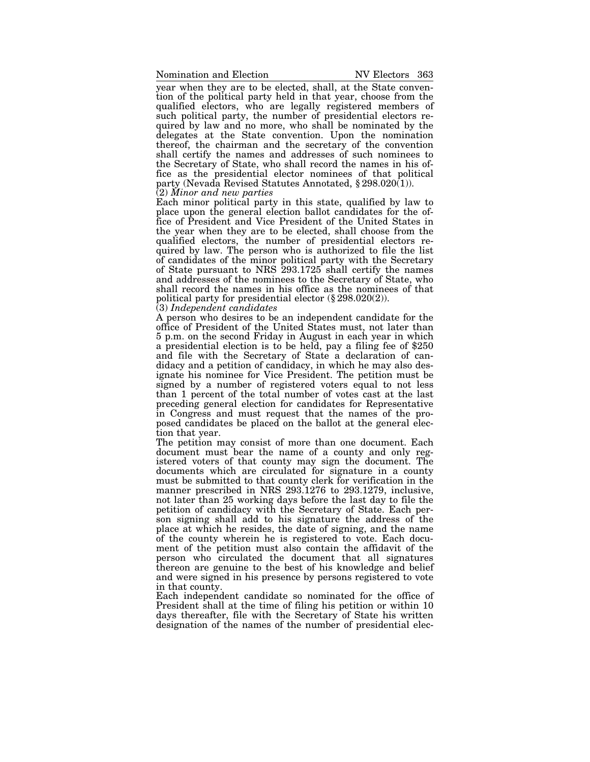Nomination and Election NV Electors 363

year when they are to be elected, shall, at the State convention of the political party held in that year, choose from the qualified electors, who are legally registered members of such political party, the number of presidential electors required by law and no more, who shall be nominated by the delegates at the State convention. Upon the nomination thereof, the chairman and the secretary of the convention shall certify the names and addresses of such nominees to the Secretary of State, who shall record the names in his office as the presidential elector nominees of that political party (Nevada Revised Statutes Annotated, § 298.020(1)).

# (2) *Minor and new parties*

Each minor political party in this state, qualified by law to place upon the general election ballot candidates for the office of President and Vice President of the United States in the year when they are to be elected, shall choose from the qualified electors, the number of presidential electors required by law. The person who is authorized to file the list of candidates of the minor political party with the Secretary of State pursuant to NRS 293.1725 shall certify the names and addresses of the nominees to the Secretary of State, who shall record the names in his office as the nominees of that political party for presidential elector (§ 298.020(2)).

# (3) *Independent candidates*

A person who desires to be an independent candidate for the office of President of the United States must, not later than 5 p.m. on the second Friday in August in each year in which a presidential election is to be held, pay a filing fee of \$250 and file with the Secretary of State a declaration of candidacy and a petition of candidacy, in which he may also designate his nominee for Vice President. The petition must be signed by a number of registered voters equal to not less than 1 percent of the total number of votes cast at the last preceding general election for candidates for Representative in Congress and must request that the names of the proposed candidates be placed on the ballot at the general election that year.

The petition may consist of more than one document. Each document must bear the name of a county and only registered voters of that county may sign the document. The documents which are circulated for signature in a county must be submitted to that county clerk for verification in the manner prescribed in NRS 293.1276 to 293.1279, inclusive, not later than 25 working days before the last day to file the petition of candidacy with the Secretary of State. Each person signing shall add to his signature the address of the place at which he resides, the date of signing, and the name of the county wherein he is registered to vote. Each document of the petition must also contain the affidavit of the person who circulated the document that all signatures thereon are genuine to the best of his knowledge and belief and were signed in his presence by persons registered to vote in that county.

Each independent candidate so nominated for the office of President shall at the time of filing his petition or within 10 days thereafter, file with the Secretary of State his written designation of the names of the number of presidential elec-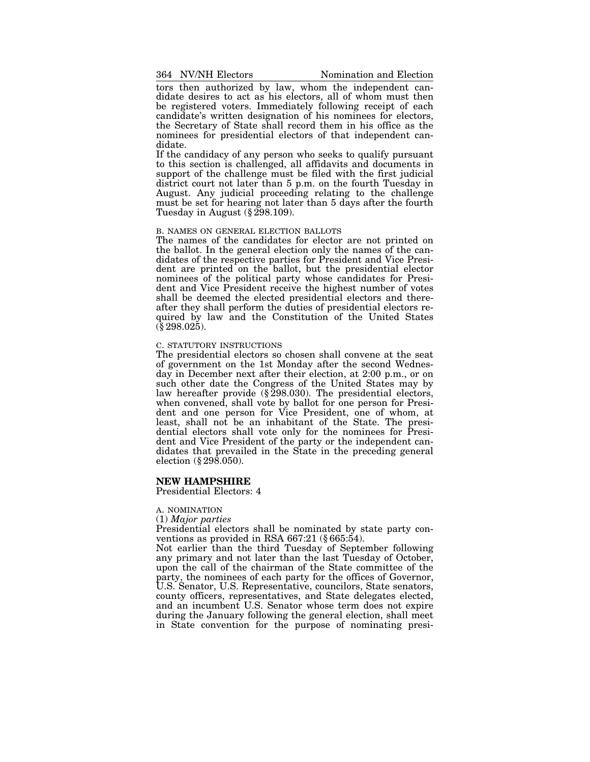364 NV/NH Electors Nomination and Election

tors then authorized by law, whom the independent candidate desires to act as his electors, all of whom must then be registered voters. Immediately following receipt of each candidate's written designation of his nominees for electors, the Secretary of State shall record them in his office as the nominees for presidential electors of that independent candidate.

If the candidacy of any person who seeks to qualify pursuant to this section is challenged, all affidavits and documents in support of the challenge must be filed with the first judicial district court not later than 5 p.m. on the fourth Tuesday in August. Any judicial proceeding relating to the challenge must be set for hearing not later than 5 days after the fourth Tuesday in August (§ 298.109).

### B. NAMES ON GENERAL ELECTION BALLOTS

The names of the candidates for elector are not printed on the ballot. In the general election only the names of the candidates of the respective parties for President and Vice President are printed on the ballot, but the presidential elector nominees of the political party whose candidates for President and Vice President receive the highest number of votes shall be deemed the elected presidential electors and thereafter they shall perform the duties of presidential electors required by law and the Constitution of the United States  $(§ 298.025).$ 

## C. STATUTORY INSTRUCTIONS

The presidential electors so chosen shall convene at the seat of government on the 1st Monday after the second Wednesday in December next after their election, at 2:00 p.m., or on such other date the Congress of the United States may by law hereafter provide (§ 298.030). The presidential electors, when convened, shall vote by ballot for one person for President and one person for Vice President, one of whom, at least, shall not be an inhabitant of the State. The presidential electors shall vote only for the nominees for President and Vice President of the party or the independent candidates that prevailed in the State in the preceding general election  $(\S 29\overline{\S 0.050})$ .

## **NEW HAMPSHIRE**

Presidential Electors: 4

#### A. NOMINATION

(1) *Major parties*

Presidential electors shall be nominated by state party conventions as provided in RSA 667:21 (§ 665:54).

Not earlier than the third Tuesday of September following any primary and not later than the last Tuesday of October, upon the call of the chairman of the State committee of the party, the nominees of each party for the offices of Governor, U.S. Senator, U.S. Representative, councilors, State senators, county officers, representatives, and State delegates elected, and an incumbent U.S. Senator whose term does not expire during the January following the general election, shall meet in State convention for the purpose of nominating presi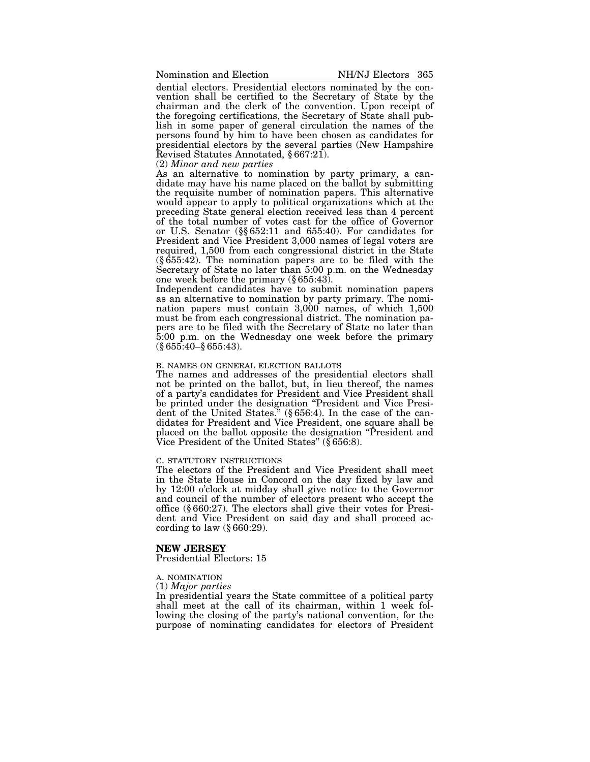Nomination and Election NH/NJ Electors 365

dential electors. Presidential electors nominated by the convention shall be certified to the Secretary of State by the chairman and the clerk of the convention. Upon receipt of the foregoing certifications, the Secretary of State shall publish in some paper of general circulation the names of the persons found by him to have been chosen as candidates for presidential electors by the several parties (New Hampshire Revised Statutes Annotated, § 667:21).

(2) *Minor and new parties*

As an alternative to nomination by party primary, a candidate may have his name placed on the ballot by submitting the requisite number of nomination papers. This alternative would appear to apply to political organizations which at the preceding State general election received less than 4 percent of the total number of votes cast for the office of Governor or U.S. Senator (§§ 652:11 and 655:40). For candidates for President and Vice President 3,000 names of legal voters are required, 1,500 from each congressional district in the State (§ 655:42). The nomination papers are to be filed with the Secretary of State no later than 5:00 p.m. on the Wednesday one week before the primary (§ 655:43).

Independent candidates have to submit nomination papers as an alternative to nomination by party primary. The nomination papers must contain 3,000 names, of which 1,500 must be from each congressional district. The nomination papers are to be filed with the Secretary of State no later than 5:00 p.m. on the Wednesday one week before the primary (§ 655:40–§ 655:43).

## B. NAMES ON GENERAL ELECTION BALLOTS

The names and addresses of the presidential electors shall not be printed on the ballot, but, in lieu thereof, the names of a party's candidates for President and Vice President shall be printed under the designation ''President and Vice President of the United States.'' (§ 656:4). In the case of the candidates for President and Vice President, one square shall be placed on the ballot opposite the designation ''President and Vice President of the United States" ( $\S 656:8$ ).

# C. STATUTORY INSTRUCTIONS

The electors of the President and Vice President shall meet in the State House in Concord on the day fixed by law and by 12:00 o'clock at midday shall give notice to the Governor and council of the number of electors present who accept the office (§ 660:27). The electors shall give their votes for President and Vice President on said day and shall proceed according to law  $(\S 660:29)$ .

### **NEW JERSEY**

Presidential Electors: 15

# A. NOMINATION

(1) *Major parties*

In presidential years the State committee of a political party shall meet at the call of its chairman, within 1 week following the closing of the party's national convention, for the purpose of nominating candidates for electors of President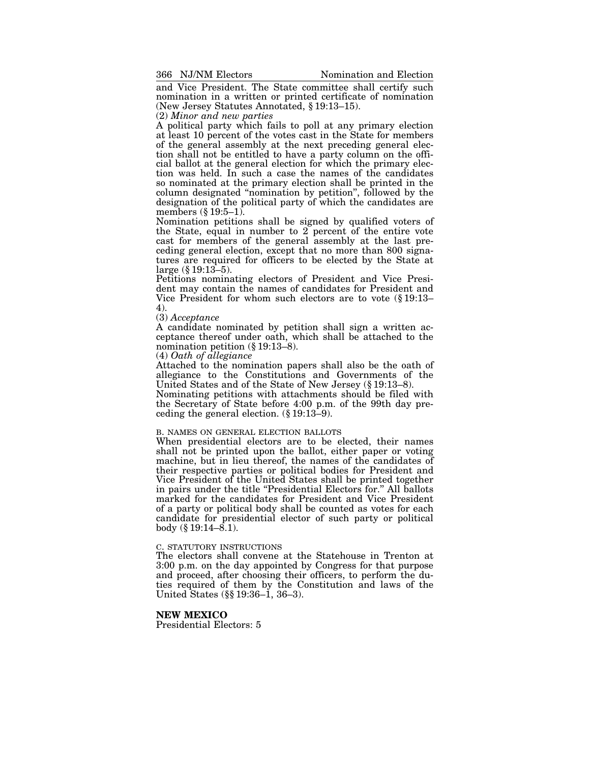and Vice President. The State committee shall certify such nomination in a written or printed certificate of nomination (New Jersey Statutes Annotated, § 19:13–15).

(2) *Minor and new parties*

A political party which fails to poll at any primary election at least 10 percent of the votes cast in the State for members of the general assembly at the next preceding general election shall not be entitled to have a party column on the official ballot at the general election for which the primary election was held. In such a case the names of the candidates so nominated at the primary election shall be printed in the column designated ''nomination by petition'', followed by the designation of the political party of which the candidates are members (§ 19:5–1).

Nomination petitions shall be signed by qualified voters of the State, equal in number to 2 percent of the entire vote cast for members of the general assembly at the last preceding general election, except that no more than 800 signatures are required for officers to be elected by the State at large (§ 19:13–5).

Petitions nominating electors of President and Vice President may contain the names of candidates for President and Vice President for whom such electors are to vote (§ 19:13– 4).

# (3) *Acceptance*

A candidate nominated by petition shall sign a written acceptance thereof under oath, which shall be attached to the nomination petition (§ 19:13–8).

(4) *Oath of allegiance*

Attached to the nomination papers shall also be the oath of allegiance to the Constitutions and Governments of the United States and of the State of New Jersey (§ 19:13–8).

Nominating petitions with attachments should be filed with the Secretary of State before 4:00 p.m. of the 99th day preceding the general election. (§ 19:13–9).

### B. NAMES ON GENERAL ELECTION BALLOTS

When presidential electors are to be elected, their names shall not be printed upon the ballot, either paper or voting machine, but in lieu thereof, the names of the candidates of their respective parties or political bodies for President and Vice President of the United States shall be printed together in pairs under the title "Presidential Electors for." All ballots marked for the candidates for President and Vice President of a party or political body shall be counted as votes for each candidate for presidential elector of such party or political body (§ 19:14–8.1).

# C. STATUTORY INSTRUCTIONS

The electors shall convene at the Statehouse in Trenton at 3:00 p.m. on the day appointed by Congress for that purpose and proceed, after choosing their officers, to perform the duties required of them by the Constitution and laws of the United States (§§ 19:36–1, 36–3).

# **NEW MEXICO**

Presidential Electors: 5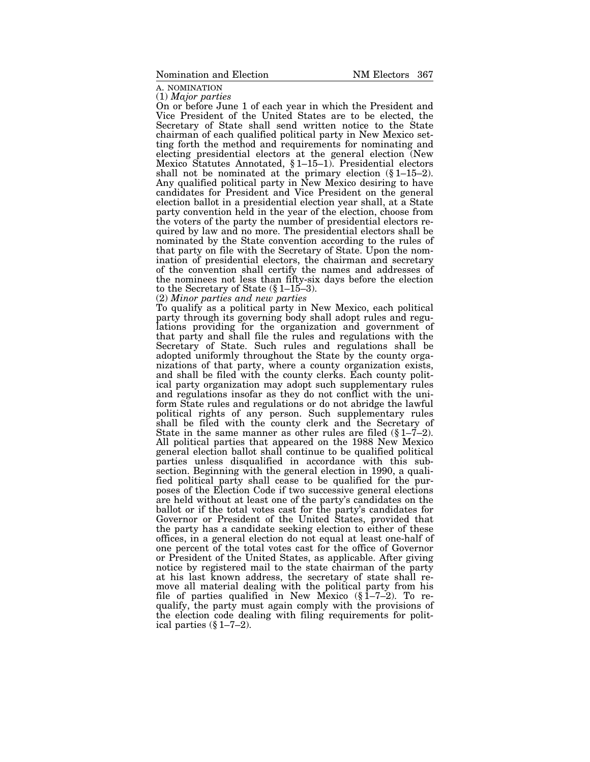A. NOMINATION (1) *Major parties*

On or before June 1 of each year in which the President and Vice President of the United States are to be elected, the Secretary of State shall send written notice to the State chairman of each qualified political party in New Mexico setting forth the method and requirements for nominating and electing presidential electors at the general election (New Mexico Statutes Annotated, § 1–15–1). Presidential electors shall not be nominated at the primary election (§ 1–15–2). Any qualified political party in New Mexico desiring to have candidates for President and Vice President on the general election ballot in a presidential election year shall, at a State party convention held in the year of the election, choose from the voters of the party the number of presidential electors required by law and no more. The presidential electors shall be nominated by the State convention according to the rules of that party on file with the Secretary of State. Upon the nomination of presidential electors, the chairman and secretary of the convention shall certify the names and addresses of the nominees not less than fifty-six days before the election to the Secretary of State (§ 1–15–3).

(2) *Minor parties and new parties*

To qualify as a political party in New Mexico, each political party through its governing body shall adopt rules and regulations providing for the organization and government of that party and shall file the rules and regulations with the Secretary of State. Such rules and regulations shall be adopted uniformly throughout the State by the county organizations of that party, where a county organization exists, and shall be filed with the county clerks. Each county political party organization may adopt such supplementary rules and regulations insofar as they do not conflict with the uniform State rules and regulations or do not abridge the lawful political rights of any person. Such supplementary rules shall be filed with the county clerk and the Secretary of State in the same manner as other rules are filed  $(\S 1-\overline{7}-2)$ . All political parties that appeared on the 1988 New Mexico general election ballot shall continue to be qualified political parties unless disqualified in accordance with this subsection. Beginning with the general election in 1990, a qualified political party shall cease to be qualified for the purposes of the Election Code if two successive general elections are held without at least one of the party's candidates on the ballot or if the total votes cast for the party's candidates for Governor or President of the United States, provided that the party has a candidate seeking election to either of these offices, in a general election do not equal at least one-half of one percent of the total votes cast for the office of Governor or President of the United States, as applicable. After giving notice by registered mail to the state chairman of the party at his last known address, the secretary of state shall remove all material dealing with the political party from his file of parties qualified in New Mexico  $(\S$ 1–7–2). To requalify, the party must again comply with the provisions of the election code dealing with filing requirements for political parties  $(\S 1 - 7 - 2)$ .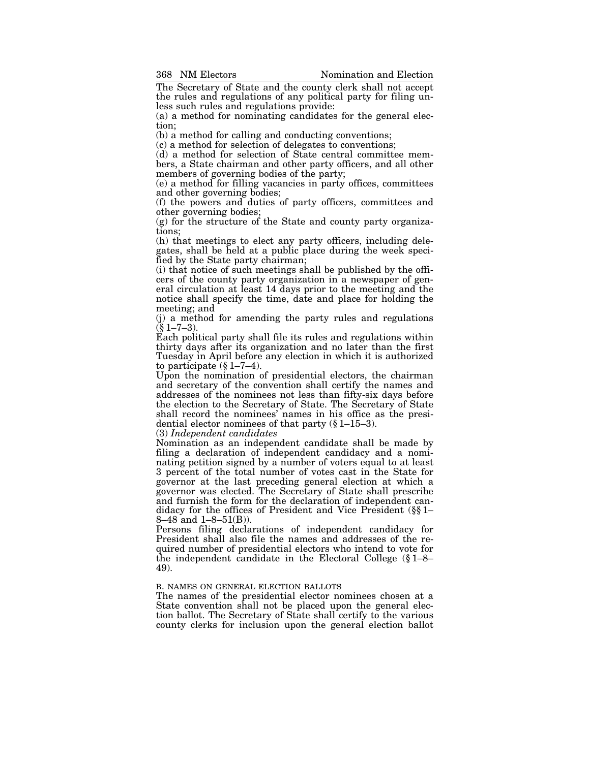The Secretary of State and the county clerk shall not accept the rules and regulations of any political party for filing unless such rules and regulations provide:

(a) a method for nominating candidates for the general election;

(b) a method for calling and conducting conventions;

(c) a method for selection of delegates to conventions;

(d) a method for selection of State central committee members, a State chairman and other party officers, and all other members of governing bodies of the party;

(e) a method for filling vacancies in party offices, committees and other governing bodies;

(f) the powers and duties of party officers, committees and other governing bodies;

(g) for the structure of the State and county party organizations;

(h) that meetings to elect any party officers, including delegates, shall be held at a public place during the week specified by the State party chairman;

(i) that notice of such meetings shall be published by the officers of the county party organization in a newspaper of general circulation at least 14 days prior to the meeting and the notice shall specify the time, date and place for holding the meeting; and

(j) a method for amending the party rules and regulations  $(§ 1 - 7 - 3).$ 

Each political party shall file its rules and regulations within thirty days after its organization and no later than the first Tuesday in April before any election in which it is authorized to participate  $(\S 1 - 7 - 4)$ .

Upon the nomination of presidential electors, the chairman and secretary of the convention shall certify the names and addresses of the nominees not less than fifty-six days before the election to the Secretary of State. The Secretary of State shall record the nominees' names in his office as the presidential elector nominees of that party (§ 1–15–3).

(3) *Independent candidates*

Nomination as an independent candidate shall be made by filing a declaration of independent candidacy and a nominating petition signed by a number of voters equal to at least 3 percent of the total number of votes cast in the State for governor at the last preceding general election at which a governor was elected. The Secretary of State shall prescribe and furnish the form for the declaration of independent candidacy for the offices of President and Vice President (§§ 1– 8–48 and 1–8–51(B)).

Persons filing declarations of independent candidacy for President shall also file the names and addresses of the required number of presidential electors who intend to vote for the independent candidate in the Electoral College (§ 1–8– 49).

# B. NAMES ON GENERAL ELECTION BALLOTS

The names of the presidential elector nominees chosen at a State convention shall not be placed upon the general election ballot. The Secretary of State shall certify to the various county clerks for inclusion upon the general election ballot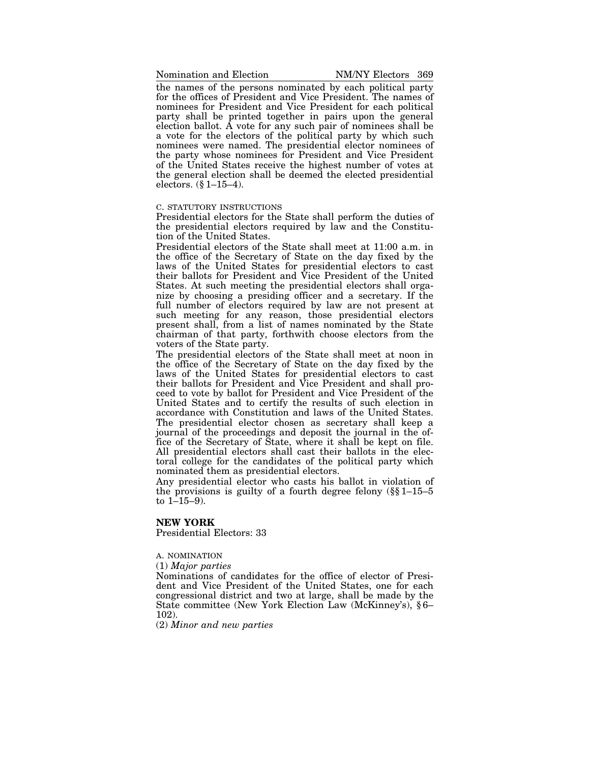Nomination and Election NM/NY Electors 369

the names of the persons nominated by each political party for the offices of President and Vice President. The names of nominees for President and Vice President for each political party shall be printed together in pairs upon the general election ballot. A vote for any such pair of nominees shall be a vote for the electors of the political party by which such nominees were named. The presidential elector nominees of the party whose nominees for President and Vice President of the United States receive the highest number of votes at the general election shall be deemed the elected presidential electors. (§ 1–15–4).

# C. STATUTORY INSTRUCTIONS

Presidential electors for the State shall perform the duties of the presidential electors required by law and the Constitution of the United States.

Presidential electors of the State shall meet at 11:00 a.m. in the office of the Secretary of State on the day fixed by the laws of the United States for presidential electors to cast their ballots for President and Vice President of the United States. At such meeting the presidential electors shall organize by choosing a presiding officer and a secretary. If the full number of electors required by law are not present at such meeting for any reason, those presidential electors present shall, from a list of names nominated by the State chairman of that party, forthwith choose electors from the voters of the State party.

The presidential electors of the State shall meet at noon in the office of the Secretary of State on the day fixed by the laws of the United States for presidential electors to cast their ballots for President and Vice President and shall proceed to vote by ballot for President and Vice President of the United States and to certify the results of such election in accordance with Constitution and laws of the United States. The presidential elector chosen as secretary shall keep a journal of the proceedings and deposit the journal in the office of the Secretary of State, where it shall be kept on file. All presidential electors shall cast their ballots in the electoral college for the candidates of the political party which nominated them as presidential electors.

Any presidential elector who casts his ballot in violation of the provisions is guilty of a fourth degree felony  $(\S \S 1 - 15 - 5$ to  $1 - 15 - 9$ ).

# **NEW YORK**

Presidential Electors: 33

# A. NOMINATION

(1) *Major parties*

Nominations of candidates for the office of elector of President and Vice President of the United States, one for each congressional district and two at large, shall be made by the State committee (New York Election Law (McKinney's), § 6– 102).

(2) *Minor and new parties*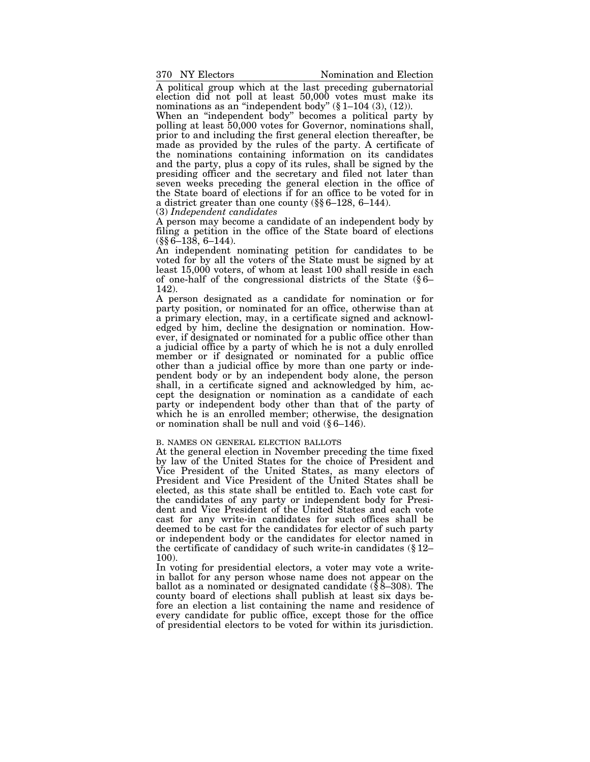A political group which at the last preceding gubernatorial election did not poll at least 50,000 votes must make its nominations as an ''independent body'' (§ 1–104 (3), (12)).

When an ''independent body'' becomes a political party by polling at least 50,000 votes for Governor, nominations shall, prior to and including the first general election thereafter, be made as provided by the rules of the party. A certificate of the nominations containing information on its candidates and the party, plus a copy of its rules, shall be signed by the presiding officer and the secretary and filed not later than seven weeks preceding the general election in the office of the State board of elections if for an office to be voted for in a district greater than one county (§§ 6–128, 6–144).

(3) *Independent candidates*

A person may become a candidate of an independent body by filing a petition in the office of the State board of elections  $(\$§ 6-138, 6-144)$ .

An independent nominating petition for candidates to be voted for by all the voters of the State must be signed by at least 15,000 voters, of whom at least 100 shall reside in each of one-half of the congressional districts of the State  $(\S 6-$ 142).

A person designated as a candidate for nomination or for party position, or nominated for an office, otherwise than at a primary election, may, in a certificate signed and acknowledged by him, decline the designation or nomination. However, if designated or nominated for a public office other than a judicial office by a party of which he is not a duly enrolled member or if designated or nominated for a public office other than a judicial office by more than one party or independent body or by an independent body alone, the person shall, in a certificate signed and acknowledged by him, accept the designation or nomination as a candidate of each party or independent body other than that of the party of which he is an enrolled member; otherwise, the designation or nomination shall be null and void  $(\S 6-146)$ .

#### B. NAMES ON GENERAL ELECTION BALLOTS

At the general election in November preceding the time fixed by law of the United States for the choice of President and Vice President of the United States, as many electors of President and Vice President of the United States shall be elected, as this state shall be entitled to. Each vote cast for the candidates of any party or independent body for President and Vice President of the United States and each vote cast for any write-in candidates for such offices shall be deemed to be cast for the candidates for elector of such party or independent body or the candidates for elector named in the certificate of candidacy of such write-in candidates (§ 12– 100).

In voting for presidential electors, a voter may vote a writein ballot for any person whose name does not appear on the ballot as a nominated or designated candidate  $(\bar{\S}$ 8–308). The county board of elections shall publish at least six days before an election a list containing the name and residence of every candidate for public office, except those for the office of presidential electors to be voted for within its jurisdiction.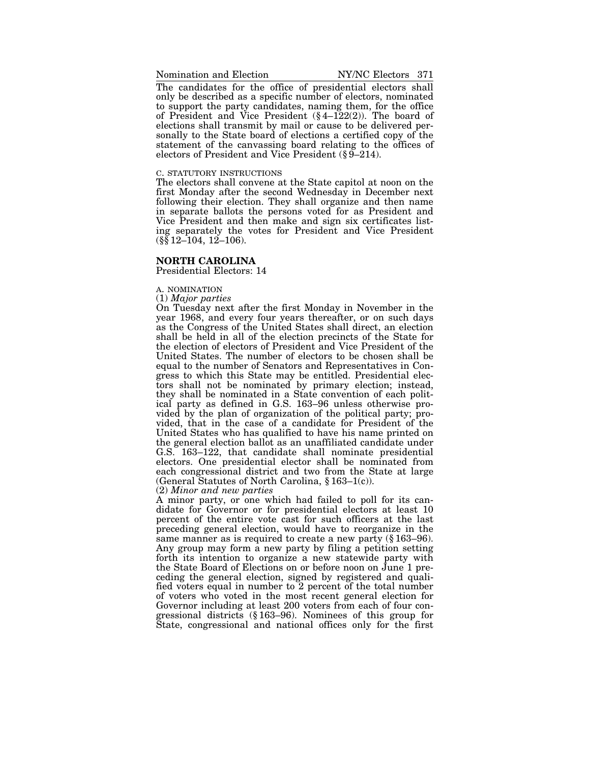Nomination and Election NY/NC Electors 371

The candidates for the office of presidential electors shall only be described as a specific number of electors, nominated to support the party candidates, naming them, for the office of President and Vice President (§ 4–122(2)). The board of elections shall transmit by mail or cause to be delivered personally to the State board of elections a certified copy of the statement of the canvassing board relating to the offices of electors of President and Vice President  $(\S 9-214)$ .

# C. STATUTORY INSTRUCTIONS

The electors shall convene at the State capitol at noon on the first Monday after the second Wednesday in December next following their election. They shall organize and then name in separate ballots the persons voted for as President and Vice President and then make and sign six certificates listing separately the votes for President and Vice President (§§ 12–104, 12–106).

## **NORTH CAROLINA**

Presidential Electors: 14

A. NOMINATION

(1) *Major parties*

On Tuesday next after the first Monday in November in the year 1968, and every four years thereafter, or on such days as the Congress of the United States shall direct, an election shall be held in all of the election precincts of the State for the election of electors of President and Vice President of the United States. The number of electors to be chosen shall be equal to the number of Senators and Representatives in Congress to which this State may be entitled. Presidential electors shall not be nominated by primary election; instead, they shall be nominated in a State convention of each political party as defined in G.S. 163–96 unless otherwise provided by the plan of organization of the political party; provided, that in the case of a candidate for President of the United States who has qualified to have his name printed on the general election ballot as an unaffiliated candidate under G.S. 163–122, that candidate shall nominate presidential electors. One presidential elector shall be nominated from each congressional district and two from the State at large (General Statutes of North Carolina, § 163–1(c)).

(2) *Minor and new parties*

A minor party, or one which had failed to poll for its candidate for Governor or for presidential electors at least 10 percent of the entire vote cast for such officers at the last preceding general election, would have to reorganize in the same manner as is required to create a new party (§163-96). Any group may form a new party by filing a petition setting forth its intention to organize a new statewide party with the State Board of Elections on or before noon on June 1 preceding the general election, signed by registered and qualified voters equal in number to 2 percent of the total number of voters who voted in the most recent general election for Governor including at least 200 voters from each of four congressional districts (§ 163–96). Nominees of this group for State, congressional and national offices only for the first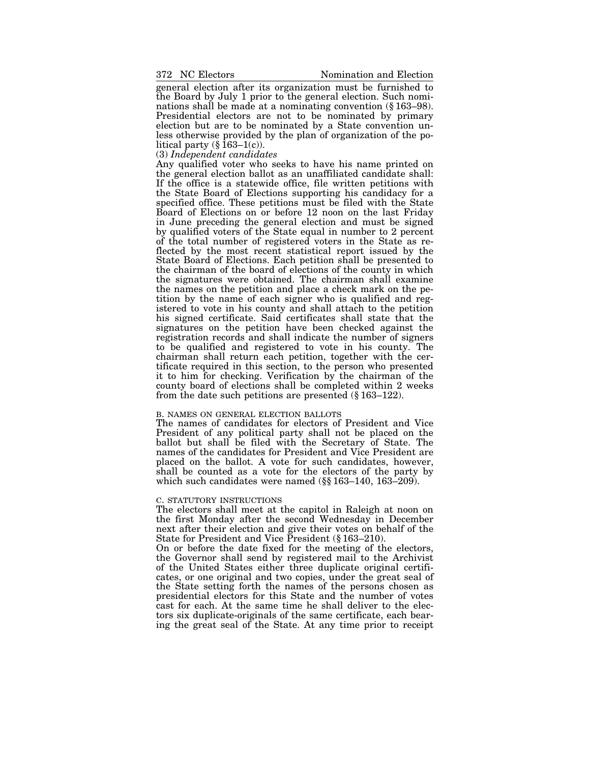372 NC Electors Nomination and Election

general election after its organization must be furnished to the Board by July 1 prior to the general election. Such nominations shall be made at a nominating convention (§ 163–98). Presidential electors are not to be nominated by primary election but are to be nominated by a State convention unless otherwise provided by the plan of organization of the political party  $(\S 163-1(c))$ .

(3) *Independent candidates*

Any qualified voter who seeks to have his name printed on the general election ballot as an unaffiliated candidate shall: If the office is a statewide office, file written petitions with the State Board of Elections supporting his candidacy for a specified office. These petitions must be filed with the State Board of Elections on or before 12 noon on the last Friday in June preceding the general election and must be signed by qualified voters of the State equal in number to 2 percent of the total number of registered voters in the State as reflected by the most recent statistical report issued by the State Board of Elections. Each petition shall be presented to the chairman of the board of elections of the county in which the signatures were obtained. The chairman shall examine the names on the petition and place a check mark on the petition by the name of each signer who is qualified and registered to vote in his county and shall attach to the petition his signed certificate. Said certificates shall state that the signatures on the petition have been checked against the registration records and shall indicate the number of signers to be qualified and registered to vote in his county. The chairman shall return each petition, together with the certificate required in this section, to the person who presented it to him for checking. Verification by the chairman of the county board of elections shall be completed within 2 weeks from the date such petitions are presented (§ 163–122).

### B. NAMES ON GENERAL ELECTION BALLOTS

The names of candidates for electors of President and Vice President of any political party shall not be placed on the ballot but shall be filed with the Secretary of State. The names of the candidates for President and Vice President are placed on the ballot. A vote for such candidates, however, shall be counted as a vote for the electors of the party by which such candidates were named (§§ 163–140, 163–209).

#### C. STATUTORY INSTRUCTIONS

The electors shall meet at the capitol in Raleigh at noon on the first Monday after the second Wednesday in December next after their election and give their votes on behalf of the State for President and Vice President (§ 163–210).

On or before the date fixed for the meeting of the electors, the Governor shall send by registered mail to the Archivist of the United States either three duplicate original certificates, or one original and two copies, under the great seal of the State setting forth the names of the persons chosen as presidential electors for this State and the number of votes cast for each. At the same time he shall deliver to the electors six duplicate-originals of the same certificate, each bearing the great seal of the State. At any time prior to receipt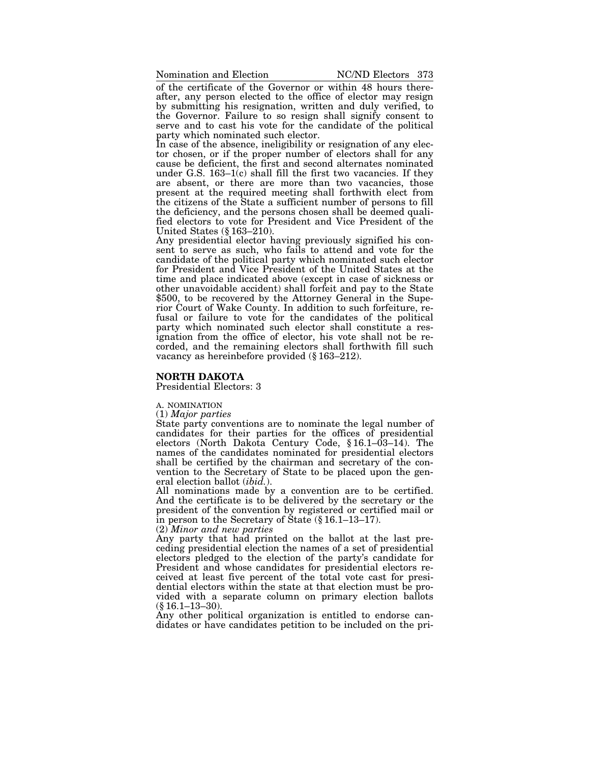Nomination and Election NC/ND Electors 373

of the certificate of the Governor or within 48 hours thereafter, any person elected to the office of elector may resign by submitting his resignation, written and duly verified, to the Governor. Failure to so resign shall signify consent to serve and to cast his vote for the candidate of the political party which nominated such elector.

In case of the absence, ineligibility or resignation of any elector chosen, or if the proper number of electors shall for any cause be deficient, the first and second alternates nominated under G.S.  $163-1(c)$  shall fill the first two vacancies. If they are absent, or there are more than two vacancies, those present at the required meeting shall forthwith elect from the citizens of the State a sufficient number of persons to fill the deficiency, and the persons chosen shall be deemed qualified electors to vote for President and Vice President of the United States (§ 163–210).

Any presidential elector having previously signified his consent to serve as such, who fails to attend and vote for the candidate of the political party which nominated such elector for President and Vice President of the United States at the time and place indicated above (except in case of sickness or other unavoidable accident) shall forfeit and pay to the State \$500, to be recovered by the Attorney General in the Superior Court of Wake County. In addition to such forfeiture, refusal or failure to vote for the candidates of the political party which nominated such elector shall constitute a resignation from the office of elector, his vote shall not be recorded, and the remaining electors shall forthwith fill such vacancy as hereinbefore provided (§ 163–212).

# **NORTH DAKOTA**

Presidential Electors: 3

A. NOMINATION

(1) *Major parties*

State party conventions are to nominate the legal number of candidates for their parties for the offices of presidential electors (North Dakota Century Code, § 16.1–03–14). The names of the candidates nominated for presidential electors shall be certified by the chairman and secretary of the convention to the Secretary of State to be placed upon the general election ballot (*ibid.*).

All nominations made by a convention are to be certified. And the certificate is to be delivered by the secretary or the president of the convention by registered or certified mail or in person to the Secretary of State (§ 16.1–13–17).

(2) *Minor and new parties*

Any party that had printed on the ballot at the last preceding presidential election the names of a set of presidential electors pledged to the election of the party's candidate for President and whose candidates for presidential electors received at least five percent of the total vote cast for presidential electors within the state at that election must be provided with a separate column on primary election ballots (§ 16.1–13–30).

Any other political organization is entitled to endorse candidates or have candidates petition to be included on the pri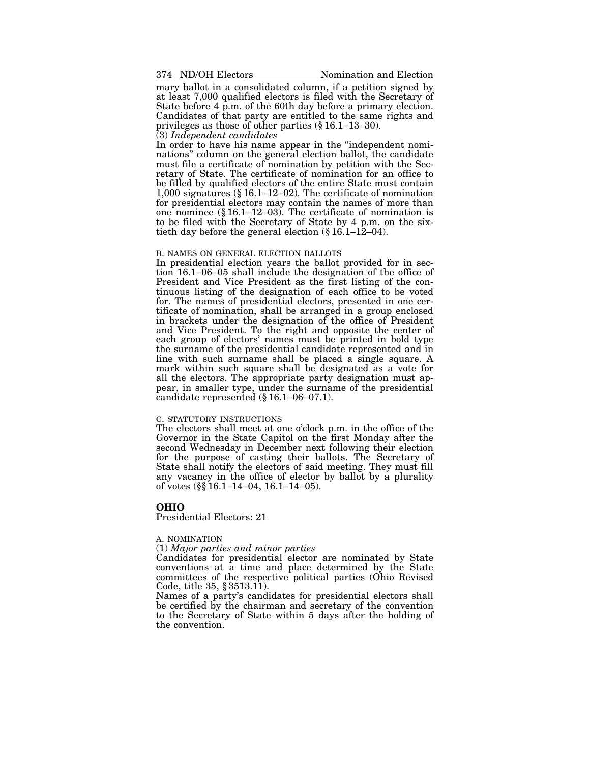mary ballot in a consolidated column, if a petition signed by at least 7,000 qualified electors is filed with the Secretary of State before 4 p.m. of the 60th day before a primary election. Candidates of that party are entitled to the same rights and privileges as those of other parties (§ 16.1–13–30).

(3) *Independent candidates*

In order to have his name appear in the "independent nominations'' column on the general election ballot, the candidate must file a certificate of nomination by petition with the Secretary of State. The certificate of nomination for an office to be filled by qualified electors of the entire State must contain 1,000 signatures (§ 16.1–12–02). The certificate of nomination for presidential electors may contain the names of more than one nominee  $(\S 16.1 - 12 - 03)$ . The certificate of nomination is to be filed with the Secretary of State by 4 p.m. on the sixtieth day before the general election  $(\S 16.1 - 12 - 04)$ .

### B. NAMES ON GENERAL ELECTION BALLOTS

In presidential election years the ballot provided for in section 16.1–06–05 shall include the designation of the office of President and Vice President as the first listing of the continuous listing of the designation of each office to be voted for. The names of presidential electors, presented in one certificate of nomination, shall be arranged in a group enclosed in brackets under the designation of the office of President and Vice President. To the right and opposite the center of each group of electors' names must be printed in bold type the surname of the presidential candidate represented and in line with such surname shall be placed a single square. A mark within such square shall be designated as a vote for all the electors. The appropriate party designation must appear, in smaller type, under the surname of the presidential candidate represented (§ 16.1–06–07.1).

### C. STATUTORY INSTRUCTIONS

The electors shall meet at one o'clock p.m. in the office of the Governor in the State Capitol on the first Monday after the second Wednesday in December next following their election for the purpose of casting their ballots. The Secretary of State shall notify the electors of said meeting. They must fill any vacancy in the office of elector by ballot by a plurality of votes  $(\S\\S 16.1 - 14 - 04, 16.1 - 14 - 05)$ .

### **OHIO**

Presidential Electors: 21

# A. NOMINATION

(1) *Major parties and minor parties*

Candidates for presidential elector are nominated by State conventions at a time and place determined by the State committees of the respective political parties (Ohio Revised Code, title 35, § 3513.11).

Names of a party's candidates for presidential electors shall be certified by the chairman and secretary of the convention to the Secretary of State within 5 days after the holding of the convention.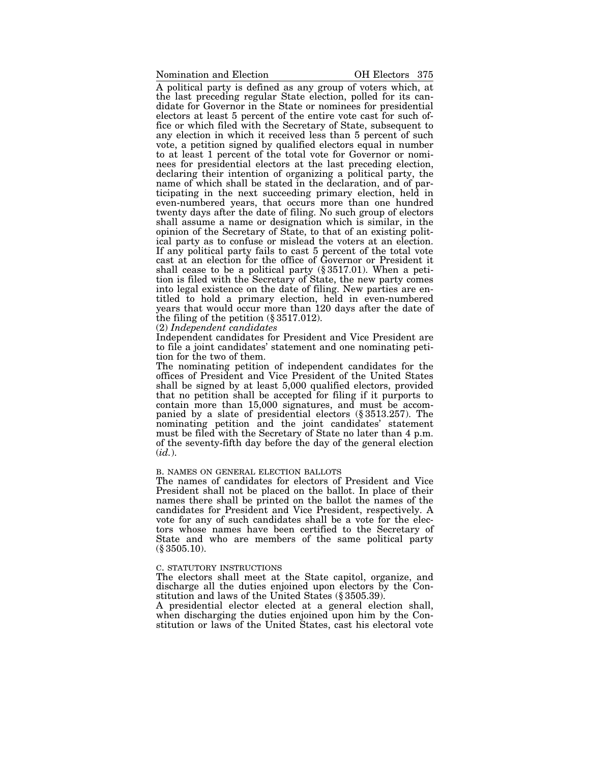Nomination and Election OH Electors 375

A political party is defined as any group of voters which, at the last preceding regular State election, polled for its candidate for Governor in the State or nominees for presidential electors at least 5 percent of the entire vote cast for such office or which filed with the Secretary of State, subsequent to any election in which it received less than 5 percent of such vote, a petition signed by qualified electors equal in number to at least 1 percent of the total vote for Governor or nominees for presidential electors at the last preceding election, declaring their intention of organizing a political party, the name of which shall be stated in the declaration, and of participating in the next succeeding primary election, held in even-numbered years, that occurs more than one hundred twenty days after the date of filing. No such group of electors shall assume a name or designation which is similar, in the opinion of the Secretary of State, to that of an existing political party as to confuse or mislead the voters at an election. If any political party fails to cast 5 percent of the total vote cast at an election for the office of Governor or President it shall cease to be a political party (§ 3517.01). When a petition is filed with the Secretary of State, the new party comes into legal existence on the date of filing. New parties are entitled to hold a primary election, held in even-numbered years that would occur more than 120 days after the date of the filing of the petition (§ 3517.012).

(2) *Independent candidates*

Independent candidates for President and Vice President are to file a joint candidates' statement and one nominating petition for the two of them.

The nominating petition of independent candidates for the offices of President and Vice President of the United States shall be signed by at least 5,000 qualified electors, provided that no petition shall be accepted for filing if it purports to contain more than 15,000 signatures, and must be accompanied by a slate of presidential electors (§ 3513.257). The nominating petition and the joint candidates' statement must be filed with the Secretary of State no later than 4 p.m. of the seventy-fifth day before the day of the general election (*id.*).

## B. NAMES ON GENERAL ELECTION BALLOTS

The names of candidates for electors of President and Vice President shall not be placed on the ballot. In place of their names there shall be printed on the ballot the names of the candidates for President and Vice President, respectively. A vote for any of such candidates shall be a vote for the electors whose names have been certified to the Secretary of State and who are members of the same political party  $(\$3505.10).$ 

### C. STATUTORY INSTRUCTIONS

The electors shall meet at the State capitol, organize, and discharge all the duties enjoined upon electors by the Constitution and laws of the United States (§ 3505.39).

A presidential elector elected at a general election shall, when discharging the duties enjoined upon him by the Constitution or laws of the United States, cast his electoral vote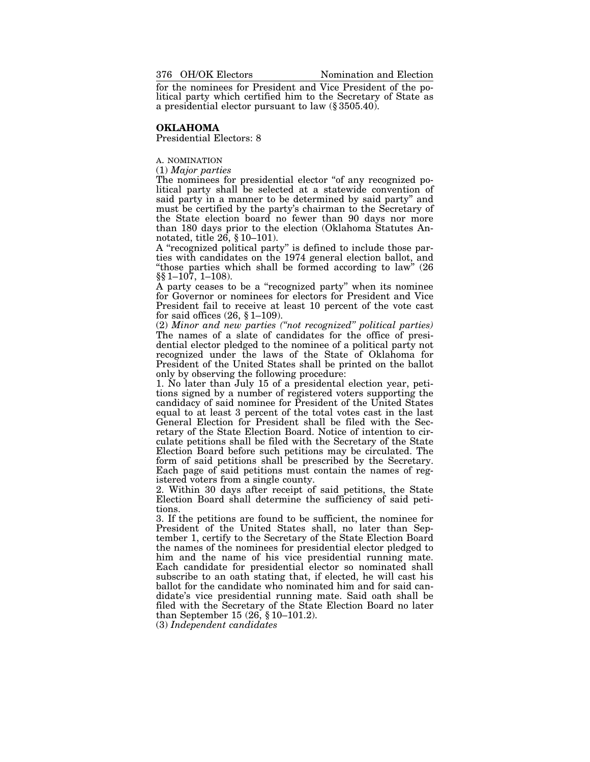for the nominees for President and Vice President of the political party which certified him to the Secretary of State as a presidential elector pursuant to law (§ 3505.40).

# **OKLAHOMA**

Presidential Electors: 8

A. NOMINATION

(1) *Major parties*

The nominees for presidential elector "of any recognized political party shall be selected at a statewide convention of said party in a manner to be determined by said party'' and must be certified by the party's chairman to the Secretary of the State election board no fewer than 90 days nor more than 180 days prior to the election (Oklahoma Statutes Annotated, title 26, § 10–101).

A ''recognized political party'' is defined to include those parties with candidates on the 1974 general election ballot, and "those parties which shall be formed according to law" (26 §§ 1–107, 1–108).

A party ceases to be a ''recognized party'' when its nominee for Governor or nominees for electors for President and Vice President fail to receive at least 10 percent of the vote cast for said offices  $(26, §1–109)$ .

(2) *Minor and new parties (''not recognized'' political parties)* The names of a slate of candidates for the office of presidential elector pledged to the nominee of a political party not recognized under the laws of the State of Oklahoma for President of the United States shall be printed on the ballot only by observing the following procedure:

1. No later than July 15 of a presidental election year, petitions signed by a number of registered voters supporting the candidacy of said nominee for President of the United States equal to at least 3 percent of the total votes cast in the last General Election for President shall be filed with the Secretary of the State Election Board. Notice of intention to circulate petitions shall be filed with the Secretary of the State Election Board before such petitions may be circulated. The form of said petitions shall be prescribed by the Secretary. Each page of said petitions must contain the names of registered voters from a single county.

2. Within 30 days after receipt of said petitions, the State Election Board shall determine the sufficiency of said petitions.

3. If the petitions are found to be sufficient, the nominee for President of the United States shall, no later than September 1, certify to the Secretary of the State Election Board the names of the nominees for presidential elector pledged to him and the name of his vice presidential running mate. Each candidate for presidential elector so nominated shall subscribe to an oath stating that, if elected, he will cast his ballot for the candidate who nominated him and for said candidate's vice presidential running mate. Said oath shall be filed with the Secretary of the State Election Board no later than September 15 (26, § 10–101.2).

(3) *Independent candidates*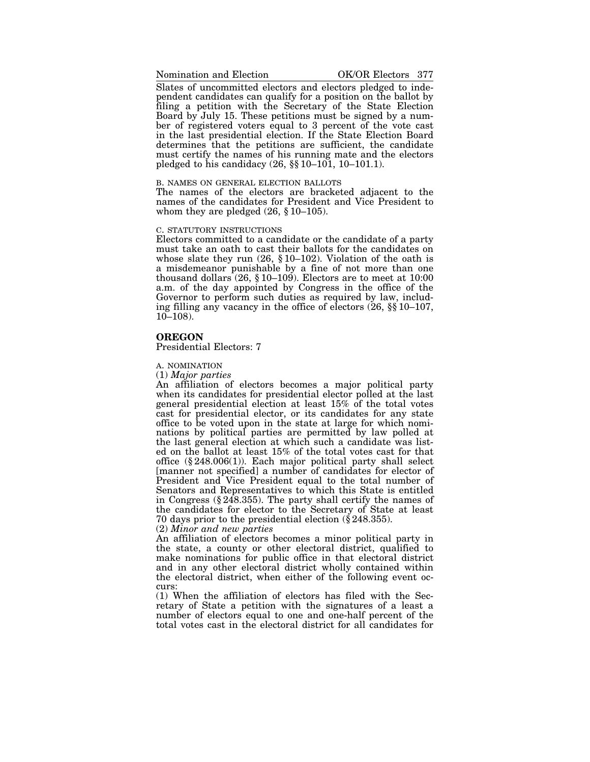Nomination and Election OK/OR Electors 377

Slates of uncommitted electors and electors pledged to independent candidates can qualify for a position on the ballot by filing a petition with the Secretary of the State Election Board by July 15. These petitions must be signed by a number of registered voters equal to 3 percent of the vote cast in the last presidential election. If the State Election Board determines that the petitions are sufficient, the candidate must certify the names of his running mate and the electors pledged to his candidacy (26, §§ 10–101, 10–101.1).

### B. NAMES ON GENERAL ELECTION BALLOTS

The names of the electors are bracketed adjacent to the names of the candidates for President and Vice President to whom they are pledged (26, § 10–105).

#### C. STATUTORY INSTRUCTIONS

Electors committed to a candidate or the candidate of a party must take an oath to cast their ballots for the candidates on whose slate they run (26, § 10–102). Violation of the oath is a misdemeanor punishable by a fine of not more than one thousand dollars  $(26, § 10-109)$ . Electors are to meet at  $10:00$ a.m. of the day appointed by Congress in the office of the Governor to perform such duties as required by law, including filling any vacancy in the office of electors (26, §§ 10–107,  $10-108$ ).

#### **OREGON**

Presidential Electors: 7

A. NOMINATION

(1) *Major parties*

An affiliation of electors becomes a major political party when its candidates for presidential elector polled at the last general presidential election at least 15% of the total votes cast for presidential elector, or its candidates for any state office to be voted upon in the state at large for which nominations by political parties are permitted by law polled at the last general election at which such a candidate was listed on the ballot at least 15% of the total votes cast for that office  $(\S 248.006(1))$ . Each major political party shall select [manner not specified] a number of candidates for elector of President and Vice President equal to the total number of Senators and Representatives to which this State is entitled in Congress (§ 248.355). The party shall certify the names of the candidates for elector to the Secretary of State at least 70 days prior to the presidential election (§ 248.355).

(2) *Minor and new parties*

An affiliation of electors becomes a minor political party in the state, a county or other electoral district, qualified to make nominations for public office in that electoral district and in any other electoral district wholly contained within the electoral district, when either of the following event occurs:

(1) When the affiliation of electors has filed with the Secretary of State a petition with the signatures of a least a number of electors equal to one and one-half percent of the total votes cast in the electoral district for all candidates for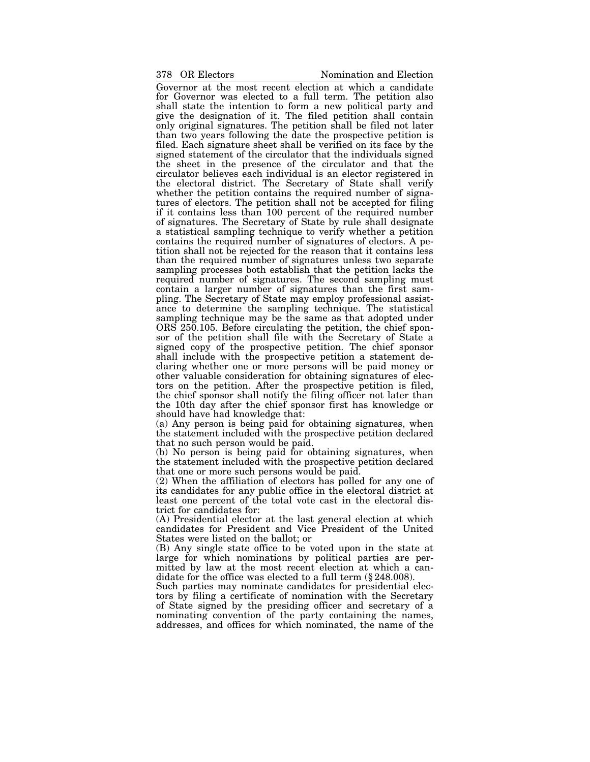378 OR Electors Nomination and Election

Governor at the most recent election at which a candidate for Governor was elected to a full term. The petition also shall state the intention to form a new political party and give the designation of it. The filed petition shall contain only original signatures. The petition shall be filed not later than two years following the date the prospective petition is filed. Each signature sheet shall be verified on its face by the signed statement of the circulator that the individuals signed the sheet in the presence of the circulator and that the circulator believes each individual is an elector registered in the electoral district. The Secretary of State shall verify whether the petition contains the required number of signatures of electors. The petition shall not be accepted for filing if it contains less than 100 percent of the required number of signatures. The Secretary of State by rule shall designate a statistical sampling technique to verify whether a petition contains the required number of signatures of electors. A petition shall not be rejected for the reason that it contains less than the required number of signatures unless two separate sampling processes both establish that the petition lacks the required number of signatures. The second sampling must contain a larger number of signatures than the first sampling. The Secretary of State may employ professional assistance to determine the sampling technique. The statistical sampling technique may be the same as that adopted under ORS 250.105. Before circulating the petition, the chief sponsor of the petition shall file with the Secretary of State a signed copy of the prospective petition. The chief sponsor shall include with the prospective petition a statement declaring whether one or more persons will be paid money or other valuable consideration for obtaining signatures of electors on the petition. After the prospective petition is filed, the chief sponsor shall notify the filing officer not later than the 10th day after the chief sponsor first has knowledge or should have had knowledge that:

(a) Any person is being paid for obtaining signatures, when the statement included with the prospective petition declared that no such person would be paid.

(b) No person is being paid for obtaining signatures, when the statement included with the prospective petition declared that one or more such persons would be paid.

(2) When the affiliation of electors has polled for any one of its candidates for any public office in the electoral district at least one percent of the total vote cast in the electoral district for candidates for:

(A) Presidential elector at the last general election at which candidates for President and Vice President of the United States were listed on the ballot; or

(B) Any single state office to be voted upon in the state at large for which nominations by political parties are permitted by law at the most recent election at which a candidate for the office was elected to a full term (§ 248.008).

Such parties may nominate candidates for presidential electors by filing a certificate of nomination with the Secretary of State signed by the presiding officer and secretary of a nominating convention of the party containing the names, addresses, and offices for which nominated, the name of the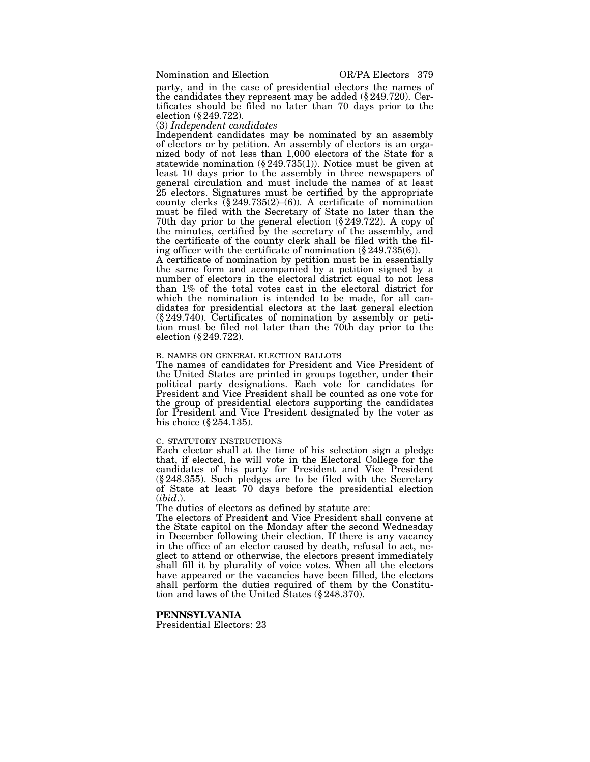Nomination and Election OR/PA Electors 379

party, and in the case of presidential electors the names of the candidates they represent may be added (§ 249.720). Certificates should be filed no later than 70 days prior to the election (§ 249.722).

(3) *Independent candidates*

Independent candidates may be nominated by an assembly of electors or by petition. An assembly of electors is an organized body of not less than 1,000 electors of the State for a statewide nomination (§ 249.735(1)). Notice must be given at least 10 days prior to the assembly in three newspapers of general circulation and must include the names of at least 25 electors. Signatures must be certified by the appropriate county clerks  $(\S 249.735(2)–(6))$ . A certificate of nomination must be filed with the Secretary of State no later than the 70th day prior to the general election (§ 249.722). A copy of the minutes, certified by the secretary of the assembly, and the certificate of the county clerk shall be filed with the filing officer with the certificate of nomination  $(\S 249.735(6))$ .

A certificate of nomination by petition must be in essentially the same form and accompanied by a petition signed by a number of electors in the electoral district equal to not less than 1% of the total votes cast in the electoral district for which the nomination is intended to be made, for all candidates for presidential electors at the last general election (§ 249.740). Certificates of nomination by assembly or petition must be filed not later than the 70th day prior to the election (§ 249.722).

## B. NAMES ON GENERAL ELECTION BALLOTS

The names of candidates for President and Vice President of the United States are printed in groups together, under their political party designations. Each vote for candidates for President and Vice President shall be counted as one vote for the group of presidential electors supporting the candidates for President and Vice President designated by the voter as his choice (§ 254.135).

### C. STATUTORY INSTRUCTIONS

Each elector shall at the time of his selection sign a pledge that, if elected, he will vote in the Electoral College for the candidates of his party for President and Vice President (§ 248.355). Such pledges are to be filed with the Secretary of State at least 70 days before the presidential election (*ibid*.).

The duties of electors as defined by statute are:

The electors of President and Vice President shall convene at the State capitol on the Monday after the second Wednesday in December following their election. If there is any vacancy in the office of an elector caused by death, refusal to act, neglect to attend or otherwise, the electors present immediately shall fill it by plurality of voice votes. When all the electors have appeared or the vacancies have been filled, the electors shall perform the duties required of them by the Constitution and laws of the United States (§ 248.370).

# **PENNSYLVANIA**

Presidential Electors: 23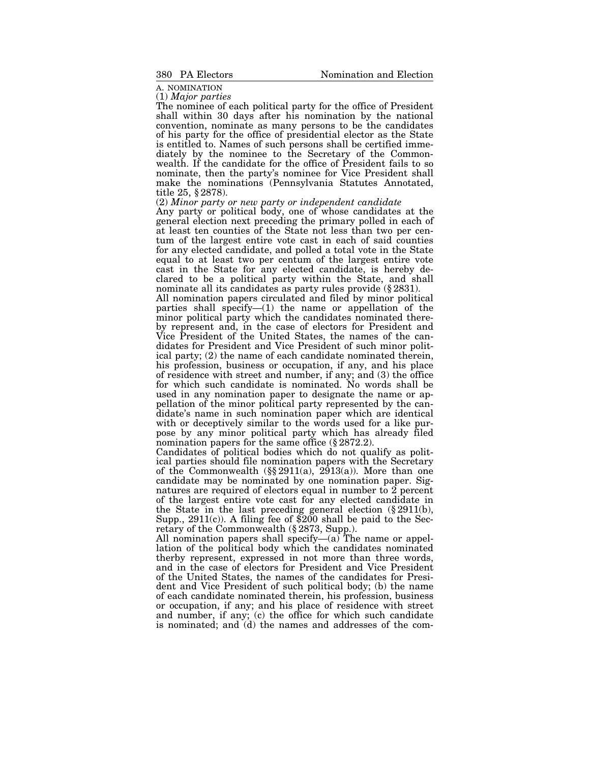A. NOMINATION (1) *Major parties*

The nominee of each political party for the office of President shall within 30 days after his nomination by the national convention, nominate as many persons to be the candidates of his party for the office of presidential elector as the State is entitled to. Names of such persons shall be certified immediately by the nominee to the Secretary of the Commonwealth. If the candidate for the office of President fails to so nominate, then the party's nominee for Vice President shall make the nominations (Pennsylvania Statutes Annotated, title 25, § 2878).

(2) *Minor party or new party or independent candidate*

Any party or political body, one of whose candidates at the general election next preceding the primary polled in each of at least ten counties of the State not less than two per centum of the largest entire vote cast in each of said counties for any elected candidate, and polled a total vote in the State equal to at least two per centum of the largest entire vote cast in the State for any elected candidate, is hereby declared to be a political party within the State, and shall nominate all its candidates as party rules provide (§ 2831).

All nomination papers circulated and filed by minor political parties shall specify—(1) the name or appellation of the minor political party which the candidates nominated thereby represent and, in the case of electors for President and Vice President of the United States, the names of the candidates for President and Vice President of such minor political party; (2) the name of each candidate nominated therein, his profession, business or occupation, if any, and his place of residence with street and number, if any; and (3) the office for which such candidate is nominated. No words shall be used in any nomination paper to designate the name or appellation of the minor political party represented by the candidate's name in such nomination paper which are identical with or deceptively similar to the words used for a like purpose by any minor political party which has already filed nomination papers for the same office (§ 2872.2).

Candidates of political bodies which do not qualify as political parties should file nomination papers with the Secretary of the Commonwealth  $(\S_{\S} 2911(a), 2913(a))$ . More than one candidate may be nominated by one nomination paper. Signatures are required of electors equal in number to 2 percent of the largest entire vote cast for any elected candidate in the State in the last preceding general election (§ 2911(b), Supp., 2911(c)). A filing fee of \$200 shall be paid to the Secretary of the Commonwealth (§ 2873, Supp.).

All nomination papers shall specify—(a) The name or appellation of the political body which the candidates nominated therby represent, expressed in not more than three words, and in the case of electors for President and Vice President of the United States, the names of the candidates for President and Vice President of such political body; (b) the name of each candidate nominated therein, his profession, business or occupation, if any; and his place of residence with street and number, if any; (c) the office for which such candidate is nominated; and (d) the names and addresses of the com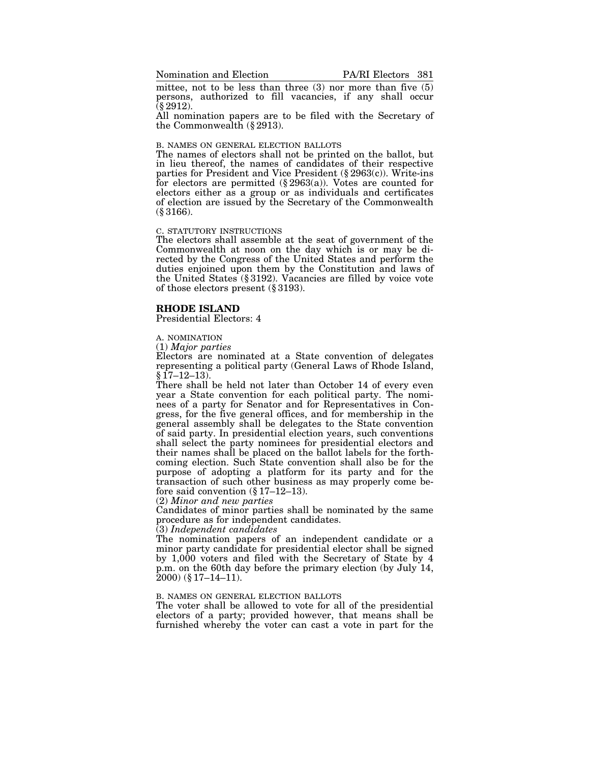mittee, not to be less than three (3) nor more than five (5) persons, authorized to fill vacancies, if any shall occur (§ 2912).

All nomination papers are to be filed with the Secretary of the Commonwealth (§ 2913).

## B. NAMES ON GENERAL ELECTION BALLOTS

The names of electors shall not be printed on the ballot, but in lieu thereof, the names of candidates of their respective parties for President and Vice President  $(\S 2963(c))$ . Write-ins for electors are permitted  $(\S 2963(a))$ . Votes are counted for electors either as a group or as individuals and certificates of election are issued by the Secretary of the Commonwealth (§ 3166).

#### C. STATUTORY INSTRUCTIONS

The electors shall assemble at the seat of government of the Commonwealth at noon on the day which is or may be directed by the Congress of the United States and perform the duties enjoined upon them by the Constitution and laws of the United States (§ 3192). Vacancies are filled by voice vote of those electors present (§ 3193).

### **RHODE ISLAND**

Presidential Electors: 4

A. NOMINATION

(1) *Major parties*

Electors are nominated at a State convention of delegates representing a political party (General Laws of Rhode Island,  $§$  17–12–13).

There shall be held not later than October 14 of every even year a State convention for each political party. The nominees of a party for Senator and for Representatives in Congress, for the five general offices, and for membership in the general assembly shall be delegates to the State convention of said party. In presidential election years, such conventions shall select the party nominees for presidential electors and their names shall be placed on the ballot labels for the forthcoming election. Such State convention shall also be for the purpose of adopting a platform for its party and for the transaction of such other business as may properly come before said convention (§ 17–12–13).

(2) *Minor and new parties*

Candidates of minor parties shall be nominated by the same procedure as for independent candidates.

### (3) *Independent candidates*

The nomination papers of an independent candidate or a minor party candidate for presidential elector shall be signed by 1,000 voters and filed with the Secretary of State by 4 p.m. on the 60th day before the primary election (by July 14,  $2000$  (§ 17–14–11).

# B. NAMES ON GENERAL ELECTION BALLOTS

The voter shall be allowed to vote for all of the presidential electors of a party; provided however, that means shall be furnished whereby the voter can cast a vote in part for the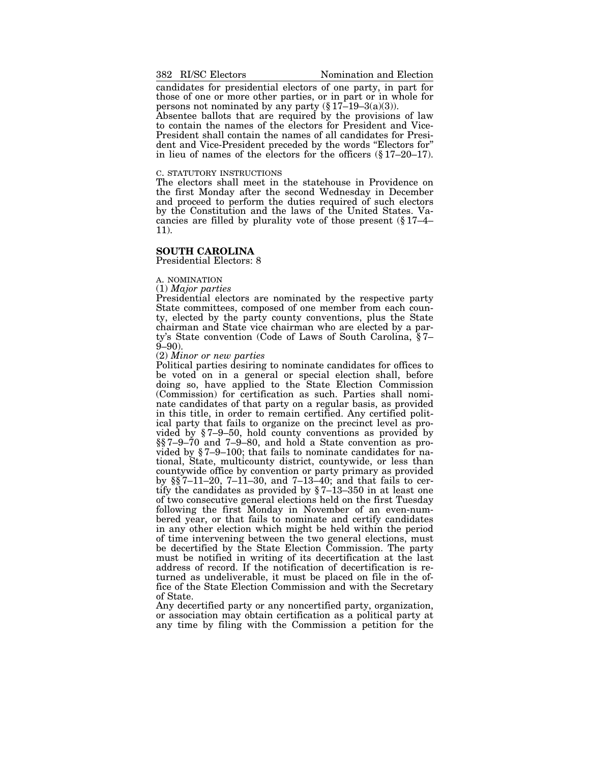candidates for presidential electors of one party, in part for those of one or more other parties, or in part or in whole for persons not nominated by any party  $(\S 17-19-3(a)(3))$ .

Absentee ballots that are required by the provisions of law to contain the names of the electors for President and Vice-President shall contain the names of all candidates for President and Vice-President preceded by the words ''Electors for'' in lieu of names of the electors for the officers (§ 17–20–17).

C. STATUTORY INSTRUCTIONS

The electors shall meet in the statehouse in Providence on the first Monday after the second Wednesday in December and proceed to perform the duties required of such electors by the Constitution and the laws of the United States. Vacancies are filled by plurality vote of those present (§ 17–4– 11).

## **SOUTH CAROLINA**

Presidential Electors: 8

A. NOMINATION

(1) *Major parties*

Presidential electors are nominated by the respective party State committees, composed of one member from each county, elected by the party county conventions, plus the State chairman and State vice chairman who are elected by a party's State convention (Code of Laws of South Carolina, § 7–  $9 - 90$ ).

(2) *Minor or new parties*

Political parties desiring to nominate candidates for offices to be voted on in a general or special election shall, before doing so, have applied to the State Election Commission (Commission) for certification as such. Parties shall nominate candidates of that party on a regular basis, as provided in this title, in order to remain certified. Any certified political party that fails to organize on the precinct level as provided by § 7–9–50, hold county conventions as provided by §§ 7–9–70 and 7–9–80, and hold a State convention as provided by § 7–9–100; that fails to nominate candidates for national, State, multicounty district, countywide, or less than countywide office by convention or party primary as provided by  $\S\{-11-20, 7-11-30, \text{ and } 7-13-40; \text{ and that fails to cer-}$ tify the candidates as provided by § 7–13–350 in at least one of two consecutive general elections held on the first Tuesday following the first Monday in November of an even-numbered year, or that fails to nominate and certify candidates in any other election which might be held within the period of time intervening between the two general elections, must be decertified by the State Election Commission. The party must be notified in writing of its decertification at the last address of record. If the notification of decertification is returned as undeliverable, it must be placed on file in the office of the State Election Commission and with the Secretary of State.

Any decertified party or any noncertified party, organization, or association may obtain certification as a political party at any time by filing with the Commission a petition for the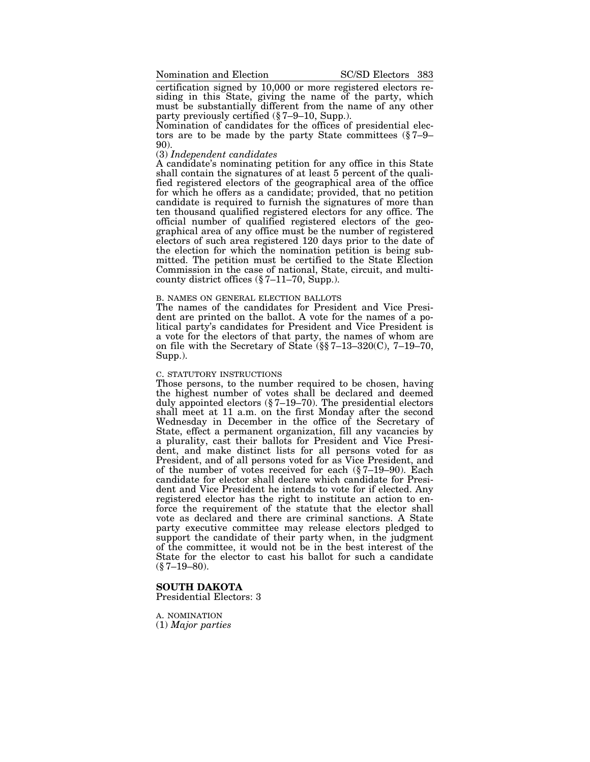certification signed by 10,000 or more registered electors residing in this State, giving the name of the party, which must be substantially different from the name of any other party previously certified (§ 7–9–10, Supp.).

Nomination of candidates for the offices of presidential electors are to be made by the party State committees (§ 7–9– 90).

(3) *Independent candidates*

A candidate's nominating petition for any office in this State shall contain the signatures of at least 5 percent of the qualified registered electors of the geographical area of the office for which he offers as a candidate; provided, that no petition candidate is required to furnish the signatures of more than ten thousand qualified registered electors for any office. The official number of qualified registered electors of the geographical area of any office must be the number of registered electors of such area registered 120 days prior to the date of the election for which the nomination petition is being submitted. The petition must be certified to the State Election Commission in the case of national, State, circuit, and multicounty district offices (§ 7–11–70, Supp.).

### B. NAMES ON GENERAL ELECTION BALLOTS

The names of the candidates for President and Vice President are printed on the ballot. A vote for the names of a political party's candidates for President and Vice President is a vote for the electors of that party, the names of whom are on file with the Secretary of State  $(\S\S 7-13-320(C), 7-19-70,$ Supp.).

## C. STATUTORY INSTRUCTIONS

Those persons, to the number required to be chosen, having the highest number of votes shall be declared and deemed duly appointed electors  $(\S 7-19-70)$ . The presidential electors shall meet at 11 a.m. on the first Monday after the second Wednesday in December in the office of the Secretary of State, effect a permanent organization, fill any vacancies by a plurality, cast their ballots for President and Vice President, and make distinct lists for all persons voted for as President, and of all persons voted for as Vice President, and of the number of votes received for each (§ 7–19–90). Each candidate for elector shall declare which candidate for President and Vice President he intends to vote for if elected. Any registered elector has the right to institute an action to enforce the requirement of the statute that the elector shall vote as declared and there are criminal sanctions. A State party executive committee may release electors pledged to support the candidate of their party when, in the judgment of the committee, it would not be in the best interest of the State for the elector to cast his ballot for such a candidate  $(\$7-19-80).$ 

# **SOUTH DAKOTA**

Presidential Electors: 3

A. NOMINATION (1) *Major parties*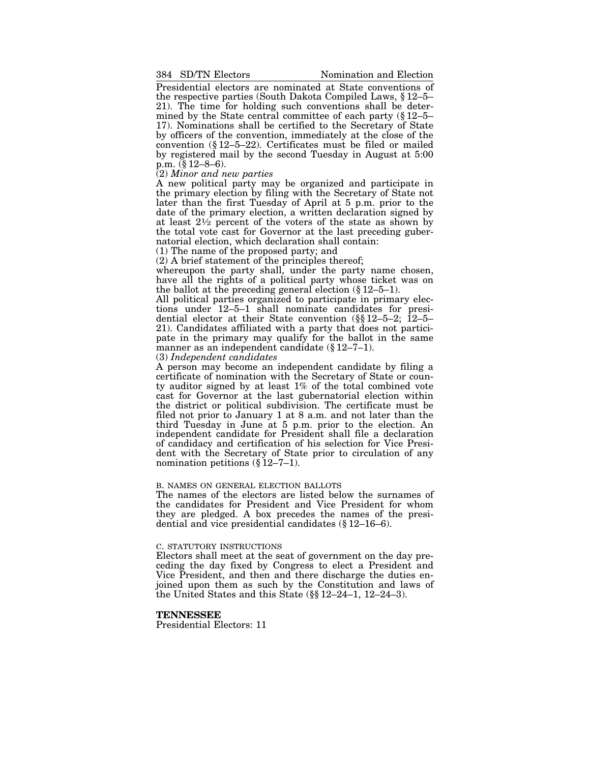384 SD/TN Electors Nomination and Election

Presidential electors are nominated at State conventions of the respective parties (South Dakota Compiled Laws, § 12–5– 21). The time for holding such conventions shall be determined by the State central committee of each party (§ 12–5– 17). Nominations shall be certified to the Secretary of State by officers of the convention, immediately at the close of the convention (§ 12–5–22). Certificates must be filed or mailed by registered mail by the second Tuesday in August at 5:00 p.m.  $(\S 12 - 8 - 6)$ .

(2) *Minor and new parties*

A new political party may be organized and participate in the primary election by filing with the Secretary of State not later than the first Tuesday of April at 5 p.m. prior to the date of the primary election, a written declaration signed by at least  $2\frac{1}{2}$  percent of the voters of the state as shown by the total vote cast for Governor at the last preceding gubernatorial election, which declaration shall contain:

(1) The name of the proposed party; and

(2) A brief statement of the principles thereof; whereupon the party shall, under the party name chosen, have all the rights of a political party whose ticket was on

the ballot at the preceding general election (§ 12–5–1).

All political parties organized to participate in primary elections under 12–5–1 shall nominate candidates for presidential elector at their State convention (§§ 12–5–2; 12–5– 21). Candidates affiliated with a party that does not participate in the primary may qualify for the ballot in the same manner as an independent candidate (§ 12–7–1).

(3) *Independent candidates*

A person may become an independent candidate by filing a certificate of nomination with the Secretary of State or county auditor signed by at least 1% of the total combined vote cast for Governor at the last gubernatorial election within the district or political subdivision. The certificate must be filed not prior to January 1 at 8 a.m. and not later than the third Tuesday in June at 5 p.m. prior to the election. An independent candidate for President shall file a declaration of candidacy and certification of his selection for Vice President with the Secretary of State prior to circulation of any nomination petitions  $(\S 12 - 7 - 1)$ .

## B. NAMES ON GENERAL ELECTION BALLOTS

The names of the electors are listed below the surnames of the candidates for President and Vice President for whom they are pledged. A box precedes the names of the presidential and vice presidential candidates (§ 12–16–6).

### C. STATUTORY INSTRUCTIONS

Electors shall meet at the seat of government on the day preceding the day fixed by Congress to elect a President and Vice President, and then and there discharge the duties enjoined upon them as such by the Constitution and laws of the United States and this State (§§ 12–24–1, 12–24–3).

## **TENNESSEE**

Presidential Electors: 11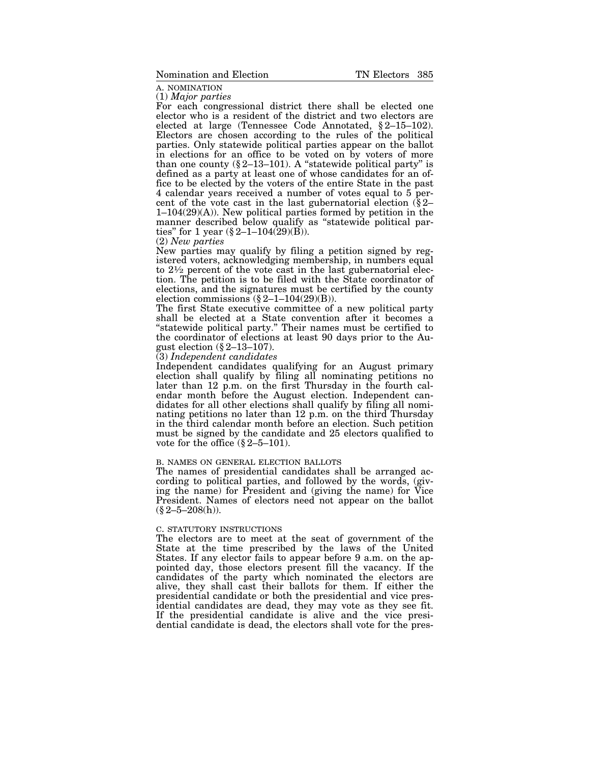A. NOMINATION (1) *Major parties*

For each congressional district there shall be elected one elector who is a resident of the district and two electors are elected at large (Tennessee Code Annotated, § 2–15–102). Electors are chosen according to the rules of the political parties. Only statewide political parties appear on the ballot in elections for an office to be voted on by voters of more than one county (§ 2–13–101). A ''statewide political party'' is defined as a party at least one of whose candidates for an office to be elected by the voters of the entire State in the past 4 calendar years received a number of votes equal to 5 percent of the vote cast in the last gubernatorial election (§ 2–  $1-104(29)(A)$ . New political parties formed by petition in the manner described below qualify as ''statewide political parties" for 1 year  $(\S 2 - 1 - 104(29)(B))$ .

(2) *New parties*

New parties may qualify by filing a petition signed by registered voters, acknowledging membership, in numbers equal to 21⁄2 percent of the vote cast in the last gubernatorial election. The petition is to be filed with the State coordinator of elections, and the signatures must be certified by the county election commissions  $(\S 2-1-104(29)(B)).$ 

The first State executive committee of a new political party shall be elected at a State convention after it becomes a "statewide political party." Their names must be certified to the coordinator of elections at least 90 days prior to the August election  $(\S 2 - 13 - 107)$ .

(3) *Independent candidates*

Independent candidates qualifying for an August primary election shall qualify by filing all nominating petitions no later than 12 p.m. on the first Thursday in the fourth calendar month before the August election. Independent candidates for all other elections shall qualify by filing all nominating petitions no later than 12 p.m. on the third Thursday in the third calendar month before an election. Such petition must be signed by the candidate and 25 electors qualified to vote for the office  $(\S 2 - 5 - 101)$ .

# B. NAMES ON GENERAL ELECTION BALLOTS

The names of presidential candidates shall be arranged according to political parties, and followed by the words, (giving the name) for President and (giving the name) for Vice President. Names of electors need not appear on the ballot  $(\S 2 - 5 - 208(h))$ .

#### C. STATUTORY INSTRUCTIONS

The electors are to meet at the seat of government of the State at the time prescribed by the laws of the United States. If any elector fails to appear before 9 a.m. on the appointed day, those electors present fill the vacancy. If the candidates of the party which nominated the electors are alive, they shall cast their ballots for them. If either the presidential candidate or both the presidential and vice presidential candidates are dead, they may vote as they see fit. If the presidential candidate is alive and the vice presidential candidate is dead, the electors shall vote for the pres-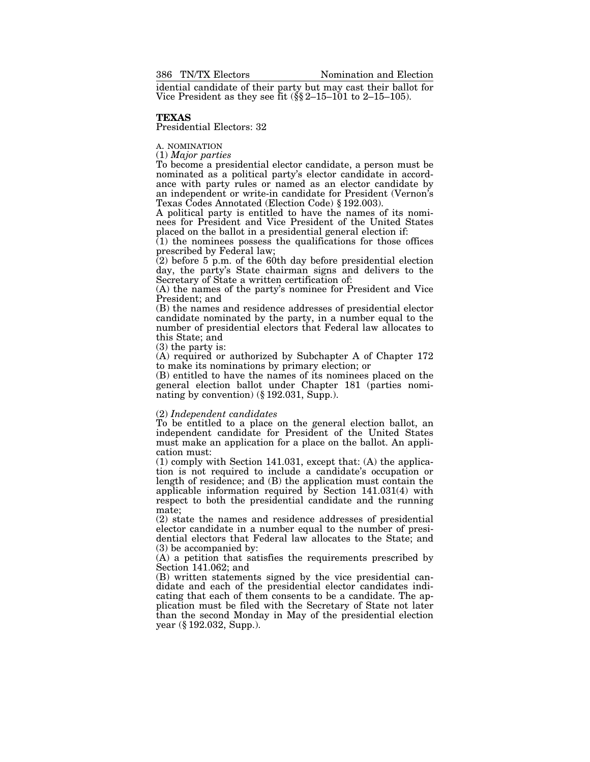idential candidate of their party but may cast their ballot for Vice President as they see fit  $(\S \S 2 - 15 - 101)$  to 2-15-105).

# **TEXAS**

Presidential Electors: 32

A. NOMINATION

(1) *Major parties*

To become a presidential elector candidate, a person must be nominated as a political party's elector candidate in accordance with party rules or named as an elector candidate by an independent or write-in candidate for President (Vernon's Texas Codes Annotated (Election Code) § 192.003).

A political party is entitled to have the names of its nominees for President and Vice President of the United States placed on the ballot in a presidential general election if:

(1) the nominees possess the qualifications for those offices prescribed by Federal law;

(2) before 5 p.m. of the 60th day before presidential election day, the party's State chairman signs and delivers to the Secretary of State a written certification of:

(A) the names of the party's nominee for President and Vice President; and

(B) the names and residence addresses of presidential elector candidate nominated by the party, in a number equal to the number of presidential electors that Federal law allocates to this State; and

(3) the party is:

(A) required or authorized by Subchapter A of Chapter 172 to make its nominations by primary election; or

(B) entitled to have the names of its nominees placed on the general election ballot under Chapter 181 (parties nominating by convention) (§ 192.031, Supp.).

#### (2) *Independent candidates*

To be entitled to a place on the general election ballot, an independent candidate for President of the United States must make an application for a place on the ballot. An application must:

(1) comply with Section 141.031, except that: (A) the application is not required to include a candidate's occupation or length of residence; and (B) the application must contain the applicable information required by Section 141.031(4) with respect to both the presidential candidate and the running mate;

(2) state the names and residence addresses of presidential elector candidate in a number equal to the number of presidential electors that Federal law allocates to the State; and (3) be accompanied by:

(A) a petition that satisfies the requirements prescribed by Section 141.062; and

(B) written statements signed by the vice presidential candidate and each of the presidential elector candidates indicating that each of them consents to be a candidate. The application must be filed with the Secretary of State not later than the second Monday in May of the presidential election year (§ 192.032, Supp.).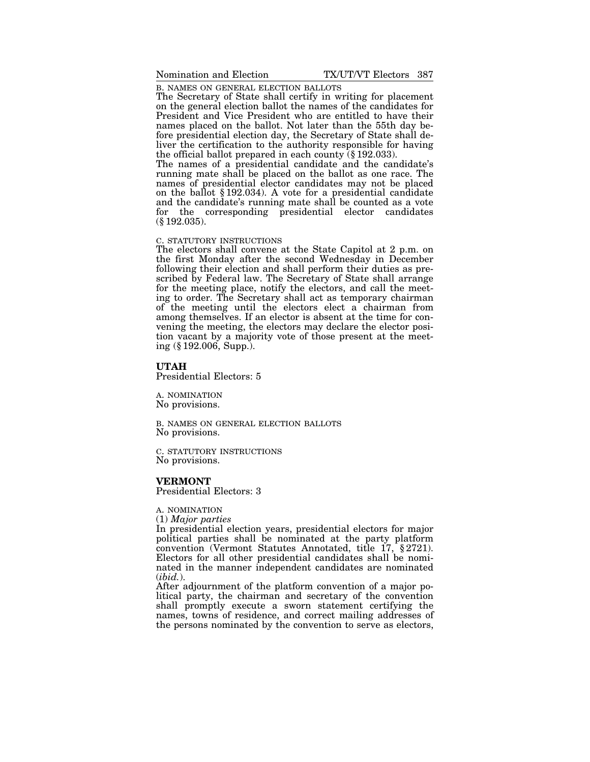Nomination and Election TX/UT/VT Electors 387

B. NAMES ON GENERAL ELECTION BALLOTS

The Secretary of State shall certify in writing for placement on the general election ballot the names of the candidates for President and Vice President who are entitled to have their names placed on the ballot. Not later than the 55th day before presidential election day, the Secretary of State shall deliver the certification to the authority responsible for having the official ballot prepared in each county (§ 192.033).

The names of a presidential candidate and the candidate's running mate shall be placed on the ballot as one race. The names of presidential elector candidates may not be placed on the ballot § 192.034). A vote for a presidential candidate and the candidate's running mate shall be counted as a vote for the corresponding presidential elector candidates (§ 192.035).

#### C. STATUTORY INSTRUCTIONS

The electors shall convene at the State Capitol at 2 p.m. on the first Monday after the second Wednesday in December following their election and shall perform their duties as prescribed by Federal law. The Secretary of State shall arrange for the meeting place, notify the electors, and call the meeting to order. The Secretary shall act as temporary chairman of the meeting until the electors elect a chairman from among themselves. If an elector is absent at the time for convening the meeting, the electors may declare the elector position vacant by a majority vote of those present at the meeting (§ 192.006, Supp.).

## **UTAH**

Presidential Electors: 5

A. NOMINATION No provisions.

B. NAMES ON GENERAL ELECTION BALLOTS No provisions.

C. STATUTORY INSTRUCTIONS No provisions.

# **VERMONT**

Presidential Electors: 3

A. NOMINATION

(1) *Major parties*

In presidential election years, presidential electors for major political parties shall be nominated at the party platform convention (Vermont Statutes Annotated, title 17, § 2721). Electors for all other presidential candidates shall be nominated in the manner independent candidates are nominated (*ibid.*).

After adjournment of the platform convention of a major political party, the chairman and secretary of the convention shall promptly execute a sworn statement certifying the names, towns of residence, and correct mailing addresses of the persons nominated by the convention to serve as electors,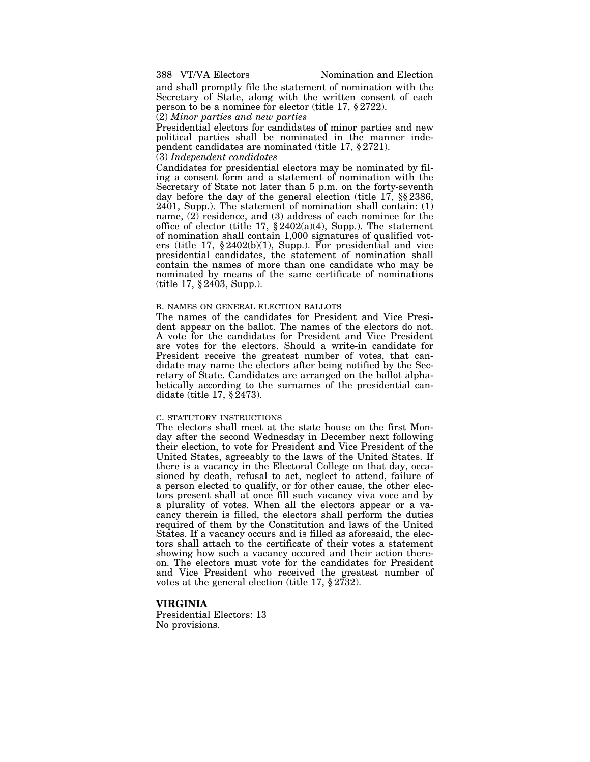388 VT/VA Electors Nomination and Election

and shall promptly file the statement of nomination with the Secretary of State, along with the written consent of each person to be a nominee for elector (title 17, § 2722).

(2) *Minor parties and new parties*

Presidential electors for candidates of minor parties and new political parties shall be nominated in the manner independent candidates are nominated (title 17, § 2721).

(3) *Independent candidates*

Candidates for presidential electors may be nominated by filing a consent form and a statement of nomination with the Secretary of State not later than 5 p.m. on the forty-seventh day before the day of the general election (title 17, §§ 2386, 2401, Supp.). The statement of nomination shall contain: (1) name,  $(2)$  residence, and  $(3)$  address of each nominee for the office of elector (title 17,  $\S 2402(a)(4)$ , Supp.). The statement of nomination shall contain 1,000 signatures of qualified voters (title 17,  $§ 2402(b)(1)$ , Supp.). For presidential and vice presidential candidates, the statement of nomination shall contain the names of more than one candidate who may be nominated by means of the same certificate of nominations (title 17, § 2403, Supp.).

#### B. NAMES ON GENERAL ELECTION BALLOTS

The names of the candidates for President and Vice President appear on the ballot. The names of the electors do not. A vote for the candidates for President and Vice President are votes for the electors. Should a write-in candidate for President receive the greatest number of votes, that candidate may name the electors after being notified by the Secretary of State. Candidates are arranged on the ballot alphabetically according to the surnames of the presidential candidate (title 17,  $\S$  2473).

### C. STATUTORY INSTRUCTIONS

The electors shall meet at the state house on the first Monday after the second Wednesday in December next following their election, to vote for President and Vice President of the United States, agreeably to the laws of the United States. If there is a vacancy in the Electoral College on that day, occasioned by death, refusal to act, neglect to attend, failure of a person elected to qualify, or for other cause, the other electors present shall at once fill such vacancy viva voce and by a plurality of votes. When all the electors appear or a vacancy therein is filled, the electors shall perform the duties required of them by the Constitution and laws of the United States. If a vacancy occurs and is filled as aforesaid, the electors shall attach to the certificate of their votes a statement showing how such a vacancy occured and their action thereon. The electors must vote for the candidates for President and Vice President who received the greatest number of votes at the general election (title 17, § 2732).

#### **VIRGINIA**

Presidential Electors: 13 No provisions.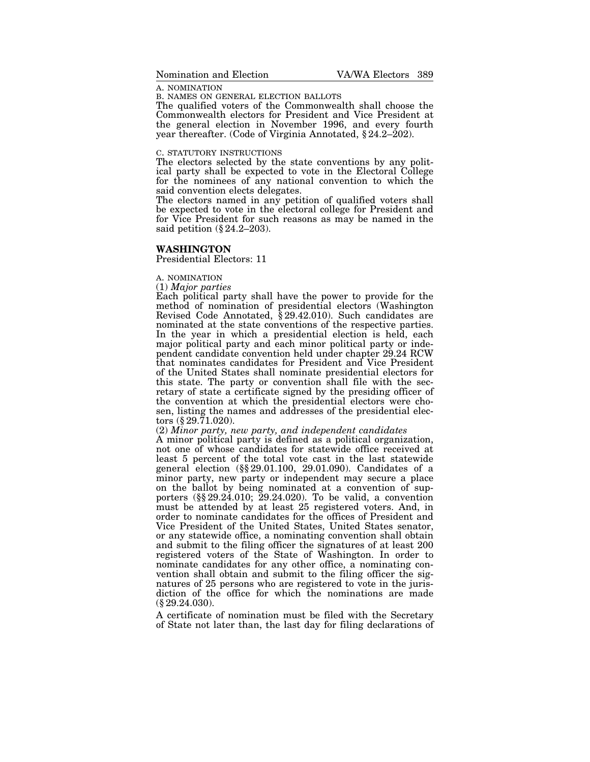A. NOMINATION

B. NAMES ON GENERAL ELECTION BALLOTS

The qualified voters of the Commonwealth shall choose the Commonwealth electors for President and Vice President at the general election in November 1996, and every fourth year thereafter. (Code of Virginia Annotated, § 24.2–202).

#### C. STATUTORY INSTRUCTIONS

The electors selected by the state conventions by any political party shall be expected to vote in the Electoral College for the nominees of any national convention to which the said convention elects delegates.

The electors named in any petition of qualified voters shall be expected to vote in the electoral college for President and for Vice President for such reasons as may be named in the said petition (§ 24.2–203).

#### **WASHINGTON**

Presidential Electors: 11

A. NOMINATION

(1) *Major parties*

Each political party shall have the power to provide for the method of nomination of presidential electors (Washington Revised Code Annotated, § 29.42.010). Such candidates are nominated at the state conventions of the respective parties. In the year in which a presidential election is held, each major political party and each minor political party or independent candidate convention held under chapter 29.24 RCW that nominates candidates for President and Vice President of the United States shall nominate presidential electors for this state. The party or convention shall file with the secretary of state a certificate signed by the presiding officer of the convention at which the presidential electors were chosen, listing the names and addresses of the presidential electors  $(\frac{6}{29.71.020})$ .

(2) *Minor party, new party, and independent candidates*

A minor political party is defined as a political organization, not one of whose candidates for statewide office received at least 5 percent of the total vote cast in the last statewide general election (§§ 29.01.100, 29.01.090). Candidates of a minor party, new party or independent may secure a place on the ballot by being nominated at a convention of supporters (§§ 29.24.010; 29.24.020). To be valid, a convention must be attended by at least 25 registered voters. And, in order to nominate candidates for the offices of President and Vice President of the United States, United States senator, or any statewide office, a nominating convention shall obtain and submit to the filing officer the signatures of at least 200 registered voters of the State of Washington. In order to nominate candidates for any other office, a nominating convention shall obtain and submit to the filing officer the signatures of 25 persons who are registered to vote in the jurisdiction of the office for which the nominations are made (§ 29.24.030).

A certificate of nomination must be filed with the Secretary of State not later than, the last day for filing declarations of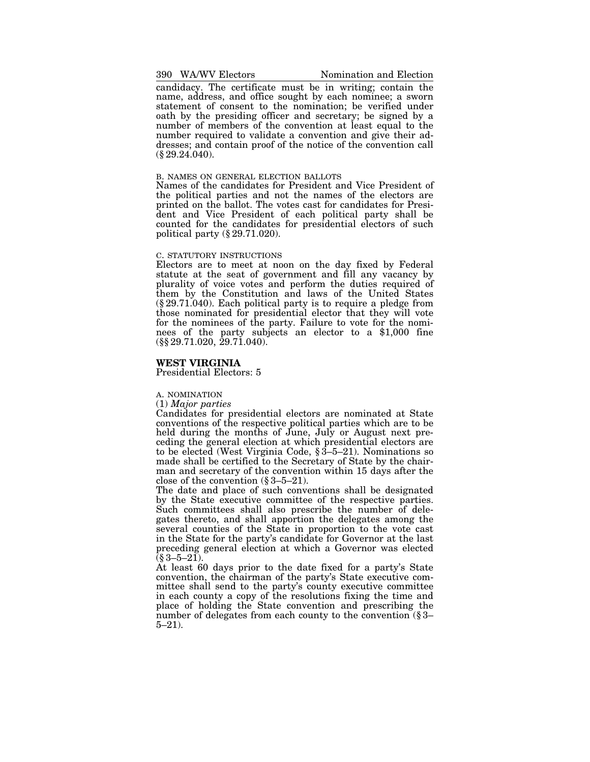390 WA/WV Electors Nomination and Election

candidacy. The certificate must be in writing; contain the name, address, and office sought by each nominee; a sworn statement of consent to the nomination; be verified under oath by the presiding officer and secretary; be signed by a number of members of the convention at least equal to the number required to validate a convention and give their addresses; and contain proof of the notice of the convention call (§ 29.24.040).

#### B. NAMES ON GENERAL ELECTION BALLOTS

Names of the candidates for President and Vice President of the political parties and not the names of the electors are printed on the ballot. The votes cast for candidates for President and Vice President of each political party shall be counted for the candidates for presidential electors of such political party (§ 29.71.020).

#### C. STATUTORY INSTRUCTIONS

Electors are to meet at noon on the day fixed by Federal statute at the seat of government and fill any vacancy by plurality of voice votes and perform the duties required of them by the Constitution and laws of the United States (§ 29.71.040). Each political party is to require a pledge from those nominated for presidential elector that they will vote for the nominees of the party. Failure to vote for the nominees of the party subjects an elector to a \$1,000 fine (§§ 29.71.020, 29.71.040).

## **WEST VIRGINIA**

Presidential Electors: 5

A. NOMINATION

(1) *Major parties*

Candidates for presidential electors are nominated at State conventions of the respective political parties which are to be held during the months of June, July or August next preceding the general election at which presidential electors are to be elected (West Virginia Code, § 3–5–21). Nominations so made shall be certified to the Secretary of State by the chairman and secretary of the convention within 15 days after the close of the convention  $(\S 3 - 5 - 21)$ .

The date and place of such conventions shall be designated by the State executive committee of the respective parties. Such committees shall also prescribe the number of delegates thereto, and shall apportion the delegates among the several counties of the State in proportion to the vote cast in the State for the party's candidate for Governor at the last preceding general election at which a Governor was elected  $(§ 3 - 5 - 21).$ 

At least 60 days prior to the date fixed for a party's State convention, the chairman of the party's State executive committee shall send to the party's county executive committee in each county a copy of the resolutions fixing the time and place of holding the State convention and prescribing the number of delegates from each county to the convention  $(\S 3-$ 5–21).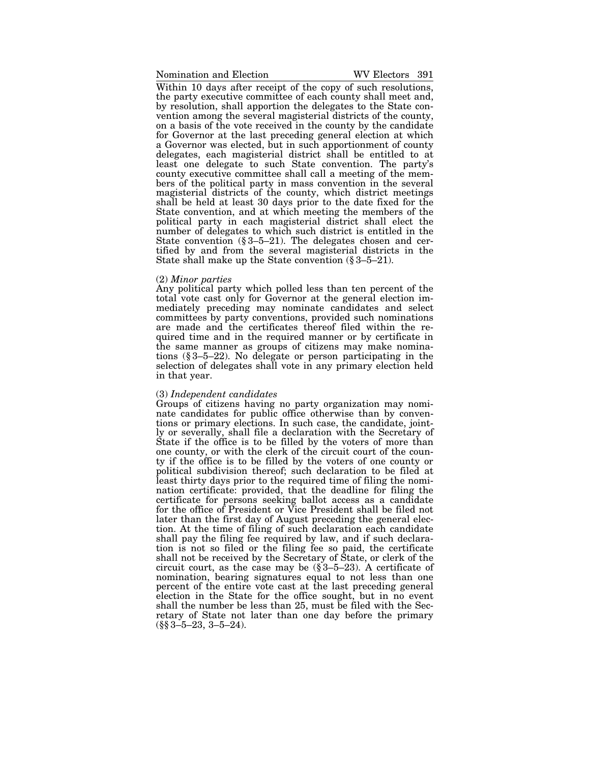Nomination and Election WV Electors 391

Within 10 days after receipt of the copy of such resolutions, the party executive committee of each county shall meet and, by resolution, shall apportion the delegates to the State convention among the several magisterial districts of the county, on a basis of the vote received in the county by the candidate for Governor at the last preceding general election at which a Governor was elected, but in such apportionment of county delegates, each magisterial district shall be entitled to at least one delegate to such State convention. The party's county executive committee shall call a meeting of the members of the political party in mass convention in the several magisterial districts of the county, which district meetings shall be held at least 30 days prior to the date fixed for the State convention, and at which meeting the members of the political party in each magisterial district shall elect the number of delegates to which such district is entitled in the State convention (§ 3–5–21). The delegates chosen and certified by and from the several magisterial districts in the State shall make up the State convention (§ 3–5–21).

#### (2) *Minor parties*

Any political party which polled less than ten percent of the total vote cast only for Governor at the general election immediately preceding may nominate candidates and select committees by party conventions, provided such nominations are made and the certificates thereof filed within the required time and in the required manner or by certificate in the same manner as groups of citizens may make nominations (§ 3–5–22). No delegate or person participating in the selection of delegates shall vote in any primary election held in that year.

### (3) *Independent candidates*

Groups of citizens having no party organization may nominate candidates for public office otherwise than by conventions or primary elections. In such case, the candidate, jointly or severally, shall file a declaration with the Secretary of State if the office is to be filled by the voters of more than one county, or with the clerk of the circuit court of the county if the office is to be filled by the voters of one county or political subdivision thereof; such declaration to be filed at least thirty days prior to the required time of filing the nomination certificate: provided, that the deadline for filing the certificate for persons seeking ballot access as a candidate for the office of President or Vice President shall be filed not later than the first day of August preceding the general election. At the time of filing of such declaration each candidate shall pay the filing fee required by law, and if such declaration is not so filed or the filing fee so paid, the certificate shall not be received by the Secretary of State, or clerk of the circuit court, as the case may be  $(\S 3 - 5 - 23)$ . A certificate of nomination, bearing signatures equal to not less than one percent of the entire vote cast at the last preceding general election in the State for the office sought, but in no event shall the number be less than 25, must be filed with the Secretary of State not later than one day before the primary (§§ 3–5–23, 3–5–24).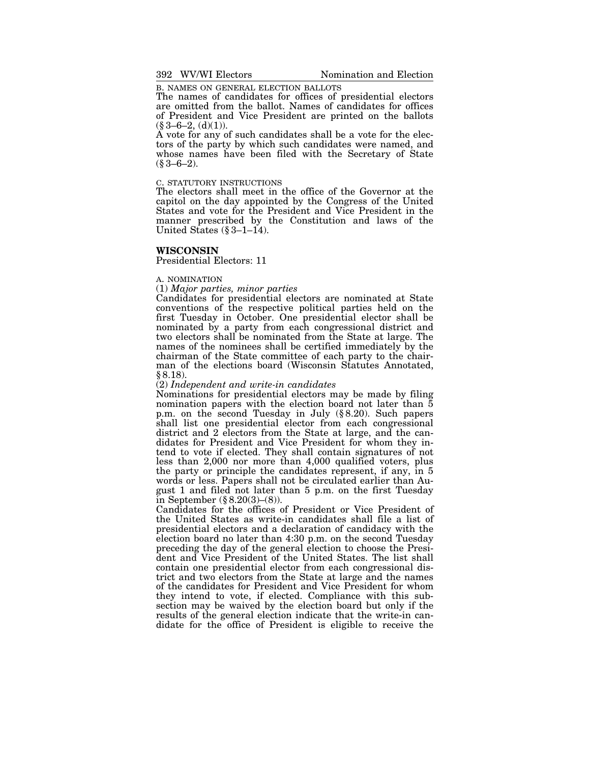B. NAMES ON GENERAL ELECTION BALLOTS

The names of candidates for offices of presidential electors are omitted from the ballot. Names of candidates for offices of President and Vice President are printed on the ballots  $(\S 3-6-2, (d)(1)).$ 

A vote for any of such candidates shall be a vote for the electors of the party by which such candidates were named, and whose names have been filed with the Secretary of State  $(\$3-6-2).$ 

C. STATUTORY INSTRUCTIONS

The electors shall meet in the office of the Governor at the capitol on the day appointed by the Congress of the United States and vote for the President and Vice President in the manner prescribed by the Constitution and laws of the United States (§ 3–1–14).

#### **WISCONSIN**

Presidential Electors: 11

A. NOMINATION

#### (1) *Major parties, minor parties*

Candidates for presidential electors are nominated at State conventions of the respective political parties held on the first Tuesday in October. One presidential elector shall be nominated by a party from each congressional district and two electors shall be nominated from the State at large. The names of the nominees shall be certified immediately by the chairman of the State committee of each party to the chairman of the elections board (Wisconsin Statutes Annotated,  $§ 8.18$ ).

(2) *Independent and write-in candidates*

Nominations for presidential electors may be made by filing nomination papers with the election board not later than 5 p.m. on the second Tuesday in July (§ 8.20). Such papers shall list one presidential elector from each congressional district and 2 electors from the State at large, and the candidates for President and Vice President for whom they intend to vote if elected. They shall contain signatures of not less than 2,000 nor more than 4,000 qualified voters, plus the party or principle the candidates represent, if any, in 5 words or less. Papers shall not be circulated earlier than August 1 and filed not later than 5 p.m. on the first Tuesday in September (§ 8.20(3)–(8)).

Candidates for the offices of President or Vice President of the United States as write-in candidates shall file a list of presidential electors and a declaration of candidacy with the election board no later than 4:30 p.m. on the second Tuesday preceding the day of the general election to choose the President and Vice President of the United States. The list shall contain one presidential elector from each congressional district and two electors from the State at large and the names of the candidates for President and Vice President for whom they intend to vote, if elected. Compliance with this subsection may be waived by the election board but only if the results of the general election indicate that the write-in candidate for the office of President is eligible to receive the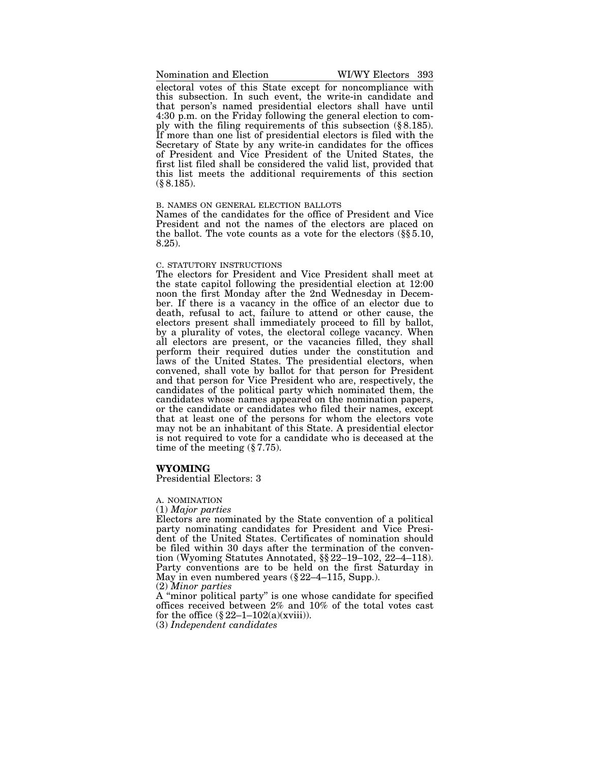Nomination and Election WI/WY Electors 393

electoral votes of this State except for noncompliance with this subsection. In such event, the write-in candidate and that person's named presidential electors shall have until 4:30 p.m. on the Friday following the general election to comply with the filing requirements of this subsection (§ 8.185). If more than one list of presidential electors is filed with the Secretary of State by any write-in candidates for the offices of President and Vice President of the United States, the first list filed shall be considered the valid list, provided that this list meets the additional requirements of this section  $(\$8.185).$ 

B. NAMES ON GENERAL ELECTION BALLOTS

Names of the candidates for the office of President and Vice President and not the names of the electors are placed on the ballot. The vote counts as a vote for the electors (§§ 5.10, 8.25).

# C. STATUTORY INSTRUCTIONS

The electors for President and Vice President shall meet at the state capitol following the presidential election at 12:00 noon the first Monday after the 2nd Wednesday in December. If there is a vacancy in the office of an elector due to death, refusal to act, failure to attend or other cause, the electors present shall immediately proceed to fill by ballot, by a plurality of votes, the electoral college vacancy. When all electors are present, or the vacancies filled, they shall perform their required duties under the constitution and laws of the United States. The presidential electors, when convened, shall vote by ballot for that person for President and that person for Vice President who are, respectively, the candidates of the political party which nominated them, the candidates whose names appeared on the nomination papers, or the candidate or candidates who filed their names, except that at least one of the persons for whom the electors vote may not be an inhabitant of this State. A presidential elector is not required to vote for a candidate who is deceased at the time of the meeting (§ 7.75).

#### **WYOMING**

Presidential Electors: 3

A. NOMINATION

(1) *Major parties*

Electors are nominated by the State convention of a political party nominating candidates for President and Vice President of the United States. Certificates of nomination should be filed within 30 days after the termination of the convention (Wyoming Statutes Annotated, §§ 22–19–102, 22–4–118). Party conventions are to be held on the first Saturday in May in even numbered years (§ 22–4–115, Supp.). (2) *Minor parties*

A ''minor political party'' is one whose candidate for specified offices received between 2% and 10% of the total votes cast for the office  $(\S 22 - 1 - 102(a)(xviii))$ .

(3) *Independent candidates*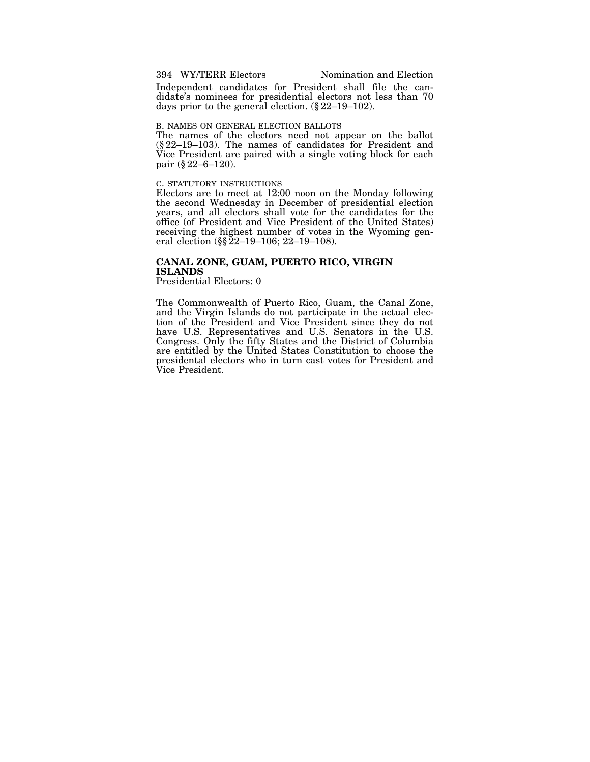394 WY/TERR Electors Nomination and Election

Independent candidates for President shall file the candidate's nominees for presidential electors not less than 70 days prior to the general election. (§ 22–19–102).

#### B. NAMES ON GENERAL ELECTION BALLOTS

The names of the electors need not appear on the ballot (§ 22–19–103). The names of candidates for President and Vice President are paired with a single voting block for each pair (§ 22–6–120).

#### C. STATUTORY INSTRUCTIONS

Electors are to meet at 12:00 noon on the Monday following the second Wednesday in December of presidential election years, and all electors shall vote for the candidates for the office (of President and Vice President of the United States) receiving the highest number of votes in the Wyoming general election (§§ 22–19–106; 22–19–108).

# **CANAL ZONE, GUAM, PUERTO RICO, VIRGIN ISLANDS**

Presidential Electors: 0

The Commonwealth of Puerto Rico, Guam, the Canal Zone, and the Virgin Islands do not participate in the actual election of the President and Vice President since they do not have U.S. Representatives and U.S. Senators in the U.S. Congress. Only the fifty States and the District of Columbia are entitled by the United States Constitution to choose the presidental electors who in turn cast votes for President and Vice President.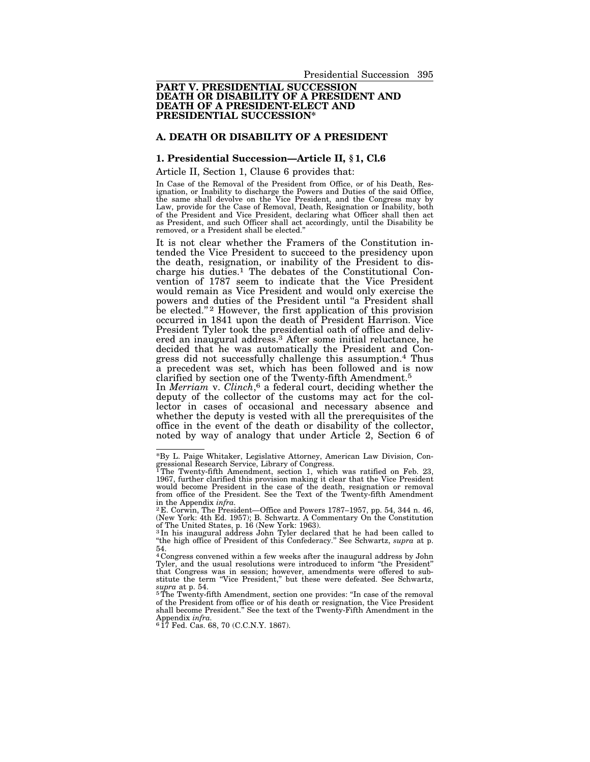Presidential Succession 395

## **PART V. PRESIDENTIAL SUCCESSION DEATH OR DISABILITY OF A PRESIDENT AND DEATH OF A PRESIDENT-ELECT AND PRESIDENTIAL SUCCESSION\***

# **A. DEATH OR DISABILITY OF A PRESIDENT**

#### **1. Presidential Succession—Article II, § 1, Cl.6**

Article II, Section 1, Clause 6 provides that:

In Case of the Removal of the President from Office, or of his Death, Resignation, or Inability to discharge the Powers and Duties of the said Office, the same shall devolve on the Vice President, and the Congress may by Law, provide for the Case of Removal, Death, Resignation or Inability, both of the President and Vice President, declaring what Officer shall then act as President, and such Officer shall act accordingly, until the Disability be removed, or a President shall be elected.''

It is not clear whether the Framers of the Constitution intended the Vice President to succeed to the presidency upon the death, resignation, or inability of the President to discharge his duties.1 The debates of the Constitutional Convention of 1787 seem to indicate that the Vice President would remain as Vice President and would only exercise the powers and duties of the President until ''a President shall be elected."<sup>2</sup> However, the first application of this provision occurred in 1841 upon the death of President Harrison. Vice President Tyler took the presidential oath of office and delivered an inaugural address.3 After some initial reluctance, he decided that he was automatically the President and Congress did not successfully challenge this assumption.4 Thus a precedent was set, which has been followed and is now clarified by section one of the Twenty-fifth Amendment.5

In *Merriam* v. *Clinch*,6 a federal court, deciding whether the deputy of the collector of the customs may act for the collector in cases of occasional and necessary absence and whether the deputy is vested with all the prerequisites of the office in the event of the death or disability of the collector, noted by way of analogy that under Article 2, Section 6 of

<sup>\*</sup>By L. Paige Whitaker, Legislative Attorney, American Law Division, Congressional Research Service, Library of Congress. 1The Twenty-fifth Amendment, section 1, which was ratified on Feb. 23,

<sup>1967,</sup> further clarified this provision making it clear that the Vice President would become President in the case of the death, resignation or removal from office of the President. See the Text of the Twenty-fifth Amendment in the Appendix *infra.* <sup>2</sup> E. Corwin, The President—Office and Powers 1787–1957, pp. 54, 344 n. 46,

<sup>(</sup>New York: 4th Ed. 1957); B. Schwartz. A Commentary On the Constitution of The United States, p. 16 (New York: 1963).

<sup>3</sup> In his inaugural address John Tyler declared that he had been called to ''the high office of President of this Confederacy.'' See Schwartz, *supra* at p. 54.

<sup>4</sup> Congress convened within a few weeks after the inaugural address by John Tyler, and the usual resolutions were introduced to inform ''the President'' that Congress was in session; however, amendments were offered to substitute the term "Vice President," but these were defeated. See Schwartz, supra at p. 54.

<sup>&</sup>lt;sup>5</sup>The Twenty-fifth Amendment, section one provides: "In case of the removal of the President from office or of his death or resignation, the Vice President shall become President." See the text of the Twenty-Fifth Amendment in the Appendix  $\inf$ ra.

<sup>&</sup>lt;sup>6</sup> 17 Fed. Cas. 68, 70 (C.C.N.Y. 1867).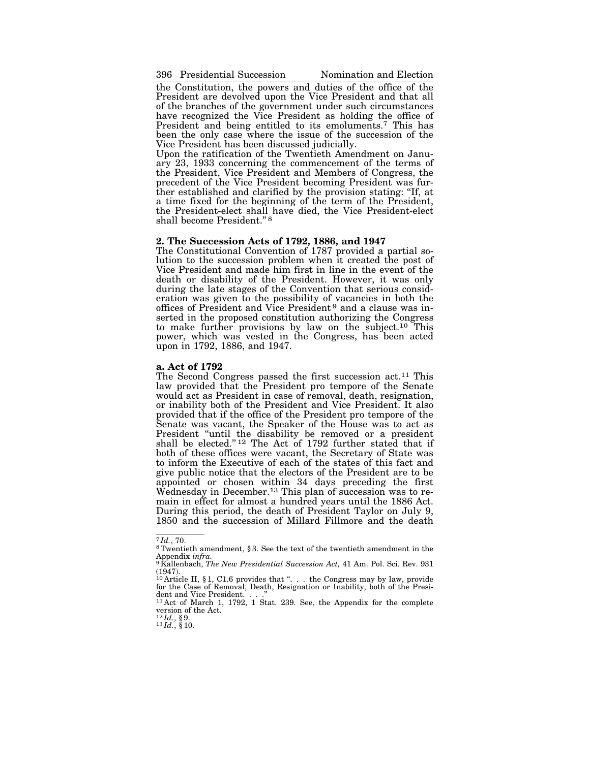396 Presidential Succession Nomination and Election

the Constitution, the powers and duties of the office of the President are devolved upon the Vice President and that all of the branches of the government under such circumstances have recognized the Vice President as holding the office of President and being entitled to its emoluments.<sup>7</sup> This has been the only case where the issue of the succession of the Vice President has been discussed judicially.

Upon the ratification of the Twentieth Amendment on January 23, 1933 concerning the commencement of the terms of the President, Vice President and Members of Congress, the precedent of the Vice President becoming President was further established and clarified by the provision stating: ''If, at a time fixed for the beginning of the term of the President, the President-elect shall have died, the Vice President-elect shall become President."<sup>8</sup>

#### **2. The Succession Acts of 1792, 1886, and 1947**

The Constitutional Convention of 1787 provided a partial solution to the succession problem when it created the post of Vice President and made him first in line in the event of the death or disability of the President. However, it was only during the late stages of the Convention that serious consideration was given to the possibility of vacancies in both the offices of President and Vice President<sup>9</sup> and a clause was inserted in the proposed constitution authorizing the Congress to make further provisions by law on the subject.10 This power, which was vested in the Congress, has been acted upon in 1792, 1886, and 1947.

#### **a. Act of 1792**

The Second Congress passed the first succession act.<sup>11</sup> This law provided that the President pro tempore of the Senate would act as President in case of removal, death, resignation, or inability both of the President and Vice President. It also provided that if the office of the President pro tempore of the Senate was vacant, the Speaker of the House was to act as President "until the disability be removed or a president shall be elected."<sup>12</sup> The Act of 1792 further stated that if both of these offices were vacant, the Secretary of State was to inform the Executive of each of the states of this fact and give public notice that the electors of the President are to be appointed or chosen within 34 days preceding the first Wednesday in December.13 This plan of succession was to remain in effect for almost a hundred years until the 1886 Act. During this period, the death of President Taylor on July 9, 1850 and the succession of Millard Fillmore and the death

 $7$ *Id.*, 70. 8Twentieth amendment, § 3. See the text of the twentieth amendment in the Appendix *infra.* 9Kallenbach, *The New Presidential Succession Act,* 41 Am. Pol. Sci. Rev. 931

<sup>(1947).</sup>

<sup>&</sup>lt;sup>10</sup> Article II, § 1, C1.6 provides that " $\ldots$  the Congress may by law, provide for the Case of Removal, Death, Resignation or Inability, both of the President and Vice President. . . ."<br><sup>11</sup> Act of March 1, 1792, 1 Stat. 239. See, the Appendix for the complete

version of the Act.

 $^{12}$ *Id.*, § 9.<br><sup>13</sup>*Id.*, § 10.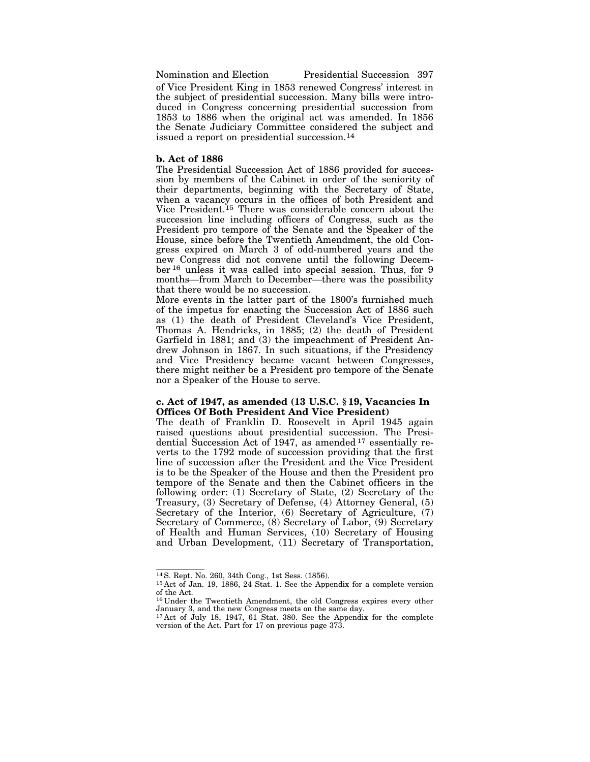Nomination and Election Presidential Succession 397

of Vice President King in 1853 renewed Congress' interest in the subject of presidential succession. Many bills were introduced in Congress concerning presidential succession from 1853 to 1886 when the original act was amended. In 1856 the Senate Judiciary Committee considered the subject and issued a report on presidential succession.14

# **b. Act of 1886**

The Presidential Succession Act of 1886 provided for succession by members of the Cabinet in order of the seniority of their departments, beginning with the Secretary of State, when a vacancy occurs in the offices of both President and Vice President.15 There was considerable concern about the succession line including officers of Congress, such as the President pro tempore of the Senate and the Speaker of the House, since before the Twentieth Amendment, the old Congress expired on March 3 of odd-numbered years and the new Congress did not convene until the following December<sup>16</sup> unless it was called into special session. Thus, for 9 months—from March to December—there was the possibility that there would be no succession.

More events in the latter part of the 1800's furnished much of the impetus for enacting the Succession Act of 1886 such as (1) the death of President Cleveland's Vice President, Thomas A. Hendricks, in 1885; (2) the death of President Garfield in 1881; and (3) the impeachment of President Andrew Johnson in 1867. In such situations, if the Presidency and Vice Presidency became vacant between Congresses, there might neither be a President pro tempore of the Senate nor a Speaker of the House to serve.

# **c. Act of 1947, as amended (13 U.S.C. § 19, Vacancies In Offices Of Both President And Vice President)**

The death of Franklin D. Roosevelt in April 1945 again raised questions about presidential succession. The Presidential Succession Act of 1947, as amended 17 essentially reverts to the 1792 mode of succession providing that the first line of succession after the President and the Vice President is to be the Speaker of the House and then the President pro tempore of the Senate and then the Cabinet officers in the following order: (1) Secretary of State, (2) Secretary of the Treasury, (3) Secretary of Defense, (4) Attorney General, (5) Secretary of the Interior, (6) Secretary of Agriculture, (7) Secretary of Commerce, (8) Secretary of Labor, (9) Secretary of Health and Human Services, (10) Secretary of Housing and Urban Development, (11) Secretary of Transportation,

<sup>14</sup>S. Rept. No. 260, 34th Cong., 1st Sess. (1856).

<sup>15</sup> Act of Jan. 19, 1886, 24 Stat. 1. See the Appendix for a complete version of the Act.

<sup>16</sup> Under the Twentieth Amendment, the old Congress expires every other January 3, and the new Congress meets on the same day.

<sup>&</sup>lt;sup>17</sup> Act of July 18, 1947, 61 Stat. 380. See the Appendix for the complete version of the Act. Part for 17 on previous page 373.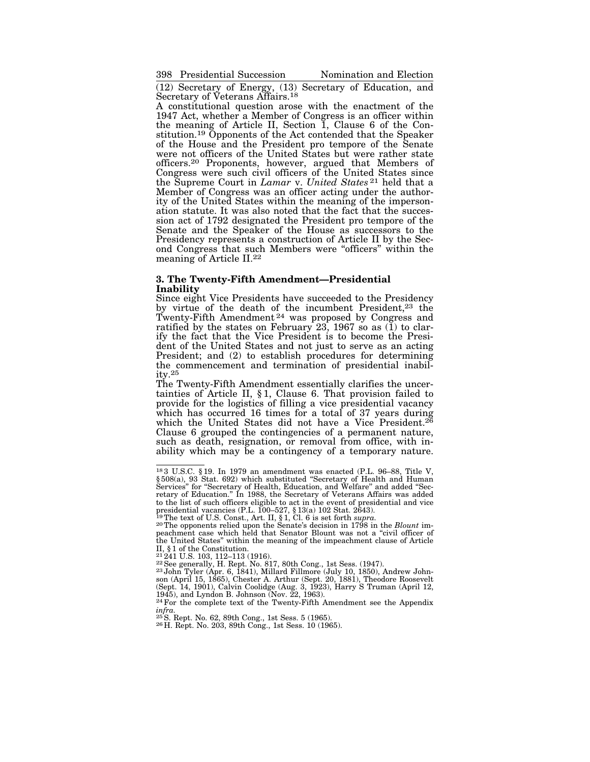398 Presidential Succession Nomination and Election

(12) Secretary of Energy, (13) Secretary of Education, and Secretary of Veterans Affairs.18

A constitutional question arose with the enactment of the 1947 Act, whether a Member of Congress is an officer within the meaning of Article II, Section  $\overline{1}$ , Clause 6 of the Constitution.19 Opponents of the Act contended that the Speaker of the House and the President pro tempore of the Senate were not officers of the United States but were rather state officers.20 Proponents, however, argued that Members of Congress were such civil officers of the United States since the Supreme Court in *Lamar* v. *United States* 21 held that a Member of Congress was an officer acting under the authority of the United States within the meaning of the impersonation statute. It was also noted that the fact that the succession act of 1792 designated the President pro tempore of the Senate and the Speaker of the House as successors to the Presidency represents a construction of Article II by the Second Congress that such Members were ''officers'' within the meaning of Article II.22

# **3. The Twenty-Fifth Amendment—Presidential Inability**

Since eight Vice Presidents have succeeded to the Presidency by virtue of the death of the incumbent President,23 the Twenty-Fifth Amendment 24 was proposed by Congress and ratified by the states on February  $23$ ,  $1967$  so as  $(I)$  to clarify the fact that the Vice President is to become the President of the United States and not just to serve as an acting President; and (2) to establish procedures for determining the commencement and termination of presidential inability.25

The Twenty-Fifth Amendment essentially clarifies the uncertainties of Article II, § 1, Clause 6. That provision failed to provide for the logistics of filling a vice presidential vacancy which has occurred 16 times for a total of 37 years during which the United States did not have a Vice President.<sup>26</sup> Clause 6 grouped the contingencies of a permanent nature, such as death, resignation, or removal from office, with inability which may be a contingency of a temporary nature.

24For the complete text of the Twenty-Fifth Amendment see the Appendix *infra.*<br><sup>25</sup> S. Rept. No. 62, 89th Cong., 1st Sess. 5 (1965).

<sup>26</sup> H. Rept. No. 203, 89th Cong., 1st Sess. 10 (1965).

<sup>18</sup> 3 U.S.C. § 19. In 1979 an amendment was enacted (P.L. 96–88, Title V, § 508(a), 93 Stat. 692) which substituted ''Secretary of Health and Human Services'' for ''Secretary of Health, Education, and Welfare'' and added ''Secretary of Education.'' In 1988, the Secretary of Veterans Affairs was added to the list of such officers eligible to act in the event of presidential and vice presidential vacancies (P.L. 100–527, § 13(a) 102 Stat. 2643). <sup>19</sup> The text of U.S. Const., Art. II, § 1, Cl. 6 is set forth *supra*.

<sup>&</sup>lt;sup>20</sup>The opponents relied upon the Senate's decision in 1798 in the *Blount* impeachment case which held that Senator Blount was not a ''civil officer of the United States'' within the meaning of the impeachment clause of Article II, § 1 of the Constitution.

<sup>22</sup> See generally, H. Rept. No. 817, 80th Cong., 1st Sess. (1947).<br><sup>23</sup> John Tyler (Apr. 6, 1841), Millard Fillmore (July 10, 1850), Andrew Johnson (April 15, 1865), Chester A. Arthur (Sept. 20, 1881), Theodore Roosevelt (Sept. 14, 1901), Calvin Coolidge (Aug. 3, 1923), Harry S Truman (April 12, 1945), and Lyndon B. Johnson (Nov. 22, 1963).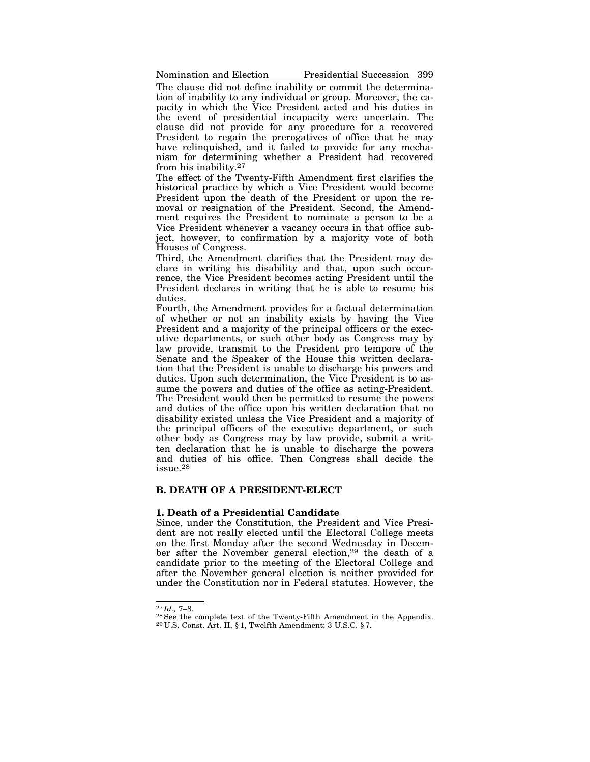Nomination and Election Presidential Succession 399

The clause did not define inability or commit the determination of inability to any individual or group. Moreover, the capacity in which the Vice President acted and his duties in the event of presidential incapacity were uncertain. The clause did not provide for any procedure for a recovered President to regain the prerogatives of office that he may have relinquished, and it failed to provide for any mechanism for determining whether a President had recovered from his inability.27

The effect of the Twenty-Fifth Amendment first clarifies the historical practice by which a Vice President would become President upon the death of the President or upon the removal or resignation of the President. Second, the Amendment requires the President to nominate a person to be a Vice President whenever a vacancy occurs in that office subject, however, to confirmation by a majority vote of both Houses of Congress.

Third, the Amendment clarifies that the President may declare in writing his disability and that, upon such occurrence, the Vice President becomes acting President until the President declares in writing that he is able to resume his duties.

Fourth, the Amendment provides for a factual determination of whether or not an inability exists by having the Vice President and a majority of the principal officers or the executive departments, or such other body as Congress may by law provide, transmit to the President pro tempore of the Senate and the Speaker of the House this written declaration that the President is unable to discharge his powers and duties. Upon such determination, the Vice President is to assume the powers and duties of the office as acting-President. The President would then be permitted to resume the powers and duties of the office upon his written declaration that no disability existed unless the Vice President and a majority of the principal officers of the executive department, or such other body as Congress may by law provide, submit a written declaration that he is unable to discharge the powers and duties of his office. Then Congress shall decide the issue.28

# **B. DEATH OF A PRESIDENT-ELECT**

## **1. Death of a Presidential Candidate**

Since, under the Constitution, the President and Vice President are not really elected until the Electoral College meets on the first Monday after the second Wednesday in December after the November general election,29 the death of a candidate prior to the meeting of the Electoral College and after the November general election is neither provided for under the Constitution nor in Federal statutes. However, the

<sup>27</sup> *Id.,* 7–8.

<sup>28</sup>See the complete text of the Twenty-Fifth Amendment in the Appendix. 29 U.S. Const. Art. II, § 1, Twelfth Amendment; 3 U.S.C. § 7.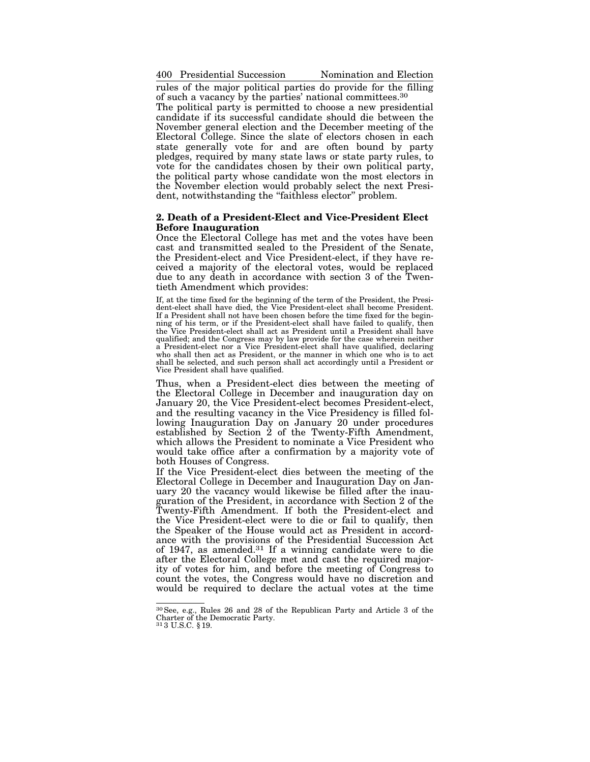400 Presidential Succession Nomination and Election

rules of the major political parties do provide for the filling of such a vacancy by the parties' national committees.30

The political party is permitted to choose a new presidential candidate if its successful candidate should die between the November general election and the December meeting of the Electoral College. Since the slate of electors chosen in each state generally vote for and are often bound by party pledges, required by many state laws or state party rules, to vote for the candidates chosen by their own political party, the political party whose candidate won the most electors in the November election would probably select the next President, notwithstanding the "faithless elector" problem.

# **2. Death of a President-Elect and Vice-President Elect Before Inauguration**

Once the Electoral College has met and the votes have been cast and transmitted sealed to the President of the Senate, the President-elect and Vice President-elect, if they have received a majority of the electoral votes, would be replaced due to any death in accordance with section 3 of the Twentieth Amendment which provides:

If, at the time fixed for the beginning of the term of the President, the President-elect shall have died, the Vice President-elect shall become President. If a President shall not have been chosen before the time fixed for the beginning of his term, or if the President-elect shall have failed to qualify, then the Vice President-elect shall act as President until a President shall have qualified; and the Congress may by law provide for the case wherein neither a President-elect nor a Vice President-elect shall have qualified, declaring who shall then act as President, or the manner in which one who is to act shall be selected, and such person shall act accordingly until a President or Vice President shall have qualified.

Thus, when a President-elect dies between the meeting of the Electoral College in December and inauguration day on January 20, the Vice President-elect becomes President-elect, and the resulting vacancy in the Vice Presidency is filled following Inauguration Day on January 20 under procedures established by Section 2 of the Twenty-Fifth Amendment, which allows the President to nominate a Vice President who would take office after a confirmation by a majority vote of both Houses of Congress.

If the Vice President-elect dies between the meeting of the Electoral College in December and Inauguration Day on January 20 the vacancy would likewise be filled after the inauguration of the President, in accordance with Section 2 of the Twenty-Fifth Amendment. If both the President-elect and the Vice President-elect were to die or fail to qualify, then the Speaker of the House would act as President in accordance with the provisions of the Presidential Succession Act of 1947, as amended.31 If a winning candidate were to die after the Electoral College met and cast the required majority of votes for him, and before the meeting of Congress to count the votes, the Congress would have no discretion and would be required to declare the actual votes at the time

<sup>30</sup>See, e.g., Rules 26 and 28 of the Republican Party and Article 3 of the Charter of the Democratic Party.

<sup>31</sup> 3 U.S.C. § 19.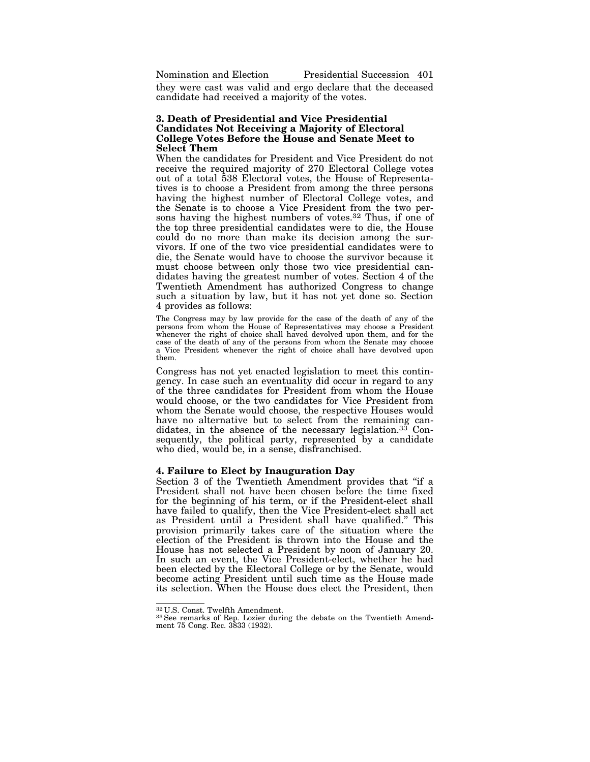they were cast was valid and ergo declare that the deceased candidate had received a majority of the votes.

## **3. Death of Presidential and Vice Presidential Candidates Not Receiving a Majority of Electoral College Votes Before the House and Senate Meet to Select Them**

When the candidates for President and Vice President do not receive the required majority of 270 Electoral College votes out of a total 538 Electoral votes, the House of Representatives is to choose a President from among the three persons having the highest number of Electoral College votes, and the Senate is to choose a Vice President from the two persons having the highest numbers of votes.32 Thus, if one of the top three presidential candidates were to die, the House could do no more than make its decision among the survivors. If one of the two vice presidential candidates were to die, the Senate would have to choose the survivor because it must choose between only those two vice presidential candidates having the greatest number of votes. Section 4 of the Twentieth Amendment has authorized Congress to change such a situation by law, but it has not yet done so. Section 4 provides as follows:

The Congress may by law provide for the case of the death of any of the persons from whom the House of Representatives may choose a President whenever the right of choice shall haved devolved upon them, and for the case of the death of any of the persons from whom the Senate may choose a Vice President whenever the right of choice shall have devolved upon them.

Congress has not yet enacted legislation to meet this contingency. In case such an eventuality did occur in regard to any of the three candidates for President from whom the House would choose, or the two candidates for Vice President from whom the Senate would choose, the respective Houses would have no alternative but to select from the remaining candidates, in the absence of the necessary legislation.<sup>33</sup> Consequently, the political party, represented by a candidate who died, would be, in a sense, disfranchised.

#### **4. Failure to Elect by Inauguration Day**

Section 3 of the Twentieth Amendment provides that ''if a President shall not have been chosen before the time fixed for the beginning of his term, or if the President-elect shall have failed to qualify, then the Vice President-elect shall act as President until a President shall have qualified.'' This provision primarily takes care of the situation where the election of the President is thrown into the House and the House has not selected a President by noon of January 20. In such an event, the Vice President-elect, whether he had been elected by the Electoral College or by the Senate, would become acting President until such time as the House made its selection. When the House does elect the President, then

 $32 \text{ U.S. Const.}$  Twelfth Amendment.<br> $33 \text{ See remarks of Rep. Lozier during the debate on the Twentieth Amend-}$ ment 75 Cong. Rec. 3833 (1932).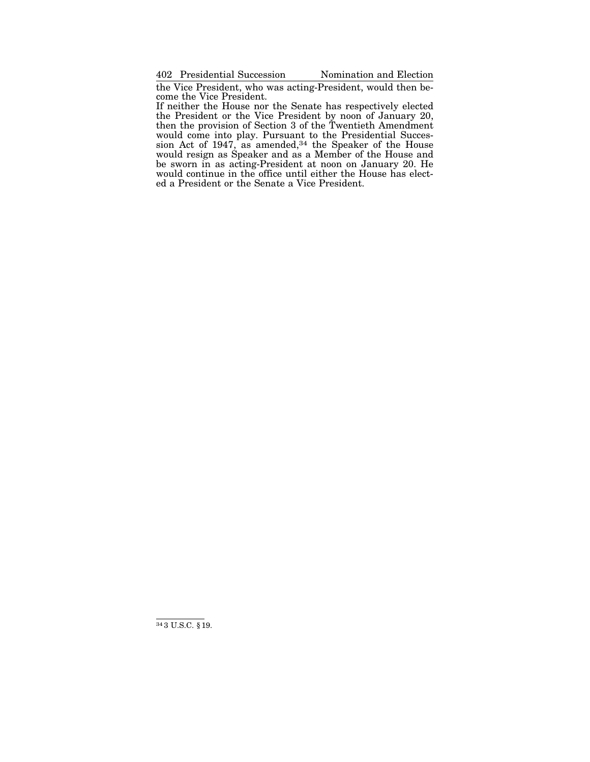402 Presidential Succession Nomination and Election

the Vice President, who was acting-President, would then become the Vice President.

If neither the House nor the Senate has respectively elected the President or the Vice President by noon of January 20, then the provision of Section 3 of the Twentieth Amendment would come into play. Pursuant to the Presidential Succession Act of 1947, as amended,  $34$  the Speaker of the House would resign as Speaker and as a Member of the House and be sworn in as acting-President at noon on January 20. He would continue in the office until either the House has elected a President or the Senate a Vice President.

34 3 U.S.C. § 19.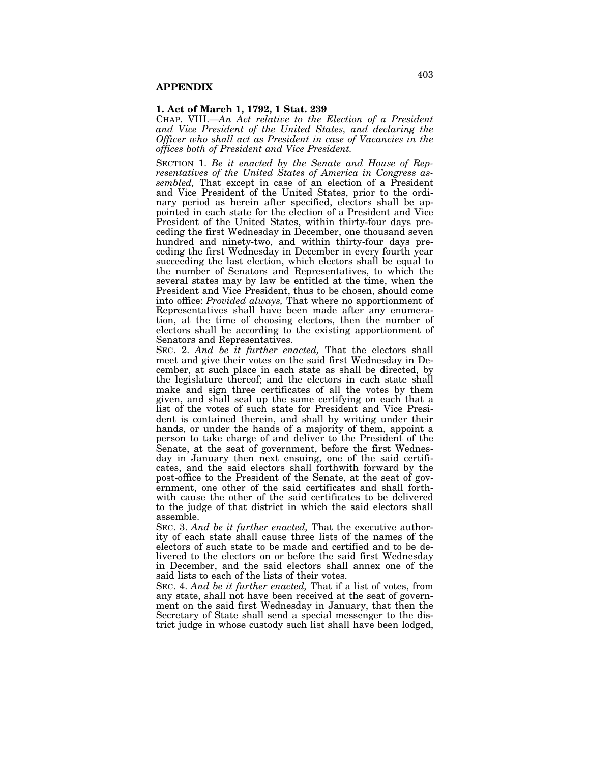#### **1. Act of March 1, 1792, 1 Stat. 239**

CHAP. VIII.—*An Act relative to the Election of a President and Vice President of the United States, and declaring the Officer who shall act as President in case of Vacancies in the offices both of President and Vice President.*

SECTION 1. *Be it enacted by the Senate and House of Representatives of the United States of America in Congress assembled,* That except in case of an election of a President and Vice President of the United States, prior to the ordinary period as herein after specified, electors shall be appointed in each state for the election of a President and Vice President of the United States, within thirty-four days preceding the first Wednesday in December, one thousand seven hundred and ninety-two, and within thirty-four days preceding the first Wednesday in December in every fourth year succeeding the last election, which electors shall be equal to the number of Senators and Representatives, to which the several states may by law be entitled at the time, when the President and Vice President, thus to be chosen, should come into office: *Provided always,* That where no apportionment of Representatives shall have been made after any enumeration, at the time of choosing electors, then the number of electors shall be according to the existing apportionment of Senators and Representatives.

SEC. 2. *And be it further enacted,* That the electors shall meet and give their votes on the said first Wednesday in December, at such place in each state as shall be directed, by the legislature thereof; and the electors in each state shall make and sign three certificates of all the votes by them given, and shall seal up the same certifying on each that a list of the votes of such state for President and Vice President is contained therein, and shall by writing under their hands, or under the hands of a majority of them, appoint a person to take charge of and deliver to the President of the Senate, at the seat of government, before the first Wednesday in January then next ensuing, one of the said certificates, and the said electors shall forthwith forward by the post-office to the President of the Senate, at the seat of government, one other of the said certificates and shall forthwith cause the other of the said certificates to be delivered to the judge of that district in which the said electors shall assemble.

SEC. 3. *And be it further enacted,* That the executive authority of each state shall cause three lists of the names of the electors of such state to be made and certified and to be delivered to the electors on or before the said first Wednesday in December, and the said electors shall annex one of the said lists to each of the lists of their votes.

SEC. 4. *And be it further enacted,* That if a list of votes, from any state, shall not have been received at the seat of government on the said first Wednesday in January, that then the Secretary of State shall send a special messenger to the district judge in whose custody such list shall have been lodged,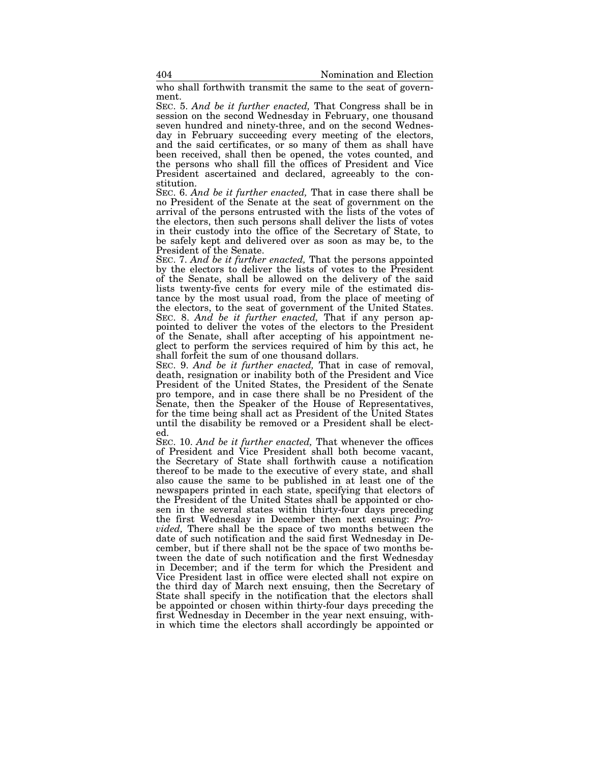who shall forthwith transmit the same to the seat of government.

SEC. 5. *And be it further enacted,* That Congress shall be in session on the second Wednesday in February, one thousand seven hundred and ninety-three, and on the second Wednesday in February succeeding every meeting of the electors, and the said certificates, or so many of them as shall have been received, shall then be opened, the votes counted, and the persons who shall fill the offices of President and Vice President ascertained and declared, agreeably to the constitution.

SEC. 6. *And be it further enacted,* That in case there shall be no President of the Senate at the seat of government on the arrival of the persons entrusted with the lists of the votes of the electors, then such persons shall deliver the lists of votes in their custody into the office of the Secretary of State, to be safely kept and delivered over as soon as may be, to the President of the Senate.

SEC. 7. *And be it further enacted,* That the persons appointed by the electors to deliver the lists of votes to the President of the Senate, shall be allowed on the delivery of the said lists twenty-five cents for every mile of the estimated distance by the most usual road, from the place of meeting of the electors, to the seat of government of the United States. SEC. 8. *And be it further enacted,* That if any person appointed to deliver the votes of the electors to the President of the Senate, shall after accepting of his appointment neglect to perform the services required of him by this act, he shall forfeit the sum of one thousand dollars.

SEC. 9. *And be it further enacted,* That in case of removal, death, resignation or inability both of the President and Vice President of the United States, the President of the Senate pro tempore, and in case there shall be no President of the Senate, then the Speaker of the House of Representatives, for the time being shall act as President of the United States until the disability be removed or a President shall be elected.

SEC. 10. *And be it further enacted,* That whenever the offices of President and Vice President shall both become vacant, the Secretary of State shall forthwith cause a notification thereof to be made to the executive of every state, and shall also cause the same to be published in at least one of the newspapers printed in each state, specifying that electors of the President of the United States shall be appointed or chosen in the several states within thirty-four days preceding the first Wednesday in December then next ensuing: *Provided,* There shall be the space of two months between the date of such notification and the said first Wednesday in December, but if there shall not be the space of two months between the date of such notification and the first Wednesday in December; and if the term for which the President and Vice President last in office were elected shall not expire on the third day of March next ensuing, then the Secretary of State shall specify in the notification that the electors shall be appointed or chosen within thirty-four days preceding the first Wednesday in December in the year next ensuing, within which time the electors shall accordingly be appointed or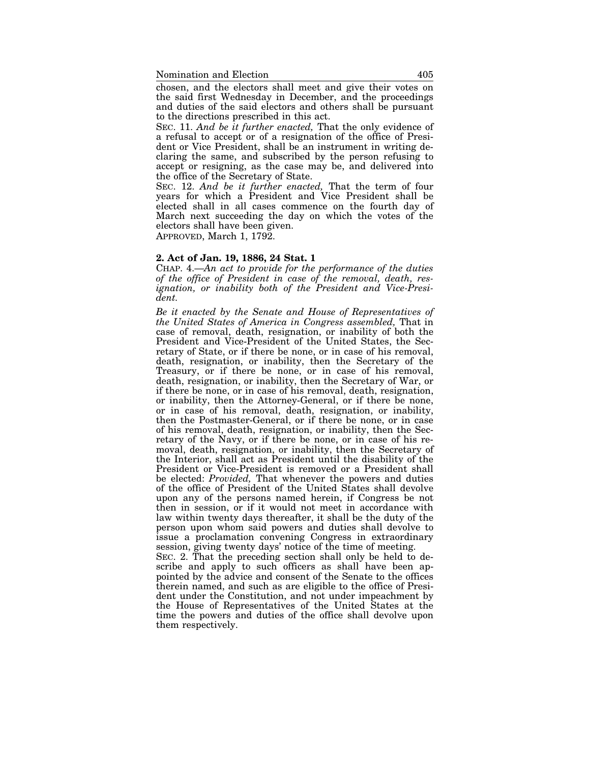Nomination and Election 405

chosen, and the electors shall meet and give their votes on the said first Wednesday in December, and the proceedings and duties of the said electors and others shall be pursuant to the directions prescribed in this act.

SEC. 11. *And be it further enacted,* That the only evidence of a refusal to accept or of a resignation of the office of President or Vice President, shall be an instrument in writing declaring the same, and subscribed by the person refusing to accept or resigning, as the case may be, and delivered into the office of the Secretary of State.

SEC. 12. *And be it further enacted,* That the term of four years for which a President and Vice President shall be elected shall in all cases commence on the fourth day of March next succeeding the day on which the votes of the electors shall have been given.

APPROVED, March 1, 1792.

## **2. Act of Jan. 19, 1886, 24 Stat. 1**

CHAP. 4.—*An act to provide for the performance of the duties of the office of President in case of the removal, death, resignation, or inability both of the President and Vice-President.*

*Be it enacted by the Senate and House of Representatives of the United States of America in Congress assembled,* That in case of removal, death, resignation, or inability of both the President and Vice-President of the United States, the Secretary of State, or if there be none, or in case of his removal, death, resignation, or inability, then the Secretary of the Treasury, or if there be none, or in case of his removal, death, resignation, or inability, then the Secretary of War, or if there be none, or in case of his removal, death, resignation, or inability, then the Attorney-General, or if there be none, or in case of his removal, death, resignation, or inability, then the Postmaster-General, or if there be none, or in case of his removal, death, resignation, or inability, then the Secretary of the Navy, or if there be none, or in case of his removal, death, resignation, or inability, then the Secretary of the Interior, shall act as President until the disability of the President or Vice-President is removed or a President shall be elected: *Provided,* That whenever the powers and duties of the office of President of the United States shall devolve upon any of the persons named herein, if Congress be not then in session, or if it would not meet in accordance with law within twenty days thereafter, it shall be the duty of the person upon whom said powers and duties shall devolve to issue a proclamation convening Congress in extraordinary session, giving twenty days' notice of the time of meeting. SEC. 2. That the preceding section shall only be held to de-

scribe and apply to such officers as shall have been appointed by the advice and consent of the Senate to the offices therein named, and such as are eligible to the office of President under the Constitution, and not under impeachment by the House of Representatives of the United States at the time the powers and duties of the office shall devolve upon them respectively.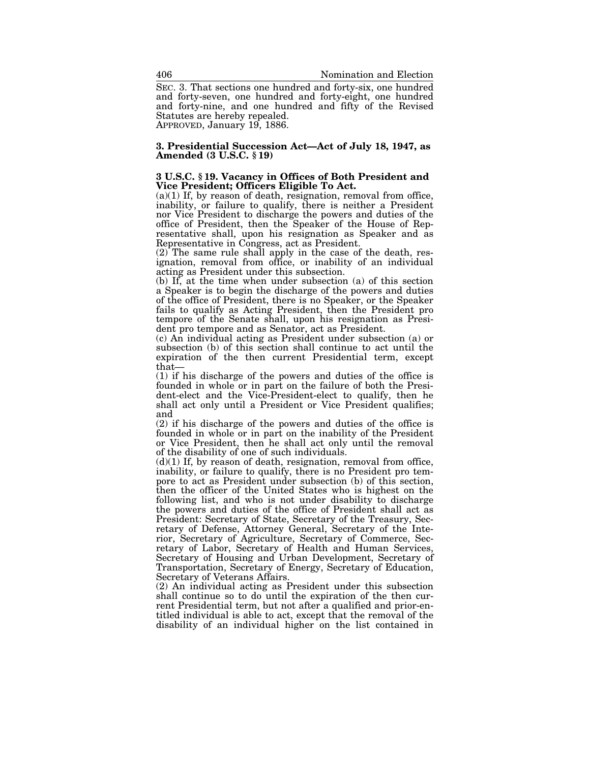SEC. 3. That sections one hundred and forty-six, one hundred and forty-seven, one hundred and forty-eight, one hundred and forty-nine, and one hundred and fifty of the Revised Statutes are hereby repealed. APPROVED, January 19, 1886.

#### **3. Presidential Succession Act—Act of July 18, 1947, as Amended (3 U.S.C. § 19)**

#### **3 U.S.C. § 19. Vacancy in Offices of Both President and Vice President; Officers Eligible To Act.**

 $(a)(1)$  If, by reason of death, resignation, removal from office, inability, or failure to qualify, there is neither a President nor Vice President to discharge the powers and duties of the office of President, then the Speaker of the House of Representative shall, upon his resignation as Speaker and as Representative in Congress, act as President.

(2) The same rule shall apply in the case of the death, resignation, removal from office, or inability of an individual acting as President under this subsection.

(b) If, at the time when under subsection (a) of this section a Speaker is to begin the discharge of the powers and duties of the office of President, there is no Speaker, or the Speaker fails to qualify as Acting President, then the President pro tempore of the Senate shall, upon his resignation as President pro tempore and as Senator, act as President.

(c) An individual acting as President under subsection (a) or subsection (b) of this section shall continue to act until the expiration of the then current Presidential term, except that—

(1) if his discharge of the powers and duties of the office is founded in whole or in part on the failure of both the President-elect and the Vice-President-elect to qualify, then he shall act only until a President or Vice President qualifies; and

(2) if his discharge of the powers and duties of the office is founded in whole or in part on the inability of the President or Vice President, then he shall act only until the removal of the disability of one of such individuals.

 $(d)(1)$  If, by reason of death, resignation, removal from office, inability, or failure to qualify, there is no President pro tempore to act as President under subsection (b) of this section, then the officer of the United States who is highest on the following list, and who is not under disability to discharge the powers and duties of the office of President shall act as President: Secretary of State, Secretary of the Treasury, Secretary of Defense, Attorney General, Secretary of the Interior, Secretary of Agriculture, Secretary of Commerce, Secretary of Labor, Secretary of Health and Human Services, Secretary of Housing and Urban Development, Secretary of Transportation, Secretary of Energy, Secretary of Education, Secretary of Veterans Affairs.

(2) An individual acting as President under this subsection shall continue so to do until the expiration of the then current Presidential term, but not after a qualified and prior-entitled individual is able to act, except that the removal of the disability of an individual higher on the list contained in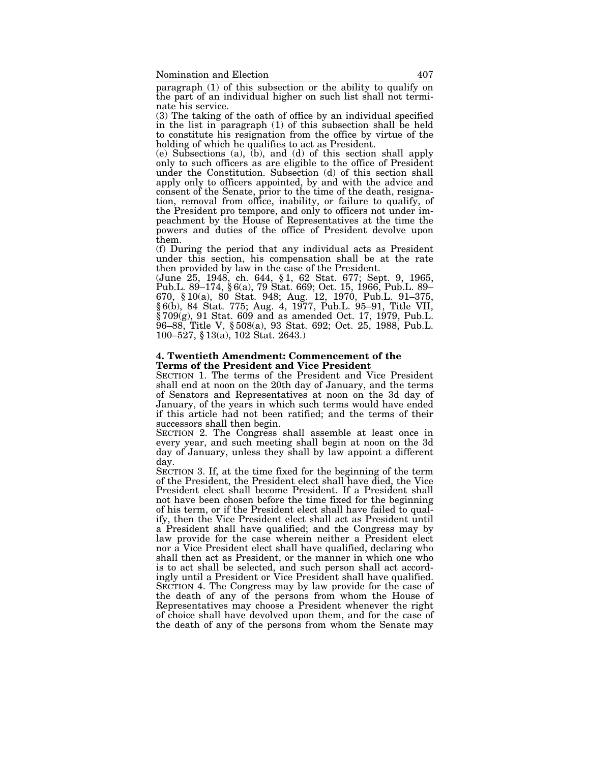paragraph (1) of this subsection or the ability to qualify on the part of an individual higher on such list shall not terminate his service.

(3) The taking of the oath of office by an individual specified in the list in paragraph (1) of this subsection shall be held to constitute his resignation from the office by virtue of the holding of which he qualifies to act as President.

(e) Subsections (a), (b), and (d) of this section shall apply only to such officers as are eligible to the office of President under the Constitution. Subsection (d) of this section shall apply only to officers appointed, by and with the advice and consent of the Senate, prior to the time of the death, resignation, removal from office, inability, or failure to qualify, of the President pro tempore, and only to officers not under impeachment by the House of Representatives at the time the powers and duties of the office of President devolve upon them.

(f) During the period that any individual acts as President under this section, his compensation shall be at the rate then provided by law in the case of the President.

(June 25, 1948, ch. 644, § 1, 62 Stat. 677; Sept. 9, 1965, Pub.L. 89–174, § 6(a), 79 Stat. 669; Oct. 15, 1966, Pub.L. 89– 670, § 10(a), 80 Stat. 948; Aug. 12, 1970, Pub.L. 91–375, § 6(b), 84 Stat. 775; Aug. 4, 1977, Pub.L. 95–91, Title VII, § 709(g), 91 Stat. 609 and as amended Oct. 17, 1979, Pub.L. 96–88, Title V, § 508(a), 93 Stat. 692; Oct. 25, 1988, Pub.L. 100–527, § 13(a), 102 Stat. 2643.)

## **4. Twentieth Amendment: Commencement of the Terms of the President and Vice President**

SECTION 1. The terms of the President and Vice President shall end at noon on the 20th day of January, and the terms of Senators and Representatives at noon on the 3d day of January, of the years in which such terms would have ended if this article had not been ratified; and the terms of their successors shall then begin.

SECTION 2. The Congress shall assemble at least once in every year, and such meeting shall begin at noon on the 3d day of January, unless they shall by law appoint a different day.

SECTION 3. If, at the time fixed for the beginning of the term of the President, the President elect shall have died, the Vice President elect shall become President. If a President shall not have been chosen before the time fixed for the beginning of his term, or if the President elect shall have failed to qualify, then the Vice President elect shall act as President until a President shall have qualified; and the Congress may by law provide for the case wherein neither a President elect nor a Vice President elect shall have qualified, declaring who shall then act as President, or the manner in which one who is to act shall be selected, and such person shall act accordingly until a President or Vice President shall have qualified. SECTION 4. The Congress may by law provide for the case of the death of any of the persons from whom the House of Representatives may choose a President whenever the right of choice shall have devolved upon them, and for the case of the death of any of the persons from whom the Senate may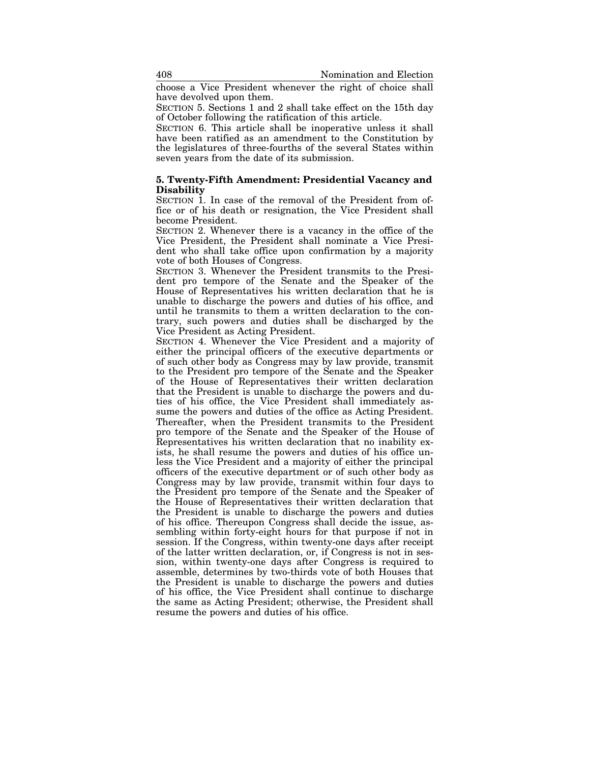choose a Vice President whenever the right of choice shall have devolved upon them.

SECTION 5. Sections 1 and 2 shall take effect on the 15th day of October following the ratification of this article.

SECTION 6. This article shall be inoperative unless it shall have been ratified as an amendment to the Constitution by the legislatures of three-fourths of the several States within seven years from the date of its submission.

## **5. Twenty-Fifth Amendment: Presidential Vacancy and Disability**

SECTION 1. In case of the removal of the President from office or of his death or resignation, the Vice President shall become President.

SECTION 2. Whenever there is a vacancy in the office of the Vice President, the President shall nominate a Vice President who shall take office upon confirmation by a majority vote of both Houses of Congress.

SECTION 3. Whenever the President transmits to the President pro tempore of the Senate and the Speaker of the House of Representatives his written declaration that he is unable to discharge the powers and duties of his office, and until he transmits to them a written declaration to the contrary, such powers and duties shall be discharged by the Vice President as Acting President.

SECTION 4. Whenever the Vice President and a majority of either the principal officers of the executive departments or of such other body as Congress may by law provide, transmit to the President pro tempore of the Senate and the Speaker of the House of Representatives their written declaration that the President is unable to discharge the powers and duties of his office, the Vice President shall immediately assume the powers and duties of the office as Acting President. Thereafter, when the President transmits to the President pro tempore of the Senate and the Speaker of the House of Representatives his written declaration that no inability exists, he shall resume the powers and duties of his office unless the Vice President and a majority of either the principal officers of the executive department or of such other body as Congress may by law provide, transmit within four days to the President pro tempore of the Senate and the Speaker of the House of Representatives their written declaration that the President is unable to discharge the powers and duties of his office. Thereupon Congress shall decide the issue, assembling within forty-eight hours for that purpose if not in session. If the Congress, within twenty-one days after receipt of the latter written declaration, or, if Congress is not in session, within twenty-one days after Congress is required to assemble, determines by two-thirds vote of both Houses that the President is unable to discharge the powers and duties of his office, the Vice President shall continue to discharge the same as Acting President; otherwise, the President shall resume the powers and duties of his office.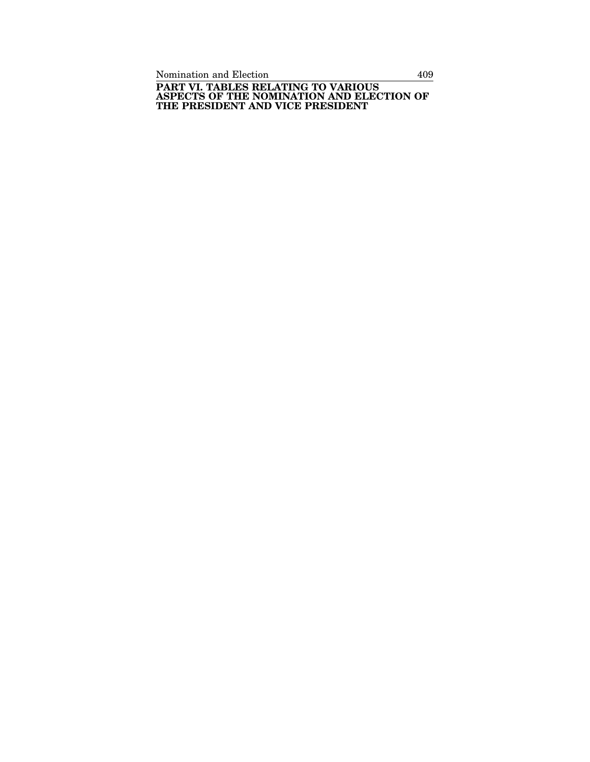Nomination and Election 409

**PART VI. TABLES RELATING TO VARIOUS ASPECTS OF THE NOMINATION AND ELECTION OF THE PRESIDENT AND VICE PRESIDENT**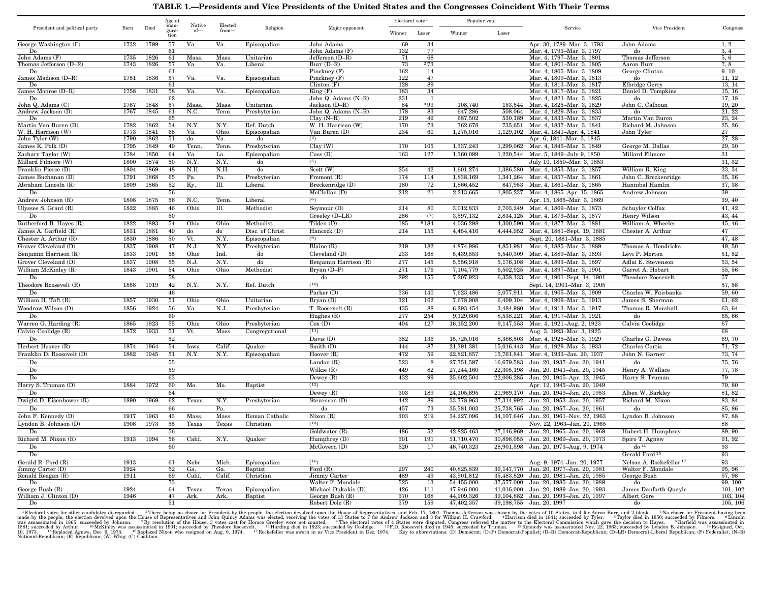#### **TABLE 1.—Presidents and Vice Presidents of the United States and the Congresses Coincident With Their Terms**

|                                        |              |              | Age at<br>inau- | Native       | Elected      |                         |                                    | Electoral vote <sup>1</sup> |                | Popular vote |              |                                                           |                                                          |                  |
|----------------------------------------|--------------|--------------|-----------------|--------------|--------------|-------------------------|------------------------------------|-----------------------------|----------------|--------------|--------------|-----------------------------------------------------------|----------------------------------------------------------|------------------|
| President and political party          | Born         | Died         | gura<br>tion    |              | from—        | Religion                | Major opponent                     | Winner                      | Loser          | Winner       | Loser        | Service                                                   | Vice President                                           | Congress         |
| George Washington (F)                  | 1732         | 1799         | 57              | Va.          | Va.          | Episcopalian            | John Adams                         | 69                          | 34             |              |              | Apr. 30, 1789-Mar. 3, 1793                                | John Adams                                               | 1, 2             |
| Do                                     |              |              | 61              |              |              |                         | John Adams (F)                     | 132                         | 77             |              |              | Mar. 4, 1793-Mar. 3, 1797                                 | do                                                       | 3, 4             |
| John Adams (F)                         | 1735         | 1826         | 61              | Mass.        | Mass.        | Unitarian               | $Jefferson$ $(D-R)$                | 71                          | 68             |              |              | Mar. 4, 1797-Mar. 3, 1801                                 | Thomas Jefferson                                         | 5, 6             |
| Thomas Jefferson (D-R)                 | 1743         | 1826         | 57              | Va.          | Va.          | Liberal                 | Burr $(D-R)$                       | 73<br>162                   | 273            |              |              | Mar. 4, 1801-Mar. 3, 1805<br>Mar. 4, 1805-Mar. 3, 1809    | Aaron Burr<br>George Clinton                             | 7,8<br>9.10      |
| Do<br>James Madison (D-R)              | 1751         | 1836         | 61<br>57        | Va.          | Va.          | Episcopalian            | Pinckney (F)<br>Pincknev(F)        | 122                         | 14<br>47       |              |              | Mar. 4, 1809-Mar. 3, 1813                                 | do                                                       | 11, 12           |
| Do                                     |              |              | 61              |              |              |                         | $Clinton$ $(F)$                    | 128                         | 89             |              |              | Mar. 4, 1813-Mar. 3, 1817                                 | Elbridge Gerry                                           | 13, 14           |
| James Monroe (D-R)                     | 1758         | 1831         | 58              | Va.          | Va.          | Episcopalian            | King(F)                            | 183                         | 34             |              |              | Mar. 4, 1817-Mar. 3, 1821                                 | Daniel D. Tompkins                                       | 15, 16           |
| Do                                     |              |              | 62              |              |              |                         | John Q. Adams (N-R)                | 231                         | $\overline{1}$ |              |              | Mar. 4, 1821-Mar. 3, 1825                                 | do                                                       | 17, 18           |
| John Q. Adams (C)                      | 1767         | 1848         | 57              | Mass.        | Mass.        | Unitarian               | $Jackson (D-R)$                    | 84                          | 399            | 108,740      | 153,544      | Mar. 4, 1825-Mar. 3, 1829                                 | John C. Calhoun                                          | 19, 20           |
| Andrew Jackson (D)                     | 1767         | 1845         | 61              | N.C.         | Tenn.        | Presbyterian            | John Q. Adams (N-R)                | 178                         | 83             | 647,286      | 508,064      | Mar. 4, 1829-Mar. 3, 1833                                 | do                                                       | 21, 22           |
| Do                                     |              |              | 65              |              |              |                         | $Clav(N-R)$                        | 219                         | 49             | 687,502      |              | 530,189 Mar. 4, 1833-Mar. 3, 1837                         | Martin Van Buren                                         | 23, 24           |
| Martin Van Buren (D)                   | 1782         | 1862         | 54              | N.Y.         | N.Y.         | Ref. Dutch              | W. H. Harrison (W)                 | 170                         | 73             | 762,678      |              | 735,651 Mar. 4, 1837–Mar. 3, 1841                         | Richard M. Johnson                                       | 25, 26           |
| W. H. Harrison (W)                     | 1773         | 1841         | 68              | Va.          | Ohio         | Episcopalian            | Van Buren (D)                      | 234                         | 60             | 1,275,016    |              | 1,129,102 Mar. 4, 1841–Apr. 4, 1841                       | John Tyler                                               | 27               |
| John Tyler (W)                         | 1790         | 1862<br>1849 | 51              | do<br>Tenn.  | Va.          | do                      | $^{(4)}$                           | 170                         |                |              |              | Apr. 6, 1841-Mar. 3, 1845                                 |                                                          | 27, 28<br>29, 30 |
| James K. Polk (D)                      | 1795         |              | 49              |              | Tenn.        | Presbyterian            | Clav(W)                            |                             | 105            | 1,337,243    | 1,299,062    | Mar. 4, 1845–Mar. 3, 1849                                 | George M. Dallas                                         |                  |
| Zachary Taylor (W)                     | 1784         | 1850         | 64              | Va.          | La.          | Episcopalian            | $\overline{\text{Cass}(\text{D})}$ | 163                         | 127            | 1,360,099    | 1,220,544    | Mar. 5, 1849–July 9, 1850                                 | <b>Millard Filmore</b>                                   | 31               |
| Millard Filmore (W)                    | 1800         | 1874         | 50              | N.Y.         | N.Y.         | do                      | $^{(5)}$                           |                             |                |              |              | July 10, 1850-Mar. 3, 1853                                |                                                          | 31, 32           |
| Franklin Pierce (D)                    | 1804         | 1869         | 48              | N.H.         | N.H.         | do                      | Scott (W)                          | 254                         | 42             | 1,601,274    | 1,386,580    | Mar. 4, 1853-Mar. 3, 1857                                 | William R. King                                          | 33, 34           |
| James Buchanan (D)                     | 1791         | 1868         | 65              | Pa.          | Pa.          | Presbyterian            | Fremont(R)                         | 174                         | 114            | 1,838,169    | 1.341.264    | Mar. 4, 1857-Mar. 3, 1861                                 | John C. Breckenridge                                     | 35, 36           |
| Abraham Lincoln (R)                    | 1809         | 1865         | 52              | Ky.          | III.         | Liberal                 | Breckenridge (D)                   | 180                         | 72             | 1,866,452    | 847,953      | Mar. 4, 1861-Mar. 3, 1865                                 | Hannibal Hamlin                                          | 37, 38           |
| Do                                     |              |              | 56              |              |              |                         | McClellan(D)                       | 212                         | 21             | 2,213,665    | 1,805,237    | Mar. 4, 1865-Apr. 15, 1865                                | Andrew Johnson                                           | 39               |
| Andrew Johnson (R)                     | 1808         | 1875         | 56              | N.C.         | Tenn.        | Liberal                 | (6)                                |                             |                |              |              | Apr. 15, 1865-Mar. 3, 1869                                |                                                          | 39, 40           |
| Ulysses S. Grant $(R)$                 | 1822         | 1885         | 46              | Ohio         | Ill.         | Methodist               | Seymour (D)                        | 214                         | 80             | 3,012,833    |              | 2,703,249 Mar. 4, 1869-Mar. 3, 1873                       | Schuyler Colfax                                          | 41, 42           |
| Do                                     |              |              | 50              |              |              |                         | Greeley (D-LR)                     | 286                         | (7)            | 3,597,132    | 2,834,125    | Mar. 4, 1873–Mar. 3, 1877                                 | Henry Wilson                                             | 43, 44           |
| Rutherford B. Hayes (R)                | 1822         | 1893         | 54              | Ohio         | Ohio         | Methodist               | Tilden $(D)$                       | 185                         | 8184           | 4,036,298    |              | 4,300,590 Mar. 4, 1877-Mar. 3, 1881                       | William A. Wheeler                                       | 45, 46           |
| James A. Garfield (R)                  | 1831         | 1881         | 49              | do           | do           | Disc. of Christ         | Hancock (D)                        | 214                         | 155            | 4,454,416    | 4,444,952    | Mar. 4, 1881–Sept. 19, 1881                               | Chester A. Arthur                                        | 47               |
| Chester A. Arthur (R)                  | 1830         | 1886         | 50              | Vt.          | N.Y.         | Episcopalian            | (9)                                |                             |                |              |              | Sept. 20, 1881-Mar. 3, 1885                               |                                                          | 47, 48           |
| Grover Cleveland (D)                   | 1837         | 1908         | 47              | N.J.         | N.Y          | Presbyterian            | Blaine $(R)$                       | 219                         | 182            | 4,874,986    | 4,851,981    | Mar. 4, 1885–Mar. 3, 1889                                 | Thomas A. Hendricks                                      | 49,50            |
| Benjamin Harrison (R)                  | 1833         | 1901         | 55              | Ohio         | Ind.         | do                      | Cleveland $(D)$                    | 233                         | 168            | 5,439,853    | 5,540,309    | Mar. 4, 1889-Mar. 3, 1893                                 | Levi P. Morton                                           | 51, 52           |
| Grover Cleveland (D)                   | 1837         | 1908         | 55              | N.J.         | N.Y.         | do                      | Benjamin Harrison (R)              | 277                         | 145            | 5.556.918    | 5.176.108    | Mar. 4, 1893–Mar. 3, 1897                                 | Adlai E. Stevenson                                       | 53, 54           |
| William McKinley (R)                   | 1843         | 1901         | 54              | Ohio         | Ohio         | Methodist               | Bryan $(D-P)$                      | 271                         | 176            | 7,104,779    | 6,502,925    | Mar. 4, 1897–Mar. 3, 1901                                 | Garret A. Hobart                                         | 55, 56           |
| Do                                     |              |              | 58              |              |              |                         | do                                 | 292                         | 155            | 7,207,923    | 6,358,133    | Mar. 4, 1901–Sept. 14, 1901                               | Theodore Roosevelt                                       | 57               |
| Theodore Roosevelt (R)                 | 1858         | 1919         | 42              | N.Y.         | N.Y.         | Ref. Dutch              | (10)                               |                             |                |              |              | Sept. 14, 1901-Mar. 3, 1905                               |                                                          | 57, 58           |
| Do                                     |              |              | 46              |              |              |                         | Parker $(D)$                       | 336                         | 140            | 7,623,486    | 5.077.911    | Mar. 4, 1905–Mar. 3, 1909                                 | Charles W. Fairbanks                                     | 59,60            |
| William H. Taft (R)                    | 1857         | 1930         | 51              | Ohio         | Ohio         | Unitarian               | Bryan (D)                          | 321                         | 162            | 7,678,908    | 6.409.104    | Mar. 4, 1909-Mar. 3, 1913                                 | James S. Sherman                                         | 61, 62           |
| Woodrow Wilson (D)                     | 1856         | 1924         | 56              | Va.          | N.J.         | Presbyterian            | T. Roosevelt (R)                   | 435                         | 88             | 6,293,454    | 3.484.980    | Mar. 4, 1913–Mar. 3, 1917                                 | Thomas R. Marshall                                       | 63, 64           |
| Do                                     |              |              | 60              |              |              |                         | Hughes $(R)$                       | 277                         | 254            | 9,129,606    | 8,538,221    | Mar. 4, 1917-Mar. 3, 1921                                 | do                                                       | 65,66            |
| Warren G. Harding (R)                  | 1865         | 1923         | 55              | Ohio         | Ohio         | Presbyterian            | $Cox$ (D)                          | 404                         | 127            | 16,152,200   | 9.147.353    | Mar. 4, 1921–Aug. 2, 1923                                 | Calvin Coolidge                                          | 67               |
| Calvin Coolidge (R)                    | 1872         | 1933         | 51              | Vt.          | Mass.        | Congregational          | (11)                               |                             |                |              |              | Aug. 3, 1923-Mar. 3, 1925                                 |                                                          | 68               |
| Do                                     |              |              | 52              |              |              |                         | Davis $(D)$                        | 382                         | 136            | 15,725,016   | 8,386,503    | Mar. 4, 1925–Mar. 3, 1929                                 | Charles G. Dawes                                         | 69,70            |
| Herbert Hoover (R)                     | 1874         | 1964         | 54              | Iowa         | Calif.       | Quaker                  | Smith(D)                           | 444                         | 87             | 21.391.381   | 15.016.443   | Mar. 4, 1929-Mar. 3, 1933                                 | Charles Curtis                                           | 71, 72           |
| Franklin D. Roosevelt (D)              | 1882         | 1945         | 51              | N.Y.         | N.Y.         | Episcopalian            | Hoover $(R)$                       | 472                         | 59             | 22,821,857   | 15.761.841   | Mar. 4, 1933–Jan. 20, 1937                                | John N. Garner                                           | 73, 74           |
| Do                                     |              |              | 55              |              |              |                         | Landon $(R)$                       | 523                         | $\overline{8}$ | 27,751,597   | 16,679,583   | Jan. 20, 1937-Jan. 20, 1941                               | $\overline{d}$                                           | 75, 76           |
| Do                                     |              |              | 59              |              |              |                         | Wilkie $(R)$                       | 449                         | 82             | 27,244,160   | 22,305,198   | Jan. 20, 1941-Jan. 20, 1945                               | Henry A. Wallace                                         | 77, 78           |
| Do                                     |              |              | 63              |              |              |                         | Dewey $(R)$                        | 432                         | 99             | 25,602,504   | 22,006,285   | Jan. 20, 1945–Apr. 12, 1945                               | Harry S. Truman                                          | 79               |
| Harry S. Truman (D)                    | 1884         | 1972         | 60              | Mo.          | Mo.          | Baptist                 | (12)                               |                             |                |              |              | Apr. 12, 1945-Jan. 20, 1949                               |                                                          | 79,80            |
| Do                                     |              |              | 64              |              |              |                         | Dewey $(R)$                        | 303                         | 189            | 24,105,695   | 21,969,170   | Jan. 20, 1949-Jan. 20, 1953                               | Alben W. Barkley                                         | 81, 82           |
| Dwight D. Eisenhower (R)               | 1890         | 1969         | 62              | Texas        | N.Y.         | Presbyterian            | Stevenson (D)                      | 442                         | 89             | 33,778,963   | 27.314.992   | Jan. 20, 1953-Jan. 20, 1957                               | Richard M. Nixon                                         | 83, 84           |
| Do                                     |              |              | 66              |              | Pa.          |                         | do                                 | 457                         | 73             | 35,581,003   | 25,738,765   | Jan. 20, 1957-Jan. 20, 1961                               | do                                                       | 85, 86           |
| John F. Kennedy (D)                    | 1917         | 1963         | 43              | Mass.        | Mass.        | Roman Catholic          | Nixon $(R)$                        | 303                         | 219            | 34,227,096   | 34, 107, 646 | Jan. 20, 1961-Nov. 22, 1963                               | Lyndon B. Johnson                                        | 87,88            |
| Lyndon B. Johnson (D)                  | 1908         | 1973         | 55              | Texas        | Texas        | Christian               | (13)                               |                             |                |              |              | Nov. 22, 1963-Jan. 20, 1965                               |                                                          | 88               |
| Do                                     |              |              | 56              |              |              |                         | Goldwater(R)                       | 486                         | 52             | 42,825,463   | 27,146,969   | Jan. 20, 1965-Jan. 20, 1969                               | Hubert H. Humphrey                                       | 89, 90           |
|                                        |              |              |                 |              |              |                         |                                    | 301                         | 191            |              | 30,898,055   |                                                           |                                                          |                  |
| Richard M. Nixon (R)                   | 1913         | 1994         | 56              | Calif.       | N.Y.         | Quaker                  | Humphrey (D)                       |                             | <sup>17</sup>  | 31,710,470   |              | Jan. 20, 1969-Jan. 20, 1973                               | Spiro T. Agnew<br>do <sup>14</sup>                       | 91, 92           |
| Do                                     |              |              | 60              |              |              |                         | $McGovern$ (D)                     | 520                         |                | 46,740,323   | 28,901,598   | Jan. 20, 1973-Aug. 9, 1974                                |                                                          | 93               |
| Do                                     |              |              |                 |              |              |                         |                                    |                             |                |              |              |                                                           | Gerald Ford <sup>15</sup>                                | $\overline{93}$  |
| Gerald R. Ford (R)<br>Jimmy Carter (D) | 1913<br>1924 |              | 61<br>52        | Nebr.<br>Ga. | Mich.<br>Ga. | Episcopalian<br>Baptist | (16)<br>Ford $(R)$                 | 297                         | 240            | 40,825,839   | 39,147,770   | Aug. 9, 1974-Jan. 20, 1977<br>Jan. 20, 1977-Jan. 20, 1981 | Nelson A. Rockefeller <sup>17</sup><br>Walter F. Mondale | 93<br>95, 96     |
| Ronald Reagan (R)                      | 1911         |              | 69              | Calif.       | Calif.       | Christian               | Jimmy Carter                       | 489                         | 49             | 43.901.812   | 35,483,820   | Jan. 20, 1981-Jan. 20, 1985                               | George Bush                                              | 97, 98           |
| Do                                     |              |              | 73              |              |              |                         | Walter F. Mondale                  | 525                         | 13             | 54,455,000   | 37,577,000   | Jan. 20, 1985-Jan. 20, 1989                               | do                                                       | 99, 100          |
| George Bush (R)                        | 1924         |              | 64              | <b>Texas</b> | Texas        | Episcopalian            | Michael Dukakis (D)                | 426                         | 111            | 47,946,000   |              | 41,016,000 Jan. 20, 1989-Jan. 20, 1993                    | James Danforth Quayle                                    | 101, 102         |
| William J. Clinton (D)                 | 1946         |              | 47              | Ark.         | Ark.         | Baptist                 | George Bush (R)                    | 370                         | 168            | 44,909,326   |              | 39,104,882 Jan. 20, 1993-Jan. 20, 1997                    | Albert Gore                                              | 103, 104         |
| Do                                     |              |              | 51              |              |              |                         | Robert Dole (R)                    | 379                         | 159            | 47,402,357   |              | 39,198,755 Jan. 20, 1997                                  | do                                                       | 105, 106         |

Deepert of the states and Response the House of Representatives and John Quincy Adams was elected perels, the election devolved upon the House of President by the people, the election devolved upon the House of Representat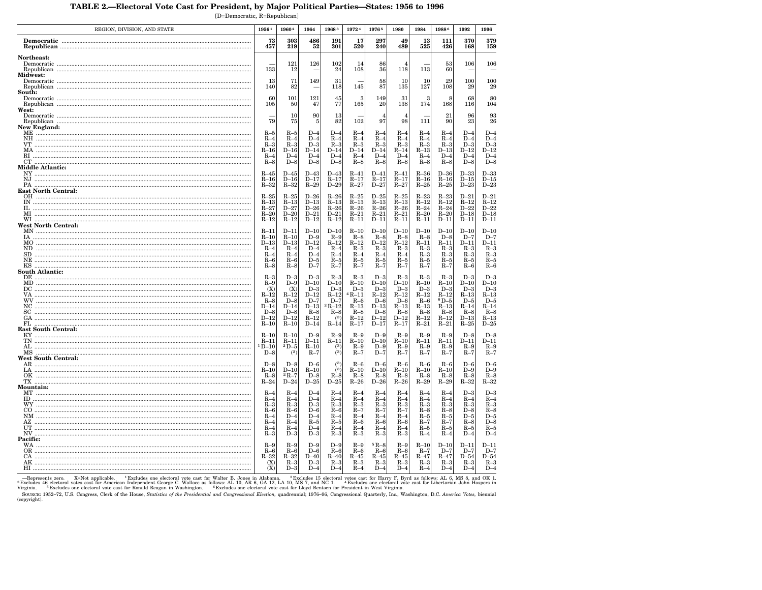#### TABLE 2.-Electoral Vote Cast for President, by Major Political Parties-States: 1956 to 1996

[D=Democratic, R=Republican]

| REGION, DIVISION, AND STATE                                | 19561                                                                           | 1960 <sup>2</sup>                                                               | 1964                                                                                        | 19683                                                                                          | 19724                                                                                  | 19765                                                                                     | 1980                                                                                   | 1984                                                                                   | 19886                                                                                 | 1992                                                                                 | 1996                                                                                 |
|------------------------------------------------------------|---------------------------------------------------------------------------------|---------------------------------------------------------------------------------|---------------------------------------------------------------------------------------------|------------------------------------------------------------------------------------------------|----------------------------------------------------------------------------------------|-------------------------------------------------------------------------------------------|----------------------------------------------------------------------------------------|----------------------------------------------------------------------------------------|---------------------------------------------------------------------------------------|--------------------------------------------------------------------------------------|--------------------------------------------------------------------------------------|
|                                                            | 73<br>457                                                                       | 303<br>219                                                                      | 486<br>52                                                                                   | 191<br>301                                                                                     | 17<br>520                                                                              | 297<br>240                                                                                | 49<br>489                                                                              | 13<br>525                                                                              | 111<br>426                                                                            | 370<br>168                                                                           | 379<br>159                                                                           |
| Northeast:                                                 | 133                                                                             | 121<br>12                                                                       | 126                                                                                         | 102<br>24                                                                                      | 14<br>108                                                                              | 86<br>36                                                                                  | 118                                                                                    | 113                                                                                    | 53<br>60                                                                              | 106                                                                                  | 106                                                                                  |
| <b>Midwest:</b>                                            | 13<br>140                                                                       | 71<br>82                                                                        | 149                                                                                         | 31<br>118                                                                                      | 145                                                                                    | 58<br>87                                                                                  | 10<br>135                                                                              | 10<br>127                                                                              | 29<br>108                                                                             | 100<br>29                                                                            | 100<br>29                                                                            |
| South:                                                     | 60                                                                              | 101                                                                             | 121                                                                                         | 45<br>77                                                                                       | 3<br>165                                                                               | 149                                                                                       | 31                                                                                     | 174                                                                                    | 8<br>168                                                                              | 68                                                                                   | 80                                                                                   |
| West:                                                      | 105                                                                             | 50<br>10                                                                        | 47<br>90                                                                                    | 13                                                                                             |                                                                                        | 20                                                                                        | 138                                                                                    |                                                                                        | 21                                                                                    | 116<br>96                                                                            | 104<br>93                                                                            |
| New England:                                               | 79<br>$R-5$                                                                     | 75<br>$R-5$                                                                     | 5<br>$D-4$                                                                                  | 82<br>$D-4$                                                                                    | 102<br>$_{\rm R-4}$                                                                    | 97<br>R-4                                                                                 | 98<br>$_{\rm R-4}$                                                                     | 111<br>$R - 4$                                                                         | 90<br>R–4                                                                             | 23<br>$D-4$                                                                          | 26<br>$D-4$                                                                          |
| VT.                                                        | $R-4$<br>$R-3$<br>$R-16$<br>$R-4$<br>$R-8$                                      | $R-4$<br>$R-3$<br>$D-16$<br>$D-4$<br>$D-8$                                      | $D-4$<br>$D-3$<br>$D-14$<br>$D-4$<br>$D-8$                                                  | $R-4$<br>$R-3$<br>$D-14$<br>$D-4$<br>$D-8$                                                     | $R-4$<br>$R-3$<br>$D-14$<br>$R-4$<br>$R-8$                                             | $R-4$<br>$R-3$<br>$D-14$<br>$D-4$<br>$R - 8$                                              | $R-4$<br>$R-3$<br>R–14<br>$D-4$<br>$R-8$                                               | $R-4$<br>$R-3$<br>$R-13$<br>$R-4$<br>$R-8$                                             | $R-4$<br>$R-3$<br>$_{\rm D-13}$<br>$D-4$<br>$R-8$                                     | $D-4$<br>$D-3$<br>$D-12$<br>$D-4$<br>$D-8$                                           | $D-4$<br>$D-3$<br>$D-12$<br>$D-4$<br>$D-8$                                           |
| <b>Middle Atlantic:</b>                                    | $R-45$<br>$R-16$<br>$R-32$                                                      | D–45<br>$D-16$<br>$R-32$                                                        | $D-43$<br>$D-17$<br>$R-29$                                                                  | $D-43$<br>$R-17$<br>$D-29$                                                                     | $R - 41$<br>$R-17$<br>$R-27$                                                           | $D - 41$<br>$R-17$<br>$D-27$                                                              | R–41<br>$R-17$<br>$R-27$                                                               | $R-36$<br>$R-16$<br>$R-25$                                                             | $D-36$<br>$R-16$<br>$R-25$                                                            | $D-33$<br>$D-15$<br>$D-23$                                                           | $D-33$<br>$D-15$<br>$D-23$                                                           |
| East North Central:<br>West North Central:                 | $R-25$<br>$R-13$<br>$R-27$<br>$R - 20$<br>$R-12$                                | $R-25$<br>$R-13$<br>$D-27$<br>$D-20$<br>$R-12$                                  | $_{\rm D-26}$<br>$D-13$<br>$D-26$<br>$D-21$<br>$D-12$                                       | $R-26$<br>$R-13$<br>$R-26$<br>$D-21$<br>$R-12$                                                 | $R-25$<br>$R-13$<br>$R-26$<br>$R-21$<br>$R-11$                                         | $D-25$<br>$R-13$<br>$R-26$<br>$R-21$<br>$D-11$                                            | $R-25$<br>$R-13$<br>$R-26$<br>$R-21$<br>$R-11$                                         | $R-23$<br>$R-12$<br>$R-24$<br>$R-20$<br>$R-11$                                         | $R-23$<br>$R-12$<br>$R-24$<br>$R-20$<br>$D-11$                                        | $D-21$<br>$R-12$<br>$D-22$<br>$D-18$<br>$D-11$                                       | $D-21$<br>$R-12$<br>$D-22$<br>$D-18$<br>$D-11$                                       |
| IA<br>MО<br>ND<br>SD.                                      | $R-11$<br>$R-10$<br>$D-13$<br>$R-4$<br>$R-4$<br>$R-6$<br>$R-8$                  | $D-11$<br>$R-10$<br>$D-13$<br>$R-4$<br>$R-4$<br>$R-6$<br>$R - 8$                | $D-10$<br>$D-9$<br>$D-12$<br>$D-4$<br>$D-4$<br>$D-5$<br>$D-7$                               | $D-10$<br>$R-9$<br>$R-12$<br>$R-4$<br>$R-4$<br>$R-5$<br>$R-7$                                  | $R-10$<br>$R - 8$<br>$\mbox{R}\mbox{-}12$<br>$R-3$<br>$R-4$<br>$R-5$<br>$R-7$          | $D-10$<br>$R - 8$<br>$D-12$<br>$R-3$<br>$R-4$<br>$R-5$<br>$R-7$                           | $D-10$<br>$R-8$<br>$R-12$<br>$R-3$<br>$R-4$<br>$R-5$<br>$R-7$                          | $D-10$<br>$R - 8$<br>$R-11$<br>$R-3$<br>$R-3$<br>$R-5$<br>$R-7$                        | $D-10$<br>$D-8$<br>$R-11$<br>$R-3$<br>$R-3$<br>$R-5$<br>$R-7$                         | $D-10$<br>$D-7$<br>$D-11$<br>$R-3$<br>$R-3$<br>$R-5$<br>$R - 6$                      | $D-10$<br>$D-7$<br>$D-11$<br>$R - 3$<br>$R-3$<br>$R-5$<br>$R - 6$                    |
| South Atlantic:<br>$_{\rm DC}$<br>VA.<br>WV<br>$_{\rm SC}$ | $R-3$<br>$R-9$<br>(X)<br>$R-12$<br>$R-8$<br>$D-14$<br>$D-8$<br>$D-12$<br>$R-10$ | $D-3$<br>$D-9$<br>(X)<br>$R-12$<br>$D-8$<br>$D-14$<br>$D-8$<br>$D-12$<br>$R-10$ | $D-3$<br>$D-10$<br>$D-3$<br>$D-12$<br>$D-7$<br>$_{\rm D-13}$<br>$R - 8$<br>$R-12$<br>$D-14$ | $R - 3$<br>$D-10$<br>$D-3$<br>$R-12$<br>$D-7$<br>${}^{3}R-12$<br>$R - 8$<br>$^{(3)}$<br>$R-14$ | $R-3$<br>$R-10$<br>$D-3$<br>$R-11$<br>$R - 6$<br>$R-13$<br>$R - 8$<br>$R-12$<br>$R-17$ | $_{\rm D-3}$<br>$D-10$<br>$D-3$<br>$R-12$<br>$D-6$<br>$D-13$<br>$D-8$<br>$D-12$<br>$D-17$ | $R - 3$<br>$D-10$<br>$D-3$<br>$R-12$<br>$D-6$<br>$R-13$<br>$R - 8$<br>$D-12$<br>$R-17$ | $R-3$<br>$R-10$<br>$D-3$<br>$R-12$<br>$R - 6$<br>$R-13$<br>$R - 8$<br>$R-12$<br>$R-21$ | $R-3$<br>$R-10$<br>$D-3$<br>$R-12$<br>$6D - 5$<br>$R-13$<br>$R-8$<br>$R-12$<br>$R-21$ | $D-3$<br>$D-10$<br>$D-3$<br>$R-13$<br>$D-5$<br>$R-14$<br>$R - 8$<br>$D-13$<br>$R-25$ | $D-3$<br>$D-10$<br>$D-3$<br>$R-13$<br>$D-5$<br>$R-14$<br>$R - 8$<br>$R-13$<br>$D-25$ |
| <b>East South Central:</b><br>мs                           | $R-10$<br>$R-11$<br>$1 D-10$<br>$D-8$                                           | $R-10$<br>$R-11$<br>$^{2}D-5$<br>$^{(2)}$                                       | $D-9$<br>$D-11$<br>$R-10$<br>$R-7$                                                          | $R-9$<br>$R-11$<br>$^{(3)}$<br>$(3)$                                                           | $R-9$<br>$R-10$<br>$R-9$<br>$R-7$                                                      | $D-9$<br>$D-10$<br>$D-9$<br>$D-7$                                                         | $R-9$<br>$R-10$<br>$R-9$<br>$R-7$                                                      | $R-9$<br>$R-11$<br>$R-9$<br>$R-7$                                                      | $R-9$<br>$R-11$<br>$R-9$<br>$R-7$                                                     | $D-8$<br>$D-11$<br>$R-9$<br>$R-7$                                                    | $D-8$<br>$D-11$<br>$R-9 R-7$                                                         |
| West South Central:                                        | $D-8$<br>$R-10$<br>$R-8$<br>$R-24$                                              | $D-8$<br>$D-10$<br>$2R - 7$<br>$D-24$                                           | $D-6$<br>$R-10$<br>$D-8$<br>$D-25$                                                          | $(3)$<br>(3)<br>$R-8$<br>$D-25$                                                                | $R - 6$<br>$R-10$<br>$R - 8$<br>$R-26$                                                 | $D-6$<br>$D-10$<br>$R-8$<br>$D-26$                                                        | $R - 6$<br>$R-10$<br>$R-8$<br>$R-26$                                                   | $R - 6$<br>$R-10$<br>$R-8$<br>$R-29$                                                   | $R - 6$<br>$R-10$<br>$R-8$<br>$R-29$                                                  | $D-6$<br>$D-9$<br>$R - 8$<br>$R-32$                                                  | $D-6$<br>$D-9$<br>$R-8$<br>$R-32$                                                    |
| <b>Mountain:</b><br>ID.<br>UT<br>NV                        | $R-4$<br>$R-4$<br>$R-3$<br>$R-6$<br>$R-4$<br>$R-4$<br>$R-4$<br>$R-3$            | $R-4$<br>$R-4$<br>$R-3$<br>$R-6$<br>$D-4$<br>$R-4$<br>$_{\rm R-4}$<br>$D-3$     | $D-4$<br>$D-4$<br>$D-3$<br>$D-6$<br>$D-4$<br>$R-5$<br>$D-4$<br>$D-3$                        | $R-4$<br>$R-4$<br>$R-3$<br>$R-6$<br>$R-4$<br>$R-5$<br>$R - 4$<br>$R-3$                         | $R - 4$<br>$R-4$<br>$R-3$<br>$R-7$<br>$R-4$<br>$R-6$<br>$R-4$<br>$R-3$                 | $R - 4$<br>$R-4$<br>$R-3$<br>$R-7$<br>$R-4$<br>$R-6$<br>R–4<br>$R-3$                      | $R-4$<br>$R-4$<br>$R-3$<br>$R-7$<br>$R-4$<br>$R-6$<br>$R - 4$<br>$R-3$                 | $R-4$<br>$R-4$<br>$R-3$<br>$R - 8$<br>$R-5$<br>$R-7$<br>$R-5$<br>$R-4$                 | $R-4$<br>$R-4$<br>$R-3$<br>$R-8$<br>$R-5$<br>$R-7$<br>$_{\rm R-5}$<br>$R-4$           | $D-3$<br>$R-4$<br>$R-3$<br>$D-8$<br>$D-5$<br>$R-8$<br>$_{\rm R-5}$<br>$D-4$          | $D-3$<br>$R-4$<br>$R-3$<br>$R-8$<br>$D-5$<br>$D-8$<br>$R-5$<br>$D-4$                 |
| Pacific:                                                   | $R-9$<br>$R-6$<br>$R-32$<br>$(X)$<br>$(X)$                                      | $R-9$<br>$R-6$<br>$R-32$<br>$R-3$<br>$D-3$                                      | $D-9$<br>$D-6$<br>$D=40$<br>$D-3$<br>$D-4$                                                  | $D-9$<br>$R-6$<br>$R-40$<br>$R-3$<br>$D-4$                                                     | $R-9$<br>$R-6$<br>$R-45$<br>$R-3$<br>$R-4$                                             | $5R - 8$<br>$R - 6$<br>$R-45$<br>$R-3$<br>$D-4$                                           | $R-9$<br>$R - 6$<br>R–45<br>$R-3$<br>$D-4$                                             | $R-10$<br>$R-7$<br>$R-47$<br>$R-3$<br>$R-4$                                            | $D-10$<br>$D-7$<br>$R - 47$<br>$R-3$<br>$D-4$                                         | $D-11$<br>$D-7$<br>$D-54$<br>$R-3$<br>$D-4$                                          | $D-11$<br>$D-7$<br>$D-54$<br>$R-3$<br>$D-4$                                          |

 $\begin{array}{r} \textbf{-Represents zero.} \quad \textbf{X=Not applicable.} \quad \text{1} \quad \text{Excludes one electrical vote cast for Walter B. Jones in Alabama.} \quad \text{2} \quad \text{Excludes 15 electrical votes cast for Harry F. Byrd as follows: AL 6, MS 8, and OK 1.} \quad \text{2} \quad \text{1} \quad \text{1} \quad \text{1} \quad \text{1} \quad \text{1} \quad \text{1} \quad \text{1} \quad \text{1} \quad \text{1} \quad \text{1} \quad \text{1} \quad \text{1} \quad \text{1} \quad \text{1} \quad \text{1} \quad \text{1} \quad \$ 

SOURCE: 1952-72, U.S. Congress, Clerk of the House, Statistics of the Presidential and Congressional Election, quadrennial; 1976-96, Congressional Quarterly, Inc., Washington, D.C. America Votes, biennial (copyright).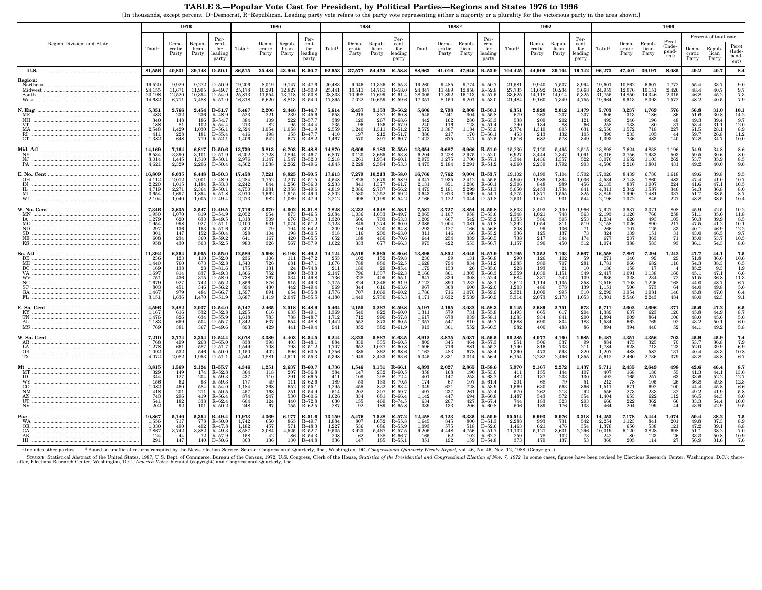#### **TABLE 3.—Popular Vote Cast for President, by Political Parties—Regions and States 1976 to 1996**

[In thousands, except percent. D=Democrat, R=Republican. Leading party vote refers to the party vote representing either a majority or a plurality for the victorious party in the area shown.]

|                                                                                                                                                                                                                                                                                                                                                                                                                                                                                                                                      |                                                                                                              | 1976                                                                                                                       |                                                                                                                                                                               |                                                                                                                                                                                                                                       | 1980                                                                                                                                                |                                                                                                                      |                                                                                                   |                                                                                                                                                                                           | 1984                                                                                                                                                    |                                                                                                                            |                                                                                                    | 19882                                                                                                                          |                                                                                                                    |                                                                                                                                            |                                                                                                                                                                                     | 1992                                                                                                                                             |                                                                                                                                                              |                                                                                                                                                        |                                                                                                                                                                                   | 1996                                                                                                                                               |                                                                                                                             |                                                                                                                                              |                                                                                                                                                           |                                                                                                                                                            |                                                                                                       |                                                                                                                          |                                                                           |  |
|--------------------------------------------------------------------------------------------------------------------------------------------------------------------------------------------------------------------------------------------------------------------------------------------------------------------------------------------------------------------------------------------------------------------------------------------------------------------------------------------------------------------------------------|--------------------------------------------------------------------------------------------------------------|----------------------------------------------------------------------------------------------------------------------------|-------------------------------------------------------------------------------------------------------------------------------------------------------------------------------|---------------------------------------------------------------------------------------------------------------------------------------------------------------------------------------------------------------------------------------|-----------------------------------------------------------------------------------------------------------------------------------------------------|----------------------------------------------------------------------------------------------------------------------|---------------------------------------------------------------------------------------------------|-------------------------------------------------------------------------------------------------------------------------------------------------------------------------------------------|---------------------------------------------------------------------------------------------------------------------------------------------------------|----------------------------------------------------------------------------------------------------------------------------|----------------------------------------------------------------------------------------------------|--------------------------------------------------------------------------------------------------------------------------------|--------------------------------------------------------------------------------------------------------------------|--------------------------------------------------------------------------------------------------------------------------------------------|-------------------------------------------------------------------------------------------------------------------------------------------------------------------------------------|--------------------------------------------------------------------------------------------------------------------------------------------------|--------------------------------------------------------------------------------------------------------------------------------------------------------------|--------------------------------------------------------------------------------------------------------------------------------------------------------|-----------------------------------------------------------------------------------------------------------------------------------------------------------------------------------|----------------------------------------------------------------------------------------------------------------------------------------------------|-----------------------------------------------------------------------------------------------------------------------------|----------------------------------------------------------------------------------------------------------------------------------------------|-----------------------------------------------------------------------------------------------------------------------------------------------------------|------------------------------------------------------------------------------------------------------------------------------------------------------------|-------------------------------------------------------------------------------------------------------|--------------------------------------------------------------------------------------------------------------------------|---------------------------------------------------------------------------|--|
|                                                                                                                                                                                                                                                                                                                                                                                                                                                                                                                                      |                                                                                                              |                                                                                                                            |                                                                                                                                                                               |                                                                                                                                                                                                                                       | Per-                                                                                                                                                |                                                                                                                      |                                                                                                   |                                                                                                                                                                                           | Per-                                                                                                                                                    |                                                                                                                            |                                                                                                    |                                                                                                                                | Per-                                                                                                               |                                                                                                                                            |                                                                                                                                                                                     |                                                                                                                                                  | Per-                                                                                                                                                         |                                                                                                                                                        |                                                                                                                                                                                   |                                                                                                                                                    | Per-                                                                                                                        |                                                                                                                                              |                                                                                                                                                           |                                                                                                                                                            | Perot                                                                                                 | Percent of total vote                                                                                                    |                                                                           |  |
| Region Division, and State                                                                                                                                                                                                                                                                                                                                                                                                                                                                                                           | Total <sup>1</sup>                                                                                           | Demo-<br>cratic<br>Party                                                                                                   | Repub-<br>lican<br>Party                                                                                                                                                      | cent<br>for<br>leading<br>party                                                                                                                                                                                                       | Total <sup>1</sup>                                                                                                                                  | Demo-<br>cratic<br>Party                                                                                             | Repub-<br>lican<br>Party                                                                          | cent<br>for<br>leading<br>party                                                                                                                                                           | Total                                                                                                                                                   | Demo-<br>cratic<br>Party                                                                                                   | Repub-<br>lican<br>Party                                                                           | cent<br>for<br>leading<br>party                                                                                                | Total                                                                                                              | Demo-<br>cratic<br>Party                                                                                                                   | Repub-<br>lican<br>Party                                                                                                                                                            | cent<br>for<br>leading<br>party                                                                                                                  | Total <sup>1</sup>                                                                                                                                           | Demo-<br>cratic<br>Party                                                                                                                               | Repub-<br>lican<br>Party                                                                                                                                                          | cent<br>$_{\rm for}$<br>leading<br>party                                                                                                           | Total                                                                                                                       | Demo-<br>cratic<br>Party                                                                                                                     | Repub-<br>lican<br>Party                                                                                                                                  | (Inde-<br>pend-<br>ent)                                                                                                                                    | Demo-<br>cratic<br>Party                                                                              | Repub-<br>lican<br>Party                                                                                                 | Perot<br>(Inde<br>pend-<br>ent)                                           |  |
|                                                                                                                                                                                                                                                                                                                                                                                                                                                                                                                                      | 81,556                                                                                                       | 40,831                                                                                                                     | 39,148                                                                                                                                                                        | $D-50.1$                                                                                                                                                                                                                              | 86,515                                                                                                                                              | 35,484                                                                                                               | 43,904                                                                                            | $R-50.7$                                                                                                                                                                                  | 92,653                                                                                                                                                  | 37,577                                                                                                                     | 54,455                                                                                             | $R - 58.8$                                                                                                                     | 88,963                                                                                                             | 41,016                                                                                                                                     | 47,946                                                                                                                                                                              | $R - 53.9$                                                                                                                                       | 104,425                                                                                                                                                      | 44,909                                                                                                                                                 | 39,104                                                                                                                                                                            | 19,742                                                                                                                                             | 96,273                                                                                                                      | 47,401                                                                                                                                       | 39,197                                                                                                                                                    | 8,085                                                                                                                                                      | 49.2                                                                                                  | 40.7                                                                                                                     | 8.4                                                                       |  |
|                                                                                                                                                                                                                                                                                                                                                                                                                                                                                                                                      | 19,520<br>24,155<br>23,198<br>14,682                                                                         | $\begin{array}{c} 9{,}929 \\ 11{,}671 \end{array}$<br>12,520<br>6,711                                                      | 9,272<br>11,995<br>$\left  \frac{10,394}{7,488} \right $                                                                                                                      | $D - 50.9$<br>$R-49.7$<br>D-54.0<br>$R - 51.0$                                                                                                                                                                                        | 19,206<br>25,178<br>25,813<br>16,318                                                                                                                | 8,019<br>10,291<br>11,554<br>5,620                                                                                   | 9,147<br>12,827<br>13,118<br>8,813                                                                | $R - 47.6$<br>$R - 50.9$<br>$R - 50.8$<br>$R - 54.0$                                                                                                                                      | 20,483<br>25,441<br>28,833<br>17,895                                                                                                                    | 9,046<br>10,511<br>$\frac{10,998}{7,022}$                                                                                  | 11,336<br>14,761<br>17,699<br>10,659                                                               | $R - 55.3$<br>$R - 58.0$<br>$R - 61.4$<br>$R - 59.6$                                                                           | 19,260<br>24,347<br>$\frac{28,005}{17,351}$                                                                        | 9,485<br>11,489<br>11,892<br>8,150                                                                                                         | $\substack{9,774 \\ 12,858}$<br>$\frac{16,113}{9,201}$                                                                                                                              | $\begin{array}{c} \text{R-50.7} \\ \text{R-52.8} \\ \text{R-57.5} \\ \text{R-53.0} \end{array}$                                                  | $\begin{array}{c} 21{,}581 \\ 27{,}735 \\ 33{,}625 \\ 21{,}484 \end{array}$                                                                                  | 9,940<br>11,692<br>14,118<br>9,160                                                                                                                     | 7,507<br>10,234<br>14,014<br>7,349                                                                                                                                                | $\begin{array}{c} 3,994 \\ 5,668 \\ 5,325 \\ 4,755 \end{array}$                                                                                    | 19,601<br>24,953<br>31,755<br>19,964                                                                                        | $\substack{10,862\\12,076}$<br>14,850<br>9,613                                                                                               | 6,607<br>10,151<br>14,346<br>8.093                                                                                                                        | $\begin{array}{c} 1,772 \\ 2,426 \\ 2,315 \\ 1,572 \end{array}$                                                                                            | 55.4<br>48.4<br>46.8<br>48.2                                                                          | 33.7<br>$\frac{40.7}{45.2}$<br>40.5                                                                                      | $^{7.3}_{7.9}$                                                            |  |
|                                                                                                                                                                                                                                                                                                                                                                                                                                                                                                                                      | $\begin{array}{r} 5{,}351\atop{483} \\ 340 \end{array}$<br>$\frac{188}{2,548}$<br>$^{+311}_{-1,382}$         | $\begin{array}{r} \textbf{2,766} \\ \textbf{232} \\ \textbf{148} \\ \textbf{81} \end{array}$<br>1,429<br>$\frac{228}{648}$ | $\frac{2,454}{236}$<br>186<br>102<br>1,030                                                                                                                                    | $D-51.7$<br>R-48.9<br>$R-54.7$<br>$R-54.4$<br>$D-56.$<br>$\begin{array}{ c c c }\n\hline\n181 & D-55.4 \\ 719 & R-52.1\n\end{array}$                                                                                                  | $\begin{array}{c} 5{,}467 \\ 523 \end{array}$<br>$\begin{array}{c} 384 \\ 213 \end{array}$<br>2,524<br>416<br>1,406                                 | $\begin{array}{c} \textbf{2,206} \\ \textbf{221} \end{array}$<br>$\substack{109\\82}$<br>1,054<br>$\frac{198}{542}$  | $\frac{2,446}{239}$<br>222<br>95<br>1,058                                                         | R-44.7<br>$R - 45.6$<br>$R - 57.7$<br>$R - 44.4$<br>$R - 41.9$<br>$\begin{array}{ c c c }\n\hline\n155 & D-47.7 \\ 677 & R-48.2\n\end{array}$                                             | $\begin{array}{r} \textbf{5,614} \\ \textbf{553} \\ \textbf{389} \end{array}$<br>$\frac{235}{2,559}$<br>410<br>1,467                                    | $\frac{2,437}{215}$<br>120<br>96<br>1,240<br>$\frac{197}{570}$                                                             | $\begin{array}{c} \textbf{3,153} \\ \textbf{337} \end{array}$<br>267<br>136<br>1,311<br>212<br>891 | $R - 56.2$<br>$R - 60.8$<br>$R - 68.6$<br>$R-57.9$<br>$R-51.2$<br>$R-51.7$<br>$R-60.7$                                         | $\begin{array}{c} 5,606 \\ 545 \end{array}$<br>442<br>240<br>2,572<br>$386$<br>$1,422$                             | $\begin{array}{c} \textbf{2,798} \\ \textbf{241} \end{array}$<br>$\begin{array}{r} 162 \\ 162 \\ 116 \\ 1,387 \\ 217 \\ 675 \end{array}$   | $\begin{array}{r} \textbf{2,808} \\ 304 \\ 280 \\ 123 \\ 1,184 \end{array}$<br>$\frac{170}{747}$                                                                                    | $\begin{array}{c} \textbf{R-50.1} \\ \textbf{R-55.8} \\ \textbf{R-63.3} \\ \textbf{R-51.4} \\ \textbf{D-53.9} \end{array}$<br>$D-56.1$<br>R-52.5 | $\begin{array}{c} \mathbf{6.351} \\ \mathbf{679} \end{array}$<br>$\frac{538}{290}$<br>2,774<br>$\frac{453}{1,616}$                                           | $\begin{array}{c} 2{,}820 \\ 263 \end{array}$<br>209<br>134<br>1,319<br>$\frac{213}{682}$                                                              | $\begin{array}{c} \textbf{2,012} \\ \textbf{207} \end{array}$<br>202<br>$\begin{array}{r} 202 \\ 88 \\ 805 \\ 132 \\ 578 \end{array}$                                             | $\begin{array}{c} \textbf{1,479} \\ \textbf{207} \end{array}$<br>$\begin{array}{r} 121 \\ 121 \\ 66 \\ 631 \\ 105 \\ 349 \end{array}$              | $\begin{array}{c} 5{,}703 \ 606 \end{array}$<br>$\begin{array}{c} 499 \\ 499 \\ 258 \\ 2,556 \\ 390 \\ 1,393 \end{array}$   | $\begin{array}{c} 3{,}237 \\ 313 \end{array}$<br>$\begin{array}{r} 246 \\ 138 \\ 1,572 \\ 233 \\ 736 \end{array}$                            | $\begin{array}{r} \textbf{1,769} \\ \textbf{186} \\ \textbf{196} \\ \textbf{80} \\ \textbf{718} \\ \textbf{105} \\ \textbf{483} \end{array}$              | $\begin{array}{r} \mathbf{576} \\ \mathbf{86} \\ \mathbf{48} \\ \mathbf{31} \end{array}$<br>$\begin{array}{r} 2\bar{2}\bar{7} \\ 44 \\ 140 \end{array}$    | $\begin{array}{c} \mathbf{56.8} \\ \mathbf{51.6} \end{array}$<br>49.3<br>53.4<br>61.5<br>59.7<br>52.8 | 31.0<br>30.8<br>39.4<br>31.1<br>28.1<br>26.8<br>34.7                                                                     | 10.1<br>14.2<br>$\frac{9.7}{12.0}$<br>8.9<br>$\frac{11.2}{10.0}$          |  |
|                                                                                                                                                                                                                                                                                                                                                                                                                                                                                                                                      | $\begin{array}{r} \textbf{14,169} \\ \textbf{6,534} \\ \textbf{3,014} \\ \textbf{4,621} \end{array}$         | $7,164$<br>3,390<br>$\frac{1,445}{2,329}$                                                                                  |                                                                                                                                                                               | $6,817$ D-50.6<br>$3,101$ D-51.9<br>$\begin{array}{c c} 1,510 & R-50.1 \\ 2,206 & D-50.4 \end{array}$                                                                                                                                 | 13,739<br>6,202<br>2,976<br>4,562                                                                                                                   | 5,813<br>$\substack{2,728\\1,147\\1,938}$                                                                            | $\begin{array}{c} 6{,}703 \\ 2{,}894 \end{array}$<br>1,547<br>2,262                               | R-48.8<br>$R - 46.7$<br>$R - 52.0$<br>$R - 49.6$                                                                                                                                          | 14,870<br>6,807<br>3,218<br>4,845                                                                                                                       | 6,609<br>$\substack{3,120\\1,261\\2,228}$                                                                                  | 8,183<br>3,665<br>1,934<br>2,584                                                                   | $R - 55.0$<br>$R - 53.8$<br>$R - 60.1$<br>$R - 53.3$                                                                           | 13,654<br>6,204<br>$2,975$<br>4,475                                                                                | $\begin{array}{c} \textbf{6,687} \\ 3,228 \\ 1,275 \\ 2,184 \end{array}$                                                                   | $\begin{array}{c} \textbf{6,966} \\ 2,975 \\ 1,700 \\ 2,291 \end{array}$                                                                                                            | $\begin{array}{c} \textbf{R-51.0} \\ \textbf{D-52.0} \\ \textbf{R-57.1} \\ \textbf{R-51.2} \end{array}$                                          | $\begin{array}{r} 15,230 \\ 6,927 \\ 3,344 \\ 4,960 \end{array}$                                                                                             | $\substack{7,120 \\ 3,444}$<br>$\frac{1,436}{2,239}$                                                                                                   | $\begin{array}{c} 5,495 \\ 2,347 \\ 1,357 \\ 1,792 \end{array}$                                                                                                                   | $\begin{array}{c} 2{,}515 \\ 1{,}091 \\ 522 \\ 903 \end{array}$                                                                                    | $\substack{13,898\\-6,316}$<br>$\frac{3,076}{4,506}$                                                                        | $\begin{array}{c} 7{,}624 \\ 3{,}756 \\ 1{,}652 \\ 2{,}216 \end{array}$                                                                      | 4,838<br>1,933<br>$\frac{1,103}{1,801}$                                                                                                                   | $\begin{array}{r} 1,196 \\ 503 \\ 262 \\ 431 \end{array}$                                                                                                  | 54.9<br>59.5<br>53.7<br>49.2                                                                          | 34.8<br>30.6<br>35.9<br>40.0                                                                                             | 8.0<br>$\frac{8.5}{9.6}$                                                  |  |
|                                                                                                                                                                                                                                                                                                                                                                                                                                                                                                                                      | 16,809<br>$4,112$<br>$2,220$<br>$4,719$<br>$3,654$<br>$2,104$                                                | $\begin{array}{c} {\bf 8,035} \\ 2,012 \\ 1,015 \end{array}$<br>$^{2,271}_{1,697}$<br>1,040                                | 1,184                                                                                                                                                                         | $\begin{array}{c c} 8,448 & \textbf{R} - 50.3 \\ 2,001 & \textbf{D} - 48.9 \end{array}$<br>$R - 53.3$<br>$\begin{array}{c c}\n2,364 & R-50.1 \\ 1,894 & R-51.8 \\ 1,005 & D-49.4\n\end{array}$                                        | $\begin{array}{c} \textbf{17,458} \\ \textbf{4,284} \\ \textbf{2,242} \end{array}$<br>$\frac{4,750}{3,910}$<br>2,273                                | $\underset{844}{\textbf{7,221}} \, \underset{844}{\textbf{1,752}}$<br>$^{1,981}_{1,662}$<br>982                      | $\begin{array}{c} \textbf{8,825} \\ \textbf{2,207} \\ \textbf{1,256} \end{array}$                 | $R-50.5$<br>$R - 51.5$<br>$R - 56.0$<br>$\begin{array}{c c}\n2,358 \\ 1,915 \\ 1,089\n\end{array}$ R-49.0                                                                                 | $\substack{ {\bf 17,613}\\4,548\\2,233} }$<br>4,819<br>$3,802$<br>$2,212$                                                                               | $\underset{1,825}{\textbf{7,279}}$<br>841<br>$\frac{2,086}{1,530}$<br>996                                                  | 10,213<br>2,679<br>1,377<br>2,707<br>2,252<br>1,199                                                | $R-58.9$<br>$R-58.9$<br>$R-61.7$<br>$R - 56.2$<br>$R-59.2$<br>$R-54.2$                                                         | $\substack{\textbf{16,766}\\ \textbf{4,347}}$<br>2,131<br>$4,479$<br>3,643<br>2,166                                | $\begin{array}{c} 7{,}762 \\ 1{,}935 \\ 851 \end{array}$<br>$\begin{array}{c} 2,181 \\ 1,673 \\ 1,122 \end{array}$                         | $\underset{1,280}{\textbf{9,004}}\,\,$<br>$^{2,299}_{1,969}$<br>$^{1,969}_{1,044}$                                                                                                  | $\begin{array}{c} \textbf{R-53.7} \\ \textbf{R-55.5} \\ \textbf{R-60.1} \end{array}$<br>$R-51.3$<br>$R-54.1$<br>$D-51.8$                         | $\begin{array}{c} 19,102 \\ 4,940 \\ 2,306 \end{array}$<br>$\frac{5,050}{4,275}$<br>2,531                                                                    | $\underset{848}{\overset{8,199}{\underset{1,985}{\hspace{-2.2em} \textbf{5}}}$<br>$^{2,453}_{1,871}$<br>1.041                                          | $\substack{7,104 \\ 1,894 \\ 989}$<br>$\begin{array}{c} 1,734 \\ 1,555 \\ 931 \end{array}$                                                                                        | $\substack{3,702 \\ 1,036 \\ 456}$<br>$841$<br>$825$<br>$544$                                                                                      | $\substack{17,026 \\ 4,534 \\ 2,135}$<br>$4,311$<br>$3,849$<br>$2,196$                                                      | $\underset{887}{\substack{8,439\\2,148}}$<br>$\begin{array}{c} 2,342 \\ 1,990 \\ 1,072 \end{array}$                                          | $\substack{6,780\\1,860\\1,007}$<br>$1,587$<br>$1,481$<br>845                                                                                             | $\begin{array}{r} 1,618 \\ 483 \\ 224 \\ 346 \\ 337 \\ 227 \end{array}$                                                                                    | 49.6<br>47.4<br>41.6<br>54.3<br>51.7<br>48.8                                                          | 39.8<br>$\frac{41.0}{47.1}$<br>$\frac{36.8}{38.5}$<br>38.5                                                               | $\frac{10.7}{10.5}$<br>$\begin{array}{c} 8.0 \\ 8.7 \\ 10.4 \end{array}$  |  |
|                                                                                                                                                                                                                                                                                                                                                                                                                                                                                                                                      | $\begin{array}{c} 7,346 \\ 1,950 \\ 1,279 \end{array}$<br>1,954<br>$\frac{297}{301}$<br>608<br>958           | 3,635<br>$1,070$<br>620<br>998<br>136<br>147<br>$\frac{234}{430}$                                                          | 3,547<br>819                                                                                                                                                                  | $D - 49.5$<br>$D-54.9$<br>$\begin{tabular}{c c} 613 & B=34.5 \\ 633 & R=49.5 \\ 927 & D=51.1 \\ 153 & R=51.6 \\ 152 & R=50.4 \\ \end{tabular}$<br>$\begin{array}{ c c c }\n 360 & R-59.2 \\  503 & R-52.5\n\end{array}$<br>$R - 52.5$ | $7,719$<br>$2,052$<br>1,318<br>2,100<br>302<br>328<br>641<br>980                                                                                    | $\begin{array}{c} 3{,}070 \ 954 \end{array}$<br>$\begin{array}{c} 509 \\ 931 \\ 79 \end{array}$<br>104<br>167<br>326 | 4,002<br>873<br>676<br>1,074                                                                      | $R - 51.8$<br>$D - 46.5$<br>$R - 51.3$<br>$R - 51.2$<br>194 R-64.2<br>$198$ R-60.5<br>$\begin{array}{ c c c }\n 420 & R-65.5 \\  567 & R-57.9\n\end{array}$                               | $7,828$<br>$2,084$<br>1,320<br>2,123<br>$\frac{309}{318}$<br>652<br>1,022                                                                               | 3,232<br>1,036<br>606<br>849<br>$\frac{104}{116}$<br>$\frac{188}{333}$                                                     | 4,548<br>1,033<br>703<br>1,274<br>200<br>200<br>460<br>677                                         | $R-58.$<br>D-49.<br>$R - 53.3$<br>$R - 60.0$<br>$R - 64.8$<br>$R - 63.0$<br>$R - 70.6$<br>$R - 66.3$                           | 7,581<br>2,065<br>1,209<br>$\begin{array}{r} 2,085 \\ 293 \\ 311 \end{array}$<br>$644$<br>975                      | $\underset{1,107}{\textbf{3,727}}$<br>$1,107$<br>$667$<br>$1,004$<br>$127$<br>$146$<br>$254$<br>$422$                                      | $\begin{array}{r} 3,854 \\ 958 \\ 542 \\ 1,081 \\ 166 \\ 166 \\ 990 \end{array}$<br>$\frac{389}{553}$                                                                               | $R-50.8$<br>D-53.6<br>$D-55.2$<br>R-51.8<br>$R-56.6$<br>$R-53.2$<br>$R-60.5$<br>$R-56.7$                                                         | 8,633<br>0,000<br>2,348<br>1,355<br>2,392<br>308<br>336<br>$\frac{738}{1,157}$                                                                               | $\begin{array}{r} 3,493 \\ 1,021 \\ 586 \\ 1,054 \\ 99 \\ 125 \end{array}$<br>217<br>390                                                               | $\begin{array}{r} 3,130 \\ 748 \\ 505 \\ 811 \\ 136 \\ 137 \\ \end{array}$<br>$\frac{344}{450}$                                                                                   | $\begin{array}{r} 1,966 \\ 563 \\ 253 \\ 519 \\ 71 \\ 73 \\ 174 \\ 312 \end{array}$                                                                | $\begin{array}{c} 7,927 \\ 2,193 \\ 1,234 \\ 2,158 \\ 266 \\ 324 \\ 677 \\ 1,074 \end{array}$                               | $\begin{array}{c} 3{,}637 \\ 1{,}120 \\ 620 \\ 1{,}026 \end{array}$<br>$\frac{107}{139}$<br>$\frac{237}{388}$                                | $\begin{array}{r} 3,371 \\ 766 \\ 493 \\ 890 \\ 125 \\ 151 \\ \hline 1.01 \end{array}$<br>$\frac{363}{583}$                                               | $\begin{array}{r} 808 \\ 258 \\ 105 \\ 217 \\ 33 \\ 31 \\ 71 \\ 93 \end{array}$                                                                            | 45.9<br>51.1<br>$50.3\,$<br>47.5<br>$\frac{40.1}{43.0}$<br>35.0<br>36.1                               | 42.5<br>35.0<br>39.9<br>$41.2$<br>$46.9$<br>$46.5$<br>53.7<br>54.3                                                       | 11.8<br>10.1<br>12.2<br>$\begin{array}{c} 9.7 \\ 10.5 \\ 8.6 \end{array}$ |  |
| $\begin{array}{c} \underbrace{M}_{\text{M}} \underbrace{1}_{\text{M,N}} \underbrace{1}_{\text{M,N}} \underbrace{1}_{\text{M,N}} \underbrace{1}_{\text{M,N}} \underbrace{1}_{\text{N,N}} \underbrace{1}_{\text{N,N}} \underbrace{1}_{\text{N,N}} \underbrace{1}_{\text{N,N}} \underbrace{1}_{\text{N,N}} \underbrace{1}_{\text{N,N}} \underbrace{1}_{\text{N,N}} \underbrace{1}_{\text{N,N}} \underbrace{1}_{\text{M,N}} \underbrace{1}_{\text{M,N}} \underbrace{1}_{\text{M,N}} \underbrace{1}_{\text{M,N}} \underbrace{1}_{\text{M$ | 11,392<br>$\frac{236}{1,440}$<br>169<br>$1,697$<br>$751$<br>1,679<br>803<br>$\frac{1,467}{3,151}$            | $\begin{array}{r} 6,264 \ 123 \ 760 \ 138 \ 814 \end{array}$<br>$\frac{436}{927}$<br>451<br>$\frac{979}{1,636}$            | 5,005<br>$\frac{110}{673}$<br>$\frac{28}{28}$<br>315<br>742<br>346<br>$\frac{484}{1,470}$                                                                                     | $D - 55.0$<br>$D - 52.0$<br>$D - 52.8$<br>$D-81.6$<br>$837$ R-49.3<br>$D - 58.0$<br>$D - 55.2$<br>$D - 56.2$<br>$D-66.7$<br>$D-51.9$                                                                                                  | 12,589<br>$\begin{array}{r} 236 \\ 1,540 \\ 175 \end{array}$<br>$\frac{1,866}{738}$<br>1,856<br>894<br>$\frac{1,597}{3,687}$                        | 5,698<br>106<br>726<br>131<br>752<br>367<br>876<br>430<br>891<br>1,419                                               | 6,198<br>$\frac{1}{111}$<br>681<br>24<br>334<br>915                                               | $R - 49.2$<br>$R - 47.2$<br>$D-47.1$<br>$D-74.8$<br>990 R-53.0<br>$D - 49.8$<br>$R - 49.3$<br>442 R-49.4<br>$\begin{array}{ c c c }\n\hline\n654 & D-55.8 \\ 2,047 & R-55.5\n\end{array}$ | $\begin{array}{r} \textbf{14,124} \\ \textbf{255} \\ \textbf{1,676} \end{array}$<br>211<br>$\frac{2,147}{736}$<br>2,175<br>969<br>$\frac{1,776}{4,180}$ | 5,519<br>$788$<br>$102$<br>$788$<br>$180$<br>$796$<br>$328$<br>$824$<br>$\begin{array}{r} 344 \\ 707 \\ 1,449 \end{array}$ | 8,565<br>152<br>880<br>29<br>1,337<br>405<br>1,346<br>616<br>$\frac{1,069}{2,730}$                 | $R - 60.6$<br>$R-59.8$<br>$R-52.5$<br>$D-85.4$<br>$R - 62.3$<br>$R-55.1$<br>$R-61.9$<br>$R - 63.6$<br>$R - 60.2$<br>$R - 65.3$ | 13,896<br>$\begin{array}{c} 230 \\ 1,628 \\ 179 \end{array}$<br>2,166<br>647<br>2,122<br>967<br>$1,786$<br>$4,171$ | $\begin{array}{r} 5,852 \\ 99 \\ 794 \\ 153 \\ 861 \\ 339 \\ 890 \\ 368 \\ 716 \\ 1,632 \end{array}$                                       | $\begin{array}{r} \textbf{8,045} \\ \textbf{131} \\ \textbf{834} \\ \textbf{26} \end{array}$<br>$\begin{array}{r} 26 \\ 1,305 \\ 308 \\ 1,232 \\ 600 \\ 1,070 \\ 2,539 \end{array}$ | $\substack{\mathbf{R-57.9}\\R-56.8\\R-51.2}$<br>n=31.2<br>D=85.6<br>R=60.3<br>D=52.4<br>R=58.1<br>R=62.0<br>$R-59.9$<br>$R-60.9$                 | $\begin{array}{r} 17,195 \\ \phantom{0}290 \\ \phantom{0}1,985 \\ \phantom{0}228 \\ \phantom{0}2,559 \end{array}$<br>684<br>2,612<br>1,203<br>2,321<br>5,314 | 7,352<br>$\frac{126}{989}$<br>193<br>1,039<br>$\frac{331}{1,114}$<br>480<br>$\frac{1,009}{2,073}$                                                      | $\begin{array}{r} \mathbf{7{,}103} \\ \mathbf{102} \\ \mathbf{707} \\ \mathbf{21} \end{array}$<br>1,151<br>$^{242}_{1,135}$<br>$\begin{array}{r} 578 \\ 995 \\ 2,173 \end{array}$ | $\begin{array}{r} 2,667 \\ 59 \\ 281 \\ 10 \\ 349 \\ 109 \\ 358 \\ 139 \\ 310 \\ 1,053 \end{array}$                                                | $\begin{matrix} 16{,}558\cr 271\cr 1{,}781\cr 186\end{matrix}$<br>$2,417$<br>636<br>2,516<br>1,151<br>$\frac{2,299}{5,301}$ | 7,897<br>$140$<br>966<br>158<br>1,091<br>$\frac{328}{1,108}$<br>$\frac{506}{1,054}$<br>2,546                                                 | 7,294<br>$\begin{array}{r} \n 7.294 \\  - 99 \\  - 682 \\  17 \\  1,138 \\  234 \\  1,226 \\  573\n \end{array}$<br>$\frac{1,081}{2,243}$                 | $\begin{array}{r} \textbf{1,242} \\ \textbf{29} \\ \textbf{116} \end{array}$<br>$\begin{array}{c} 4 \\ 160 \\ 72 \\ 168 \\ 64 \\ 146 \\ 484 \end{array}$   | 47.7<br>51.8<br>54.3<br>85.2<br>$\frac{45.1}{51.5}$<br>44.0<br>44.0<br>$\frac{45.8}{48.0}$            | 44.1<br>$\begin{array}{c} 36.6 \\ 38.3 \\ 9.3 \\ 47.1 \end{array}$<br>$\frac{36.8}{48.7}$<br>49.8<br>$\frac{47.0}{42.3}$ | 10.6<br>1.9<br>$\frac{6.6}{11.3}$<br>6.4<br>9.1                           |  |
|                                                                                                                                                                                                                                                                                                                                                                                                                                                                                                                                      | $\substack{4,596 \\ 1,167}$<br>1,476<br>1,183                                                                | $\begin{array}{r} \textbf{2,482} \\ \textbf{616} \\ \textbf{826} \\ \textbf{659} \end{array}$<br>381                       | 634<br>367                                                                                                                                                                    | $2,037$ D-54.0<br>532 D-52.8<br>$D - 55.9$<br>$504$ D-55.7<br>$D-49.6$                                                                                                                                                                | $\begin{array}{c} {\bf 5,147} \\ 1,295 \\ 1,618 \end{array}$<br>1,342<br>893                                                                        | $\begin{array}{c} 2{,}465 \ 616 \end{array}$<br>$\frac{783}{637}$<br>429                                             | $\begin{array}{c} 2{,}518 \\ 635 \end{array}$<br>788<br>$\begin{array}{c} 654 \\ 441 \end{array}$ | $R - 48.9$<br>$R-49.1$<br>$R - 48.7$<br>$R - 48.8$<br>$R - 49.4$                                                                                                                          | $\begin{array}{c} 5,464 \\ 1,369 \\ 1,712 \end{array}$<br>$1,442$<br>941                                                                                | $\begin{array}{r} 2,155 \\ 540 \\ 712 \\ 552 \\ 352 \end{array}$                                                           | $\begin{array}{c} \textbf{3,267} \\ \textbf{822} \end{array}$<br>990<br>873<br>582                 | $R - 59.8$<br>$R - 60.0$<br>$R - 57.8$<br>$R - 60.5$<br>$R-61.9$                                                               | $\begin{array}{c} {\bf 5,197} \\ 1,311 \\ 1,617 \\ 1,357 \\ 913 \end{array}$                                       | $\begin{array}{r} \textbf{2,165} \\ 579 \\ 678 \\ 547 \\ 361 \end{array}$                                                                  | $\begin{array}{r} 3{,}032 \\ 731 \\ 939 \\ 810 \\ 552 \end{array}$                                                                                                                  | $\begin{array}{c} \textbf{R-58.3} \\ \textbf{R-55.8} \\ \textbf{R-58.1} \\ \textbf{R-59.7} \\ \textbf{R-60.5} \end{array}$                       | $\begin{array}{c} 6,145 \\ 1,493 \\ 1,983 \end{array}$<br>1,688                                                                                              | $\begin{array}{r} \textbf{2,689} \\ \textbf{665} \\ \textbf{934} \end{array}$<br>$\frac{690}{400}$                                                     | $\begin{array}{r} \textbf{2,751} \\ \textbf{617} \\ \textbf{841} \end{array}$<br>$\frac{804}{488}$                                                                                | $\begin{array}{l} {\bf 673} \\ 204 \\ 200 \\ 183 \\ 86 \end{array}$                                                                                | $\begin{array}{c} 5{,}711\ 1{,}389\ 1{,}894 \end{array}$<br>1,534<br>894                                                    | $\begin{array}{r} \textbf{2,602} \\ \textbf{637} \\ \textbf{909} \end{array}$<br>$\frac{662}{394}$                                           | $\begin{array}{r} 2,696 \\ 623 \\ 864 \\ 769 \\ 440 \end{array}$                                                                                          | $\begin{array}{l} {\bf 371} \\ {\bf 120} \\ {\bf 106} \\ {\bf 92} \\ {\bf 52} \end{array}$                                                                 | $\begin{array}{c} \mathbf{45.6} \\ \mathbf{45.8} \end{array}$<br>48.0<br>43.2<br>44.1                 | $\begin{array}{c} \mathbf{47.2} \\ \mathbf{44.9} \end{array}$<br>45.6<br>$50.1\,$<br>49.2                                | $\frac{6.5}{8.7}$<br>6.0<br>5.8                                           |  |
|                                                                                                                                                                                                                                                                                                                                                                                                                                                                                                                                      | 7,210<br>768<br>$1,278$<br>1,092<br>4.072                                                                    | 3,774<br>$^{499}_{661}$<br>$^{661}_{532}$<br>2.082                                                                         | 3,354<br>1.953                                                                                                                                                                | D-52.4<br>$\begin{array}{r} 268 \\ 587 \\ 546 \\ \hline \end{array} \begin{array}{r} \text{D--65.0} \\ \text{D--51.7} \\ \text{D--51.7} \\ \text{R--50.0} \end{array}$<br>$D-51.1$                                                    | 8,078<br>838<br>$1,549$<br>$1,150$<br>4.542                                                                                                         | 3,389<br>398<br>$\frac{708}{402}$<br>1.881                                                                           | 4,403<br>403<br>$\begin{array}{c} 793 \\ 696 \end{array}$<br>2,511                                | R-54.5<br>$R - 48.1$<br>$R - 51.2$<br>$R - 60.5$<br>$R - 55.3$                                                                                                                            | 9,244<br>884<br>$\frac{1,707}{1,256}$<br>5,398                                                                                                          | 3,325<br>339<br>$\begin{array}{r} 652 \\ 385 \\ 1,949 \end{array}$                                                         | 5,867<br>535<br>1,037<br>862<br>3.433                                                              | $R - 63.5$<br>R-60.5<br>$R - 60.8$<br>$R - 68.6$<br>$R - 63.6$                                                                 | 8,912<br>809<br>$1,596$<br>$1,162$<br>5,345                                                                        | 3,875<br>345<br>$\frac{716}{483}$<br>2,331                                                                                                 | $\begin{array}{r} 5{,}037 \\ 464 \\ 881 \\ 678 \\ 3{,}014 \end{array}$                                                                                                              | $R-56.5$<br>$R-57.3$<br>$R=55.2$<br>$R=58.4$<br>$R=56.4$                                                                                         | 10,285<br>951<br>1,790<br>1,390<br>6,154                                                                                                                     | $\begin{array}{c} 4{,}077 \\ 506 \end{array}$<br>$\frac{816}{473}$<br>2,282                                                                            | $\begin{array}{r} \textbf{4,160} \\ \textbf{337} \\ \textbf{733} \\ \textbf{593} \end{array}$<br>2,496                                                                            | $\begin{array}{r} 1{,}985 \\ \rule{0pt}{8pt} 99 \\ \rule{0pt}{8pt} 211 \\ \rule{0pt}{8pt} 320 \\ \rule{0pt}{8pt} 1{,}355 \end{array}$              | 9,487<br>884<br>$1,784$<br>$1,207$<br>5,612                                                                                 | 4,351<br>$\begin{array}{c} 475 \\ 928 \\ 488 \end{array}$<br>2.460                                                                           | $\begin{array}{r} \textbf{4,356} \\ 325 \\ 713 \\ 582 \\ 2,736 \end{array}$                                                                               | $\frac{703}{70}$<br>$\begin{array}{c} 123 \\ 131 \\ 379 \end{array}$                                                                                       | 45.9<br>53.7<br>52.0<br>40.4<br>43.8                                                                  | 45.9<br>36.8<br>$\frac{39.9}{48.3}$<br>48.8                                                                              | 7.4<br>$^{7.9}_{6.9}$<br>10.8<br>6.7                                      |  |
|                                                                                                                                                                                                                                                                                                                                                                                                                                                                                                                                      | $\begin{array}{r} 3,815 \\ 329 \\ 344 \\ 156 \end{array}$<br>1,082<br>$\frac{418}{743}$<br>$\frac{541}{202}$ | $\begin{array}{c} 1{,}569 \\ 149 \end{array}$<br>$\frac{127}{62}$<br>$\frac{460}{201}$<br>$\frac{296}{182}$                | $\begin{array}{c} \textbf{2,124} \\ \textbf{174} \end{array}$<br>$204\,$<br>93<br>419                                                                                         | R-55.<br>$R - 52.8$<br>$R - 59.3$<br>$R - 59.3$<br>584 R-54.0<br>$211$ R-50.5<br>$R - 56.4$<br>$\begin{array}{c c}\n 338 & R-62.4 \\  \hline\n 101 & R-50.2\n \end{array}$                                                            | $\begin{array}{r} \textbf{4,346} \\ \textbf{364} \\ \textbf{437} \\ \textbf{177} \end{array}$<br>$1,\overline{184}\atop 457\atop 874$<br>604<br>248 | $\begin{array}{c} \textbf{1,251} \\ \textbf{118} \end{array}$<br>110<br>49<br>368<br>168<br>247<br>124<br>67         | 2,637<br>207<br>$\frac{291}{111}$<br>251<br>530                                                   | $R - 60.7$<br>$R - 56.8$<br>$R - 66.5$<br>$R - 62.6$<br>$652$ R-55.1<br>$R - 54.9$<br>$R - 60.6$<br>440 R-72.8<br>$155$ R-62.5                                                            | $\begin{array}{c} 4{,}736 \\ 384 \end{array}$<br>$\frac{411}{189}$<br>$\frac{1,295}{514}$<br>1,026<br>$\frac{630}{287}$                                 | 1,546<br>147<br>$\begin{array}{c} 109 \\ 53 \\ 455 \end{array}$<br>$\frac{202}{334}$<br>$\frac{155}{92}$                   | 3,131<br>232<br>$\frac{298}{133}$<br>822<br>307<br>681<br>469<br>189                               | $R-66.1$<br>R-60.5<br>$R-72.4$<br>$R-70.5$<br>$R - 63.4$<br>$R - 59.7$<br>$R - 66.4$<br>$R - 74.5$<br>$R - 65.8$               | $\begin{array}{c} 4,893 \\ 358 \end{array}$<br>$\frac{401}{174}$<br>1,349<br>497<br>1,142<br>$634$<br>$339$        | $\begin{array}{r} 2{,}027 \\[-2pt] 168 \\[-2pt] 147 \\[-2pt] 621 \\[-2pt] 237 \\[-2pt] 447 \\[-2pt] 207 \\[-2pt] 133 \\[-2pt] \end{array}$ | $\begin{array}{c} 2{,}865 \\ 190 \end{array}$<br>$\frac{253}{107}$<br>$\frac{728}{694}$<br>$\frac{427}{206}$                                                                        | $\mathbf{R}\text{-58.6}\ \text{R}\text{-53.0}$<br>$R-63.2$<br>$R-61.4$<br>$R - 53.9$<br>$R-52.4$<br>$R-60.8$<br>$R-67.4$<br>$R-60.8$             | $\begin{array}{c} 5,970 \\ 411 \end{array}$<br>$\frac{482}{201}$<br>$1,569$<br>$570$<br>$1,487$<br>$744$<br>$506$                                            | $\begin{array}{r} \textbf{2,167} \\ \textbf{155} \\ \textbf{137} \\ \textbf{68} \\ \textbf{630} \end{array}$<br>$\frac{262}{543}$<br>$\frac{183}{189}$ | $\begin{array}{r} \textbf{2,272} \\ \textbf{144} \\ \textbf{203} \\ \textbf{79} \\ \textbf{563} \\ \textbf{213} \\ \textbf{572} \\ \textbf{323} \\ \textbf{176} \end{array}$      | $\begin{array}{c} \textbf{1,437} \\ \textbf{107} \end{array}$<br>$\begin{array}{r} 107 \\ 130 \\ 51 \\ 366 \\ 92 \\ 354 \\ 203 \\ 133 \end{array}$ | $\begin{array}{c} 5{,}711 \\ 407 \end{array}$<br>492<br>212<br>$1,511$<br>$556$<br>1,404<br>666<br>464                      | $\begin{array}{c} \textbf{2,435} \\ \textbf{168} \end{array}$<br>$\begin{array}{r} 165 \\ 78 \\ 671 \\ 273 \\ 653 \\ 222 \\ 204 \end{array}$ | $\begin{array}{r} 2,649 \\[-2pt] 180 \\[-2pt] 257 \\[-2pt] 105 \\[-2pt] 692 \\[-2pt] 233 \\[-2pt] 622 \\[-2pt] 362 \\[-2pt] 362 \\[-2pt] 199 \end{array}$ | $\begin{array}{r} \mathbf{498}\\ \mathbf{55}\\ \mathbf{63}\\ \mathbf{26} \end{array}$<br>$\begin{array}{r} 20 \\ 100 \\ 32 \\ 112 \\ 66 \\ 44 \end{array}$ | 42.6<br>41.3<br>33.6<br>36.8<br>44.4<br>49.2<br>46.5<br>33.3<br>43.9                                  | 46.4<br>44.1<br>$\frac{52.2}{49.8}$<br>45.8<br>41.9<br>44.3<br>54.4<br>42.9                                              | 13.6<br>$\frac{12.7}{12.3}$<br>6.6<br>5.8<br>8.0<br>$\frac{10.0}{9.5}$    |  |
|                                                                                                                                                                                                                                                                                                                                                                                                                                                                                                                                      | $\underset{1,556}{\textbf{10,867}}$<br>$\frac{1,030}{7,867}$<br>291                                          | $\mathbf{5,140}\newline \mathbf{717}$<br>$\frac{490}{3,742}$<br>44<br>147                                                  | $\begin{array}{c} 776 \\ 492 \\ 3,882 \\ 72 \\ 60 \\ 100 \\ \end{array} \begin{array}{c} \text{R--47.}\odot \\ \text{R--49.3} \\ \text{R--57} \\ \text{D--57} \\ \end{array}$ | $\begin{array}{ c c c }\n 5,364 & R-49.4 \\  \hline\n 778 & R-50.0\n \end{array}$                                                                                                                                                     | $\begin{array}{c} 11{,}973 \\ 1{,}742 \\ 1{,}182 \\ 8{,}587 \end{array}$<br>158<br>$303\,$                                                          | $\begin{array}{r} \textbf{4,369} \\ \textbf{650} \\ \textbf{457} \\ \textbf{3,084} \end{array}$<br>42<br>136         | 6,177<br>865<br>$\begin{array}{c} 571 \\ 4,525 \end{array}$<br>86<br>130                          | $R - 51.6$<br>$R - 49.7$<br>$R - 48.3$<br>$R - 52.7$<br>$R - 54.3$<br>$D - 44.8$                                                                                                          | $\underset{1,884}{\textbf{13,159}}$<br>$\frac{1,227}{9,505}$<br>208<br>336                                                                              | $\begin{array}{c} 5{,}476 \\ 807 \end{array}$<br>$\frac{536}{3,923}$<br>62<br>147                                          | $\underset{1,052}{\textbf{7,528}}$<br>686<br>5,467<br>138<br>185                                   | $R-57.2$<br>$R-55.8$<br>$R-55.9$<br>$R-57.5$<br>$R - 66.7$<br>$R - 55.1$                                                       | $\underset{1,645}{\textbf{12,458}}$<br>$\frac{1,093}{9,205}$<br>165<br>$351\,$                                     | $\begin{array}{r} 6,123 \\ 845 \\ 575 \\ 4,448 \\ 62 \end{array}$<br>192                                                                   | $\begin{array}{r} 6{,}335 \\ 800 \\ 518 \\ 4{,}756 \\ 102 \end{array}$<br>159                                                                                                       | $\mathbf{R}\text{-50.9}\:\text{D}\text{-51.3}$<br>$\frac{\text{D}-52.6}{\text{R}-51.7}$<br>$D - 54.8$                                            | $\begin{array}{r} 15,514 \\ 2,288 \\ 1,463 \\ 11,132 \end{array}$<br>259<br>373                                                                              | $\begin{array}{r} 6{,}993 \\ 993 \\ 621 \\ 5{,}121 \\ 78 \\ 179 \end{array}$                                                                           | $\begin{array}{r} 5,076 \\ 731 \\ 476 \\ 3,631 \end{array}$<br>102<br>137                                                                                                         | $\begin{array}{r} 3,318 \\ 542 \\ 354 \\ 2,296 \\ 73 \\ 53 \end{array}$                                                                            | $\underset{2,254}{\textbf{14,253}}$<br>$\frac{1,378}{10,019}$<br>242<br>360                                                 | $\begin{array}{r} \textbf{7,178} \\ \textbf{1,123} \\ \textbf{650} \\ \textbf{5,120} \\ \textbf{80} \end{array}$<br>205                      | $\begin{array}{r} 5,444 \\ 841 \\ 538 \\ 3,828 \\ 123 \end{array}$<br>114                                                                                 | $\begin{array}{r} 1{,}074 \\ 201 \\ 121 \\ 698 \\ 26 \\ 27 \end{array}$                                                                                    | 50.4<br>49.8<br>$\frac{47.2}{51.1}$<br>33.3<br>56.9                                                   | $\begin{array}{c} \textbf{38.2} \\ \textbf{37.3} \end{array}$<br>$\frac{39.1}{38.2}$<br>50.8<br>31.6                     | $\begin{array}{c} 7.5 \\ 8.9 \end{array}$<br>$\frac{8.8}{7.0}$<br>10.9    |  |

<sup>1</sup>Includes other parties. <sup>2</sup>Based on unofficial returns compiled by the News Election Service. Source: Congressional Quarterly, Inc., Washington, DC, Congressional Quarterly Weekly Report, vol. 46, No. 46, Nov. 12, 1988.

SOUGE: Statistical Abstract of the United States, 1987, U.S. Dept. of Commerce, Bureau of the Consus, 1972, U.S. Congress, Clerk of the Bouse, Statistics of the Presidential and Congressional Election of Nov. 7, 1972 (in s